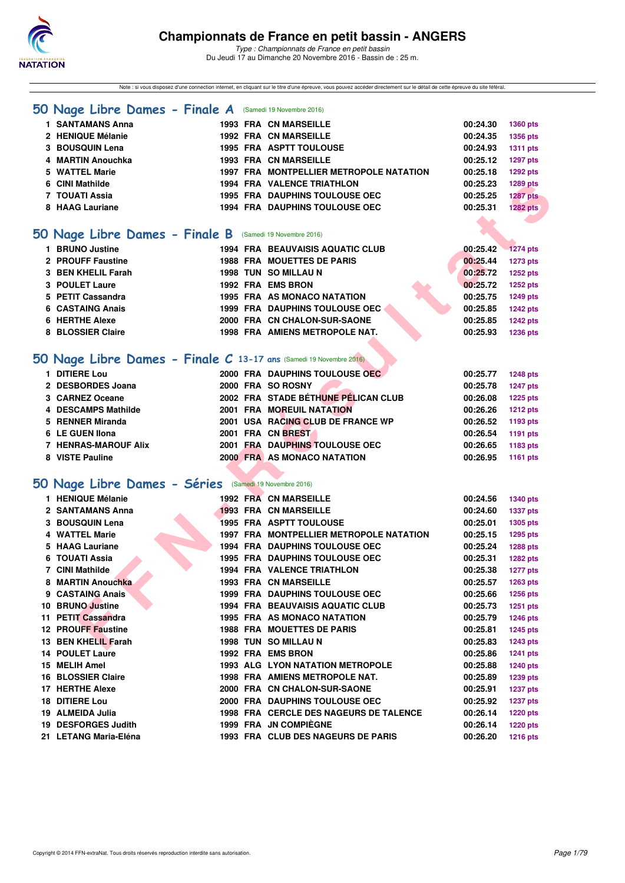

Note : si vous disposez d'une connection internet, en cliquant sur le titre d'une épreuve, vous pouvez accéder directement sur le détail de cette épreuve du site féféral.

#### **[50 Nage Libre Dames - Finale A](http://www.ffnatation.fr/webffn/resultats.php?idact=nat&go=epr&idcpt=41163&idepr=1)** (Samedi 19 Novembre 2016)

| 1 SANTAMANS Anna                                                   |  | <b>1993 FRA CN MARSEILLE</b>            | 00:24.30 | 1360 pts        |
|--------------------------------------------------------------------|--|-----------------------------------------|----------|-----------------|
| 2 HENIQUE Mélanie                                                  |  | <b>1992 FRA CN MARSEILLE</b>            | 00:24.35 | <b>1356 pts</b> |
| 3 BOUSQUIN Lena                                                    |  | 1995 FRA ASPTT TOULOUSE                 | 00:24.93 | <b>1311 pts</b> |
| 4 MARTIN Anouchka                                                  |  | <b>1993 FRA CN MARSEILLE</b>            | 00:25.12 | <b>1297 pts</b> |
| 5 WATTEL Marie                                                     |  | 1997 FRA MONTPELLIER METROPOLE NATATION | 00:25.18 | <b>1292 pts</b> |
| 6 CINI Mathilde                                                    |  | <b>1994 FRA VALENCE TRIATHLON</b>       | 00:25.23 | 1289 pts        |
| 7 TOUATI Assia                                                     |  | <b>1995 FRA DAUPHINS TOULOUSE OEC</b>   | 00:25.25 | <b>1287 pts</b> |
| 8 HAAG Lauriane                                                    |  | 1994 FRA DAUPHINS TOULOUSE OEC          | 00:25.31 | <b>1282 pts</b> |
|                                                                    |  |                                         |          |                 |
| 50 Nage Libre Dames - Finale B (Samedi 19 Novembre 2016)           |  |                                         |          |                 |
| 1 BRUNO Justine                                                    |  | <b>1994 FRA BEAUVAISIS AQUATIC CLUB</b> | 00:25.42 | $-1274$ pts     |
| 2 PROUFF Faustine                                                  |  | <b>1988 FRA MOUETTES DE PARIS</b>       | 00:25.44 | <b>1273 pts</b> |
| 3 BEN KHELIL Farah                                                 |  | 1998 TUN SO MILLAU N                    | 00:25.72 | <b>1252 pts</b> |
| 3 POULET Laure                                                     |  | 1992 FRA EMS BRON                       | 00:25.72 | 1252 pts        |
| 5 PETIT Cassandra                                                  |  | <b>1995 FRA AS MONACO NATATION</b>      | 00:25.75 | <b>1249 pts</b> |
| 6 CASTAING Anais                                                   |  | 1999 FRA DAUPHINS TOULOUSE OEC          | 00:25.85 | <b>1242 pts</b> |
| <b>6 HERTHE Alexe</b>                                              |  | 2000 FRA CN CHALON-SUR-SAONE            | 00:25.85 | <b>1242 pts</b> |
| 8 BLOSSIER Claire                                                  |  | 1998 FRA AMIENS METROPOLE NAT.          | 00:25.93 | 1236 pts        |
|                                                                    |  |                                         |          |                 |
| 50 Nage Libre Dames - Finale C 13-17 ans (Samedi 19 Novembre 2016) |  |                                         |          |                 |
|                                                                    |  |                                         |          |                 |
| 1 DITIERE Lou                                                      |  | 2000 FRA DAUPHINS TOULOUSE OEC          | 00:25.77 | <b>1248 pts</b> |
| 2 DESBORDES Joana                                                  |  | 2000 FRA SO ROSNY                       | 00:25.78 | <b>1247 pts</b> |
| 3 CARNEZ Oceane                                                    |  | 2002 FRA STADE BÉTHUNE PÉLICAN CLUB     | 00:26.08 | <b>1225 pts</b> |
| 4 DESCAMPS Mathilde                                                |  | 2001 FRA MOREUIL NATATION               | 00:26.26 | <b>1212 pts</b> |
| 5 RENNER Miranda                                                   |  | 2001 USA RACING CLUB DE FRANCE WP       | 00:26.52 | 1193 pts        |
| 6 LE GUEN IIona                                                    |  | 2001 FRA CN BREST                       | 00:26.54 | 1191 pts        |
| <b>7 HENRAS-MAROUF Alix</b>                                        |  | 2001 FRA DAUPHINS TOULOUSE OEC          | 00:26.65 | 1183 pts        |
| 8 VISTE Pauline                                                    |  | 2000 FRA AS MONACO NATATION             | 00:26.95 | <b>1161 pts</b> |
|                                                                    |  |                                         |          |                 |
| 50 Nage Libre Dames - Séries (Samedi 19 Novembre 2016)             |  |                                         |          |                 |
| 1 HENIQUE Mélanie                                                  |  | <b>1992 FRA CN MARSEILLE</b>            | 00:24.56 | <b>1340 pts</b> |
| 2 SANTAMANS Anna                                                   |  | <b>1993 FRA CN MARSEILLE</b>            | 00:24.60 | <b>1337 pts</b> |
| 3 BOUSQUIN Lena                                                    |  | <b>1995 FRA ASPTT TOULOUSE</b>          | 00:25.01 | 1305 pts        |
| 4 WATTEL Marie                                                     |  | 1997 FRA MONTPELLIER METROPOLE NATATION | 00:25.15 | <b>1295 pts</b> |
| 5 HAAG Lauriane                                                    |  | <b>1994 FRA DAUPHINS TOULOUSE OEC</b>   | 00:25.24 | 1288 pts        |
| 6 TOUATI Assia                                                     |  | <b>1995 FRA DAUPHINS TOULOUSE OEC</b>   | 00:25.31 | <b>1282 pts</b> |
| 7 CINI Mathilde                                                    |  | 1994 FRA VALENCE TRIATHLON              | 00:25.38 | <b>1277 pts</b> |
| 8 MARTIN Anouchka                                                  |  | <b>1993 FRA CN MARSEILLE</b>            | 00:25.57 | 1263 pts        |
| 9 CASTAING Anais                                                   |  | <b>1999 FRA DAUPHINS TOULOUSE OEC</b>   | 00:25.66 | <b>1256 pts</b> |
| 10 BRUNO Justine                                                   |  | <b>1994 FRA BEAUVAISIS AQUATIC CLUB</b> | 00:25.73 | <b>1251 pts</b> |
| 11 PETIT Cassandra                                                 |  | <b>1995 FRA AS MONACO NATATION</b>      | 00:25.79 | <b>1246 pts</b> |
| <b>12 PROUFF Faustine</b>                                          |  | <b>1988 FRA MOUETTES DE PARIS</b>       | 00:25.81 | <b>1245 pts</b> |
| 13 BEN KHELIL Farah                                                |  | 1998 TUN SO MILLAU N                    | 00:25.83 | <b>1243 pts</b> |
| <b>14 POULET Laure</b>                                             |  | 1992 FRA EMS BRON                       | 00:25.86 | <b>1241 pts</b> |
| 15 MELIH Amel                                                      |  | 1993 ALG LYON NATATION METROPOLE        | 00:25.88 | <b>1240 pts</b> |
| 16 BLOSSIER Claire                                                 |  | 1998 FRA AMIENS METROPOLE NAT.          | 00:25.89 | 1239 pts        |
| 17 HERTHE Alexe                                                    |  | 2000 FRA CN CHALON-SUR-SAONE            | 00:25.91 | <b>1237 pts</b> |
| 18 DITIERE Lou                                                     |  | 2000 FRA DAUPHINS TOULOUSE OEC          | 00:25.92 | <b>1237 pts</b> |
| 19 ALMEIDA Julia                                                   |  | 1998 FRA CERCLE DES NAGEURS DE TALENCE  | 00:26.14 | <b>1220 pts</b> |
| 19 DESFORGES Judith                                                |  | 1999 FRA JN COMPIEGNE                   | 00:26.14 | <b>1220 pts</b> |

- 
- **21 LETANG Maria-Eléna 1993 FRA CLUB DES NAGEURS DE PARIS 00:26.20 1216 pts**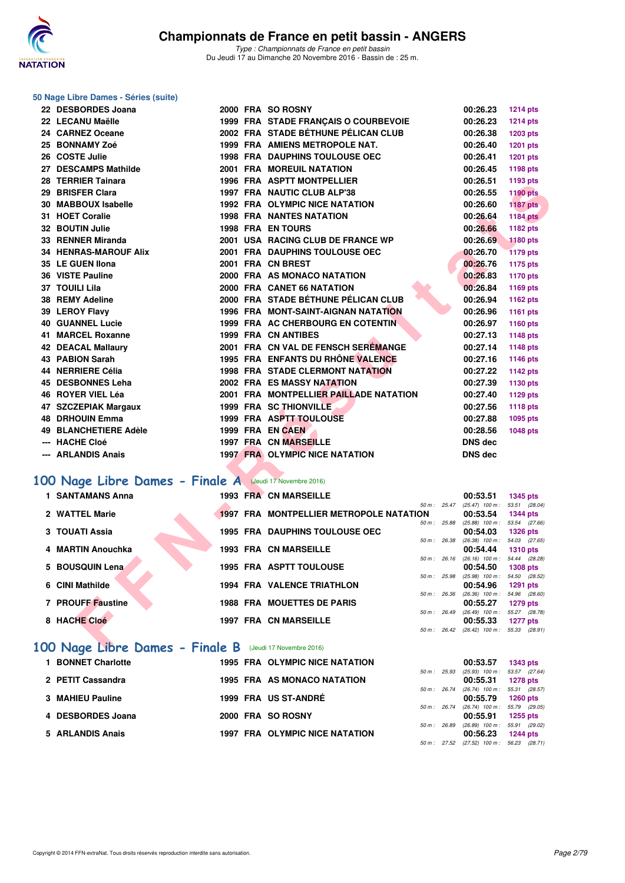

#### **50 Nage Libre Dames - Séries (suite)**

| 22 DESBORDES Joana                                      |  | 2000 FRA SO ROSNY                                    | 00:26.23                                      | <b>1214 pts</b>            |
|---------------------------------------------------------|--|------------------------------------------------------|-----------------------------------------------|----------------------------|
| 22 LECANU Maëlle                                        |  | 1999 FRA STADE FRANÇAIS O COURBEVOIE                 | 00:26.23                                      | <b>1214 pts</b>            |
| 24 CARNEZ Oceane                                        |  | 2002 FRA STADE BÉTHUNE PÉLICAN CLUB                  | 00:26.38                                      | 1203 pts                   |
| 25 BONNAMY Zoé                                          |  | 1999 FRA AMIENS METROPOLE NAT.                       | 00:26.40                                      | 1201 pts                   |
| 26 COSTE Julie                                          |  | <b>1998 FRA DAUPHINS TOULOUSE OEC</b>                | 00:26.41                                      | <b>1201 pts</b>            |
| 27 DESCAMPS Mathilde                                    |  | <b>2001 FRA MOREUIL NATATION</b>                     | 00:26.45                                      | 1198 pts                   |
| 28 TERRIER Tainara                                      |  | <b>1996 FRA ASPTT MONTPELLIER</b>                    | 00:26.51                                      | 1193 pts                   |
| 29 BRISFER Clara                                        |  | 1997 FRA NAUTIC CLUB ALP'38                          | 00:26.55                                      | <b>1190 pts</b>            |
| 30 MABBOUX Isabelle                                     |  | <b>1992 FRA OLYMPIC NICE NATATION</b>                | 00:26.60                                      | <b>1187 pts</b>            |
| 31 HOET Coralie                                         |  | <b>1998 FRA NANTES NATATION</b>                      | 00:26.64                                      | <b>1184 pts</b>            |
| 32 BOUTIN Julie                                         |  | <b>1998 FRA ENTOURS</b>                              | 00:26.66                                      | 1182 pts                   |
| 33 RENNER Miranda                                       |  | 2001 USA RACING CLUB DE FRANCE WP                    | 00:26.69                                      | <b>1180 pts</b>            |
| <b>34 HENRAS-MAROUF Alix</b>                            |  | 2001 FRA DAUPHINS TOULOUSE OEC                       | 00:26.70                                      | <b>1179 pts</b>            |
| 35 LE GUEN Ilona                                        |  | 2001 FRA CN BREST                                    | 00:26.76                                      | 1175 pts                   |
| 36 VISTE Pauline                                        |  | 2000 FRA AS MONACO NATATION                          | 00:26.83                                      | 1170 pts                   |
| 37 TOUILI Lila                                          |  | 2000 FRA CANET 66 NATATION                           | 00:26.84                                      | 1169 pts                   |
| 38 REMY Adeline                                         |  | 2000 FRA STADE BÉTHUNE PÉLICAN CLUB                  | 00:26.94                                      | 1162 pts                   |
| 39 LEROY Flavy                                          |  | <b>1996 FRA MONT-SAINT-AIGNAN NATATION</b>           | 00:26.96                                      | 1161 pts                   |
| <b>40 GUANNEL Lucie</b>                                 |  | 1999 FRA AC CHERBOURG EN COTENTIN                    | 00:26.97                                      | 1160 pts                   |
| 41 MARCEL Roxanne                                       |  | <b>1999 FRA CN ANTIBES</b>                           | 00:27.13                                      | 1148 pts                   |
| <b>42 DEACAL Mallaury</b>                               |  | 2001 FRA CN VAL DE FENSCH SEREMANGE                  | 00:27.14                                      | <b>1148 pts</b>            |
| <b>43 PABION Sarah</b>                                  |  | 1995 FRA ENFANTS DU RHÔNE VALENCE                    | 00:27.16                                      | 1146 pts                   |
| 44 NERRIERE Célia                                       |  | <b>1998 FRA STADE CLERMONT NATATION</b>              | 00:27.22                                      | 1142 pts                   |
| 45 DESBONNES Leha                                       |  | 2002 FRA ES MASSY NATATION                           | 00:27.39                                      | 1130 pts                   |
| 46 ROYER VIEL Léa                                       |  | 2001 FRA MONTPELLIER PAILLADE NATATION               | 00:27.40                                      | 1129 pts                   |
| 47 SZCZEPIAK Margaux                                    |  | <b>1999 FRA SC THIONVILLE</b>                        | 00:27.56                                      | 1118 pts                   |
| <b>48 DRHOUIN Emma</b>                                  |  | 1999 FRA ASPTT TOULOUSE                              | 00:27.88                                      | 1095 pts                   |
| 49 BLANCHETIERE Adèle                                   |  | 1999 FRA EN CAEN                                     | 00:28.56                                      | 1048 pts                   |
| --- HACHE Cloé                                          |  | <b>1997 FRA CN MARSEILLE</b>                         | <b>DNS dec</b>                                |                            |
| --- ARLANDIS Anais                                      |  | <b>1997 FRA OLYMPIC NICE NATATION</b>                | <b>DNS</b> dec                                |                            |
|                                                         |  |                                                      |                                               |                            |
| 00 Nage Libre Dames - Finale A (Jeudi 17 Novembre 2016) |  |                                                      |                                               |                            |
| <b>1 SANTAMANS Anna</b>                                 |  | <b>1993 FRA CN MARSEILLE</b>                         | 00:53.51                                      | <b>1345 pts</b>            |
|                                                         |  | 50 m: 25.47                                          | $(25.47)$ 100 m : 53.51 (28.04)               |                            |
| 2 WATTEL Marie                                          |  | 1997 FRA MONTPELLIER METROPOLE NATATION              | 00:53.54                                      | <b>1344 pts</b>            |
| 3 TOUATI Assia                                          |  | 50 m: 25.88<br><b>1995 FRA DAUPHINS TOULOUSE OEC</b> | $(25.88)$ 100 m : 53.54<br>00:54.03           | (27.66)<br><b>1326 pts</b> |
|                                                         |  | 50 m: 26.38                                          | $(26.38)$ 100 m :                             | 54.03 (27.65)              |
| 4 MARTIN Anouchka                                       |  | <b>1993 FRA CN MARSEILLE</b>                         | 00:54.44                                      | <b>1310 pts</b>            |
| 5 BOUSQUIN Lena                                         |  | 50 m : 26.16<br><b>1995 FRA ASPTT TOULOUSE</b>       | $(26.16)$ 100 m : 54.44 $(28.28)$<br>00:54.50 | <b>1308 pts</b>            |
|                                                         |  | 50 m: 25.98                                          | $(25.98)$ 100 m : 54.50 $(28.52)$             |                            |
| 6 CINI Mathilde                                         |  | <b>1994 FRA VALENCE TRIATHLON</b>                    | 00:54.96                                      | 1291 pts                   |
| 7 PROUFF Faustine                                       |  | 50 m: 26.36<br><b>1988 FRA MOUETTES DE PARIS</b>     | $(26.36)$ 100 m : 54.96<br>00:55.27           | (28.60)<br><b>1279 pts</b> |
|                                                         |  | 50 m: 26.49                                          | $(26.49)$ 100 m : 55.27                       | (28.78)                    |
| 8 HACHE Cloé                                            |  | <b>1997 FRA CN MARSEILLE</b>                         | 00:55.33                                      | <b>1277 pts</b>            |
|                                                         |  |                                                      | 50 m: 26.42 (26.42) 100 m: 55.33 (28.91)      |                            |
| 00 Nage Libre Dames - Finale R (Jeudi 17 Novembre 2016) |  |                                                      |                                               |                            |

# **[100 Nage Libre Dames - Finale A](http://www.ffnatation.fr/webffn/resultats.php?idact=nat&go=epr&idcpt=41163&idepr=2)** (Jeudi 17 Novembre 2016)

| <b>SANTAMANS Anna</b>           |  | 1993 FRA CN MARSEILLE                          |                | 00:53.51          | <b>1345 pts</b> |          |
|---------------------------------|--|------------------------------------------------|----------------|-------------------|-----------------|----------|
|                                 |  |                                                | $50 m$ : 25.47 | $(25.47)$ 100 m : | 53.51 (28.04    |          |
| 2 WATTEL Marie                  |  | <b>1997 FRA MONTPELLIER METROPOLE NATATION</b> |                | 00:53.54          | <b>1344 pts</b> |          |
|                                 |  |                                                | 50 m : 25.88   | $(25.88)$ 100 m : | 53.54 (27.66)   |          |
| 3 TOUATI Assia                  |  | <b>1995 FRA DAUPHINS TOULOUSE OEC</b>          |                | 00:54.03          | $1326$ pts      |          |
|                                 |  |                                                | 50 m : 26.38   | $(26.38)$ 100 m : | 54.03 (27.65    |          |
| 4 MARTIN Anouchka               |  | <b>1993 FRA CN MARSEILLE</b>                   |                | 00:54.44          | $1310$ pts      |          |
|                                 |  |                                                | 50 m: 26.16    | $(26.16)$ 100 m : | 54.44 (28.28)   |          |
| 5 BOUSQUIN Lena                 |  | <b>1995 FRA ASPTT TOULOUSE</b>                 |                | 00:54.50          | <b>1308 pts</b> |          |
|                                 |  |                                                | 50 m : 25.98   | $(25.98)$ 100 m : | 54.50 (28.52)   |          |
| 6 CINI Mathilde                 |  | <b>1994 FRA VALENCE TRIATHLON</b>              |                | 00:54.96          |                 | 1291 pts |
|                                 |  |                                                | 50 m : 26.36   | $(26.36)$ 100 m : | 54.96 (28.60    |          |
| 7 PROUFF Faustine               |  | <b>1988 FRA MOUETTES DE PARIS</b>              |                | 00:55.27          | 1279 pts        |          |
|                                 |  |                                                | 50 m : 26.49   | $(26.49)$ 100 m : | 55.27 (28.78    |          |
| 8 HACHE Cloé                    |  | <b>1997 FRA CN MARSEILLE</b>                   |                | 00:55.33          | <b>1277 pts</b> |          |
|                                 |  |                                                | 50 m: 26.42    | $(26.42)$ 100 m : | 55.33 (28.91    |          |
| 100 Nage Libre Dames - Finale B |  | (Jeudi 17 Novembre 2016)                       |                |                   |                 |          |

| <b>BONNET Charlotte</b> | <b>1995 FRA OLYMPIC NICE NATATION</b> |                        |              | 00:53.57                                      | <b>1343 pts</b> |
|-------------------------|---------------------------------------|------------------------|--------------|-----------------------------------------------|-----------------|
| 2 PETIT Cassandra       | 1995 FRA AS MONACO NATATION           | 50 m : 25.93           |              | $(25.93)$ 100 m : 53.57 $(27.64)$<br>00:55.31 | <b>1278 pts</b> |
| 3 MAHIEU Pauline        | 1999 FRA US ST-ANDRÉ                  |                        | 50 m : 26.74 | $(26.74)$ 100 m : 55.31 $(28.57)$<br>00:55.79 | <b>1260 pts</b> |
| 4 DESBORDES Joana       | 2000 FRA SO ROSNY                     |                        | 50 m : 26.74 | $(26.74)$ 100 m : 55.79 $(29.05)$<br>00:55.91 | 1255 pts        |
| 5 ARLANDIS Anais        | <b>1997 FRA OLYMPIC NICE NATATION</b> | $50 \text{ m}$ : 26.89 |              | $(26.89)$ 100 m : 55.91 $(29.02)$<br>00:56.23 | <b>1244 pts</b> |
|                         |                                       | $50 \text{ m}$ : 27.52 |              | $(27.52)$ 100 m : 56.23 $(28.71)$             |                 |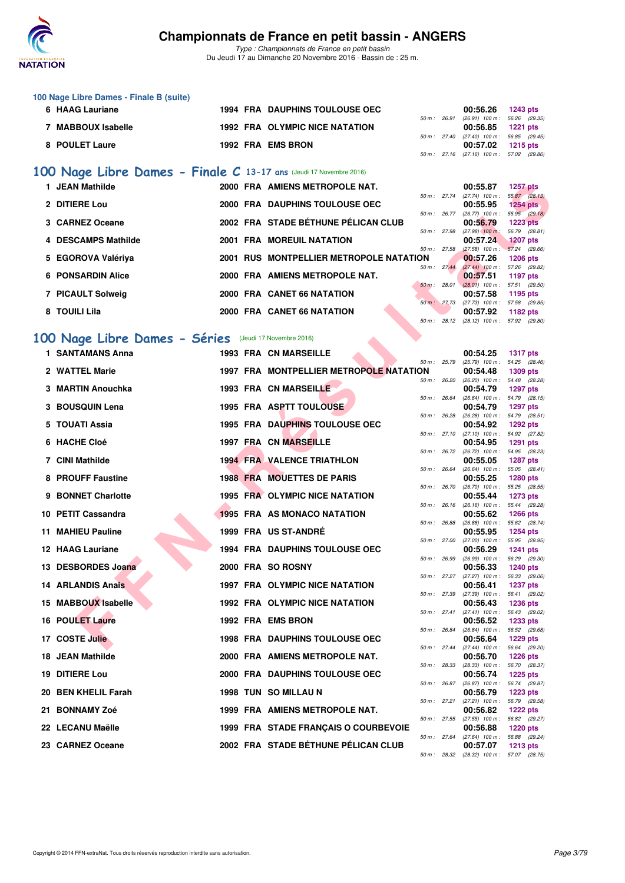

*Type : Championnats de France en petit bassin* Du Jeudi 17 au Dimanche 20 Novembre 2016 - Bassin de : 25 m.

| 100 Nage Libre Dames - Finale B (suite) |  |                                       |                |                                          |          |
|-----------------------------------------|--|---------------------------------------|----------------|------------------------------------------|----------|
| 6 HAAG Lauriane                         |  | <b>1994 FRA DAUPHINS TOULOUSE OEC</b> |                | 00:56.26                                 | 1243 pts |
|                                         |  |                                       | $50 m$ : 26.91 | $(26.91)$ 100 m : 56.26 $(29.35)$        |          |
| <b>MABBOUX Isabelle</b>                 |  | <b>1992 FRA OLYMPIC NICE NATATION</b> |                | 00:56.85 1221 pts                        |          |
|                                         |  |                                       | 50 m : 27.40   | $(27.40)$ 100 m : 56.85 $(29.45)$        |          |
| 8 POULET Laure                          |  | 1992 FRA EMS BRON                     |                | 00:57.02 1215 pts                        |          |
|                                         |  |                                       |                | 50 m: 27.16 (27.16) 100 m: 57.02 (29.86) |          |

# **[100 Nage Libre Dames - Finale C](http://www.ffnatation.fr/webffn/resultats.php?idact=nat&go=epr&idcpt=41163&idepr=2) 13-17 ans** (Jeudi 17 Novembre 2016)

| 1 JEAN Mathilde                                       | 2000 FRA AMIENS METROPOLE NAT.          |                        | 00:55.87                      | <b>1257 pts</b>                  |
|-------------------------------------------------------|-----------------------------------------|------------------------|-------------------------------|----------------------------------|
| 2 DITIERE Lou                                         | 2000 FRA DAUPHINS TOULOUSE OEC          | 50 m: 27.74            | $(27.74)$ 100 m :<br>00:55.95 | 55.87 (28.13)<br>$1254$ pts      |
| 3 CARNEZ Oceane                                       | 2002 FRA STADE BÉTHUNE PÉLICAN CLUB     | 50 m : 26.77           | $(26.77)$ 100 m :<br>00:56.79 | 55.95 (29.18)<br>$1223$ pts      |
| 4 DESCAMPS Mathilde                                   | 2001 FRA MOREUIL NATATION               | 50 m: 27.98            | $(27.98)$ 100 m;<br>00:57.24  | 56.79 (28.81)<br><b>1207 pts</b> |
| 5 EGOROVA Valériya                                    | 2001 RUS MONTPELLIER METROPOLE NATATION | 50 m: 27.58            | $(27.58)$ 100 m :<br>00:57.26 | 57.24 (29.66)<br><b>1206 pts</b> |
| <b>6 PONSARDIN Alice</b>                              | 2000 FRA AMIENS METROPOLE NAT.          | $50 \text{ m}$ : 27.44 | $(27.44)$ 100 m :<br>00:57.51 | 57.26 (29.82)<br>1197 pts        |
| 7 PICAULT Solweig                                     | 2000 FRA CANET 66 NATATION              | 50 m: 28.01            | $(28.01)$ 100 m :<br>00:57.58 | 57.51 (29.50)<br>1195 pts        |
| 8 TOUILI Lila                                         | 2000 FRA CANET 66 NATATION              | 50 m: 27.73            | $(27.73)$ 100 m :<br>00:57.92 | 57.58 (29.85)<br>1182 pts        |
|                                                       |                                         | 50 m: 28.12            | $(28.12)$ 100 m :             | 57.92 (29.80)                    |
| 00 Nage Libre Dames - Séries (Jeudi 17 Novembre 2016) |                                         |                        |                               |                                  |

# **[100 Nage Libre Dames - Séries](http://www.ffnatation.fr/webffn/resultats.php?idact=nat&go=epr&idcpt=41163&idepr=2)** (Jeudi 17 Novembre 2016)

| 1 JEAN Mathilde                                        |  | 2000 FRA AMIENS METROPOLE NAT.                 |              |                              | 00:55.87                                                      | <b>1257 pts</b>                                   |
|--------------------------------------------------------|--|------------------------------------------------|--------------|------------------------------|---------------------------------------------------------------|---------------------------------------------------|
| 2 DITIERE Lou                                          |  | 2000 FRA DAUPHINS TOULOUSE OEC                 |              | 50 m : 27.74                 | $(27.74)$ 100 m :<br>00:55.95                                 | 55.87 (28.13)<br>1254 pts                         |
| 3 CARNEZ Oceane                                        |  | 2002 FRA STADE BÉTHUNE PÉLICAN CLUB            |              | 50 m : 26.77                 | $(26.77)$ 100 m :<br>00:56.79                                 | 55.95 (29.18)<br><b>1223 pts</b>                  |
| 4 DESCAMPS Mathilde                                    |  | <b>2001 FRA MOREUIL NATATION</b>               | 50 m : 27.98 |                              | $(27.98)$ 100 m :<br>00:57.24                                 | 56.79 (28.81)<br><b>1207 pts</b>                  |
| 5 EGOROVA Valériya                                     |  | <b>2001 RUS MONTPELLIER METROPOLE NATATION</b> | 50 m: 27.58  |                              | $(27.58)$ 100 m : 57.24 (29.66)<br>00:57.26                   | <b>1206 pts</b>                                   |
| <b>6 PONSARDIN Alice</b>                               |  | 2000 FRA AMIENS METROPOLE NAT.                 |              | 50 m: 27.44                  | (27.44) 100 m: 57.26 (29.82)<br>00:57.51                      | 1197 pts                                          |
| 7 PICAULT Solweig                                      |  | 2000 FRA CANET 66 NATATION                     |              | 50 m: 28.01                  | $(28.01)$ 100 m : 57.51 (29.50)<br>00:57.58                   | 1195 pts                                          |
| 8 TOUILI Lila                                          |  | 2000 FRA CANET 66 NATATION                     |              | 50 m: 27.73                  | $(27.73)$ 100 m : 57.58 $(29.85)$<br>00:57.92                 | 1182 pts                                          |
|                                                        |  |                                                |              | 50 m: 28.12                  | $(28.12)$ 100 m : 57.92 $(29.80)$                             |                                                   |
| .00 Nage Libre Dames - Séries (Jeudi 17 Novembre 2016) |  |                                                |              |                              |                                                               |                                                   |
| 1 SANTAMANS Anna                                       |  | <b>1993 FRA CN MARSEILLE</b>                   |              | 50 m : 25.79                 | 00:54.25<br>$(25.79)$ 100 m : 54.25 $(28.46)$                 | <b>1317 pts</b>                                   |
| 2 WATTEL Marie                                         |  | 1997 FRA MONTPELLIER METROPOLE NATATION        |              |                              | 00:54.48                                                      | <b>1309 pts</b>                                   |
| 3 MARTIN Anouchka                                      |  | 1993 FRA CN MARSEILLE                          |              | 50 m : 26.20                 | $(26.20)$ 100 m : 54.48 $(28.28)$<br>00:54.79                 | <b>1297 pts</b>                                   |
| 3 BOUSQUIN Lena                                        |  | <b>1995 FRA ASPTT TOULOUSE</b>                 |              | 50 m : 26.64                 | $(26.64)$ 100 m : 54.79 $(28.15)$<br>00:54.79                 | <b>1297 pts</b>                                   |
| 5 TOUATI Assia                                         |  | <b>1995 FRA DAUPHINS TOULOUSE OEC</b>          |              | 50 m : 26.28                 | $(26.28)$ 100 m : 54.79 $(28.51)$<br>00:54.92                 | <b>1292 pts</b>                                   |
| 6 HACHE Cloé                                           |  | <b>1997 FRA CN MARSEILLE</b>                   |              | 50 m: 27.10                  | $(27.10)$ 100 m :<br>00:54.95                                 | 54.92 (27.82)<br>1291 pts                         |
| <b>7 CINI Mathilde</b>                                 |  | <b>1994 FRA VALENCE TRIATHLON</b>              |              | 50 m : 26.72<br>50 m: 26.64  | $(26.72)$ 100 m :<br>00:55.05                                 | 54.95 (28.23)<br><b>1287 pts</b>                  |
| 8 PROUFF Faustine                                      |  | <b>1988 FRA MOUETTES DE PARIS</b>              |              |                              | $(26.64)$ 100 m :<br>00:55.25                                 | 55.05 (28.41)<br>1280 pts                         |
| <b>BONNET Charlotte</b>                                |  | 1995 FRA OLYMPIC NICE NATATION                 |              | 50 m : 26.70                 | (26.70) 100 m: 55.25 (28.55)<br>00:55.44                      | <b>1273 pts</b>                                   |
| 10 PETIT Cassandra                                     |  | 1995 FRA AS MONACO NATATION                    |              | 50 m : 26.16<br>50 m : 26.88 | $(26.16)$ 100 m :<br>00:55.62                                 | 55.44 (29.28)<br><b>1266 pts</b>                  |
| 11 MAHIEU Pauline                                      |  | 1999 FRA US ST-ANDRE                           |              | 50 m : 27.00                 | $(26.88)$ 100 m :<br>00:55.95                                 | 55.62 (28.74)<br><b>1254 pts</b><br>55.95 (28.95) |
| <b>12 HAAG Lauriane</b>                                |  | <b>1994 FRA DAUPHINS TOULOUSE OEC</b>          | 50 m : 26.99 |                              | $(27.00)$ 100 m :<br>00:56.29                                 | <b>1241 pts</b><br>56.29 (29.30)                  |
| 13 DESBORDES Joana                                     |  | 2000 FRA SO ROSNY                              |              | 50 m : 27.27                 | $(26.99)$ 100 m :<br>00:56.33<br>(27.27) 100 m: 56.33 (29.06) | <b>1240 pts</b>                                   |
| <b>14 ARLANDIS Anais</b>                               |  | 1997 FRA OLYMPIC NICE NATATION                 |              | 50 m : 27.39                 | 00:56.41<br>(27.39) 100 m: 56.41 (29.02)                      | <b>1237 pts</b>                                   |
| 15 MABBOUX Isabelle                                    |  | 1992 FRA OLYMPIC NICE NATATION                 |              | 50 m : 27.41                 | 00:56.43<br>$(27.41)$ 100 m : 56.43 $(29.02)$                 | <b>1236 pts</b>                                   |
| <b>16 POULET Laure</b>                                 |  | 1992 FRA EMS BRON                              |              | 50 m : 26.84                 | 00:56.52<br>$(26.84)$ 100 m : 56.52 $(29.68)$                 | <b>1233 pts</b>                                   |
| 17 COSTE Julie                                         |  | <b>1998 FRA DAUPHINS TOULOUSE OEC</b>          |              |                              | 00:56.64<br>50 m: 27.44 (27.44) 100 m: 56.64 (29.20)          | <b>1229 pts</b>                                   |
| 18 JEAN Mathilde                                       |  | 2000 FRA AMIENS METROPOLE NAT.                 | 50 m : 28.33 |                              | 00:56.70<br>$(28.33)$ 100 m :                                 | <b>1226 pts</b>                                   |
| 19 DITIERE Lou                                         |  | 2000 FRA DAUPHINS TOULOUSE OEC                 |              |                              | 00:56.74                                                      | 56.70 (28.37)<br><b>1225 pts</b>                  |
| 20 BEN KHELIL Farah                                    |  | 1998 TUN SO MILLAU N                           |              | 50 m : 26.87                 | (26.87) 100 m: 56.74 (29.87)<br>00:56.79                      | <b>1223 pts</b>                                   |
| 21 BONNAMY Zoé                                         |  | 1999 FRA AMIENS METROPOLE NAT.                 |              | 50 m : 27.21                 | $(27.21)$ 100 m :<br>00:56.82<br>$(27.55)$ 100 m :            | 56.79 (29.58)<br><b>1222 pts</b>                  |
| 22 LECANU Maëlle                                       |  | 1999 FRA STADE FRANÇAIS O COURBEVOIE           |              | 50 m : 27.55<br>50 m : 27.64 | 00:56.88                                                      | 56.82 (29.27)<br><b>1220 pts</b>                  |
| 23 CARNEZ Oceane                                       |  | 2002 FRA STADE BÉTHUNE PÉLICAN CLUB            |              |                              | (27.64) 100 m: 56.88 (29.24)<br>00:57.07                      | <b>1213 pts</b>                                   |
|                                                        |  |                                                |              |                              | 50 m : 28.32 (28.32) 100 m : 57.07 (28.75)                    |                                                   |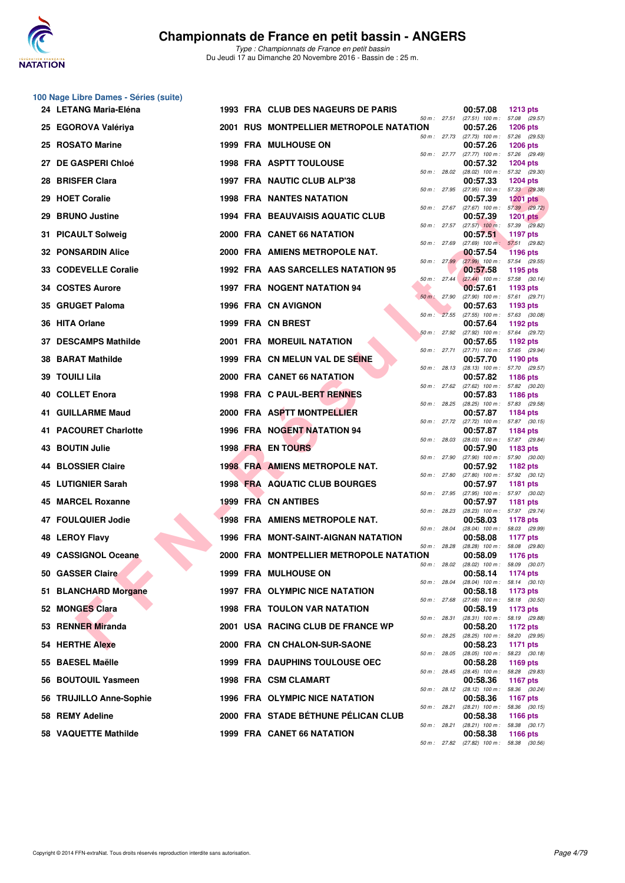

**100 Nage Libre Dames - Séries (suite)**

*Type : Championnats de France en petit bassin* Du Jeudi 17 au Dimanche 20 Novembre 2016 - Bassin de : 25 m.

| 24 LETANG Maria-Eléna       | <b>1993 FRA CLUB DES NAGEURS DE PARIS</b> |              | 00:57.08                                             | <b>1213 pts</b>                                      |
|-----------------------------|-------------------------------------------|--------------|------------------------------------------------------|------------------------------------------------------|
| 25 EGOROVA Valériya         | 2001 RUS MONTPELLIER METROPOLE NATATION   | 50 m : 27.51 | (27.51) 100 m: 57.08 (29.57)<br>00:57.26             | <b>1206 pts</b>                                      |
| 25 ROSATO Marine            | <b>1999 FRA MULHOUSE ON</b>               | 50 m : 27.73 | $(27.73)$ 100 m : 57.26 $(29.53)$<br>00:57.26        | <b>1206 pts</b>                                      |
| 27 DE GASPERI Chloé         | 1998 FRA ASPTT TOULOUSE                   | 50 m : 27.77 | (27.77) 100 m: 57.26 (29.49)<br>00:57.32             | <b>1204 pts</b>                                      |
| <b>BRISFER Clara</b><br>28. | 1997 FRA NAUTIC CLUB ALP'38               | 50 m: 28.02  | (28.02) 100 m: 57.32 (29.30)<br>00:57.33             | <b>1204 pts</b>                                      |
| 29 HOET Coralie             | <b>1998 FRA NANTES NATATION</b>           | 50 m : 27.95 | (27.95) 100 m: 57.33 (29.38)<br>00:57.39             | <b>1201 pts</b>                                      |
| <b>BRUNO Justine</b><br>29. | <b>1994 FRA BEAUVAISIS AQUATIC CLUB</b>   | 50 m : 27.67 | 00:57.39                                             | $(27.67)$ 100 m : 57.39 $(29.72)$<br><b>1201 pts</b> |
| 31 PICAULT Solweig          | 2000 FRA CANET 66 NATATION                |              | 50 m: 27.57 (27.57) 100 m: 57.39 (29.82)<br>00:57.51 | 1197 pts                                             |
| <b>32 PONSARDIN Alice</b>   | 2000 FRA AMIENS METROPOLE NAT.            | 50 m: 27.69  | $(27.69)$ 100 m : 57.51 $(29.82)$<br>00:57.54        | <b>1196 pts</b>                                      |
| 33 CODEVELLE Coralie        | 1992 FRA AAS SARCELLES NATATION 95        | 50 m: 27.99  | $(27.99)$ 100 m : 57.54 (29.55)<br>00:57.58          | 1195 pts                                             |
| 34 COSTES Aurore            | 1997 FRA NOGENT NATATION 94               | 50 m: 27.44  | 00:57.61                                             | $(27.44)$ 100 m : 57.58 $(30.14)$<br>1193 pts        |
| 35 GRUGET Paloma            | 1996 FRA CN AVIGNON                       | 50 m: 27.90  | 00:57.63                                             | (27.90) 100 m: 57.61 (29.71)<br>1193 pts             |
| 36 HITA Orlane              | 1999 FRA CN BREST                         | 50 m: 27.55  | $(27.55)$ 100 m : 57.63 $(30.08)$<br>00:57.64        | 1192 pts                                             |
| 37 DESCAMPS Mathilde        | <b>2001 FRA MOREUIL NATATION</b>          | 50 m: 27.92  | (27.92) 100 m: 57.64 (29.72)<br>00:57.65             | 1192 $pts$                                           |
| <b>38 BARAT Mathilde</b>    | 1999 FRA CN MELUN VAL DE SEINE            | 50 m: 27.71  | (27.71) 100 m: 57.65 (29.94)<br>00:57.70             | 1190 pts                                             |
| 39 TOUILI Lila              | 2000 FRA CANET 66 NATATION                | 50 m : 28.13 | (28.13) 100 m: 57.70 (29.57)<br>00:57.82             | <b>1186 pts</b>                                      |
| <b>40 COLLET Enora</b>      | 1998 FRA C PAUL-BERT RENNES               | 50 m : 27.62 | $(27.62)$ 100 m : 57.82 $(30.20)$<br>00:57.83        | <b>1186 pts</b>                                      |
| <b>41 GUILLARME Maud</b>    | 2000 FRA ASPTT MONTPELLIER                | 50 m: 28.25  | (28.25) 100 m: 57.83 (29.58)<br>00:57.87             | 1184 pts                                             |
| 41 PACOURET Charlotte       | 1996 FRA NOGENT NATATION 94               | 50 m : 27.72 | $(27.72)$ 100 m : 57.87 $(30.15)$<br>00:57.87        | 1184 pts                                             |
| 43 BOUTIN Julie             | 1998 FRA EN TOURS                         | 50 m : 28.03 | (28.03) 100 m: 57.87 (29.84)<br>00:57.90             | 1183 pts                                             |
| 44 BLOSSIER Claire          | 1998 FRA AMIENS METROPOLE NAT.            | 50 m: 27.90  | 00:57.92                                             | $(27.90)$ 100 m : 57.90 $(30.00)$<br><b>1182 pts</b> |
| 45 LUTIGNIER Sarah          | 1998 FRA AQUATIC CLUB BOURGES             | 50 m: 27.80  | $(27.80)$ 100 m : 57.92 $(30.12)$<br>00:57.97        | 1181 pts                                             |
| 45 MARCEL Roxanne           | <b>1999 FRA CN ANTIBES</b>                | 50 m : 27.95 | $(27.95)$ 100 m :<br>00:57.97                        | 57.97 (30.02)<br>1181 pts                            |
| 47 FOULQUIER Jodie          | 1998 FRA AMIENS METROPOLE NAT.            | 50 m : 28.23 | 00:58.03                                             | (28.23) 100 m: 57.97 (29.74)<br>1178 pts             |
| <b>48 LEROY Flavy</b>       | 1996 FRA MONT-SAINT-AIGNAN NATATION       | 50 m : 28.04 | 00:58.08                                             | (28.04) 100 m: 58.03 (29.99)<br><b>1177 pts</b>      |
| 49 CASSIGNOL Oceane         | 2000 FRA MONTPELLIER METROPOLE NATATION   | 50 m : 28.28 | (28.28) 100 m :<br>00:58.09                          | 58.08 (29.80)<br><b>1176 pts</b>                     |
| 50 GASSER Claire            | 1999 FRA MULHOUSE ON                      | 50 m: 28.02  | 00:58.14                                             | $(28.02)$ 100 m : 58.09 $(30.07)$<br><b>1174 pts</b> |
| 51 BLANCHARD Morgane        | 1997 FRA OLYMPIC NICE NATATION            | 50 m : 28.04 | $(28.04)$ 100 m : 58.14 $(30.10)$<br>00:58.18        | 1173 pts                                             |
| 52 MONGES Clara             | 1998 FRA TOULON VAR NATATION              | 50 m : 27.68 | $(27.68)$ 100 m :<br>00:58.19                        | 58.18 (30.50)<br>1173 pts                            |
| 53 RENNER Miranda           | 2001 USA RACING CLUB DE FRANCE WP         | 50 m : 28.31 | (28.31) 100 m: 58.19 (29.88)<br>00:58.20             | 1172 pts                                             |
| 54 HERTHE Alexe             | 2000 FRA CN CHALON-SUR-SAONE              | 50 m : 28.25 | $(28.25)$ 100 m : 58.20 $(29.95)$<br>00:58.23        | 1171 pts                                             |
| 55 BAESEL Maëlle            | <b>1999 FRA DAUPHINS TOULOUSE OEC</b>     | 50 m : 28.05 | $(28.05)$ 100 m :<br>00:58.28                        | 58.23 (30.18)<br>1169 pts                            |
| 56 BOUTOUIL Yasmeen         | 1998 FRA CSM CLAMART                      | 50 m : 28.45 | (28.45) 100 m: 58.28 (29.83)<br>00:58.36             | 1167 pts                                             |
| 56 TRUJILLO Anne-Sophie     | <b>1996 FRA OLYMPIC NICE NATATION</b>     | 50 m : 28.12 | $(28.12)$ 100 m :<br>00:58.36                        | 58.36 (30.24)<br><b>1167 pts</b>                     |
| 58 REMY Adeline             | 2000 FRA STADE BÉTHUNE PÉLICAN CLUB       | 50 m : 28.21 | $(28.21)$ 100 m :<br>00:58.38                        | 58.36 (30.15)<br>1166 pts                            |
| 58 VAQUETTE Mathilde        | 1999 FRA CANET 66 NATATION                | 50 m : 28.21 | 00:58.38                                             | $(28.21)$ 100 m : 58.38 $(30.17)$<br>1166 pts        |
|                             |                                           |              | 50 m : 27.82 (27.82) 100 m : 58.38 (30.56)           |                                                      |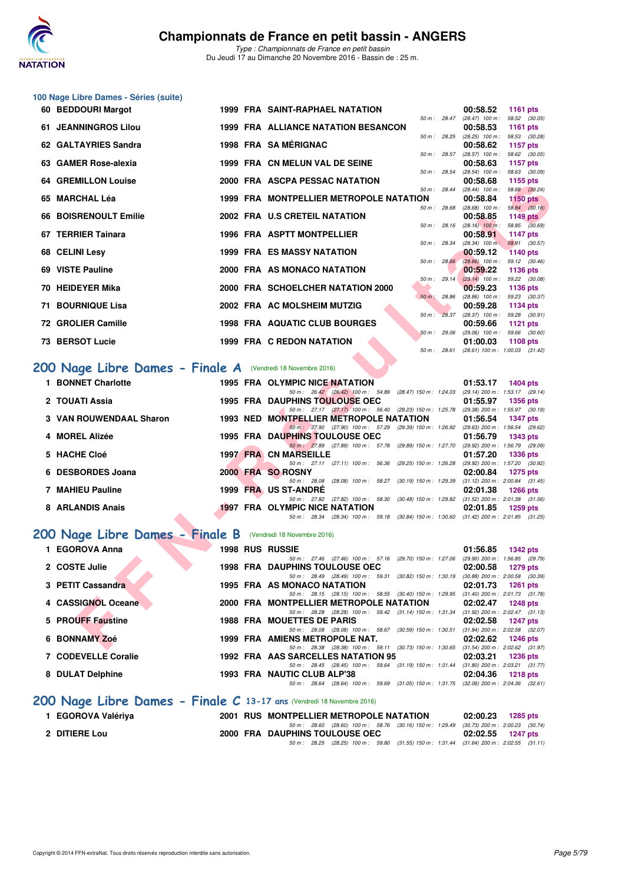

#### **100 Nage Libre Dames - Séries (suite)**

| 60 BEDDOURI Margot                                          |  | <b>1999 FRA SAINT-RAPHAEL NATATION</b>                                                                                            |                           | 00:58.52<br><b>1161 pts</b>                                                                  |
|-------------------------------------------------------------|--|-----------------------------------------------------------------------------------------------------------------------------------|---------------------------|----------------------------------------------------------------------------------------------|
| <b>61 JEANNINGROS Lilou</b>                                 |  | <b>1999 FRA ALLIANCE NATATION BESANCON</b>                                                                                        | 50 m : 28.47              | $(28.47)$ 100 m : 58.52 $(30.05)$<br>00:58.53<br><b>1161 pts</b>                             |
| 62 GALTAYRIES Sandra                                        |  | 1998 FRA SAMÉRIGNAC                                                                                                               | 50 m: 28.25               | (28.25) 100 m: 58.53 (30.28)<br>00:58.62<br><b>1157 pts</b>                                  |
|                                                             |  |                                                                                                                                   | 50 m: 28.57               | $(28.57)$ 100 m : 58.62 $(30.05)$                                                            |
| 63 GAMER Rose-alexia                                        |  | 1999 FRA CN MELUN VAL DE SEINE                                                                                                    | 50 m: 28.54               | 00:58.63<br><b>1157 pts</b><br>$(28.54)$ 100 m :<br>58.63 (30.09)                            |
| <b>64 GREMILLON Louise</b>                                  |  | 2000 FRA ASCPA PESSAC NATATION                                                                                                    | 50 m : 28.44              | 00:58.68<br>1155 pts<br>$(28.44)$ 100 m :<br>58.68 (30.24)                                   |
| 65 MARCHAL Léa                                              |  | 1999 FRA MONTPELLIER METROPOLE NATATION                                                                                           |                           | 00:58.84<br>$1150$ pts                                                                       |
| 66 BOISRENOULT Emilie                                       |  | 2002 FRA U.S CRETEIL NATATION                                                                                                     | 50 m : 28.68              | $(28.68)$ 100 m : 58.84 $(30.16)$<br>00:58.85<br><b>1149 pts</b>                             |
| 67 TERRIER Tainara                                          |  | 1996 FRA ASPTT MONTPELLIER                                                                                                        | 50 m: 28.16               | $(28.16)$ 100 m :<br>58.85 (30.69)<br>00:58.91<br><b>1147 pts</b>                            |
|                                                             |  |                                                                                                                                   | 50 m : 28.34              | $(28.34)$ 100 m : 58.91 $(30.57)$                                                            |
| 68 CELINI Lesy                                              |  | <b>1999 FRA ES MASSY NATATION</b>                                                                                                 | $50 m$ : 28.66            | 00:59.12<br><b>1140 pts</b><br>$(28.66)$ 100 m :<br>59.12 (30.46)                            |
| 69 VISTE Pauline                                            |  | 2000 FRA AS MONACO NATATION                                                                                                       |                           | 00:59.22<br>1136 pts                                                                         |
| 70 HEIDEYER Mika                                            |  | 2000 FRA SCHOELCHER NATATION 2000                                                                                                 | 50 m: 29.14               | $(29.14)$ 100 m : 59.22 $(30.08)$<br>00:59.23<br>1136 pts                                    |
|                                                             |  |                                                                                                                                   | 50 m: 28.86               | $(28.86)$ 100 m : 59.23 $(30.37)$                                                            |
| 71 BOURNIQUE Lisa                                           |  | 2002 FRA AC MOLSHEIM MUTZIG                                                                                                       | 50 m : 28.37              | 00:59.28<br>1134 pts<br>$(28.37)$ 100 m : 59.28 $(30.91)$                                    |
| 72 GROLIER Camille                                          |  | <b>1998 FRA AQUATIC CLUB BOURGES</b>                                                                                              |                           | 00:59.66<br>1121 pts                                                                         |
| 73 BERSOT Lucie                                             |  | <b>1999 FRA C REDON NATATION</b>                                                                                                  | 50 m: 29.06               | $(29.06)$ 100 m : 59.66 $(30.60)$<br>01:00.03<br>1108 pts                                    |
|                                                             |  |                                                                                                                                   | 50 m: 28.61               | $(28.61)$ 100 m : 1:00.03 $(31.42)$                                                          |
| 200 Nage Libre Dames - Finale A (Vendredi 18 Novembre 2016) |  |                                                                                                                                   |                           |                                                                                              |
|                                                             |  |                                                                                                                                   |                           |                                                                                              |
| 1 BONNET Charlotte                                          |  |                                                                                                                                   |                           | 01:53.17<br><b>1404 pts</b>                                                                  |
|                                                             |  | 1995 FRA OLYMPIC NICE NATATION<br>50 m: 26.42 (26.42) 100 m: 54.89 (28.47) 150 m: 1:24.03 (29.14) 200 m: 1:53.17 (29.14)          |                           |                                                                                              |
| 2 TOUATI Assia                                              |  | <b>1995 FRA DAUPHINS TOULOUSE OEC</b><br>50 m: 27.17 (27.17) 100 m: 56.40 (29.23) 150 m: 1:25.78 (29.38) 200 m: 1:55.97 (30.19)   |                           | 01:55.97<br><b>1356 pts</b>                                                                  |
| 3 VAN ROUWENDAAL Sharon                                     |  | 1993 NED MONTPELLIER METROPOLE NATATION                                                                                           |                           | 01:56.54<br><b>1347 pts</b>                                                                  |
| 4 MOREL Alizée                                              |  | 50 m: 27.90 (27.90) 100 m: 57.29 (29.39) 150 m: 1:26.92 (29.63) 200 m: 1:56.54 (29.62)                                            |                           | 01:56.79<br><b>1343 pts</b>                                                                  |
|                                                             |  | 1995 FRA DAUPHINS TOULOUSE OEC<br>50 m: 27.89 (27.89) 100 m: 57.78 (29.89) 150 m: 1:27.70                                         |                           | (29.92) 200 m: 1:56.79 (29.09)                                                               |
| 5 HACHE Cloé                                                |  | <b>1997 FRA CN MARSEILLE</b>                                                                                                      |                           | 01:57.20<br><b>1336 pts</b>                                                                  |
| 6 DESBORDES Joana                                           |  | 50 m: 27.11 (27.11) 100 m: 56.36<br>2000 FRA SO ROSNY                                                                             | (29.25) 150 m : 1:26.28   | (29.92) 200 m: 1:57.20 (30.92)<br>02:00.84<br><b>1275 pts</b>                                |
|                                                             |  | 50 m : 28.08<br>$(28.08)$ 100 m : 58.27                                                                                           | $(30.19)$ 150 m : 1:29.39 | $(31.12)$ 200 m : 2:00.84 $(31.45)$                                                          |
| 7 MAHIEU Pauline                                            |  | 1999 FRA US ST-ANDRE<br>50 m: 27.82 (27.82) 100 m: 58.30                                                                          |                           | 02:01.38<br><b>1266 pts</b><br>$(30.48)$ 150 m : 1:29.82 $(31.52)$ 200 m : 2:01.38 $(31.56)$ |
| 8 ARLANDIS Anais                                            |  | <b>1997 FRA OLYMPIC NICE NATATION</b>                                                                                             |                           | 02:01.85<br><b>1259 pts</b>                                                                  |
|                                                             |  | 50 m: 28.34 (28.34) 100 m: 59.18 (30.84) 150 m: 1.30.60 (31.42) 200 m: 2:01.85 (31.25)                                            |                           |                                                                                              |
| 200 Nage Libre Dames - Finale B                             |  | (Vendredi 18 Novembre 2016)                                                                                                       |                           |                                                                                              |
| 1 EGOROVA Anna                                              |  | <b>1998 RUS RUSSIE</b>                                                                                                            |                           | 01:56.85<br><b>1342 pts</b>                                                                  |
|                                                             |  | 50 m: 27.46 (27.46) 100 m: 57.16 (29.70) 150 m: 1:27.06 (29.90) 200 m: 1:56.85 (29.79)                                            |                           |                                                                                              |
| 2 COSTE Julie                                               |  | <b>1998 FRA DAUPHINS TOULOUSE OEC</b><br>50 m: 28.49 (28.49) 100 m: 59.31 (30.82) 150 m: 1:30.19 (30.88) 200 m: 2:00.58 (30.39)   |                           | 02:00.58<br><b>1279 pts</b>                                                                  |
| 3 PETIT Cassandra                                           |  | 1995 FRA AS MONACO NATATION                                                                                                       |                           | <b>1261 pts</b><br>02:01.73                                                                  |
| 4 CASSIGNOL Oceane                                          |  | 50 m: 28.15 (28.15) 100 m: 58.55 (30.40) 150 m: 1:29.95 (31.40) 200 m: 2:01.73 (31.78)<br>2000 FRA MONTPELLIER METROPOLE NATATION |                           | 02:02.47<br><b>1248 pts</b>                                                                  |
|                                                             |  | 50 m: 28.28 (28.28) 100 m: 59.42 (31.14) 150 m: 1:31.34 (31.92) 200 m: 2:02.47 (31.13)                                            |                           |                                                                                              |
| 5 PROUFF Faustine                                           |  | 1988 FRA MOUETTES DE PARIS<br>50 m: 28.08 (28.08) 100 m: 58.67 (30.59) 150 m: 1:30.51 (31.84) 200 m: 2:02.58 (32.07)              |                           | 02:02.58<br><b>1247 pts</b>                                                                  |
| 6 BONNAMY Zoé                                               |  | 1999 FRA AMIENS METROPOLE NAT.<br>50 m : 28.38 (28.38) 100 m : 59.11 (30.73) 150 m : 1:30.65 (31.54) 200 m : 2:02.62 (31.97)      |                           | 02:02.62<br><b>1246 pts</b>                                                                  |

# **[200 Nage Libre Dames - Finale A](http://www.ffnatation.fr/webffn/resultats.php?idact=nat&go=epr&idcpt=41163&idepr=3)** (Vendredi 18 Novembre 2016)

| 1 BONNET Charlotte      |          | 1995 FRA OLYMPIC NICE NATATION        |                                    |                                                               | 01:53.17                            | <b>1404 pts</b> |  |
|-------------------------|----------|---------------------------------------|------------------------------------|---------------------------------------------------------------|-------------------------------------|-----------------|--|
|                         |          |                                       | 50 m: 26.42 (26.42) 100 m: 54.89   | (28.47) 150 m : 1:24.03                                       | (29.14) 200 m: 1:53.17 (29.14)      |                 |  |
| 2 TOUATI Assia          |          | <b>1995 FRA DAUPHINS TOULOUSE OEC</b> |                                    |                                                               | 01:55.97                            | <b>1356 pts</b> |  |
|                         |          |                                       |                                    | 50 m: 27.17 (27.17) 100 m: 56.40 (29.23) 150 m: 1:25.78       | $(29.38)$ 200 m : 1:55.97 $(30.19)$ |                 |  |
| 3 VAN ROUWENDAAL Sharon | 1993 NED | <b>MONTPELLIER METROPOLE NATATION</b> |                                    |                                                               | 01:56.54                            | <b>1347 pts</b> |  |
|                         |          |                                       |                                    | 50 m: 27.90 (27.90) 100 m: 57.29 (29.39) 150 m: 1:26.92       | $(29.63)$ 200 m : 1:56.54 $(29.62)$ |                 |  |
| 4 MOREL Alizée          |          | <b>1995 FRA DAUPHINS TOULOUSE OEC</b> |                                    |                                                               | 01:56.79                            | <b>1343 pts</b> |  |
|                         |          |                                       |                                    | 50 m: 27.89 (27.89) 100 m: 57.78 (29.89) 150 m: 1:27.70       | $(29.92)$ 200 m : 1:56.79 $(29.09)$ |                 |  |
| 5 HACHE Cloé            |          | <b>1997 FRA CN MARSEILLE</b>          |                                    |                                                               | 01:57.20                            | <b>1336 pts</b> |  |
|                         |          |                                       |                                    | 50 m: 27.11 (27.11) 100 m: 56.36 (29.25) 150 m: 1:26.28       | (29.92) 200 m: 1:57.20 (30.92)      |                 |  |
| 6 DESBORDES Joana       |          | 2000 FRA SO ROSNY                     |                                    |                                                               | 02:00.84                            | $1275$ pts      |  |
|                         |          | 50 m : 28.08                          | (28.08) 100 m : 58.27              | $(30.19)$ 150 m : 1:29.39                                     | $(31.12)$ 200 m : 2:00.84 $(31.45)$ |                 |  |
| 7 MAHIEU Pauline        |          | 1999 FRA US ST-ANDRE                  |                                    |                                                               | 02:01.38                            | <b>1266 pts</b> |  |
|                         |          |                                       |                                    | 50 m: 27.82 (27.82) 100 m: 58.30 (30.48) 150 m: 1:29.82       | $(31.52)$ 200 m : 2:01.38 $(31.56)$ |                 |  |
| 8 ARLANDIS Anais        |          | <b>1997 FRA OLYMPIC NICE NATATION</b> |                                    |                                                               | 02:01.85                            | 1259 pts        |  |
|                         |          |                                       | 50 m : 28.34 (28.34) 100 m : 59.18 | $(30.84)$ 150 m : 1:30.60 $(31.42)$ 200 m : 2:01.85 $(31.25)$ |                                     |                 |  |

# **[200 Nage Libre Dames - Finale B](http://www.ffnatation.fr/webffn/resultats.php?idact=nat&go=epr&idcpt=41163&idepr=3)** (Vendredi 18 Novembre 2016)

| 1 EGOROVA Anna      |  | <b>1998 RUS RUSSIE</b>                                                                                                                                        | 01:56.85 | <b>1342 pts</b>                                                                        |
|---------------------|--|---------------------------------------------------------------------------------------------------------------------------------------------------------------|----------|----------------------------------------------------------------------------------------|
| 2 COSTE Julie       |  | 50 m: 27.46 (27.46) 100 m: 57.16 (29.70) 150 m: 1:27.06<br><b>1998 FRA DAUPHINS TOULOUSE OEC</b>                                                              | 02:00.58 | (29.90) 200 m : 1:56.85 (29.79<br>1279 pts                                             |
| 3 PETIT Cassandra   |  | 50 m: 28.49 (28.49) 100 m: 59.31 (30.82) 150 m: 1:30.19<br>1995 FRA AS MONACO NATATION                                                                        | 02:01.73 | (30.88) 200 m : 2:00.58 (30.39<br>1261 pts                                             |
| 4 CASSIGNOL Oceane  |  | 50 m: 28.15 (28.15) 100 m: 58.55 (30.40) 150 m: 1:29.95<br>2000 FRA MONTPELLIER METROPOLE NATATION<br>50 m: 28.28 (28.28) 100 m: 59.42 (31.14) 150 m: 1:31.34 | 02:02.47 | $(31.40)$ 200 m : 2:01.73 $(31.78)$<br>1248 pts<br>$(31.92)$ 200 m : 2:02.47 $(31.13)$ |
| 5 PROUFF Faustine   |  | <b>1988 FRA MOUETTES DE PARIS</b><br>50 m: 28.08 (28.08) 100 m: 58.67 (30.59) 150 m: 1:30.51                                                                  | 02:02.58 | 1247 pts<br>$(31.84)$ 200 m : 2:02.58 $(32.07)$                                        |
| 6 BONNAMY Zoé       |  | 1999 FRA AMIENS METROPOLE NAT.<br>50 m: 28.38 (28.38) 100 m: 59.11 (30.73) 150 m: 1:30.65                                                                     | 02:02.62 | 1246 pts<br>$(31.54)$ 200 m : 2:02.62 $(31.97)$                                        |
| 7 CODEVELLE Coralie |  | 1992 FRA AAS SARCELLES NATATION 95<br>50 m: 28.45 (28.45) 100 m: 59.64 (31.19) 150 m: 1:31.44                                                                 | 02:03.21 | 1236 pts<br>$(31.80)$ 200 m : 2:03.21 $(31.77)$                                        |
| 8 DULAT Delphine    |  | 1993 FRA NAUTIC CLUB ALP'38                                                                                                                                   | 02:04.36 | 1218 pts                                                                               |
|                     |  | (28.64) 100 m : 59.69 (31.05) 150 m : 1:31.75<br>50 m : 28.64                                                                                                 |          | $(32.06)$ 200 m : 2:04.36 $(32.61)$                                                    |

# **[200 Nage Libre Dames - Finale C](http://www.ffnatation.fr/webffn/resultats.php?idact=nat&go=epr&idcpt=41163&idepr=3) 13-17 ans** (Vendredi 18 Novembre 2016)

| 1 EGOROVA Valériya |  |                                | 2001 RUS MONTPELLIER METROPOLE NATATION |  |  |  |                                                                                            |                   | 02:00.23 1285 pts |  |
|--------------------|--|--------------------------------|-----------------------------------------|--|--|--|--------------------------------------------------------------------------------------------|-------------------|-------------------|--|
| 2 DITIERE Lou      |  | 2000 FRA DAUPHINS TOULOUSE OEC |                                         |  |  |  | 50 m : 28.60 (28.60) 100 m : 58.76 (30.16) 150 m : 1:29.49 (30.73) 200 m : 2:00.23 (30.74, | 02:02.55 1247 pts |                   |  |
|                    |  |                                |                                         |  |  |  | 50 m : 28.25 (28.25) 100 m : 59.80 (31.55) 150 m : 1:31.44 (31.64) 200 m : 2:02.55 (31.11, |                   |                   |  |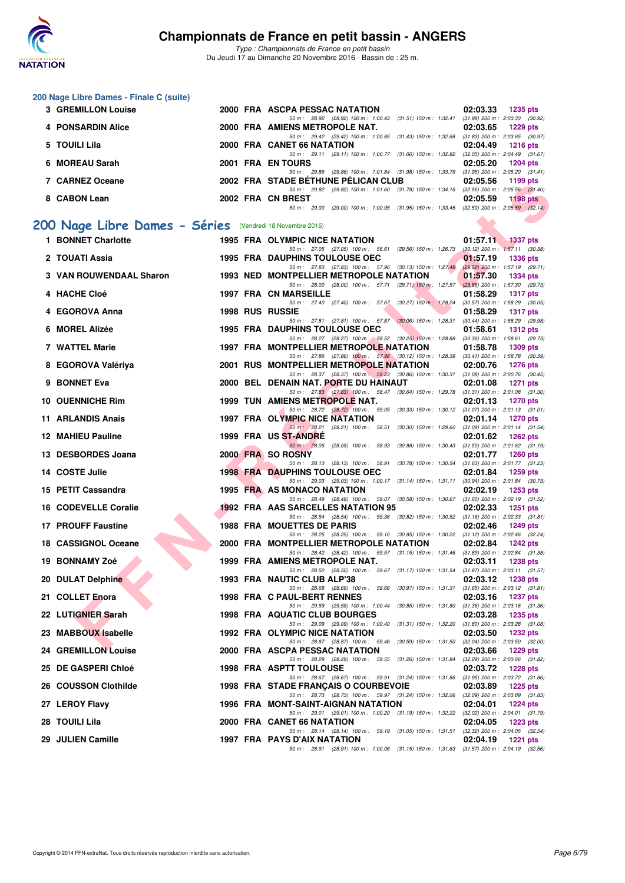

**200 Nage Libre Dames - Finale C (suite)**

# **Championnats de France en petit bassin - ANGERS**

*Type : Championnats de France en petit bassin* Du Jeudi 17 au Dimanche 20 Novembre 2016 - Bassin de : 25 m.

| <b>3 GREMILLON Louise</b>                                 |  | 2000 FRA ASCPA PESSAC NATATION                                                                                                    | 02:03.33<br><b>1235 pts</b>                                        |
|-----------------------------------------------------------|--|-----------------------------------------------------------------------------------------------------------------------------------|--------------------------------------------------------------------|
| 4 PONSARDIN Alice                                         |  | 50 m: 28.92 (28.92) 100 m: 1:00.43 (31.51) 150 m: 1:32.41 (31.98) 200 m: 2:03.33 (30.92)<br>2000 FRA AMIENS METROPOLE NAT.        | 02:03.65<br>1229 pts                                               |
| 5 TOUILI Lila                                             |  | 50 m: 29.42 (29.42) 100 m: 1.00.85 (31.43) 150 m: 1.32.68 (31.83) 200 m: 2.03.65 (30.97)<br>2000 FRA CANET 66 NATATION            | 02:04.49<br><b>1216 pts</b>                                        |
|                                                           |  | 50 m: 29.11 (29.11) 100 m: 1:00.77 (31.66) 150 m: 1:32.82 (32.05) 200 m: 2:04.49 (31.67)                                          |                                                                    |
| 6 MOREAU Sarah                                            |  | 2001 FRA EN TOURS<br>50 m: 29.86 (29.86) 100 m: 1:01.84 (31.98) 150 m: 1:33.79 (31.95) 200 m: 2:05.20 (31.41)                     | 02:05.20<br><b>1204 pts</b>                                        |
| 7 CARNEZ Oceane                                           |  | 2002 FRA STADE BETHUNE PELICAN CLUB                                                                                               | 02:05.56<br>1199 pts                                               |
|                                                           |  | 50 m: 29.82 (29.82) 100 m: 1:01.60 (31.78) 150 m: 1:34.16 (32.56) 200 m: 2:05.56 (31.40)                                          |                                                                    |
| 8 CABON Lean                                              |  | 2002 FRA CN BREST<br>50 m: 29.00 (29.00) 100 m: 1:00.95 (31.95) 150 m: 1:33.45 (32.50) 200 m: 2:05.59 (32.14)                     | 02:05.59<br>1198 $pts$                                             |
|                                                           |  |                                                                                                                                   |                                                                    |
| 200 Nage Libre Dames - Séries (Vendredi 18 Novembre 2016) |  |                                                                                                                                   |                                                                    |
| 1 BONNET Charlotte                                        |  | 1995 FRA OLYMPIC NICE NATATION<br>50 m: 27.05 (27.05) 100 m: 56.61 (29.56) 150 m: 1:26.73                                         | 01:57.11<br>$1337$ pts<br>$(30.12)$ 200 m : 1:57.11 $(30.38)$      |
| 2 TOUATI Assia                                            |  | <b>1995 FRA DAUPHINS TOULOUSE OEC</b>                                                                                             | 01:57.19<br><b>1336 pts</b>                                        |
| <b>3 VAN ROUWENDAAL Sharon</b>                            |  | 50 m: 27.83 (27.83) 100 m: 57.96 (30.13) 150 m: 1:27.48 (29.52) 200 m: 1:57.19 (29.71)<br>1993 NED MONTPELLIER METROPOLE NATATION | 01:57.30<br><b>1334 pts</b>                                        |
|                                                           |  | 50 m: 28.00 (28.00) 100 m: 57.71 (29.71) 150 m: 1:27.57                                                                           | $(29.86) 200$ m : 1:57.30 $(29.73)$                                |
| 4 HACHE Cloé                                              |  | <b>1997 FRA CN MARSEILLE</b>                                                                                                      | 01:58.29<br><b>1317 pts</b>                                        |
| 4 EGOROVA Anna                                            |  | 50 m: 27.40 (27.40) 100 m: 57.67 (30.27) 150 m: 1:28.24<br><b>1998 RUS RUSSIE</b>                                                 | $(30.57)$ 200 m : 1:58.29 $(30.05)$<br>01:58.29<br><b>1317 pts</b> |
|                                                           |  | 50 m: 27.81 (27.81) 100 m: 57.87 (30.06) 150 m: 1:28.31                                                                           | (30.44) 200 m: 1:58.29 (29.98)                                     |
| 6 MOREL Alizée                                            |  | <b>1995 FRA DAUPHINS TOULOUSE OEC</b><br>50 m: 28.27 (28.27) 100 m: 58.52 (30.25) 150 m: 1:28.88 (30.36) 200 m: 1:58.61 (29.73)   | 01:58.61<br><b>1312 pts</b>                                        |
| <b>7 WATTEL Marie</b>                                     |  | 1997 FRA MONTPELLIER METROPOLE NATATION                                                                                           | 01:58.78<br><b>1309 pts</b>                                        |
| 8 EGOROVA Valériya                                        |  | 50 m: 27.86 (27.86) 100 m: 57.98 (30.12) 150 m: 1:28.39 (30.41) 200 m: 1:58.78 (30.39)<br>2001 RUS MONTPELLIER METROPOLE NATATION | 02:00.76<br><b>1276 pts</b>                                        |
|                                                           |  | 50 m: 28.37 (28.37) 100 m: 59.23 (30.86) 150 m: 1:30.31 (31.08) 200 m: 2:00.76 (30.45)                                            |                                                                    |
| 9 BONNET Eva                                              |  | 2000 BEL DENAIN NAT. PORTE DU HAINAUT<br>50 m: 27.83 (27.83) 100 m: 58.47 (30.64) 150 m: 1:29.78 (31.31) 200 m: 2:01.08 (31.30)   | 02:01.08<br><b>1271 pts</b>                                        |
| <b>10 OUENNICHE Rim</b>                                   |  | <b>1999 TUN AMIENS METROPOLE NAT.</b>                                                                                             | 02:01.13<br><b>1270 pts</b>                                        |
| <b>11 ARLANDIS Anais</b>                                  |  | 50 m: 28.72 (28.72) 100 m: 59.05 (30.33) 150 m: 1:30.12 (31.07) 200 m: 2:01.13 (31.01)<br>1997 FRA OLYMPIC NICE NATATION          |                                                                    |
|                                                           |  | 50 m: 28.21 (28.21) 100 m: 58.51 (30.30) 150 m: 1:29.60 (31.09) 200 m: 2:01.14 (31.54)                                            | 02:01.14<br><b>1270 pts</b>                                        |
| <b>12 MAHIEU Pauline</b>                                  |  | 1999 FRA US ST-ANDRE                                                                                                              | 02:01.62<br>$1262$ pts                                             |
| 13 DESBORDES Joana                                        |  | 50 m: 28.05 (28.05) 100 m: 58.93 (30.88) 150 m: 1:30.43 (31.50) 200 m: 2:01.62 (31.19)<br>2000 FRA SO ROSNY                       | 02:01.77<br><b>1260 pts</b>                                        |
|                                                           |  | 50 m: 28.13 (28.13) 100 m: 58.91 (30.78) 150 m: 1:30.54 (31.63) 200 m: 2:01.77 (31.23)                                            |                                                                    |
| 14 COSTE Julie                                            |  | <b>1998 FRA DAUPHINS TOULOUSE OEC</b><br>50 m: 29.03 (29.03) 100 m: 1:00.17 (31.14) 150 m: 1:31.11 (30.94) 200 m: 2:01.84 (30.73) | 02:01.84<br><b>1259 pts</b>                                        |
| 15 PETIT Cassandra                                        |  | 1995 FRA AS MONACO NATATION                                                                                                       | 02:02.19<br>1253 pts                                               |
| <b>16 CODEVELLE Coralie</b>                               |  | 50 m: 28.49 (28.49) 100 m: 59.07 (30.58) 150 m: 1:30.67 (31.60) 200 m: 2:02.19 (31.52)<br>1992 FRA AAS SARCELLES NATATION 95      | 02:02.33<br>$1251$ pts                                             |
|                                                           |  | 50 m: 28.54 (28.54) 100 m: 59.36 (30.82) 150 m: 1:30.52 (31.16) 200 m: 2:02.33 (31.81)                                            |                                                                    |
| <b>17 PROUFF Faustine</b>                                 |  | <b>1988 FRA MOUETTES DE PARIS</b><br>50 m: 28.25 (28.25) 100 m: 59.10 (30.85) 150 m: 1:30.22 (31.12) 200 m: 2:02.46 (32.24)       | 02:02.46<br>1249 pts                                               |
| <b>18 CASSIGNOL Oceane</b>                                |  | 2000 FRA MONTPELLIER METROPOLE NATATION                                                                                           | 02:02.84<br><b>1242 pts</b>                                        |
| 19 BONNAMY Zoé                                            |  | 50 m: 28.42 (28.42) 100 m: 59.57 (31.15) 150 m: 1:31.46 (31.89) 200 m: 2:02.84 (31.38)<br>1999 FRA AMIENS METROPOLE NAT.          | 02:03.11<br><b>1238 pts</b>                                        |
|                                                           |  | 50 m: 28.50 (28.50) 100 m: 59.67 (31.17) 150 m: 1:31.54 (31.87) 200 m: 2:03.11 (31.57)                                            |                                                                    |
| 20 DULAT Delphine                                         |  | 1993 FRA NAUTIC CLUB ALP'38                                                                                                       | 02:03.12<br><b>1238 pts</b>                                        |
| 21 COLLET Enora                                           |  | 50 m: 28.69 (28.69) 100 m: 59.66 (30.97) 150 m: 1:31.31 (31.65) 200 m: 2:03.12 (31.81)<br>1998 FRA C PAUL-BERT RENNES             | 02:03.16<br><b>1237 pts</b>                                        |
|                                                           |  | 50 m: 29.59 (29.59) 100 m: 1:00.44 (30.85) 150 m: 1:31.80 (31.36) 200 m: 2:03.16 (31.36)                                          |                                                                    |
| 22 LUTIGNIER Sarah                                        |  | 1998 FRA AQUATIC CLUB BOURGES<br>50 m: 29.09 (29.09) 100 m: 1:00.40 (31.31) 150 m: 1:32.20 (31.80) 200 m: 2:03.28 (31.08)         | 02:03.28<br><b>1235 pts</b>                                        |
| 23 MABBOUX Isabelle                                       |  | 1992 FRA OLYMPIC NICE NATATION                                                                                                    | 02:03.50<br><b>1232 pts</b>                                        |
| $0.4$ CDFMILLONT $$                                       |  | 50 m: 28.87 (28.87) 100 m: 59.46 (30.59) 150 m: 1:31.50 (32.04) 200 m: 2:03.50 (32.00)<br>0000 FBA ACOBA BECCAO NATATION          | 00.0000<br>$\sim$ 4000 $\sim$ 4-                                   |

**24 GREMILLON Louise** 2000 FRA ASCPA PESSAC NATATION 22:03.66 1229 pts<br>
<sup>50 50</sup> 28.29 100 m; 59.55 (31.26) 150 m; 1.31.84 (32.29) 200 m; 2.03.66 (31.82)

**25 DE GASPERI Chloé 1998 FRA ASPTT TOULOUSE 02:03.72 1228 pts 02:03.72 1228 pts 63.89 100 m**: **2.03.72 1228 pts 63.91 69.91 69.91 69.91 69.91 69.91 69.91 69.91 69.91 69.91 69.91 69.91** 

**26 COUSSON Clothilde** 1998 FRA STADE FRANÇAIS O COURBEVOIE 02:03.89 1225 pts 1225 pts 50 pts 1,32.06 122.09 pts 1,32.06 122.09 pts 50.09 pts 1,32.06 131.24) 150 m; 1:32.06 132.09 pts 1,32.06 131.83

**27 LEROY Flavy 27 LEROY Flavy 1996 FRA MONT-SAINT-AIGNAN NATATION 02:04.01 1224 pts 1224 pts 1996 FRA MONT-SAINT-AIGNAN NATATION 02:04.01 1224 pts 1204 pts 130.29 120401 120401 120401 131.79**

**29 JULIEN Camille 1997 FRA PAYS D'AIX NATATION 02:04.19 1221 pts**

*50 m : 28.87 (28.87) 100 m : 59.46 (30.59) 150 m : 1:31.50 (32.04) 200 m : 2:03.50 (32.00)*

*50 m : 28.73 (28.73) 100 m : 59.97 (31.24) 150 m : 1:32.06 (32.09) 200 m : 2:03.89 (31.83)*

*50 m : 29.01* (29.01) 100 m : 1:00.20 (31.19) 150 m : 1:32.22 (32.02) 200 m : 2:04.01 (31.79)<br>**ET 66 NATATION** 02:04.05 1223 pts

*50 m : 28.14 (28.14) 100 m : 59.19 (31.05) 150 m : 1:31.51 (32.32) 200 m : 2:04.05 (32.54)*

*50 m : 28.91 (28.91) 100 m : 1:00.06 (31.15) 150 m : 1:31.63 (31.57) 200 m : 2:04.19 (32.56)*

*50 m : 28.67 (28.67) 100 m : 59.91 (31.24) 150 m : 1:31.86 (31.95) 200 m : 2:03.72 (31.86)*

*50 m : 28.29 (28.29) 100 m : 59.55 (31.26) 150 m : 1:31.84 (32.29) 200 m : 2:03.66 (31.82)*

**28 TOUILI Lila 2000 FRA CANET 66 NATATION**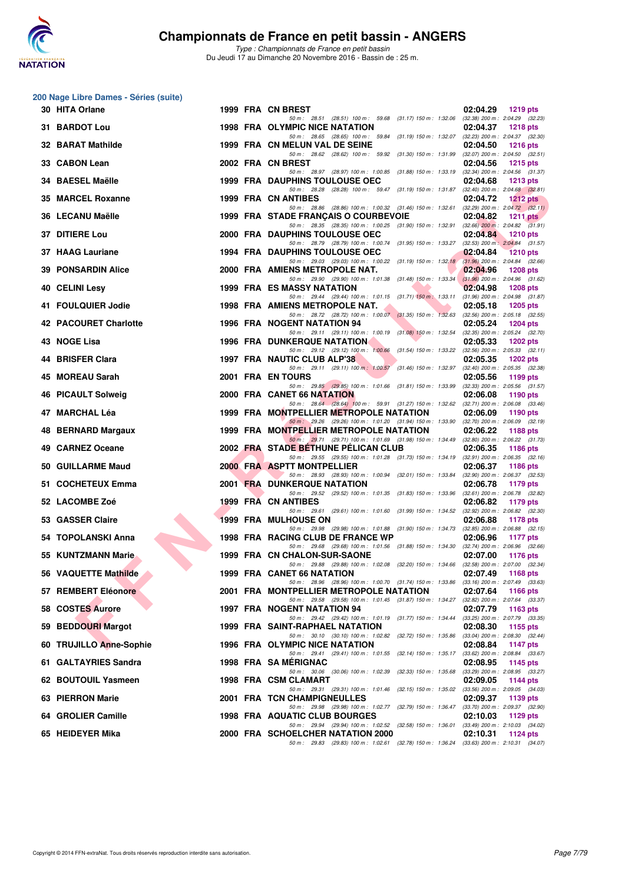

*Type : Championnats de France en petit bassin* Du Jeudi 17 au Dimanche 20 Novembre 2016 - Bassin de : 25 m.

| 200 Nage Libre Dames - Séries (suite) |  |                                                                                                                                     |                                                                    |
|---------------------------------------|--|-------------------------------------------------------------------------------------------------------------------------------------|--------------------------------------------------------------------|
| 30 HITA Orlane                        |  | 1999 FRA CN BREST<br>50 m: 28.51 (28.51) 100 m: 59.68 (31.17) 150 m: 1:32.06 (32.38) 200 m: 2:04.29 (32.23)                         | 02:04.29<br>1219 pts                                               |
| 31 BARDOT Lou                         |  | 1998 FRA OLYMPIC NICE NATATION                                                                                                      | 02:04.37<br><b>1218 pts</b>                                        |
| <b>32 BARAT Mathilde</b>              |  | 50 m: 28.65 (28.65) 100 m: 59.84 (31.19) 150 m: 1:32.07 (32.23) 200 m: 2:04.37 (32.30)<br>1999 FRA CN MELUN VAL DE SEINE            | 02:04.50<br><b>1216 pts</b>                                        |
| 33 CABON Lean                         |  | 50 m: 28.62 (28.62) 100 m: 59.92 (31.30) 150 m: 1:31.99<br>2002 FRA CN BREST                                                        | $(32.07)$ 200 m : 2:04.50 $(32.51)$<br>02:04.56<br><b>1215 pts</b> |
| 34 BAESEL Maëlle                      |  | 50 m: 28.97 (28.97) 100 m: 1:00.85 (31.88) 150 m: 1:33.19<br><b>1999 FRA DAUPHINS TOULOUSE OEC</b>                                  | $(32.34)$ 200 m : 2:04.56 $(31.37)$<br>02:04.68<br>$1213$ pts      |
| 35 MARCEL Roxanne                     |  | 50 m: 28.28 (28.28) 100 m: 59.47 (31.19) 150 m: 1.31.87 (32.40) 200 m: 2.04.68 (32.81)<br>1999 FRA CN ANTIBES                       | 02:04.72<br><b>1212 pts</b>                                        |
| 36 LECANU Maëlle                      |  | 50 m: 28.86 (28.86) 100 m: 1:00.32 (31.46) 150 m: 1:32.61<br>1999 FRA STADE FRANÇAIS O COURBEVOIE                                   | $(32.29)$ 200 m : 2:04.72 $(32.11)$<br>02:04.82<br>1211 $pts$      |
| 37 DITIERE Lou                        |  | 50 m: 28.35 (28.35) 100 m: 1:00.25 (31.90) 150 m: 1:32.91 (32.66) 200 m: 2:04.82 (31.91)<br>2000 FRA DAUPHINS TOULOUSE OEC          | 02:04.84<br><b>1210 pts</b>                                        |
|                                       |  | 50 m: 28.79 (28.79) 100 m: 1:00.74 (31.95) 150 m: 1:33.27 (32.53) 200 m: 2:04.84 (31.57)                                            |                                                                    |
| 37 HAAG Lauriane                      |  | <b>1994 FRA DAUPHINS TOULOUSE OEC</b><br>50 m: 29.03 (29.03) 100 m: 1:00.22 (31.19) 150 m: 1:32.18 (31.96) 200 m: 2:04.84 (32.66)   | 02:04.84<br><b>1210 pts</b>                                        |
| <b>39 PONSARDIN Alice</b>             |  | 2000 FRA AMIENS METROPOLE NAT.<br>50 m: 29.90 (29.90) 100 m: 1:01.38 (31.48) 150 m: 1:33.34                                         | 02:04.96<br><b>1208 pts</b><br>$(31.96)$ 200 m : 2:04.96 $(31.62)$ |
| 40 CELINI Lesy                        |  | <b>1999 FRA ES MASSY NATATION</b><br>50 m: 29.44 (29.44) 100 m: 1:01.15 (31.71) 150 m: 1:33.11 (31.96) 200 m: 2:04.98 (31.87)       | 02:04.98<br><b>1208 pts</b>                                        |
| 41 FOULQUIER Jodie                    |  | 1998 FRA AMIENS METROPOLE NAT.<br>50 m: 28.72 (28.72) 100 m: 1:00.07 (31.35) 150 m: 1:32.63 (32.56) 200 m: 2:05.18 (32.55)          | 02:05.18<br><b>1205 pts</b>                                        |
| <b>42 PACOURET Charlotte</b>          |  | 1996 FRA NOGENT NATATION 94<br>50 m: 29.11 (29.11) 100 m: 1:00.19 (31.08) 150 m: 1:32.54 (32.35) 200 m: 2:05.24 (32.70)             | 02:05.24<br><b>1204 pts</b>                                        |
| 43 NOGE Lisa                          |  | <b>1996 FRA DUNKERQUE NATATION</b><br>50 m: 29.12 (29.12) 100 m: 1:00.66 (31.54) 150 m: 1:33.22 (32.56) 200 m: 2:05.33 (32.11)      | 02:05.33<br><b>1202 pts</b>                                        |
| 44 BRISFER Clara                      |  | 1997 FRA NAUTIC CLUB ALP'38                                                                                                         | 02:05.35<br><b>1202 pts</b>                                        |
| 45 MOREAU Sarah                       |  | 50 m: 29.11 (29.11) 100 m: 1:00.57 (31.46) 150 m: 1:32.97<br>2001 FRA EN TOURS                                                      | $(32.40)$ 200 m : 2:05.35 $(32.38)$<br>02:05.56<br>1199 pts        |
| 46 PICAULT Solweig                    |  | 50 m : 29.85 (29.85) 100 m : 1:01.66 (31.81) 150 m : 1:33.99<br>2000 FRA CANET 66 NATATION                                          | $(32.33)$ 200 m : 2:05.56 $(31.57)$<br>02:06.08<br>1190 pts        |
| 47 MARCHAL Léa                        |  | 50 m: 28.64 (28.64) 100 m: 59.91 (31.27) 150 m: 1:32.62 (32.71) 200 m: 2:06.08 (33.46)<br>1999 FRA MONTPELLIER METROPOLE NATATION   | 02:06.09<br>1190 pts                                               |
| 48 BERNARD Margaux                    |  | 50 m: 29.26 (29.26) 100 m: 1:01.20 (31.94) 150 m: 1:33.90 (32.70) 200 m: 2:06.09 (32.19)<br>1999 FRA MONTPELLIER METROPOLE NATATION | 02:06.22<br><b>1188 pts</b>                                        |
| 49 CARNEZ Oceane                      |  | 50 m: 29.71 (29.71) 100 m: 1:01.69 (31.98) 150 m: 1:34.49 (32.80) 200 m: 2:06.22 (31.73)<br>2002 FRA STADE BETHUNE PELICAN CLUB     | 02:06.35<br>1186 pts                                               |
| 50 GUILLARME Maud                     |  | 50 m: 29.55 (29.55) 100 m: 1:01.28 (31.73) 150 m: 1:34.19 (32.91) 200 m: 2:06.35 (32.16)<br>2000 FRA ASPTT MONTPELLIER              | 02:06.37<br><b>1186 pts</b>                                        |
| 51 COCHETEUX Emma                     |  | 50 m: 28.93 (28.93) 100 m: 1:00.94 (32.01) 150 m: 1:33.84 (32.90) 200 m: 2:06.37 (32.53)<br><b>2001 FRA DUNKERQUE NATATION</b>      | 02:06.78<br>1179 pts                                               |
| 52 LACOMBE Zoé                        |  | 50 m : 29.52 (29.52) 100 m : 1:01.35 (31.83) 150 m : 1:33.96<br><b>1999 FRA CN ANTIBES</b>                                          | $(32.61)$ 200 m : 2:06.78 $(32.82)$<br>02:06.82<br>1179 pts        |
| 53 GASSER Claire                      |  | 50 m: 29.61 (29.61) 100 m: 1:01.60 (31.99) 150 m: 1:34.52<br>1999 FRA MULHOUSE ON                                                   | $(32.92)$ 200 m : $2:06.82$ $(32.30)$<br>02:06.88<br>1178 pts      |
| 54 TOPOLANSKI Anna                    |  | 50 m: 29.98 (29.98) 100 m: 1:01.88 (31.90) 150 m: 1:34.73 (32.85) 200 m: 2:06.88 (32.15)<br>1998 FRA RACING CLUB DE FRANCE WP       | 02:06.96<br>1177 pts                                               |
| 55 KUNTZMANN Marie                    |  | 50 m: 29.68 (29.68) 100 m: 1:01.56 (31.88) 150 m: 1:34.30 (32.74) 200 m: 2:06.96 (32.66)<br>1999 FRA CN CHALON-SUR-SAONE            | 02:07.00<br><b>1176 pts</b>                                        |
| 56 VAQUETTE Mathilde                  |  | 50 m: 29.88 (29.88) 100 m: 1:02.08 (32.20) 150 m: 1:34.66<br><b>1999 FRA CANET 66 NATATION</b>                                      | $(32.58)$ 200 m : 2:07.00 $(32.34)$<br>02:07.49<br>1168 pts        |
| 57 REMBERT Eléonore                   |  | 50 m: 28.96 (28.96) 100 m: 1:00.70 (31.74) 150 m: 1:33.86 (33.16) 200 m: 2:07.49 (33.63)<br>2001 FRA MONTPELLIER METROPOLE NATATION | 02:07.64<br><b>1166 pts</b>                                        |
| 58 COSTES Aurore                      |  | 50 m: 29.58 (29.58) 100 m: 1:01.45 (31.87) 150 m: 1:34.27 (32.82) 200 m: 2:07.64 (33.37)<br>1997 FRA NOGENT NATATION 94             |                                                                    |
| 59 BEDDOURI Margot                    |  | 50 m: 29.42 (29.42) 100 m: 1:01.19 (31.77) 150 m: 1:34.44                                                                           | 02:07.79<br>1163 pts<br>(33.25) 200 m : 2:07.79 (33.35)            |
|                                       |  | 1999 FRA SAINT-RAPHAEL NATATION<br>50 m: 30.10 (30.10) 100 m: 1:02.82 (32.72) 150 m: 1:35.86                                        | 02:08.30<br>1155 pts<br>$(33.04)$ 200 m : 2:08.30 $(32.44)$        |
| 60 TRUJILLO Anne-Sophie               |  | 1996 FRA OLYMPIC NICE NATATION<br>50 m: 29.41 (29.41) 100 m: 1:01.55 (32.14) 150 m: 1:35.17                                         | 02:08.84<br>1147 pts<br>$(33.62)$ 200 m : 2:08.84 $(33.67)$        |
| 61 GALTAYRIES Sandra                  |  | 1998 FRA SA MERIGNAC<br>50 m: 30.06 (30.06) 100 m: 1:02.39 (32.33) 150 m: 1:35.68                                                   | 02:08.95<br>1145 pts<br>$(33.29)$ 200 m : 2:08.95 $(33.27)$        |
| 62 BOUTOUIL Yasmeen                   |  | 1998 FRA CSM CLAMART<br>50 m: 29.31 (29.31) 100 m: 1:01.46 (32.15) 150 m: 1:35.02 (33.56) 200 m: 2:09.05 (34.03)                    | 02:09.05<br>1144 pts                                               |
| 63 PIERRON Marie                      |  | 2001 FRA TCN CHAMPIGNEULLES<br>50 m : 29.98 (29.98) 100 m : 1:02.77 (32.79) 150 m : 1:36.47                                         | 02:09.37<br>1139 pts<br>$(33.70)$ 200 m : 2:09.37 $(32.90)$        |
| 64 GROLIER Camille                    |  | 1998 FRA AQUATIC CLUB BOURGES<br>50 m : 29.94 (29.94) 100 m : 1:02.52 (32.58) 150 m : 1:36.01                                       | 02:10.03<br>1129 pts<br>(33.49) 200 m : 2:10.03 (34.02)            |
| 65 HEIDEYER Mika                      |  | 2000 FRA SCHOELCHER NATATION 2000<br>50 m: 29.83 (29.83) 100 m: 1:02.61 (32.78) 150 m: 1:36.24 (33.63) 200 m: 2:10.31 (34.07)       | 02:10.31<br>1124 pts                                               |
|                                       |  |                                                                                                                                     |                                                                    |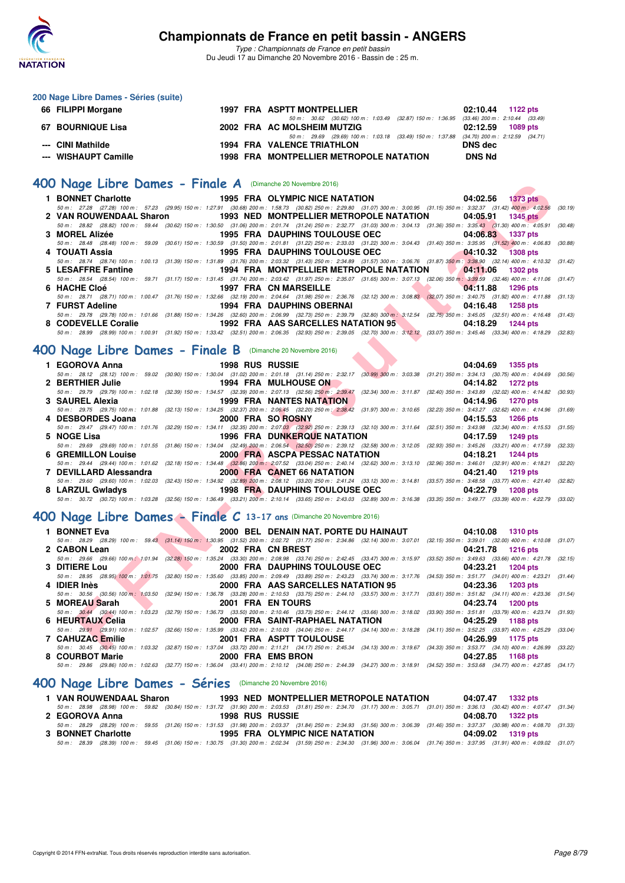

*Type : Championnats de France en petit bassin* Du Jeudi 17 au Dimanche 20 Novembre 2016 - Bassin de : 25 m.

| 200 Nage Libre Dames - Séries (suite) |  |                                                                                              |               |                   |
|---------------------------------------|--|----------------------------------------------------------------------------------------------|---------------|-------------------|
| 66 FILIPPI Morgane                    |  | <b>1997 FRA ASPTT MONTPELLIER</b>                                                            |               | 02:10.44 1122 pts |
|                                       |  | 50 m : 30.62 (30.62) 100 m : 1:03.49 (32.87) 150 m : 1:36.95 (33.46) 200 m : 2:10.44 (33.49) |               |                   |
| 67 BOURNIQUE Lisa                     |  | 2002 FRA AC MOLSHEIM MUTZIG                                                                  |               | 02:12.59 1089 pts |
|                                       |  | 50 m : 29.69 (29.69) 100 m : 1:03.18 (33.49) 150 m : 1:37.88 (34.70) 200 m : 2:12.59 (34.71) |               |                   |
| --- CINI Mathilde                     |  | <b>1994 FRA VALENCE TRIATHLON</b>                                                            | DNS dec       |                   |
| --- WISHAUPT Camille                  |  | 1998 FRA MONTPELLIER METROPOLE NATATION                                                      | <b>DNS Nd</b> |                   |

# **[400 Nage Libre Dames - Finale A](http://www.ffnatation.fr/webffn/resultats.php?idact=nat&go=epr&idcpt=41163&idepr=4)** (Dimanche 20 Novembre 2016)

| JU Nage Libre Dames - Finale A (Dimanche 20 Novembre 2016)                                                                                                                                                 |                        |                                                |                   |                 |
|------------------------------------------------------------------------------------------------------------------------------------------------------------------------------------------------------------|------------------------|------------------------------------------------|-------------------|-----------------|
| 1 BONNET Charlotte                                                                                                                                                                                         |                        | 1995 FRA OLYMPIC NICE NATATION                 | 04:02.56 1373 pts |                 |
| 50 m : 27.28 (27.28) 100 m : 57.23 (29.95) 150 m : 1:27.91 (30.68) 200 m : 1:58.73 (30.82) 250 m : 2:29.80 (31.07) 300 m : 3:00.95 (31.15) 350 m : 3:32.37 (31.42) 400 m : 4:02.56                         |                        |                                                |                   | (30.19)         |
| 2 VAN ROUWENDAAL Sharon                                                                                                                                                                                    |                        | <b>1993 NED MONTPELLIER METROPOLE NATATION</b> | 04:05.91          | <b>1345 pts</b> |
| 50 m : 28.82 (28.82) 100 m : 59.44 (30.62) 150 m : 1:30.50 (31.06) 200 m : 2:01.74 (31.24) 250 m : 2:32.77 (31.03) 300 m : 3:04.13 (31.36) 350 m : 3:35.43 (31.30) 400 m : 4:05.91                         |                        |                                                |                   | (30.48)         |
| 3 MOREL Alizée                                                                                                                                                                                             |                        | <b>1995 FRA DAUPHINS TOULOUSE OEC</b>          | 04:06.83          | $1337$ pts      |
| 50 m: 28.48 (28.48) 100 m: 59.09 (30.61) 150 m: 1:30.59 (31.50) 200 m: 2:01.81 (31.22) 250 m: 2:33.03 (31.22) 300 m: 3:04.43 (31.40) 350 m: 3:35.95 (31.52) 400 m: 4:06.83                                 |                        |                                                |                   | (30.88)         |
| 4 TOUATI Assia                                                                                                                                                                                             |                        | 1995 FRA DAUPHINS TOULOUSE OEC                 | 04:10.32          | <b>1308 pts</b> |
| 50 m: 28.74 (28.74) 100 m: 1:00.13 (31.39) 150 m: 1:31.89 (31.76) 200 m: 2:03.32 (31.43) 250 m: 2:34.89 (31.57) 300 m: 3:06.76 (31.87) 350 m: 3:38.90 (32.14) 400 m: 4:10.32 (31.42)<br>5 LESAFFRE Fantine |                        | 1994 FRA MONTPELLIER METROPOLE NATATION        | 04:11.06          | <b>1302 pts</b> |
| 50 m: 28.54 (28.54) 100 m: 59.71 (31.17) 150 m: 1:31.45 (31.74) 200 m: 2:03.42 (31.97) 250 m: 2:35.07 (31.65) 300 m: 3:07.13 (32.06) 350 m: 3:39.59 (32.46) 400 m: 4:11.06 (31.47)                         |                        |                                                |                   |                 |
| 6 HACHE Cloé                                                                                                                                                                                               |                        | <b>1997 FRA CN MARSEILLE</b>                   | 04:11.88          | 1296 pts        |
| 50 m: 28.71 (28.71) 100 m: 1:00.47 (31.76) 150 m: 1:32.66 (32.19) 200 m: 2:04.64 (31.98) 250 m: 2:36.76 (32.12) 300 m: 3:08.83 (32.07) 350 m: 3:40.75 (31.92) 400 m: 4:11.88 (31.13)                       |                        |                                                |                   |                 |
| 7 FURST Adeline                                                                                                                                                                                            |                        | 1994 FRA DAUPHINS OBERNAI                      | 04:16.48          | 1258 pts        |
| 50 m: 29.78 (29.78) 100 m: 1:01.66 (31.88) 150 m: 1:34.26 (32.60) 200 m: 2:06.99 (32.73) 250 m: 2:39.79 (32.80) 300 m: 3:12.54 (32.75) 350 m: 3:45.05 (32.51) 400 m: 4:16.48 (31.43)                       |                        |                                                |                   |                 |
| 8 CODEVELLE Coralie 1992 FRA AAS SARCELLES NATATION 95                                                                                                                                                     |                        |                                                | 04:18.29          | 1244 pts        |
| 50 m: 28.99 (28.99) 100 m: 1:00.91 (31.92) 150 m: 1:33.42 (32.51) 200 m: 2:06.35 (32.93) 250 m: 2:39.05 (32.70) 300 m: 3:12.12 (33.07) 350 m: 3:45.46 (33.34) 400 m: 4:18.29 (32.83)                       |                        |                                                |                   |                 |
|                                                                                                                                                                                                            |                        |                                                |                   |                 |
| JO Nage Libre Dames - Finale B (Dimanche 20 Novembre 2016)                                                                                                                                                 |                        |                                                |                   |                 |
| 1 EGOROVA Anna                                                                                                                                                                                             | <b>1998 RUS RUSSIE</b> |                                                | 04:04.69 1355 pts |                 |
| 50 m: 28.12 (28.12) 100 m: 59.02 (30.90) 150 m: 1:30.04 (31.02) 200 m: 2:01.18 (31.14) 250 m: 2:32.17 (30.99) 300 m: 3:03.38 (31.21) 350 m: 3:34.13 (30.75) 400 m: 4:04.69 (30.56)                         |                        |                                                |                   |                 |
| 2 BERTHIER Julie                                                                                                                                                                                           |                        | <b>1994 FRA MULHOUSE ON</b>                    | 04:14.82          | 1272 pts        |
| 50 m: 29.79 (29.79) 100 m: 1:02.18 (32.39) 150 m: 1:34.57 (32.39) 200 m: 2:07.13 (32.56) 250 m: 2:39.47 (32.34) 300 m: 3:11.87 (32.40) 350 m: 3:43.89 (32.02) 400 m: 4:14.82 (30.93)                       |                        |                                                |                   |                 |
| 3 SAUREL Alexia                                                                                                                                                                                            |                        | <b>1999 FRA NANTES NATATION</b>                | 04:14.96          | 1270 pts        |
| 50 m: 29.75 (29.75) 100 m: 1:01.88 (32.13) 150 m: 1:34.25 (32.37) 200 m: 2:06.45 (32.20) 250 m: 2:38.42 (31.97) 300 m: 3:10.65 (32.23) 350 m: 3:43.27 (32.62) 400 m: 4:14.96 (31.69)                       |                        |                                                |                   |                 |
| 4 DESBORDES Joana                                                                                                                                                                                          | 2000 FRA SO ROSNY      |                                                | 04:15.53          | 1266 pts        |
| 50 m: 29.47 (29.47) 100 m: 1:01.76 (32.29) 150 m: 1:34.11 (32.35) 200 m: 2:07.03 (32.92) 250 m: 2:39.13 (32.10) 300 m: 3:11.64 (32.51) 350 m: 3:43.98 (32.34) 400 m: 4:15.53 (31.55)                       |                        | <b>1996 FRA DUNKERQUE NATATION</b>             |                   |                 |
| 5 NOGE Lisa<br>50 m: 29.69 (29.69) 100 m: 1:01.55 (31.86) 150 m: 1:34.04 (32.49) 200 m: 2:06.54 (32.50) 250 m: 2:39.12 (32.58) 300 m: 3:12.05 (32.93) 350 m: 3:45.26 (33.21) 400 m: 4:17.59 (32.33)        |                        |                                                | 04:17.59          | 1249 pts        |
| <b>6 GREMILLON Louise</b>                                                                                                                                                                                  |                        | 2000 FRA ASCPA PESSAC NATATION                 | 04:18.21          | <b>1244 pts</b> |
| 50 m: 29.44 (29.44) 100 m: 1:01.62 (32.18) 150 m: 1:34.48 (32.86) 200 m: 2:07.52 (33.04) 250 m: 2:40.14 (32.62) 300 m: 3:13.10 (32.96) 350 m: 3:46.01 (32.91) 400 m: 4:18.21 (32.20)                       |                        |                                                |                   |                 |
| 7 DEVILLARD Alessandra                                                                                                                                                                                     |                        | 2000 FRA CANET 66 NATATION                     | 04:21.40          | <b>1219 pts</b> |
| 50 m: 29.60 (29.60) 100 m: 1:02.03 (32.43) 150 m: 1:34.92 (32.89) 200 m: 2:08.12 (33.20) 250 m: 2:41.24 (33.12) 300 m: 3:14.81 (33.57) 350 m: 3:48.58 (33.77) 400 m: 4:21.40 (32.82)                       |                        |                                                |                   |                 |
| 8 LARZUL Gwladys                                                                                                                                                                                           |                        | <b>1998 FRA DAUPHINS TOULOUSE OEC</b>          | 04:22.79          | 1208 pts        |
| 50 m : 30.72 (30.72) 100 m : 1:03.28 (32.56) 150 m : 1:36.49 (33.21) 200 m : 2:10.14 (33.65) 250 m : 2:43.03 (32.89) 300 m : 3:16.38 (33.35) 350 m : 3:49.77 (33.39) 400 m : 4:22.79 (33.02)               |                        |                                                |                   |                 |
|                                                                                                                                                                                                            |                        |                                                |                   |                 |
| 00 Nage Libre Dames - Finale $C$ 13-17 ans (Dimanche 20 Novembre 2016)                                                                                                                                     |                        |                                                |                   |                 |
| 1 BONNET Eva                                                                                                                                                                                               |                        | 2000 BEL DENAIN NAT. PORTE DU HAINAUT          | 04:10.08 1310 pts |                 |
| 50 m: 28.29 (28.29) 100 m: 59.43 (31.14) 150 m: 1:30.95 (31.52) 200 m: 2:02.72 (31.77) 250 m: 2:34.86 (32.14) 300 m: 3:07.01 (32.15) 350 m: 3:39.01 (32.00) 400 m: 4:10.08 (31.07)                         |                        |                                                |                   |                 |
| 2 CABON Lean                                                                                                                                                                                               | 2002 FRA CN BREST      |                                                | 04:21.78          | <b>1216 pts</b> |
| 50 m: 29.66 (29.66) 100 m 1:01.94 (32.28) 150 m: 1:35.24 (33.30) 200 m: 2:08.98 (33.74) 250 m: 2:42.45 (33.47) 300 m: 3:15.97 (33.52) 350 m: 3:49.63 (33.66) 400 m: 4:21.78 (32.15)                        |                        |                                                |                   |                 |
| 3 DITIERE Lou                                                                                                                                                                                              |                        | 2000 FRA DAUPHINS TOULOUSE OEC                 | 04:23.21          | <b>1204 pts</b> |
| 50 m: 28.95 (28.95) 100 m: 1:01.75 (32.80) 150 m: 1:35.60 (33.85) 200 m: 2:09.49 (33.89) 250 m: 2:43.23 (33.74) 300 m: 3:17.76 (34.53) 350 m: 3:51.77 (34.01) 400 m: 4:23.21 (31.44)                       |                        |                                                |                   |                 |
| 4 IDIER Inès                                                                                                                                                                                               |                        | 2000 FRA AAS SARCELLES NATATION 95             | 04:23.36          | <b>1203 pts</b> |
| 50 m: 30.56 (30.56) 100 m: 1:03.50 (32.94) 150 m: 1:36.78 (33.28) 200 m: 2:10.53 (33.75) 250 m: 2:44.10 (33.57) 300 m: 3:17.71 (33.61) 350 m: 3:51.82 (34.11) 400 m: 4:23.36 (31.54)                       |                        |                                                |                   |                 |
| 5 MOREAU Sarah<br>50 m: 30.44 (30.44) 100 m: 1:03.23 (32.79) 150 m: 1:36.73 (33.50) 200 m: 2:10.46 (33.73) 250 m: 2:44.12 (33.66) 300 m: 3:18.02 (33.90) 350 m: 3:51.81 (33.79) 400 m: 4:23.74 (31.93)     | 2001 FRA EN TOURS      |                                                | 04:23.74          | <b>1200 pts</b> |
| 6 HEURTAUX Celia                                                                                                                                                                                           |                        | 2000 FRA SAINT-RAPHAEL NATATION                | 04:25.29          | 1188 pts        |
| 50 m: 29.91 (29.91) 100 m: 1:02.57 (32.66) 150 m: 1:35.99 (33.42) 200 m: 2:10.03 (34.04) 250 m: 2:44.17 (34.14) 300 m: 3:18.28 (34.11) 350 m: 3:52.25 (33.97) 400 m: 4:25.29 (33.04)                       |                        |                                                |                   |                 |
| 7 CAHUZAC Emilie                                                                                                                                                                                           |                        | 2001 FRA ASPTT TOULOUSE                        | 04:26.99          | 1175 pts        |
| 50 m : 30.45 (30.45) 100 m : 1:03.32 (32.87) 150 m : 1:37.04 (33.72) 200 m : 2:11.21 (34.17) 250 m : 2:45.34 (34.13) 300 m : 3:19.67 (34.33) 350 m : 3:53.77 (34.10) 400 m : 4:26.99 (33.22)               |                        |                                                |                   |                 |

# **[400 Nage Libre Dames - Finale B](http://www.ffnatation.fr/webffn/resultats.php?idact=nat&go=epr&idcpt=41163&idepr=4)** (Dimanche 20 Novembre 2016)

| 1 EGOROVA Anna            | <b>1998 RUS RUSSIE</b> |                                 | 04:04.69 1355 pts                                                                                                                                                                          |  |
|---------------------------|------------------------|---------------------------------|--------------------------------------------------------------------------------------------------------------------------------------------------------------------------------------------|--|
|                           |                        |                                 | 50 m : 28.12 (28.12) 100 m : 59.02 (30.90) 150 m : 1:30.04 (31.02) 200 m : 2:01.18 (31.14) 250 m : 2:32.17 (30.99) 300 m : 3:03.38 (31.21) 350 m : 3:34.13 (30.75) 400 m : 4:04.69 (30.56) |  |
| 2 BERTHIER Julie          |                        | 1994 FRA MULHOUSE ON            | 04:14.82 1272 pts                                                                                                                                                                          |  |
|                           |                        |                                 | 50 m: 29.79 (29.79) 100 m: 1:02.18 (32.39) 150 m: 1:34.57 (32.39) 200 m: 2:07.13 (32.56) 250 m: 2:39.47 (32.34) 300 m: 3:11.87 (32.40) 350 m: 3:43.89 (32.02) 400 m: 4:14.82 (30.93)       |  |
| 3 SAUREL Alexia           |                        | <b>1999 FRA NANTES NATATION</b> | 04:14.96 1270 pts                                                                                                                                                                          |  |
|                           |                        |                                 | 50 m: 29.75 (29.75) 100 m: 1:01.88 (32.13) 150 m: 1:34.25 (32.37) 200 m: 2:06.45 (32.20) 250 m: 2:38.42 (31.97) 300 m: 3:10.65 (32.23) 350 m: 3:43.27 (32.62) 400 m: 4:14.96 (31.69)       |  |
| 4 DESBORDES Joana         |                        | 2000 FRA SO ROSNY               | 04:15.53 1266 pts                                                                                                                                                                          |  |
|                           |                        |                                 | 50 m: 29.47 (29.47) 100 m: 1:01.76 (32.29) 150 m: 1:34.11 (32.35) 200 m: 2:07.03 (32.92) 250 m: 2:39.13 (32.10) 300 m: 3:11.64 (32.51) 350 m: 3:43.98 (32.34) 400 m: 4:15.53 (31.55)       |  |
|                           |                        |                                 |                                                                                                                                                                                            |  |
| 5 NOGE Lisa               |                        | 1996 FRA DUNKERQUE NATATION     | 04:17.59 1249 pts                                                                                                                                                                          |  |
|                           |                        |                                 | 50 m: 29.69 (29.69) 100 m: 1:01.55 (31.86) 150 m: 1:34.04 (32.49) 200 m: 2:06.54 (32.50) 250 m: 2:39.12 (32.58) 300 m: 3:12.05 (32.93) 350 m: 3:45.26 (33.21) 400 m: 4:17.59 (32.33)       |  |
| <b>6 GREMILLON Louise</b> |                        | 2000 FRA ASCPA PESSAC NATATION  | 04:18.21 1244 pts                                                                                                                                                                          |  |
|                           |                        |                                 | 50 m: 29.44 (29.44) 100 m: 1:01.62 (32.18) 150 m: 1:34.48 (32.86) 200 m: 2:07.52 (33.04) 250 m: 2:40.14 (32.62) 300 m: 3:13.10 (32.96) 350 m: 3:46.01 (32.91) 400 m: 4:18.21 (32.20)       |  |
| 7 DEVILLARD Alessandra    |                        | 2000 FRA CANET 66 NATATION      | 04:21.40 1219 pts                                                                                                                                                                          |  |
|                           |                        |                                 | 50 m: 29.60 (29.60) 100 m: 1:02.03 (32.43) 150 m: 1:34.92 (32.89) 200 m: 2:08.12 (33.20) 250 m: 2:41.24 (33.12) 300 m: 3:14.81 (33.57) 350 m: 3:48.58 (33.77) 400 m: 4:21.40 (32.82)       |  |
| 8 LARZUL Gwladys          |                        | 1998 FRA DAUPHINS TOULOUSE OEC  | 04:22.79<br>1208 pts                                                                                                                                                                       |  |

# **[400 Nage Libre Dames - Finale C](http://www.ffnatation.fr/webffn/resultats.php?idact=nat&go=epr&idcpt=41163&idepr=4) 13-17 ans** (Dimanche 20 Novembre 2016)

| 1 BONNET Eva     | 2000 BEL DENAIN NAT. PORTE DU HAINAUT 04:10.08 1310 pts                                                                                                                                      |                   |
|------------------|----------------------------------------------------------------------------------------------------------------------------------------------------------------------------------------------|-------------------|
|                  | 50 m: 28.29 (28.29) 100 m: 59.43 (31.14) 150 m: 1:30.95 (31.52) 200 m: 2:02.72 (31.77) 250 m: 2:34.86 (32.14) 300 m: 3:07.01 (32.15) 350 m: 3:39.01 (32.00) 400 m: 4:10.08 (31.07)           |                   |
| 2 CABON Lean     | 2002 FRA CN BREST                                                                                                                                                                            | 04:21.78 1216 pts |
|                  | 50 m : 29.66 (29.66) 100 m : 1:01.94 (32.28) 150 m : 1:35.24 (33.30) 200 m : 2:08.98 (33.74) 250 m : 2:42.45 (33.47) 300 m : 3:15.97 (33.52) 350 m : 3:49.63 (33.66) 400 m : 4:21.78 (32.15) |                   |
| 3 DITIERE Lou    | 2000 FRA DAUPHINS TOULOUSE OEC                                                                                                                                                               | 04:23.21 1204 pts |
|                  | 50 m: 28.95 (28.95) 100 m: 1:01.75 (32.80) 150 m: 1:35.60 (33.85) 200 m: 2:09.49 (33.89) 250 m: 2:43.23 (33.74) 300 m: 3:17.76 (34.53) 350 m: 3:51.77 (34.01) 400 m: 4:23.21 (31.44)         |                   |
| 4 IDIER Inès     | 2000 FRA AAS SARCELLES NATATION 95                                                                                                                                                           | 04:23.36 1203 pts |
|                  | 50 m: 30.56 (30.56) 100 m: 1:03.50 (32.94) 150 m: 1:36.78 (33.28) 200 m: 2:10.53 (33.75) 250 m: 2:44.10 (33.57) 300 m: 3:17.71 (33.61) 350 m: 3:51.82 (34.11) 400 m: 4:23.36 (31.54)         |                   |
| 5 MOREAU Sarah   | 2001 FRA EN TOURS                                                                                                                                                                            | 04:23.74 1200 pts |
|                  | 50 m: 30.44 (30.44) 100 m: 1:03.23 (32.79) 150 m: 1:36.73 (33.50) 200 m: 2:10.46 (33.73) 250 m: 2:44.12 (33.66) 300 m: 3:18.02 (33.90) 350 m: 3:51.81 (33.79) 400 m: 4:23.74 (31.93)         |                   |
| 6 HEURTAUX Celia | 2000 FRA SAINT-RAPHAEL NATATION                                                                                                                                                              | 04:25.29 1188 pts |
|                  | 50 m : 29.91 (29.91) 100 m : 1:02.57 (32.66) 150 m : 1:35.99 (33.42) 200 m : 2:10.03 (34.04) 250 m : 2:44.17 (34.14) 300 m : 3:18.28 (34.11) 350 m : 3:52.25 (33.97) 400 m : 4:25.29 (33.97) |                   |
| 7 CAHUZAC Emilie | <b>2001 FRA ASPTT TOULOUSE</b>                                                                                                                                                               | 04:26.99 1175 pts |
|                  | 50 m: 30.45 (30.45) 100 m: 1:03.32 (32.87) 150 m: 1:37.04 (33.72) 200 m: 2:11.21 (34.17) 250 m: 2:45.34 (34.13) 300 m: 3:19.67 (34.33) 350 m: 3:53.77 (34.10) 400 m: 4:26.99 (33.22)         |                   |
| 8 COURBOT Marie  | 2000 FRA EMS BRON                                                                                                                                                                            | 04:27.85 1168 pts |
|                  | 50 m: 29.86 (29.86) 100 m: 1:02.63 (32.77) 150 m: 1:36.04 (33.41) 200 m: 2:10.12 (34.08) 250 m: 2:44.39 (34.27) 300 m: 3:18.91 (34.52) 350 m: 3:53.68 (34.77) 400 m: 4:27.85 (34.17)         |                   |

# **[400 Nage Libre Dames - Séries](http://www.ffnatation.fr/webffn/resultats.php?idact=nat&go=epr&idcpt=41163&idepr=4)** (Dimanche 20 Novembre 2016)

|  | 1 VAN ROUWENDAAL Sharon |  |                        |                                | <b>1993 NED MONTPELLIER METROPOLE NATATION</b> |  | 04:07.47 1332 pts                                                                                                                                                                  |  |
|--|-------------------------|--|------------------------|--------------------------------|------------------------------------------------|--|------------------------------------------------------------------------------------------------------------------------------------------------------------------------------------|--|
|  |                         |  |                        |                                |                                                |  | 50 m: 28.98 (28.98) 100 m: 59.82 (30.84) 150 m: 1:31.72 (31.90) 200 m: 2:03.53 (31.81) 250 m: 2:34.70 (31.17) 300 m: 3:05.71 (31.01) 350 m: 3:36.13 (30.42) 400 m: 4:07.47 (31.34) |  |
|  | 2 EGOROVA Anna          |  | <b>1998 RUS RUSSIE</b> |                                |                                                |  | 04:08.70 1322 pts                                                                                                                                                                  |  |
|  |                         |  |                        |                                |                                                |  | 50 m: 28.29 (28.29) 100 m: 59.55 (31.26) 150 m: 1:31.53 (31.98) 200 m: 2:03.37 (31.84) 250 m: 2:34.93 (31.56) 300 m: 3:06.39 (31.46) 350 m: 3:37.37 (30.98) 400 m: 4:08.70 (31.33) |  |
|  | 3 BONNET Charlotte      |  |                        | 1995 FRA OLYMPIC NICE NATATION |                                                |  | 04:09.02 1319 pts                                                                                                                                                                  |  |
|  |                         |  |                        |                                |                                                |  | 50 m: 28.39 (28.39) 100 m: 59.45 (31.06) 150 m: 1:30.75 (31.30) 200 m: 2:02.34 (31.59) 250 m: 2:34.30 (31.96) 300 m: 3:06.04 (31.74) 350 m: 3:37.95 (31.91) 400 m: 4:09.02 (31.07) |  |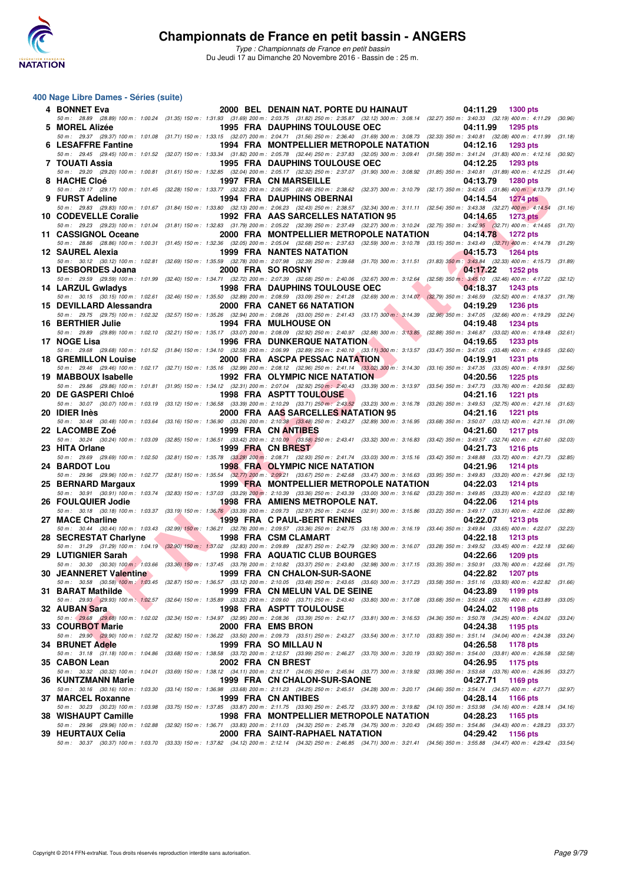

#### **400 Nage Libre Dames - Séries (suite)**

| 4 BONNET Eva               |                               | 2000 BEL DENAIN NAT. PORTE DU HAINAUT                                                                                                                                                                                                       | 04:11.29          | 1300 pts        |         |
|----------------------------|-------------------------------|---------------------------------------------------------------------------------------------------------------------------------------------------------------------------------------------------------------------------------------------|-------------------|-----------------|---------|
| 5 MOREL Alizée             |                               | 50 m: 28.89 (28.89) 100 m: 1:00.24 (31.35) 150 m: 1:31.93 (31.69) 200 m: 2:03.75 (31.82) 250 m: 2:35.87 (32.12) 300 m: 3:08.14 (32.27) 350 m: 3:40.33 (32.19) 400 m: 4:11.29 (30.96)<br><b>1995 FRA DAUPHINS TOULOUSE OEC</b>               | 04:11.99          | 1295 pts        |         |
| 6 LESAFFRE Fantine         |                               | 50 m: 29.37 (29.37) 100 m: 1:01.08 (31.71) 150 m: 1:33.15 (32.07) 200 m: 2:04.71 (31.56) 250 m: 2:36.40 (31.69) 300 m: 3:08.73 (32.33) 350 m: 3:40.81 (32.08) 400 m: 4:11.99 (31.18)<br>1994 FRA MONTPELLIER METROPOLE NATATION             | 04:12.16          | 1293 pts        |         |
| 7 TOUATI Assia             |                               | 50 m: 29.45 (29.45) 100 m: 1:01.52 (32.07) 150 m: 1:33.34 (31.82) 200 m: 2:05.78 (32.44) 250 m: 2:37.83 (32.05) 300 m: 3:09.41 (31.58) 350 m: 3:41.24 (31.83) 400 m: 4:12.16 (30.92)<br><b>1995 FRA DAUPHINS TOULOUSE OEC</b>               | 04:12.25          | <b>1293 pts</b> |         |
|                            |                               | 50 m: 29.20 (29.20) 100 m: 1:00.81 (31.61) 150 m: 1:32.85 (32.04) 200 m: 2:05.17 (32.32) 250 m: 2:37.07 (31.90) 300 m: 3:08.92 (31.85) 350 m: 3:40.81 (31.89) 400 m: 4:12.25 (31.44)                                                        |                   |                 |         |
| 8 HACHE Cloé               |                               | <b>1997 FRA CN MARSEILLE</b><br>50 m : 29.17 (29.17) 100 m : 1:01.45 (32.28) 150 m : 1:33.77 (32.32) 200 m : 2:06.25 (32.48) 250 m : 2:38.62 (32.37) 300 m : 3:10.79 (32.17) 350 m : 3:42.65 (31.66) 400 m : 4:13.79 (31.14)                | 04:13.79          | <b>1280 pts</b> |         |
| 9 FURST Adeline            |                               | 1994 FRA DAUPHINS OBERNAI                                                                                                                                                                                                                   | 04:14.54          | <b>1274 pts</b> |         |
| 10 CODEVELLE Coralie       |                               | 50 m: 29.83 (29.83) 100 m: 1:01.67 (31.84) 150 m: 1:33.80 (32.13) 200 m: 2:06.23 (32.43) 250 m: 2:38.57 (32.34) 300 m: 3:11.11 (32.54) 350 m: 3:43.38 (32.27) 400 m: 4:14.54<br>1992 FRA AAS SARCELLES NATATION 95                          | 04:14.65          | 1273 pts        | (31.16) |
| 11 CASSIGNOL Oceane        |                               | 50 m: 29.23 (29.23) 100 m: 1:01.04 (31.81) 150 m: 1:32.83 (31.79) 200 m: 2:05.22 (32.39) 250 m: 2:37.49 (32.27) 300 m: 3:10.24 (32.75) 350 m: 3:42.95 (32.71) 400 m: 4:14.65 (31.70)<br>2000 FRA MONTPELLIER METROPOLE NATATION             | 04:14.78 1272 pts |                 |         |
|                            |                               | 50 m: 28.86 (28.86) 100 m: 1:00.31 (31.45) 150 m: 1:32.36 (32.05) 200 m: 2:05.04 (32.68) 250 m: 2:37.63 (32.59) 300 m: 3:10.78 (33.15) 350 m: 3:43.49 (32.71) 400 m: 4:14.78 (31.29)                                                        |                   |                 |         |
| 12 SAUREL Alexia           |                               | <b>1999 FRA NANTES NATATION</b><br>50 m : 30.12 (30.12) 100 m : 1:02.81 (32.69) 150 m : 1:35.59 (32.78) 200 m : 2:07.98 (32.39) 250 m : 2:39.68 (31.70) 300 m : 3:11.51 (31.83) 350 m : 3:43.84 (32.33) 400 m : 4:15.73 (31.89)             | 04:15.73          | <b>1264 pts</b> |         |
| 13 DESBORDES Joana         |                               | 2000 FRA SO ROSNY<br>50 m : 29.59 (29.59) 100 m : 1:01.99 (32.40) 150 m : 1:34.71 (32.72) 200 m : 2:07.39 (32.68) 250 m : 2:40.06 (32.67) 300 m : 3:12.64 (32.58) 350 m : 3:45.10 (32.46) 400 m : 4:17.22 (32.12)                           | 04:17.22          | <b>1252 pts</b> |         |
| 14 LARZUL Gwladys          |                               | 1998 FRA DAUPHINS TOULOUSE OECNICALLY                                                                                                                                                                                                       | 04:18.37          | <b>1243 pts</b> |         |
| 15 DEVILLARD Alessandra    |                               | 50 m: 30.15 (30.15) 100 m: 1:02.61 (32.46) 150 m: 1:35.50 (32.89) 200 m: 2:08.59 (33.09) 250 m: 2:41.28 (32.69) 300 m: 3:14.07 (32.79) 350 m: 3:46.59 (32.52) 400 m: 4:18.37 (31.78)<br><b>The Second Service</b>                           |                   |                 |         |
|                            |                               | 2000 FRA CANET 66 NATATION<br>50 m : 29.75 (29.75) 100 m : 1:02.32 (32.57) 150 m : 1:35.26 (32.94) 200 m : 2:08.26 (33.00) 250 m : 2:41.43 (33.17) 300 m : 3:14.39 (32.96) 350 m : 3:47.05 (32.66) 400 m : 4:19.29 (32.24)                  | 04:19.29          | <b>1236 pts</b> |         |
| 16 BERTHIER Julie          |                               | <b>1994 FRA MULHOUSE ON</b><br>50 m: 29.89 (29.89) 100 m: 1:02.10 (32.21) 150 m: 1:35.17 (33.07) 200 m: 2:08.09 (32.92) 250 m: 2:40.97 (32.88) 300 m: 3:13.85 (32.88) 350 m: 3:46.87 (33.02) 400 m: 4:19.48 (32.61)                         | 04:19.48          | <b>1234 pts</b> |         |
| 17 NOGE Lisa               |                               | <b>1996 FRA DUNKERQUE NATATION</b>                                                                                                                                                                                                          | 04:19.65          | 1233 pts        |         |
| <b>18 GREMILLON Louise</b> |                               | 50 m: 29.68 (29.68) 100 m: 1:01.52 (31.84) 150 m: 1:34.10 (32.58) 200 m: 2:06.99 (32.89) 250 m: 2:40.10 (33.11) 300 m: 3:13.57 (33.47) 350 m: 3:47.05 (33.48) 400 m: 4:19.65 (32.60)<br>2000 FRA ASCPA PESSAC NATATION                      | 04:19.91          | <b>1231 pts</b> |         |
|                            |                               | 50 m: 29.46 (29.46) 100 m: 1:02.17 (32.71) 150 m: 1:35.16 (32.99) 200 m: 2:08.12 (32.96) 250 m: 2:41.14 (33.02) 300 m: 3:14.30 (33.16) 350 m: 3:47.35 (33.05) 400 m: 4:19.91 (32.56)                                                        |                   |                 |         |
| 19 MABBOUX Isabelle        |                               | 1992 FRA OLYMPIC NICE NATATION<br>50 m: 29.86 (29.86) 100 m: 1:01.81 (31.95) 150 m: 1:34.12 (32.31) 200 m: 2:07.04 (32.92) 250 m: 2:40.43 (33.39) 300 m: 3:13.97 (33.54) 350 m: 3:47.73 (33.76) 400 m: 4:20.56 (32.83)                      | 04:20.56          | <b>1225 pts</b> |         |
| <b>20 DE GASPERI Chloé</b> |                               | <b>1998 FRA ASPTT TOULOUSE</b>                                                                                                                                                                                                              | 04:21.16          | <b>1221 pts</b> |         |
| 20 IDIER Inès              |                               | 50 m: 30.07 (30.07) 100 m: 1:03.19 (33.12) 150 m: 1:36.58 (33.39) 200 m: 2:10.29 (33.71) 250 m: 2:43.52 (33.23) 300 m: 3:16.78 (33.26) 350 m: 3:49.53 (32.75) 400 m: 4:21.16 (31.63)<br>2000 FRA AAS SARCELLES NATATION 95                  | 04:21.16          | <b>1221 pts</b> |         |
|                            |                               | 50 m: 30.48 (30.48) 100 m: 1:03.64 (33.16) 150 m: 1:36.90 (33.26) 200 m: 2:10.38 (33.48) 250 m: 2:43.27 (32.89) 300 m: 3:16.95 (33.68) 350 m: 3:50.07 (33.12) 400 m: 4:21.16 (31.09)                                                        |                   |                 |         |
| 22 LACOMBE Zoé             |                               | 1999 FRA CN ANTIBES<br>50 m: 30.24 (30.24) 100 m: 1:03.09 (32.85) 150 m: 1:36.51 (33.42) 200 m: 2:10.09 (33.58) 250 m: 2:43.41 (33.32) 300 m: 3:16.83 (33.42) 350 m: 3:49.57 (32.74) 400 m: 4:21.60 (32.03)                                 | 04:21.60          | <b>1217 pts</b> |         |
| 23 HITA Orlane             |                               | 1999 FRA CN BREST<br>50 m: 29.69 (29.69) 100 m: 1:02.50 (32.81) 150 m: 1:35.78 (33.28) 200 m: 2:08.71 (32.93) 250 m: 2:41.74 (33.03) 300 m: 3:15.16 (33.42) 350 m: 3:48.88 (33.72) 400 m: 4:21.73 (32.85)                                   | 04:21.73          | <b>1216 pts</b> |         |
| 24 BARDOT Lou              |                               | <b>1998 FRA OLYMPIC NICE NATATION</b>                                                                                                                                                                                                       | 04:21.96          | 1214 pts        |         |
| 25 BERNARD Margaux         |                               | 50 m: 29.96 (29.96) 100 m: 1:02.77 (32.81) 150 m: 1:35.54 (32.77) 200 m: 2:09.21 (33.67) 250 m: 2:42.68 (33.47) 300 m: 3:16.63 (33.95) 350 m: 3:49.83 (33.20) 400 m: 4:21.96 (32.13)<br>1999 FRA MONTPELLIER METROPOLE NATATION             | 04:22.03          | <b>1214 pts</b> |         |
|                            |                               | 50 m : 30.91 (30.91) 100 m : 1:03.74 (32.83) 150 m : 1:37.03 (33.29) 200 m : 2:10.39 (33.36) 250 m : 2:43.39 (33.00) 300 m : 3:16.62 (33.23) 350 m : 3:49.85 (33.23) 400 m : 4:22.03                                                        |                   |                 | (32.18) |
| 26 FOULQUIER Jodie         |                               | 1998 FRA AMIENS METROPOLE NAT.<br>50 m: 30.18 (30.18) 100 m: 1:03.37 (33.19) 150 m: 1:36.76 (33.39) 200 m: 2:09.73 (32.97) 250 m: 2:42.64 (32.91) 300 m: 3:15.86 (33.22) 350 m: 3:49.17 (33.31) 400 m: 4:22.06 (32.89)                      | 04:22.06          | <b>1214 pts</b> |         |
| 27 MACE Charline           | the control of the control of | 1999 FRA C PAUL-BERT RENNES                                                                                                                                                                                                                 | 04:22.07          | <b>1213 pts</b> |         |
| 28 SECRESTAT Charlyne      |                               | 50 m: 30.44 (30.44) 100 m: 1:03.43 (32.99) 150 m: 1:36.21 (32.78) 200 m: 2:09.57 (33.36) 250 m: 2:42.75 (33.18) 300 m: 3:16.19 (33.44) 350 m: 3:49.84 (33.65) 400 m: 4:22.07 (32.23)<br>1998 FRA CSM CLAMART                                | 04:22.18          | <b>1213 pts</b> |         |
|                            |                               | 50 m : 31.29 (31.29) 100 m : 1:04.19 (32.90) 150 m : 1:37.02 (32.83) 200 m : 2:09.89 (32.87) 250 m : 2:42.79 (32.90) 300 m : 3:16.07 (33.28) 350 m : 3:49.52 (33.45) 400 m : 4:22.18 (32.66)<br><b>1998 FRA AQUATIC CLUB BOURGES</b>        |                   |                 |         |
| 29 LUTIGNIER Sarah         |                               | 50 m : 30.30 (30.30) 100 m : 1:03.66 (33.36) 150 m : 1:37.45 (33.79) 200 m : 2:10.82 (33.37) 250 m : 2:43.80 (32.98) 300 m : 3:17.15 (33.35) 350 m : 3:50.91 (33.76) 400 m : 4:22.66 (31.75)                                                | 04:22.66          | 1209 pts        |         |
|                            |                               | 30 JEANNERET Valentine 1999 FRA CN CHALON-SUR-SAONE<br>50 m: 30.58 (30.58) 100 m: 1:03.45 (32.87) 150 m: 1:36.57 (33.12) 200 m: 2:10.05 (33.48) 250 m: 2:43.65 (33.60) 300 m: 3:17.23 (33.58) 350 m: 3:51.16 (33.93) 400 m: 4:22.82 (31.66) | 04:22.82 1207 pts |                 |         |
| 31 BARAT Mathilde          |                               | 1999 FRA CN MELUN VAL DE SEINE                                                                                                                                                                                                              | 04:23.89          | 1199 pts        |         |
| 32 AUBAN Sara              |                               | 50 m: 29.93 (29.93) 100 m: 1:02.57 (32.64) 150 m: 1:35.89 (33.32) 200 m: 2:09.60 (33.71) 250 m: 2:43.40 (33.80) 300 m: 3:17.08 (33.68) 350 m: 3:50.84 (33.76) 400 m: 4:23.89 (33.05)<br><b>1998 FRA ASPTT TOULOUSE</b>                      | 04:24.02          | 1198 pts        |         |
|                            |                               | 50 m: 29.68 (29.68) 100 m: 1:02.02 (32.34) 150 m: 1:34.97 (32.95) 200 m: 2:08.36 (33.39) 250 m: 2:42.17 (33.81) 300 m: 3:16.53 (34.36) 350 m: 3:50.78 (34.25) 400 m: 4:24.02                                                                |                   |                 | (33.24) |
| 33 COURBOT Marie           |                               | 2000 FRA EMS BRON<br>50 m: 29.90 (29.90) 100 m: 1:02.72 (32.82) 150 m: 1:36.22 (33.50) 200 m: 2:09.73 (33.51) 250 m: 2:43.27 (33.54) 300 m: 3:17.10 (33.83) 350 m: 3:51.14 (34.04) 400 m: 4:24.38                                           | 04:24.38          | 1195 pts        | (33.24) |
| <b>34 BRUNET Adele</b>     |                               | 1999 FRA SO MILLAU N                                                                                                                                                                                                                        | 04:26.58          | 1178 pts        |         |
| 35 CABON Lean              |                               | 50 m: 31.18 (31.18) 100 m: 1:04.86 (33.68) 150 m: 1:38.58 (33.72) 200 m: 2:12.57 (33.99) 250 m: 2:46.27 (33.70) 300 m: 3:20.19 (33.92) 350 m: 3:54.00 (33.81) 400 m: 4:26.58 (32.58)<br>2002 FRA CN BREST                                   | 04:26.95          | 1175 pts        |         |
| 36 KUNTZMANN Marie         |                               | 50 m: 30.32 (30.32) 100 m: 1:04.01 (33.69) 150 m: 1:38.12 (34.11) 200 m: 2:12.17 (34.05) 250 m: 2:45.94 (33.77) 300 m: 3:19.92 (33.98) 350 m: 3:53.68 (33.76) 400 m: 4:26.95 (33.27)                                                        |                   |                 |         |
|                            |                               | 1999 FRA CN CHALON-SUR-SAONE<br>50 m: 30.16 (30.16) 100 m: 1:03.30 (33.14) 150 m: 1:36.98 (33.68) 200 m: 2:11.23 (34.25) 250 m: 2:45.51 (34.28) 300 m: 3:20.17 (34.66) 350 m: 3:54.74 (34.57) 400 m: 4:27.71 (32.97)                        | 04:27.71          | 1169 pts        |         |
| 37 MARCEL Roxanne          |                               | 1999 FRA CN ANTIBES<br>50 m: 30.23 (30.23) 100 m: 1:03.98 (33.75) 150 m: 1:37.85 (33.87) 200 m: 2:11.75 (33.90) 250 m: 2:45.72 (33.97) 300 m: 3:19.82 (34.10) 350 m: 3:53.98 (34.16) 400 m: 4:28.14 (34.16)                                 | 04:28.14          | 1166 pts        |         |
| 38 WISHAUPT Camille        |                               | 1998 FRA MONTPELLIER METROPOLE NATATION                                                                                                                                                                                                     | 04:28.23          | 1165 pts        |         |
| 39 HEURTAUX Celia          |                               | 50 m : 29.96 (29.96) 100 m : 1:02.88 (32.92) 150 m : 1:36.71 (33.83) 200 m : 2:11.03 (34.32) 250 m : 2:45.78 (34.75) 300 m : 3:20.43 (34.65) 350 m : 3:54.86 (34.43) 400 m : 4:28.23 (33.37)<br>2000 FRA SAINT-RAPHAEL NATATION             | 04:29.42          | 1156 pts        |         |
|                            |                               | 50 m : 30.37 (30.37) 100 m : 1:03.70 (33.33) 150 m : 1:37.82 (34.12) 200 m : 2:12.14 (34.32) 250 m : 2:46.85 (34.71) 300 m : 3:21.41 (34.56) 350 m : 3:55.88 (34.47) 400 m : 4:29.42 (33.54)                                                |                   |                 |         |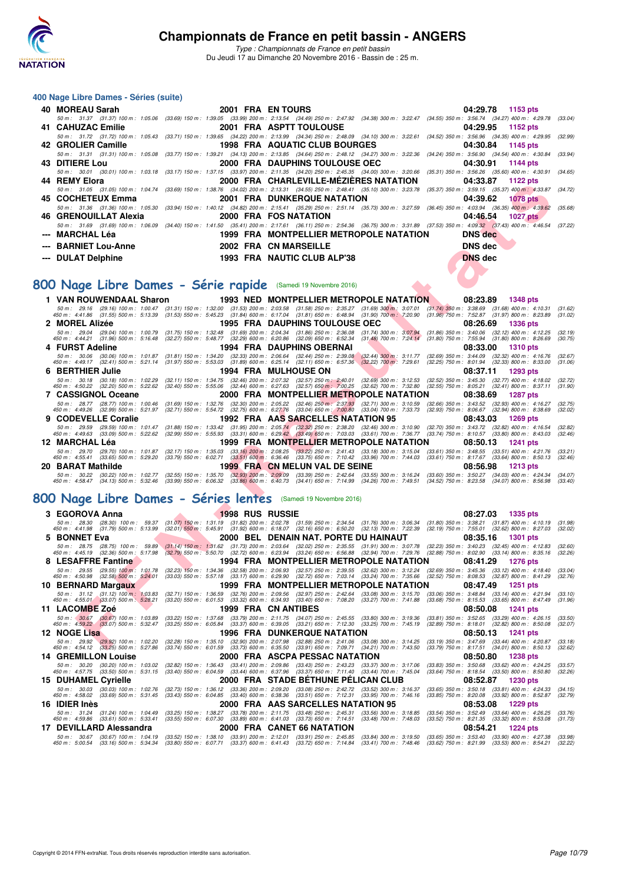

*Type : Championnats de France en petit bassin* Du Jeudi 17 au Dimanche 20 Novembre 2016 - Bassin de : 25 m.

#### **400 Nage Libre Dames - Séries (suite)**

|                      |                       |                                                                                                                                                                                      | 04:29.78 1153 pts |
|----------------------|-----------------------|--------------------------------------------------------------------------------------------------------------------------------------------------------------------------------------|-------------------|
|                      |                       | 50 m: 31.37 (31.37) 100 m: 1:05.06 (33.69) 150 m: 1:39.05 (33.99) 200 m: 2:13.54 (34.49) 250 m: 2:47.92 (34.38) 300 m: 3:22.47 (34.55) 350 m: 3:56.74 (34.27) 400 m: 4:29.78 (33.04) |                   |
|                      |                       |                                                                                                                                                                                      | 04:29.95 1152 pts |
|                      |                       | 50 m: 31.72 (31.72) 100 m: 1:05.43 (33.71) 150 m: 1:39.65 (34.22) 200 m: 2:13.99 (34.34) 250 m: 2:48.09 (34.10) 300 m: 3:22.61 (34.52) 350 m: 3:56.96 (34.35) 400 m: 4:29.95 (32.39) |                   |
|                      |                       | 42 GROLIER Camille <b>1998 FRA AQUATIC CLUB BOURGES</b> 04:30.84                                                                                                                     | 1145 pts          |
|                      |                       | 50 m: 31.31 (31.31) 100 m: 1:05.08 (33.77) 150 m: 1:39.21 (34.13) 200 m: 2:13.85 (34.64) 250 m: 2:48.12 (34.27) 300 m: 3:22.36 (34.24) 350 m: 3:56.90 (34.54) 400 m: 4:30.84 (33.94) |                   |
| 43 DITIERE Lou       |                       |                                                                                                                                                                                      |                   |
|                      |                       | 50 m: 30.01 (30.01) 100 m: 1:03.18 (33.17) 150 m: 1:37.15 (33.97) 200 m: 2:11.35 (34.20) 250 m: 2:45.35 (34.00) 300 m: 3:20.66 (35.31) 350 m: 3:56.26 (35.60) 400 m: 4:30.91 (34.65) |                   |
| 44 REMY Elora        |                       | 2000 FRA CHARLEVILLE-MÉZIÉRES NATATION 04:33.87 1122 pts                                                                                                                             |                   |
|                      |                       | 50 m: 31.05 (31.05) 100 m: 1:04.74 (33.69) 150 m: 1:38.76 (34.02) 200 m: 2:13.31 (34.55) 250 m: 2:48.41 (35.10) 300 m: 3:23.78 (35.37) 350 m: 3:59.15 (35.37) 400 m: 4:33.87 (34.72) |                   |
|                      |                       | 45 COCHETEUX Emma 2001 FRA DUNKERQUE NATATION 2001. 2001 81:39.62 1078 pts                                                                                                           |                   |
|                      |                       | 50 m: 31.36 (31.36) 100 m: 1:05.30 (33.94) 150 m: 1:40.12 (34.82) 200 m: 2:15.41 (35.29) 250 m: 2:51.14 (35.73) 300 m: 3:27.59 (36.45) 350 m: 4:03.94 (36.35) 400 m: 4:39.62 (35.68) |                   |
|                      |                       |                                                                                                                                                                                      | 04:46.54 1027 pts |
|                      |                       | 50 m: 31.69 (31.69) 100 m: 1:06.09 (34.40) 150 m: 1:41.50 (35.41) 200 m: 2:17.61 (36.11) 250 m: 2:54.36 (36.75) 300 m: 3:31.89 (37.53) 350 m: 4:09.32 (37.43) 400 m: 4:46.54 (37.22) |                   |
| --- MARCHAL Léa      |                       | 1999 FRA MONTPELLIER METROPOLE NATATION DNS dec                                                                                                                                      |                   |
| --- BARNIET Lou-Anne | 2002 FRA CN MARSEILLE |                                                                                                                                                                                      | DNS dec           |
| --- DULAT Delphine   |                       | 1993 FRA NAUTIC CLUB ALP'38                                                                                                                                                          | <b>DNS</b> dec    |

# **[800 Nage Libre Dames - Série rapide](http://www.ffnatation.fr/webffn/resultats.php?idact=nat&go=epr&idcpt=41163&idepr=5)** (Samedi 19 Novembre 2016)

1620 Parameter Manuel Manuel Manuel Manuel Manuel Manuel Manuel Manuel Manuel Manuel Manuel Manuel Manuel Manuel Manuel Manuel Manuel Manuel Manuel Manuel Manuel Manuel Manuel Manuel Manuel Manuel Manuel Manuel Manuel Ma **1 VAN ROUWENDAAL Sharon 1993 NED MONTPELLIER METROPOLE NATATION 08:23.89 1348 pts** 50 m; 29.16 (29.16) 100 m; 1:00.47 (31.31) 150 m; 1:32.00 (31.53) 200 m; 2:03.58 (31.58) 27 (31.58) 300 m; 3:07.01 (31.74) 350 m; 3:08.69 (31.68) 400 m; 3:136, 400 m; 4:1.86 (31.55) 500 m; 5:1.39 g(1.55) 500 m; 5:1.53,89 m **2 MOREL Alizée 1995 FRA DAUPHINS TOULOUSE OEC 08:26.69 1336 pts** 50 m: 29.04 (29.04) 100 m: 1:00.79 (31.75) 150 m: 1:32.48 (31.69) 200 m: 2:04.34 (31.86) 250 m: 2:36.08 (31.74) 300 m: 3:07.94 (31.86) 350 m: 3:40.06 (32.12) 400 m: 4:12.25 (32.19)<br>450 m: 4:44.21 (31.96) 500 m: 5:16.48 (32 **4 FURST Adeline 1994 FRA DAUPHINS OBERNAI 08:33.00 1310 pts** 50 m; 30.06 (30.06)100 m; 1.01.87 (31.81)150 m; 1.34.20 (32.33)200 m; 2.06.64 (32.44) 500 m; 3.44.030 m; 3.11.77 (32.69)350 m; 3.44.09 (32.32) 400 m; 4:49.17 (32.41) 500 m; 4:15.76 (32.32) 400 m; 4:49.17 (32.41) 500 m; 4:4 **6 BERTHIER Julie 1994 FRA MULHOUSE ON 08:37.11 1293 pts** 50 m: 30.18 (30.18) 100 m: 1:02.29 (32.11) 150 m: 1:34.75 (32.46) 200 m: 2:07.32 (32.57) 250 m: 2:40.01 (32.69) 300 m: 3:12.53 (32.52) 350 m: 3:45.30 (32.77) 400 m: 4:18.02 (32.77)<br>450 m: 4:50.22 (32.20) 500 m: 5:22.62 (32 **7 CASSIGNOL Oceane 2000 FRA MONTPELLIER METROPOLE NATATION 08:38.69 1287 pts** 50 m; 28.77 (28.77) 100 m; 1.00.46 (31.69) 150 m; 1.32.76 (32.30) 200 m; 2.05.22 (32.46) 250 m; 2.37,39 (32.69) 300 m; 3.10.59 (32.69) 300 m; 4.49.26 (32.99) 400 m; 4.19.627 (32.59) 400 m; 4.49.26 (32.99) 400 m; 4. **9 CODEVELLE Coralie 1992 FRA AAS SARCELLES NATATION 95 08:43.03 1269 pts** 50 m: 29.59 (29.59) 100 m: 1:01.47 (31.88) 150 m: 1:33.42 (31.95) 200 m: 2:05.74 (32.32) 250 m: 2:38.20 (32.46) 300 m: 3:10.90 m: 3:10.90 (32.70) 350 m: 3:43.72 (32.82) 400 m: 4:16.54 (32.82) 450 m: 4:49.63 (33.09) 500 m: **12 MARCHAL Léa 1999 FRA MONTPELLIER METROPOLE NATATION 08:50.13 1241 pts** 50 m; 29.70 (29.70) 100 m; 1.01.87 (32.17) 150 m; 1.35.03 (33.16) 200 m; 2.08.25 (38.22) 250 m; 241.43 (33.61) 300 m; 3.15.04 (33.61) 360 m; 3.50 m; 3.48.55 (33.64) 300 m; 4.52.76 (33.64) 300 m; 4.52.76 (33.64) 300 m; 4.52 **20 BARAT Mathilde 1999 FRA CN MELUN VAL DE SEINE 08:56.98 1213 pts** 50 m: 30.22 (30.22) 100 m: 1:02.77 (32.55) 150 m: 1:35.70 (32.93) 200 m: 2:09.09 (33.39) 250 m: 2:42.64 (33.55) 300 m: 3:16.24 (33.60) 350 m: 3:50.27 (34.03) 400 m: 4:24.34 (34.07)<br>450 m: 4:58.47 (34.13) 500 m: 5:32.46 (33

#### **[800 Nage Libre Dames - Séries lentes](http://www.ffnatation.fr/webffn/resultats.php?idact=nat&go=epr&idcpt=41163&idepr=5)** (Samedi 19 Novembre 2016)

| 3 EGOROVA Anna                                                                                                                                                                                                                                                                                                                  |  | <b>1998 RUS RUSSIE</b> |                                                                                     |                                                                                                                                                 | 08:27.03                                                                                                         | 1335 pts           |  |
|---------------------------------------------------------------------------------------------------------------------------------------------------------------------------------------------------------------------------------------------------------------------------------------------------------------------------------|--|------------------------|-------------------------------------------------------------------------------------|-------------------------------------------------------------------------------------------------------------------------------------------------|------------------------------------------------------------------------------------------------------------------|--------------------|--|
| 50 m: 28.30 (28.30) 100 m: 59.37 (31.07) 150 m: 1:31.19 (31.82) 200 m: 2:02.78 (31.59) 250 m: 2:34.54 (31.76) 300 m: 3:06.34 (31.80) 350 m: 3:38.21 (31.87) 400 m: 4:10.19<br>450 m : 4:41.98 (31.79) 500 m : 5:13.99 (32.01) 550 m : 5:45.91 (31.92) 600 m : 6:18.07 (32.16) 650 m : 6:50.20 (32.13) 700 m : 7:22.39           |  |                        |                                                                                     |                                                                                                                                                 | (32.19) 750 m : 7:55.01 (32.62) 800 m : 8:27.03                                                                  | (31.98)<br>(32.02) |  |
| 5 BONNET Eva                                                                                                                                                                                                                                                                                                                    |  |                        |                                                                                     |                                                                                                                                                 | 08:35.16                                                                                                         | <b>1301 pts</b>    |  |
| 50 m; 28.75 (28.75) 100 m; 59.89 (31.14) 150 m; 1:31.62 (31.73) 200 m; 2:03.64 (32.02) 250 m; 2:35.55 (31.91) 300 m; 3:07.78 (32.23) 350 m; 3:40.23 (32.45) 400 m; 4:12.83<br>450 m : 4:45.19 (32.36) 500 m : 5:17.98                                                                                                           |  |                        |                                                                                     | (32.79) 550 m : 5:50.70 (32.72) 600 m : 6:23.94 (33.24) 650 m : 6:56.88 (32.94) 700 m : 7:29.76 (32.88) 750 m : 8:02.90 (33.14) 800 m : 8:35.16 |                                                                                                                  | (32.60)<br>(32.26) |  |
| 8 LESAFFRE Fantine                                                                                                                                                                                                                                                                                                              |  |                        |                                                                                     | 1994 FRA MONTPELLIER METROPOLE NATATION                                                                                                         | 08:41.29                                                                                                         | <b>1276 pts</b>    |  |
| 50 m : 29.55 (29.55) 100 m : 1:01.78 (32.23) 150 m : 1:34.36 (32.58) 200 m : 2:06.93 (32.57) 250 m : 2:39.55 (32.62) 300 m : 3:12.24 (32.69) 350 m : 3:45.36 (33.12) 400 m : 4:18.40<br>450 m : 4:50.98 (32.58) 500 m : 5:24.01                                                                                                 |  |                        |                                                                                     | (33.03) 550 m : 5:57.18 (33.17) 600 m : 6:29.90 (32.72) 650 m : 7:03.14 (33.24) 700 m : 7:35.66 (32.52) 750 m : 8:08.53 (32.87) 800 m : 8:41.29 |                                                                                                                  | (33.04)<br>(32.76) |  |
| 10 BERNARD Margaux                                                                                                                                                                                                                                                                                                              |  |                        |                                                                                     | 1999 FRA MONTPELLIER METROPOLE NATATION                                                                                                         | 08:47.49                                                                                                         | <b>1251 pts</b>    |  |
| 50 m : 31.12 (31.12) 100 m : 1:03.83<br>450 m : 4:55.01 (33.07) 500 m : 5:28.21 (33.20) 550 m : 6:01.53 (33.32) 600 m : 6:34.93 (33.40) 650 m : 7:08.20 (33.27) 700 m : 7:41.88 (33.68) 750 m : 8:15.53 (33.65) 800 m : 8:47.49                                                                                                 |  |                        |                                                                                     | (32.71) 150 m : 1:36.59 (32.76) 200 m : 2:09.56 (32.97) 250 m : 2:42.64 (33.08) 300 m : 3:15.70 (33.06) 350 m : 3:48.84 (33.14) 400 m : 4:21.94 |                                                                                                                  | (33.10)<br>(31.96) |  |
| 11 LACOMBE Zoé                                                                                                                                                                                                                                                                                                                  |  |                        | 1999 FRA CN ANTIBES                                                                 |                                                                                                                                                 | 08:50.08                                                                                                         | <b>1241 pts</b>    |  |
| 50 m: (30.67 (30.67) 100 m: 1:03.89 (33.22) 150 m: 1:37.68 (33.79) 200 m: 2:11.75 (34.07) 250 m: 2:45.55 (33.80) 300 m: 3:19.36<br>450 m : 4:59.22 (33.07) 500 m : 5:32.47 (33.25) 550 m : 6:05.84 (33.37) 600 m : 6:39.05 (33.21) 650 m : 7:12.30 (33.25) 700 m : 7:45.19                                                      |  |                        |                                                                                     |                                                                                                                                                 | (33.81) 350 m : 3:52.65 (33.29) 400 m : 4:26.15<br>$(32.89)$ 750 m : 8:18.01 $(32.82)$ 800 m : 8:50.08           | (33.50)<br>(32.07) |  |
| 12 NOGE Lisa                                                                                                                                                                                                                                                                                                                    |  |                        | <b>1996 FRA DUNKERQUE NATATION</b>                                                  |                                                                                                                                                 | 08:50.13                                                                                                         | 1241 pts           |  |
| 50 m : 29.92 (29.92) 100 m : 1:02.20 (32.28) 150 m : 1:35.10 (32.90) 200 m : 2:07.98 (32.88) 250 m : 2:41.06 (33.08) 300 m : 3:14.25 (33.19) 350 m : 3:47.69 (33.44) 400 m : 4:20.87<br>450 m : 4:54.12 (33.25) 500 m : 5:27.86 (33.74) 550 m : 6:01.59 (33.73) 600 m : 6:35.50 (33.91) 650 m : 7:09.71 (34.21) 700 m : 7:43.50 |  |                        |                                                                                     |                                                                                                                                                 | $(33.79)$ 750 m : 8:17.51 $(34.01)$ 800 m : 8:50.13                                                              | (33.18)<br>(32.62) |  |
| <b>14 GREMILLON Louise</b>                                                                                                                                                                                                                                                                                                      |  |                        | 2000 FRA ASCPA PESSAC NATATION                                                      |                                                                                                                                                 | 08:50.80                                                                                                         | <b>1238 pts</b>    |  |
| 50 m : 30.20 (30.20) 100 m : 1:03.02 (32.82) 150 m : 1:36.43 (33.41) 200 m : 2:09.86 (33.43) 250 m : 2:43.23 (33.37) 300 m : 3:17.06<br>450 m : 4:57.75 (33.50) 500 m : 5:31.15                                                                                                                                                 |  |                        |                                                                                     | (33.40) 550 m : 6:04.59 (33.44) 600 m : 6:37.96 (33.37) 650 m : 7:11.40 (33.44) 700 m : 7:45.04                                                 | $(33.83)$ 350 m : $3.50.68$ $(33.62)$ 400 m : 4:24.25<br>$(33.64)$ 750 m : $8.18.54$ $(33.50)$ 800 m : $8.50.80$ | (33.57)<br>(32.26) |  |
| <b>15 DUHAMEL Cyrielle</b>                                                                                                                                                                                                                                                                                                      |  |                        |                                                                                     | 2000 FRA STADE BETHUNE PELICAN CLUB                                                                                                             | 08:52.87                                                                                                         | <b>1230 pts</b>    |  |
| 50 m: 30.03 (30.03) 100 m: 1:02.76 (32.73) 150 m: 1:36.12 (33.36) 200 m: 2:09.20 (33.08) 250 m: 2:42.72 (33.52) 300 m: 3:16.37<br>450 m : 4:58.02 (33.69) 500 m : 5:31.45 (33.43) 550 m : 6:04.85 (33.40) 600 m : 6:38.36 (33.51) 650 m : 7:12.31 (33.95) 700 m : 7:46.16                                                       |  |                        |                                                                                     |                                                                                                                                                 | $(33.65)$ 350 m : 3:50.18 $(33.81)$ 400 m : 4:24.33<br>(33.85) 750 m : 8:20.08 (33.92) 800 m : 8:52.87           | (34.15)<br>(32.79) |  |
| 16 IDIER Inès                                                                                                                                                                                                                                                                                                                   |  |                        |                                                                                     | 2000 FRA AAS SARCELLES NATATION 95                                                                                                              | 08:53.08                                                                                                         | <b>1229 pts</b>    |  |
| 50 m : 31.24 (31.24) 100 m : 1.04.49<br>450 m : 4:59.86 (33.61) 500 m : 5:33.41                                                                                                                                                                                                                                                 |  |                        | $(33.55)$ 550 m $: 6.07.30$ $(33.89)$ 600 m $: 6.41.03$ $(33.73)$ 650 m $: 7.14.51$ | (33.25) 150 m: 1:38.27 (33.78) 200 m: 2:11.75 (33.48) 250 m: 2:45.31 (33.56) 300 m: 3:18.85<br>$(33.48)$ 700 m : 7:48.03                        | $(33.54)$ 350 m : 3:52.49 $(33.64)$ 400 m : 4:26.25<br>$(33.52)$ 750 m : 8:21.35 $(33.32)$ 800 m : 8:53.08       | (33.76)<br>(31.73) |  |
| 17 DEVILLARD Alessandra                                                                                                                                                                                                                                                                                                         |  |                        | 2000 FRA CANET 66 NATATION                                                          |                                                                                                                                                 | 08:54.21                                                                                                         | 1224 pts           |  |
| 50 m : 30.67 (30.67) 100 m : 1:04.19<br>450 m : 5:00.54 (33.16) 500 m : 5:34.34 (33.80) 550 m : 6:07.71 (33.37) 600 m : 6:41.43 (33.72) 650 m : 7:14.84 (33.41) 700 m : 7:48.46 (33.62) 750 m : 8:21.99 (33.53) 800 m : 8:54.21                                                                                                 |  |                        |                                                                                     | (33.52) 150 m : 1:38.10 (33.91) 200 m : 2:12.01 (33.91) 250 m : 2:45.85 (33.84) 300 m : 3:19.50 (33.65) 350 m : 3:53.40 (33.90) 400 m : 4:27.38 |                                                                                                                  | (33.98)<br>(32.22) |  |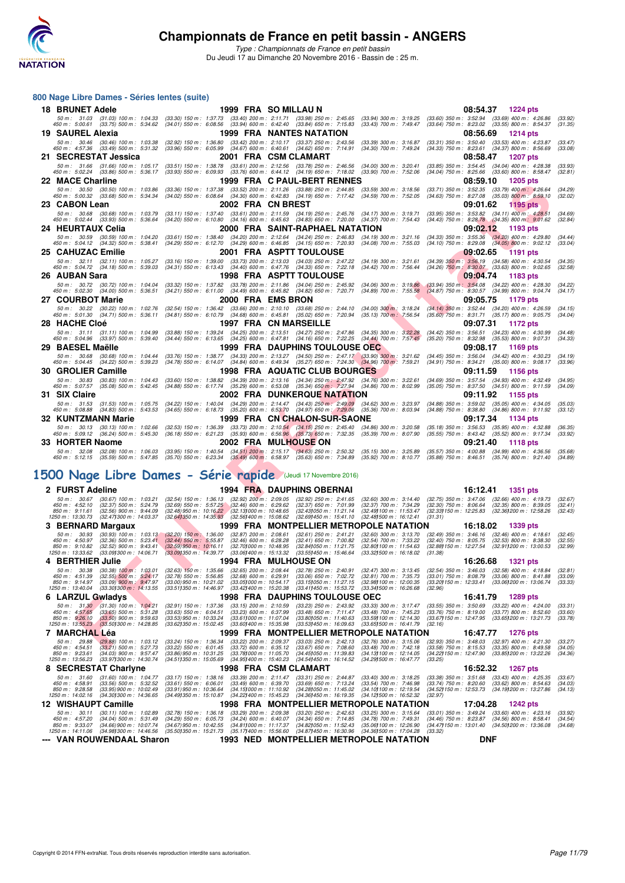

*Type : Championnats de France en petit bassin* Du Jeudi 17 au Dimanche 20 Novembre 2016 - Bassin de : 25 m.

#### **800 Nage Libre Dames - Séries lentes (suite)**

| <b>18 BRUNET Adele</b>                                                                               |                                                                                                                                              | 1999 FRA SO MILLAU N                                                                                                                                                                                                                                                                                       | 08:54.37 1224 pts                                                                                                                                                                               |
|------------------------------------------------------------------------------------------------------|----------------------------------------------------------------------------------------------------------------------------------------------|------------------------------------------------------------------------------------------------------------------------------------------------------------------------------------------------------------------------------------------------------------------------------------------------------------|-------------------------------------------------------------------------------------------------------------------------------------------------------------------------------------------------|
|                                                                                                      |                                                                                                                                              |                                                                                                                                                                                                                                                                                                            | (33.92)<br>(31.35)                                                                                                                                                                              |
| 19 SAUREL Alexia                                                                                     |                                                                                                                                              | <b>1999 FRA NANTES NATATION</b>                                                                                                                                                                                                                                                                            | 08:56.69<br><b>1214 pts</b>                                                                                                                                                                     |
| 50 m: 30.46 (30.46) 100 m: 1:03.38                                                                   | $(32.92)$ 150 m : 1:36.80 $(33.42)$ 200 m : 2:10.17 $(33.37)$ 250 m : 2:43.56                                                                | $(33.39)$ 300 m : 3:16.87                                                                                                                                                                                                                                                                                  | $(33.31)$ 350 m : 3:50.40<br>$(33.53)$ 400 m : 4:23.87<br>(33.47)                                                                                                                               |
| 450 m : 4:57.36 (33.49) 500 m : 5:31.32                                                              | $(33.96)$ 550 m : 6:05.99 $(34.67)$ 600 m : 6:40.61 $(34.62)$ 650 m : 7:14.91                                                                | (34.30) 700 m : 7:49.24                                                                                                                                                                                                                                                                                    | (34.33) 750 m: 8:23.61 (34.37) 800 m: 8:56.69<br>(33.08)<br>08:58.47                                                                                                                            |
| 21 SECRESTAT Jessica                                                                                 | 50 m : 31.66 (31.66) 100 m : 1:05.17 (33.51) 150 m : 1:38.78 (33.61) 200 m : 2:12.56 (33.78) 250 m : 2:46.56                                 | 2001 FRA CSM CLAMART<br>$(34.00)$ 300 m : 3:20.41                                                                                                                                                                                                                                                          | <b>1207 pts</b><br>$(33.85)$ 350 m : 3:54.45 $(34.04)$ 400 m : 4:28.38<br>(33.93)                                                                                                               |
| 450 m : 5:02.24 (33.86) 500 m : 5:36.17                                                              | (33.93) 550 m: 6:09.93 (33.76) 600 m: 6:44.12 (34.19) 650 m: 7:18.02                                                                         | $(33.90)$ 700 m : 7:52.06                                                                                                                                                                                                                                                                                  | (34.04) 750 m : 8:25.66 (33.60) 800 m : 8:58.47<br>(32.81)                                                                                                                                      |
| 22 MACE Charline                                                                                     |                                                                                                                                              | <b>1999 FRA C PAUL-BERT RENNES</b>                                                                                                                                                                                                                                                                         | 08:59.10<br><b>1205 pts</b>                                                                                                                                                                     |
| 50 m: 30.50 (30.50) 100 m: 1:03.86<br>450 m : 5:00.32 (33.68) 500 m : 5:34.34                        | (33.36) 150 m: 1:37.38 (33.52) 200 m: 2:11.26 (33.88) 250 m: 2:44.85<br>(34.02) 550 m: 6:08.64 (34.30) 600 m: 6:42.83 (34.19) 650 m: 7:17.42 | $(33.59)$ 300 m : 3:18.56<br>$(34.59)$ 700 m : 7:52.05                                                                                                                                                                                                                                                     | (33.71) 350 m : 3:52.35 (33.79) 400 m : 4:26.64<br>(34.29)<br>$(34.63)$ 750 m $: 8.27.08$ $(35.03)$ 800 m $: 8.59.10$<br>(32.02)                                                                |
| 23 CABON Lean                                                                                        | 2002 FRA CN BREST                                                                                                                            |                                                                                                                                                                                                                                                                                                            | 09:01.62<br>1195 pts                                                                                                                                                                            |
| 50 m: 30.68 (30.68) 100 m: 1:03.79<br>450 m : 5:02.44 (33.93) 500 m : 5:36.64                        | (33.11) 150 m: 1:37.40 (33.61) 200 m: 2:11.59 (34.19) 250 m: 2:45.76<br>$(34.20)$ 550 m : 6:10.80                                            | $(34.17)$ 300 m : 3:19.71<br>$(34.16)$ 600 m : 6:45.63 $(34.83)$ 650 m : 7:20.00<br>$(34.37)$ 700 m : 7:54.43                                                                                                                                                                                              | $(33.95)$ 350 m : $3.53.82$ $(34.11)$ 400 m : 4.28.51<br>(34.69)<br>(34.43) 750 m : 8:28.78 (34.35) 800 m : 9:01.62<br>(32.84)                                                                  |
| 24 HEURTAUX Celia                                                                                    |                                                                                                                                              | 2000 FRA SAINT-RAPHAEL NATATION                                                                                                                                                                                                                                                                            | 09:02.12<br>1193 pts                                                                                                                                                                            |
| 50 m : 30.59 (30.59) 100 m : 1:04.20<br>450 m : 5:04.12 (34.32) 500 m : 5:38.41                      |                                                                                                                                              | $(33.61)$ 150 m : 1:38.40 $(34.20)$ 200 m : 2:12.64 $(34.24)$ 250 m : 2:46.83 $(34.19)$ 300 m : 3:21.16                                                                                                                                                                                                    | $(34.33)$ 350 m : 3:55.36 $(34.20)$ 400 m : 4:29.80<br>(34.44)                                                                                                                                  |
| 25 CAHUZAC Emilie                                                                                    | $(34.29)$ 550 m : 6:12.70 $(34.29)$ 600 m : 6:46.85 $(34.15)$ 650 m : 7:20.93                                                                | $(34.08)$ 700 m : 7:55.03<br>2001 FRA ASPTT TOULOUSE                                                                                                                                                                                                                                                       | $(34.10)$ 750 m : 8:29.08 $(34.05)$ 800 m : 9:02.12<br>(33.04)<br>09:02.65<br>1191 pts                                                                                                          |
| 50 m : 32.11 (32.11) 100 m : 1:05.27                                                                 |                                                                                                                                              | $(33.16)$ 150 m : 1:39.00 $(33.73)$ 200 m : 2:13.03 $(34.03)$ 250 m : 2:47.22 $(34.19)$ 300 m : 3:21.61                                                                                                                                                                                                    | $(34.39)$ 350 m : 3:56.19 $(34.58)$ 400 m : 4:30.54<br>(34.35)                                                                                                                                  |
| 450 m : 5:04.72 (34.18) 500 m : 5:39.03                                                              |                                                                                                                                              | (34.31) 550 m : 6:13.43 (34.40) 600 m : 6:47.76 (34.33) 650 m : 7:22.18 (34.42) 700 m : 7:56.44                                                                                                                                                                                                            | $(34.26)$ 750 m : 8:30.07 $(33.63)$ 800 m : 9:02.65<br>(32.58)                                                                                                                                  |
| 26 AUBAN Sara<br>50 m : 30.72 (30.72) 100 m : 1:04.04                                                | (33.32) 150 m: 1:37.82 (33.78) 200 m: 2:11.86 (34.04) 250 m: 2:45.92                                                                         | <b>1998 FRA ASPTT TOULOUSE</b><br>$(34.06)$ 300 m : 3:19.86                                                                                                                                                                                                                                                | 09:04.74<br>1183 pts<br>$(33.94)$ 350 m : $3.54.08$ $(34.22)$ 400 m : 4:28.30<br>(34.22)                                                                                                        |
| 450 m : 5:02.30 (34.00) 500 m : 5:36.51                                                              | $(34.21)$ 550 m : 6:11.00                                                                                                                    | $(34.49)$ 600 m : 6:45.82 $(34.82)$ 650 m : 7:20.71<br>$(34.89)$ 700 m : 7:55.58                                                                                                                                                                                                                           | (34.87) 750 m : 8:30.57 (34.99) 800 m : 9:04.74<br>(34.17)                                                                                                                                      |
| 27   COURBOT Marie                                                                                   | 2000 FRA EMS BRON                                                                                                                            |                                                                                                                                                                                                                                                                                                            | 09:05.75<br>1179 pts                                                                                                                                                                            |
| 450 m : 5:01.30 (34.71) 500 m : 5:36.11                                                              |                                                                                                                                              | 50 m : 30.22 (30.22) 100 m : 1:02.76 (32.54) 150 m : 1:36.42 (33.66) 200 m : 2:10.10 (33.68) 250 m : 2:44.10 (34.00) 300 m : 3:18.24<br>$(34.81)$ 550 m $: 6.10.79$ $(34.68)$ 600 m $: 6.45.81$ $(35.02)$ 650 m $: 7.20.94$ $(35.13)$ 700 m $: 7.56.54$                                                    | (34.14) 350 m: 3:52.44 (34.20) 400 m: 4:26.59<br>(34.15)<br>$(35.60)$ 750 m : 8:31.71 $(35.17)$ 800 m : 9:05.75<br>(34.04)                                                                      |
| 28 HACHE Cloé                                                                                        |                                                                                                                                              | <b>1997 FRA CN MARSEILLE</b>                                                                                                                                                                                                                                                                               | 09:07.31<br>1172 pts                                                                                                                                                                            |
| 50 m: 31.11 (31.11) 100 m: 1:04.99<br>450 m : 5:04.96 (33.97) 500 m : 5:39.40                        |                                                                                                                                              | (33.88) 150 m: 1:39.24 (34.25) 200 m: 2:13.51 (34.27) 250 m: 2:47.86 (34.35) 300 m: 3:22.28<br>$(34.44)$ 550 m : 6:13.65 $(34.25)$ 600 m : 6:47.81 $(34.16)$ 650 m : 7:22.25 $(34.44)$ 700 m : 7:57.45                                                                                                     | $(34.42)$ 350 m : 3:56.51 $(34.23)$ 400 m : 4:30.99<br>(34.48)<br>(35.20) 750 m : 8:32.98 (35.53) 800 m : 9:07.31<br>(34.33)                                                                    |
| 29 BAESEL Maëlle                                                                                     |                                                                                                                                              | <b>1999 FRA DAUPHINS TOULOUSE OEC</b>                                                                                                                                                                                                                                                                      | 09:08.17<br>1169 pts                                                                                                                                                                            |
| 50 m: 30.68 (30.68) 100 m: 1:04.44                                                                   |                                                                                                                                              | $(33.76)$ 150 m : 1:38.77 $(34.33)$ 200 m : 2:13.27 $(34.50)$ 250 m : 2:47.17 $(33.90)$ 300 m : 3:21.62                                                                                                                                                                                                    | $(34.45)$ 350 m : 3:56.04 $(34.42)$ 400 m : 4:30.23<br>(34.19)                                                                                                                                  |
| 450 m : 5:04.45 (34.22) 500 m : 5:39.23<br>30 GROLIER Camille                                        |                                                                                                                                              | $(34.78)$ 550 m : 6:14.07 $(34.84)$ 600 m : 6:49.34 $(35.27)$ 650 m : 7:24.30 $(34.96)$ 700 m : 7:59.21<br><b>1998 FRA AQUATIC CLUB BOURGES</b>                                                                                                                                                            | (34.91) 750 m: 8:34.21 (35.00) 800 m: 9:08.17<br>(33.96)<br>1156 pts                                                                                                                            |
| 50 m: 30.83 (30.83) 100 m: 1:04.43                                                                   |                                                                                                                                              | (33.60) 150 m : 1:38.82 (34.39) 200 m : 2:13.16 (34.34) 250 m : 2:47.92 (34.76) 300 m : 3:22.61                                                                                                                                                                                                            | 09:11.59<br>(34.69) 350 m: 3:57.54 (34.93) 400 m: 4:32.49<br>(34.95)                                                                                                                            |
| 450 m : 5:07.57 (35.08) 500 m : 5:42.45                                                              |                                                                                                                                              | (34.88) 550 m : 6:17.74 (35.29) 600 m : 6:53.08 (35.34) 650 m : 7:27.94 (34.86) 700 m : 8:02.99                                                                                                                                                                                                            | $(35.05)$ 750 m : 8:37.50 $(34.51)$ 800 m : 9:11.59<br>(34.09)                                                                                                                                  |
| 31 SIX Claire                                                                                        |                                                                                                                                              | <b>2002 FRA DUNKERQUE NATATION</b>                                                                                                                                                                                                                                                                         | 09:11.92<br>1155 pts                                                                                                                                                                            |
| 50 m: 31.53 (31.53) 100 m: 1:05.75<br>450 m : 5:08.88 (34.83) 500 m : 5:43.53                        | $(34.65)$ 550 m : 6:18.73                                                                                                                    | (34.22) 150 m: 1:40.04 (34.29) 200 m: 2:14.47 (34.43) 250 m: 2:49.09 (34.62) 300 m: 3:23.97<br>(35.20) 600 m : 6:53.70 (34.97) 650 m : 7:29.06 (35.36) 700 m : 8:03.94                                                                                                                                     | (34.88) 350 m: 3:59.02 (35.05) 400 m: 4:34.05<br>(35.03)<br>$(34.88)$ 750 m : $8.38.80$<br>$(34.86)$ 800 m : 9:11.92<br>(33.12)                                                                 |
| 32 KUNTZMANN Marie                                                                                   |                                                                                                                                              | 1999 FRA CN CHALON-SUR-SAONE                                                                                                                                                                                                                                                                               | 09:17.34<br>1134 pts                                                                                                                                                                            |
| 50 m : 30.13 (30.13) 100 m : 1:02.66<br>450 m : 5:09.12 (36.24) 500 m : 5:45.30                      |                                                                                                                                              | $(32.53) \ \ 150 \ m \ \ 1 \ \ 36.39 \ \quad (33.73) \ \ 200 \ m \ \ 2 \ \ 210.54 \ \quad (34.15) \ \ 250 \ m \ \ 2 \ \ 245.40 \ \quad (34.86) \ \ 300 \ m \ \ 2 \ \ 32.0.58 \ \ 250 \ m \ \ 3 \ \ 261.29 \ \ 362.20 \ \ 371.23 \ \ 381.24 \ \ 391.25 \ \ 303.25 \ \ 304.27 \ \ 391.29 \ \ 305.29 \ \ 306$ | (35.18) 350 m: 3:56.53 (35.95) 400 m: 4:32.88<br>(36.35)<br>(35.55) 750 m : 8:43.42 (35.52) 800 m : 9:17.34<br>(33.92)                                                                          |
| 33   HORTER Naome                                                                                    |                                                                                                                                              | <b>2002 FRA MULHOUSE ON</b>                                                                                                                                                                                                                                                                                | 09:21.40<br><b>1118 pts</b>                                                                                                                                                                     |
|                                                                                                      |                                                                                                                                              | 50 m : 32.08 (32.08) 100 m : 1:06.03 (33.95) 150 m : 1:40.54 (34.51) 200 m : 2:15.17 (34.63) 250 m : 2:50.32 (35.15) 300 m : 3:25.89                                                                                                                                                                       | (35.57) 350 m : 4:00.88 (34.99) 400 m : 4:36.56<br>(35.68)                                                                                                                                      |
|                                                                                                      |                                                                                                                                              | 450 m : 5:12.15 (35.59) 500 m : 5:47.85 (35.70) 550 m : 6:23.34 (35.49) 600 m : 6:58.97 (35.63) 650 m : 7:34.89 (35.92) 700 m : 8:10.77                                                                                                                                                                    | (35.88) 750 m : 8:46.51 (35.74) 800 m : 9:21.40 (34.89)                                                                                                                                         |
| 500 Nage Libre Dames - Série rapide (Jeudi 17 Novembre 2016)                                         |                                                                                                                                              |                                                                                                                                                                                                                                                                                                            |                                                                                                                                                                                                 |
| 2 FURST Adeline                                                                                      |                                                                                                                                              | 1994 FRA DAUPHINS OBERNAI                                                                                                                                                                                                                                                                                  | 16:12.41<br>1351 pts                                                                                                                                                                            |
| 50 m: 30.67<br>$(30.67)$ 100 m : 1:03.21                                                             | (32.54) 150 m: 1:36.13 (32.92) 200 m: 2:09.05 (32.92) 250 m: 2:41.65                                                                         | $(32.60)$ 300 m : 3:14.40                                                                                                                                                                                                                                                                                  | (32.75) 350 m: 3:47.06 (32.66) 400 m: 4:19.73<br>(32.67)                                                                                                                                        |
| (32.37) 500 m : 5:24.79<br>450 m : 4:52.10<br>$(32.56)$ 900 m : 9:44.09<br>$850 \text{ m}$ : 9:11.61 | $(32.69)$ 550 m : 5:57.25 $(32.46)$ 600 m : 6:29.62<br>$(32.48)$ 950 m : 10:16.22 $(32.13)$ 000 m : 10:48.65                                 | $(32.37)$ 650 m : 7:01.99<br>(32.37) 700 m : 7:34.29<br>(32.43) 050 m: 11:21.14<br>(32.49) 100 m : 11:53.47                                                                                                                                                                                                | $(32.30)$ 750 m : 8:06.64<br>$(32.35)$ 800 m : 8:39.05<br>(32.41)<br>(32.33) 150 m: 12:25.83 (32.36) 200 m: 12:58.26<br>(32.43)                                                                 |
| 1250 m : 13:30.73 (32.47) 300 m : 14:03.37                                                           | (32.641350 m: 14:35.93 (32.561400 m: 15:08.62)                                                                                               | (32.69) 450 m : 15:41.10<br>(32.48) 500 m : 16:12.41                                                                                                                                                                                                                                                       | (31.31)                                                                                                                                                                                         |
| 3 BERNARD Margaux<br>50 m: 30.93 (30.93) 100 m: 1:03.13                                              | $(32.87)$ 200 m : 2:08.61                                                                                                                    | 1999 FRA MONTPELLIER METROPOLE NATATION<br>$(32.61)$ 250 m : 2:41.21<br>$(32.60)$ 300 m : 3:13.70                                                                                                                                                                                                          | 16:18.02<br>1339 pts<br>$(32.49)$ 350 m : 3:46.16<br>$(32.46)$ 400 m : 4:18.61<br>(32.45)                                                                                                       |
| 450 m : 4:50.97<br>$(32.36)$ 500 m : 5:23.41                                                         | $(32.20)$ 150 m : 1:36.00<br>$(32.44)$ 550 m : 5:55.87<br>$(32.46)$ 600 m : 6:28.28                                                          | $(32.41)$ 650 m : 7:00.82<br>$(32.54)$ 700 m : 7:33.22                                                                                                                                                                                                                                                     | (32.40) 750 m : 8:05.75<br>(32.53) 800 m : 8:38.30<br>(32.55)                                                                                                                                   |
| 850 m : 9:10.82 (32.52) 900 m : 9:43.41<br>1250 m: 13:33.62 (33.09) 300 m: 14:06.71                  | $(32.59)$ 950 m : 10:16.11<br>(32.70) 000 m : 10:48.95<br>(33.09) 350 m : 14:39.77<br>(33.06) 400 m : 15:13.32                               | (32.84) 050 m: 11:21.75<br>(32.80) 100 m : 11:54.63<br>(33.55) 450 m : 15:46.64<br>(33.32) 500 m : 16:18.02                                                                                                                                                                                                | (32.88) 150 m : 12:27.54 (32.91) 200 m : 13:00.53<br>(32.99)<br>(31.38)                                                                                                                         |
| 4 BERTHIER Julie                                                                                     |                                                                                                                                              | <b>1994 FRA MULHOUSE ON</b>                                                                                                                                                                                                                                                                                | 16:26.68<br><b>1321 pts</b>                                                                                                                                                                     |
| 50 m: 30.38<br>$(30.38)$ 100 m : 1:03.01<br>450 m : 4:51.39<br>$(32.55)$ 500 m : 5:24.17             | $(32.63)$ 150 m : 1:35.66<br>$(32.65)$ 200 m : 2:08.44<br>(32.78) 550 m : 5.56.85<br>$(32.68)$ 600 m : 6:29.91                               | $(32.78)$ 250 m : 2:40.91<br>$(32.47)$ 300 m : 3:13.45<br>$(33.06)$ 650 m : 7:02.72<br>$(32.81)$ 700 m : 7:35.73                                                                                                                                                                                           | $(32.54)$ 350 m : 3:46.03<br>$(32.58)$ 400 m : 4:18.84<br>(32.81)<br>$(33.01)$ 750 m : 8:08.79<br>$(33.06)$ 800 m : 8:41.88<br>(33.09)                                                          |
| 850 m: 9:14.97<br>$(33.09)$ 900 m : 9:47.97<br>1250 m: 13:40.04<br>(33.30) 300 m : 14:13.55          | (33.00) 950 m : 10:21.02<br>(33.05) 000 m: 10:54.17<br>(33.511350 m: 14:46.97)<br>(33.42) 400 m : 15:20.38                                   | (33.15) 050 m: 11:27.15<br>(32.98) 100 m : 12:00.35<br>(33.41) 450 m : 15:53.72<br>(33.341500 m: 16:26.68                                                                                                                                                                                                  | (33.20) 150 m : 12:33.41<br>(33.06) 200 m : 13:06.74<br>(33, 33)<br>(32.96)                                                                                                                     |
| 6 LARZUL Gwladys                                                                                     |                                                                                                                                              | <b>1998 FRA DAUPHINS TOULOUSE OEC</b>                                                                                                                                                                                                                                                                      | 16:41.79<br>1289 pts                                                                                                                                                                            |
| 50 m: 31.30 (31.30) 100 m: 1:04.21                                                                   | $(33.15)$ 200 m : 2:10.59<br>$(32.91)$ 150 m : 1:37.36                                                                                       | $(33.23)$ 250 m : 2:43.92<br>$(33.33)$ 300 m : 3:17.47                                                                                                                                                                                                                                                     | (33.55) 350 m: 3:50.69 (33.22) 400 m: 4:24.00<br>(33.31)                                                                                                                                        |
| 450 m : 4:57.65<br>$(33.65)$ 500 m : 5:31.28<br>850 m : 9:26.10<br>$(33.50)$ 900 m : 9:59.63         | $(33.63)$ 550 m : 6:04.51<br>$(33.23)$ 600 m : 6:37.99<br>$(33.53)$ 950 m : 10:33.24<br>(33.611000 m: 11:07.04                               | $(33.48)$ 650 m : 7:11.47<br>$(33.48)$ 700 m : 7:45.23<br>(33.59) 100 m : 12:14.30<br>$(33.80)050 \text{ m}$ : 11:40.63                                                                                                                                                                                    | $(33.76)$ 750 m : 8:19.00<br>$(33.77)$ 800 m : 8:52.60<br>(33.60)<br>(33.67) 150 m : 12:47.95 (33.65) 200 m : 13:21.73<br>(33.78)                                                               |
| $(33.50)300 \text{ m}$ : 14:28.85<br>1250 m: 13:55.23<br>7 MARCHAL Lea                               | (33.62) 350 m : 15:02.45<br>(33.60) 400 m : 15:35.98                                                                                         | (33.53) 450 m : 16:09.63<br>(33.651500 m: 16:41.79)<br>1999 FRA MONTPELLIER METROPOLE NATATION                                                                                                                                                                                                             | (32.16)                                                                                                                                                                                         |
|                                                                                                      |                                                                                                                                              | 50 m: 29.88 (29.88) 100 m: 1:03.12 (33.24) 150 m: 1:36.34 (33.22) 200 m: 2:09.37 (33.03) 250 m: 2:42.13 (32.76) 300 m: 3:15.06 (32.93) 350 m: 3:48.03 (32.97) 400 m: 4:21.30                                                                                                                               | 16:47.77 1276 pts<br>(33.27)                                                                                                                                                                    |
|                                                                                                      |                                                                                                                                              |                                                                                                                                                                                                                                                                                                            | 450 m : 4:54.51 (33.21) 500 m : 5:27.73 (33.22) 550 m : 6:01.45 (33.72) 600 m : 6:35.12 (33.67) 650 m : 7:08.60 (33.48) 700 m : 7:42.18 (33.58) 750 m : 8:15.53 (33.35) 800 m : 8:49.58 (34.05) |

# **[1500 Nage Libre Dames - Série rapide](http://www.ffnatation.fr/webffn/resultats.php?idact=nat&go=epr&idcpt=41163&idepr=6)** (Jeudi 17 Novembre 2016)

| 2 FURST Adeline                                                                                                                                                                                           | <b>1994 FRA DAUPHINS OBERNAI</b>                                                                                                                                                                                                                     |                                                                                                                |                                                                                                                           | 16:12.41                                                                                                                                                                | 1351 pts                      |
|-----------------------------------------------------------------------------------------------------------------------------------------------------------------------------------------------------------|------------------------------------------------------------------------------------------------------------------------------------------------------------------------------------------------------------------------------------------------------|----------------------------------------------------------------------------------------------------------------|---------------------------------------------------------------------------------------------------------------------------|-------------------------------------------------------------------------------------------------------------------------------------------------------------------------|-------------------------------|
| $50 m$ : $30.67$<br>$(30.67)$ 100 m : 1:03.21<br>$450 \text{ m}$ : $4:52.10$<br>$(32.37)$ 500 m : 5:24.79<br>850 m : 9:11.61<br>$(32.56)$ 900 m : 9:44.09<br>1250 m: 13:30.73<br>(32.471300 m : 14:03.37) | $(32.92)$ 200 m : 2:09.05<br>$(32.54)$ 150 m : 1:36.13<br>$(32.46)$ 600 m : 6:29.62<br>$(32.69)$ 550 m : 5:57.25<br>$(32.48)$ 950 m : 10:16.22 $(32.13)$ 000 m : 10:48.65<br>(32.641350 m : 14:35.93)<br>(32.561400 m : 15:08.62                     | $(32.92)$ 250 m : 2:41.65<br>$(32.37)$ 650 m : 7:01.99<br>(32.431050 m : 11:21.14<br>(32.691450 m : 15:41.10   | $(32.60)$ 300 m : 3:14.40<br>(32.37) 700 m : 7:34.29<br>(32.49) 100 m : 11:53.47<br>(32.481500 m : 16:12.41<br>(31.31)    | $(32.75)$ 350 m : 3:47.06<br>$(32.66)$ 400 m : 4:19.73<br>$(32.30)$ 750 m : 8:06.64<br>$(32.35)$ 800 m : 8:39.05<br>(32.33) 150 m : 12:25.83 (32.36) 200 m : 12:58.26   | (32.67)<br>(32.41)<br>(32.43) |
| 3 BERNARD Margaux                                                                                                                                                                                         |                                                                                                                                                                                                                                                      | 1999 FRA MONTPELLIER METROPOLE NATATION                                                                        |                                                                                                                           | 16:18.02<br><b>1339 pts</b>                                                                                                                                             |                               |
| 50 m: 30.93<br>$(30.93)$ 100 m : 1:03.13<br>$(32.36)$ 500 m : 5:23.41<br>$450 \text{ m}$ : $4:50.97$<br>850 m : 9:10.82<br>$(32.52)$ 900 m : 9:43.41<br>1250 m: 13:33.62<br>(33.091300 m: 14:06.71        | $(32.20)$ 150 m : 1:36.00<br>$(32.87)$ 200 m : $2.08.61$<br>$(32.44)$ 550 m : 5:55.87<br>$(32.46)$ 600 m : 6:28.28<br>$(32.59)$ 950 m : 10:16.11<br>(32.701000 m : 10:48.95<br>(33.091350 m : 14:39.77<br>(33.061400 m : 15:13.32)                   | $(32.61)$ 250 m : 2:41.21<br>$(32.41)$ 650 m : 7:00.82<br>(32.841050 m : 11:21.75<br>(33.551450 m : 15:46.64   | $(32.60)$ 300 m : 3:13.70<br>$(32.54)$ 700 m : 7:33.22<br>(32.801100 m : 11:54.63)<br>(33.321500 m: 16:18.02<br>(31.38)   | $(32.49)$ 350 m : 3:46.16<br>$(32.46)$ 400 m : 4:18.61<br>$(32.40)$ 750 m : 8:05.75<br>$(32.53)$ 800 m : 8:38.30<br>(32.88) 150 m : 12:27.54 (32.91) 200 m : 13:00.53   | (32.45)<br>(32.55)<br>(32.99) |
| 4 BERTHIER Julie                                                                                                                                                                                          | <b>1994 FRA MULHOUSE ON</b>                                                                                                                                                                                                                          |                                                                                                                |                                                                                                                           | 16:26.68<br><b>1321 pts</b>                                                                                                                                             |                               |
| 50 m: 30.38<br>$(30.38)$ 100 m : 1:03.01<br>450 m : 4:51.39<br>$(32.55)$ 500 m : 5:24.17<br>$850 \text{ m}$ : 9:14.97<br>$(33.09)$ 900 m : 9:47.97<br>1250 m: 13:40.04<br>(33.301300 m : 14:13.55         | $(32.65)$ 200 m : 2:08.44<br>$(32.63)$ 150 m : 1:35.66<br>$(32.68)$ 600 m : 6:29.91<br>$(32.78)$ 550 m : 5:56.85<br>$(33.00)$ 950 m : 10:21.02<br>(33.051000 m : 10.54.17<br>(33.511350 m : 14:46.97<br>(33.421400 m : 15:20.38                      | $(32.78)$ 250 m : 2:40.91<br>$(33.06)$ 650 m : 7:02.72<br>(33.151050 m : 11:27.15<br>(33.411450 m : 15:53.72)  | $(32.47)$ 300 m : 3:13.45<br>$(32.81)$ 700 m : 7:35.73<br>(32.98) 100 m : 12:00.35<br>(33.341500 m : 16:26.68<br>(32.96)  | $(32.54)$ 350 m : 3:46.03<br>$(32.58)$ 400 m : 4:18.84<br>$(33.06)$ 800 m : 8:41.88<br>$(33.01)$ 750 m : 8:08.79<br>(33.20) 150 m : 12:33.41<br>(33.061200 m : 13.06.74 | (32.81)<br>(33.09)<br>(33.33) |
| 6 LARZUL Gwladys                                                                                                                                                                                          |                                                                                                                                                                                                                                                      | <b>1998 FRA DAUPHINS TOULOUSE OEC</b>                                                                          |                                                                                                                           | 16:41.79                                                                                                                                                                | <b>1289 pts</b>               |
| 50 m: 31.30 (31.30) 100 m: 1:04.21<br>$(33.65)$ 500 m : 5:31.28<br>450 m : 4:57.65<br>850 m : 9:26.10<br>$(33.50)$ 900 m : 9:59.63<br>1250 m : 13:55.23<br>(33.501300 m : 14:28.85)                       | $(32.91)$ 150 m : 1:37.36<br>$(33.15)$ 200 m : 2:10.59<br>$(33.63)$ 550 m : 6:04.51<br>$(33.23)$ 600 m : 6:37.99<br>$(33.53)$ 950 m : 10:33.24<br>(33.611000 m : 11:07.04<br>$(33.601400 \text{ m} : 15.35.98)$<br>(33.62)350 m : 15.02.45           | $(33.23)$ 250 m : 2:43.92<br>$(33.48)$ 650 m : 7:11.47<br>(33.801050 m : 11:40.63<br>(33.531450 m : 16:09.63   | $(33.33)$ 300 m : 3:17.47<br>$(33.48)$ 700 m : 7:45.23<br>(33.59) 100 m : 12:14.30<br>(33.651500 m: 16:41.79)<br>(32.16)  | $(33.55)$ 350 m : 3:50.69<br>$(33.22)$ 400 m : 4:24.00<br>$(33.76)$ 750 m : 8:19.00<br>$(33.77)$ 800 m : 8:52.60<br>(33.671150 m: 12:47.95)<br>(33.651200 m : 13:21.73  | (33.31)<br>(33.60)<br>(33.78) |
| 7 MARCHAL Léa                                                                                                                                                                                             |                                                                                                                                                                                                                                                      | 1999 FRA MONTPELLIER METROPOLE NATATION                                                                        |                                                                                                                           | 16:47.77<br><b>1276 pts</b>                                                                                                                                             |                               |
| 50 m: 29.88<br>$(29.88)$ 100 m : 1:03.12<br>450 m : 4:54.51<br>$(33.21)$ 500 m : 5:27.73<br>$(34.03)$ 900 m : 9:57.47<br>850 m : 9:23.61<br>1250 m: 13:56.23<br>(33.971300 m: 14:30.74)                   | $(33.22)$ 200 m : 2:09.37<br>$(33.24)$ 150 m : 1:36.34<br>$(33.22)$ 550 m : 6:01.45<br>$(33.72)$ 600 m : 6:35.12<br>(33.781000 m: 11:05.70<br>$(33.86)$ 950 m : 10:31.25<br>$(34.951400 \text{ m} : 15.40.23)$<br>$(34.511350 \text{ m} : 15.05.69)$ | $(33.03)$ 250 m : 2:42.13<br>$(33.67)$ 650 m : 7:08.60<br>(34.451050 m : 11:39.83)<br>(34.541450 m : 16:14.52  | $(32.76)$ 300 m : 3:15.06<br>$(33.48)$ 700 m : 7:42.18<br>(34.131100 m: 12:14.05)<br>(34.291500 m : 16:47.77<br>(33.25)   | $(32.93)$ 350 m : 3:48.03<br>$(32.97)$ 400 m : 4:21.30<br>$(33.58)$ 750 m : 8:15.53<br>$(33.35)$ 800 m : 8:49.58<br>(34.22) 150 m : 12:47.90<br>(33.851200 m : 13:22.26 | (33.27)<br>(34.05)<br>(34.36) |
| 8 SECRESTAT Charlyne                                                                                                                                                                                      | 1998 FRA CSM CLAMART                                                                                                                                                                                                                                 |                                                                                                                |                                                                                                                           | 16:52.32<br><b>1267 pts</b>                                                                                                                                             |                               |
| 50 m: 31.60<br>$(31.60)$ 100 m : 1:04.77<br>450 m : 4:58.91<br>$(33.56)$ 500 m : 5:32.52<br>850 m : 9:28.58<br>(33.95) 900 m : 10:02.49<br>1250 m : 14:02.16<br>(34.301300 m : 14:36.65                   | $(33.17)$ 150 m : 1:38.16<br>$(33.39)$ 200 m : 2:11.47<br>$(33.49)$ 600 m : 6:39.70<br>$(33.61)$ 550 m : 6:06.01<br>$(33.91)$ 950 m : 10:36.64<br>$(34.151000 \text{ m} : 11.10.92)$<br>(34.221400 m : 15:45.23)<br>(34.491350 m : 15:10.87          | $(33.31)$ 250 m : 2:44.87<br>$(33.69)$ 650 m : 7:13.24<br>(34.281050 m : 11:45.02)<br>(34.361450 m : 16:19.35  | $(33.40)$ 300 m : 3:18.25<br>$(33.54)$ 700 m : 7:46.98<br>(34.10) 100 m : 12:19.54<br>(34.12) 500 m : 16:52.32<br>(32.97) | $(33.38)$ 350 m : 3:51.68<br>$(33.43)$ 400 m : 4:25.35<br>$(33.62)$ 800 m : 8:54.63<br>$(33.74)$ 750 m : 8:20.60<br>(34.52) 150 m : 12.53.73<br>(34.191200 m: 13:27.86  | (33.67)<br>(34.03)<br>(34.13) |
| 12 WISHAUPT Camille                                                                                                                                                                                       | 1998 FRA                                                                                                                                                                                                                                             | <b>MONTPELLIER METROPOLE NATATION</b>                                                                          |                                                                                                                           | 17:04.28                                                                                                                                                                | <b>1242 pts</b>               |
| 50 m: 30.11<br>$(30.11)$ 100 m : 1:02.89<br>450 m : 4:57.20<br>$(34.04)$ 500 m : 5:31.49<br>850 m : 9:33.07<br>(34.66) 900 m : 10:07.74<br>1250 m: 14:11.06<br>(34.981300 m : 14:46.56                    | $(32.78)$ 150 m : 1:36.18<br>$(33.29)$ 200 m : 2:09.38<br>$(34.29)$ 550 m : 6:05.73<br>$(34.24)$ 600 m : 6:40.07<br>$(34.67)$ 950 m : 10:42.55<br>(34.811000 m: 11:17.37)<br>(35.501350 m : 15:21.73<br>(35.171400 m : 15.56.60                      | $(33.20)$ 250 m : 2:42.63<br>$(34.34)$ 650 m : 7:14.85<br>(34.82) 050 m : 11:52.43<br>(34.87) 450 m : 16:30.96 | $(33.25)$ 300 m : 3:15.64<br>$(34.78)$ 700 m : 7:49.31<br>(35.06) 100 m : 12:26.90<br>(34.361500 m : 17:04.28<br>(33.32)  | $(33.01)$ 350 m : 3:49.24 $(33.60)$ 400 m : 4:23.16<br>$(34.46)$ 750 m : 8:23.87 $(34.56)$ 800 m : 8:58.41<br>(34.47) 150 m : 13:01.40 (34.50) 200 m : 13:36.08         | (33.92)<br>(34.54)<br>(34.68) |
| --- VAN ROUWENDAAL Sharon                                                                                                                                                                                 | 1993 NED                                                                                                                                                                                                                                             | <b>MONTPELLIER METROPOLE NATATION</b>                                                                          |                                                                                                                           | <b>DNF</b>                                                                                                                                                              |                               |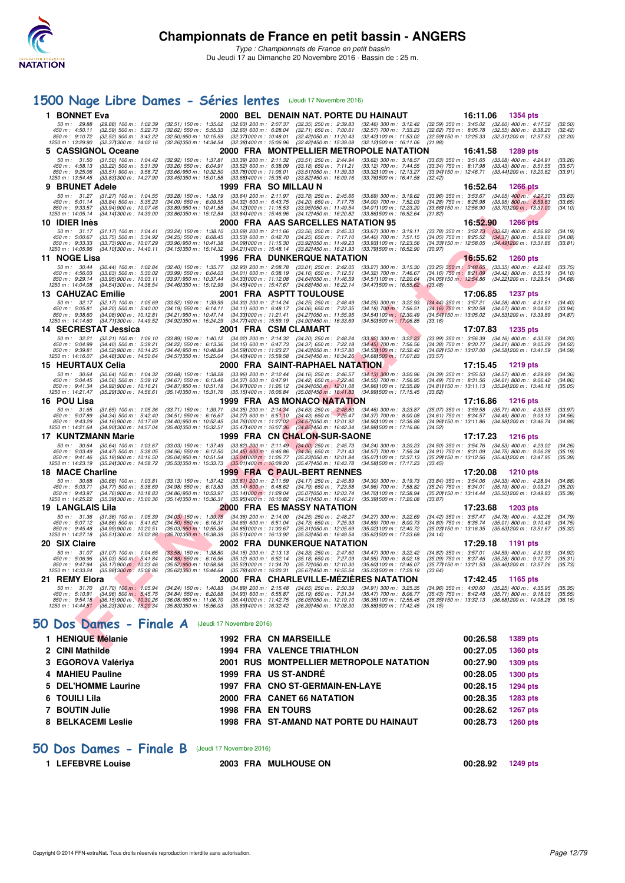

# **[1500 Nage Libre Dames - Séries lentes](http://www.ffnatation.fr/webffn/resultats.php?idact=nat&go=epr&idcpt=41163&idepr=6)** (Jeudi 17 Novembre 2016)

|   | 1 BONNET Eva                                                                |                                                                                                                           |                                                                                                                                       |                                                                                                                                  | 2000 BEL DENAIN NAT. PORTE DU HAINAUT                                                                                             |                                                                                                                | 16:11.06                                                          | 1354 pts                                                                                                                                                          |                               |
|---|-----------------------------------------------------------------------------|---------------------------------------------------------------------------------------------------------------------------|---------------------------------------------------------------------------------------------------------------------------------------|----------------------------------------------------------------------------------------------------------------------------------|-----------------------------------------------------------------------------------------------------------------------------------|----------------------------------------------------------------------------------------------------------------|-------------------------------------------------------------------|-------------------------------------------------------------------------------------------------------------------------------------------------------------------|-------------------------------|
|   | 50 m: 29.88<br>450 m: 4:50.11<br>850 m: 9:10.72<br>1250 m: 13:29.90         | $(29.88)$ 100 m : 1:02.39<br>$(32.59)$ 500 m : 5:22.73<br>$(32.52)$ 900 m : 9:43.22<br>$(32.371300 \text{ m} : 14.02.16)$ | (32.51) 150 m : 1:35.02 (32.63) 200 m : 2:07.37<br>$(32.62)$ 550 m : 5:55.33<br>$(32.50)$ 950 m : 10:15.59<br>(32.261350 m : 14:34.54 | $(32.60)$ 600 m : 6:28.04<br>$(32.37)000 \text{ m}$ : 10:48.01<br>$(32.38)400 \text{ m}$ : 15:06.96                              | $(32.35)$ 250 m : 2:39.83<br>$(32.71)$ 650 m : 7:00.61<br>(32.42) 050 m : 11:20.43<br>(32.42) 450 m : 15:39.08                    | $(32.46)$ 300 m : 3:12.42<br>$(32.57)$ 700 m : 7:33.23<br>(32.42) 100 m : 11:53.02<br>(32.121500 m: 16:11.06   | (31.98)                                                           | (32.59) 350 m: 3:45.02 (32.60) 400 m: 4:17.52 (32.50)<br>$(32.62)$ 750 m : 8:05.78 $(32.55)$ 800 m : 8:38.20<br>(32.59) 150 m : 12:25.33 (32.31) 200 m : 12:57.53 | (32.42)<br>(32.20)            |
|   | 5 CASSIGNOL Oceane                                                          |                                                                                                                           |                                                                                                                                       |                                                                                                                                  |                                                                                                                                   | 2000 FRA MONTPELLIER METROPOLE NATATION                                                                        | 16:41.58                                                          | 1289 pts                                                                                                                                                          |                               |
|   | 450 m: 4:58.13<br>850 m: 9:25.06<br>1250 m: 13:54.45                        | 50 m: 31.50 (31.50) 100 m: 1:04.42<br>$(33.22)$ 500 m : 5:31.39<br>$(33.51)$ 900 m : 9:58.72<br>(33.83) 300 m : 14:27.90  | $(32.92)$ 150 m : 1:37.81<br>$(33.26)$ 550 m : 6:04.91<br>$(33.66)$ 950 m : 10:32.50<br>$(33.45)350 \text{ m}$ : 15:01.58             | $(33.39)$ 200 m : 2:11.32<br>$(33.52)$ 600 m : 6:38.09<br>$(33.78)000 \text{ m}$ : 11:06.01<br>$(33.68)400 \text{ m}$ : 15:35.40 | $(33.51)$ 250 m : 2:44.94<br>$(33.18)$ 650 m : 7:11.21<br>(33.511050 m: 11:39.33<br>(33.82) 450 m : 16:09.16                      | $(33.62)$ 300 m : 3:18.57<br>$(33.12)$ 700 m : 7:44.55<br>(33.32) 100 m : 12:13.27<br>(33.76) 500 m : 16:41.58 | (33.94) 150 m : 12:46.71<br>(32.42)                               | (33.63) 350 m: 3:51.65 (33.08) 400 m: 4:24.91<br>$(33.34)$ 750 m $: 8.17.98$ $(33.43)$ 800 m $: 8.51.55$<br>(33.44) 200 m : 13:20.62                              | (33.26)<br>(33.57)<br>(33.91) |
| 9 | <b>BRUNET Adele</b>                                                         |                                                                                                                           |                                                                                                                                       | 1999 FRA SOMILLAUN                                                                                                               |                                                                                                                                   |                                                                                                                | 16:52.64                                                          | <b>1266 pts</b>                                                                                                                                                   |                               |
|   | $50 m$ : 31.27                                                              | $(31.27)$ 100 m : 1:04.55                                                                                                 | $(33.28)$ 150 m : 1:38.19                                                                                                             | $(33.64)$ 200 m : 2:11.97                                                                                                        | $(33.78)$ 250 m : 2:45.66                                                                                                         | $(33.69)$ 300 m : 3:19.62                                                                                      |                                                                   | $(33.96)$ 350 m : 3:53.67 $(34.05)$ 400 m : 4:27.30                                                                                                               | (33.63)                       |
|   | 450 m: 5:01.14<br>850 m: 9:33.57<br>1250 m: 14:05.14                        | $(33.84)$ 500 m : 5:35.23<br>$(33.94)$ 900 m : 10:07.46<br>(34.14) 300 m : 14:39.00                                       | $(34.09)$ 550 m : 6:09.55<br>$(33.89)$ 950 m : 10:41.58<br>(33.86) 350 m : 15:12.84                                                   | $(34.32)$ 600 m : 6:43.75<br>$(34.12)000 \text{ m}$ : 11:15.53<br>(33.841400 m : 15:46.96                                        | $(34.20)$ 650 m : 7:17.75<br>(33.95) 050 m: 11:49.54<br>(34.12) 450 m : 16:20.82                                                  | $(34.00)$ 700 m : 7:52.03<br>(34.01) 100 m : 12:23.20<br>(33.86) 500 m: 16:52.64                               | $(34.28)$ 750 m : 8:25.98<br>(33.66)150 m : 12.56.90<br>(31.82)   | $(33.95)$ 800 m : 8:59.63<br>(33.70) 200 m : 13:31.00                                                                                                             | (33.65)<br>(34.10)            |
|   | 10 IDIER Inès                                                               |                                                                                                                           |                                                                                                                                       |                                                                                                                                  | 2000 FRA AAS SARCELLES NATATION 95                                                                                                |                                                                                                                | 16:52.90                                                          | <b>1266 pts</b>                                                                                                                                                   |                               |
|   | 50 m: 31.17                                                                 | $(31.17)$ 100 m : 1:04.41                                                                                                 | (33.24) 150 m : 1:38.10                                                                                                               | $(33.69)$ 200 m : 2:11.66                                                                                                        | $(33.56)$ 250 m : 2:45.33                                                                                                         | $(33.67)$ 300 m : 3:19.11                                                                                      |                                                                   | $(33.78)$ 350 m : $3.52.73$ $(33.62)$ 400 m : $4.26.92$<br>$(34.05)$ 750 m : $8.25.52$ $(34.37)$ 800 m : $8.59.60$                                                | (34.19)                       |
|   | 450 m : 5:00.67<br>$850 \text{ m}$ : $9:33.33$<br>1250 m: 14:05.96          | $(33.75)$ 500 m : 5:34.92<br>(33.73) 900 m : 10:07.29<br>(34.10) 300 m : 14:40.11                                         | $(34.25)$ 550 m : 6:08.45<br>$(33.96)$ 950 m : 10:41.38<br>(34.15) 350 m : 15:14.32                                                   | $(33.53)$ 600 m : 6:42.70<br>$(34.091000 \text{ m} : 11.15.30)$<br>$(34.21)400 \text{ m}$ : 15:48.14                             | $(34.25)$ 650 m : 7:17.10<br>(33.92) 050 m: 11:49.23<br>(33.82) 450 m : 16:21.93                                                  | $(34.40)$ 700 m : 7:51.15<br>(33.93) 100 m : 12:23.56<br>(33.791500 m : 16:52.90                               | $(34.05)$ 750 m : 8:25.52<br>(30.97)                              | (34.33) 150 m : 12:58.05 (34.49) 200 m : 13:31.86                                                                                                                 | (34.08)<br>(33.81)            |
|   | 11 NOGE Lisa                                                                |                                                                                                                           |                                                                                                                                       |                                                                                                                                  | <b>1996 FRA DUNKERQUE NATATION</b>                                                                                                |                                                                                                                |                                                                   | 16:55.62<br>1260 pts                                                                                                                                              |                               |
|   | 50 m: 30.44<br>450 m : 4:56.03<br>850 m: 9:29.14<br>1250 m: 14:04.08        | $(30.44)$ 100 m : 1:02.84<br>$(33.63)$ 500 m : 5:30.02<br>$(33.95)$ 900 m : 10:03.11<br>(34.54) 300 m : 14:38.54          | $(32.40)$ 150 m : 1:35.77<br>$(33.99)$ 550 m : 6:04.03<br>(33.97) 950 m : 10:37.44<br>(34.46) 350 m : 15:12.99                        | $(32.93)$ 200 m : 2:08.78<br>$(34.01)$ 600 m : 6:38.19<br>$(34.33)000 \text{ m}$ : 11:12.08<br>(34.45) 400 m : 15:47.67          | $(33.01)$ 250 m : 2:42.05<br>(34.16) 650 m : 7:12.51<br>(34.64) 050 m: 11:46.59<br>(34.68) 450 m : 16:22.14                       | (33.27) 300 m : 3:15.30<br>$(34.32)$ 700 m : 7:46.67<br>(34.51) 100 m: 12:20.64<br>(34.47) 500 m : 16:55.62    | $(34.16)$ 750 m : 8:21.09<br>(33.48)                              | $(33.25)$ 350 m $: 3:48.65$ $(33.35)$ 400 m $: 4:22.40$<br>$(34.42)$ 800 m : 8:55.19<br>(34.05) 150 m: 12:54.86 (34.22) 200 m: 13:29.54                           | (33.75)<br>(34.10)<br>(34.68) |
|   | <b>13 CAHUZAC Emilie</b>                                                    |                                                                                                                           |                                                                                                                                       |                                                                                                                                  | 2001 FRA ASPTT TOULOUSE                                                                                                           |                                                                                                                | 17:06.85                                                          | <b>1237 pts</b>                                                                                                                                                   |                               |
|   | 50 m: 32.17<br>450 m: 5:05.81<br>850 m: 9:38.60<br>1250 m : 14:14.60        | $(32.17)$ 100 m : 1:05.69<br>$(34.20)$ 500 m : 5:40.00<br>$(34.08)$ 900 m : 10:12.81<br>(34.711300 m : 14:49.52)          | $(33.52)$ 150 m : 1:39.99<br>$(34.19)$ 550 m : 6:14.11<br>(34.21) 950 m : 10:47.14<br>(34.92) 350 m : 15:24.29                        | $(34.30)$ 200 m : 2:14.24<br>$(34.11)$ 600 m : 6:48.17<br>(34.33) 000 m: 11:21.41<br>(34.77) 400 m : 15:59.19                    | $(34.25)$ 250 m : 2:48.49<br>$(34.06)$ 650 m : 7:22.35<br>(34.27) 050 m : 11:55.95<br>(34.90) 450 m : 16:33.69                    | $(34.25)$ 300 m : 3:22.93<br>$(34.18)$ 700 m; 7:56.51<br>(34.54) 100 m : 12:30.49<br>(34.501500 m: 17:06.85)   | $(34.44)$ 350 m : 3:57.21<br>$(34.16)$ 750 m : 8:30.58<br>(33.16) | $(34.28)$ 400 m : 4:31.61<br>$(34.07)$ 800 m : 9:04.52<br>(34.54) 150 m : 13:05.02 (34.53) 200 m : 13:39.89                                                       | (34.40)<br>(33.94)<br>(34.87) |
|   | 14 SECRESTAT Jessica                                                        |                                                                                                                           |                                                                                                                                       | 2001 FRA CSM CLAMART                                                                                                             |                                                                                                                                   |                                                                                                                |                                                                   | 17:07.83<br>1235 pts                                                                                                                                              |                               |
|   | 50 m: 32.21<br>450 m: 5:04.99<br>850 m : 9:39.81<br>1250 m : 14:16.07       | $(32.21)$ 100 m : 1:06.10<br>$(34.40)$ 500 m : 5:39.21<br>(34.52) 900 m : 10:14.25<br>(34.48) 300 m : 14.50.64            | $(33.89)$ 150 m : 1:40.12<br>$(34.22)$ 550 m : 6:13.36<br>(34.44) 950 m : 10:48.84<br>(34.571350 m : 15:25.04                         | $(34.02)$ 200 m : 2:14.32<br>$(34.15)$ 600 m : 6:47.73<br>(34.591000 m: 11:23.27)<br>(34.40) 400 m : 15:59.58                    | $(34.20)$ 250 m : 2:48.24<br>$(34.37)$ 650 m : 7:22.18<br>(34.431050 m: 11:57.80<br>(34.54) 450 m : 16:34.26                      | $(33.92)$ 300 m : 3:22.23<br>$(34.45)$ 700 m : 7:56.56<br>(34.53) 100 m : 12:32.42<br>(34.68) 500 m: 17:07.83  | $(34.38)$ 750 m : 8:30.77<br>(33.57)                              | $(33.99)$ 350 m : 3:56.39 $(34.16)$ 400 m : 4:30.59<br>$(34.21)$ 800 m : 9:05.29<br>(34.62) 150 m : 13:07.00 (34.58) 200 m : 13:41.59                             | (34.20)<br>(34.52)<br>(34.59) |
|   |                                                                             |                                                                                                                           |                                                                                                                                       |                                                                                                                                  | 2000 FRA SAINT-RAPHAEL NATATION                                                                                                   |                                                                                                                |                                                                   |                                                                                                                                                                   |                               |
|   | 15 HEURTAUX Celia<br>$50 \text{ m}$ : $30.64$                               | $(30.64)$ 100 m : 1:04.32                                                                                                 | $(33.68)$ 150 m : 1:38.28                                                                                                             | $(33.96)$ 200 m : 2:12.44                                                                                                        | $(34.16)$ 250 m : 2:46.57                                                                                                         |                                                                                                                | 17:15.45                                                          | 1219 pts<br>$(34.39)$ 350 m : 3:55.53 $(34.57)$ 400 m : 4:29.89                                                                                                   |                               |
|   | 450 m : 5:04.45<br>850 m : 9:41.34<br>1250 m: 14:21.47                      | (34.56) 500 m : 5:39.12<br>$(34.92)$ 900 m : 10:16.21<br>(35.29) 300 m : 14:56.61                                         | $(34.67)$ 550 m : 6:13.49<br>$(34.87)$ 950 m : 10:51.18<br>(35.141350 m: 15:31.76)                                                    | $(34.37)$ 600 m : 6:47.91<br>(34.97) 000 m : 11:26.12<br>$(35.151400 \text{ m} : 16.06.84)$                                      | $(34.42)$ 650 m : 7:22.46<br>$(34.94)050 \text{ m}$ : 12:01.08<br>(35.08) 450 m : 16:41.83                                        | (34.13) 300 m : 3:20.96<br>(34.55) 700 m : 7:56.95<br>(34.96) 100 m : 12:35.89<br>(34.991500 m: 17:15.45)      | (33.62)                                                           | (34.49) 750 m : 8:31.56 (34.61) 800 m : 9:06.42<br>(34.81) 150 m: 13:11.13 (35.24) 200 m: 13:46.18                                                                | (34.36)<br>(34.86)<br>(35.05) |
|   | 16 POU Lisa                                                                 |                                                                                                                           |                                                                                                                                       |                                                                                                                                  | 1999 FRA AS MONACO NATATION                                                                                                       |                                                                                                                |                                                                   | 17:16.86 1216 pts                                                                                                                                                 |                               |
|   | 50 m: 31.65                                                                 | $(31.65)$ 100 m : 1:05.36                                                                                                 | $(33.71)$ 150 m : 1:39.71                                                                                                             | $(34.35)$ 200 m : 2:14.34                                                                                                        | $(34.63)$ 250 m : 2:48.80                                                                                                         | (34.46) 300 m : 3:23.87                                                                                        |                                                                   | $(35.07)$ 350 m : 3:59.58 $(35.71)$ 400 m : 4:33.55                                                                                                               | (33.97)                       |
|   | 450 m: 5:07.89<br>850 m : 9:43.29<br>1250 m: 14:21.64                       | $(34.34)$ 500 m : 5:42.40<br>$(34.16)$ 900 m : 10:17.69<br>(34.90) 300 m : 14:57.04                                       | $(34.51)$ 550 m : 6:16.67<br>(34.40) 950 m : 10:52.45<br>(35.401350 m : 15:32.51                                                      | $(34.27)$ 600 m : 6:51.10<br>(34.76) 000 m : 11:27.02<br>$(35.47)400 \text{ m}$ : 16:07.36                                       | $(34.43)$ 650 m : 7:25.47<br>(34.57) 050 m : 12:01.92<br>(34.85) 450 m : 16:42.34                                                 | $(34.37)$ 700 m : 8:00.08<br>(34.90) 100 m : 12:36.88<br>(34.98) 500 m : 17:16.86                              | (34.61) 750 m : 8:34.57<br>(34.96) 150 m : 13:11.86<br>(34.52)    | $(34.49)$ 800 m : 9:09.13<br>(34.98) 200 m : 13:46.74                                                                                                             | (34.56)<br>(34.88)            |
|   | 17 KUNTZMANN Marie                                                          |                                                                                                                           |                                                                                                                                       |                                                                                                                                  | 1999 FRA CN CHALON-SUR-SAONE                                                                                                      |                                                                                                                | 17:17.23                                                          | 1216 pts                                                                                                                                                          |                               |
|   | $50 m$ : $30.64$<br>450 m : 5:03.49<br>850 m : 9:41.46<br>1250 m : 14:23.19 | $(30.64)$ 100 m : 1:03.67<br>$(34.47)$ 500 m : 5:38.05<br>$(35.18)900 \text{ m}$ : 10:16.50<br>(35.241300 m : 14:58.72    | $(33.03)$ 150 m : 1:37.49<br>$(34.56)$ 550 m : 6:12.50<br>(35.04) 950 m : 10:51.54<br>(35.53) 350 m : 15:33.73                        | $(34.45)$ 600 m : 6:46.86<br>(35.041000 m: 11.26.77)<br>$(35.01)400 \text{ m}$ : 16:09.20                                        | (33.82) 200 m: 2:11.49 (34.00) 250 m: 2:45.73<br>$(34.36)$ 650 m : 7:21.43<br>(35.23) 050 m: 12:01.84<br>(35.47) 450 m : 16:43.78 | (34.24) 300 m : 3:20.23<br>$(34.57)$ 700 m : 7:56.34<br>(35.07) 100 m : 12:37.13<br>(34.58) 500 m : 17:17.23   | (33.45)                                                           | $(34.50)$ 350 m : 3:54.76 $(34.53)$ 400 m : 4:29.02<br>$(34.91)$ 750 m : 8:31.09 $(34.75)$ 800 m : 9:06.28<br>(35.29) 150 m : 13:12.56 (35.43) 200 m : 13:47.95   | (34.26)<br>(35.19)<br>(35.39) |
|   | <b>18 MACE Charline</b>                                                     |                                                                                                                           |                                                                                                                                       |                                                                                                                                  | 1999 FRA C PAUL-BERT RENNES                                                                                                       |                                                                                                                | 17:20.08                                                          | 1210 pts                                                                                                                                                          |                               |
|   | 50 m : 30.68<br>450 m : 5:03.71<br>850 m: 9:43.97<br>1250 m: 14:25.22       | $(30.68)$ 100 m : 1:03.81<br>$(34.77)$ 500 m : 5:38.69<br>$(34.76)900 \text{ m}$ : 10:18.83<br>(35.391300 m : 15:00.36    | $(33.13)$ 150 m : 1:37.42<br>$(34.98)$ 550 m : 6:13.83<br>$(34.86)$ 950 m : 10:53.97<br>(35.141350 m: 15:36.31                        | $(33.61)$ 200 m : 2:11.59<br>$(35.14)$ 600 m : 6:48.62<br>(35.141000 m : 11:29.04<br>(35.951400 m : 16:10.82                     | $(34.17)$ 250 m : 2:45.89<br>$(34.79)$ 650 m : 7:23.58<br>(35.07) 050 m : 12:03.74<br>(34.511450 m: 16:46.21                      | (34.30) 300 m : 3:19.73<br>(34.96) 700 m : 7:58.82<br>(34.70) 100 m : 12:38.94<br>(35.39) 500 m : 17:20.08     | (35.24) 750 m : 8:34.01<br>(33.87)                                | $(33.84)$ 350 m : 3:54.06 $(34.33)$ 400 m : 4:28.94<br>$(35.19)$ 800 m : 9:09.21<br>(35.20) 150 m : 13:14.44 (35.50) 200 m : 13:49.83                             | (34.88)<br>(35.20)<br>(35.39) |
|   | <b>19 LANGLAIS Lila</b>                                                     |                                                                                                                           |                                                                                                                                       |                                                                                                                                  | 2000 FRA ES MASSY NATATION                                                                                                        |                                                                                                                | 17:23.68                                                          | 1203 pts                                                                                                                                                          |                               |
|   | 50 m: 31.36                                                                 | $(31.36)$ 100 m : 1:05.39                                                                                                 | $(34.03)$ 150 m : 1:39.75                                                                                                             | $(34.36)$ 200 m : 2:14.00                                                                                                        | $(34.25)$ 250 m : 2:48.27                                                                                                         | $(34.27)$ 300 m : 3:22.69                                                                                      |                                                                   | (34.42) 350 m : 3:57.47 (34.78) 400 m : 4:32.26                                                                                                                   | (34.79)                       |
|   | 450 m: 5:07.12<br>850 m: 9:45.48<br>1250 m : 14:27.18                       | (34.86) 500 m : 5:41.62<br>$(34.99)$ 900 m : 10:20.51<br>(35.51) 300 m : 15:02.88                                         | $(34.50)$ 550 m : 6:16.31<br>$(35.03)$ 950 m : 10:55.36<br>(35.701350 m : 15:38.39)                                                   | $(34.69)$ 600 m : 6:51.04<br>(34.85) 000 m : 11:30.67<br>$(35.51)400 \text{ m}$ : 16:13.92                                       | $(34.73)$ 650 m : 7:25.93<br>(35.311050 m: 12:05.69<br>(35.53) 450 m : 16:49.54                                                   | $(34.89)$ 700 m : 8:00.73<br>(35.02) 100 m : 12:40.72<br>(35.62) 500 m : 17:23.68                              | (34.14)                                                           | $(34.80)$ 750 m : 8:35.74 $(35.01)$ 800 m : 9:10.49<br>(35.03) 150 m: 13:16.35 (35.63) 200 m: 13:51.67                                                            | (34.75)<br>(35.32)            |
|   | 20 SIX Claire                                                               |                                                                                                                           |                                                                                                                                       |                                                                                                                                  | 2002 FRA DUNKERQUE NATATION                                                                                                       |                                                                                                                | 17:29.18                                                          | 1191 pts                                                                                                                                                          |                               |
|   | 50 m: 31.07<br>450 m : 5:06.96<br>850 m: 9:47.94                            | $(31.07)$ 100 m : 1:04.65<br>$(35.03)$ 500 m : 5:41.84<br>$(35.17)900 \text{ m}$ : 10:23.46                               | $(33.58)$ 150 m : 1:38.80<br>$(34.88)$ 550 m : 6:16.96<br>(35.52) 950 m : 10:58.98                                                    | $(34.15)$ 200 m : 2:13.13<br>$(35.12)$ 600 m : 6:52.14<br>(35.52) 000 m: 11:34.70                                                | $(34.33)$ 250 m : 2:47.60<br>$(35.18)$ 650 m : 7:27.09<br>(35.72) 050 m: 12:10.30                                                 | (34.47) 300 m : 3:22.42<br>$(34.95)$ 700 m : 8:02.18<br>(35.60) 100 m : 12:46.07                               |                                                                   | $(34.82)$ 350 m : 3:57.01 $(34.59)$ 400 m : 4:31.93<br>(35.09) 750 m : 8:37.46 (35.28) 800 m : 9:12.77<br>(35.77) 150 m : 13:21.53 (35.46) 200 m : 13:57.26       | (34.92)<br>(35.31)<br>(35.73) |
|   | 1250 m: 14:33.24                                                            | (35.98) 300 m / 15:08.86                                                                                                  | (35.62) 350 m : 15:44.64                                                                                                              | (35.78) 400 m : 16:20.31                                                                                                         | (35.67) 450 m : 16:55.54                                                                                                          | (35.231500 m: 17:29.18                                                                                         | (33.64)                                                           |                                                                                                                                                                   |                               |
|   | 21 REMY Elora<br>50 m: 31.70                                                | $(31.70)$ 100 m : 1:05.94                                                                                                 | (34.24) 150 m : 1:40.83 (34.89) 200 m : 2:15.48                                                                                       |                                                                                                                                  | 2000 FRA CHARLEVILLE-MEZIERES NATATION<br>$(34.65)$ 250 m : 2:50.39                                                               | (34.91) 300 m : 3:25.35                                                                                        | 17:42.45                                                          | 1165 pts<br>$(34.96)$ 350 m : $4:00.60$ $(35.25)$ 400 m : $4:35.95$                                                                                               | (35.35)                       |
|   | 450 m: 5:10.91<br>850 m: 9:54.18                                            | (34.96) 500 m : 5.45.75<br>$(36.15)900 \text{ m}$ : 10:30.26<br>1250 m: 14:44.51 (36.23) 300 m: 15:20.34                  | $(34.84)$ 550 m : 6:20.68<br>$(36.08)$ 950 m : 11:06.70<br>(35.83)350 m : 15.56.03                                                    | $(34.93)$ 600 m : 6:55.87<br>(36.44) 000 m: 11:42.75<br>(35.69) 400 m : 16:32.42                                                 | $(35.19)$ 650 m : 7:31.34<br>(36.05) 050 m: 12:19.10<br>(36.39) 450 m : 17:08.30                                                  | $(35.47)$ 700 m : 8:06.77<br>(36.35) 100 m : 12:55.45<br>(35.88) 500 m : 17:42.45                              | (34.15)                                                           | (35.43) 750 m : 8:42.48 (35.71) 800 m : 9:18.03<br>(36.35) 150 m: 13:32.13 (36.68) 200 m: 14:08.28                                                                | (35.55)<br>(36.15)            |
|   |                                                                             | <b>iO Dos Dames - Finale A</b> (Jeudi 17 Novembre 2016)                                                                   |                                                                                                                                       |                                                                                                                                  |                                                                                                                                   |                                                                                                                |                                                                   |                                                                                                                                                                   |                               |
|   | 1 HENIQUE Mélanie                                                           |                                                                                                                           |                                                                                                                                       | 1992 FRA CN MARSEILLE                                                                                                            |                                                                                                                                   |                                                                                                                |                                                                   | 00:26.58<br>1389 pts                                                                                                                                              |                               |
|   | <b>O. OBJEMALISM</b>                                                        |                                                                                                                           |                                                                                                                                       |                                                                                                                                  | <b>4004 FBA VALENOE TRIATULON</b>                                                                                                 |                                                                                                                |                                                                   | $00.0705 - 4000 + 4$                                                                                                                                              |                               |

# **[50 Dos Dames - Finale A](http://www.ffnatation.fr/webffn/resultats.php?idact=nat&go=epr&idcpt=41163&idepr=11)** (Jeudi 17 Novembre 2016)

| 1 HENIQUE Mélanie   |  | <b>1992 FRA CN MARSEILLE</b>                   | 00:26.58 | 1389 pts        |
|---------------------|--|------------------------------------------------|----------|-----------------|
| 2 CINI Mathilde     |  | <b>1994 FRA VALENCE TRIATHLON</b>              | 00:27.05 | <b>1360 pts</b> |
| 3 EGOROVA Valériya  |  | <b>2001 RUS MONTPELLIER METROPOLE NATATION</b> | 00:27.90 | 1309 pts        |
| 4 MAHIEU Pauline    |  | 1999 FRA US ST-ANDRÉ                           | 00:28.05 | <b>1300 pts</b> |
| 5 DEL'HOMME Laurine |  | 1997 FRA CNO ST-GERMAIN-EN-LAYE                | 00:28.15 | 1294 pts        |
| 6 TOUILI Lila       |  | 2000 FRA CANET 66 NATATION                     | 00:28.35 | 1283 pts        |
| 7 BOUTIN Julie      |  | <b>1998 FRA EN TOURS</b>                       | 00:28.62 | <b>1267 pts</b> |
| 8 BELKACEMI Leslie  |  | <b>1998 FRA ST-AMAND NAT PORTE DU HAINAUT</b>  | 00:28.73 | <b>1260 pts</b> |
|                     |  |                                                |          |                 |

### **[50 Dos Dames - Finale B](http://www.ffnatation.fr/webffn/resultats.php?idact=nat&go=epr&idcpt=41163&idepr=11)** (Jeudi 17 Novembre 2016)

**1 LEFEBVRE Louise 2003 FRA MULHOUSE ON 00:28.92 1249 pts**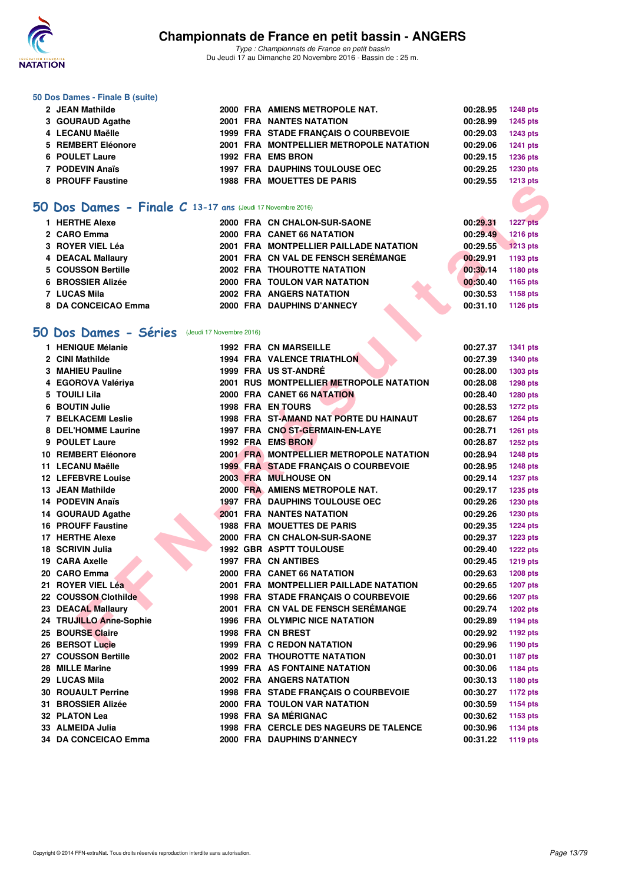

*Type : Championnats de France en petit bassin* Du Jeudi 17 au Dimanche 20 Novembre 2016 - Bassin de : 25 m.

#### **50 Dos Dames - Finale B (suite)**

| 2 JEAN Mathilde    |  | 2000 FRA AMIENS METROPOLE NAT.          | 00:28.95 | 1248 pts        |
|--------------------|--|-----------------------------------------|----------|-----------------|
| 3 GOURAUD Agathe   |  | <b>2001 FRA NANTES NATATION</b>         | 00:28.99 | <b>1245 pts</b> |
| 4 LECANU Maëlle    |  | 1999 FRA STADE FRANCAIS O COURBEVOIE    | 00:29.03 | 1243 pts        |
| 5 REMBERT Eléonore |  | 2001 FRA MONTPELLIER METROPOLE NATATION | 00:29.06 | 1241 pts        |
| 6 POULET Laure     |  | 1992 FRA EMS BRON                       | 00:29.15 | <b>1236 pts</b> |
| 7 PODEVIN Anaïs    |  | <b>1997 FRA DAUPHINS TOULOUSE OEC</b>   | 00:29.25 | 1230 pts        |
| 8 PROUFF Faustine  |  | <b>1988 FRA MOUETTES DE PARIS</b>       | 00:29.55 | 1213 pts        |

## **[50 Dos Dames - Finale C](http://www.ffnatation.fr/webffn/resultats.php?idact=nat&go=epr&idcpt=41163&idepr=11) 13-17 ans** (Jeudi 17 Novembre 2016)

| 1 HERTHE Alexe      |  | 2000 FRA CN CHALON-SUR-SAONE           | 00:29.31 | <b>1227 pts</b> |
|---------------------|--|----------------------------------------|----------|-----------------|
| 2 CARO Emma         |  | 2000 FRA CANET 66 NATATION             | 00:29.49 | <b>1216 pts</b> |
| 3 ROYER VIEL Léa    |  | 2001 FRA MONTPELLIER PAILLADE NATATION | 00:29.55 | <b>1213 pts</b> |
| 4 DEACAL Mallaury   |  | 2001 FRA CN VAL DE FENSCH SERÉMANGE    | 00:29.91 | 1193 pts        |
| 5 COUSSON Bertille  |  | <b>2002 FRA THOUROTTE NATATION</b>     | 00:30.14 | 1180 pts        |
| 6 BROSSIER Alizée   |  | 2000 FRA TOULON VAR NATATION           | 00:30.40 | 1165 pts        |
| <b>7 LUCAS Mila</b> |  | <b>2002 FRA ANGERS NATATION</b>        | 00:30.53 | 1158 pts        |
| 8 DA CONCEICAO Emma |  | 2000 FRA DAUPHINS D'ANNECY             | 00:31.10 | 1126 pts        |

### **[50 Dos Dames - Séries](http://www.ffnatation.fr/webffn/resultats.php?idact=nat&go=epr&idcpt=41163&idepr=11)** (Jeudi 17 Novembre 2016)

|                                                           |  |                                         |          | 1413 pm         |
|-----------------------------------------------------------|--|-----------------------------------------|----------|-----------------|
|                                                           |  |                                         |          |                 |
| O Dos Dames - Finale C 13-17 ans (Jeudi 17 Novembre 2016) |  |                                         |          |                 |
| 1 HERTHE Alexe                                            |  | 2000 FRA CN CHALON-SUR-SAONE            | 00:29.31 | <b>1227 pts</b> |
| 2 CARO Emma                                               |  | 2000 FRA CANET 66 NATATION              | 00:29.49 | <b>1216 pts</b> |
| 3 ROYER VIEL Léa                                          |  | 2001 FRA MONTPELLIER PAILLADE NATATION  | 00:29.55 | 1213 pts        |
| <b>4 DEACAL Mallaury</b>                                  |  | 2001 FRA CN VAL DE FENSCH SEREMANGE     | 00:29.91 | 1193 pts        |
| 5 COUSSON Bertille                                        |  | <b>2002 FRA THOUROTTE NATATION</b>      | 00:30.14 | 1180 pts        |
| <b>6 BROSSIER Alizée</b>                                  |  | <b>2000 FRA TOULON VAR NATATION</b>     | 00:30.40 | 1165 pts        |
| <b>7 LUCAS Mila</b>                                       |  | <b>2002 FRA ANGERS NATATION</b>         | 00:30.53 | 1158 pts        |
| 8 DA CONCEICAO Emma                                       |  | 2000 FRA DAUPHINS D'ANNECY              | 00:31.10 | 1126 pts        |
|                                                           |  |                                         |          |                 |
| O Dos Dames - Séries (Jeudi 17 Novembre 2016)             |  |                                         |          |                 |
| 1 HENIQUE Mélanie                                         |  | <b>1992 FRA CN MARSEILLE</b>            | 00:27.37 | <b>1341 pts</b> |
| 2 CINI Mathilde                                           |  | <b>1994 FRA VALENCE TRIATHLON</b>       | 00:27.39 | 1340 pts        |
| 3 MAHIEU Pauline                                          |  | 1999 FRA US ST-ANDRÉ                    | 00:28.00 | 1303 pts        |
| 4 EGOROVA Valériya                                        |  | 2001 RUS MONTPELLIER METROPOLE NATATION | 00:28.08 | <b>1298 pts</b> |
| 5 TOUILI Lila                                             |  | <b>2000 FRA CANET 66 NATATION</b>       | 00:28.40 | 1280 pts        |
| 6 BOUTIN Julie                                            |  | <b>1998 FRA EN TOURS</b>                | 00:28.53 | <b>1272 pts</b> |
| <b>7 BELKACEMI Leslie</b>                                 |  | 1998 FRA ST-AMAND NAT PORTE DU HAINAUT  | 00:28.67 | <b>1264 pts</b> |
| 8 DEL'HOMME Laurine                                       |  | 1997 FRA CNO ST-GERMAIN-EN-LAYE         | 00:28.71 | 1261 pts        |
| 9 POULET Laure                                            |  | 1992 FRA EMS BRON                       | 00:28.87 | 1252 pts        |
| 10 REMBERT Eléonore                                       |  | 2001 FRA MONTPELLIER METROPOLE NATATION | 00:28.94 | <b>1248 pts</b> |
| 11 LECANU Maëlle                                          |  | 1999 FRA STADE FRANÇAIS O COURBEVOIE    | 00:28.95 | <b>1248 pts</b> |
| 12 LEFEBVRE Louise                                        |  | 2003 FRA MULHOUSE ON                    | 00:29.14 | <b>1237 pts</b> |
| 13 JEAN Mathilde                                          |  | 2000 FRA AMIENS METROPOLE NAT.          | 00:29.17 | 1235 pts        |
| 14 PODEVIN Anaïs                                          |  | <b>1997 FRA DAUPHINS TOULOUSE OEC</b>   | 00:29.26 | 1230 pts        |
| 14 GOURAUD Agathe                                         |  | <b>2001 FRA NANTES NATATION</b>         | 00:29.26 | 1230 pts        |
| <b>16 PROUFF Faustine</b>                                 |  | <b>1988 FRA MOUETTES DE PARIS</b>       | 00:29.35 | <b>1224 pts</b> |
| 17 HERTHE Alexe                                           |  | 2000 FRA CN CHALON-SUR-SAONE            | 00:29.37 | 1223 pts        |
| 18 SCRIVIN Julia                                          |  | <b>1992 GBR ASPTT TOULOUSE</b>          | 00:29.40 |                 |
| 19 CARA Axelle                                            |  | <b>1997 FRA CN ANTIBES</b>              | 00:29.45 | <b>1222 pts</b> |
|                                                           |  |                                         |          | 1219 pts        |
| 20 CARO Emma                                              |  | 2000 FRA CANET 66 NATATION              | 00:29.63 | <b>1208 pts</b> |
| 21 ROYER VIEL Léa                                         |  | 2001 FRA MONTPELLIER PAILLADE NATATION  | 00:29.65 | <b>1207 pts</b> |
| 22 COUSSON Clothilde                                      |  | 1998 FRA STADE FRANÇAIS O COURBEVOIE    | 00:29.66 | <b>1207 pts</b> |
| 23 DEACAL Mallaury                                        |  | 2001 FRA CN VAL DE FENSCH SEREMANGE     | 00:29.74 | <b>1202 pts</b> |
| 24 TRUJILLO Anne-Sophie                                   |  | <b>1996 FRA OLYMPIC NICE NATATION</b>   | 00:29.89 | 1194 pts        |
| 25 BOURSE Claire                                          |  | 1998 FRA CN BREST                       | 00:29.92 | 1192 pts        |
| 26 BERSOT Lucie                                           |  | <b>1999 FRA C REDON NATATION</b>        | 00:29.96 | 1190 pts        |
| 27 COUSSON Bertille                                       |  | <b>2002 FRA THOUROTTE NATATION</b>      | 00:30.01 | 1187 pts        |
| 28 MILLE Marine                                           |  | <b>1999 FRA AS FONTAINE NATATION</b>    | 00:30.06 | <b>1184 pts</b> |
| 29 LUCAS Mila                                             |  | 2002 FRA ANGERS NATATION                | 00:30.13 | 1180 pts        |
| <b>30 ROUAULT Perrine</b>                                 |  | 1998 FRA STADE FRANÇAIS O COURBEVOIE    | 00:30.27 | 1172 pts        |
| 31 BROSSIER Alizée                                        |  | 2000 FRA TOULON VAR NATATION            | 00:30.59 | 1154 pts        |
| 32 PLATON Lea                                             |  | 1998 FRA SA MÉRIGNAC                    | 00:30.62 | 1153 pts        |
| 33 ALMEIDA Julia                                          |  | 1998 FRA CERCLE DES NAGEURS DE TALENCE  | 00:30.96 | 1134 pts        |
| 34 DA CONCEICAO Emma                                      |  | 2000 FRA DAUPHINS D'ANNECY              | 00:31.22 | <b>1119 pts</b> |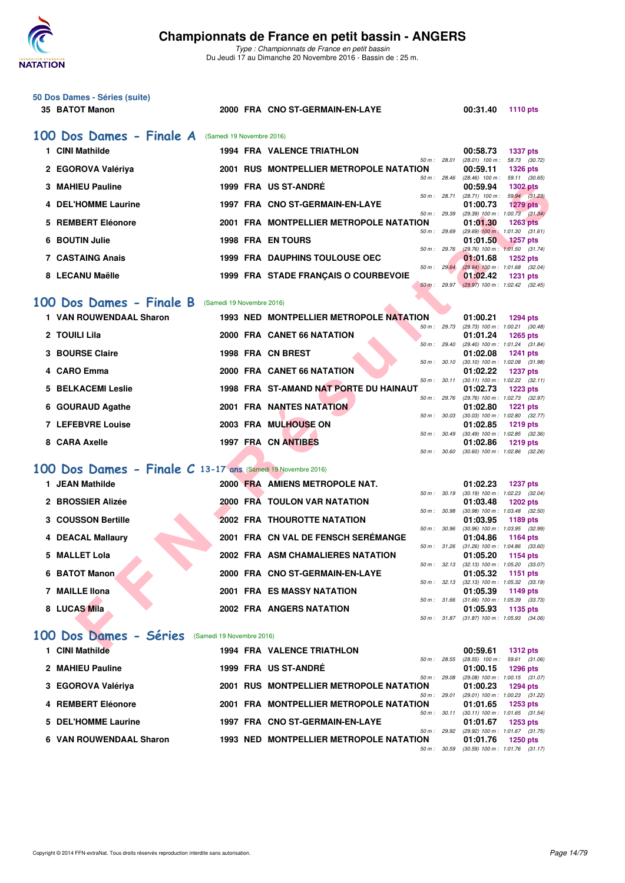

*Type : Championnats de France en petit bassin* Du Jeudi 17 au Dimanche 20 Novembre 2016 - Bassin de : 25 m.

| 50 Dos Dames - Séries (suite)<br>35 BATOT Manon              |                           | 2000 FRA CNO ST-GERMAIN-EN-LAYE                               |              | 00:31.40<br><b>1110 pts</b>                                          |
|--------------------------------------------------------------|---------------------------|---------------------------------------------------------------|--------------|----------------------------------------------------------------------|
| 100 Dos Dames - Finale A                                     | (Samedi 19 Novembre 2016) |                                                               |              |                                                                      |
| 1 CINI Mathilde                                              |                           | <b>1994 FRA VALENCE TRIATHLON</b>                             |              | 00:58.73<br><b>1337 pts</b>                                          |
| 2 EGOROVA Valériya                                           |                           | 50 m: 28.01<br>2001 RUS MONTPELLIER METROPOLE NATATION        |              | (28.01) 100 m: 58.73 (30.72)<br>00:59.11<br><b>1326 pts</b>          |
| <b>3 MAHIEU Pauline</b>                                      |                           | 50 m: 28.46<br>1999 FRA US ST-ANDRE                           |              | $(28.46)$ 100 m : 59.11 $(30.65)$<br>00:59.94<br><b>1302 pts</b>     |
| 4 DEL'HOMME Laurine                                          |                           | 50 m : 28.71<br>1997 FRA CNO ST-GERMAIN-EN-LAYE               |              | $(28.71)$ 100 m : 59.94 (31.23)<br>01:00.73<br>1279 pts              |
| 5 REMBERT Eléonore                                           |                           | 50 m : 29.39<br>2001 FRA MONTPELLIER METROPOLE NATATION       |              | $(29.39)$ 100 m : 1:00.73 $(31.34)$<br>01:01.30<br><b>1263 pts</b>   |
| 6 BOUTIN Julie                                               |                           | 50 m: 29.69<br><b>1998 FRA EN TOURS</b>                       |              | $(29.69)$ 100 m : 1:01.30 $(31.61)$<br>01:01.50<br><b>1257 pts</b>   |
| <b>7 CASTAING Anais</b>                                      |                           | 50 m: 29.76<br><b>1999 FRA DAUPHINS TOULOUSE OEC</b>          |              | $(29.76)$ 100 m : 1:01.50 $(31.74)$<br>01:01.68<br><b>1252 pts</b>   |
| 8 LECANU Maëlle                                              |                           | 50 m: 29.64<br>1999 FRA STADE FRANÇAIS O COURBEVOIE           |              | $(29.64)$ 100 m : 1:01.68 $(32.04)$<br>01:02.42<br><b>1231 pts</b>   |
|                                                              |                           | 50 m: 29.97                                                   |              | $(29.97)$ 100 m : 1:02.42 $(32.45)$                                  |
| 100 Dos Dames - Finale B                                     | (Samedi 19 Novembre 2016) |                                                               |              |                                                                      |
| 1 VAN ROUWENDAAL Sharon                                      |                           | 1993 NED MONTPELLIER METROPOLE NATATION<br>50 m: 29.73        |              | 01:00.21<br><b>1294 pts</b><br>(29.73) 100 m: 1:00.21 (30.48)        |
| 2 TOUILI Lila                                                |                           | 2000 FRA CANET 66 NATATION<br>50 m: 29.40                     |              | 01:01.24<br><b>1265 pts</b><br>(29.40) 100 m: 1:01.24 (31.84)        |
| 3 BOURSE Claire                                              |                           | 1998 FRA CN BREST<br>50 m: 30.10                              |              | 01:02.08<br><b>1241 pts</b><br>$(30.10)$ 100 m : 1:02.08 $(31.98)$   |
| 4 CARO Emma                                                  |                           | 2000 FRA CANET 66 NATATION<br>50 m: 30.11                     |              | 01:02.22<br><b>1237 pts</b><br>$(30.11)$ 100 m : 1:02.22 $(32.11)$   |
| 5 BELKACEMI Leslie                                           |                           | 1998 FRA ST-AMAND NAT PORTE DU HAINAUT<br>50 m: 29.76         |              | 01:02.73<br><b>1223 pts</b>                                          |
| 6 GOURAUD Agathe                                             |                           | <b>2001 FRA NANTES NATATION</b>                               |              | (29.76) 100 m : 1:02.73 (32.97)<br>01:02.80<br><b>1221 pts</b>       |
| 7 LEFEBVRE Louise                                            |                           | 50 m : 30.03<br>2003 FRA MULHOUSE ON                          |              | $(30.03)$ 100 m : 1:02.80 $(32.77)$<br>01:02.85<br><b>1219 pts</b>   |
| 8 CARA Axelle                                                |                           | 50 m: 30.49<br>1997 FRA CN ANTIBES                            |              | $(30.49)$ 100 m : 1:02.85 $(32.36)$<br>01:02.86<br><b>1219 pts</b>   |
|                                                              |                           | 50 m: 30.60                                                   |              | $(30.60)$ 100 m : 1:02.86 $(32.26)$                                  |
| 100 Dos Dames - Finale C 13-17 ans (Samedi 19 Novembre 2016) |                           |                                                               |              |                                                                      |
| 1 JEAN Mathilde                                              |                           | 2000 FRA AMIENS METROPOLE NAT.<br>50 m: 30.19                 |              | 01:02.23<br><b>1237 pts</b><br>$(30.19)$ 100 m : 1:02.23 $(32.04)$   |
| 2 BROSSIER Alizée                                            |                           | <b>2000 FRA TOULON VAR NATATION</b><br>50 m: 30.98            |              | 01:03.48<br><b>1202 pts</b><br>$(30.98)$ 100 m : 1:03.48 $(32.50)$   |
| 3 COUSSON Bertille                                           |                           | <b>2002 FRA THOUROTTE NATATION</b><br>50 m : 30.96            |              | 01:03.95<br>1189 pts<br>$(30.96)$ 100 m : 1:03.95 $(32.99)$          |
| 4 DEACAL Mallaury                                            |                           | 2001 FRA CN VAL DE FENSCH SEREMANGE<br>50 m : 31.26           |              | 01:04.86<br>1164 pts<br>$(31.26)$ 100 m : 1:04.86 $(33.60)$          |
| 5 MALLET Lola                                                |                           | 2002 FRA ASM CHAMALIERES NATATION                             |              | 01:05.20<br>1154 pts<br>50 m : 32.13 (32.13) 100 m : 1:05.20 (33.07) |
| 6 BATOT Manon                                                |                           | 2000 FRA CNO ST-GERMAIN-EN-LAYE                               |              | 01:05.32<br>1151 pts<br>50 m: 32.13 (32.13) 100 m: 1:05.32 (33.19)   |
| 7 MAILLE Ilona                                               |                           | <b>2001 FRA ES MASSY NATATION</b>                             |              | 01:05.39<br>1149 pts<br>50 m: 31.66 (31.66) 100 m: 1:05.39 (33.73)   |
| 8 LUCAS Mila                                                 |                           | <b>2002 FRA ANGERS NATATION</b>                               |              | 01:05.93<br>1135 pts<br>50 m: 31.87 (31.87) 100 m: 1:05.93 (34.06)   |
| 100 Dos Dames - Séries                                       | (Samedi 19 Novembre 2016) |                                                               |              |                                                                      |
| 1 CINI Mathilde                                              |                           | <b>1994 FRA VALENCE TRIATHLON</b>                             |              | 00:59.61<br><b>1312 pts</b>                                          |
| 2 MAHIEU Pauline                                             |                           | 1999 FRA US ST-ANDRÉ                                          | 50 m : 28.55 | $(28.55)$ 100 m : 59.61 $(31.06)$<br>01:00.15<br><b>1296 pts</b>     |
| 3 EGOROVA Valériya                                           |                           | 50 m: 29.08<br><b>2001 RUS MONTPELLIER METROPOLE NATATION</b> |              | (29.08) 100 m: 1:00.15 (31.07)<br>01:00.23<br><b>1294 pts</b>        |
| 4 REMBERT Eléonore                                           |                           | 50 m : 29.01<br>2001 FRA MONTPELLIER METROPOLE NATATION       |              | (29.01) 100 m: 1:00.23 (31.22)<br>01:01.65<br><b>1253 pts</b>        |
| 5 DEL'HOMME Laurine                                          |                           | 1997 FRA CNO ST-GERMAIN-EN-LAYE                               | 50 m: 30.11  | $(30.11)$ 100 m : 1:01.65 $(31.54)$<br>01:01.67<br>1253 pts          |
| 6 VAN ROUWENDAAL Sharon                                      |                           | 1993 NED MONTPELLIER METROPOLE NATATION                       | 50 m : 29.92 | (29.92) 100 m: 1:01.67 (31.75)<br>01:01.76                           |
|                                                              |                           |                                                               | 50 m : 30.59 | <b>1250 pts</b><br>$(30.59)$ 100 m : 1:01.76 $(31.17)$               |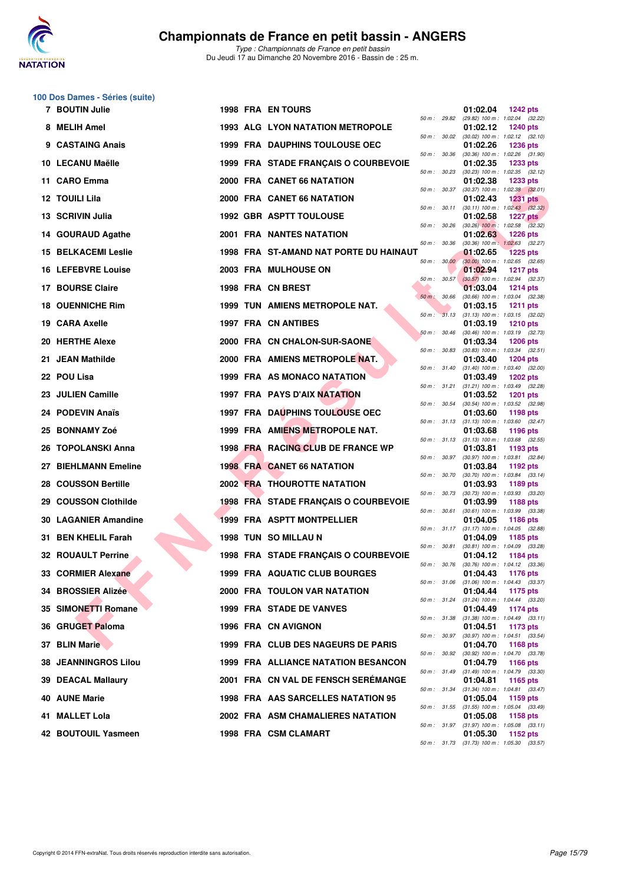

*Type : Championnats de France en petit bassin* Du Jeudi 17 au Dimanche 20 Novembre 2016 - Bassin de : 25 m.

# **100 Dos Dames - Séries (suite)**

|     | 7 BOUTIN Julie              |  | <b>1998 FRA ENTOURS</b>                 |              |                  | 01:02.04                                               | <b>1242 pts</b> |  |
|-----|-----------------------------|--|-----------------------------------------|--------------|------------------|--------------------------------------------------------|-----------------|--|
|     | 8 MELIH Amel                |  | <b>1993 ALG LYON NATATION METROPOLE</b> | 50 m : 29.82 |                  | (29.82) 100 m : 1:02.04 (32.22)<br>01:02.12            | <b>1240 pts</b> |  |
|     | 9 CASTAING Anais            |  | <b>1999 FRA DAUPHINS TOULOUSE OEC</b>   |              | 50 m : 30.02     | $(30.02)$ 100 m : 1:02.12 $(32.10)$<br>01:02.26        | <b>1236 pts</b> |  |
|     | 10 LECANU Maëlle            |  | 1999 FRA STADE FRANÇAIS O COURBEVOIE    | 50 m : 30.36 |                  | $(30.36)$ 100 m : 1:02.26 $(31.90)$<br>01:02.35        | 1233 pts        |  |
|     | 11 CARO Emma                |  | 2000 FRA CANET 66 NATATION              |              | 50 m : 30.23     | $(30.23)$ 100 m : 1:02.35 $(32.12)$<br>01:02.38        | <b>1233 pts</b> |  |
|     | 12 TOUILI Lila              |  | 2000 FRA CANET 66 NATATION              |              | 50 m : 30.37     | $(30.37)$ 100 m : 1:02.38 $(32.01)$<br>01:02.43        | <b>1231 pts</b> |  |
|     | 13 SCRIVIN Julia            |  | <b>1992 GBR ASPTT TOULOUSE</b>          | 50 m : 30.11 |                  | $(30.11)$ 100 m : 1:02.43 $(32.32)$<br>01:02.58        | <b>1227 pts</b> |  |
|     | 14 GOURAUD Agathe           |  | 2001 FRA NANTES NATATION                | 50 m: 30.26  |                  | $(30.26)$ 100 m : 1:02.58 $(32.32)$<br>01:02.63        | <b>1226 pts</b> |  |
|     | <b>15 BELKACEMI Leslie</b>  |  | 1998 FRA ST-AMAND NAT PORTE DU HAINAUT  | 50 m: 30.36  |                  | $(30.36)$ 100 m : 1:02.63 $(32.27)$<br>01:02.65        | <b>1225 pts</b> |  |
|     | <b>16 LEFEBVRE Louise</b>   |  | 2003 FRA MULHOUSE ON                    |              | 50 m: 30.00      | $(30.00)$ 100 m : 1:02.65 $(32.65)$<br>01:02.94        | <b>1217 pts</b> |  |
|     | 17 BOURSE Claire            |  | 1998 FRA CN BREST                       |              | $50 m$ : $30.57$ | $(30.57)$ 100 m : 1:02.94 $(32.37)$<br>01:03.04        | <b>1214 pts</b> |  |
|     | <b>18 OUENNICHE Rim</b>     |  | <b>1999 TUN AMIENS METROPOLE NAT.</b>   | 50 m: 30.66  |                  | $(30.66)$ 100 m : 1:03.04 $(32.38)$<br>01:03.15        | <b>1211 pts</b> |  |
|     | 19 CARA Axelle              |  | 1997 FRA CN ANTIBES                     |              | 50 m: 31.13      | $(31.13)$ 100 m : 1:03.15 $(32.02)$<br>01:03.19        | <b>1210 pts</b> |  |
|     | 20 HERTHE Alexe             |  | 2000 FRA CN CHALON-SUR-SAONE            | 50 m: 30.46  |                  | $(30.46)$ 100 m : 1:03.19 $(32.73)$                    | <b>1206 pts</b> |  |
|     |                             |  |                                         |              | 50 m : 30.83     | 01:03.34<br>$(30.83)$ 100 m : 1:03.34 $(32.51)$        |                 |  |
| 21. | <b>JEAN Mathilde</b>        |  | 2000 FRA AMIENS METROPOLE NAT.          |              | 50 m : 31.40     | 01:03.40<br>$(31.40)$ 100 m : 1:03.40 $(32.00)$        | <b>1204 pts</b> |  |
|     | 22 POU Lisa                 |  | 1999 FRA AS MONACO NATATION             |              | 50 m : 31.21     | 01:03.49<br>$(31.21)$ 100 m : 1:03.49 $(32.28)$        | <b>1202 pts</b> |  |
| 23. | <b>JULIEN Camille</b>       |  | 1997 FRA PAYS D'AIX NATATION            |              | 50 m : 30.54     | 01:03.52<br>$(30.54)$ 100 m : 1:03.52 $(32.98)$        | <b>1201 pts</b> |  |
|     | 24 PODEVIN Anaïs            |  | <b>1997 FRA DAUPHINS TOULOUSE OEC</b>   |              | 50 m : 31.13     | 01:03.60<br>$(31.13)$ 100 m : 1:03.60 $(32.47)$        | 1198 pts        |  |
|     | 25 BONNAMY Zoé              |  | 1999 FRA AMIENS METROPOLE NAT.          |              |                  | 01:03.68<br>50 m: 31.13 (31.13) 100 m: 1:03.68 (32.55) | 1196 pts        |  |
|     | 26 TOPOLANSKI Anna          |  | 1998 FRA RACING CLUB DE FRANCE WP       |              | 50 m : 30.97     | 01:03.81<br>$(30.97)$ 100 m : 1:03.81 $(32.84)$        | 1193 pts        |  |
|     | 27 BIEHLMANN Emeline        |  | <b>1998 FRA CANET 66 NATATION</b>       |              | 50 m : 30.70     | 01:03.84<br>$(30.70)$ 100 m : 1:03.84 $(33.14)$        | 1192 pts        |  |
| 28  | <b>COUSSON Bertille</b>     |  | <b>2002 FRA THOUROTTE NATATION</b>      |              | 50 m : 30.73     | 01:03.93<br>$(30.73)$ 100 m : 1:03.93 $(33.20)$        | 1189 pts        |  |
|     | 29 COUSSON Clothilde        |  | 1998 FRA STADE FRANÇAIS O COURBEVOIE    |              | 50 m : 30.61     | 01:03.99<br>$(30.61)$ 100 m : 1:03.99 $(33.38)$        | <b>1188 pts</b> |  |
|     | <b>30 LAGANIER Amandine</b> |  | 1999 FRA ASPTT MONTPELLIER              |              |                  | 01:04.05<br>50 m: 31.17 (31.17) 100 m: 1:04.05 (32.88) | <b>1186 pts</b> |  |
|     | 31 BEN KHELIL Farah         |  | 1998 TUN SO MILLAU N                    | 50 m: 30.81  |                  | 01:04.09<br>$(30.81)$ 100 m : 1:04.09 $(33.28)$        | 1185 pts        |  |
|     | <b>32 ROUAULT Perrine</b>   |  | 1998 FRA STADE FRANÇAIS O COURBEVOIE    |              |                  | 01:04.12                                               | <b>1184 pts</b> |  |
|     | 33 CORMIER Alexane          |  | 1999 FRA AQUATIC CLUB BOURGES           | 50 m : 30.76 |                  | $(30.76)$ 100 m : 1:04.12 $(33.36)$<br>01:04.43        | 1176 pts        |  |
|     | 34 BROSSIER Alizée          |  | 2000 FRA TOULON VAR NATATION            |              | 50 m : 31.06     | $(31.06)$ 100 m : 1:04.43 $(33.37)$<br>01:04.44        | 1175 pts        |  |
|     | 35 SIMONETTI Romane         |  | 1999 FRA STADE DE VANVES                |              | 50 m : 31.24     | $(31.24)$ 100 m : 1:04.44 $(33.20)$<br>01:04.49        | 1174 pts        |  |
|     | 36 GRUGET Paloma            |  | 1996 FRA CN AVIGNON                     |              | 50 m : 31.38     | $(31.38)$ 100 m : 1:04.49 $(33.11)$<br>01:04.51        | 1173 pts        |  |
|     | 37 BLIN Marie               |  | 1999 FRA CLUB DES NAGEURS DE PARIS      |              | 50 m : 30.97     | $(30.97)$ 100 m : 1:04.51 $(33.54)$<br>01:04.70        | 1168 pts        |  |
|     | <b>38 JEANNINGROS Lilou</b> |  | 1999 FRA ALLIANCE NATATION BESANCON     | 50 m : 30.92 |                  | (30.92) 100 m: 1:04.70 (33.78)<br>01:04.79             | 1166 pts        |  |
|     | 39 DEACAL Mallaury          |  | 2001 FRA CN VAL DE FENSCH SEREMANGE     | 50 m : 31.49 |                  | $(31.49)$ 100 m : 1:04.79 $(33.30)$<br>01:04.81        | 1165 pts        |  |
|     | <b>40 AUNE Marie</b>        |  | 1998 FRA AAS SARCELLES NATATION 95      |              | 50 m : 31.34     | $(31.34)$ 100 m : 1:04.81 $(33.47)$<br>01:05.04        | 1159 pts        |  |
| 41. | <b>MALLET Lola</b>          |  | 2002 FRA ASM CHAMALIERES NATATION       |              | 50 m : 31.55     | $(31.55)$ 100 m : 1:05.04 $(33.49)$<br>01:05.08        | 1158 pts        |  |
|     | 42 BOUTOUIL Yasmeen         |  | 1998 FRA CSM CLAMART                    |              | 50 m : 31.97     | $(31.97)$ 100 m : 1:05.08 $(33.11)$<br>01:05.30        | 1152 pts        |  |
|     |                             |  |                                         |              |                  |                                                        |                 |  |

| 50 m :   | 29.82 | (29.82) 100 m :   | 1:02.04         | (32.22) |
|----------|-------|-------------------|-----------------|---------|
|          |       | 01:02.12          | 1240 pts        |         |
| $50 m$ : | 30.02 |                   | 1:02.12         | (32.10) |
|          |       | $(30.02)$ 100 m : |                 |         |
|          |       | 01:02.26          | 1236 pts        |         |
| $50 m$ : | 30.36 | $(30.36)$ 100 m : | 1:02.26         | (31.90) |
|          |       | 01:02.35          | 1233 pts        |         |
|          |       |                   |                 |         |
| $50 m$ : | 30.23 | $(30.23)$ 100 m : | 1:02.35         | (32.12) |
|          |       | 01:02.38          | 1233 pts        |         |
| $50 m$ : | 30.37 | $(30.37) 100 m$ : | 1:02.38         | (32.01) |
|          |       | 01:02.43          | 1231            |         |
|          |       |                   |                 | pts     |
| $50 m$ : | 30.11 | (30.11) 100 m :   | 1:02.43         | (32.32) |
|          |       | 01:02.58          | <b>1227 pts</b> |         |
| $50 m$ : | 30.26 | $(30.26)$ 100 m : | 1:02.58         | (32.32) |
|          |       |                   |                 |         |
|          |       | 01:02.63          | 1226 pts        |         |
| $50 m$ : | 30.36 | $(30.36)$ 100 m : | 1:02.63         | (32.27) |
|          |       | 01:02.65          | 1225            | pts     |
|          | 30.00 | $(30.00)$ 100 m : | 1:02.65         |         |
| $50 m$ : |       |                   |                 | (32.65) |
|          |       | 01:02.94          | <b>1217 pts</b> |         |
| 50 m :   | 30.57 | $(30.57)$ 100 m : | 1:02.94         | (32.37) |
|          |       | 01:03.04          | 1214 pts        |         |
|          |       |                   |                 |         |
| $50 m$ : | 30.66 | $(30.66)$ 100 m : | 1:03.04         | (32.38) |
|          |       | 01:03.15          | 1211            | pts     |
| $50 m$ : | 31.13 | $(31.13) 100 m$ : | 1:03.15         | (32.02) |
|          |       |                   |                 |         |
|          |       | 01:03.19          | 1210 pts        |         |
| $50 m$ : | 30.46 | $(30.46)$ 100 m : | 1:03.19         | (32.73) |
|          |       | 01:03.34          | 1206 pts        |         |
| $50 m$ : | 30.83 |                   |                 | (32.51) |
|          |       | $(30.83) 100 m$ : | 1:03.34         |         |
|          |       | 01:03.40          | 1204 pts        |         |
| $50 m$ : | 31.40 | $(31.40) 100 m$ : | 1:03.40         | (32.00) |
|          |       | 01:03.49          | 1202 pts        |         |
|          |       |                   |                 |         |
| $50 m$ : | 31.21 | $(31.21)$ 100 m : | 1:03.49         | (32.28) |
|          |       | 01:03.52          | 1201            | pts     |
| $50 m$ : | 30.54 | $(30.54) 100 m$ : | 1:03.52         | (32.98) |
|          |       |                   |                 |         |
|          |       | 01:03.60          | 1198 pts        |         |
| $50 m$ : | 31.13 | $(31.13) 100 m$ : | 1:03.60         | (32.47) |
|          |       | 01:03.68          | 1196 pts        |         |
| $50 m$ : | 31.13 | $(31.13) 100 m$ : | 1:03.68         | (32.55) |
|          |       |                   |                 |         |
|          |       | 01:03.81          | 1193 pts        |         |
| $50 m$ : | 30.97 | $(30.97)$ 100 m : | 1:03.81         | (32.84) |
|          |       | 01:03.84          | 1192 pts        |         |
|          |       |                   |                 |         |
| $50 m$ : | 30.70 | $(30.70)$ 100 m : | 1:03.84         | (33.14) |
|          |       | 01:03.93          | 1189 pts        |         |
| $50 m$ : | 30.73 | $(30.73) 100 m$ : | 1:03.93         | (33.20) |
|          |       | 01:03.99          | 1188 pts        |         |
|          |       |                   |                 |         |
| $50 m$ : | 30.61 | $(30.61)$ 100 m : | 1:03.99         | (33.38) |
|          |       | 01:04.05          | 1186 pts        |         |
| $50 m$ : | 31.17 | $(31.17) 100 m$ : | 1:04.05         | (32.88) |
|          |       | 01:04.09          | 1185 pts        |         |
|          |       |                   |                 |         |
| $50 m$ : | 30.81 | $(30.81)$ 100 m : | 1:04.09         | (33.28) |
|          |       | 01:04.12          | 1184 pts        |         |
| $50 m$ : | 30.76 | (30.76) 100 m :   | 1:04.12         | (33.36) |
|          |       | 01:04.43          |                 |         |
|          |       |                   | 1176 pts        |         |
| $50 m$ : | 31.06 | $(31.06) 100 m$ : | 1:04.43         | (33.37) |
|          |       | 01:04.44          | 1175 pts        |         |
| 50 m :   | 31.24 | $(31.24) 100 m$ : | 1:04.44         | (33.20) |
|          |       |                   |                 |         |
|          |       | 01:04.49          | 1174 pts        |         |
| $50 m$ : | 31.38 | $(31.38) 100 m$ : | 1:04.49         | (33.11) |
|          |       | 01:04.51          | 1173 pts        |         |
|          | 30.97 | $(30.97)$ 100 m : |                 |         |
| $50 m$ : |       |                   | 1:04.51         | (33.54) |
|          |       | 01:04.70          | 1168 pts        |         |
| $50 m$ : | 30.92 | $(30.92)$ 100 m : | 1:04.70         | (33.78) |
|          |       | 01:04.79          | 1166 pts        |         |
|          |       |                   |                 |         |
| $50 m$ : | 31.49 | $(31.49) 100 m$ : | 1:04.79         | (33.30) |
|          |       | 01:04.81          | 1165 pts        |         |
| $50 m$ : | 31.34 | $(31.34) 100 m$ : | 1:04.81         | (33.47) |
|          |       | 01:05.04          |                 |         |
|          |       |                   | 1159 pts        |         |
| $50 m$ : | 31.55 | $(31.55) 100 m$ : | 1:05.04         | (33.49) |
|          |       | 01:05.08          | 1158 pts        |         |
| $50 m$ : | 31.97 | $(31.97) 100 m$ : | 1:05.08         | (33.11) |
|          |       |                   |                 |         |
|          |       |                   |                 |         |
|          |       | 01:05.30          | 1152 pts        |         |
| $50 m$ : | 31.73 | $(31.73) 100 m$ : | 1:05.30         | (33.57) |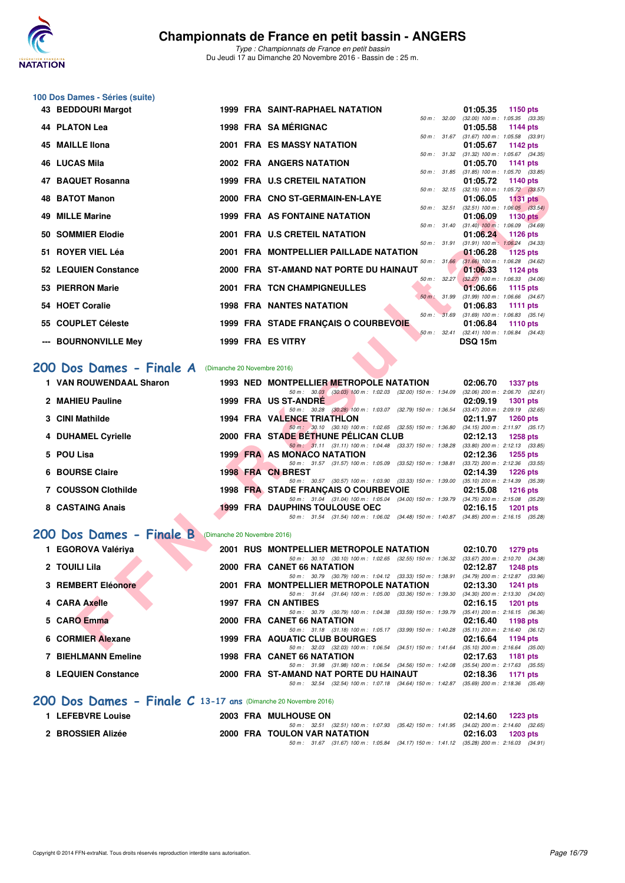

**100 Dos Dames - Séries (suite)**

*Type : Championnats de France en petit bassin* Du Jeudi 17 au Dimanche 20 Novembre 2016 - Bassin de : 25 m.

| 43 BEDDOURI Margot                                   |  | <b>1999 FRA SAINT-RAPHAEL NATATION</b>                                                                                              | 01:05.35<br>1150 pts                                               |
|------------------------------------------------------|--|-------------------------------------------------------------------------------------------------------------------------------------|--------------------------------------------------------------------|
| 44 PLATON Lea                                        |  | 50 m: 32.00<br>1998 FRA SAMÉRIGNAC                                                                                                  | $(32.00)$ 100 m : 1:05.35 $(33.35)$<br>01:05.58<br>1144 pts        |
| <b>45 MAILLE Ilona</b>                               |  | 2001 FRA ES MASSY NATATION                                                                                                          | 50 m: 31.67 (31.67) 100 m: 1:05.58 (33.91)<br>01:05.67<br>1142 pts |
| 46 LUCAS Mila                                        |  | 2002 FRA ANGERS NATATION                                                                                                            | 50 m: 31.32 (31.32) 100 m: 1:05.67 (34.35)<br>01:05.70<br>1141 pts |
| 47 BAQUET Rosanna                                    |  | <b>1999 FRA U.S CRETEIL NATATION</b>                                                                                                | 50 m: 31.85 (31.85) 100 m: 1:05.70 (33.85)<br>01:05.72<br>1140 pts |
|                                                      |  |                                                                                                                                     | 50 m: 32.15 (32.15) 100 m: 1:05.72 (33.57)                         |
| <b>48 BATOT Manon</b>                                |  | 2000 FRA CNO ST-GERMAIN-EN-LAYE<br>$50 m$ : $32.51$                                                                                 | 01:06.05<br><b>1131 pts</b><br>$(32.51)$ 100 m : 1:06.05 $(33.54)$ |
| <b>49 MILLE Marine</b>                               |  | <b>1999 FRA AS FONTAINE NATATION</b><br>50 m : 31.40                                                                                | 01:06.09<br><b>1130 pts</b><br>$(31.40)$ 100 m : 1:06.09 $(34.69)$ |
| 50 SOMMIER Elodie                                    |  | 2001 FRA U.S CRETEIL NATATION                                                                                                       | 01:06.24<br>1126 pts                                               |
| 51 ROYER VIEL Léa                                    |  | 50 m: 31.91<br>2001 FRA MONTPELLIER PAILLADE NATATION                                                                               | $(31.91)$ 100 m : 1:06.24 $(34.33)$<br>01:06.28<br><b>1125 pts</b> |
| <b>52 LEQUIEN Constance</b>                          |  | 2000 FRA ST-AMAND NAT PORTE DU HAINAUT                                                                                              | 50 m: 31.66 (31.66) 100 m: 1:06.28 (34.62)<br>01:06.33<br>1124 pts |
|                                                      |  | 50 m: 32.27                                                                                                                         | $(32.27)$ 100 m : 1:06.33 $(34.06)$                                |
| 53 PIERRON Marie                                     |  | 2001 FRA TCN CHAMPIGNEULLES<br>50 m : 31.99                                                                                         | 01:06.66<br>1115 pts<br>$(31.99)$ 100 m : 1:06.66 $(34.67)$        |
| 54 HOET Coralie                                      |  | <b>1998 FRA NANTES NATATION</b>                                                                                                     | 01:06.83<br><b>1111 pts</b>                                        |
| 55 COUPLET Céleste                                   |  | 50 m : 31.69<br>1999 FRA STADE FRANÇAIS O COURBEVOIE                                                                                | $(31.69)$ 100 m : 1:06.83 $(35.14)$<br>01:06.84<br>1110 pts        |
| --- BOURNONVILLE Mey                                 |  | 1999 FRA ES VITRY                                                                                                                   | 50 m: 32.41 (32.41) 100 m: 1:06.84 (34.43)<br><b>DSQ 15m</b>       |
|                                                      |  |                                                                                                                                     |                                                                    |
| 200 Dos Dames - Finale A (Dimanche 20 Novembre 2016) |  |                                                                                                                                     |                                                                    |
|                                                      |  |                                                                                                                                     |                                                                    |
| 1 VAN ROUWENDAAL Sharon                              |  | 1993 NED MONTPELLIER METROPOLE NATATION                                                                                             | 02:06.70<br><b>1337 pts</b>                                        |
|                                                      |  | 50 m : 30.03 (30.03) 100 m : 1:02.03 (32.00) 150 m : 1:34.09                                                                        | $(32.06)$ 200 m : $2.06.70$ $(32.61)$                              |
| 2 MAHIEU Pauline                                     |  | 1999 FRA US ST-ANDRE<br>50 m: 30.28 (30.28) 100 m: 1:03.07 (32.79) 150 m: 1:36.54                                                   | 02:09.19<br>1301 pts<br>$(33.47)$ 200 m : 2:09.19 $(32.65)$        |
| 3 CINI Mathilde                                      |  | 1994 FRA VALENCE TRIATHLON                                                                                                          | 02:11.97<br>1260 pts                                               |
| 4 DUHAMEL Cyrielle                                   |  | 50 m: 30.10 (30.10) 100 m: 1:02.65 (32.55) 150 m: 1:36.80 (34.15) 200 m: 2:11.97 (35.17)<br>2000 FRA STADE BETHUNE PELICAN CLUB     | 02:12.13<br><b>1258 pts</b>                                        |
| 5 POU Lisa                                           |  | 50 m: 31.11 (31.11) 100 m: 1:04.48 (33.37) 150 m: 1:38.28<br><b>1999 FRA AS MONACO NATATION</b>                                     | $(33.80)$ 200 m : 2:12.13 $(33.85)$<br>02:12.36<br><b>1255 pts</b> |
|                                                      |  | 50 m: 31.57 (31.57) 100 m: 1:05.09 (33.52) 150 m: 1:38.81                                                                           | $(33.72)$ 200 m : 2:12.36 $(33.55)$                                |
| 6 BOURSE Claire                                      |  | 1998 FRA CN BREST                                                                                                                   | 02:14.39<br><b>1226 pts</b>                                        |
| <b>7 COUSSON Clothilde</b>                           |  | 50 m: 30.57 (30.57) 100 m: 1:03.90 (33.33) 150 m: 1:39.00 (35.10) 200 m: 2:14.39 (35.39)<br>1998 FRA STADE FRANCAIS O COURBEVOIE    | 02:15.08<br><b>1216 pts</b>                                        |
|                                                      |  | 50 m: 31.04 (31.04) 100 m: 1:05.04 (34.00) 150 m: 1:39.79 (34.75) 200 m: 2:15.08 (35.29)                                            |                                                                    |
| 8 CASTAING Anais                                     |  | <b>1999 FRA DAUPHINS TOULOUSE OEC</b><br>50 m: 31.54 (31.54) 100 m: 1:06.02 (34.48) 150 m: 1:40.87 (34.85) 200 m: 2:16.15 (35.28)   | 02:16.15<br><b>1201 pts</b>                                        |
|                                                      |  |                                                                                                                                     |                                                                    |
| 200 Dos Dames - Finale B (Dimanche 20 Novembre 2016) |  |                                                                                                                                     |                                                                    |
| 1 EGOROVA Valériya                                   |  | 2001 RUS MONTPELLIER METROPOLE NATATION<br>50 m: 30.10 (30.10) 100 m: 1:02.65 (32.55) 150 m: 1:36.32 (33.67) 200 m: 2:10.70 (34.38) | 02:10.70<br>1279 pts                                               |
| 2 TOUILI Lila                                        |  | 2000 FRA CANET 66 NATATION                                                                                                          | 02:12.87<br><b>1248 pts</b>                                        |
| <b>3 REMBERT Eléonore</b>                            |  | 50 m: 30.79 (30.79) 100 m: 1:04.12 (33.33) 150 m: 1:38.91                                                                           | (34.79) 200 m : 2:12.87 (33.96)                                    |
|                                                      |  | 2001 FRA MONTPELLIER METROPOLE NATATION<br>50 m: 31.64 (31.64) 100 m: 1:05.00 (33.36) 150 m: 1:39.30                                | 02:13.30<br><b>1241 pts</b><br>$(34.30)$ 200 m : 2:13.30 $(34.00)$ |
| 4 CARA Axelle                                        |  | <b>1997 FRA CN ANTIBES</b>                                                                                                          | 02:16.15<br><b>1201 pts</b>                                        |
| 5 CARO Emma                                          |  | 50 m : 30.79 (30.79) 100 m : 1:04.38 (33.59) 150 m : 1:39.79<br>2000 FRA CANET 66 NATATION                                          | $(35.41)$ 200 m : 2:16.15 $(36.36)$<br>02:16.40<br>1198 pts        |
| 6 CORMIER Alexane                                    |  | 50 m: 31.18 (31.18) 100 m: 1:05.17 (33.99) 150 m: 1:40.28 (35.11) 200 m: 2:16.40 (36.12)<br>1999 FRA AQUATIC CLUB BOURGES           | 02:16.64<br>1194 pts                                               |

### [200 Dos Dames - Finale A](http://www.ffnatation.fr/webffn/resultats.php?idact=nat&go=epr&idcpt=41163&idepr=13) (Dimanche 20 Novembre 2016)

| 1 VAN ROUWENDAAL Sharon |  | 1993 NED MONTPELLIER METROPOLE NATATION                                                                                                | 02:06.70 | <b>1337 pts</b>                                        |
|-------------------------|--|----------------------------------------------------------------------------------------------------------------------------------------|----------|--------------------------------------------------------|
| 2 MAHIEU Pauline        |  | 50 m : 30.03 (30.03) 100 m : 1:02.03 (32.00) 150 m : 1:34.09<br>1999 FRA US ST-ANDRE                                                   | 02:09.19 | $(32.06)$ 200 m : 2:06.70 $(32.61)$<br><b>1301 pts</b> |
| 3 CINI Mathilde         |  | 50 m: 30.28 (30.28) 100 m: 1:03.07 (32.79) 150 m: 1:36.54<br>1994 FRA VALENCE TRIATHLON                                                | 02:11.97 | $(33.47)$ 200 m : 2:09.19 $(32.65)$<br>1260 pts        |
| 4 DUHAMEL Cyrielle      |  | 50 m: 30.10 (30.10) 100 m: 1:02.65 (32.55) 150 m: 1:36.80<br>2000 FRA STADE BETHUNE PELICAN CLUB                                       | 02:12.13 | $(34.15)$ 200 m : 2:11.97 $(35.17)$<br>1258 pts        |
| 5 POU Lisa              |  | 50 m: 31.11 (31.11) 100 m: 1:04.48 (33.37) 150 m: 1:38.28<br><b>1999 FRA AS MONACO NATATION</b>                                        | 02:12.36 | $(33.80)$ 200 m : 2:12.13 $(33.85)$<br>$1255$ pts      |
| 6 BOURSE Claire         |  | 50 m: 31.57 (31.57) 100 m: 1:05.09 (33.52) 150 m: 1:38.81<br>1998 FRA CN BREST                                                         | 02:14.39 | $(33.72)$ 200 m : 2:12.36 $(33.55)$<br>1226 pts        |
| 7 COUSSON Clothilde     |  | 50 m: 30.57 (30.57) 100 m: 1:03.90<br>(33.33) 150 m : 1:39.00<br>1998 FRA STADE FRANCAIS O COURBEVOIE                                  | 02:15.08 | $(35.10)$ 200 m : 2:14.39 $(35.39)$<br>1216 $pts$      |
| 8 CASTAING Anais        |  | 50 m: 31.04 (31.04) 100 m: 1:05.04<br>(34.00) 150 m : 1:39.79 (34.75) 200 m : 2:15.08 (35.29)<br><b>1999 FRA DAUPHINS TOULOUSE OEC</b> | 02:16.15 | 1201 pts                                               |
|                         |  | 50 m: 31.54 (31.54) 100 m: 1:06.02 (34.48) 150 m: 1:40.87 (34.85) 200 m: 2:16.15 (35.28)                                               |          |                                                        |

# [200 Dos Dames - Finale B](http://www.ffnatation.fr/webffn/resultats.php?idact=nat&go=epr&idcpt=41163&idepr=13) (Dimanche 20 Novembre 2016)

| 1 EGOROVA Valériya                                                                                                                                                                                                                                                                                                                                                                                                     | 2001 RUS MONTPELLIER METROPOLE NATATION                                                              | 02:10.70<br>1279 pts                                        |
|------------------------------------------------------------------------------------------------------------------------------------------------------------------------------------------------------------------------------------------------------------------------------------------------------------------------------------------------------------------------------------------------------------------------|------------------------------------------------------------------------------------------------------|-------------------------------------------------------------|
| 2 TOUILI Lila                                                                                                                                                                                                                                                                                                                                                                                                          | 50 m : 30.10 (30.10) 100 m : 1:02.65 (32.55) 150 m : 1:36.32<br>2000 FRA CANET 66 NATATION           | (33.67) 200 m : 2:10.70 (34.38<br>02:12.87<br>1248 pts      |
| 3 REMBERT Eléonore                                                                                                                                                                                                                                                                                                                                                                                                     | 50 m: 30.79 (30.79) 100 m: 1:04.12 (33.33) 150 m: 1:38.91<br>2001 FRA MONTPELLIER METROPOLE NATATION | (34.79) 200 m : 2:12.87 (33.96<br>02:13.30<br>1241 pts      |
| 4 CARA Axelle                                                                                                                                                                                                                                                                                                                                                                                                          | 50 m: 31.64 (31.64) 100 m: 1:05.00 (33.36) 150 m: 1:39.30<br>1997 FRA CN ANTIBES                     | $(34.30)$ 200 m : 2:13.30 $(34.00)$<br>02:16.15<br>1201 pts |
| 5 CARO Emma                                                                                                                                                                                                                                                                                                                                                                                                            | 50 m: 30.79 (30.79) 100 m: 1:04.38 (33.59) 150 m: 1:39.79<br>2000 FRA CANET 66 NATATION              | $(35.41)$ 200 m : 2:16.15 $(36.36)$<br>02:16.40<br>1198 pts |
| 6 CORMIER Alexane                                                                                                                                                                                                                                                                                                                                                                                                      | 50 m: 31.18 (31.18) 100 m: 1:05.17 (33.99) 150 m: 1:40.28<br>1999 FRA AQUATIC CLUB BOURGES           | (35.11) 200 m : 2:16.40 (36.12<br>02:16.64<br>1194 pts      |
| <b>7 BIEHLMANN Emeline</b>                                                                                                                                                                                                                                                                                                                                                                                             | 50 m: 32.03 (32.03) 100 m: 1:06.54 (34.51) 150 m: 1:41.64<br>1998 FRA CANET 66 NATATION              | (35.10) 200 m : 2:16.64 (35.00<br>02:17.63<br>1181 pts      |
| 8 LEQUIEN Constance                                                                                                                                                                                                                                                                                                                                                                                                    | 50 m: 31.98 (31.98) 100 m: 1:06.54 (34.56) 150 m: 1:42.08<br>2000 FRA ST-AMAND NAT PORTE DU HAINAUT  | $(35.54)$ 200 m : 2:17.63 $(35.55)$<br>02:18.36<br>1171 pts |
|                                                                                                                                                                                                                                                                                                                                                                                                                        | 50 m : 32.54 (32.54) 100 m : 1:07.18 (34.64) 150 m : 1:42.87                                         | $(35.69)$ 200 m : 2:18.36 $(35.49)$                         |
| $\mathbf{A} \mathbf{A} \mathbf{A} \mathbf{A} \mathbf{A} \mathbf{A} \mathbf{A} \mathbf{A} \mathbf{A} \mathbf{A} \mathbf{A} \mathbf{A} \mathbf{A} \mathbf{A} \mathbf{A} \mathbf{A} \mathbf{A} \mathbf{A} \mathbf{A} \mathbf{A} \mathbf{A} \mathbf{A} \mathbf{A} \mathbf{A} \mathbf{A} \mathbf{A} \mathbf{A} \mathbf{A} \mathbf{A} \mathbf{A} \mathbf{A} \mathbf{A} \mathbf{A} \mathbf{A} \mathbf{A} \mathbf{A} \mathbf{$ |                                                                                                      |                                                             |

## **[200 Dos Dames - Finale C](http://www.ffnatation.fr/webffn/resultats.php?idact=nat&go=epr&idcpt=41163&idepr=13) 13-17 ans** (Dimanche 20 Novembre 2016)

| 1 LEFEBVRE Louise |  | 2003 FRA MULHOUSE ON                                                                        | $02:14.60$ 1223 pts |
|-------------------|--|---------------------------------------------------------------------------------------------|---------------------|
|                   |  | 50 m : 32.51 (32.51) 100 m : 1:07.93 (35.42) 150 m : 1:41.95 (34.02) 200 m : 2:14.60 (32.65 |                     |
| 2 BROSSIER Alizée |  | <b>2000 FRA TOULON VAR NATATION</b>                                                         | 02:16.03 1203 pts   |
|                   |  | 50 m : 31.67 (31.67) 100 m : 1:05.84 (34.17) 150 m : 1:41.12 (35.28) 200 m : 2:16.03 (34.91 |                     |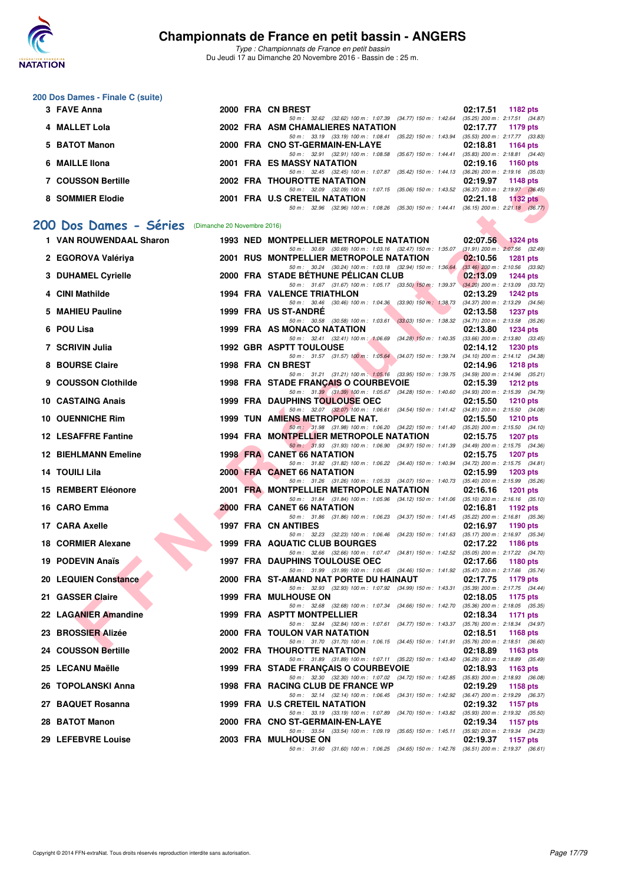

*Type : Championnats de France en petit bassin* Du Jeudi 17 au Dimanche 20 Novembre 2016 - Bassin de : 25 m.

#### **200 Dos Dames - Finale C (suite)**

| 3 FAVE Anna        |  | 2000 FRA CN BREST                                                                        | $02:17.51$ 1182 pts                 |
|--------------------|--|------------------------------------------------------------------------------------------|-------------------------------------|
|                    |  | 50 m: 32.62 (32.62) 100 m: 1:07.39 (34.77) 150 m: 1:42.64                                | $(35.25)$ 200 m : 2:17.51 $(34.87)$ |
| 4 MALLET Lola      |  | 2002 FRA ASM CHAMALIERES NATATION                                                        | 02:17.77 1179 pts                   |
|                    |  | 50 m: 33.19 (33.19) 100 m: 1:08.41 (35.22) 150 m: 1:43.94                                | $(35.53)$ 200 m : 2:17.77 $(33.83)$ |
| 5 BATOT Manon      |  | 2000 FRA CNO ST-GERMAIN-EN-LAYE                                                          | 02:18.81 1164 pts                   |
|                    |  | 50 m: 32.91 (32.91) 100 m: 1:08.58 (35.67) 150 m: 1:44.41                                | $(35.83)$ 200 m : 2:18.81 $(34.40)$ |
| 6 MAILLE IIona     |  | 2001 FRA ES MASSY NATATION                                                               | 02:19.16 1160 pts                   |
|                    |  | 50 m: 32.45 (32.45) 100 m: 1:07.87 (35.42) 150 m: 1:44.13                                | $(36.26)$ 200 m : 2:19.16 $(35.03)$ |
| 7 COUSSON Bertille |  | <b>2002 FRA THOUROTTE NATATION</b>                                                       | 02:19.97 1148 pts                   |
|                    |  | 50 m: 32.09 (32.09) 100 m: 1:07.15 (35.06) 150 m: 1:43.52                                | $(36.37)$ 200 m : 2:19.97 $(36.45)$ |
| 8 SOMMIER Elodie   |  | 2001 FRA U.S CRETEIL NATATION                                                            | $02:21.18$ 1132 pts                 |
|                    |  | 50 m: 32.96 (32.96) 100 m: 1:08.26 (35.30) 150 m: 1:44.41 (36.15) 200 m: 2:21.18 (36.77) |                                     |

## [200 Dos Dames - Séries](http://www.ffnatation.fr/webffn/resultats.php?idact=nat&go=epr&idcpt=41163&idepr=13) (Dimanche 20 Novembre 2016)

| <b>COOSSON DELINE</b>                             |  | <b>INVURVITE NATATION</b><br><b>UZ.13.31</b> 1190 PM                                                                                                               |
|---------------------------------------------------|--|--------------------------------------------------------------------------------------------------------------------------------------------------------------------|
| 8 SOMMIER Elodie                                  |  | 50 m: 32.09 (32.09) 100 m: 1:07.15 (35.06) 150 m: 1:43.52 (36.37) 200 m: 2:19.97 (36.45)<br>2001 FRA U.S CRETEIL NATATION<br>02:21.18<br>1132 $pts$                |
|                                                   |  | 50 m: 32.96 (32.96) 100 m: 1:08.26 (35.30) 150 m: 1:44.41 (36.15) 200 m: 2:21.18 (36.77)                                                                           |
| 00 Dos Dames - Séries (Dimanche 20 Novembre 2016) |  |                                                                                                                                                                    |
| 1 VAN ROUWENDAAL Sharon                           |  | <b>1993 NED MONTPELLIER METROPOLE NATATION</b><br>02:07.56<br>$1324$ pts                                                                                           |
| 2 EGOROVA Valériya                                |  | 50 m: 30.69 (30.69) 100 m: 1:03.16 (32.47) 150 m: 1:35.07 (31.91) 200 m: 2:07.56 (32.49)<br>2001 RUS MONTPELLIER METROPOLE NATATION<br>02:10.56<br><b>1281 pts</b> |
|                                                   |  | 50 m: 30.24 (30.24) 100 m: 1:03.18 (32.94) 150 m: 1:36.64 (33.46) 200 m: 2:10.56 (33.92)                                                                           |
| 3 DUHAMEL Cyrielle                                |  | 2000 FRA STADE BETHUNE PELICAN CLUB<br>02:13.09<br><b>1244 pts</b><br>50 m: 31.67 (31.67) 100 m: 1:05.17 (33.50) 150 m: 1:39.37 (34.20) 200 m: 2:13.09 (33.72)     |
| 4 CINI Mathilde                                   |  | <b>1994 FRA VALENCE TRIATHLON</b><br>02:13.29<br><b>1242 pts</b>                                                                                                   |
| 5 MAHIEU Pauline                                  |  | 50 m: 30.46 (30.46) 100 m: 1:04.36 (33.90) 150 m: 1:38.73 (34.37) 200 m: 2:13.29 (34.56)<br>1999 FRA US ST-ANDRE<br>02:13.58<br><b>1237 pts</b>                    |
|                                                   |  | 50 m: 30.58 (30.58) 100 m: 1:03.61 (33.03) 150 m: 1:38.32 (34.71) 200 m: 2:13.58 (35.26)                                                                           |
| 6 POU Lisa                                        |  | 1999 FRA AS MONACO NATATION<br>02:13.80<br>1234 pts                                                                                                                |
| 7 SCRIVIN Julia                                   |  | 50 m: 32.41 (32.41) 100 m: 1:06.69 (34.28) 150 m: 1:40.35 (33.66) 200 m: 2:13.80 (33.45)<br><b>1992 GBR ASPTT TOULOUSE</b><br>02:14.12<br><b>1230 pts</b>          |
|                                                   |  | 50 m: 31.57 (31.57) 100 m: 1:05.64 (34.07) 150 m: 1:39.74 (34.10) 200 m: 2:14.12 (34.38)                                                                           |
| 8 BOURSE Claire                                   |  | 1998 FRA CN BREST<br>02:14.96<br><b>1218 pts</b><br>50 m: 31.21 (31.21) 100 m: 1:05.16 (33.95) 150 m: 1:39.75 (34.59) 200 m: 2:14.96 (35.21)                       |
| 9 COUSSON Clothilde                               |  | 1998 FRA STADE FRANCAIS O COURBEVOIE<br>02:15.39<br>1212 pts                                                                                                       |
| 10 CASTAING Anais                                 |  | 50 m: 31.39 (31.39) 100 m: 1:05.67 (34.28) 150 m: 1:40.60 (34.93) 200 m: 2:15.39 (34.79)<br><b>1999 FRA DAUPHINS TOULOUSE OEC</b><br>02:15.50<br><b>1210 pts</b>   |
|                                                   |  | 50 m: 32.07 (32.07) 100 m: 1:06.61 (34.54) 150 m: 1:41.42 (34.81) 200 m: 2:15.50 (34.08)                                                                           |
| 10 OUENNICHE Rim                                  |  | <b>1999 TUN AMIENS METROPOLE NAT.</b><br>02:15.50<br>$1210$ pts                                                                                                    |
| <b>12 LESAFFRE Fantine</b>                        |  | 50 m: 31.98 (31.98) 100 m: 1:06.20 (34.22) 150 m: 1:41.40 (35.20) 200 m: 2:15.50 (34.10)<br>1994 FRA MONTPELLIER METROPOLE NATATION<br>02:15.75<br>1207 pts        |
|                                                   |  | 50 m: 31.93 (31.93) 100 m: 1.06.90 (34.97) 150 m: 1.41.39 (34.49) 200 m: 2.15.75 (34.36)                                                                           |
| <b>12 BIEHLMANN Emeline</b>                       |  | <b>1998 FRA CANET 66 NATATION</b><br>02:15.75<br>1207 pts                                                                                                          |
| 14 TOUILI Lila                                    |  | 50 m: 31.82 (31.82) 100 m: 1:06.22 (34.40) 150 m: 1:40.94 (34.72) 200 m: 2:15.75 (34.81)<br>2000 FRA CANET 66 NATATION<br>02:15.99<br>1203 pts                     |
|                                                   |  | 50 m: 31.26 (31.26) 100 m: 1:05.33 (34.07) 150 m: 1:40.73 (35.40) 200 m: 2:15.99 (35.26)                                                                           |
| 15 REMBERT Eléonore                               |  | 2001 FRA MONTPELLIER METROPOLE NATATION<br>02:16.16<br>1201 pts<br>50 m: 31.84 (31.84) 100 m: 1:05.96 (34.12) 150 m: 1:41.06 (35.10) 200 m: 2:16.16 (35.10)        |
| 16 CARO Emma                                      |  | <b>2000 FRA CANET 66 NATATION</b><br>02:16.81<br>1192 pts                                                                                                          |
| 17 CARA Axelle                                    |  | 50 m: 31.86 (31.86) 100 m: 1:06.23 (34.37) 150 m: 1:41.45 (35.22) 200 m: 2:16.81 (35.36)<br>1997 FRA CN ANTIBES<br>02:16.97<br>1190 $pts$                          |
|                                                   |  | 50 m: 32.23 (32.23) 100 m: 1:06.46 (34.23) 150 m: 1:41.63 (35.17) 200 m: 2:16.97 (35.34)                                                                           |
| 18 CORMIER Alexane                                |  | 1999 FRA AQUATIC CLUB BOURGES<br>02:17.22<br>1186 pts                                                                                                              |
| 19 PODEVIN Anaïs                                  |  | 50 m: 32.66 (32.66) 100 m: 1:07.47 (34.81) 150 m: 1:42.52 (35.05) 200 m: 2:17.22 (34.70)<br><b>1997 FRA DAUPHINS TOULOUSE OEC</b><br>02:17.66<br>1180 $pts$        |
|                                                   |  | 50 m: 31.99 (31.99) 100 m: 1:06.45 (34.46) 150 m: 1:41.92 (35.47) 200 m: 2:17.66 (35.74)                                                                           |
| 20 LEQUIEN Constance                              |  | 2000 FRA ST-AMAND NAT PORTE DU HAINAUT<br>02:17.75<br>1179 pts<br>50 m: 32.93 (32.93) 100 m: 1:07.92 (34.99) 150 m: 1:43.31 (35.39) 200 m: 2:17.75 (34.44)         |
| 21 GASSER Claire                                  |  | <b>1999 FRA MULHOUSE ON</b><br>02:18.05<br>1175 pts                                                                                                                |
|                                                   |  | 50 m: 32.68 (32.68) 100 m: 1:07.34 (34.66) 150 m: 1:42.70 (35.36) 200 m: 2:18.05 (35.35)                                                                           |
| 22 LAGANIER Amandine                              |  | 1999 FRA ASPTT MONTPELLIER<br>02:18.34<br><b>1171 pts</b><br>50 m: 32.84 (32.84) 100 m: 1:07.61 (34.77) 150 m: 1:43.37 (35.76) 200 m: 2:18.34 (34.97)              |
| 23 BROSSIER Alizée                                |  | 2000 FRA TOULON VAR NATATION<br>02:18.51<br>1168 pts                                                                                                               |
| 24 COUSSON Bertille                               |  | 50 m: 31.70 (31.70) 100 m: 1:06.15 (34.45) 150 m: 1:41.91 (35.76) 200 m: 2:18.51 (36.60)<br>2002 FRA THOUROTTE NATATION<br>02:18.89 1163 pts                       |
|                                                   |  | 50 m: 31.89 (31.89) 100 m: 1:07.11 (35.22) 150 m: 1:43.40 (36.29) 200 m: 2:18.89 (35.49)                                                                           |
| 25 LECANU Maëlle                                  |  | 1999 FRA STADE FRANCAIS O COURBEVOIE<br>02:18.93<br>1163 pts<br>50 m: 32.30 (32.30) 100 m: 1:07.02 (34.72) 150 m: 1:42.85 (35.83) 200 m: 2:18.93 (36.08)           |
| 26 TOPOLANSKI Anna                                |  | 1998 FRA RACING CLUB DE FRANCE WP<br>02:19.29<br>1158 pts                                                                                                          |
|                                                   |  | 50 m: 32.14 (32.14) 100 m: 1:06.45 (34.31) 150 m: 1:42.92 (36.47) 200 m: 2:19.29 (36.37)                                                                           |
| 27 BAQUET Rosanna                                 |  | 1999 FRA U.S CRETEIL NATATION<br>02:19.32<br>1157 pts<br>50 m: 33.19 (33.19) 100 m: 1:07.89 (34.70) 150 m: 1:43.82 (35.93) 200 m: 2:19.32 (35.50)                  |
| 28 BATOT Manon                                    |  | 2000 FRA CNO ST-GERMAIN-EN-LAYE<br>02:19.34<br>1157 pts                                                                                                            |
| 29 LEFEBVRE Louise                                |  | 50 m: 33.54 (33.54) 100 m: 1.09.19 (35.65) 150 m: 1.45.11 (35.92) 200 m: 2.19.34 (34.23)<br>2003 FRA MULHOUSE ON<br>02:19.37<br>1157 pts                           |
|                                                   |  | 50 m: 31.60 (31.60) 100 m: 1:06.25 (34.65) 150 m: 1:42.76 (36.51) 200 m: 2:19.37 (36.61)                                                                           |
|                                                   |  |                                                                                                                                                                    |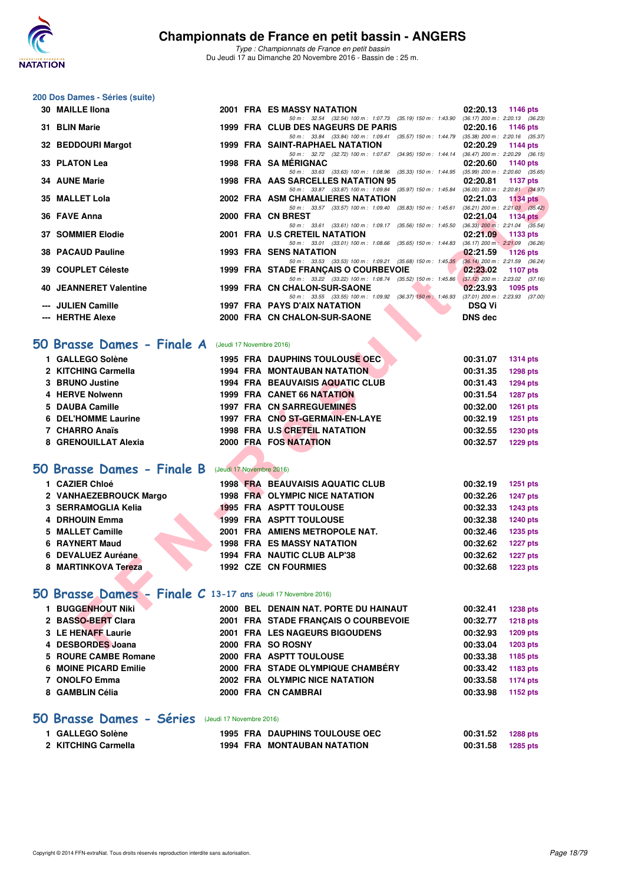

*Type : Championnats de France en petit bassin* Du Jeudi 17 au Dimanche 20 Novembre 2016 - Bassin de : 25 m.

#### **200 Dos Dames - Séries (suite)**

| 30 MAILLE IIona                                              |                          | <b>2001 FRA ES MASSY NATATION</b>                                                                                              | 02:20.13             | <b>1146 pts</b>                                        |
|--------------------------------------------------------------|--------------------------|--------------------------------------------------------------------------------------------------------------------------------|----------------------|--------------------------------------------------------|
| 31 BLIN Marie                                                |                          | 50 m: 32.54 (32.54) 100 m: 1:07.73 (35.19) 150 m: 1:43.90 (36.17) 200 m: 2:20.13 (36.23)<br>1999 FRA CLUB DES NAGEURS DE PARIS | 02:20.16             | 1146 pts                                               |
|                                                              |                          | 50 m: 33.84 (33.84) 100 m: 1:09.41 (35.57) 150 m: 1:44.79 (35.38) 200 m: 2:20.16 (35.37)                                       |                      |                                                        |
| 32 BEDDOURI Margot                                           |                          | 1999 FRA SAINT-RAPHAEL NATATION<br>50 m: 32.72 (32.72) 100 m: 1:07.67 (34.95) 150 m: 1:44.14 (36.47) 200 m: 2:20.29 (36.15)    | 02:20.29             | 1144 pts                                               |
| 33 PLATON Lea                                                |                          | 1998 FRA SAMERIGNAC                                                                                                            | 02:20.60             | 1140 pts                                               |
| <b>34 AUNE Marie</b>                                         |                          | 50 m: 33.63 (33.63) 100 m: 1:08.96 (35.33) 150 m: 1:44.95 (35.99) 200 m: 2:20.60 (35.65)<br>1998 FRA AAS SARCELLES NATATION 95 | 02:20.81             | 1137 pts                                               |
|                                                              |                          | 50 m: 33.87 (33.87) 100 m: 1:09.84 (35.97) 150 m: 1:45.84 (36.00) 200 m: 2:20.81 (34.97)                                       |                      |                                                        |
| 35 MALLET Lola                                               |                          | 2002 FRA ASM CHAMALIERES NATATION<br>50 m: 33.57 (33.57) 100 m: 1:09.40<br>$(35.83)$ 150 m : 1:45.61                           | 02:21.03             | <b>1134 pts</b><br>$(36.21)$ 200 m : 2:21.03 $(35.42)$ |
| 36 FAVE Anna                                                 |                          | 2000 FRA CN BREST                                                                                                              | 02:21.04             | <b>1134 pts</b>                                        |
| <b>37 SOMMIER Elodie</b>                                     |                          | 50 m: 33.61 (33.61) 100 m: 1:09.17 (35.56) 150 m: 1:45.50<br>2001 FRA U.S CRETEIL NATATION                                     | 02:21.09             | $(36.33)$ 200 m : 2:21.04 $(35.54)$<br>1133 pts        |
|                                                              |                          | 50 m: 33.01 (33.01) 100 m: 1:08.66 (35.65) 150 m: 1:44.83                                                                      |                      | $(36.17)$ 200 m : $2:21.09$ $(36.26)$                  |
| <b>38 PACAUD Pauline</b>                                     |                          | <b>1993 FRA SENS NATATION</b><br>50 m: 33.53 (33.53) 100 m: 1:09.21 (35.68) 150 m: 1:45.35 (36.14) 200 m: 2:21.59 (36.24)      | 02:21.59             | <b>1126 pts</b>                                        |
| 39 COUPLET Céleste                                           |                          | 1999 FRA STADE FRANCAIS O COURBEVOIE                                                                                           | 02:23.02             | <b>1107 pts</b>                                        |
| <b>40 JEANNERET Valentine</b>                                |                          | 50 m: 33.22 (33.22) 100 m: 1:08.74 (35.52) 150 m: 1:45.86<br>1999 FRA CN CHALON-SUR-SAONE                                      | 02:23.93             | $(37.12)$ 200 m : 2:23.02 $(37.16)$<br>1095 pts        |
|                                                              |                          | 50 m: 33.55 (33.55) 100 m: 1:09.92 (36.37) 150 m: 1:46.93 (37.01) 200 m: 2:23.93 (37.00)                                       |                      |                                                        |
| --- JULIEN Camille                                           |                          | 1997 FRA PAYS D'AIX NATATION                                                                                                   | <b>DSQ Vi</b>        |                                                        |
| --- HERTHE Alexe                                             |                          | 2000 FRA CN CHALON-SUR-SAONE                                                                                                   | <b>DNS dec</b>       |                                                        |
| O Brasse Dames - Finale A (Jeudi 17 Novembre 2016)           |                          |                                                                                                                                |                      |                                                        |
|                                                              |                          |                                                                                                                                |                      |                                                        |
| 1 GALLEGO Solène                                             |                          | 1995 FRA DAUPHINS TOULOUSE OEC                                                                                                 | 00:31.07             | <b>1314 pts</b>                                        |
| 2 KITCHING Carmella                                          |                          | <b>1994 FRA MONTAUBAN NATATION</b>                                                                                             | 00:31.35             | <b>1298 pts</b>                                        |
| 3 BRUNO Justine                                              |                          | 1994 FRA BEAUVAISIS AQUATIC CLUB                                                                                               | 00:31.43             | <b>1294 pts</b>                                        |
| 4 HERVE Nolwenn<br>5 DAUBA Camille                           |                          | <b>1999 FRA CANET 66 NATATION</b><br><b>1997 FRA CN SARREGUEMINES</b>                                                          | 00:31.54<br>00:32.00 | <b>1287 pts</b>                                        |
| 6 DEL'HOMME Laurine                                          |                          | 1997 FRA CNO ST-GERMAIN-EN-LAYE                                                                                                |                      | 1261 pts                                               |
| 7 CHARRO Anaïs                                               |                          | 1998 FRA U.S CRETEIL NATATION                                                                                                  | 00:32.19<br>00:32.55 | 1251 pts                                               |
| 8 GRENOUILLAT Alexia                                         |                          | 2000 FRA FOS NATATION                                                                                                          | 00:32.57             | <b>1230 pts</b><br><b>1229 pts</b>                     |
|                                                              |                          |                                                                                                                                |                      |                                                        |
| 0 Brasse Dames - Finale B                                    | (Jeudi 17 Novembre 2016) |                                                                                                                                |                      |                                                        |
| 1 CAZIER Chloé                                               |                          | <b>1998 FRA BEAUVAISIS AQUATIC CLUB</b>                                                                                        | 00:32.19             | <b>1251 pts</b>                                        |
| 2 VANHAEZEBROUCK Margo                                       |                          | <b>1998 FRA OLYMPIC NICE NATATION</b>                                                                                          | 00:32.26             | <b>1247 pts</b>                                        |
| 3 SERRAMOGLIA Kelia                                          |                          | 1995 FRA ASPTT TOULOUSE                                                                                                        | 00:32.33             | <b>1243 pts</b>                                        |
| 4 DRHOUIN Emma                                               |                          | <b>1999 FRA ASPTT TOULOUSE</b>                                                                                                 | 00:32.38             | <b>1240 pts</b>                                        |
| 5 MALLET Camille                                             |                          | 2001 FRA AMIENS METROPOLE NAT.                                                                                                 | 00:32.46             | <b>1235 pts</b>                                        |
| 6 RAYNERT Maud                                               |                          | <b>1998 FRA ES MASSY NATATION</b>                                                                                              | 00:32.62             | <b>1227 pts</b>                                        |
| 6 DEVALUEZ Auréane                                           |                          | 1994 FRA NAUTIC CLUB ALP'38                                                                                                    | 00:32.62             | <b>1227 pts</b>                                        |
| 8 MARTINKOVA Tereza                                          |                          | <b>1992 CZE CN FOURMIES</b>                                                                                                    | 00:32.68             | <b>1223 pts</b>                                        |
|                                                              |                          |                                                                                                                                |                      |                                                        |
| O Brasse Dames - Finale C 13-17 ans (Jeudi 17 Novembre 2016) |                          |                                                                                                                                |                      |                                                        |
| 1 BUGGENHOUT Niki                                            |                          | 2000 BEL DENAIN NAT. PORTE DU HAINAUT                                                                                          | 00:32.41             | <b>1238 pts</b>                                        |
| 2 BASSO-BERT Clara                                           |                          | 2001 FRA STADE FRANÇAIS O COURBEVOIE                                                                                           | 00:32.77             | <b>1218 pts</b>                                        |
| 3 LE HENAFF Laurie                                           |                          | 2001 FRA LES NAGEURS BIGOUDENS                                                                                                 | 00:32.93             | 1209 pts                                               |
| 4 DESBORDES Joana                                            |                          | 2000 FRA SO ROSNY                                                                                                              | 00:33.04             | <b>1203 pts</b>                                        |

## **[50 Brasse Dames - Finale A](http://www.ffnatation.fr/webffn/resultats.php?idact=nat&go=epr&idcpt=41163&idepr=21)** (Jeudi 17 Novembre 2016)

| 1 GALLEGO Solène     | <b>1995 FRA DAUPHINS TOULOUSE OEC</b>   | 00:31.07<br><b>1314 pts</b> |
|----------------------|-----------------------------------------|-----------------------------|
| 2 KITCHING Carmella  | <b>1994 FRA MONTAUBAN NATATION</b>      | <b>1298 pts</b><br>00:31.35 |
| 3 BRUNO Justine      | <b>1994 FRA BEAUVAISIS AQUATIC CLUB</b> | <b>1294 pts</b><br>00:31.43 |
| 4 HERVE Nolwenn      | <b>1999 FRA CANET 66 NATATION</b>       | <b>1287 pts</b><br>00:31.54 |
| 5 DAUBA Camille      | <b>1997 FRA CN SARREGUEMINES</b>        | 00:32.00<br><b>1261 pts</b> |
| 6 DEL'HOMME Laurine  | 1997 FRA CNO ST-GERMAIN-EN-LAYE         | 1251 pts<br>00:32.19        |
| 7 CHARRO Anaïs       | 1998 FRA U.S CRETEIL NATATION           | 1230 pts<br>00:32.55        |
| 8 GRENOUILLAT Alexia | 2000 FRA FOS NATATION                   | <b>1229 pts</b><br>00:32.57 |
|                      |                                         |                             |

# **[50 Brasse Dames - Finale B](http://www.ffnatation.fr/webffn/resultats.php?idact=nat&go=epr&idcpt=41163&idepr=21)** (Jeudi 17 Novembre 2016)

| 1 CAZIER Chloé         |  | <b>1998 FRA BEAUVAISIS AQUATIC CLUB</b> | 00:32.19 | <b>1251 pts</b> |
|------------------------|--|-----------------------------------------|----------|-----------------|
| 2 VANHAEZEBROUCK Margo |  | <b>1998 FRA OLYMPIC NICE NATATION</b>   | 00:32.26 | <b>1247 pts</b> |
| 3 SERRAMOGLIA Kelia    |  | <b>1995 FRA ASPTT TOULOUSE</b>          | 00:32.33 | <b>1243 pts</b> |
| 4 DRHOUIN Emma         |  | 1999 FRA ASPTT TOULOUSE                 | 00:32.38 | 1240 pts        |
| 5 MALLET Camille       |  | 2001 FRA AMIENS METROPOLE NAT.          | 00:32.46 | <b>1235 pts</b> |
| 6 RAYNERT Maud         |  | <b>1998 FRA ES MASSY NATATION</b>       | 00:32.62 | <b>1227 pts</b> |
| 6 DEVALUEZ Auréane     |  | 1994 FRA NAUTIC CLUB ALP'38             | 00:32.62 | <b>1227 pts</b> |
| 8 MARTINKOVA Tereza    |  | <b>1992 CZE CN FOURMIES</b>             | 00:32.68 | <b>1223 pts</b> |

# **[50 Brasse Dames - Finale C](http://www.ffnatation.fr/webffn/resultats.php?idact=nat&go=epr&idcpt=41163&idepr=21) 13-17 ans** (Jeudi 17 Novembre 2016)

| <b>BUGGENHOUT Niki</b> |  | 2000 BEL DENAIN NAT. PORTE DU HAINAUT | 00:32.41 | <b>1238 pts</b> |
|------------------------|--|---------------------------------------|----------|-----------------|
| 2 BASSO-BERT Clara     |  | 2001 FRA STADE FRANCAIS O COURBEVOIE  | 00:32.77 | <b>1218 pts</b> |
| 3 LE HENAFF Laurie     |  | 2001 FRA LES NAGEURS BIGOUDENS        | 00:32.93 | 1209 pts        |
| 4 DESBORDES Joana      |  | 2000 FRA SO ROSNY                     | 00:33.04 | 1203 pts        |
| 5 ROURE CAMBE Romane   |  | 2000 FRA ASPTT TOULOUSE               | 00:33.38 | 1185 pts        |
| 6 MOINE PICARD Emilie  |  | 2000 FRA STADE OLYMPIQUE CHAMBÉRY     | 00:33.42 | 1183 pts        |
| 7 ONOLFO Emma          |  | 2002 FRA OLYMPIC NICE NATATION        | 00:33.58 | 1174 pts        |
| 8 GAMBLIN Célia        |  | 2000 FRA CN CAMBRAI                   | 00:33.98 | 1152 pts        |
|                        |  |                                       |          |                 |

## **[50 Brasse Dames - Séries](http://www.ffnatation.fr/webffn/resultats.php?idact=nat&go=epr&idcpt=41163&idepr=21)** (Jeudi 17 Novembre 2016)

| 1 GALLEGO Solène    |  | <b>1995 FRA DAUPHINS TOULOUSE OEC</b> | 00:31.52 1288 pts |  |
|---------------------|--|---------------------------------------|-------------------|--|
| 2 KITCHING Carmella |  | <b>1994 FRA MONTAUBAN NATATION</b>    | 00:31.58 1285 pts |  |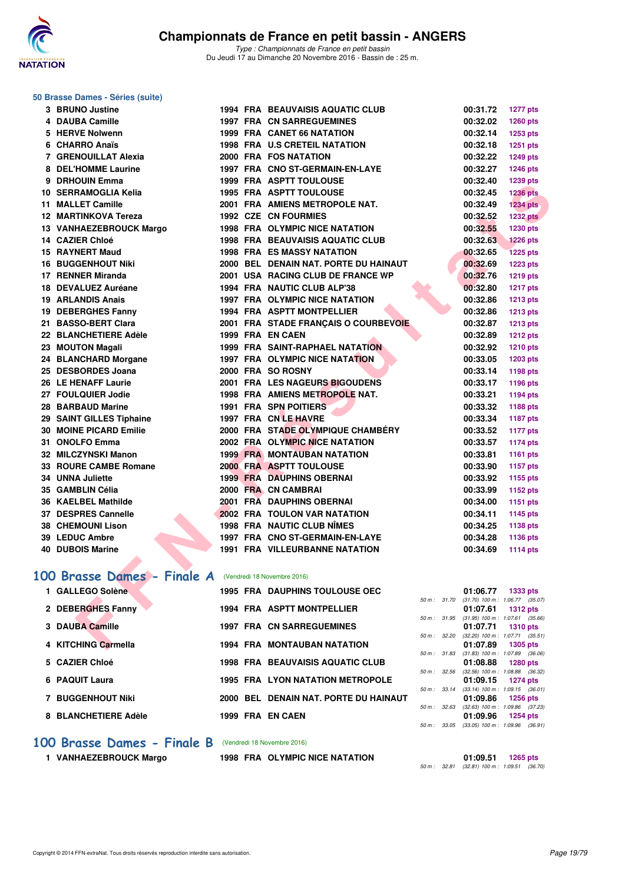

#### **50 Brasse Dames - Séries (suite)**

| 3 BRUNO Justine                                        |  | <b>1994 FRA BEAUVAISIS AQUATIC CLUB</b> |              | 00:31.72 | <b>1277 pts</b>                                        |
|--------------------------------------------------------|--|-----------------------------------------|--------------|----------|--------------------------------------------------------|
| 4 DAUBA Camille                                        |  | <b>1997 FRA CN SARREGUEMINES</b>        |              | 00:32.02 | 1260 pts                                               |
| 5 HERVE Nolwenn                                        |  | <b>1999 FRA CANET 66 NATATION</b>       |              | 00:32.14 | 1253 pts                                               |
| 6 CHARRO Anaïs                                         |  | <b>1998 FRA U.S CRETEIL NATATION</b>    |              | 00:32.18 | <b>1251 pts</b>                                        |
| 7 GRENOUILLAT Alexia                                   |  | 2000 FRA FOS NATATION                   |              | 00:32.22 | 1249 pts                                               |
| 8 DEL'HOMME Laurine                                    |  | 1997 FRA CNO ST-GERMAIN-EN-LAYE         |              | 00:32.27 | 1246 pts                                               |
| 9 DRHOUIN Emma                                         |  | 1999 FRA ASPTT TOULOUSE                 |              | 00:32.40 | 1239 pts                                               |
| 10 SERRAMOGLIA Kelia                                   |  | 1995 FRA ASPTT TOULOUSE                 |              | 00:32.45 | <b>1236 pts</b>                                        |
| 11 MALLET Camille                                      |  | 2001 FRA AMIENS METROPOLE NAT.          |              | 00:32.49 | <b>1234 pts</b>                                        |
| 12 MARTINKOVA Tereza                                   |  | <b>1992 CZE CN FOURMIES</b>             |              | 00:32.52 | <b>1232 pts</b>                                        |
| 13 VANHAEZEBROUCK Margo                                |  | <b>1998 FRA OLYMPIC NICE NATATION</b>   |              | 00:32.55 | 1230 pts                                               |
| 14 CAZIER Chloé                                        |  | <b>1998 FRA BEAUVAISIS AQUATIC CLUB</b> |              | 00:32.63 | <b>1226 pts</b>                                        |
| 15 RAYNERT Maud                                        |  | <b>1998 FRA ES MASSY NATATION</b>       |              | 00:32.65 | <b>1225 pts</b>                                        |
| <b>16 BUGGENHOUT Niki</b>                              |  | 2000 BEL DENAIN NAT. PORTE DU HAINAUT   |              | 00:32.69 | 1223 pts                                               |
| 17 RENNER Miranda                                      |  | 2001 USA RACING CLUB DE FRANCE WP       |              | 00:32.76 | 1219 pts                                               |
| 18 DEVALUEZ Auréane                                    |  | 1994 FRA NAUTIC CLUB ALP'38             |              | 00:32.80 | <b>1217 pts</b>                                        |
| 19 ARLANDIS Anais                                      |  | 1997 FRA OLYMPIC NICE NATATION          |              | 00:32.86 | 1213 pts                                               |
| 19 DEBERGHES Fanny                                     |  | <b>1994 FRA ASPTT MONTPELLIER</b>       |              | 00:32.86 | <b>1213 pts</b>                                        |
| 21 BASSO-BERT Clara                                    |  | 2001 FRA STADE FRANÇAIS O COURBEVOIE    |              | 00:32.87 | <b>1213 pts</b>                                        |
| 22 BLANCHETIERE Adèle                                  |  | 1999 FRA EN CAEN                        |              | 00:32.89 | <b>1212 pts</b>                                        |
| 23 MOUTON Magali                                       |  | 1999 FRA SAINT-RAPHAEL NATATION         |              | 00:32.92 | <b>1210 pts</b>                                        |
| 24 BLANCHARD Morgane                                   |  | 1997 FRA OLYMPIC NICE NATATION          |              | 00:33.05 | 1203 pts                                               |
| 25 DESBORDES Joana                                     |  | 2000 FRA SO ROSNY                       |              | 00:33.14 | 1198 pts                                               |
| 26 LE HENAFF Laurie                                    |  | 2001 FRA LES NAGEURS BIGOUDENS          |              | 00:33.17 | 1196 pts                                               |
| 27 FOULQUIER Jodie                                     |  | 1998 FRA AMIENS METROPOLE NAT.          |              | 00:33.21 | 1194 pts                                               |
| 28 BARBAUD Marine                                      |  | <b>1991 FRA SPN POITIERS</b>            |              | 00:33.32 | 1188 pts                                               |
| 29 SAINT GILLES Tiphaine                               |  | 1997 FRA CN LE HAVRE                    |              | 00:33.34 | <b>1187 pts</b>                                        |
| <b>30 MOINE PICARD Emilie</b>                          |  | 2000 FRA STADE OLYMPIQUE CHAMBÉRY       |              | 00:33.52 | <b>1177 pts</b>                                        |
| 31 ONOLFO Emma                                         |  | 2002 FRA OLYMPIC NICE NATATION          |              | 00:33.57 | <b>1174 pts</b>                                        |
| 32 MILCZYNSKI Manon                                    |  | <b>1999 FRA MONTAUBAN NATATION</b>      |              | 00:33.81 | 1161 pts                                               |
| 33 ROURE CAMBE Romane                                  |  | 2000 FRA ASPTT TOULOUSE                 |              | 00:33.90 | 1157 pts                                               |
| 34 UNNA Juliette                                       |  | <b>1999 FRA DAUPHINS OBERNAI</b>        |              | 00:33.92 | 1155 pts                                               |
| 35 GAMBLIN Célia                                       |  | 2000 FRA CN CAMBRAI                     |              | 00:33.99 | 1152 pts                                               |
| 36 KAELBEL Mathilde                                    |  | 2001 FRA DAUPHINS OBERNAI               |              | 00:34.00 | 1151 pts                                               |
| 37 DESPRES Cannelle                                    |  | 2002 FRA TOULON VAR NATATION            |              | 00:34.11 | 1145 pts                                               |
| 38 CHEMOUNI Lison                                      |  | 1998 FRA NAUTIC CLUB NIMES              |              | 00:34.25 | 1138 pts                                               |
| 39 LEDUC Ambre                                         |  | 1997 FRA CNO ST-GERMAIN-EN-LAYE         |              | 00:34.28 | 1136 pts                                               |
| 40 DUBOIS Marine                                       |  | <b>1991 FRA VILLEURBANNE NATATION</b>   |              | 00:34.69 | <b>1114 pts</b>                                        |
|                                                        |  |                                         |              |          |                                                        |
| 00 Brasse Dames - Finale A (Vendredi 18 Novembre 2016) |  |                                         |              |          |                                                        |
| 1 GALLEGO Solène                                       |  | <b>1995 FRA DAUPHINS TOULOUSE OEC</b>   |              | 01:06.77 | 1333 pts                                               |
| 2 DEBERGHES Fanny                                      |  | 1994 FRA ASPTT MONTPELLIER              | 50 m : 31.70 | 01:07.61 | $(31.70)$ 100 m : 1:06.77 $(35.07)$<br><b>1312 pts</b> |
|                                                        |  |                                         |              |          | 50 m: 31.95 (31.95) 100 m: 1:07.61 (35.66)             |
| 3 DAUBA Camille                                        |  | <b>1997 FRA CN SARREGUEMINES</b>        |              | 01:07.71 | <b>1310 pts</b>                                        |
| 4 KITCHING Carmella                                    |  | <b>1994 FRA MONTAUBAN NATATION</b>      | 50 m: 32.20  | 01:07.89 | $(32.20)$ 100 m : 1:07.71 $(35.51)$<br>1305 pts        |
|                                                        |  |                                         |              |          |                                                        |

#### [100 Brasse Dames - Finale A](http://www.ffnatation.fr/webffn/resultats.php?idact=nat&go=epr&idcpt=41163&idepr=22) (Vendredi 18 Novembre 2016)

| 1 GALLEGO Solène         |  | 1995 FRA DAUPHINS TOULOUSE OEC          |  |
|--------------------------|--|-----------------------------------------|--|
| 2 DEBERGHES Fanny        |  | 1994 FRA ASPTT MONTPELLIER              |  |
| 3 DAUBA Camille          |  | <b>1997 FRA CN SARREGUEMINES</b>        |  |
| 4 KITCHING Carmella      |  | <b>1994 FRA MONTAUBAN NATATION</b>      |  |
| 5 CAZIER Chloé           |  | <b>1998 FRA BEAUVAISIS AQUATIC CLUB</b> |  |
| 6 PAQUIT Laura           |  | <b>1995 FRA LYON NATATION METROPOLE</b> |  |
| <b>7 BUGGENHOUT Niki</b> |  | 2000 BEL DENAIN NAT. PORTE DU HAINAUT   |  |
| 8 BLANCHETIERE Adèle     |  | 1999 FRA EN CAEN                        |  |

# **[100 Brasse Dames - Finale B](http://www.ffnatation.fr/webffn/resultats.php?idact=nat&go=epr&idcpt=41163&idepr=22)** (Vendredi 18 Novembre 2016)

**1 VANHAEZEBROUCK Margo 1998 FRA OLYMPIC NICE NATATION 01:09.51 1265 pts**

**1 GALLEGO Solène 1995 FRA DAUPHINS TOULOUSE OEC 01:06.77 1333 pts** *50 m : 31.70 (31.70) 100 m : 1:06.77 (35.07)* **2 DEBERGHES Fanny 1994 FRA ASPTT MONTPELLIER 01:07.61 1312 pts** *50 m : 31.95 (31.95) 100 m : 1:07.61 (35.66)* **3 DAUBA Camille 1997 FRA CN SARREGUEMINES 01:07.71 1310 pts** *50 m : 32.20 (32.20) 100 m : 1:07.71 (35.51)* **4 KITCHING Carmella 1994 FRA MONTAUBAN NATATION 01:07.89 1305 pts** *50 m : 31.83 (31.83) 100 m : 1:07.89 (36.06)* **5 CAZIER Chloé 1998 FRA BEAUVAISIS AQUATIC CLUB 01:08.88 1280 pts** *50 m : 32.56 (32.56) 100 m : 1:08.88 (36.32)* **6 1274 pts** *50 m : 33.14 (33.14) 100 m : 1:09.15 (36.01)* **01:09.86 1256 pts** *50 m : 32.63 (32.63) 100 m : 1:09.86 (37.23)* **8 BLANCHETIERE Adèle 1999 FRA EN CAEN 01:09.96 1254 pts** *50 m : 33.05 (33.05) 100 m : 1:09.96 (36.91)*

*50 m : 32.81 (32.81) 100 m : 1:09.51 (36.70)*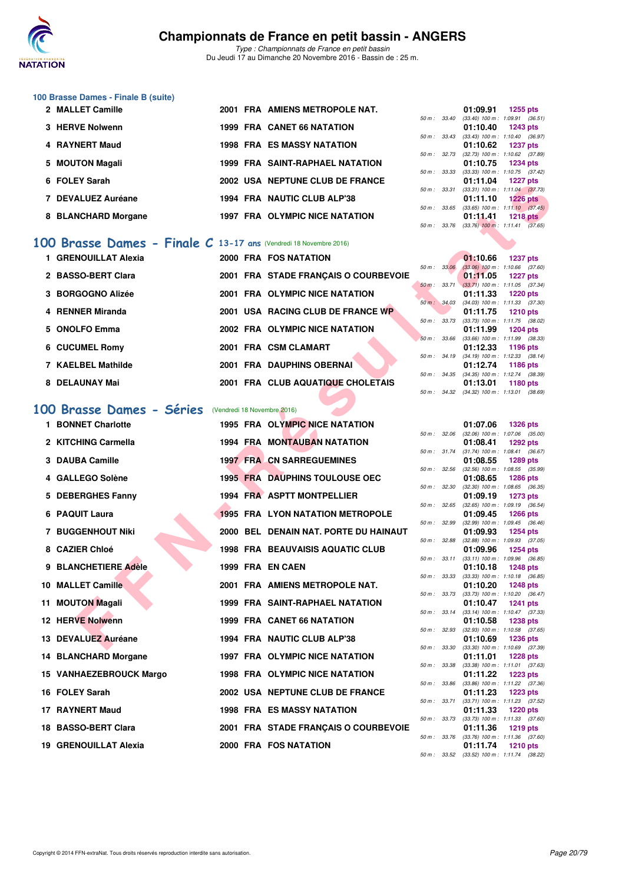

# **100 Brasse Dames - Finale B (suite)**

| 2 MALLET Camille    |  | 2001 FRA AMIENS METROPOLE NAT.         |              | 01:09.91                                                     | 1255 pts        |  |
|---------------------|--|----------------------------------------|--------------|--------------------------------------------------------------|-----------------|--|
|                     |  |                                        | 50 m : 33.40 | $(33.40)$ 100 m : 1:09.91 (36.                               |                 |  |
| 3 HERVE Nolwenn     |  | 1999 FRA CANET 66 NATATION             |              | 01:10.40                                                     | 1243 pts        |  |
| 4 RAYNERT Maud      |  | <b>1998 FRA ES MASSY NATATION</b>      |              | 50 m: 33.43 (33.43) 100 m: 1:10.40 (36.<br>01:10.62 1237 pts |                 |  |
|                     |  |                                        |              | 50 m: 32.73 (32.73) 100 m: 1:10.62 (37.                      |                 |  |
| 5 MOUTON Magali     |  | <b>1999 FRA SAINT-RAPHAEL NATATION</b> |              | 01:10.75 1234 pts                                            |                 |  |
|                     |  |                                        |              | 50 m: 33.33 (33.33) 100 m: 1:10.75 (37.                      |                 |  |
| 6 FOLEY Sarah       |  | 2002 USA NEPTUNE CLUB DE FRANCE        |              | 01:11.04 1227 pts                                            |                 |  |
|                     |  |                                        | 50 m: 33.31  | $(33.31)$ 100 m : 1:11.04 $(37.$                             |                 |  |
| 7 DEVALUEZ Auréane  |  | 1994 FRA NAUTIC CLUB ALP'38            |              | 01:11.10                                                     | <b>1226 pts</b> |  |
| 8 BLANCHARD Morgane |  | 1997 FRA OLYMPIC NICE NATATION         | 50 m: 33.65  | $(33.65)$ 100 m : 1:11.10 $(37.$<br>01:11.41                 | <b>1218 pts</b> |  |

# **[100 Brasse Dames - Finale C](http://www.ffnatation.fr/webffn/resultats.php?idact=nat&go=epr&idcpt=41163&idepr=22) 13-17 ans** (Vendredi 18 Novembre 2016)

| 1 GRENOUILLAT Alexia |  | 2000 FRA FOS NATATION                |                          | 01:10.66                                | 1237 pts |  |
|----------------------|--|--------------------------------------|--------------------------|-----------------------------------------|----------|--|
|                      |  |                                      | $50 \text{ m}$ : $33.06$ | $(33.06)$ 100 m : 1:10.66 (37.          |          |  |
| 2 BASSO-BERT Clara   |  | 2001 FRA STADE FRANCAIS O COURBEVOIE |                          | 01:11.05 1227 pts                       |          |  |
|                      |  |                                      |                          | 50 m: 33.71 (33.71) 100 m: 1:11.05 (37. |          |  |
| 3 BORGOGNO Alizée    |  | 2001 FRA OLYMPIC NICE NATATION       |                          | 01:11.33 1220 pts                       |          |  |
|                      |  |                                      | 50 m: 34.03              | $(34.03)$ 100 m : 1:11.33 (37.          |          |  |
| 4 RENNER Miranda     |  | 2001 USA RACING CLUB DE FRANCE WP    |                          | 01:11.75 1210 pts                       |          |  |
|                      |  |                                      | 50 m : 33.73             | $(33.73)$ 100 m : 1:11.75 (38.          |          |  |
| 5 ONOLFO Emma        |  | 2002 FRA OLYMPIC NICE NATATION       |                          | 01:11.99 1204 pts                       |          |  |
|                      |  |                                      | 50 m: 33.66              | $(33.66)$ 100 m : 1:11.99 (38.          |          |  |
| 6 CUCUMEL Romy       |  | 2001 FRA CSM CLAMART                 |                          | 01:12.33 1196 pts                       |          |  |
|                      |  |                                      | 50 m : 34.19             | $(34.19)$ 100 m : 1:12.33 (38.          |          |  |
| 7 KAELBEL Mathilde   |  | 2001 FRA DAUPHINS OBERNAI            |                          | 01:12.74                                | 1186 pts |  |
| 8 DELAUNAY Mai       |  | 2001 FRA CLUB AQUATIQUE CHOLETAIS    | $50 m$ : $34.35$         | $(34.35)$ 100 m : 1:12.74 $(38.$        |          |  |
|                      |  |                                      |                          | 01:13.01                                | 1180 pts |  |

# **[100 Brasse Dames - Séries](http://www.ffnatation.fr/webffn/resultats.php?idact=nat&go=epr&idcpt=41163&idepr=22)** (Vendredi 18 Novembre 2016)

|                                                                  |  | <b>USA INCLUDIVE CLUB DE FRANCE</b>     |                | ,,,,,,,,,, | <b>ELLE</b>                                                   |  |
|------------------------------------------------------------------|--|-----------------------------------------|----------------|------------|---------------------------------------------------------------|--|
| 7 DEVALUEZ Auréane                                               |  | 1994 FRA NAUTIC CLUB ALP'38             |                | 01:11.10   | 50 m: 33.31 (33.31) 100 m: 1:11.04 (37.73)<br>$1226$ pts      |  |
|                                                                  |  |                                         |                |            | 50 m : 33.65 (33.65) 100 m : 1:11.10 (37.45)                  |  |
| 8 BLANCHARD Morgane                                              |  | 1997 FRA OLYMPIC NICE NATATION          | 50 m : 33.76   | 01:11.41   | 1218 pts<br>$(33.76)$ 100 m : 1:11.41 $(37.65)$               |  |
|                                                                  |  |                                         |                |            |                                                               |  |
| 00 Brasse Dames - Finale C 13-17 ans (Vendredi 18 Novembre 2016) |  |                                         |                |            |                                                               |  |
| 1 GRENOUILLAT Alexia                                             |  | 2000 FRA FOS NATATION                   |                | 01:10.66   | <b>1237 pts</b>                                               |  |
| 2 BASSO-BERT Clara                                               |  | 2001 FRA STADE FRANÇAIS O COURBEVOIE    | 50 m: 33.06    | 01:11.05   | $(33.06)$ 100 m : 1:10.66 $(37.60)$<br><b>1227 pts</b>        |  |
|                                                                  |  |                                         | $50 m$ : 33.71 |            | $(33.71)$ 100 m : 1:11.05 $(37.34)$                           |  |
| 3 BORGOGNO Alizée                                                |  | 2001 FRA OLYMPIC NICE NATATION          | 50 m : 34.03   | 01:11.33   | <b>1220 pts</b><br>$(34.03)$ 100 m : 1:11.33 $(37.30)$        |  |
| 4 RENNER Miranda                                                 |  | 2001 USA RACING CLUB DE FRANCE WP       |                | 01:11.75   | <b>1210 pts</b>                                               |  |
|                                                                  |  |                                         | 50 m : 33.73   |            | $(33.73)$ 100 m : 1:11.75 $(38.02)$                           |  |
| 5 ONOLFO Emma                                                    |  | 2002 FRA OLYMPIC NICE NATATION          | 50 m: 33.66    | 01:11.99   | <b>1204 pts</b><br>$(33.66)$ 100 m : 1:11.99 $(38.33)$        |  |
| <b>6 CUCUMEL Romy</b>                                            |  | 2001 FRA CSM CLAMART                    |                | 01:12.33   | <b>1196 pts</b>                                               |  |
| 7 KAELBEL Mathilde                                               |  | 2001 FRA DAUPHINS OBERNAI               | 50 m : 34.19   | 01:12.74   | $(34.19)$ 100 m : 1:12.33 $(38.14)$<br><b>1186 pts</b>        |  |
|                                                                  |  |                                         |                |            | 50 m: 34.35 (34.35) 100 m: 1:12.74 (38.39)                    |  |
| 8 DELAUNAY Mai                                                   |  | 2001 FRA CLUB AQUATIQUE CHOLETAIS       |                | 01:13.01   | 1180 pts                                                      |  |
|                                                                  |  |                                         | 50 m : 34.32   |            | $(34.32)$ 100 m : 1:13.01 $(38.69)$                           |  |
| 00 Brasse Dames - Séries                                         |  | (Vendredi 18 Novembre 2016)             |                |            |                                                               |  |
| 1 BONNET Charlotte                                               |  | 1995 FRA OLYMPIC NICE NATATION          |                | 01:07.06   | <b>1326 pts</b>                                               |  |
| 2 KITCHING Carmella                                              |  |                                         | 50 m: 32.06    |            | $(32.06)$ 100 m : 1:07.06 $(35.00)$                           |  |
|                                                                  |  | <b>1994 FRA MONTAUBAN NATATION</b>      | 50 m : 31.74   | 01:08.41   | <b>1292 pts</b><br>$(31.74)$ 100 m : 1:08.41 $(36.67)$        |  |
| 3 DAUBA Camille                                                  |  | <b>1997 FRA CN SARREGUEMINES</b>        |                | 01:08.55   | <b>1289 pts</b>                                               |  |
| 4 GALLEGO Solène                                                 |  | <b>1995 FRA DAUPHINS TOULOUSE OEC</b>   | 50 m: 32.56    | 01:08.65   | $(32.56)$ 100 m : 1:08.55 $(35.99)$<br><b>1286 pts</b>        |  |
|                                                                  |  |                                         | 50 m : 32.30   |            | $(32.30)$ 100 m : 1:08.65 $(36.35)$                           |  |
| 5 DEBERGHES Fanny                                                |  | 1994 FRA ASPTT MONTPELLIER              |                | 01:09.19   | <b>1273 pts</b>                                               |  |
| 6 PAQUIT Laura                                                   |  | <b>1995 FRA LYON NATATION METROPOLE</b> | 50 m : 32.65   | 01:09.45   | $(32.65)$ 100 m : 1:09.19 $(36.54)$<br><b>1266 pts</b>        |  |
|                                                                  |  |                                         | 50 m : 32.99   |            | $(32.99)$ 100 m : 1:09.45 $(36.46)$                           |  |
| 7 BUGGENHOUT Niki                                                |  | 2000 BEL DENAIN NAT. PORTE DU HAINAUT   | 50 m : 32.88   | 01:09.93   | <b>1254 pts</b><br>$(32.88)$ 100 m : 1:09.93 $(37.05)$        |  |
| 8 CAZIER Chloé                                                   |  | 1998 FRA BEAUVAISIS AQUATIC CLUB        |                | 01:09.96   | <b>1254 pts</b>                                               |  |
| 9 BLANCHETIERE Adèle                                             |  | 1999 FRA EN CAEN                        | 50 m: 33.11    |            | $(33.11)$ 100 m : 1:09.96 $(36.85)$                           |  |
|                                                                  |  |                                         | 50 m : 33.33   | 01:10.18   | <b>1248 pts</b><br>$(33.33)$ 100 m : 1:10.18 $(36.85)$        |  |
| 10 MALLET Camille                                                |  | 2001 FRA AMIENS METROPOLE NAT.          |                | 01:10.20   | <b>1248 pts</b>                                               |  |
| 11 MOUTON Magali                                                 |  | <b>1999 FRA SAINT-RAPHAEL NATATION</b>  | 50 m : 33.73   | 01:10.47   | $(33.73)$ 100 m : 1:10.20 $(36.47)$<br><b>1241 pts</b>        |  |
|                                                                  |  |                                         |                |            | 50 m: 33.14 (33.14) 100 m: 1:10.47 (37.33)                    |  |
| <b>12 HERVE Nolwenn</b>                                          |  | <b>1999 FRA CANET 66 NATATION</b>       |                | 01:10.58   | <b>1238 pts</b><br>50 m: 32.93 (32.93) 100 m: 1:10.58 (37.65) |  |
| 13 DEVALUEZ Auréane                                              |  | 1994 FRA NAUTIC CLUB ALP'38             |                | 01:10.69   | <b>1236 pts</b>                                               |  |
|                                                                  |  |                                         |                |            | 50 m: 33.30 (33.30) 100 m: 1:10.69 (37.39)                    |  |
| 14 BLANCHARD Morgane                                             |  | <b>1997 FRA OLYMPIC NICE NATATION</b>   | 50 m : 33.38   | 01:11.01   | 1228 pts<br>$(33.38)$ 100 m : 1:11.01 $(37.63)$               |  |
| 15 VANHAEZEBROUCK Margo                                          |  | <b>1998 FRA OLYMPIC NICE NATATION</b>   |                | 01:11.22   | <b>1223 pts</b>                                               |  |
| 16 FOLEY Sarah                                                   |  | 2002 USA NEPTUNE CLUB DE FRANCE         | 50 m : 33.86   | 01:11.23   | (33.86) 100 m: 1:11.22 (37.36)<br><b>1223 pts</b>             |  |
|                                                                  |  |                                         | 50 m : 33.71   |            | $(33.71)$ 100 m : 1:11.23 $(37.52)$                           |  |
| 17 RAYNERT Maud                                                  |  | <b>1998 FRA ES MASSY NATATION</b>       |                | 01:11.33   | <b>1220 pts</b>                                               |  |
| 18 BASSO-BERT Clara                                              |  | 2001 FRA STADE FRANÇAIS O COURBEVOIE    | 50 m : 33.73   | 01:11.36   | $(33.73)$ 100 m : 1:11.33 $(37.60)$<br>1219 pts               |  |
|                                                                  |  |                                         | 50 m : 33.76   |            | $(33.76)$ 100 m : 1:11.36 $(37.60)$                           |  |
| <b>19 GRENOUILLAT Alexia</b>                                     |  | 2000 FRA FOS NATATION                   |                | 01:11.74   | <b>1210 pts</b>                                               |  |

|          |       | 01:09.91                            | <b>1255 pts</b>     |                     |
|----------|-------|-------------------------------------|---------------------|---------------------|
| $50 m$ : | 33.40 | $(33.40)$ 100 m :                   | 1:09.91 (36.51)     |                     |
|          |       | 01:10.40                            | 1243 pts            |                     |
| $50 m$ : | 33.43 | $(33.43) 100 m$ :                   | $1:10.40$ (36.97)   |                     |
|          |       | 01:10.62                            | 1237 pts            |                     |
| $50 m$ : | 32.73 | $(32.73)$ 100 m :                   | 1:10.62 (37.89)     |                     |
|          |       | 01:10.75                            | <b>1234 pts</b>     |                     |
| $50 m$ : | 33.33 | $(33.33)$ 100 m :                   | $1:10.75$ (37.42)   |                     |
|          |       | 01:11.04                            | 1227 pts            |                     |
|          |       |                                     |                     | $1:11.04$ $(37.73)$ |
| 50 m :   | 33.31 | $(33.31)$ 100 m :                   |                     |                     |
|          |       | 01:11.10                            | <b>1226 pts</b>     |                     |
| $50 m$ : | 33.65 | $(33.65)$ 100 m :                   | $1:11.10$ $(37.45)$ |                     |
|          |       | 01:11.41                            | <b>1218 pts</b>     |                     |
| 50 m :   | 33.76 | $(33.76)$ 100 m : 1:11.41 $(37.65)$ |                     |                     |
|          |       |                                     |                     |                     |
|          |       |                                     |                     |                     |

|                  | 01:10.66                            | <b>1237 pts</b>     |  |
|------------------|-------------------------------------|---------------------|--|
| 50 m: 33.06      | $(33.06)$ 100 m :                   | $1:10.66$ $(37.60)$ |  |
|                  | 01:11.05                            | 1227 pts            |  |
| $50 m$ : 33.71   | $(33.71)$ 100 m :                   | $1:11.05$ $(37.34)$ |  |
|                  | 01:11.33                            | <b>1220 pts</b>     |  |
| 50 m : 34.03     | $(34.03)$ 100 m :                   | $1:11.33$ $(37.30)$ |  |
|                  | 01:11.75                            | 1210 pts            |  |
| $50 m$ : $33.73$ | $(33.73)$ 100 m :                   | $1:11.75$ (38.02)   |  |
|                  | 01:11.99                            | 1204 pts            |  |
| 50 m: 33.66      | $(33.66)$ 100 m :                   | 1:11.99 (38.33)     |  |
|                  | 01:12.33                            | 1196 pts            |  |
| 50 m: 34.19      | $(34.19)$ 100 m :                   | $1:12.33$ $(38.14)$ |  |
|                  | 01:12.74                            | 1186 pts            |  |
| 50 m: 34.35      | $(34.35)$ 100 m :                   | $1:12.74$ (38.39)   |  |
|                  | 01:13.01                            | 1180 pts            |  |
| 50 m : 34.32     | $(34.32)$ 100 m : 1:13.01 $(38.69)$ |                     |  |

|          |       | 01:07.06          | 1326 pts        |         |
|----------|-------|-------------------|-----------------|---------|
| $50 m$ : | 32.06 | $(32.06)$ 100 m : | 1:07.06         | (35.00) |
|          |       | 01:08.41          | <b>1292 pts</b> |         |
| $50 m$ : | 31.74 | $(31.74) 100 m$ : | 1:08.41         | (36.67) |
|          |       | 01:08.55          | 1289 pts        |         |
| $50 m$ : | 32.56 | $(32.56)$ 100 m : | 1:08.55         | (35.99) |
|          |       | 01:08.65          | 1286 pts        |         |
| $50 m$ : | 32.30 | $(32.30)$ 100 m : | 1:08.65         | (36.35) |
|          |       | 01:09.19          | 1273 pts        |         |
| $50 m$ : | 32.65 | $(32.65)$ 100 m : | 1:09.19         | (36.54) |
|          |       | 01:09.45          | 1266 pts        |         |
| $50 m$ : | 32.99 | $(32.99)$ 100 m : | 1:09.45         | (36.46) |
|          |       | 01:09.93          | 1254 pts        |         |
| $50 m$ : | 32.88 | $(32.88) 100 m$ : | 1:09.93         | (37.05) |
|          |       | 01:09.96          | 1254 pts        |         |
| $50 m$ : | 33.11 | $(33.11)$ 100 m : | 1:09.96         | (36.85) |
|          |       | 01:10.18          | 1248 pts        |         |
| $50 m$ : | 33.33 | $(33.33) 100 m$ : | 1:10.18         | (36.85) |
|          |       | 01:10.20          | 1248 pts        |         |
| $50 m$ : | 33.73 | $(33.73) 100 m$ : | 1:10.20         | (36.47) |
|          |       | 01:10.47          | 1241            | pts     |
| $50 m$ : | 33.14 | $(33.14) 100 m$ : | 1:10.47         | (37.33) |
|          |       | 01:10.58          | 1238            | pts     |
| $50 m$ : | 32.93 | $(32.93)$ 100 m : | 1:10.58         | (37.65) |
|          |       | 01:10.69          | 1236            | pts     |
| $50 m$ : | 33.30 | $(33.30)$ 100 m : | 1:10.69         | (37.39) |
|          |       | 01:11.01          | 1228            | pts     |
| $50 m$ : | 33.38 | $(33.38) 100 m$ : | 1:11.01         | (37.63) |
|          |       | 01:11.22          | 1223            | pts     |
| $50 m$ : | 33.86 | $(33.86)$ 100 m : | 1:11.22         | (37.36) |
|          |       | 01:11.23          | 1223            | pts     |
| $50 m$ : | 33.71 | $(33.71)$ 100 m : | 1:11.23         | (37.52) |
|          |       | 01:11.33          | <b>1220 pts</b> |         |
| $50 m$ : | 33.73 | $(33.73) 100 m$ : | 1:11.33         | (37.60) |
|          |       | 01:11.36          | 1219 pts        |         |
| $50 m$ : | 33.76 | $(33.76)$ 100 m : | 1:11.36         | (37.60) |
|          |       | 01:11.74          | <b>1210 pts</b> |         |
| $50 m$ : | 33.52 | $(33.52)$ 100 m : | 1:11.74         | (38.22) |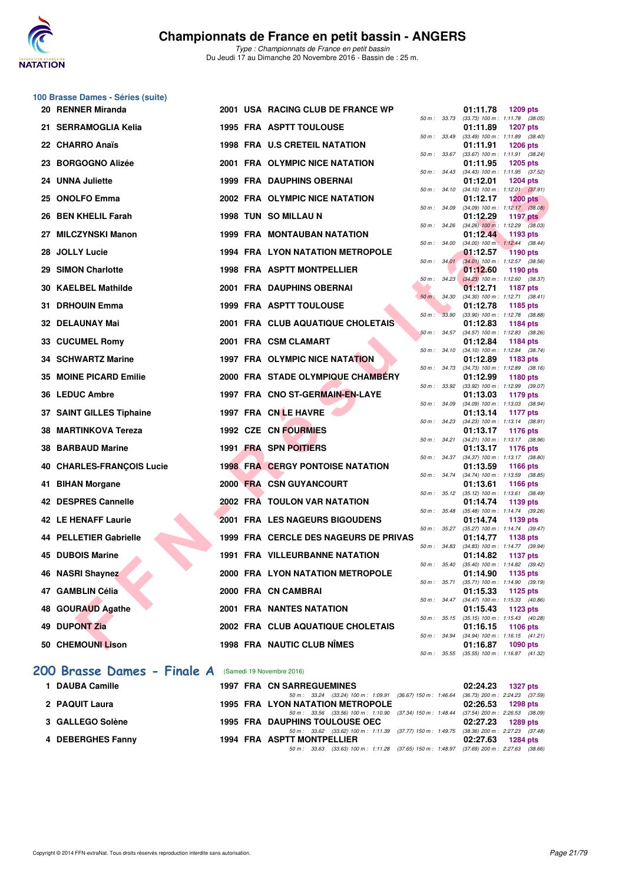

**100 Brasse Dames - Séries (suite)**

*Type : Championnats de France en petit bassin* Du Jeudi 17 au Dimanche 20 Novembre 2016 - Bassin de : 25 m.

|     | 20 RENNER Miranda                |  | 2001 USA RACING CLUB DE FRANCE WP        |             |                          | 01:11.78<br>1209 pts                                                      |
|-----|----------------------------------|--|------------------------------------------|-------------|--------------------------|---------------------------------------------------------------------------|
|     | 21 SERRAMOGLIA Kelia             |  | 1995 FRA ASPTT TOULOUSE                  |             | 50 m : 33.73             | $(33.73)$ 100 m : 1:11.78 $(38.05)$<br>01:11.89<br><b>1207 pts</b>        |
|     | 22 CHARRO Anaïs                  |  | <b>1998 FRA U.S CRETEIL NATATION</b>     |             | 50 m : 33.49             | $(33.49)$ 100 m : 1:11.89 $(38.40)$<br>01:11.91<br><b>1206 pts</b>        |
|     | 23 BORGOGNO Alizée               |  | 2001 FRA OLYMPIC NICE NATATION           |             | 50 m : 33.67             | (33.67) 100 m: 1:11.91 (38.24)<br>01:11.95<br>1205 pts                    |
|     | 24 UNNA Juliette                 |  | <b>1999 FRA DAUPHINS OBERNAI</b>         |             | $50 \text{ m}$ : $34.43$ | $(34.43)$ 100 m : 1:11.95 $(37.52)$<br>01:12.01<br><b>1204 pts</b>        |
|     | 25 ONOLFO Emma                   |  | 2002 FRA OLYMPIC NICE NATATION           |             | 50 m : 34.10             | $(34.10)$ 100 m : 1:12.01 $(37.91)$<br>01:12.17<br><b>1200 pts</b>        |
|     | 26 BEN KHELIL Farah              |  | 1998 TUN SO MILLAU N                     |             | 50 m : 34.09             | $(34.09)$ 100 m : 1:12.17 $(38.08)$<br>01:12.29<br>1197 $p$ ts            |
|     | 27 MILCZYNSKI Manon              |  | <b>1999 FRA MONTAUBAN NATATION</b>       |             | 50 m: 34.26              | $(34.26)$ 100 m : 1:12.29 $(38.03)$<br>01:12.44<br>1193 pts               |
|     | 28 JOLLY Lucie                   |  | <b>1994 FRA LYON NATATION METROPOLE</b>  |             | 50 m : 34.00             | $(34.00)$ 100 m : 1:12.44 $(38.44)$<br>01:12.57<br><b>1190 pts</b>        |
|     | 29 SIMON Charlotte               |  | <b>1998 FRA ASPTT MONTPELLIER</b>        |             | 50 m: 34.01              | $(34.01)$ 100 m : 1:12.57 $(38.56)$<br>01:12.60<br>1190 pts               |
|     | 30 KAELBEL Mathilde              |  | 2001 FRA DAUPHINS OBERNAI                |             | 50 m: 34.23              | $(34.23)$ 100 m : 1:12.60 $(38.37)$<br>01:12.71<br><b>1187 pts</b>        |
| 31. | <b>DRHOUIN Emma</b>              |  | <b>1999 FRA ASPTT TOULOUSE</b>           | 50 m: 34.30 |                          | $(34.30)$ 100 m : 1:12.71 $(38.41)$<br>01:12.78                           |
|     |                                  |  |                                          |             | 50 m: 33.90              | 1185 pts<br>$(33.90)$ 100 m : 1:12.78 $(38.88)$                           |
|     | <b>32 DELAUNAY Mai</b>           |  | <b>2001 FRA CLUB AQUATIQUE CHOLETAIS</b> |             | $50 m$ : 34.57           | 01:12.83<br>1184 pts<br>(34.57) 100 m: 1:12.83 (38.26)                    |
|     | 33 CUCUMEL Romy                  |  | 2001 FRA CSM CLAMART                     |             |                          | 01:12.84<br>1184 pts<br>50 m: 34.10 (34.10) 100 m: 1:12.84 (38.74)        |
|     | <b>34 SCHWARTZ Marine</b>        |  | 1997 FRA OLYMPIC NICE NATATION           |             | $50 m$ : $34.73$         | 01:12.89<br>1183 pts<br>$(34.73)$ 100 m : 1:12.89 $(38.16)$               |
|     | 35 MOINE PICARD Emilie           |  | 2000 FRA STADE OLYMPIQUE CHAMBERY        |             |                          | 01:12.99<br>1180 pts                                                      |
|     | 36 LEDUC Ambre                   |  | 1997 FRA CNO ST-GERMAIN-EN-LAYE          |             | 50 m: 33.92              | $(33.92)$ 100 m : 1:12.99 $(39.07)$<br>01:13.03<br>1179 pts               |
|     | 37 SAINT GILLES Tiphaine         |  | 1997 FRA CN LE HAVRE                     |             | 50 m : 34.09             | (34.09) 100 m: 1:13.03 (38.94)<br>01:13.14<br><b>1177 pts</b>             |
|     | 38 MARTINKOVA Tereza             |  | 1992 CZE CN FOURMIES                     |             | 50 m : 34.23             | $(34.23)$ 100 m : 1:13.14 $(38.91)$<br>01:13.17<br>1176 pts               |
|     | 38 BARBAUD Marine                |  | 1991 FRA SPN POITIERS                    |             |                          | 50 m: 34.21 (34.21) 100 m: 1:13.17 (38.96)<br>01:13.17<br>1176 pts        |
|     | <b>40 CHARLES-FRANÇOIS Lucie</b> |  | <b>1998 FRA CERGY PONTOISE NATATION</b>  |             | 50 m : 34.37             | $(34.37)$ 100 m : 1:13.17 $(38.80)$<br>01:13.59<br><b>1166 pts</b>        |
|     | 41 BIHAN Morgane                 |  | 2000 FRA CSN GUYANCOURT                  |             |                          | 50 m: 34.74 (34.74) 100 m: 1:13.59 (38.85)<br>01:13.61<br><b>1166 pts</b> |
|     |                                  |  |                                          |             | 50 m: 35.12              | $(35.12)$ 100 m : 1:13.61 $(38.49)$                                       |
|     | 42 DESPRES Cannelle              |  | <b>2002 FRA TOULON VAR NATATION</b>      |             | 50 m : 35.48             | 01:14.74<br>1139 pts<br>$(35.48)$ 100 m : 1:14.74 $(39.26)$               |
|     | 42 LE HENAFF Laurie              |  | <b>2001 FRA LES NAGEURS BIGOUDENS</b>    |             | $50 m$ : $35.27$         | 01:14.74<br>1139 pts<br>(35.27) 100 m: 1:14.74 (39.47)                    |
|     | 44 PELLETIER Gabrielle           |  | 1999 FRA CERCLE DES NAGEURS DE PRIVAS    |             | 50 m : 34.83             | 01:14.77<br><b>1138 pts</b><br>$(34.83)$ 100 m : 1:14.77 $(39.94)$        |
|     | <b>45 DUBOIS Marine</b>          |  | <b>1991 FRA VILLEURBANNE NATATION</b>    |             |                          | 01:14.82<br>1137 pts                                                      |
|     | 46 NASRI Shaynez                 |  | 2000 FRA LYON NATATION METROPOLE         |             | 50 m : 35.40             | $(35.40)$ 100 m : 1:14.82 $(39.42)$<br>01:14.90 1135 pts                  |
|     | 47 GAMBLIN Célia                 |  | 2000 FRA CN CAMBRAI                      |             |                          | 50 m : 35.71 (35.71) 100 m : 1:14.90 (39.19)<br>01:15.33<br>1125 pts      |
|     | 48 GOURAUD Agathe                |  | <b>2001 FRA NANTES NATATION</b>          |             |                          | 50 m: 34.47 (34.47) 100 m: 1:15.33 (40.86)<br>01:15.43<br>1123 pts        |
|     | 49 DUPONT Zia                    |  | 2002 FRA CLUB AQUATIQUE CHOLETAIS        |             |                          | 50 m: 35.15 (35.15) 100 m: 1:15.43 (40.28)<br>01:16.15<br><b>1106 pts</b> |
|     | 50 CHEMOUNI Lison                |  | <b>1998 FRA NAUTIC CLUB NIMES</b>        |             |                          | 50 m: 34.94 (34.94) 100 m: 1:16.15 (41.21)<br>01:16.87<br>1090 pts        |
|     |                                  |  |                                          |             |                          | 50 m: 35.55 (35.55) 100 m: 1:16.87 (41.32)                                |

#### [200 Brasse Dames - Finale A](http://www.ffnatation.fr/webffn/resultats.php?idact=nat&go=epr&idcpt=41163&idepr=23) (Samedi 19 Novembre 2016)

| 1 DAUBA Camille   | <b>1997 FRA CN SARREGUEMINES</b>                                                         |  | 02:24.23 1327 pts |
|-------------------|------------------------------------------------------------------------------------------|--|-------------------|
|                   | 50 m: 33.24 (33.24) 100 m: 1:09.91 (36.67) 150 m: 1:46.64 (36.73) 200 m: 2:24.23 (37.59) |  |                   |
| 2 PAQUIT Laura    | 1995 FRA LYON NATATION METROPOLE                                                         |  | 02:26.53 1298 pts |
|                   | 50 m: 33.56 (33.56) 100 m: 1:10.90 (37.34) 150 m: 1:48.44 (37.54) 200 m: 2:26.53 (38.09) |  |                   |
| 3 GALLEGO Solène  | <b>1995 FRA DAUPHINS TOULOUSE OEC</b>                                                    |  | 02:27.23 1289 pts |
|                   | 50 m: 33.62 (33.62) 100 m: 1:11.39 (37.77) 150 m: 1:49.75 (38.36) 200 m: 2:27.23 (37.48) |  |                   |
| 4 DEBERGHES Fanny | 1994 FRA ASPTT MONTPELLIER                                                               |  | 02:27.63 1284 pts |
|                   | 50 m: 33.63 (33.63) 100 m: 1:11.28 (37.65) 150 m: 1:48.97 (37.69) 200 m: 2:27.63 (38.66) |  |                   |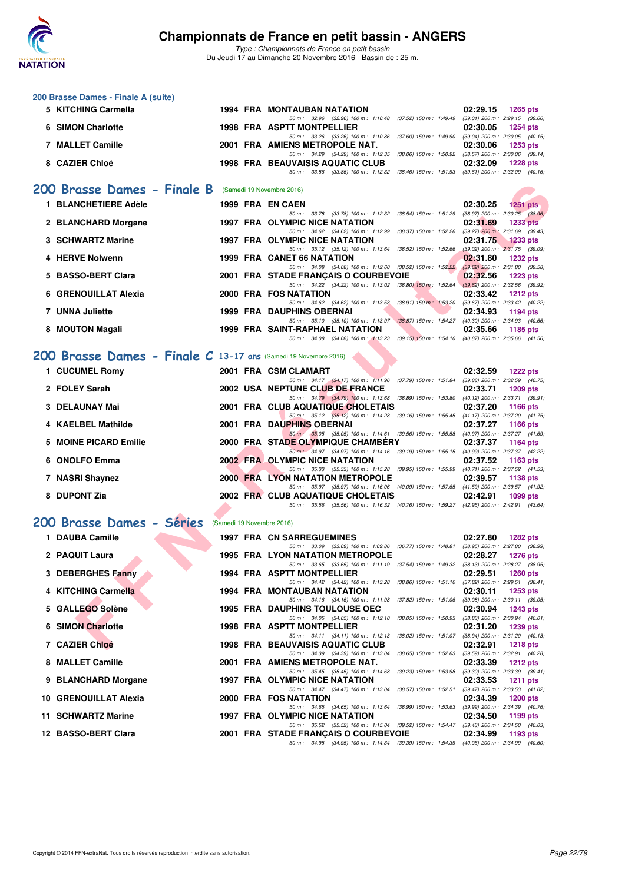

*Type : Championnats de France en petit bassin* Du Jeudi 17 au Dimanche 20 Novembre 2016 - Bassin de : 25 m.

|   | 200 Brasse Dames - Finale A (suite)                             |  |                                                                                                                                      |                                                                    |
|---|-----------------------------------------------------------------|--|--------------------------------------------------------------------------------------------------------------------------------------|--------------------------------------------------------------------|
|   | 5 KITCHING Carmella                                             |  | 1994 FRA MONTAUBAN NATATION<br>50 m: 32.96 (32.96) 100 m: 1:10.48 (37.52) 150 m: 1:49.49 (39.01) 200 m: 2:29.15 (39.66)              | 02:29.15<br><b>1265 pts</b>                                        |
| 6 | <b>SIMON Charlotte</b>                                          |  | 1998 FRA ASPTT MONTPELLIER                                                                                                           | 02:30.05<br><b>1254 pts</b>                                        |
|   | <b>7 MALLET Camille</b>                                         |  | 50 m: 33.26 (33.26) 100 m: 1:10.86 (37.60) 150 m: 1:49.90 (39.04) 200 m: 2:30.05 (40.15)<br>2001 FRA AMIENS METROPOLE NAT.           | 02:30.06<br>1253 pts                                               |
|   | 8 CAZIER Chloé                                                  |  | 50 m: 34.29 (34.29) 100 m: 1:12.35 (38.06) 150 m: 1:50.92 (38.57) 200 m: 2:30.06 (39.14)<br><b>1998 FRA BEAUVAISIS AQUATIC CLUB</b>  | 02:32.09<br><b>1228 pts</b>                                        |
|   |                                                                 |  | 50 m: 33.86 (33.86) 100 m: 1:12.32 (38.46) 150 m: 1:51.93 (39.61) 200 m: 2:32.09 (40.16)                                             |                                                                    |
|   | 200 Brasse Dames - Finale B                                     |  | (Samedi 19 Novembre 2016)                                                                                                            |                                                                    |
|   | 1 BLANCHETIERE Adèle                                            |  | 1999 FRA EN CAEN                                                                                                                     | 02:30.25<br>$1251$ pts<br>$(38.97)$ 200 m : 2:30.25 $(38.96)$      |
|   | 2 BLANCHARD Morgane                                             |  | 50 m : 33.78 (33.78) 100 m : 1:12.32 (38.54) 150 m : 1:51.29<br>1997 FRA OLYMPIC NICE NATATION                                       | 02:31.69<br><b>1233 pts</b>                                        |
|   | 3 SCHWARTZ Marine                                               |  | 50 m: 34.62 (34.62) 100 m: 1:12.99 (38.37) 150 m: 1:52.26 (39.27) 200 m: 2:31.69 (39.43)<br>1997 FRA OLYMPIC NICE NATATION           | 02:31.75<br><b>1233 pts</b>                                        |
|   | 4 HERVE Nolwenn                                                 |  | 50 m: 35.12 (35.12) 100 m: 1:13.64 (38.52) 150 m: 1:52.66<br>1999 FRA CANET 66 NATATION                                              | $(39.02)$ 200 m : 2:31.75 $(39.09)$<br>02:31.80<br><b>1232 pts</b> |
|   | 5 BASSO-BERT Clara                                              |  | 50 m: 34.08 (34.08) 100 m: 1:12.60 (38.52) 150 m: 1:52.22<br>2001 FRA STADE FRANÇAIS O COURBEVOIE                                    | $(39.62)$ 200 m : 2:31.80 $(39.58)$<br>02:32.56<br><b>1223 pts</b> |
|   | <b>GRENOUILLAT Alexia</b>                                       |  | 50 m: 34.22 (34.22) 100 m: 1:13.02 (38.80) 150 m: 1:52.64 (39.62) 200 m: 2:32.56 (39.92)<br>2000 FRA FOS NATATION                    | 02:33.42<br><b>1212 pts</b>                                        |
|   |                                                                 |  | 50 m: 34.62 (34.62) 100 m: 1:13.53 (38.91) 150 m: 1:53.20                                                                            | (39.67) 200 m : 2:33.42 (40.22)                                    |
|   | 7 UNNA Juliette                                                 |  | 1999 FRA DAUPHINS OBERNAI<br>50 m: 35.10 (35.10) 100 m: 1:13.97 (38.87) 150 m: 1:54.27 (40.30) 200 m: 2:34.93 (40.66)                | 02:34.93<br>1194 pts                                               |
|   | 8 MOUTON Magali                                                 |  | <b>1999 FRA SAINT-RAPHAEL NATATION</b><br>50 m: 34.08 (34.08) 100 m: 1:13.23 (39.15) 150 m: 1:54.10 (40.87) 200 m: 2:35.66 (41.56)   | 02:35.66<br>1185 pts                                               |
|   | 200 Brasse Dames - Finale C 13-17 ans (Samedi 19 Novembre 2016) |  |                                                                                                                                      |                                                                    |
|   | 1 CUCUMEL Romy                                                  |  | 2001 FRA CSM CLAMART                                                                                                                 | 02:32.59<br><b>1222 pts</b>                                        |
|   | 2 FOLEY Sarah                                                   |  | 50 m: 34.17 (34.17) 100 m: 1:11.96 (37.79) 150 m: 1:51.84 (39.88) 200 m: 2:32.59 (40.75)<br><b>2002 USA NEPTUNE CLUB DE FRANCE</b>   | 02:33.71<br><b>1209 pts</b>                                        |
|   |                                                                 |  | 50 m: 34.79 (34.79) 100 m: 1:13.68 (38.89) 150 m: 1:53.80 (40.12) 200 m: 2:33.71 (39.91)                                             |                                                                    |
|   | 3 DELAUNAY Mai                                                  |  | <b>2001 FRA CLUB AQUATIQUE CHOLETAIS</b><br>50 m: 35.12 (35.12) 100 m: 1:14.28 (39.16) 150 m: 1:55.45 (41.17) 200 m: 2:37.20 (41.75) | 02:37.20<br><b>1166 pts</b>                                        |
|   | 4 KAELBEL Mathilde                                              |  | 2001 FRA DAUPHINS OBERNAI<br>50 m : 35.05 (35.05) 100 m : 1:14.61 (39.56) 150 m : 1:55.58 (40.97) 200 m : 2:37.27 (41.69)            | 02:37.27<br><b>1166 pts</b>                                        |
| 5 | <b>MOINE PICARD Emilie</b>                                      |  | 2000 FRA STADE OLYMPIQUE CHAMBERY<br>50 m: 34.97 (34.97) 100 m: 1:14.16 (39.19) 150 m: 1:55.15 (40.99) 200 m: 2:37.37 (42.22)        | 02:37.37<br><b>1164 pts</b>                                        |
| 6 | <b>ONOLFO Emma</b>                                              |  | <b>2002 FRA OLYMPIC NICE NATATION</b>                                                                                                | 02:37.52<br>1163 pts                                               |
|   | 7 NASRI Shaynez                                                 |  | 50 m: 35.33 (35.33) 100 m: 1:15.28 (39.95) 150 m: 1:55.99 (40.71) 200 m: 2:37.52 (41.53)<br><b>2000 FRA LYON NATATION METROPOLE</b>  | 02:39.57<br>1138 pts                                               |
|   | 8 DUPONT Zia                                                    |  | 50 m: 35.97 (35.97) 100 m: 1:16.06 (40.09) 150 m: 1:57.65 (41.59) 200 m: 2:39.57 (41.92)<br>2002 FRA CLUB AQUATIQUE CHOLETAIS        | 02:42.91<br>1099 pts                                               |
|   |                                                                 |  | 50 m: 35.56 (35.56) 100 m: 1:16.32 (40.76) 150 m: 1:59.27 (42.95) 200 m: 2:42.91 (43.64)                                             |                                                                    |
|   | 200 Brasse Dames - Séries                                       |  | (Samedi 19 Novembre 2016)                                                                                                            |                                                                    |
|   | 1 DAUBA Camille                                                 |  | <b>1997 FRA CN SARREGUEMINES</b><br>50 m: 33.09 (33.09) 100 m: 1:09.86 (36.77) 150 m: 1:48.81 (38.95) 200 m: 2:27.80 (38.99)         | 02:27.80<br><b>1282 pts</b>                                        |
|   | 2 PAQUIT Laura                                                  |  | <b>1995 FRA LYON NATATION METROPOLE</b>                                                                                              | 02:28.27<br><b>1276 pts</b>                                        |
|   | 3 DEBERGHES Fanny                                               |  | 50 m: 33.65 (33.65) 100 m: 1:11.19 (37.54) 150 m: 1:49.32<br>1994 FRA ASPTT MONTPELLIER                                              | (38.13) 200 m : 2:28.27 (38.95)<br>02:29.51<br><b>1260 pts</b>     |
|   | 4 KITCHING Carmella                                             |  | 50 m: 34.42 (34.42) 100 m: 1:13.28 (38.86) 150 m: 1:51.10 (37.82) 200 m: 2:29.51 (38.41)<br>1994 FRA MONTAUBAN NATATION              | 02:30.11<br>1253 pts                                               |
|   | 5 GALLEGO Solène                                                |  | 50 m: 34.16 (34.16) 100 m: 1:11.98 (37.82) 150 m: 1:51.06<br><b>1995 FRA DAUPHINS TOULOUSE OEC</b>                                   | $(39.08)$ 200 m : 2:30.11 $(39.05)$<br>02:30.94<br>1243 pts        |
| 6 | <b>SIMON Charlotte</b>                                          |  | 50 m : 34.05 (34.05) 100 m : 1:12.10<br>(38.05) 150 m : 1:50.93<br>1998 FRA ASPTT MONTPELLIER                                        | (38.83) 200 m : 2:30.94 (40.01)<br>02:31.20<br>1239 pts            |
|   | 7 CAZIER Chloé                                                  |  | 50 m: 34.11 (34.11) 100 m: 1:12.13 (38.02) 150 m: 1:51.07<br>1998 FRA BEAUVAISIS AQUATIC CLUB                                        | $(38.94)$ 200 m : 2:31.20 $(40.13)$<br>02:32.91                    |
|   |                                                                 |  | 50 m: 34.39 (34.39) 100 m: 1:13.04<br>$(38.65)$ 150 m : 1:52.63                                                                      | <b>1218 pts</b><br>(39.59) 200 m : 2:32.91 (40.28)                 |
| 8 | <b>MALLET Camille</b>                                           |  | 2001 FRA AMIENS METROPOLE NAT.<br>50 m: 35.45 (35.45) 100 m: 1:14.68 (39.23) 150 m: 1:53.98                                          | 02:33.39<br><b>1212 pts</b><br>$(39.30)$ 200 m : 2:33.39 $(39.41)$ |
| 9 | <b>BLANCHARD Morgane</b>                                        |  | 1997 FRA OLYMPIC NICE NATATION<br>50 m: 34.47 (34.47) 100 m: 1:13.04 (38.57) 150 m: 1:52.51                                          | 02:33.53<br><b>1211 pts</b><br>(39.47) 200 m : 2:33.53 (41.02)     |
|   | 10 GRENOUILLAT Alexia                                           |  | 2000 FRA FOS NATATION                                                                                                                | 02:34.39<br>1200 pts                                               |
|   | 11 SCHWARTZ Marine                                              |  | 50 m : 34.65 (34.65) 100 m : 1:13.64 (38.99) 150 m : 1:53.63<br>1997 FRA OLYMPIC NICE NATATION                                       | (39.99) 200 m : 2:34.39 (40.76)<br>02:34.50<br>1199 pts            |
|   | 12 BASSO-BERT Clara                                             |  | 50 m : 35.52 (35.52) 100 m : 1:15.04 (39.52) 150 m : 1:54.47 (39.43) 200 m : 2:34.50 (40.03)<br>2001 FRA STADE FRANÇAIS O COURBEVOIE | 02:34.99<br>1193 pts                                               |
|   |                                                                 |  | 50 m: 34.95 (34.95) 100 m: 1:14.34 (39.39) 150 m: 1:54.39 (40.05) 200 m: 2:34.99 (40.60)                                             |                                                                    |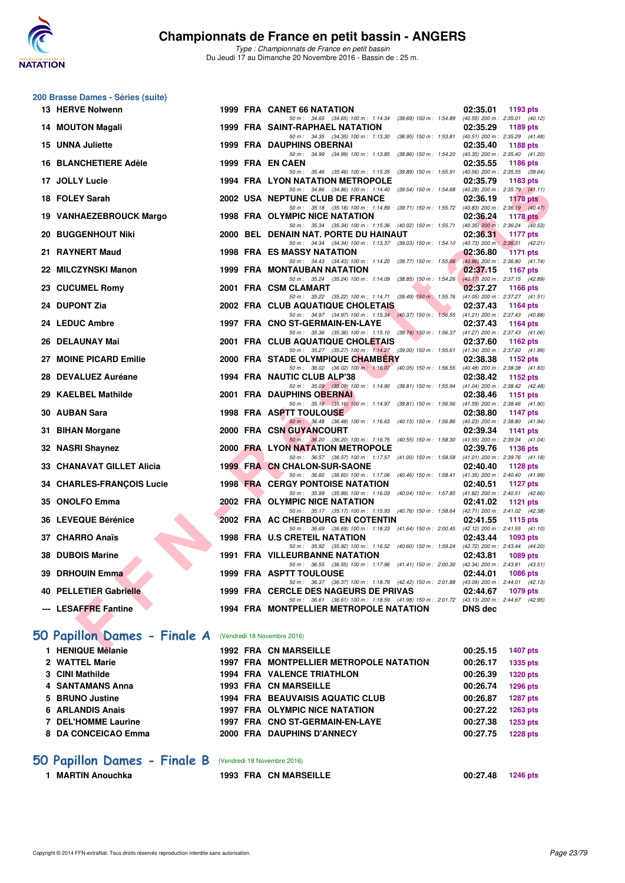

*Type : Championnats de France en petit bassin* Du Jeudi 17 au Dimanche 20 Novembre 2016 - Bassin de : 25 m.

|     | 200 Brasse Dames - Séries (suite) |  |                                                                                                                                     |                                                                |
|-----|-----------------------------------|--|-------------------------------------------------------------------------------------------------------------------------------------|----------------------------------------------------------------|
|     | 13 HERVE Nolwenn                  |  | 1999 FRA CANET 66 NATATION                                                                                                          | 02:35.01<br>1193 pts                                           |
| 14. | <b>MOUTON Magali</b>              |  | 50 m: 34.65 (34.65) 100 m: 1:14.34 (39.69) 150 m: 1:54.89 (40.55) 200 m: 2:35.01 (40.12)<br>1999 FRA SAINT-RAPHAEL NATATION         | 02:35.29<br>1189 pts                                           |
|     | 15 UNNA Juliette                  |  | 50 m: 34.35 (34.35) 100 m: 1:13.30 (38.95) 150 m: 1:53.81 (40.51) 200 m: 2:35.29 (41.48)<br><b>1999 FRA DAUPHINS OBERNAI</b>        | 02:35.40<br>1188 pts                                           |
|     | <b>16 BLANCHETIERE Adèle</b>      |  | 50 m: 34.99 (34.99) 100 m: 1:13.85 (38.86) 150 m: 1:54.20<br>1999 FRA EN CAEN                                                       | (40.35) 200 m : 2:35.40 (41.20)<br>02:35.55<br><b>1186 pts</b> |
|     |                                   |  | 50 m: 35.46 (35.46) 100 m: 1:15.35 (39.89) 150 m: 1:55.91                                                                           | (40.56) 200 m : 2:35.55 (39.64)                                |
|     | 17 JOLLY Lucie                    |  | <b>1994 FRA LYON NATATION METROPOLE</b><br>50 m: 34.86 (34.86) 100 m: 1:14.40 (39.54) 150 m: 1:54.68                                | 02:35.79<br>1183 pts<br>$(40.28)$ 200 m : 2:35.79 $(41.11)$    |
|     | 18 FOLEY Sarah                    |  | 2002 USA NEPTUNE CLUB DE FRANCE<br>50 m: 35.18 (35.18) 100 m: 1:14.89 (39.71) 150 m: 1:55.72 (40.83) 200 m: 2:36.19 (40.47)         | 02:36.19<br><b>1178 pts</b>                                    |
|     | 19 VANHAEZEBROUCK Margo           |  | 1998 FRA OLYMPIC NICE NATATION<br>50 m: 35.34 (35.34) 100 m: 1:15.36 (40.02) 150 m: 1:55.71 (40.35) 200 m: 2:36.24 (40.53)          | 02:36.24<br>1178 $pts2$                                        |
|     | <b>20 BUGGENHOUT Niki</b>         |  | 2000 BEL DENAIN NAT. PORTE DU HAINAUT                                                                                               | 02:36.31<br>1177 pts                                           |
|     | 21 RAYNERT Maud                   |  | 50 m: 34.34 (34.34) 100 m: 1:13.37 (39.03) 150 m: 1:54.10 (40.73) 200 m: 2:36.31 (42.21)<br><b>1998 FRA ES MASSY NATATION</b>       | 02:36.80<br><b>1171 pts</b>                                    |
|     | 22 MILCZYNSKI Manon               |  | 50 m: 34.43 (34.43) 100 m: 1:14.20 (39.77) 150 m: 1:55.06<br>1999 FRA MONTAUBAN NATATION                                            | $(40.86)$ 200 m : 2:36.80 $(41.74)$<br>02:37.15<br>1167 pts    |
|     | 23 CUCUMEL Romy                   |  | 50 m: 35.24 (35.24) 100 m: 1:14.09 (38.85) 150 m: 1:54.26<br>2001 FRA CSM CLAMART                                                   | (40.17) 200 m : 2:37.15 (42.89)<br>02:37.27<br>1166 pts        |
|     |                                   |  | 50 m: 35.22 (35.22) 100 m: 1:14.71 (39.49) 150 m: 1:55.76                                                                           | $(41.05)$ 200 m : 2:37.27 $(41.51)$                            |
| 24  | <b>DUPONT Zia</b>                 |  | 2002 FRA CLUB AQUATIQUE CHOLETAIS<br>50 m: 34.97 (34.97) 100 m: 1:15.34 (40.37) 150 m: 1:56.55 (41.21) 200 m: 2:37.43 (40.88)       | 02:37.43<br><b>1164 pts</b>                                    |
|     | 24 LEDUC Ambre                    |  | 1997 FRA CNO ST-GERMAIN-EN-LAYE<br>50 m: 35.36 (35.36) 100 m: 1:15.10 (39.74) 150 m: 1:56.37 (41.27) 200 m: 2:37.43 (41.06)         | 02:37.43<br>1164 pts                                           |
|     | 26 DELAUNAY Mai                   |  | 2001 FRA CLUB AQUATIQUE CHOLETAIS                                                                                                   | 02:37.60<br>1162 pts                                           |
| 27  | <b>MOINE PICARD Emilie</b>        |  | 50 m: 35.27 (35.27) 100 m: 1:14.27 (39.00) 150 m: 1:55.61 (41.34) 200 m: 2:37.60 (41.99)<br>2000 FRA STADE OLYMPIQUE CHAMBERY       | 02:38.38<br>1152 pts                                           |
|     | 28 DEVALUEZ Auréane               |  | 50 m: 36.02 (36.02) 100 m: 1:16.07 (40.05) 150 m: 1:56.55 (40.48) 200 m: 2:38.38 (41.83)<br>1994 FRA NAUTIC CLUB ALP'38             | 02:38.42<br>1152 pts                                           |
| 29  | <b>KAELBEL Mathilde</b>           |  | 50 m: 35.09 (35.09) 100 m: 1:14.90 (39.81) 150 m: 1:55.94<br>2001 FRA DAUPHINS OBERNAI                                              | $(41.04)$ 200 m : 2:38.42 $(42.48)$<br>02:38.46<br>1151 $pts$  |
|     |                                   |  | 50 m: 35.16 (35.16) 100 m: 1:14.97 (39.81) 150 m: 1:56.56                                                                           | $(41.59)$ 200 m : 2:38.46 $(41.90)$                            |
|     | 30 AUBAN Sara                     |  | <b>1998 FRA ASPTT TOULOUSE</b><br>50 m: 36.48 (36.48) 100 m: 1:16.63 (40.15) 150 m: 1:56.86 (40.23) 200 m: 2:38.80 (41.94)          | 02:38.80<br>1147 pts                                           |
| 31  | <b>BIHAN Morgane</b>              |  | <b>2000 FRA CSN GUYANCOURT</b><br>50 m: 36.20 (36.20) 100 m: 1:16.75 (40.55) 150 m: 1:58.30 (41.55) 200 m: 2:39.34 (41.04)          | 02:39.34<br>1141 pts                                           |
|     | 32 NASRI Shaynez                  |  | 2000 FRA LYON NATATION METROPOLE<br>50 m: 36.57 (36.57) 100 m: 1:17.57 (41.00) 150 m: 1:58.58 (41.01) 200 m: 2:39.76 (41.18)        | 02:39.76<br>1136 pts                                           |
|     | 33 CHANAVAT GILLET Alicia         |  | <b>1999 FRA CN CHALON-SUR-SAONE</b>                                                                                                 | 02:40.40<br>1128 pts                                           |
|     | <b>34 CHARLES-FRANÇOIS Lucie</b>  |  | 50 m: 36.60 (36.60) 100 m: 1:17.06 (40.46) 150 m: 1:58.41<br><b>1998 FRA CERGY PONTOISE NATATION</b>                                | $(41.35)$ 200 m : 2:40.40 $(41.99)$<br>02:40.51<br>1127 pts    |
|     | 35 ONOLFO Emma                    |  | 50 m: 35.99 (35.99) 100 m: 1:16.03 (40.04) 150 m: 1:57.85<br>2002 FRA OLYMPIC NICE NATATION                                         | $(41.82)$ 200 m : 2:40.51 $(42.66)$<br>02:41.02<br>1121 pts    |
|     | 36 LEVEQUE Bérénice               |  | 50 m: 35.17 (35.17) 100 m: 1:15.93 (40.76) 150 m: 1:58.64 (42.71) 200 m: 2:41.02 (42.38)<br>2002 FRA AC CHERBOURG EN COTENTIN       | 02:41.55<br>1115 pts                                           |
|     |                                   |  | 50 m: 36.69 (36.69) 100 m: 1:18.33 (41.64) 150 m: 2:00.45 (42.12) 200 m: 2:41.55 (41.10)                                            |                                                                |
|     | 37 CHARRO Anaïs                   |  | 1998 FRA U.S CRETEIL NATATION<br>50 m: 35.92 (35.92) 100 m: 1:16.52 (40.60) 150 m: 1:59.24 (42.72) 200 m: 2:43.44 (44.20)           | 02:43.44<br>1093 pts                                           |
|     | 38 DUBOIS Marine                  |  | <b>1991 FRA VILLEURBANNE NATATION</b><br>50 m: 36.55 (36.55) 100 m: 1:17.96 (41.41) 150 m: 2:00.30 (42.34) 200 m: 2:43.81 (43.51)   | 02:43.81<br>1089 pts                                           |
|     | 39 DRHOUIN Emma                   |  | <b>1999 FRA ASPTT TOULOUSE</b><br>50 m: 36.37 (36.37) 100 m: 1:18.79 (42.42) 150 m: 2:01.88 (43.09) 200 m: 2:44.01 (42.13)          | 02:44.01<br>1086 pts                                           |
|     | <b>40 PELLETIER Gabrielle</b>     |  | 1999 FRA CERCLE DES NAGEURS DE PRIVAS                                                                                               | 02:44.67<br>1079 pts                                           |
|     | --- LESAFFRE Fantine              |  | 50 m: 36.61 (36.61) 100 m: 1:18.59 (41.98) 150 m: 2:01.72 (43.13) 200 m: 2:44.67 (42.95)<br>1994 FRA MONTPELLIER METROPOLE NATATION | <b>DNS</b> dec                                                 |
|     |                                   |  |                                                                                                                                     |                                                                |
|     | 50 Papillon Dames - Finale A      |  | (Vendredi 18 Novembre 2016)                                                                                                         |                                                                |
|     | 1 HENIQUE Mélanie                 |  | 1992 FRA CN MARSEILLE                                                                                                               | 00:25.15<br><b>1407 pts</b>                                    |
|     | 2 WATTEL Marie<br>3 CINI Mathilde |  | 1997 FRA MONTPELLIER METROPOLE NATATION<br><b>1994 FRA VALENCE TRIATHLON</b>                                                        | 00:26.17<br><b>1335 pts</b><br>00:26.39                        |
|     | 4 SANTAMANS Anna                  |  | 1993 FRA CN MARSEILLE                                                                                                               | <b>1320 pts</b><br>00:26.74<br>1296 pts                        |
|     | 5 BRUNO Justine                   |  | 1994 FRA BEAUVAISIS AQUATIC CLUB                                                                                                    | 00:26.87<br><b>1287 pts</b>                                    |
|     | 6 ARLANDIS Anais                  |  | 1997 FRA OLYMPIC NICE NATATION                                                                                                      | 00:27.22<br><b>1263 pts</b>                                    |
|     | 7 DEL'HOMME Laurine               |  | 1997 FRA CNO ST-GERMAIN-EN-LAYE                                                                                                     | 00:27.38<br>1253 pts                                           |

#### **8 DA CONCEICAO Emma 2000 FRA DAUPHINS D'ANNECY 00:27.75 1228 pts**

# **50 Papillon Dames - Finale B** (Vendredi 18 Novembre 2016)<br>1 MARTIN Anouchka 1993 FRA CN MARS

## **1993 FRA CN MARSEILLE 00:27.48 1246 pts**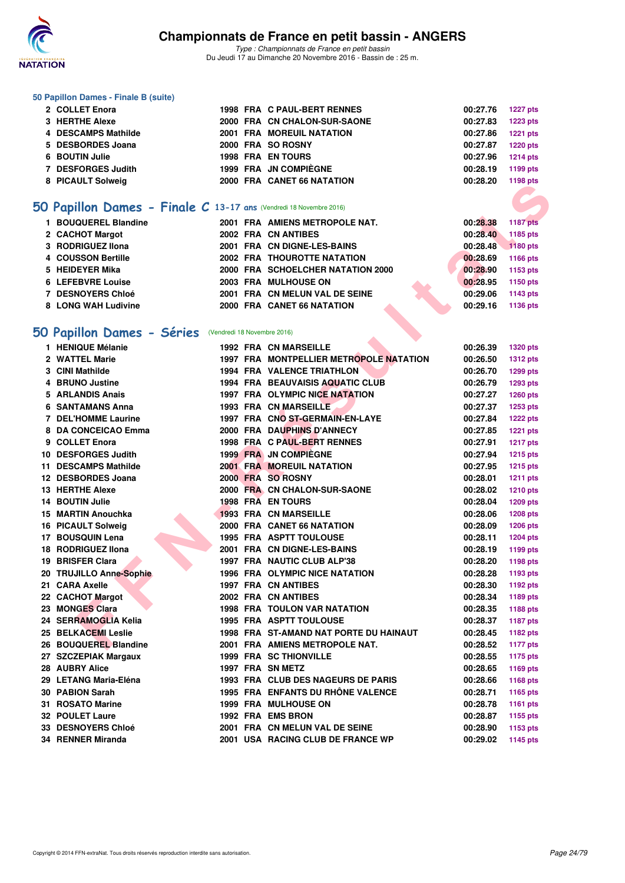

#### **50 Papillon Dames - Finale B (suite)**

| 2 COLLET Enora      |  | <b>1998 FRA C PAUL-BERT RENNES</b> | 00:27.76 | 1227 pts        |
|---------------------|--|------------------------------------|----------|-----------------|
| 3 HERTHE Alexe      |  | 2000 FRA CN CHALON-SUR-SAONE       | 00:27.83 | 1223 pts        |
| 4 DESCAMPS Mathilde |  | <b>2001 FRA MOREUIL NATATION</b>   | 00:27.86 | <b>1221 pts</b> |
| 5 DESBORDES Joana   |  | 2000 FRA SO ROSNY                  | 00:27.87 | <b>1220 pts</b> |
| 6 BOUTIN Julie      |  | <b>1998 FRA EN TOURS</b>           | 00:27.96 | 1214 pts        |
| 7 DESFORGES Judith  |  | 1999 FRA JN COMPIÈGNE              | 00:28.19 | 1199 pts        |
| 8 PICAULT Solweig   |  | 2000 FRA CANET 66 NATATION         | 00:28.20 | 1198 pts        |
|                     |  |                                    |          |                 |

# **[50 Papillon Dames - Finale C](http://www.ffnatation.fr/webffn/resultats.php?idact=nat&go=epr&idcpt=41163&idepr=31) 13-17 ans** (Vendredi 18 Novembre 2016)

| 1 BOUQUEREL Blandine | 2001 FRA AMIENS METROPOLE NAT.     | 00:28.38 | 1187 pts |
|----------------------|------------------------------------|----------|----------|
| 2 CACHOT Margot      | 2002 FRA CN ANTIBES                | 00:28.40 | 1185 pts |
| 3 RODRIGUEZ IIona    | 2001 FRA CN DIGNE-LES-BAINS        | 00:28.48 | 1180 pts |
| 4 COUSSON Bertille   | <b>2002 FRA THOUROTTE NATATION</b> | 00:28.69 | 1166 pts |
| 5 HEIDEYER Mika      | 2000 FRA SCHOELCHER NATATION 2000  | 00:28.90 | 1153 pts |
| 6 LEFEBVRE Louise    | 2003 FRA MULHOUSE ON               | 00:28.95 | 1150 pts |
| 7 DESNOYERS Chloé    | 2001 FRA CN MELUN VAL DE SEINE     | 00:29.06 | 1143 pts |
| 8 LONG WAH Ludivine  | 2000 FRA CANET 66 NATATION         | 00:29.16 | 1136 pts |

# **[50 Papillon Dames - Séries](http://www.ffnatation.fr/webffn/resultats.php?idact=nat&go=epr&idcpt=41163&idepr=31)** (Vendredi 18 Novembre 2016)

| <b>O FIGULI JUIWEIY</b>                                           |  |                                               |          | 1150 pm         |
|-------------------------------------------------------------------|--|-----------------------------------------------|----------|-----------------|
|                                                                   |  |                                               |          |                 |
| O Papillon Dames - Finale C 13-17 ans (Vendredi 18 Novembre 2016) |  |                                               |          |                 |
| 1 BOUQUEREL Blandine                                              |  | 2001 FRA AMIENS METROPOLE NAT.                | 00:28.38 | <b>1187 pts</b> |
| 2 CACHOT Margot                                                   |  | 2002 FRA CN ANTIBES                           | 00:28.40 | 1185 pts        |
| 3 RODRIGUEZ IIona                                                 |  | 2001 FRA CN DIGNE-LES-BAINS                   | 00:28.48 | 1180 pts        |
| 4 COUSSON Bertille                                                |  | 2002 FRA THOUROTTE NATATION                   | 00:28.69 | 1166 pts        |
| 5 HEIDEYER Mika                                                   |  | 2000 FRA SCHOELCHER NATATION 2000             | 00:28.90 | 1153 pts        |
| 6 LEFEBVRE Louise                                                 |  | 2003 FRA MULHOUSE ON                          | 00:28.95 | 1150 pts        |
| <b>7 DESNOYERS Chloé</b>                                          |  | 2001 FRA CN MELUN VAL DE SEINE                | 00:29.06 | 1143 pts        |
| 8 LONG WAH Ludivine                                               |  | 2000 FRA CANET 66 NATATION                    | 00:29.16 | 1136 pts        |
|                                                                   |  |                                               |          |                 |
| O Papillon Dames - Séries (Vendredi 18 Novembre 2016)             |  |                                               |          |                 |
| 1 HENIQUE Mélanie                                                 |  | <b>1992 FRA CN MARSEILLE</b>                  | 00:26.39 | 1320 pts        |
| 2 WATTEL Marie                                                    |  | 1997 FRA MONTPELLIER METROPOLE NATATION       | 00:26.50 | <b>1312 pts</b> |
| 3 CINI Mathilde                                                   |  | <b>1994 FRA VALENCE TRIATHLON</b>             | 00:26.70 | 1299 pts        |
| 4 BRUNO Justine                                                   |  | 1994 FRA BEAUVAISIS AQUATIC CLUB              | 00:26.79 | <b>1293 pts</b> |
| 5 ARLANDIS Anais                                                  |  | 1997 FRA OLYMPIC NICE NATATION                | 00:27.27 | <b>1260 pts</b> |
| 6 SANTAMANS Anna                                                  |  | 1993 FRA CN MARSEILLE                         | 00:27.37 | 1253 pts        |
| <b>7 DEL'HOMME Laurine</b>                                        |  | 1997 FRA CNO ST-GERMAIN-EN-LAYE               | 00:27.84 | <b>1222 pts</b> |
| 8 DA CONCEICAO Emma                                               |  | 2000 FRA DAUPHINS D'ANNECY                    | 00:27.85 | 1221 pts        |
| 9 COLLET Enora                                                    |  | 1998 FRA C PAUL-BERT RENNES                   | 00:27.91 | <b>1217 pts</b> |
| 10 DESFORGES Judith                                               |  | 1999 FRA JN COMPIEGNE                         | 00:27.94 | 1215 pts        |
| 11 DESCAMPS Mathilde                                              |  | <b>2001 FRA MOREUIL NATATION</b>              | 00:27.95 | <b>1215 pts</b> |
| 12 DESBORDES Joana                                                |  | 2000 FRA SO ROSNY                             | 00:28.01 | <b>1211 pts</b> |
| 13 HERTHE Alexe                                                   |  | 2000 FRA CN CHALON-SUR-SAONE                  | 00:28.02 | <b>1210 pts</b> |
| 14 BOUTIN Julie                                                   |  | <b>1998 FRA EN TOURS</b>                      | 00:28.04 | 1209 pts        |
| 15 MARTIN Anouchka                                                |  | <b>1993 FRA CN MARSEILLE</b>                  | 00:28.06 | 1208 pts        |
| 16 PICAULT Solweig                                                |  | 2000 FRA CANET 66 NATATION                    | 00:28.09 | <b>1206 pts</b> |
| 17 BOUSQUIN Lena                                                  |  | <b>1995 FRA ASPTT TOULOUSE</b>                | 00:28.11 | <b>1204 pts</b> |
| <b>18 RODRIGUEZ Ilona</b>                                         |  | 2001 FRA CN DIGNE-LES-BAINS                   | 00:28.19 | 1199 pts        |
| 19 BRISFER Clara                                                  |  | 1997 FRA NAUTIC CLUB ALP'38                   | 00:28.20 | 1198 pts        |
| 20 TRUJILLO Anne-Sophie                                           |  | 1996 FRA OLYMPIC NICE NATATION                | 00:28.28 | 1193 pts        |
| 21 CARA Axelle                                                    |  | <b>1997 FRA CN ANTIBES</b>                    | 00:28.30 | 1192 pts        |
| 22 CACHOT Margot                                                  |  | 2002 FRA CN ANTIBES                           | 00:28.34 | 1189 pts        |
| 23 MONGES Clara                                                   |  | <b>1998 FRA TOULON VAR NATATION</b>           | 00:28.35 | 1188 pts        |
| 24 SERRAMOGLIA Kelia                                              |  | <b>1995 FRA ASPTT TOULOUSE</b>                | 00:28.37 | <b>1187 pts</b> |
| 25 BELKACEMI Leslie                                               |  | <b>1998 FRA ST-AMAND NAT PORTE DU HAINAUT</b> | 00:28.45 | 1182 pts        |
| 26 BOUQUEREL Blandine                                             |  | 2001 FRA AMIENS METROPOLE NAT.                | 00:28.52 | <b>1177 pts</b> |
| 27 SZCZEPIAK Margaux                                              |  | <b>1999 FRA SC THIONVILLE</b>                 | 00:28.55 | 1175 pts        |
| 28 AUBRY Alice                                                    |  | 1997 FRA SN METZ                              | 00:28.65 | 1169 pts        |
| 29 LETANG Maria-Eléna                                             |  | 1993 FRA CLUB DES NAGEURS DE PARIS            | 00:28.66 | <b>1168 pts</b> |
| 30 PABION Sarah                                                   |  | 1995 FRA ENFANTS DU RHÔNE VALENCE             | 00:28.71 | 1165 pts        |
| 31 ROSATO Marine                                                  |  | <b>1999 FRA MULHOUSE ON</b>                   | 00:28.78 | 1161 pts        |
| <b>32 POULET Laure</b>                                            |  | 1992 FRA EMS BRON                             | 00:28.87 | 1155 pts        |
| <b>33 DESNOYERS Chloé</b>                                         |  | 2001 FRA CN MELUN VAL DE SEINE                | 00:28.90 | 1153 pts        |
| 34 RENNER Miranda                                                 |  | 2001 USA RACING CLUB DE FRANCE WP             | 00:29.02 | 1145 pts        |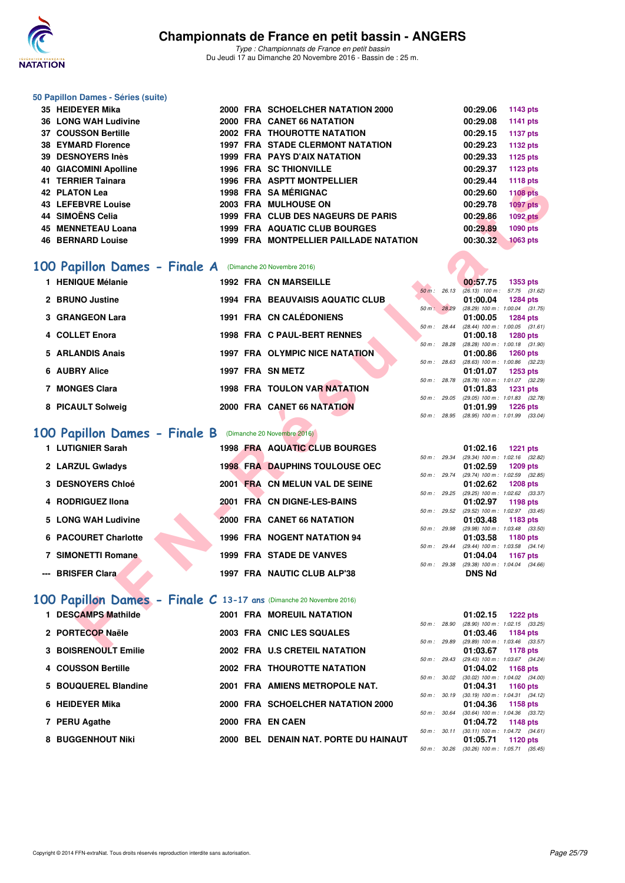

#### **50 Papillon Dames - Séries (suite)**

| 35 HEIDEYER Mika             |  | 2000 FRA SCHOELCHER NATATION 2000       | 00:29.06 | 1143 pts        |
|------------------------------|--|-----------------------------------------|----------|-----------------|
| <b>36 LONG WAH Ludivine</b>  |  | 2000 FRA CANET 66 NATATION              | 00:29.08 | 1141 pts        |
| 37 COUSSON Bertille          |  | <b>2002 FRA THOUROTTE NATATION</b>      | 00:29.15 | <b>1137 pts</b> |
| <b>38 EYMARD Florence</b>    |  | <b>1997 FRA STADE CLERMONT NATATION</b> | 00:29.23 | 1132 pts        |
| 39 DESNOYERS Inès            |  | <b>1999 FRA PAYS D'AIX NATATION</b>     | 00:29.33 | 1125 pts        |
| <b>40 GIACOMINI Apolline</b> |  | <b>1996 FRA SC THIONVILLE</b>           | 00:29.37 | 1123 pts        |
| 41 TERRIER Tainara           |  | <b>1996 FRA ASPTT MONTPELLIER</b>       | 00:29.44 | 1118 pts        |
| 42 PLATON Lea                |  | 1998 FRA SA MÉRIGNAC                    | 00:29.60 | <b>1108 pts</b> |
| <b>43 LEFEBVRE Louise</b>    |  | 2003 FRA MULHOUSE ON                    | 00:29.78 | <b>1097 pts</b> |
| 44 SIMOËNS Celia             |  | 1999 FRA CLUB DES NAGEURS DE PARIS      | 00:29.86 | <b>1092 pts</b> |
| 45 MENNETEAU Loana           |  | 1999 FRA AQUATIC CLUB BOURGES           | 00:29.89 | 1090 pts        |
| <b>46 BERNARD Louise</b>     |  | 1999 FRA MONTPELLIER PAILLADE NATATION  | 00:30.32 | 1063 pts        |

# **[100 Papillon Dames - Finale A](http://www.ffnatation.fr/webffn/resultats.php?idact=nat&go=epr&idcpt=41163&idepr=32)** (Dimanche 20 Novembre 2016)

| TENNIEN TAIHAIA                                                       |  | 1990 FRA AJFIINUNIFELLIER              |                | UU.∠J.44      | 1110 pm                                                |
|-----------------------------------------------------------------------|--|----------------------------------------|----------------|---------------|--------------------------------------------------------|
| <b>42 PLATON Lea</b>                                                  |  | 1998 FRA SA MÉRIGNAC                   |                | 00:29.60      | <b>1108 pts</b>                                        |
| <b>43 LEFEBVRE Louise</b>                                             |  | 2003 FRA MULHOUSE ON                   |                | 00:29.78      | <b>1097 pts</b>                                        |
| 44 SIMOËNS Celia                                                      |  | 1999 FRA CLUB DES NAGEURS DE PARIS     |                | 00:29.86      | <b>1092 pts</b>                                        |
| 45 MENNETEAU Loana                                                    |  | 1999 FRA AQUATIC CLUB BOURGES          |                | 00:29.89      | <b>1090 pts</b>                                        |
| <b>46 BERNARD Louise</b>                                              |  | 1999 FRA MONTPELLIER PAILLADE NATATION |                | 00:30.32      | <b>1063 pts</b>                                        |
|                                                                       |  |                                        |                |               |                                                        |
| 100 Papillon Dames - Finale A (Dimanche 20 Novembre 2016)             |  |                                        |                |               |                                                        |
| 1 HENIQUE Mélanie                                                     |  | <b>1992 FRA CN MARSEILLE</b>           |                | 00:57.75      | 1353 pts                                               |
|                                                                       |  |                                        | 50 m: 26.13    |               | $(26.13)$ 100 m : 57.75 $(31.62)$                      |
| 2 BRUNO Justine                                                       |  | 1994 FRA BEAUVAISIS AQUATIC CLUB       |                | 01:00.04      | <b>1284 pts</b>                                        |
| 3 GRANGEON Lara                                                       |  | 1991 FRA CN CALÉDONIENS                | 50 m: 28.29    | 01:00.05      | $(28.29)$ 100 m : 1:00.04 $(31.75)$<br>1284 pts        |
|                                                                       |  |                                        | 50 m : 28.44   |               | $(28.44)$ 100 m : 1:00.05 $(31.61)$                    |
| 4 COLLET Enora                                                        |  | <b>1998 FRA C PAUL-BERT RENNES</b>     |                | 01:00.18      | 1280 pts                                               |
|                                                                       |  |                                        | 50 m: 28.28    |               | (28.28) 100 m: 1:00.18 (31.90)                         |
| 5 ARLANDIS Anais                                                      |  | 1997 FRA OLYMPIC NICE NATATION         | 50 m : 28.63   | 01:00.86      | <b>1260 pts</b><br>$(28.63)$ 100 m : 1:00.86 $(32.23)$ |
| 6 AUBRY Alice                                                         |  | 1997 FRA SN METZ                       |                | 01:01.07      | 1253 pts                                               |
|                                                                       |  |                                        | 50 m : 28.78   |               | (28.78) 100 m: 1:01.07 (32.29)                         |
| 7 MONGES Clara                                                        |  | 1998 FRA TOULON VAR NATATION           |                | 01:01.83      | <b>1231 pts</b>                                        |
|                                                                       |  | 2000 FRA CANET 66 NATATION             |                |               | 50 m: 29.05 (29.05) 100 m: 1:01.83 (32.78)             |
| 8 PICAULT Solweig                                                     |  |                                        | 50 m: 28.95    | 01:01.99      | 1226 pts<br>$(28.95)$ 100 m : 1:01.99 $(33.04)$        |
|                                                                       |  |                                        |                |               |                                                        |
| 100 Papillon Dames - Finale B (Dimanche 20 Novembre 2016)             |  |                                        |                |               |                                                        |
| 1 LUTIGNIER Sarah                                                     |  | <b>1998 FRA AQUATIC CLUB BOURGES</b>   |                | 01:02.16      | <b>1221 pts</b>                                        |
|                                                                       |  |                                        | 50 m : 29.34   |               | (29.34) 100 m: 1:02.16 (32.82)                         |
| 2 LARZUL Gwladys                                                      |  | <b>1998 FRA DAUPHINS TOULOUSE OEC</b>  |                | 01:02.59      | <b>1209 pts</b>                                        |
| <b>3 DESNOYERS Chloé</b>                                              |  | 2001 FRA CN MELUN VAL DE SEINE         | 50 m : 29.74   |               | (29.74) 100 m: 1:02.59 (32.85)                         |
|                                                                       |  |                                        | $50 m$ : 29.25 | 01:02.62      | <b>1208 pts</b><br>(29.25) 100 m: 1:02.62 (33.37)      |
| 4 RODRIGUEZ IIona                                                     |  | 2001 FRA CN DIGNE-LES-BAINS            |                | 01:02.97      | 1198 pts                                               |
|                                                                       |  |                                        | 50 m : 29.52   |               | (29.52) 100 m: 1:02.97 (33.45)                         |
| 5 LONG WAH Ludivine                                                   |  | 2000 FRA CANET 66 NATATION             | 50 m : 29.98   | 01:03.48      | 1183 pts                                               |
| 6 PACOURET Charlotte                                                  |  | 1996 FRA NOGENT NATATION 94            |                | 01:03.58      | $(29.98)$ 100 m : 1:03.48 $(33.50)$<br>1180 pts        |
|                                                                       |  |                                        | 50 m: 29.44    |               | $(29.44)$ 100 m : 1:03.58 $(34.14)$                    |
| <b>7 SIMONETTI Romane</b>                                             |  | 1999 FRA STADE DE VANVES               |                | 01:04.04      | 1167 pts                                               |
|                                                                       |  |                                        | 50 m : 29.38   |               | (29.38) 100 m: 1:04.04 (34.66)                         |
| --- BRISFER Clara                                                     |  | 1997 FRA NAUTIC CLUB ALP'38            |                | <b>DNS Nd</b> |                                                        |
|                                                                       |  |                                        |                |               |                                                        |
| 100 Papillon Dames - Finale $C$ 13-17 ans (Dimanche 20 Novembre 2016) |  |                                        |                |               |                                                        |
| 1 DESCAMPS Mathilde                                                   |  | 2001 FRA MOREUIL NATATION              |                |               | $01:02.15$ 1222 pts                                    |
|                                                                       |  |                                        |                |               | 50 m: 28.90 (28.90) 100 m: 1:02.15 (33.25)             |
| 2 PORTECOP Naële                                                      |  | 2003 FRA CNIC LES SQUALES              |                | 01:03.46      | 1184 pts                                               |
|                                                                       |  | 0000 EDA H C CRETEIL NATATION          |                |               | 50 m: 29.89 (29.89) 100 m: 1:03.46 (33.57)             |
| <b>0. DOICDEMOULT Emilia</b>                                          |  |                                        |                |               | $04.09.07 + 1170.44$                                   |

# **[100 Papillon Dames - Finale B](http://www.ffnatation.fr/webffn/resultats.php?idact=nat&go=epr&idcpt=41163&idepr=32)** (Dimanche 20 Novembre 2016)

| 1 LUTIGNIER Sarah         | 1998 FRA AQUATIC CLUB BOURGES         | 01:02.16<br>1221 pts                                                           |
|---------------------------|---------------------------------------|--------------------------------------------------------------------------------|
| 2 LARZUL Gwladys          | <b>1998 FRA DAUPHINS TOULOUSE OEC</b> | $(29.34)$ 100 m : 1:02.16 (32.<br>50 m: 29.34<br>01:02.59<br>1209 pts          |
| 3 DESNOYERS Chloé         | 2001 FRA CN MELUN VAL DE SEINE        | (29.74) 100 m : 1:02.59 (32.<br>50 m: 29.74<br>01:02.62<br>1208 pts            |
|                           |                                       | $(29.25)$ 100 m : 1:02.62 (33.<br>50 m : 29.25                                 |
| 4 RODRIGUEZ IIona         | 2001 FRA CN DIGNE-LES-BAINS           | 01:02.97<br>1198 pts<br>(29.52) 100 m : 1:02.97 (33.<br>$50 m$ : 29.52         |
| 5 LONG WAH Ludivine       | 2000 FRA CANET 66 NATATION            | 01:03.48<br>1183 pts<br>(29.98) 100 m: 1:03.48 (33.<br>50 m: 29.98             |
| 6 PACOURET Charlotte      | <b>1996 FRA NOGENT NATATION 94</b>    | 01:03.58<br>1180 pts                                                           |
| <b>7 SIMONETTI Romane</b> | <b>1999 FRA STADE DE VANVES</b>       | (29.44) 100 m : 1:03.58 (34.<br>$50 \text{ m}$ : 29.44<br>01:04.04<br>1167 pts |
| --- BRISFER Clara         | 1997 FRA NAUTIC CLUB ALP'38           | (29.38) 100 m: 1:04.04 (34.<br>50 m: 29.38<br><b>DNS Nd</b>                    |
|                           |                                       |                                                                                |

### **[100 Papillon Dames - Finale C](http://www.ffnatation.fr/webffn/resultats.php?idact=nat&go=epr&idcpt=41163&idepr=32) 13-17 ans** (Dimanche 20 Novembre 2016)

| 1 DESCAMPS Mathilde         |  | <b>2001 FRA MOREUIL NATATION</b>      |              | 01:02.15                         | 1222 pts |  |
|-----------------------------|--|---------------------------------------|--------------|----------------------------------|----------|--|
|                             |  |                                       | 50 m : 28.90 | $(28.90)$ 100 m : 1:02.15 (33.   |          |  |
| 2 PORTECOP Naële            |  | 2003 FRA CNIC LES SQUALES             |              | 01:03.46 1184 pts                |          |  |
|                             |  |                                       | 50 m: 29.89  | (29.89) 100 m : 1:03.46 (33.     |          |  |
| <b>3 BOISRENOULT Emilie</b> |  | 2002 FRA U.S CRETEIL NATATION         |              | 01:03.67 1178 pts                |          |  |
|                             |  |                                       | 50 m : 29.43 | (29.43) 100 m : 1:03.67 (34.     |          |  |
| 4 COUSSON Bertille          |  | <b>2002 FRA THOUROTTE NATATION</b>    |              | 01:04.02 1168 pts                |          |  |
|                             |  |                                       | 50 m: 30.02  | (30.02) 100 m : 1:04.02 (34.     |          |  |
| 5 BOUQUEREL Blandine        |  | 2001 FRA AMIENS METROPOLE NAT.        |              | 01:04.31 1160 pts                |          |  |
|                             |  |                                       | 50 m: 30.19  | $(30.19)$ 100 m : 1:04.31 $(34.$ |          |  |
| 6 HEIDEYER Mika             |  | 2000 FRA SCHOELCHER NATATION 2000     |              | 01:04.36 1158 pts                |          |  |
|                             |  |                                       | 50 m: 30.64  | $(30.64)$ 100 m : 1:04.36 $(33.$ |          |  |
| 7 PERU Agathe               |  | 2000 FRA EN CAEN                      |              | 01:04.72 1148 pts                |          |  |
|                             |  |                                       | 50 m: 30.11  | $(30.11)$ 100 m : 1:04.72 $(34.$ |          |  |
| 8 BUGGENHOUT Niki           |  | 2000 BEL DENAIN NAT. PORTE DU HAINAUT |              | 01:05.71 1120 pts                |          |  |
|                             |  |                                       |              |                                  |          |  |

|                |       | 00:57.75          | 1353 pts            |  |
|----------------|-------|-------------------|---------------------|--|
| $50 m$ : 26.13 |       | $(26.13)$ 100 m : | 57.75 (31.62)       |  |
|                |       | 01:00.04          | <b>1284 pts</b>     |  |
| 50 m: 28.29    |       | (28.29) 100 m :   | $1:00.04$ $(31.75)$ |  |
|                |       | 01:00.05          | <b>1284 pts</b>     |  |
| 50 m: 28.44    |       | $(28.44)$ 100 m : | $1:00.05$ $(31.61)$ |  |
|                |       | 01:00.18          | <b>1280 pts</b>     |  |
| 50 m: 28.28    |       | $(28.28)$ 100 m : | $1:00.18$ $(31.90)$ |  |
|                |       | 01:00.86          | 1260 pts            |  |
| 50 m : 28.63   |       | $(28.63)$ 100 m : | 1:00.86 (32.23)     |  |
|                |       | 01:01.07          | 1253 pts            |  |
| 50 m : 28.78   |       | (28.78) 100 m :   | 1:01.07 (32.29)     |  |
|                |       | 01:01.83          | <b>1231 pts</b>     |  |
| 50 m: 29.05    |       | $(29.05)$ 100 m : | $1:01.83$ $(32.78)$ |  |
|                |       | 01:01.99          | <b>1226 pts</b>     |  |
| 50 m :         | 28.95 | $(28.95)$ 100 m : | 1:01.99 (33.04)     |  |

|          |       | 01:02.16          | <b>1221 pts</b>     |  |
|----------|-------|-------------------|---------------------|--|
| $50 m$ : | 29.34 | $(29.34)$ 100 m : | $1:02.16$ $(32.82)$ |  |
|          |       | 01:02.59          | <b>1209 pts</b>     |  |
| $50 m$ : | 29.74 | $(29.74) 100 m$ : | $1:02.59$ $(32.85)$ |  |
|          |       | 01:02.62          | <b>1208 pts</b>     |  |
| $50 m$ : | 29.25 | $(29.25)$ 100 m : | 1:02.62 (33.37)     |  |
|          |       | 01:02.97          | 1198 pts            |  |
| $50 m$ : | 29.52 | $(29.52)$ 100 m : | $1:02.97$ $(33.45)$ |  |
|          |       | 01:03.48          | 1183 pts            |  |
| $50 m$ : | 29.98 | $(29.98) 100 m$ : | 1:03.48 (33.50)     |  |
|          |       | 01:03.58          | 1180 pts            |  |
| $50 m$ : | 29.44 | $(29.44)$ 100 m : | $1:03.58$ $(34.14)$ |  |
|          |       | 01:04.04          | 1167 pts            |  |
| $50 m$ : | 29.38 | $(29.38) 100 m$ : | $1:04.04$ $(34.66)$ |  |
|          |       | <b>DNS NY</b>     |                     |  |

|                  |       | 01:02.15          | <b>1222 pts</b>     |  |
|------------------|-------|-------------------|---------------------|--|
| 50 m: 28.90      |       | $(28.90)$ 100 m : | $1:02.15$ $(33.25)$ |  |
|                  |       | 01:03.46          | 1184 pts            |  |
| 50 m: 29.89      |       | $(29.89)$ 100 m : | $1:03.46$ $(33.57)$ |  |
|                  |       | 01:03.67          | 1178 pts            |  |
| $50 m$ : 29.43   |       | $(29.43)$ 100 m : | 1:03.67 (34.24)     |  |
|                  |       | 01:04.02 1168 pts |                     |  |
| $50 m$ : $30.02$ |       | $(30.02)$ 100 m : | $1:04.02$ $(34.00)$ |  |
|                  |       |                   |                     |  |
|                  |       | 01:04.31          | 1160 pts            |  |
|                  |       | $(30.19)$ 100 m : | $1:04.31$ $(34.12)$ |  |
| $50 m$ : $30.19$ |       | 01:04.36          | 1158 pts            |  |
| 50 m : 30.64     |       | $(30.64)$ 100 m : | 1:04.36 (33.72)     |  |
|                  |       | 01:04.72          | 1148 pts            |  |
| $50 m$ :         | 30.11 | $(30.11)$ 100 m : | $1:04.72$ $(34.61)$ |  |
|                  |       | 01:05.71          | 1120 pts            |  |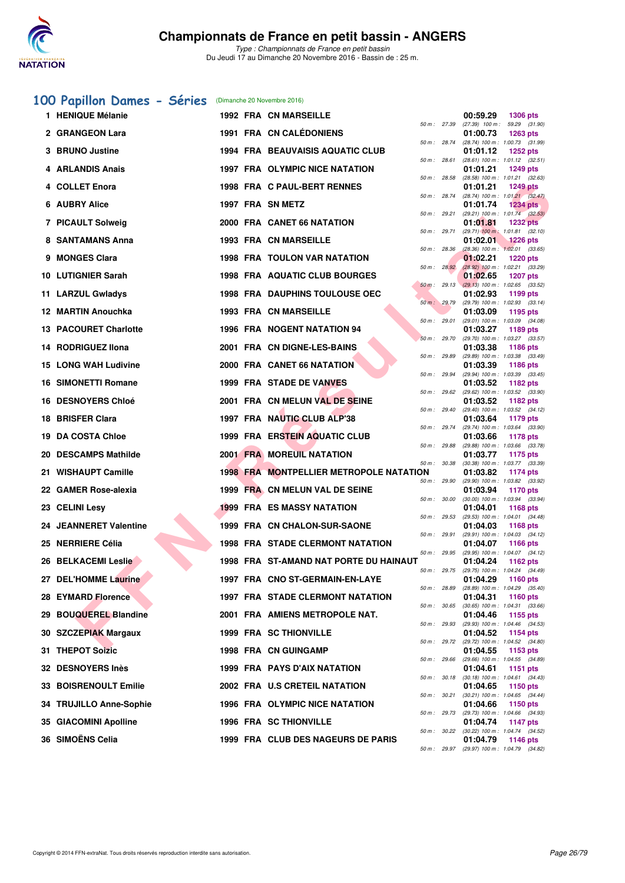

# **[100 Papillon Dames - Séries](http://www.ffnatation.fr/webffn/resultats.php?idact=nat&go=epr&idcpt=41163&idepr=32)** (Dimanche 20 Novembre 2016)

|     | 1 HENIQUE Mélanie            |  | <b>1992 FRA CN MARSEILLE</b>                   |              |                | 00:59.29<br><b>1306 pts</b>                                        |
|-----|------------------------------|--|------------------------------------------------|--------------|----------------|--------------------------------------------------------------------|
|     | 2 GRANGEON Lara              |  | 1991 FRA CN CALÉDONIENS                        |              | 50 m : 27.39   | $(27.39)$ 100 m : 59.29 $(31.90)$<br>01:00.73<br><b>1263 pts</b>   |
|     | 3 BRUNO Justine              |  | <b>1994 FRA BEAUVAISIS AQUATIC CLUB</b>        |              | 50 m : 28.74   | $(28.74)$ 100 m : 1:00.73 $(31.99)$<br>01:01.12<br><b>1252 pts</b> |
|     | 4 ARLANDIS Anais             |  | 1997 FRA OLYMPIC NICE NATATION                 |              | 50 m : 28.61   | $(28.61)$ 100 m : 1:01.12 $(32.51)$<br>01:01.21<br><b>1249 pts</b> |
|     | 4 COLLET Enora               |  | 1998 FRA C PAUL-BERT RENNES                    |              | 50 m: 28.58    | $(28.58)$ 100 m : 1:01.21 $(32.63)$<br>01:01.21<br><b>1249 pts</b> |
|     | 6 AUBRY Alice                |  | 1997 FRA SN METZ                               |              | 50 m: 28.74    | (28.74) 100 m : 1:01.21 (32.47)<br>01:01.74<br><b>1234 pts</b>     |
|     | 7 PICAULT Solweig            |  | 2000 FRA CANET 66 NATATION                     |              | 50 m : 29.21   | $(29.21)$ 100 m : 1:01.74 $(32.53)$<br><b>1232 pts</b><br>01:01.81 |
|     | 8 SANTAMANS Anna             |  | <b>1993 FRA CN MARSEILLE</b>                   |              | 50 m : 29.71   | $(29.71)$ 100 m : 1:01.81 $(32.10)$<br>01:02.01<br><b>1226 pts</b> |
|     | 9 MONGES Clara               |  | <b>1998 FRA TOULON VAR NATATION</b>            |              | 50 m: 28.36    | $(28.36)$ 100 m : 1:02.01 $(33.65)$<br>01:02.21<br><b>1220 pts</b> |
|     | <b>10 LUTIGNIER Sarah</b>    |  | 1998 FRA AQUATIC CLUB BOURGES                  |              | 50 m : 28.92   | (28.92) 100 m : 1:02.21 (33.29)<br>01:02.65<br><b>1207 pts</b>     |
|     | 11 LARZUL Gwladys            |  | <b>1998 FRA DAUPHINS TOULOUSE OEC</b>          |              | 50 m: 29.13    | $(29.13)$ 100 m : 1:02.65 $(33.52)$<br>01:02.93<br>1199 pts        |
|     | 12 MARTIN Anouchka           |  | 1993 FRA CN MARSEILLE                          |              | 50 m : 29.79   | $(29.79)$ 100 m : 1:02.93 $(33.14)$<br>01:03.09<br>1195 pts        |
|     | <b>13 PACOURET Charlotte</b> |  | 1996 FRA NOGENT NATATION 94                    |              | 50 m: 29.01    | (29.01) 100 m: 1:03.09 (34.08)<br>01:03.27<br>1189 pts             |
|     | 14 RODRIGUEZ IIona           |  | 2001 FRA CN DIGNE-LES-BAINS                    |              | 50 m: 29.70    | (29.70) 100 m: 1:03.27 (33.57)<br>01:03.38<br>1186 pts             |
|     | <b>15 LONG WAH Ludivine</b>  |  | 2000 FRA CANET 66 NATATION                     |              | 50 m : 29.89   | (29.89) 100 m: 1:03.38 (33.49)<br>01:03.39<br>1186 pts             |
|     | 16 SIMONETTI Romane          |  | 1999 FRA STADE DE VANVES                       |              | 50 m : 29.94   | (29.94) 100 m: 1:03.39 (33.45)<br>01:03.52<br>1182 pts             |
|     | 16 DESNOYERS Chloé           |  | 2001 FRA CN MELUN VAL DE SEINE                 |              | $50 m$ : 29.62 | (29.62) 100 m : 1:03.52 (33.90)<br>01:03.52<br>1182 pts            |
|     | 18 BRISFER Clara             |  | 1997 FRA NAUTIC CLUB ALP'38                    |              | 50 m: 29.40    | (29.40) 100 m: 1:03.52 (34.12)<br>01:03.64<br>1179 pts             |
| 19. | DA COSTA Chloe               |  | 1999 FRA ERSTEIN AQUATIC CLUB                  |              | 50 m: 29.74    | $(29.74)$ 100 m : 1:03.64 $(33.90)$<br>01:03.66<br>1178 pts        |
|     | 20 DESCAMPS Mathilde         |  | <b>2001 FRA MOREUIL NATATION</b>               | 50 m: 29.88  |                | (29.88) 100 m: 1:03.66 (33.78)<br>01:03.77<br>1175 pts             |
|     | 21 WISHAUPT Camille          |  | <b>1998 FRA MONTPELLIER METROPOLE NATATION</b> |              | 50 m: 30.38    | (30.38) 100 m: 1:03.77 (33.39)<br>01:03.82<br>1174 pts             |
|     | 22 GAMER Rose-alexia         |  | 1999 FRA CN MELUN VAL DE SEINE                 |              | 50 m: 29.90    | (29.90) 100 m: 1:03.82 (33.92)<br>01:03.94<br>1170 pts             |
|     | 23 CELINI Lesy               |  | <b>1999 FRA ES MASSY NATATION</b>              |              | 50 m: 30.00    | $(30.00)$ 100 m : 1:03.94 $(33.94)$<br>01:04.01<br>1168 pts        |
|     | 24 JEANNERET Valentine       |  | 1999 FRA CN CHALON-SUR-SAONE                   |              | 50 m: 29.53    | (29.53) 100 m: 1:04.01 (34.48)<br>01:04.03<br>1168 pts             |
|     | 25 NERRIERE Célia            |  | <b>1998 FRA STADE CLERMONT NATATION</b>        | 50 m : 29.91 |                | (29.91) 100 m: 1:04.03 (34.12)<br>01:04.07<br>1166 pts             |
|     | 26 BELKACEMI Leslie          |  | 1998 FRA ST-AMAND NAT PORTE DU HAINAUT         |              | 50 m: 29.95    | (29.95) 100 m: 1:04.07 (34.12)<br>01:04.24<br>1162 pts             |
|     | 27 DEL'HOMME Laurine         |  | 1997 FRA CNO ST-GERMAIN-EN-LAYE                |              | 50 m: 29.75    | (29.75) 100 m: 1:04.24 (34.49)<br>01:04.29<br>1160 pts             |
|     | 28 EYMARD Florence           |  | <b>1997 FRA STADE CLERMONT NATATION</b>        |              | 50 m : 28.89   | (28.89) 100 m: 1:04.29 (35.40)<br>01:04.31<br><b>1160 pts</b>      |
| 29  | <b>BOUQUEREL Blandine</b>    |  | 2001 FRA AMIENS METROPOLE NAT.                 |              | 50 m: 30.65    | $(30.65)$ 100 m : 1:04.31 $(33.66)$<br>01:04.46<br>1155 pts        |
|     | 30 SZCZEPIAK Margaux         |  | 1999 FRA SC THIONVILLE                         |              | 50 m: 29.93    | (29.93) 100 m: 1:04.46 (34.53)<br>01:04.52<br><b>1154 pts</b>      |
|     | 31 THEPOT Soizic             |  | 1998 FRA CN GUINGAMP                           | 50 m : 29.72 |                | (29.72) 100 m : 1:04.52 (34.80)<br>01:04.55<br>1153 pts            |
|     | 32 DESNOYERS Inès            |  | 1999 FRA PAYS D'AIX NATATION                   |              | 50 m: 29.66    | (29.66) 100 m: 1:04.55 (34.89)<br>01:04.61<br>1151 pts             |
|     | 33 BOISRENOULT Emilie        |  | 2002 FRA U.S CRETEIL NATATION                  |              | 50 m : 30.18   | (30.18) 100 m: 1:04.61 (34.43)<br>01:04.65<br>1150 pts             |
|     | 34 TRUJILLO Anne-Sophie      |  | 1996 FRA OLYMPIC NICE NATATION                 |              | 50 m : 30.21   | (30.21) 100 m: 1:04.65 (34.44)<br>01:04.66<br>1150 pts             |
|     | 35 GIACOMINI Apolline        |  | <b>1996 FRA SC THIONVILLE</b>                  |              | 50 m : 29.73   | (29.73) 100 m: 1:04.66 (34.93)<br>01:04.74                         |
|     | 36 SIMOËNS Celia             |  |                                                |              | 50 m: 30.22    | <b>1147 pts</b><br>(30.22) 100 m : 1:04.74 (34.52)                 |
|     |                              |  | 1999 FRA CLUB DES NAGEURS DE PARIS             |              | 50 m: 29.97    | 01:04.79<br><b>1146 pts</b><br>(29.97) 100 m: 1:04.79 (34.82)      |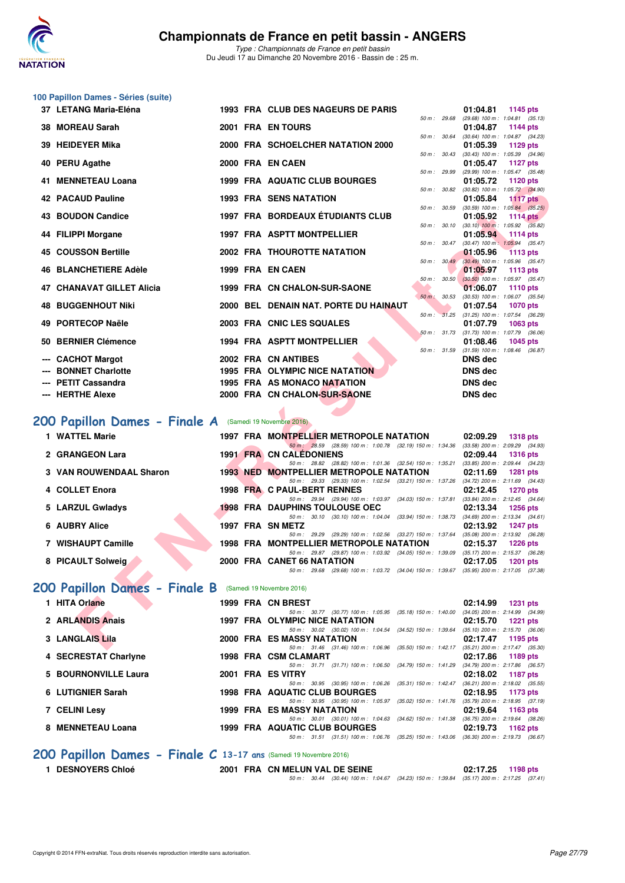

**100 Papillon Dames - Séries (suite)**

*Type : Championnats de France en petit bassin* Du Jeudi 17 au Dimanche 20 Novembre 2016 - Bassin de : 25 m.

| 37 LETANG Maria-Eléna                                   |                  | 1993 FRA CLUB DES NAGEURS DE PARIS                                                                                                         | 01:04.81<br>1145 pts                                               |
|---------------------------------------------------------|------------------|--------------------------------------------------------------------------------------------------------------------------------------------|--------------------------------------------------------------------|
| 38 MOREAU Sarah                                         |                  | 50 m : 29.68<br>2001 FRA EN TOURS                                                                                                          | $(29.68)$ 100 m : 1:04.81 $(35.13)$<br>01:04.87<br><b>1144 pts</b> |
| 39 HEIDEYER Mika                                        |                  | 50 m: 30.64<br>2000 FRA SCHOELCHER NATATION 2000                                                                                           | (30.64) 100 m: 1:04.87 (34.23)                                     |
|                                                         |                  | $50 m$ : $30.43$                                                                                                                           | 01:05.39<br>1129 pts<br>$(30.43)$ 100 m : 1:05.39 $(34.96)$        |
| 40 PERU Agathe                                          | 2000 FRA EN CAEN | 50 m : 29.99                                                                                                                               | 01:05.47<br>1127 pts<br>(29.99) 100 m: 1:05.47 (35.48)             |
| 41 MENNETEAU Loana                                      |                  | 1999 FRA AQUATIC CLUB BOURGES                                                                                                              | 01:05.72<br>1120 pts                                               |
| 42 PACAUD Pauline                                       |                  | 50 m : 30.82<br><b>1993 FRA SENS NATATION</b>                                                                                              | $(30.82)$ 100 m : 1:05.72 $(34.90)$<br>01:05.84<br><b>1117 pts</b> |
|                                                         |                  | 50 m: 30.59                                                                                                                                | $(30.59)$ 100 m : 1:05.84 $(35.25)$                                |
| <b>43 BOUDON Candice</b>                                |                  | <b>1997 FRA BORDEAUX ÉTUDIANTS CLUB</b><br>50 m: 30.10                                                                                     | 01:05.92<br>1114 $pts$<br>$(30.10)$ 100 m : 1:05.92 $(35.82)$      |
| 44 FILIPPI Morgane                                      |                  | 1997 FRA ASPTT MONTPELLIER                                                                                                                 | 01:05.94<br>1114 $pts$                                             |
| <b>45 COUSSON Bertille</b>                              |                  | 50 m: 30.47<br><b>2002 FRA THOUROTTE NATATION</b>                                                                                          | $(30.47)$ 100 m : 1:05.94 $(35.47)$<br>01:05.96<br><b>1113 pts</b> |
|                                                         |                  | 50 m: 30.49                                                                                                                                | $(30.49)$ 100 m : 1:05.96 $(35.47)$                                |
| <b>46 BLANCHETIERE Adèle</b>                            | 1999 FRA EN CAEN | 50 m: 30.50                                                                                                                                | 01:05.97<br>1113 pts<br>$(30.50)$ 100 m : 1:05.97 $(35.47)$        |
| <b>47 CHANAVAT GILLET Alicia</b>                        |                  | 1999 FRA CN CHALON-SUR-SAONE                                                                                                               | 01:06.07<br><b>1110 pts</b>                                        |
| <b>48 BUGGENHOUT Niki</b>                               |                  | 50 m: 30.53<br>2000 BEL DENAIN NAT. PORTE DU HAINAUT                                                                                       | $(30.53)$ 100 m : 1:06.07 $(35.54)$<br>01:07.54<br><b>1070 pts</b> |
|                                                         |                  | 50 m : 31.25                                                                                                                               | $(31.25)$ 100 m : 1:07.54 $(36.29)$                                |
| 49 PORTECOP Naële                                       |                  | 2003 FRA CNIC LES SQUALES                                                                                                                  | 01:07.79<br>1063 pts<br>50 m: 31.73 (31.73) 100 m: 1:07.79 (36.06) |
| 50 BERNIER Clémence                                     |                  | 1994 FRA ASPTT MONTPELLIER                                                                                                                 | 01:08.46<br>1045 pts                                               |
| <b>CACHOT Margot</b>                                    |                  | 50 m: 31.59<br>2002 FRA CN ANTIBES                                                                                                         | $(31.59)$ 100 m : 1:08.46 $(36.87)$<br><b>DNS dec</b>              |
| <b>BONNET Charlotte</b>                                 |                  | 1995 FRA OLYMPIC NICE NATATION                                                                                                             | <b>DNS dec</b>                                                     |
| --- PETIT Cassandra                                     |                  | 1995 FRA AS MONACO NATATION                                                                                                                | <b>DNS</b> dec                                                     |
| --- HERTHE Alexe                                        |                  | 2000 FRA CN CHALON-SUR-SAONE                                                                                                               | <b>DNS</b> dec                                                     |
|                                                         |                  |                                                                                                                                            |                                                                    |
| 200 Papillon Dames - Finale A (Samedi 19 Novembre 2016) |                  |                                                                                                                                            |                                                                    |
| 1 WATTEL Marie                                          |                  | 1997 FRA MONTPELLIER METROPOLE NATATION                                                                                                    | 02:09.29<br><b>1318 pts</b>                                        |
| 2 GRANGEON Lara                                         |                  | 50 m: 28.59 (28.59) 100 m: 1:00.78 (32.19) 150 m: 1:34.36 (33.58) 200 m: 2:09.29 (34.93)<br><b>1991 FRA CN CALEDONIENS</b>                 | 02:09.44<br><b>1316 pts</b>                                        |
|                                                         |                  | 50 m: 28.82 (28.82) 100 m: 1:01.36 (32.54) 150 m: 1:35.21 (33.85) 200 m: 2:09.44 (34.23)                                                   |                                                                    |
| 3 VAN ROUWENDAAL Sharon                                 |                  | <b>1993 NED MONTPELLIER METROPOLE NATATION</b><br>50 m: 29.33 (29.33) 100 m: 1:02.54 (33.21) 150 m: 1:37.26 (34.72) 200 m: 2:11.69 (34.43) | 02:11.69<br><b>1281 pts</b>                                        |
| 4 COLLET Enora                                          |                  | 1998 FRA C PAUL-BERT RENNES                                                                                                                | 02:12.45<br><b>1270 pts</b>                                        |
| 5 LARZUL Gwladys                                        |                  | 50 m: 29.94 (29.94) 100 m: 1:03.97 (34.03) 150 m: 1:37.81 (33.84) 200 m: 2:12.45 (34.64)<br><b>1998 FRA DAUPHINS TOULOUSE OEC</b>          | 02:13.34<br><b>1256 pts</b>                                        |
| <b>AUBRY Alice</b><br>6                                 | 1997 FRA SN METZ | 50 m: 30.10 (30.10) 100 m: 1:04.04 (33.94) 150 m: 1:38.73 (34.69) 200 m: 2:13.34 (34.61)                                                   |                                                                    |
|                                                         |                  | 50 m: 29.29 (29.29) 100 m: 1:02.56 (33.27) 150 m: 1:37.64 (35.08) 200 m: 2:13.92 (36.28)                                                   | 02:13.92<br><b>1247 pts</b>                                        |
| 7 WISHAUPT Camille                                      |                  | 1998 FRA MONTPELLIER METROPOLE NATATION                                                                                                    | 02:15.37<br><b>1226 pts</b>                                        |
| 8 PICAULT Solweig                                       |                  | 50 m: 29.87 (29.87) 100 m: 1:03.92 (34.05) 150 m: 1:39.09 (35.17) 200 m: 2:15.37 (36.28)<br>2000 FRA CANET 66 NATATION                     | 02:17.05<br><b>1201 pts</b>                                        |
|                                                         |                  | 50 m: 29.68 (29.68) 100 m: 1:03.72 (34.04) 150 m: 1:39.67 (35.95) 200 m: 2:17.05 (37.38)                                                   |                                                                    |
| 200 Papillon Dames - Finale B (Samedi 19 Novembre 2016) |                  |                                                                                                                                            |                                                                    |
| 1 HITA Orlane                                           |                  | 1999 FRA CN BREST                                                                                                                          | 02:14.99<br><b>1231 pts</b>                                        |
|                                                         |                  | 50 m: 30.77 (30.77) 100 m: 1:05.95 (35.18) 150 m: 1:40.00 (34.05) 200 m: 2:14.99 (34.99)                                                   |                                                                    |
| 2 ARLANDIS Anais                                        |                  | 1997 FRA OLYMPIC NICE NATATION<br>50 m: 30.02 (30.02) 100 m: 1:04.54 (34.52) 150 m: 1:39.64 (35.10) 200 m: 2:15.70 (36.06)                 | 02:15.70<br><b>1221 pts</b>                                        |
| 3 LANGLAIS Lila                                         |                  | 2000 FRA ES MASSY NATATION                                                                                                                 | 02:17.47 1195 pts                                                  |
|                                                         |                  | 50 m: 31.46 (31.46) 100 m: 1:06.96 (35.50) 150 m: 1:42.17 (35.21) 200 m: 2:17.47 (35.30)                                                   |                                                                    |

# **[200 Papillon Dames - Finale A](http://www.ffnatation.fr/webffn/resultats.php?idact=nat&go=epr&idcpt=41163&idepr=33)** (Samedi 19 Novembre 2016)

| 1 WATTEL Marie                 |  | 1997 FRA MONTPELLIER METROPOLE NATATION                                                  | 02:09.29 | <b>1318 pts</b>                     |
|--------------------------------|--|------------------------------------------------------------------------------------------|----------|-------------------------------------|
|                                |  | 50 m: 28.59 (28.59) 100 m: 1:00.78 (32.19) 150 m: 1:34.36                                |          | $(33.58)$ 200 m : 2:09.29 $(34.93)$ |
| 2 GRANGEON Lara                |  | <b>1991 FRA CN CALEDONIENS</b>                                                           | 02:09.44 | <b>1316 pts</b>                     |
|                                |  | 50 m: 28.82 (28.82) 100 m: 1:01.36 (32.54) 150 m: 1:35.21                                |          | $(33.85)$ 200 m : 2:09.44 $(34.23)$ |
| <b>3 VAN ROUWENDAAL Sharon</b> |  | <b>1993 NED MONTPELLIER METROPOLE NATATION</b>                                           | 02:11.69 | <b>1281 pts</b>                     |
|                                |  | 50 m: 29.33 (29.33) 100 m: 1:02.54 (33.21) 150 m: 1:37.26 (34.72) 200 m: 2:11.69 (34.43) |          |                                     |
| 4 COLLET Enora                 |  | 1998 FRA C PAUL-BERT RENNES                                                              | 02:12.45 | 1270 pts                            |
|                                |  | 50 m: 29.94 (29.94) 100 m: 1:03.97 (34.03) 150 m: 1:37.81                                |          | $(33.84)$ 200 m : 2:12.45 $(34.64)$ |
| 5 LARZUL Gwladys               |  | <b>1998 FRA DAUPHINS TOULOUSE OEC</b>                                                    | 02:13.34 | 1256 pts                            |
|                                |  | 50 m : 30.10 (30.10) 100 m : 1:04.04 (33.94) 150 m : 1:38.73                             |          | $(34.69)$ 200 m : 2:13.34 $(34.61)$ |
| 6 AUBRY Alice                  |  | 1997 FRA SN METZ                                                                         | 02:13.92 | 1247 pts                            |
|                                |  | 50 m : 29.29 (29.29) 100 m : 1:02.56 (33.27) 150 m : 1:37.64                             |          | $(35.08)$ 200 m : 2:13.92 $(36.28)$ |
| 7 WISHAUPT Camille             |  | 1998 FRA MONTPELLIER METROPOLE NATATION                                                  | 02:15.37 | $1226$ pts                          |
|                                |  | 50 m : 29.87 (29.87) 100 m : 1:03.92 (34.05) 150 m : 1:39.09                             |          | $(35.17)$ 200 m : 2:15.37 $(36.28)$ |
| 8 PICAULT Solweig              |  | 2000 FRA CANET 66 NATATION                                                               | 02:17.05 | $1201$ pts                          |
|                                |  | 50 m : 29.68 (29.68) 100 m : 1:03.72 (34.04) 150 m : 1:39.67                             |          | $(35.95)$ 200 m : 2:17.05 $(37.38)$ |

# **[200 Papillon Dames - Finale B](http://www.ffnatation.fr/webffn/resultats.php?idact=nat&go=epr&idcpt=41163&idepr=33)** (Samedi 19 Novembre 2016)

| 1 HITA Orlane        | 1999 FRA CN BREST                                         |                                                 | 02:14.99 | <b>1231 pts</b>                     |
|----------------------|-----------------------------------------------------------|-------------------------------------------------|----------|-------------------------------------|
|                      | 50 m: 30.77 (30.77) 100 m: 1:05.95 (35.18) 150 m: 1:40.00 |                                                 |          | $(34.05)$ 200 m : 2:14.99 $(34.99)$ |
| 2 ARLANDIS Anais     | 1997 FRA OLYMPIC NICE NATATION                            |                                                 | 02:15.70 | 1221 pts                            |
|                      | 50 m: 30.02 (30.02) 100 m: 1:04.54 (34.52) 150 m: 1:39.64 |                                                 |          | $(35.10)$ 200 m : 2:15.70 $(36.06)$ |
| 3 LANGLAIS Lila      | <b>2000 FRA ES MASSY NATATION</b>                         |                                                 | 02:17.47 | 1195 pts                            |
|                      | 50 m: 31.46 (31.46) 100 m: 1:06.96 (35.50) 150 m: 1:42.17 |                                                 |          | $(35.21)$ 200 m : 2:17.47 $(35.30)$ |
| 4 SECRESTAT Charlyne | 1998 FRA CSM CLAMART                                      |                                                 | 02:17.86 | 1189 pts                            |
|                      | 50 m: 31.71 (31.71) 100 m: 1:06.50 (34.79) 150 m: 1:41.29 |                                                 |          | (34.79) 200 m : 2:17.86 (36.57)     |
| 5 BOURNONVILLE Laura | 2001 FRA ES VITRY                                         |                                                 | 02:18.02 | 1187 pts                            |
|                      | 50 m: 30.95 (30.95) 100 m: 1:06.26 (35.31) 150 m: 1:42.47 |                                                 |          | $(36.21)$ 200 m : 2:18.02 $(35.55)$ |
| 6 LUTIGNIER Sarah    | <b>1998 FRA AQUATIC CLUB BOURGES</b>                      |                                                 | 02:18.95 | 1173 pts                            |
|                      | 50 m: 30.95 (30.95) 100 m: 1:05.97 (35.02) 150 m: 1:41.76 |                                                 |          | $(35.79)$ 200 m : 2:18.95 $(37.19)$ |
| <b>7 CELINI Lesy</b> | <b>1999 FRA ES MASSY NATATION</b>                         |                                                 | 02:19.64 | 1163 $pts$                          |
|                      | 50 m: 30.01 (30.01) 100 m: 1:04.63 (34.62) 150 m: 1:41.38 |                                                 |          | $(36.75)$ 200 m : 2:19.64 $(38.26)$ |
| 8 MENNETEAU Loana    | <b>1999 FRA AQUATIC CLUB BOURGES</b>                      |                                                 | 02:19.73 | 1162 $pts$                          |
|                      | 50 m : 31.51                                              | (31.51) 100 m : 1:06.76 (35.25) 150 m : 1:43.06 |          | (36.30) 200 m : 2:19.73 (36.67)     |
|                      |                                                           |                                                 |          |                                     |

# **[200 Papillon Dames - Finale C](http://www.ffnatation.fr/webffn/resultats.php?idact=nat&go=epr&idcpt=41163&idepr=33) 13-17 ans** (Samedi 19 Novembre 2016)

**1 DESNOYERS Chloé 2001 FRA CN MELUN VAL DE SEINE 02:17.25 1198 pts**

*50 m : 30.44 (30.44) 100 m : 1:04.67 (34.23) 150 m : 1:39.84 (35.17) 200 m : 2:17.25 (37.41)*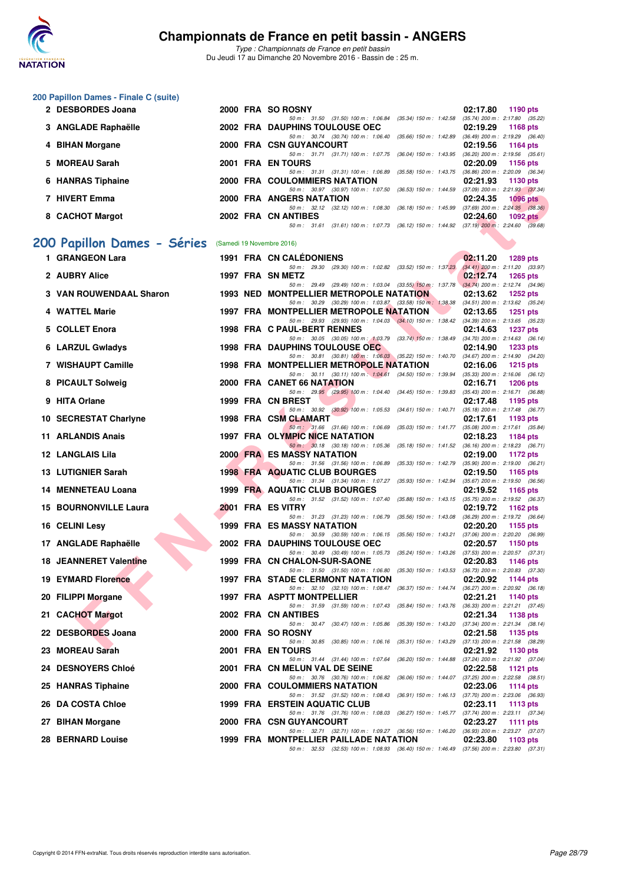

*Type : Championnats de France en petit bassin* Du Jeudi 17 au Dimanche 20 Novembre 2016 - Bassin de : 25 m.

| 200 Papillon Dames - Finale C (suite) |  |                                                                                                                                     |                                                                    |
|---------------------------------------|--|-------------------------------------------------------------------------------------------------------------------------------------|--------------------------------------------------------------------|
| 2 DESBORDES Joana                     |  | 2000 FRA SO ROSNY<br>50 m: 31.50 (31.50) 100 m: 1:06.84 (35.34) 150 m: 1:42.58 (35.74) 200 m: 2:17.80 (35.22)                       | 02:17.80<br>1190 pts                                               |
| 3 ANGLADE Raphaëlle                   |  | 2002 FRA DAUPHINS TOULOUSE OEC                                                                                                      | 02:19.29<br><b>1168 pts</b>                                        |
| 4 BIHAN Morgane                       |  | 50 m: 30.74 (30.74) 100 m: 1:06.40 (35.66) 150 m: 1:42.89 (36.49) 200 m: 2:19.29 (36.40)<br>2000 FRA CSN GUYANCOURT                 | 02:19.56<br><b>1164 pts</b>                                        |
| 5 MOREAU Sarah                        |  | 50 m: 31.71 (31.71) 100 m: 1:07.75 (36.04) 150 m: 1:43.95<br>2001 FRA EN TOURS                                                      | $(36.20)$ 200 m : 2:19.56 $(35.61)$<br>02:20.09<br>1156 pts        |
| 6 HANRAS Tiphaine                     |  | 50 m: 31.31 (31.31) 100 m: 1:06.89 (35.58) 150 m: 1:43.75<br>2000 FRA COULOMMIERS NATATION                                          | $(36.86)$ 200 m : 2:20.09 $(36.34)$<br>02:21.93<br>1130 pts        |
| 7 HIVERT Emma                         |  | 50 m: 30.97 (30.97) 100 m: 1:07.50 (36.53) 150 m: 1:44.59<br>2000 FRA ANGERS NATATION                                               | $(37.09)$ 200 m : 2:21.93 $(37.34)$<br>02:24.35<br><b>1096 pts</b> |
| 8 CACHOT Margot                       |  | 50 m: 32.12 (32.12) 100 m: 1:08.30 (36.18) 150 m: 1:45.99 (37.69) 200 m: 2:24.35 (38.36)<br>2002 FRA CN ANTIBES                     | 02:24.60<br>1092 $pts$                                             |
|                                       |  | 50 m: 31.61 (31.61) 100 m: 1.07.73 (36.12) 150 m: 1.44.92 (37.19) 200 m: 2.24.60 (39.68)                                            |                                                                    |
| 200 Papillon Dames - Séries           |  | (Samedi 19 Novembre 2016)                                                                                                           |                                                                    |
| 1 GRANGEON Lara                       |  | <b>1991 FRA CN CALEDONIENS</b><br>50 m: 29.30 (29.30) 100 m: 1:02.82 (33.52) 150 m: 1:37.23                                         | 02:11.20<br><b>1289 pts</b><br>$(34.41)$ 200 m : 2:11.20 $(33.97)$ |
| 2 AUBRY Alice                         |  | 1997 FRA SN METZ<br>50 m: 29.49 (29.49) 100 m: 1:03.04 (33.55) 150 m: 1:37.78 (34.74) 200 m: 2:12.74 (34.96)                        | 02:12.74<br><b>1265 pts</b>                                        |
| 3 VAN ROUWENDAAL Sharon               |  | 1993 NED MONTPELLIER METROPOLE NATATION<br>50 m: 30.29 (30.29) 100 m: 1:03.87 (33.58) 150 m: 1:38.38                                | 02:13.62<br>1252 $pts$<br>$(34.51)$ 200 m : 2:13.62 $(35.24)$      |
| 4 WATTEL Marie                        |  | 1997 FRA MONTPELLIER METROPOLE NATATION                                                                                             | 02:13.65<br><b>1251 pts</b>                                        |
| 5 COLLET Enora                        |  | 50 m : 29.93 (29.93) 100 m : 1:04.03 (34.10) 150 m : 1:38.42<br>1998 FRA C PAUL-BERT RENNES                                         | $(34.39)$ 200 m : 2:13.65 $(35.23)$<br>02:14.63<br><b>1237 pts</b> |
| 6 LARZUL Gwladys                      |  | 50 m: 30.05 (30.05) 100 m: 1:03.79 (33.74) 150 m: 1:38.49 (34.70) 200 m: 2:14.63 (36.14)<br><b>1998 FRA DAUPHINS TOULOUSE OEC</b>   | 02:14.90<br><b>1233 pts</b>                                        |
| 7 WISHAUPT Camille                    |  | 50 m: 30.81 (30.81) 100 m: 1:06.03 (35.22) 150 m: 1:40.70 (34.67) 200 m: 2:14.90 (34.20)<br>1998 FRA MONTPELLIER METROPOLE NATATION | 02:16.06<br><b>1215 pts</b>                                        |
| 8 PICAULT Solweig                     |  | 50 m: 30.11 (30.11) 100 m: 1:04.61 (34.50) 150 m: 1:39.94<br>2000 FRA CANET 66 NATATION                                             | $(35.33)$ 200 m : 2:16.06 $(36.12)$<br>02:16.71<br><b>1206 pts</b> |
| 9 HITA Orlane                         |  | 50 m: 29.95 (29.95) 100 m: 1:04.40 (34.45) 150 m: 1:39.83<br>1999 FRA CN BREST                                                      | (35.43) 200 m : 2:16.71 (36.88)<br>02:17.48<br>1195 pts            |
|                                       |  | 50 m: 30.92 (30.92) 100 m: 1:05.53 (34.61) 150 m: 1:40.71                                                                           | $(35.18) 200 \text{ m}$ : 2:17.48 $(36.77)$                        |
| 10 SECRESTAT Charlyne                 |  | 1998 FRA CSM CLAMART<br>50 m: 31.66 (31.66) 100 m: 1:06.69 (35.03) 150 m: 1:41.77 (35.08) 200 m: 2:17.61 (35.84)                    | 02:17.61<br>1193 pts                                               |
| <b>11 ARLANDIS Anais</b>              |  | 1997 FRA OLYMPIC NICE NATATION<br>50 m: 30.18 (30.18) 100 m: 1:05.36 (35.18) 150 m: 1:41.52 (36.16) 200 m: 2:18.23 (36.71)          | 02:18.23<br>1184 pts                                               |
| <b>12 LANGLAIS Lila</b>               |  | <b>2000 FRA ES MASSY NATATION</b><br>50 m: 31.56 (31.56) 100 m: 1:06.89 (35.33) 150 m: 1:42.79 (35.90) 200 m: 2:19.00 (36.21)       | 02:19.00<br>1172 pts                                               |
| <b>13 LUTIGNIER Sarah</b>             |  | <b>1998 FRA AQUATIC CLUB BOURGES</b><br>50 m: 31.34 (31.34) 100 m: 1:07.27 (35.93) 150 m: 1:42.94                                   | 02:19.50<br>1165 pts<br>$(35.67)$ 200 m : 2:19.50 $(36.56)$        |
| <b>14 MENNETEAU Loana</b>             |  | 1999 FRA AQUATIC CLUB BOURGES<br>50 m: 31.52 (31.52) 100 m: 1:07.40 (35.88) 150 m: 1:43.15 (35.75) 200 m: 2:19.52 (36.37)           | 02:19.52<br>1165 pts                                               |
| <b>15 BOURNONVILLE Laura</b>          |  | 2001 FRA ES VITRY<br>50 m: 31.23 (31.23) 100 m: 1:06.79 (35.56) 150 m: 1:43.08                                                      | 02:19.72<br>1162 $pts$<br>$(36.29)$ 200 m : 2:19.72 $(36.64)$      |
| 16 CELINI Lesy                        |  | 1999 FRA ES MASSY NATATION                                                                                                          | 02:20.20<br>1155 pts                                               |
| 17 ANGLADE Raphaëlle                  |  | 50 m: 30.59 (30.59) 100 m: 1:06.15 (35.56) 150 m: 1:43.21 (37.06) 200 m: 2:20.20 (36.99)<br>2002 FRA DAUPHINS TOULOUSE OEC          | 02:20.57<br><b>1150 pts</b>                                        |
| 18 JEANNERET Valentine                |  | 50 m: 30.49 (30.49) 100 m: 1:05.73 (35.24) 150 m: 1:43.26 (37.53) 200 m: 2:20.57 (37.31)<br>1999 FRA CN CHALON-SUR-SAONE            | 02:20.83<br>1146 pts                                               |
| <b>19 EYMARD Florence</b>             |  | 50 m: 31.50 (31.50) 100 m: 1:06.80 (35.30) 150 m: 1:43.53 (36.73) 200 m: 2:20.83 (37.30)<br>1997 FRA STADE CLERMONT NATATION        | 02:20.92<br>1144 pts                                               |
| 20 FILIPPI Morgane                    |  | 50 m: 32.10 (32.10) 100 m: 1:08.47 (36.37) 150 m: 1:44.74 (36.27) 200 m: 2:20.92 (36.18)<br>1997 FRA ASPTT MONTPELLIER              | 02:21.21<br>1140 pts                                               |
| 21 CACHOT Margot                      |  | 50 m: 31.59 (31.59) 100 m: 1:07.43 (35.84) 150 m: 1:43.76<br>2002 FRA CN ANTIBES                                                    | $(36.33)$ 200 m : 2:21.21 $(37.45)$<br>02:21.34<br>1138 pts        |
| 22 DESBORDES Joana                    |  | 50 m: 30.47 (30.47) 100 m: 1:05.86 (35.39) 150 m: 1:43.20<br>2000 FRA SO ROSNY                                                      | (37.34) 200 m : 2:21.34 (38.14)<br>02:21.58<br>1135 pts            |
| 23 MOREAU Sarah                       |  | 50 m : 30.85 (30.85) 100 m : 1:06.16 (35.31) 150 m : 1:43.29<br>2001 FRA EN TOURS                                                   | (37.13) 200 m : 2:21.58 (38.29)<br>02:21.92<br>1130 pts            |
|                                       |  | 50 m: 31.44 (31.44) 100 m: 1:07.64 (36.20) 150 m: 1:44.88 (37.24) 200 m: 2:21.92 (37.04)                                            |                                                                    |
| 24 DESNOYERS Chloé                    |  | 2001 FRA CN MELUN VAL DE SEINE<br>50 m: 30.76 (30.76) 100 m: 1:06.82 (36.06) 150 m: 1:44.07 (37.25) 200 m: 2:22.58 (38.51)          | 02:22.58<br><b>1121 pts</b>                                        |
| 25 HANRAS Tiphaine                    |  | 2000 FRA COULOMMIERS NATATION<br>50 m: 31.52 (31.52) 100 m: 1:08.43 (36.91) 150 m: 1:46.13 (37.70) 200 m: 2:23.06 (36.93)           | 02:23.06<br><b>1114 pts</b>                                        |
| 26 DA COSTA Chloe                     |  | 1999 FRA ERSTEIN AQUATIC CLUB<br>50 m: 31.76 (31.76) 100 m: 1:08.03 (36.27) 150 m: 1:45.77 (37.74) 200 m: 2:23.11 (37.34)           | 02:23.11<br>1113 pts                                               |
| 27 BIHAN Morgane                      |  | 2000 FRA CSN GUYANCOURT<br>50 m : 32.71 (32.71) 100 m : 1:09.27 (36.56) 150 m : 1:46.20 (36.93) 200 m : 2:23.27 (37.07)             | 02:23.27<br>1111 pts                                               |
| 28 BERNARD Louise                     |  | 1999 FRA MONTPELLIER PAILLADE NATATION<br>50 m: 32.53 (32.53) 100 m: 1:08.93 (36.40) 150 m: 1:46.49 (37.56) 200 m: 2:23.80 (37.31)  | 02:23.80<br>1103 pts                                               |
|                                       |  |                                                                                                                                     |                                                                    |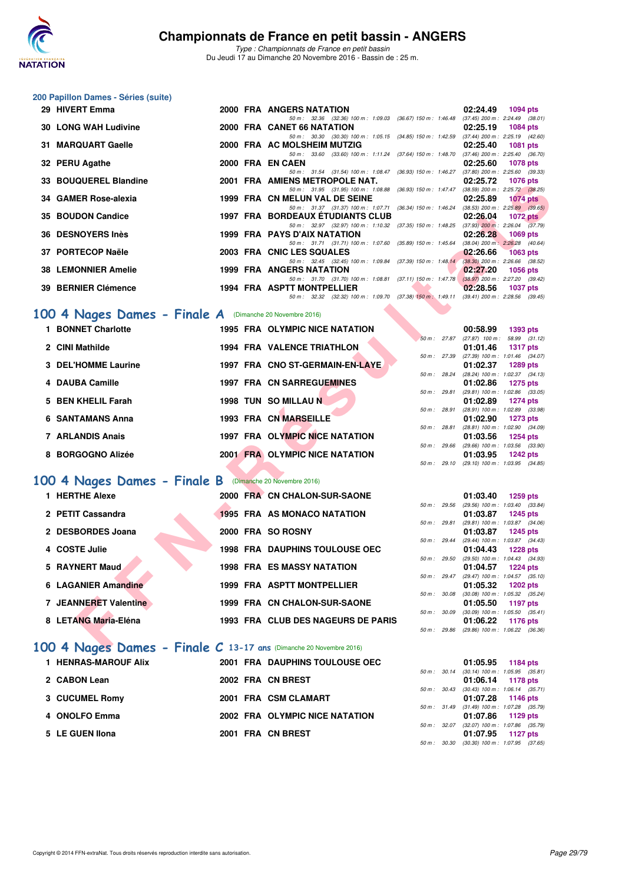

*Type : Championnats de France en petit bassin* Du Jeudi 17 au Dimanche 20 Novembre 2016 - Bassin de : 25 m.

#### **200 Papillon Dames - Séries (suite)**

| 50 m: 32.36 (32.36) 100 m: 1:09.03 (36.67) 150 m: 1:46.48<br>$(37.45)$ 200 m : 2:24.49 $(38.01)$<br><b>30 LONG WAH Ludivine</b><br>2000 FRA CANET 66 NATATION<br>02:25.19<br>1084 pts<br>50 m: 30.30 (30.30) 100 m: 1:05.15 (34.85) 150 m: 1:42.59 (37.44) 200 m: 2:25.19 (42.60)<br>31 MARQUART Gaelle<br>2000 FRA AC MOLSHEIM MUTZIG<br>02:25.40<br><b>1081 pts</b><br>50 m: 33.60 (33.60) 100 m: 1:11.24 (37.64) 150 m: 1:48.70 (37.46) 200 m: 2:25.40 (36.70)<br>32 PERU Agathe<br>2000 FRA EN CAEN<br>02:25.60<br><b>1078 pts</b><br>$(37.80)$ 200 m : 2:25.60 $(39.33)$<br>50 m: 31.54 (31.54) 100 m: 1:08.47<br>$(36.93)$ 150 m : 1:46.27<br>33 BOUQUEREL Blandine<br>2001 FRA AMIENS METROPOLE NAT.<br>02:25.72<br><b>1076 pts</b><br>50 m: 31.95 (31.95) 100 m: 1:08.88<br>$(36.93)$ 150 m : 1:47.47<br>$(38.59)$ 200 m : 2:25.72 $(38.25)$<br>34 GAMER Rose-alexia<br>1999 FRA CN MELUN VAL DE SEINE<br>02:25.89<br><b>1074 pts</b><br>50 m: 31.37 (31.37) 100 m: 1:07.71<br>$(36.34)$ 150 m : 1:46.24<br>$(38.53)$ 200 m : 2:25.89 $(39.65)$<br><b>35 BOUDON Candice</b><br><b>1997 FRA BORDEAUX ETUDIANTS CLUB</b><br>02:26.04<br><b>1072 pts</b><br>50 m: 32.97 (32.97) 100 m: 1:10.32<br>$(37.35)$ 150 m : 1:48.25<br>$(37.93)$ 200 m : 2:26.04 $(37.79)$<br>36 DESNOYERS Inès<br>1999 FRA PAYS D'AIX NATATION<br>02:26.28<br>1069 pts<br>50 m: 31.71 (31.71) 100 m: 1:07.60<br>(38.04) 200 m: 2:26.28 (40.64)<br>$(35.89)$ 150 m : 1:45.64<br>37 PORTECOP Naële<br>2003 FRA CNIC LES SQUALES<br>02:26.66<br><b>1063 pts</b><br>$(37.39)$ 150 m : 1:48.14 $(38.30)$ 200 m : 2:26.66 $(38.52)$<br>50 m: 32.45 (32.45) 100 m: 1:09.84<br><b>38 LEMONNIER Amelie</b><br><b>1999 FRA ANGERS NATATION</b><br>02:27.20<br><b>1056 pts</b><br>$(37.11)$ 150 m : 1:47.78<br>50 m: 31.70 (31.70) 100 m: 1:08.81<br>(38.97) 200 m : 2:27.20 (39.42)<br>39 BERNIER Clémence<br>1994 FRA ASPTT MONTPELLIER<br>02:28.56<br><b>1037 pts</b><br>50 m: 32.32 (32.32) 100 m: 1:09.70 (37.38) 150 m: 1:49.11 (39.41) 200 m: 2:28.56 (39.45)<br>00 4 Nages Dames - Finale A (Dimanche 20 Novembre 2016)<br>1 BONNET Charlotte<br>1995 FRA OLYMPIC NICE NATATION<br>00:58.99<br>1393 pts<br>58.99 (31.12)<br>50 m : 27.87<br>$(27.87)$ 100 m :<br>2 CINI Mathilde<br><b>1994 FRA VALENCE TRIATHLON</b><br>01:01.46<br><b>1317 pts</b><br>50 m: 27.39<br>(27.39) 100 m: 1:01.46 (34.07)<br>1997 FRA CNO ST-GERMAIN-EN-LAYE<br>3 DEL'HOMME Laurine<br>01:02.37<br>1289 pts<br>50 m : 28.24<br>(28.24) 100 m: 1:02.37 (34.13)<br><b>1997 FRA CN SARREGUEMINES</b><br>4 DAUBA Camille<br>01:02.86<br>1275 pts<br>50 m : 29.81<br>$(29.81)$ 100 m : 1:02.86 $(33.05)$<br>5 BEN KHELIL Farah<br>1998 TUN SO MILLAU N<br>01:02.89<br>1274 pts<br>50 m : 28.91<br>(28.91) 100 m: 1:02.89 (33.98)<br>1993 FRA CN MARSEILLE<br>6 SANTAMANS Anna<br>01:02.90<br>1273 pts<br>$(28.81)$ 100 m : 1:02.90 $(34.09)$<br>50 m : 28.81<br>1997 FRA OLYMPIC NICE NATATION<br>7 ARLANDIS Anais<br>01:03.56<br><b>1254 pts</b><br>(29.66) 100 m: 1:03.56 (33.90)<br>50 m : 29.66<br>8 BORGOGNO Alizée<br>2001 FRA OLYMPIC NICE NATATION<br>01:03.95<br><b>1242 pts</b><br>50 m: 29.10 (29.10) 100 m: 1:03.95 (34.85)<br>00 4 Nages Dames - Finale B<br>(Dimanche 20 Novembre 2016)<br>1 HERTHE Alexe<br>2000 FRA CN CHALON-SUR-SAONE<br>01:03.40<br>1259 pts<br>$50 m$ : 29.56<br>(29.56) 100 m: 1:03.40 (33.84)<br>2 PETIT Cassandra<br>1995 FRA AS MONACO NATATION<br>01:03.87<br>1245 pts<br>50 m : 29.81<br>(29.81) 100 m: 1:03.87 (34.06)<br>2 DESBORDES Joana<br>2000 FRA SO ROSNY<br>01:03.87<br><b>1245 pts</b><br>50 m: 29.44<br>(29.44) 100 m: 1:03.87 (34.43)<br>4 COSTE Julie<br><b>1998 FRA DAUPHINS TOULOUSE OEC</b><br>01:04.43<br><b>1228 pts</b><br>50 m: 29.50<br>(29.50) 100 m: 1:04.43 (34.93)<br>5 RAYNERT Maud<br><b>1998 FRA ES MASSY NATATION</b><br>01:04.57<br><b>1224 pts</b><br>50 m: 29.47<br>(29.47) 100 m: 1:04.57 (35.10)<br>1999 FRA ASPTT MONTPELLIER<br><b>6 LAGANIER Amandine</b><br>01:05.32<br>1202 pts<br>50 m : 30.08<br>$(30.08)$ 100 m : 1:05.32 $(35.24)$<br>7 JEANNERET Valentine<br>1999 FRA CN CHALON-SUR-SAONE<br>01:05.50<br>1197 pts<br>50 m: 30.09<br>$(30.09)$ 100 m : 1:05.50 $(35.41)$<br>8 LETANG Maria-Eléna<br>1993 FRA CLUB DES NAGEURS DE PARIS<br>01:06.22<br>1176 pts<br>(29.86) 100 m : 1:06.22 (36.36)<br>50 m: 29.86<br>$00.4$ Nages Dames - Finale C 13-17 ans (Dimanche 20 Novembre 2016) | 29 HIVERT Emma |  | 2000 FRA ANGERS NATATION |  | 02:24.49 | <b>1094 pts</b> |
|---------------------------------------------------------------------------------------------------------------------------------------------------------------------------------------------------------------------------------------------------------------------------------------------------------------------------------------------------------------------------------------------------------------------------------------------------------------------------------------------------------------------------------------------------------------------------------------------------------------------------------------------------------------------------------------------------------------------------------------------------------------------------------------------------------------------------------------------------------------------------------------------------------------------------------------------------------------------------------------------------------------------------------------------------------------------------------------------------------------------------------------------------------------------------------------------------------------------------------------------------------------------------------------------------------------------------------------------------------------------------------------------------------------------------------------------------------------------------------------------------------------------------------------------------------------------------------------------------------------------------------------------------------------------------------------------------------------------------------------------------------------------------------------------------------------------------------------------------------------------------------------------------------------------------------------------------------------------------------------------------------------------------------------------------------------------------------------------------------------------------------------------------------------------------------------------------------------------------------------------------------------------------------------------------------------------------------------------------------------------------------------------------------------------------------------------------------------------------------------------------------------------------------------------------------------------------------------------------------------------------------------------------------------------------------------------------------------------------------------------------------------------------------------------------------------------------------------------------------------------------------------------------------------------------------------------------------------------------------------------------------------------------------------------------------------------------------------------------------------------------------------------------------------------------------------------------------------------------------------------------------------------------------------------------------------------------------------------------------------------------------------------------------------------------------------------------------------------------------------------------------------------------------------------------------------------------------------------------------------------------------------------------------------------------------------------------------------------------------------------------------------------------------------------------------------------------------------------------------------------------------------------------------------------------------------------------------------------------------------------------------------------------------------------------------------------------------------------------------------------------------------------------------------------------------------------------------------------------------------------------------------------------------------------------------------------------------------------------------------------------------------------------------------------------------|----------------|--|--------------------------|--|----------|-----------------|
|                                                                                                                                                                                                                                                                                                                                                                                                                                                                                                                                                                                                                                                                                                                                                                                                                                                                                                                                                                                                                                                                                                                                                                                                                                                                                                                                                                                                                                                                                                                                                                                                                                                                                                                                                                                                                                                                                                                                                                                                                                                                                                                                                                                                                                                                                                                                                                                                                                                                                                                                                                                                                                                                                                                                                                                                                                                                                                                                                                                                                                                                                                                                                                                                                                                                                                                                                                                                                                                                                                                                                                                                                                                                                                                                                                                                                                                                                                                                                                                                                                                                                                                                                                                                                                                                                                                                                                                                                                 |                |  |                          |  |          |                 |
|                                                                                                                                                                                                                                                                                                                                                                                                                                                                                                                                                                                                                                                                                                                                                                                                                                                                                                                                                                                                                                                                                                                                                                                                                                                                                                                                                                                                                                                                                                                                                                                                                                                                                                                                                                                                                                                                                                                                                                                                                                                                                                                                                                                                                                                                                                                                                                                                                                                                                                                                                                                                                                                                                                                                                                                                                                                                                                                                                                                                                                                                                                                                                                                                                                                                                                                                                                                                                                                                                                                                                                                                                                                                                                                                                                                                                                                                                                                                                                                                                                                                                                                                                                                                                                                                                                                                                                                                                                 |                |  |                          |  |          |                 |
|                                                                                                                                                                                                                                                                                                                                                                                                                                                                                                                                                                                                                                                                                                                                                                                                                                                                                                                                                                                                                                                                                                                                                                                                                                                                                                                                                                                                                                                                                                                                                                                                                                                                                                                                                                                                                                                                                                                                                                                                                                                                                                                                                                                                                                                                                                                                                                                                                                                                                                                                                                                                                                                                                                                                                                                                                                                                                                                                                                                                                                                                                                                                                                                                                                                                                                                                                                                                                                                                                                                                                                                                                                                                                                                                                                                                                                                                                                                                                                                                                                                                                                                                                                                                                                                                                                                                                                                                                                 |                |  |                          |  |          |                 |
|                                                                                                                                                                                                                                                                                                                                                                                                                                                                                                                                                                                                                                                                                                                                                                                                                                                                                                                                                                                                                                                                                                                                                                                                                                                                                                                                                                                                                                                                                                                                                                                                                                                                                                                                                                                                                                                                                                                                                                                                                                                                                                                                                                                                                                                                                                                                                                                                                                                                                                                                                                                                                                                                                                                                                                                                                                                                                                                                                                                                                                                                                                                                                                                                                                                                                                                                                                                                                                                                                                                                                                                                                                                                                                                                                                                                                                                                                                                                                                                                                                                                                                                                                                                                                                                                                                                                                                                                                                 |                |  |                          |  |          |                 |
|                                                                                                                                                                                                                                                                                                                                                                                                                                                                                                                                                                                                                                                                                                                                                                                                                                                                                                                                                                                                                                                                                                                                                                                                                                                                                                                                                                                                                                                                                                                                                                                                                                                                                                                                                                                                                                                                                                                                                                                                                                                                                                                                                                                                                                                                                                                                                                                                                                                                                                                                                                                                                                                                                                                                                                                                                                                                                                                                                                                                                                                                                                                                                                                                                                                                                                                                                                                                                                                                                                                                                                                                                                                                                                                                                                                                                                                                                                                                                                                                                                                                                                                                                                                                                                                                                                                                                                                                                                 |                |  |                          |  |          |                 |
|                                                                                                                                                                                                                                                                                                                                                                                                                                                                                                                                                                                                                                                                                                                                                                                                                                                                                                                                                                                                                                                                                                                                                                                                                                                                                                                                                                                                                                                                                                                                                                                                                                                                                                                                                                                                                                                                                                                                                                                                                                                                                                                                                                                                                                                                                                                                                                                                                                                                                                                                                                                                                                                                                                                                                                                                                                                                                                                                                                                                                                                                                                                                                                                                                                                                                                                                                                                                                                                                                                                                                                                                                                                                                                                                                                                                                                                                                                                                                                                                                                                                                                                                                                                                                                                                                                                                                                                                                                 |                |  |                          |  |          |                 |
|                                                                                                                                                                                                                                                                                                                                                                                                                                                                                                                                                                                                                                                                                                                                                                                                                                                                                                                                                                                                                                                                                                                                                                                                                                                                                                                                                                                                                                                                                                                                                                                                                                                                                                                                                                                                                                                                                                                                                                                                                                                                                                                                                                                                                                                                                                                                                                                                                                                                                                                                                                                                                                                                                                                                                                                                                                                                                                                                                                                                                                                                                                                                                                                                                                                                                                                                                                                                                                                                                                                                                                                                                                                                                                                                                                                                                                                                                                                                                                                                                                                                                                                                                                                                                                                                                                                                                                                                                                 |                |  |                          |  |          |                 |
|                                                                                                                                                                                                                                                                                                                                                                                                                                                                                                                                                                                                                                                                                                                                                                                                                                                                                                                                                                                                                                                                                                                                                                                                                                                                                                                                                                                                                                                                                                                                                                                                                                                                                                                                                                                                                                                                                                                                                                                                                                                                                                                                                                                                                                                                                                                                                                                                                                                                                                                                                                                                                                                                                                                                                                                                                                                                                                                                                                                                                                                                                                                                                                                                                                                                                                                                                                                                                                                                                                                                                                                                                                                                                                                                                                                                                                                                                                                                                                                                                                                                                                                                                                                                                                                                                                                                                                                                                                 |                |  |                          |  |          |                 |
|                                                                                                                                                                                                                                                                                                                                                                                                                                                                                                                                                                                                                                                                                                                                                                                                                                                                                                                                                                                                                                                                                                                                                                                                                                                                                                                                                                                                                                                                                                                                                                                                                                                                                                                                                                                                                                                                                                                                                                                                                                                                                                                                                                                                                                                                                                                                                                                                                                                                                                                                                                                                                                                                                                                                                                                                                                                                                                                                                                                                                                                                                                                                                                                                                                                                                                                                                                                                                                                                                                                                                                                                                                                                                                                                                                                                                                                                                                                                                                                                                                                                                                                                                                                                                                                                                                                                                                                                                                 |                |  |                          |  |          |                 |
|                                                                                                                                                                                                                                                                                                                                                                                                                                                                                                                                                                                                                                                                                                                                                                                                                                                                                                                                                                                                                                                                                                                                                                                                                                                                                                                                                                                                                                                                                                                                                                                                                                                                                                                                                                                                                                                                                                                                                                                                                                                                                                                                                                                                                                                                                                                                                                                                                                                                                                                                                                                                                                                                                                                                                                                                                                                                                                                                                                                                                                                                                                                                                                                                                                                                                                                                                                                                                                                                                                                                                                                                                                                                                                                                                                                                                                                                                                                                                                                                                                                                                                                                                                                                                                                                                                                                                                                                                                 |                |  |                          |  |          |                 |
|                                                                                                                                                                                                                                                                                                                                                                                                                                                                                                                                                                                                                                                                                                                                                                                                                                                                                                                                                                                                                                                                                                                                                                                                                                                                                                                                                                                                                                                                                                                                                                                                                                                                                                                                                                                                                                                                                                                                                                                                                                                                                                                                                                                                                                                                                                                                                                                                                                                                                                                                                                                                                                                                                                                                                                                                                                                                                                                                                                                                                                                                                                                                                                                                                                                                                                                                                                                                                                                                                                                                                                                                                                                                                                                                                                                                                                                                                                                                                                                                                                                                                                                                                                                                                                                                                                                                                                                                                                 |                |  |                          |  |          |                 |
|                                                                                                                                                                                                                                                                                                                                                                                                                                                                                                                                                                                                                                                                                                                                                                                                                                                                                                                                                                                                                                                                                                                                                                                                                                                                                                                                                                                                                                                                                                                                                                                                                                                                                                                                                                                                                                                                                                                                                                                                                                                                                                                                                                                                                                                                                                                                                                                                                                                                                                                                                                                                                                                                                                                                                                                                                                                                                                                                                                                                                                                                                                                                                                                                                                                                                                                                                                                                                                                                                                                                                                                                                                                                                                                                                                                                                                                                                                                                                                                                                                                                                                                                                                                                                                                                                                                                                                                                                                 |                |  |                          |  |          |                 |
|                                                                                                                                                                                                                                                                                                                                                                                                                                                                                                                                                                                                                                                                                                                                                                                                                                                                                                                                                                                                                                                                                                                                                                                                                                                                                                                                                                                                                                                                                                                                                                                                                                                                                                                                                                                                                                                                                                                                                                                                                                                                                                                                                                                                                                                                                                                                                                                                                                                                                                                                                                                                                                                                                                                                                                                                                                                                                                                                                                                                                                                                                                                                                                                                                                                                                                                                                                                                                                                                                                                                                                                                                                                                                                                                                                                                                                                                                                                                                                                                                                                                                                                                                                                                                                                                                                                                                                                                                                 |                |  |                          |  |          |                 |
|                                                                                                                                                                                                                                                                                                                                                                                                                                                                                                                                                                                                                                                                                                                                                                                                                                                                                                                                                                                                                                                                                                                                                                                                                                                                                                                                                                                                                                                                                                                                                                                                                                                                                                                                                                                                                                                                                                                                                                                                                                                                                                                                                                                                                                                                                                                                                                                                                                                                                                                                                                                                                                                                                                                                                                                                                                                                                                                                                                                                                                                                                                                                                                                                                                                                                                                                                                                                                                                                                                                                                                                                                                                                                                                                                                                                                                                                                                                                                                                                                                                                                                                                                                                                                                                                                                                                                                                                                                 |                |  |                          |  |          |                 |
|                                                                                                                                                                                                                                                                                                                                                                                                                                                                                                                                                                                                                                                                                                                                                                                                                                                                                                                                                                                                                                                                                                                                                                                                                                                                                                                                                                                                                                                                                                                                                                                                                                                                                                                                                                                                                                                                                                                                                                                                                                                                                                                                                                                                                                                                                                                                                                                                                                                                                                                                                                                                                                                                                                                                                                                                                                                                                                                                                                                                                                                                                                                                                                                                                                                                                                                                                                                                                                                                                                                                                                                                                                                                                                                                                                                                                                                                                                                                                                                                                                                                                                                                                                                                                                                                                                                                                                                                                                 |                |  |                          |  |          |                 |
|                                                                                                                                                                                                                                                                                                                                                                                                                                                                                                                                                                                                                                                                                                                                                                                                                                                                                                                                                                                                                                                                                                                                                                                                                                                                                                                                                                                                                                                                                                                                                                                                                                                                                                                                                                                                                                                                                                                                                                                                                                                                                                                                                                                                                                                                                                                                                                                                                                                                                                                                                                                                                                                                                                                                                                                                                                                                                                                                                                                                                                                                                                                                                                                                                                                                                                                                                                                                                                                                                                                                                                                                                                                                                                                                                                                                                                                                                                                                                                                                                                                                                                                                                                                                                                                                                                                                                                                                                                 |                |  |                          |  |          |                 |
|                                                                                                                                                                                                                                                                                                                                                                                                                                                                                                                                                                                                                                                                                                                                                                                                                                                                                                                                                                                                                                                                                                                                                                                                                                                                                                                                                                                                                                                                                                                                                                                                                                                                                                                                                                                                                                                                                                                                                                                                                                                                                                                                                                                                                                                                                                                                                                                                                                                                                                                                                                                                                                                                                                                                                                                                                                                                                                                                                                                                                                                                                                                                                                                                                                                                                                                                                                                                                                                                                                                                                                                                                                                                                                                                                                                                                                                                                                                                                                                                                                                                                                                                                                                                                                                                                                                                                                                                                                 |                |  |                          |  |          |                 |
|                                                                                                                                                                                                                                                                                                                                                                                                                                                                                                                                                                                                                                                                                                                                                                                                                                                                                                                                                                                                                                                                                                                                                                                                                                                                                                                                                                                                                                                                                                                                                                                                                                                                                                                                                                                                                                                                                                                                                                                                                                                                                                                                                                                                                                                                                                                                                                                                                                                                                                                                                                                                                                                                                                                                                                                                                                                                                                                                                                                                                                                                                                                                                                                                                                                                                                                                                                                                                                                                                                                                                                                                                                                                                                                                                                                                                                                                                                                                                                                                                                                                                                                                                                                                                                                                                                                                                                                                                                 |                |  |                          |  |          |                 |
|                                                                                                                                                                                                                                                                                                                                                                                                                                                                                                                                                                                                                                                                                                                                                                                                                                                                                                                                                                                                                                                                                                                                                                                                                                                                                                                                                                                                                                                                                                                                                                                                                                                                                                                                                                                                                                                                                                                                                                                                                                                                                                                                                                                                                                                                                                                                                                                                                                                                                                                                                                                                                                                                                                                                                                                                                                                                                                                                                                                                                                                                                                                                                                                                                                                                                                                                                                                                                                                                                                                                                                                                                                                                                                                                                                                                                                                                                                                                                                                                                                                                                                                                                                                                                                                                                                                                                                                                                                 |                |  |                          |  |          |                 |
|                                                                                                                                                                                                                                                                                                                                                                                                                                                                                                                                                                                                                                                                                                                                                                                                                                                                                                                                                                                                                                                                                                                                                                                                                                                                                                                                                                                                                                                                                                                                                                                                                                                                                                                                                                                                                                                                                                                                                                                                                                                                                                                                                                                                                                                                                                                                                                                                                                                                                                                                                                                                                                                                                                                                                                                                                                                                                                                                                                                                                                                                                                                                                                                                                                                                                                                                                                                                                                                                                                                                                                                                                                                                                                                                                                                                                                                                                                                                                                                                                                                                                                                                                                                                                                                                                                                                                                                                                                 |                |  |                          |  |          |                 |
|                                                                                                                                                                                                                                                                                                                                                                                                                                                                                                                                                                                                                                                                                                                                                                                                                                                                                                                                                                                                                                                                                                                                                                                                                                                                                                                                                                                                                                                                                                                                                                                                                                                                                                                                                                                                                                                                                                                                                                                                                                                                                                                                                                                                                                                                                                                                                                                                                                                                                                                                                                                                                                                                                                                                                                                                                                                                                                                                                                                                                                                                                                                                                                                                                                                                                                                                                                                                                                                                                                                                                                                                                                                                                                                                                                                                                                                                                                                                                                                                                                                                                                                                                                                                                                                                                                                                                                                                                                 |                |  |                          |  |          |                 |
|                                                                                                                                                                                                                                                                                                                                                                                                                                                                                                                                                                                                                                                                                                                                                                                                                                                                                                                                                                                                                                                                                                                                                                                                                                                                                                                                                                                                                                                                                                                                                                                                                                                                                                                                                                                                                                                                                                                                                                                                                                                                                                                                                                                                                                                                                                                                                                                                                                                                                                                                                                                                                                                                                                                                                                                                                                                                                                                                                                                                                                                                                                                                                                                                                                                                                                                                                                                                                                                                                                                                                                                                                                                                                                                                                                                                                                                                                                                                                                                                                                                                                                                                                                                                                                                                                                                                                                                                                                 |                |  |                          |  |          |                 |
|                                                                                                                                                                                                                                                                                                                                                                                                                                                                                                                                                                                                                                                                                                                                                                                                                                                                                                                                                                                                                                                                                                                                                                                                                                                                                                                                                                                                                                                                                                                                                                                                                                                                                                                                                                                                                                                                                                                                                                                                                                                                                                                                                                                                                                                                                                                                                                                                                                                                                                                                                                                                                                                                                                                                                                                                                                                                                                                                                                                                                                                                                                                                                                                                                                                                                                                                                                                                                                                                                                                                                                                                                                                                                                                                                                                                                                                                                                                                                                                                                                                                                                                                                                                                                                                                                                                                                                                                                                 |                |  |                          |  |          |                 |
|                                                                                                                                                                                                                                                                                                                                                                                                                                                                                                                                                                                                                                                                                                                                                                                                                                                                                                                                                                                                                                                                                                                                                                                                                                                                                                                                                                                                                                                                                                                                                                                                                                                                                                                                                                                                                                                                                                                                                                                                                                                                                                                                                                                                                                                                                                                                                                                                                                                                                                                                                                                                                                                                                                                                                                                                                                                                                                                                                                                                                                                                                                                                                                                                                                                                                                                                                                                                                                                                                                                                                                                                                                                                                                                                                                                                                                                                                                                                                                                                                                                                                                                                                                                                                                                                                                                                                                                                                                 |                |  |                          |  |          |                 |
|                                                                                                                                                                                                                                                                                                                                                                                                                                                                                                                                                                                                                                                                                                                                                                                                                                                                                                                                                                                                                                                                                                                                                                                                                                                                                                                                                                                                                                                                                                                                                                                                                                                                                                                                                                                                                                                                                                                                                                                                                                                                                                                                                                                                                                                                                                                                                                                                                                                                                                                                                                                                                                                                                                                                                                                                                                                                                                                                                                                                                                                                                                                                                                                                                                                                                                                                                                                                                                                                                                                                                                                                                                                                                                                                                                                                                                                                                                                                                                                                                                                                                                                                                                                                                                                                                                                                                                                                                                 |                |  |                          |  |          |                 |
|                                                                                                                                                                                                                                                                                                                                                                                                                                                                                                                                                                                                                                                                                                                                                                                                                                                                                                                                                                                                                                                                                                                                                                                                                                                                                                                                                                                                                                                                                                                                                                                                                                                                                                                                                                                                                                                                                                                                                                                                                                                                                                                                                                                                                                                                                                                                                                                                                                                                                                                                                                                                                                                                                                                                                                                                                                                                                                                                                                                                                                                                                                                                                                                                                                                                                                                                                                                                                                                                                                                                                                                                                                                                                                                                                                                                                                                                                                                                                                                                                                                                                                                                                                                                                                                                                                                                                                                                                                 |                |  |                          |  |          |                 |
|                                                                                                                                                                                                                                                                                                                                                                                                                                                                                                                                                                                                                                                                                                                                                                                                                                                                                                                                                                                                                                                                                                                                                                                                                                                                                                                                                                                                                                                                                                                                                                                                                                                                                                                                                                                                                                                                                                                                                                                                                                                                                                                                                                                                                                                                                                                                                                                                                                                                                                                                                                                                                                                                                                                                                                                                                                                                                                                                                                                                                                                                                                                                                                                                                                                                                                                                                                                                                                                                                                                                                                                                                                                                                                                                                                                                                                                                                                                                                                                                                                                                                                                                                                                                                                                                                                                                                                                                                                 |                |  |                          |  |          |                 |
|                                                                                                                                                                                                                                                                                                                                                                                                                                                                                                                                                                                                                                                                                                                                                                                                                                                                                                                                                                                                                                                                                                                                                                                                                                                                                                                                                                                                                                                                                                                                                                                                                                                                                                                                                                                                                                                                                                                                                                                                                                                                                                                                                                                                                                                                                                                                                                                                                                                                                                                                                                                                                                                                                                                                                                                                                                                                                                                                                                                                                                                                                                                                                                                                                                                                                                                                                                                                                                                                                                                                                                                                                                                                                                                                                                                                                                                                                                                                                                                                                                                                                                                                                                                                                                                                                                                                                                                                                                 |                |  |                          |  |          |                 |
|                                                                                                                                                                                                                                                                                                                                                                                                                                                                                                                                                                                                                                                                                                                                                                                                                                                                                                                                                                                                                                                                                                                                                                                                                                                                                                                                                                                                                                                                                                                                                                                                                                                                                                                                                                                                                                                                                                                                                                                                                                                                                                                                                                                                                                                                                                                                                                                                                                                                                                                                                                                                                                                                                                                                                                                                                                                                                                                                                                                                                                                                                                                                                                                                                                                                                                                                                                                                                                                                                                                                                                                                                                                                                                                                                                                                                                                                                                                                                                                                                                                                                                                                                                                                                                                                                                                                                                                                                                 |                |  |                          |  |          |                 |
|                                                                                                                                                                                                                                                                                                                                                                                                                                                                                                                                                                                                                                                                                                                                                                                                                                                                                                                                                                                                                                                                                                                                                                                                                                                                                                                                                                                                                                                                                                                                                                                                                                                                                                                                                                                                                                                                                                                                                                                                                                                                                                                                                                                                                                                                                                                                                                                                                                                                                                                                                                                                                                                                                                                                                                                                                                                                                                                                                                                                                                                                                                                                                                                                                                                                                                                                                                                                                                                                                                                                                                                                                                                                                                                                                                                                                                                                                                                                                                                                                                                                                                                                                                                                                                                                                                                                                                                                                                 |                |  |                          |  |          |                 |
|                                                                                                                                                                                                                                                                                                                                                                                                                                                                                                                                                                                                                                                                                                                                                                                                                                                                                                                                                                                                                                                                                                                                                                                                                                                                                                                                                                                                                                                                                                                                                                                                                                                                                                                                                                                                                                                                                                                                                                                                                                                                                                                                                                                                                                                                                                                                                                                                                                                                                                                                                                                                                                                                                                                                                                                                                                                                                                                                                                                                                                                                                                                                                                                                                                                                                                                                                                                                                                                                                                                                                                                                                                                                                                                                                                                                                                                                                                                                                                                                                                                                                                                                                                                                                                                                                                                                                                                                                                 |                |  |                          |  |          |                 |
|                                                                                                                                                                                                                                                                                                                                                                                                                                                                                                                                                                                                                                                                                                                                                                                                                                                                                                                                                                                                                                                                                                                                                                                                                                                                                                                                                                                                                                                                                                                                                                                                                                                                                                                                                                                                                                                                                                                                                                                                                                                                                                                                                                                                                                                                                                                                                                                                                                                                                                                                                                                                                                                                                                                                                                                                                                                                                                                                                                                                                                                                                                                                                                                                                                                                                                                                                                                                                                                                                                                                                                                                                                                                                                                                                                                                                                                                                                                                                                                                                                                                                                                                                                                                                                                                                                                                                                                                                                 |                |  |                          |  |          |                 |
|                                                                                                                                                                                                                                                                                                                                                                                                                                                                                                                                                                                                                                                                                                                                                                                                                                                                                                                                                                                                                                                                                                                                                                                                                                                                                                                                                                                                                                                                                                                                                                                                                                                                                                                                                                                                                                                                                                                                                                                                                                                                                                                                                                                                                                                                                                                                                                                                                                                                                                                                                                                                                                                                                                                                                                                                                                                                                                                                                                                                                                                                                                                                                                                                                                                                                                                                                                                                                                                                                                                                                                                                                                                                                                                                                                                                                                                                                                                                                                                                                                                                                                                                                                                                                                                                                                                                                                                                                                 |                |  |                          |  |          |                 |
|                                                                                                                                                                                                                                                                                                                                                                                                                                                                                                                                                                                                                                                                                                                                                                                                                                                                                                                                                                                                                                                                                                                                                                                                                                                                                                                                                                                                                                                                                                                                                                                                                                                                                                                                                                                                                                                                                                                                                                                                                                                                                                                                                                                                                                                                                                                                                                                                                                                                                                                                                                                                                                                                                                                                                                                                                                                                                                                                                                                                                                                                                                                                                                                                                                                                                                                                                                                                                                                                                                                                                                                                                                                                                                                                                                                                                                                                                                                                                                                                                                                                                                                                                                                                                                                                                                                                                                                                                                 |                |  |                          |  |          |                 |
|                                                                                                                                                                                                                                                                                                                                                                                                                                                                                                                                                                                                                                                                                                                                                                                                                                                                                                                                                                                                                                                                                                                                                                                                                                                                                                                                                                                                                                                                                                                                                                                                                                                                                                                                                                                                                                                                                                                                                                                                                                                                                                                                                                                                                                                                                                                                                                                                                                                                                                                                                                                                                                                                                                                                                                                                                                                                                                                                                                                                                                                                                                                                                                                                                                                                                                                                                                                                                                                                                                                                                                                                                                                                                                                                                                                                                                                                                                                                                                                                                                                                                                                                                                                                                                                                                                                                                                                                                                 |                |  |                          |  |          |                 |
|                                                                                                                                                                                                                                                                                                                                                                                                                                                                                                                                                                                                                                                                                                                                                                                                                                                                                                                                                                                                                                                                                                                                                                                                                                                                                                                                                                                                                                                                                                                                                                                                                                                                                                                                                                                                                                                                                                                                                                                                                                                                                                                                                                                                                                                                                                                                                                                                                                                                                                                                                                                                                                                                                                                                                                                                                                                                                                                                                                                                                                                                                                                                                                                                                                                                                                                                                                                                                                                                                                                                                                                                                                                                                                                                                                                                                                                                                                                                                                                                                                                                                                                                                                                                                                                                                                                                                                                                                                 |                |  |                          |  |          |                 |
|                                                                                                                                                                                                                                                                                                                                                                                                                                                                                                                                                                                                                                                                                                                                                                                                                                                                                                                                                                                                                                                                                                                                                                                                                                                                                                                                                                                                                                                                                                                                                                                                                                                                                                                                                                                                                                                                                                                                                                                                                                                                                                                                                                                                                                                                                                                                                                                                                                                                                                                                                                                                                                                                                                                                                                                                                                                                                                                                                                                                                                                                                                                                                                                                                                                                                                                                                                                                                                                                                                                                                                                                                                                                                                                                                                                                                                                                                                                                                                                                                                                                                                                                                                                                                                                                                                                                                                                                                                 |                |  |                          |  |          |                 |
|                                                                                                                                                                                                                                                                                                                                                                                                                                                                                                                                                                                                                                                                                                                                                                                                                                                                                                                                                                                                                                                                                                                                                                                                                                                                                                                                                                                                                                                                                                                                                                                                                                                                                                                                                                                                                                                                                                                                                                                                                                                                                                                                                                                                                                                                                                                                                                                                                                                                                                                                                                                                                                                                                                                                                                                                                                                                                                                                                                                                                                                                                                                                                                                                                                                                                                                                                                                                                                                                                                                                                                                                                                                                                                                                                                                                                                                                                                                                                                                                                                                                                                                                                                                                                                                                                                                                                                                                                                 |                |  |                          |  |          |                 |
|                                                                                                                                                                                                                                                                                                                                                                                                                                                                                                                                                                                                                                                                                                                                                                                                                                                                                                                                                                                                                                                                                                                                                                                                                                                                                                                                                                                                                                                                                                                                                                                                                                                                                                                                                                                                                                                                                                                                                                                                                                                                                                                                                                                                                                                                                                                                                                                                                                                                                                                                                                                                                                                                                                                                                                                                                                                                                                                                                                                                                                                                                                                                                                                                                                                                                                                                                                                                                                                                                                                                                                                                                                                                                                                                                                                                                                                                                                                                                                                                                                                                                                                                                                                                                                                                                                                                                                                                                                 |                |  |                          |  |          |                 |
|                                                                                                                                                                                                                                                                                                                                                                                                                                                                                                                                                                                                                                                                                                                                                                                                                                                                                                                                                                                                                                                                                                                                                                                                                                                                                                                                                                                                                                                                                                                                                                                                                                                                                                                                                                                                                                                                                                                                                                                                                                                                                                                                                                                                                                                                                                                                                                                                                                                                                                                                                                                                                                                                                                                                                                                                                                                                                                                                                                                                                                                                                                                                                                                                                                                                                                                                                                                                                                                                                                                                                                                                                                                                                                                                                                                                                                                                                                                                                                                                                                                                                                                                                                                                                                                                                                                                                                                                                                 |                |  |                          |  |          |                 |
|                                                                                                                                                                                                                                                                                                                                                                                                                                                                                                                                                                                                                                                                                                                                                                                                                                                                                                                                                                                                                                                                                                                                                                                                                                                                                                                                                                                                                                                                                                                                                                                                                                                                                                                                                                                                                                                                                                                                                                                                                                                                                                                                                                                                                                                                                                                                                                                                                                                                                                                                                                                                                                                                                                                                                                                                                                                                                                                                                                                                                                                                                                                                                                                                                                                                                                                                                                                                                                                                                                                                                                                                                                                                                                                                                                                                                                                                                                                                                                                                                                                                                                                                                                                                                                                                                                                                                                                                                                 |                |  |                          |  |          |                 |

# **[100 4 Nages Dames - Finale A](http://www.ffnatation.fr/webffn/resultats.php?idact=nat&go=epr&idcpt=41163&idepr=40)** (Dimanche 20 Novembre 2016)

| 1 BONNET Charlotte  |  | <b>1995 FRA OLYMPIC NICE NATATION</b> |                        | 00:58.99                                     | 1393 pts        |  |
|---------------------|--|---------------------------------------|------------------------|----------------------------------------------|-----------------|--|
|                     |  |                                       | 50 m: 27.87            | $(27.87)$ 100 m : 58.99 (31.                 |                 |  |
| 2 CINI Mathilde     |  | <b>1994 FRA VALENCE TRIATHLON</b>     | 50 m: 27.39            | 01:01.46<br>$(27.39)$ 100 m : 1:01.46 $(34.$ | <b>1317 pts</b> |  |
| 3 DEL'HOMME Laurine |  | 1997 FRA CNO ST-GERMAIN-EN-LAYE       |                        | 01:02.37                                     | 1289 pts        |  |
|                     |  |                                       | 50 m: 28.24            | (28.24) 100 m : 1:02.37 (34.                 |                 |  |
| 4 DAUBA Camille     |  | <b>1997 FRA CN SARREGUEMINES</b>      |                        | 01:02.86                                     | 1275 pts        |  |
|                     |  |                                       | 50 m : 29.81           | $(29.81)$ 100 m : 1:02.86 (33.               |                 |  |
| 5 BEN KHELIL Farah  |  | 1998 TUN SO MILLAU N                  |                        | 01:02.89                                     | 1274 pts        |  |
|                     |  |                                       | 50 m: 28.91            | (28.91) 100 m : 1:02.89 (33.                 |                 |  |
| 6 SANTAMANS Anna    |  | 1993 FRA CN MARSEILLE                 |                        | 01:02.90                                     | 1273 pts        |  |
|                     |  |                                       | 50 m: 28.81            | $(28.81)$ 100 m : 1:02.90 (34.               |                 |  |
| 7 ARLANDIS Anais    |  | 1997 FRA OLYMPIC NICE NATATION        |                        | 01:03.56                                     | 1254 pts        |  |
|                     |  |                                       | $50 \text{ m}$ : 29.66 | $(29.66)$ 100 m : 1:03.56 (33.               |                 |  |
| 8 BORGOGNO Alizée   |  | 2001 FRA OLYMPIC NICE NATATION        |                        | 01:03.95                                     | <b>1242 pts</b> |  |
|                     |  |                                       |                        |                                              |                 |  |

# **[100 4 Nages Dames - Finale B](http://www.ffnatation.fr/webffn/resultats.php?idact=nat&go=epr&idcpt=41163&idepr=40)** (Dimanche 20 Novembre 2016)

| 1 HERTHE Alexe        | 2000 FRA CN CHALON-SUR-SAONE          |                        | 01:03.40<br>1259 pts                                          |
|-----------------------|---------------------------------------|------------------------|---------------------------------------------------------------|
| 2 PETIT Cassandra     | 1995 FRA AS MONACO NATATION           | $50 m$ : 29.56         | $(29.56)$ 100 m : 1:03.40 $(33.$<br>01:03.87<br>1245 pts      |
| 2 DESBORDES Joana     | 2000 FRA SO ROSNY                     | 50 m: 29.81            | (29.81) 100 m: 1:03.87 (34.<br>01:03.87<br>1245 pts           |
| 4 COSTE Julie         | <b>1998 FRA DAUPHINS TOULOUSE OEC</b> | $50 \text{ m}$ : 29.44 | (29.44) 100 m : 1:03.87 (34.<br>01:04.43<br>1228 pts          |
| 5 RAYNERT Maud        | <b>1998 FRA ES MASSY NATATION</b>     | 50 m: 29.50            | $(29.50)$ 100 m : 1:04.43 (34.<br><b>1224 pts</b><br>01:04.57 |
| 6 LAGANIER Amandine   | <b>1999 FRA ASPTT MONTPELLIER</b>     | $50 \text{ m}$ : 29.47 | (29.47) 100 m : 1:04.57 (35.<br>1202 pts<br>01:05.32          |
| 7 JEANNERET Valentine | 1999 FRA CN CHALON-SUR-SAONE          | $50 m$ :<br>30.08      | $(30.08)$ 100 m : 1:05.32 (35.<br>01:05.50<br>1197 pts        |
| 8 LETANG Maria-Eléna  | 1993 FRA CLUB DES NAGEURS DE PARIS    | 50 m: 30.09            | $(30.09)$ 100 m : 1:05.50 $(35.$<br>01:06.22<br>1176 pts      |
|                       |                                       |                        |                                                               |

# **[100 4 Nages Dames - Finale C](http://www.ffnatation.fr/webffn/resultats.php?idact=nat&go=epr&idcpt=41163&idepr=40) 13-17 ans** (Dimanche 20 Novembre 2016)

| 1 HENRAS-MAROUF Alix | <b>2001 FRA DAUPHINS TOULOUSE OEC</b> | 01:05.95<br>1184 pts                                         |
|----------------------|---------------------------------------|--------------------------------------------------------------|
| 2 CABON Lean         | 2002 FRA CN BREST                     | 50 m: 30.14 (30.14) 100 m: 1:05.95 (35.<br>01:06.14 1178 pts |
| 3 CUCUMEL Romy       | 2001 FRA CSM CLAMART                  | 50 m: 30.43 (30.43) 100 m: 1:06.14 (35.<br>01:07.28 1146 pts |
|                      |                                       | 50 m: 31.49 (31.49) 100 m: 1:07.28 (35.                      |
| 4 ONOLFO Emma        | 2002 FRA OLYMPIC NICE NATATION        | 01:07.86 1129 pts<br>50 m: 32.07 (32.07) 100 m: 1:07.86 (35. |
| 5 LE GUEN IIona      | 2001 FRA CN BREST                     | 01:07.95 1127 pts                                            |

|             |       | 00:58.99          | <b>1393 pts</b>     |  |
|-------------|-------|-------------------|---------------------|--|
| $50 m$ :    | 27.87 | $(27.87)$ 100 m : | 58.99 (31.12)       |  |
|             |       | 01:01.46          | <b>1317 pts</b>     |  |
| 50 m: 27.39 |       | $(27.39)$ 100 m : | 1:01.46 (34.07)     |  |
|             |       | 01:02.37          | 1289 pts            |  |
| 50 m: 28.24 |       | $(28.24)$ 100 m : | $1:02.37$ $(34.13)$ |  |
|             |       | 01:02.86          | 1275 pts            |  |
| 50 m: 29.81 |       | $(29.81)$ 100 m : | 1:02.86 (33.05)     |  |
|             |       | 01:02.89          | 1274 pts            |  |
| 50 m: 28.91 |       | $(28.91)$ 100 m : | 1:02.89 (33.98)     |  |
|             |       | 01:02.90          | 1273 pts            |  |
| 50 m: 28.81 |       | $(28.81)$ 100 m : | 1:02.90 (34.09)     |  |
|             |       | 01:03.56          | 1254 pts            |  |
| 50 m: 29.66 |       | $(29.66)$ 100 m : | 1:03.56 (33.90)     |  |
|             |       | 01:03.95          | 1242 pts            |  |
| $50 m$ :    | 29.10 | $(29.10)$ 100 m : | 1:03.95 (34.85)     |  |

|                |       | 01:03.40          | 1259 pts            |  |
|----------------|-------|-------------------|---------------------|--|
| 50 m: 29.56    |       | $(29.56)$ 100 m : | 1:03.40 (33.84)     |  |
|                |       | 01:03.87          | 1245 pts            |  |
| 50 m: 29.81    |       | $(29.81)$ 100 m : | 1:03.87 (34.06)     |  |
|                |       | 01:03.87          | 1245 pts            |  |
| 50 m : 29.44   |       | $(29.44)$ 100 m : | $1:03.87$ $(34.43)$ |  |
|                |       | 01:04.43          | <b>1228 pts</b>     |  |
| $50 m$ : 29.50 |       | $(29.50)$ 100 m : | $1:04.43$ $(34.93)$ |  |
|                |       | 01:04.57 1224 pts |                     |  |
| $50 m$ : 29.47 |       | $(29.47)$ 100 m : | $1:04.57$ $(35.10)$ |  |
|                |       | 01:05.32          | <b>1202 pts</b>     |  |
| $50 m$ :       | 30.08 | $(30.08)$ 100 m : | 1:05.32 (35.24)     |  |
|                |       | 01:05.50          | 1197 pts            |  |
| 50 m : 30.09   |       | $(30.09)$ 100 m : | $1:05.50$ $(35.41)$ |  |
|                |       | 01:06.22          | 1176 pts            |  |
| 50 m : 29.86   |       | $(29.86)$ 100 m : | 1:06.22 (36.36)     |  |
|                |       |                   |                     |  |

|  | 01:05.95 1184 pts                          |
|--|--------------------------------------------|
|  | 50 m: 30.14 (30.14) 100 m: 1:05.95 (35.81) |
|  | 01:06.14 1178 pts                          |
|  | 50 m: 30.43 (30.43) 100 m: 1:06.14 (35.71) |
|  | 01:07.28 1146 pts                          |
|  | 50 m: 31.49 (31.49) 100 m: 1:07.28 (35.79) |
|  | 01:07.86 1129 pts                          |
|  | 50 m: 32.07 (32.07) 100 m: 1:07.86 (35.79) |
|  | 01:07.95 1127 pts                          |
|  | 50 m: 30.30 (30.30) 100 m: 1:07.95 (37.65) |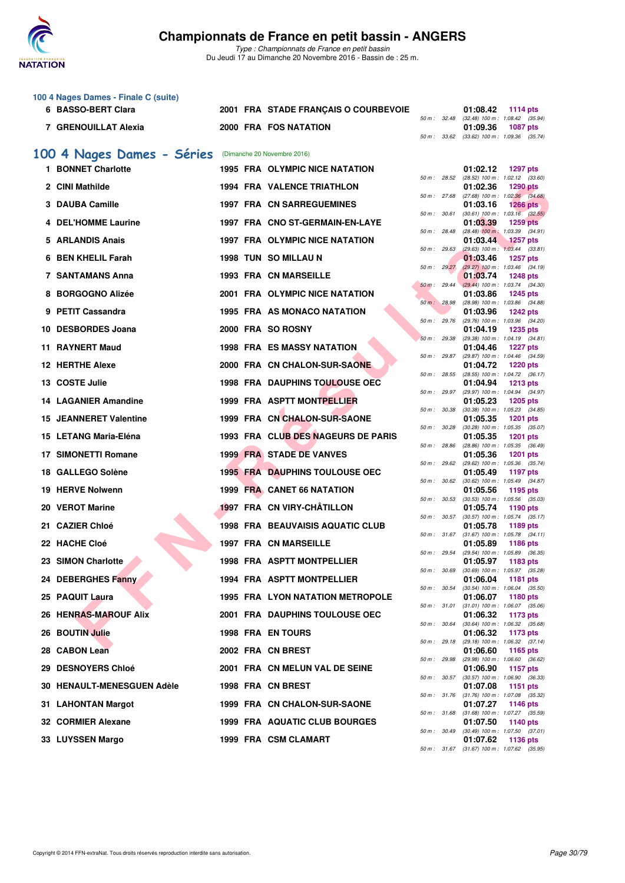

*Type : Championnats de France en petit bassin* Du Jeudi 17 au Dimanche 20 Novembre 2016 - Bassin de : 25 m.

|   | 100 4 Nages Dames - Finale C (suite) |  |                                         |                  |              |                                                                           |
|---|--------------------------------------|--|-----------------------------------------|------------------|--------------|---------------------------------------------------------------------------|
|   | 6 BASSO-BERT Clara                   |  | 2001 FRA STADE FRANÇAIS O COURBEVOIE    | 50 m : 32.48     |              | 01:08.42<br>1114 pts<br>(32.48) 100 m: 1:08.42 (35.94)                    |
|   | 7 GRENOUILLAT Alexia                 |  | 2000 FRA FOS NATATION                   |                  | 50 m : 33.62 | 01:09.36<br><b>1087 pts</b><br>$(33.62)$ 100 m : 1:09.36 $(35.74)$        |
|   |                                      |  |                                         |                  |              |                                                                           |
|   | 100 4 Nages Dames - Séries           |  | (Dimanche 20 Novembre 2016)             |                  |              |                                                                           |
|   | 1 BONNET Charlotte                   |  | 1995 FRA OLYMPIC NICE NATATION          | 50 m : 28.52     |              | 01:02.12<br>1297 pts<br>(28.52) 100 m : 1:02.12 (33.60)                   |
|   | 2 CINI Mathilde                      |  | <b>1994 FRA VALENCE TRIATHLON</b>       | 50 m: 27.68      |              | 01:02.36<br><b>1290 pts</b>                                               |
|   | 3 DAUBA Camille                      |  | <b>1997 FRA CN SARREGUEMINES</b>        |                  |              | (27.68) 100 m : 1:02.36 (34.68)<br>01:03.16<br><b>1266 pts</b>            |
|   | 4 DEL'HOMME Laurine                  |  | 1997 FRA CNO ST-GERMAIN-EN-LAYE         | 50 m: 30.61      |              | $(30.61)$ 100 m : 1:03.16 $(32.55)$<br>01:03.39<br><b>1259 pts</b>        |
|   | 5 ARLANDIS Anais                     |  | 1997 FRA OLYMPIC NICE NATATION          | 50 m: 28.48      |              | $(28.48)$ 100 m : 1:03.39 $(34.91)$<br>01:03.44<br><b>1257 pts</b>        |
| 6 | <b>BEN KHELIL Farah</b>              |  | 1998 TUN SO MILLAU N                    | 50 m: 29.63      |              | $(29.63)$ 100 m : 1:03.44 $(33.81)$<br>01:03.46<br><b>1257 pts</b>        |
|   |                                      |  | 1993 FRA CN MARSEILLE                   | 50 m: 29.27      |              | (29.27) 100 m: 1:03.46 (34.19)                                            |
|   | 7 SANTAMANS Anna                     |  |                                         | 50 m: 29.44      |              | 01:03.74<br><b>1248 pts</b><br>(29.44) 100 m : 1:03.74 (34.30)            |
|   | 8 BORGOGNO Alizée                    |  | 2001 FRA OLYMPIC NICE NATATION          | 50 m: 28.98      |              | 01:03.86<br><b>1245 pts</b><br>(28.98) 100 m: 1:03.86 (34.88)             |
|   | 9 PETIT Cassandra                    |  | 1995 FRA AS MONACO NATATION             | 50 m : 29.76     |              | 01:03.96<br><b>1242 pts</b><br>(29.76) 100 m: 1:03.96 (34.20)             |
|   | 10 DESBORDES Joana                   |  | 2000 FRA SO ROSNY                       |                  |              | 01:04.19<br><b>1235 pts</b>                                               |
|   | 11 RAYNERT Maud                      |  | <b>1998 FRA ES MASSY NATATION</b>       | 50 m: 29.38      |              | (29.38) 100 m: 1:04.19 (34.81)<br>01:04.46<br><b>1227 pts</b>             |
|   | 12 HERTHE Alexe                      |  | 2000 FRA CN CHALON-SUR-SAONE            | 50 m: 29.87      |              | (29.87) 100 m: 1:04.46 (34.59)<br>01:04.72<br><b>1220 pts</b>             |
|   | 13 COSTE Julie                       |  | <b>1998 FRA DAUPHINS TOULOUSE OEC</b>   | 50 m : 28.55     |              | (28.55) 100 m: 1:04.72 (36.17)<br>01:04.94                                |
|   |                                      |  |                                         |                  | 50 m : 29.97 | <b>1213 pts</b><br>(29.97) 100 m: 1:04.94 (34.97)                         |
|   | <b>14 LAGANIER Amandine</b>          |  | 1999 FRA ASPTT MONTPELLIER              | 50 m : 30.38     |              | 01:05.23<br><b>1205 pts</b><br>(30.38) 100 m: 1:05.23 (34.85)             |
|   | <b>15 JEANNERET Valentine</b>        |  | 1999 FRA CN CHALON-SUR-SAONE            | 50 m: 30.28      |              | 01:05.35<br><b>1201 pts</b><br>$(30.28)$ 100 m : 1:05.35 $(35.07)$        |
|   | 15 LETANG Maria-Eléna                |  | 1993 FRA CLUB DES NAGEURS DE PARIS      |                  |              | 01:05.35<br>1201 pts                                                      |
|   | <b>17 SIMONETTI Romane</b>           |  | <b>1999 FRA STADE DE VANVES</b>         | 50 m: 28.86      |              | (28.86) 100 m: 1:05.35 (36.49)<br>01:05.36<br><b>1201 pts</b>             |
|   | 18 GALLEGO Solène                    |  | <b>1995 FRA DAUPHINS TOULOUSE OEC</b>   | 50 m: 29.62      |              | (29.62) 100 m: 1:05.36 (35.74)<br>01:05.49<br><b>1197 pts</b>             |
|   | <b>19 HERVE Nolwenn</b>              |  | <b>1999 FRA CANET 66 NATATION</b>       |                  | 50 m : 30.62 | $(30.62)$ 100 m : 1:05.49 $(34.87)$<br>01:05.56<br>1195 pts               |
|   | 20 VEROT Marine                      |  | 1997 FRA CN VIRY-CHÂTILLON              | 50 m: 30.53      |              | $(30.53)$ 100 m : 1:05.56 $(35.03)$<br>01:05.74<br>1190 pts               |
|   | 21 CAZIER Chloé                      |  | <b>1998 FRA BEAUVAISIS AQUATIC CLUB</b> |                  |              | 50 m: 30.57 (30.57) 100 m: 1:05.74 (35.17)<br>01:05.78<br>1189 pts        |
|   |                                      |  |                                         |                  | 50 m : 31.67 | $(31.67)$ 100 m : 1:05.78 $(34.11)$                                       |
|   | 22 HACHE Cloé                        |  | 1997 FRA CN MARSEILLE                   | 50 m : 29.54     |              | 01:05.89<br>1186 pts<br>(29.54) 100 m: 1:05.89 (36.35)                    |
|   | 23 SIMON Charlotte                   |  | 1998 FRA ASPTT MONTPELLIER              | 50 m : 30.69     |              | 01:05.97<br>1183 pts<br>(30.69) 100 m: 1:05.97 (35.28)                    |
|   | 24 DEBERGHES Fanny                   |  | 1994 FRA ASPTT MONTPELLIER              | 50 m : 30.54     |              | 01:06.04<br>1181 pts<br>$(30.54)$ 100 m : 1:06.04 $(35.50)$               |
|   | 25 PAQUIT Laura                      |  | 1995 FRA LYON NATATION METROPOLE        |                  |              | 01:06.07<br><b>1180 pts</b>                                               |
|   | <b>26 HENRAS-MAROUF Alix</b>         |  | 2001 FRA DAUPHINS TOULOUSE OEC          | 50 m : 31.01     |              | $(31.01)$ 100 m : 1:06.07 $(35.06)$<br>01:06.32<br>1173 pts               |
|   | 26 BOUTIN Julie                      |  | <b>1998 FRA EN TOURS</b>                | 50 m : 30.64     |              | (30.64) 100 m: 1:06.32 (35.68)<br>01:06.32<br>1173 pts                    |
|   | 28 CABON Lean                        |  | 2002 FRA CN BREST                       | 50 m: 29.18      |              | (29.18) 100 m: 1:06.32 (37.14)<br>01:06.60<br>1165 pts                    |
|   | 29 DESNOYERS Chloé                   |  | 2001 FRA CN MELUN VAL DE SEINE          | 50 m : 29.98     |              | (29.98) 100 m : 1:06.60 (36.62)<br>01:06.90<br>1157 pts                   |
|   | <b>30 HENAULT-MENESGUEN Adèle</b>    |  |                                         | $50 m$ : $30.57$ |              | $(30.57)$ 100 m : 1:06.90 $(36.33)$                                       |
|   |                                      |  | 1998 FRA CN BREST                       | 50 m : 31.76     |              | 01:07.08<br>1151 pts<br>$(31.76)$ 100 m : 1:07.08 $(35.32)$               |
|   | 31 LAHONTAN Margot                   |  | 1999 FRA CN CHALON-SUR-SAONE            |                  |              | 01:07.27<br><b>1146 pts</b><br>50 m: 31.68 (31.68) 100 m: 1:07.27 (35.59) |
|   | 32 CORMIER Alexane                   |  | 1999 FRA AQUATIC CLUB BOURGES           |                  |              | 01:07.50<br>1140 pts<br>50 m : 30.49 (30.49) 100 m : 1:07.50 (37.01)      |
|   | 33 LUYSSEN Margo                     |  | 1999 FRA CSM CLAMART                    |                  |              | 01:07.62<br>1136 pts                                                      |
|   |                                      |  |                                         |                  |              | 50 m: 31.67 (31.67) 100 m: 1:07.62 (35.95)                                |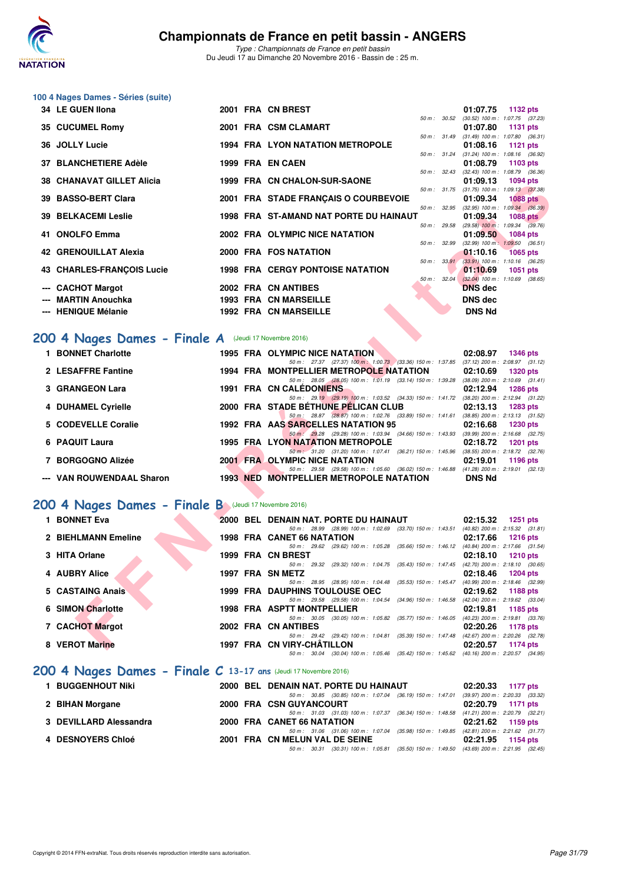

*Type : Championnats de France en petit bassin* Du Jeudi 17 au Dimanche 20 Novembre 2016 - Bassin de : 25 m.

#### **100 4 Nages Dames - Séries (suite)**

| 34 LE GUEN Ilona                 |  | 2001 FRA CN BREST                       |                          | 01:07.75 1132 pts                                        |  |
|----------------------------------|--|-----------------------------------------|--------------------------|----------------------------------------------------------|--|
|                                  |  |                                         | $50 \text{ m}$ : $30.52$ | (30.52) 100 m: 1:07.75 (37.23)                           |  |
| 35 CUCUMEL Romy                  |  | 2001 FRA CSM CLAMART                    |                          | 01:07.80 1131 pts                                        |  |
|                                  |  |                                         |                          | 50 m: 31.49 (31.49) 100 m: 1:07.80 (36.31)               |  |
| 36 JOLLY Lucie                   |  | <b>1994 FRA LYON NATATION METROPOLE</b> |                          | $01:08.16$ 1121 pts                                      |  |
|                                  |  |                                         |                          | 50 m: 31.24 (31.24) 100 m: 1:08.16 (36.92)               |  |
| 37 BLANCHETIERE Adèle            |  | 1999 FRA EN CAEN                        |                          | 01:08.79 1103 pts                                        |  |
|                                  |  |                                         | 50 m: 32.43              | $(32.43)$ 100 m : 1:08.79 $(36.36)$                      |  |
| <b>38 CHANAVAT GILLET Alicia</b> |  | 1999 FRA CN CHALON-SUR-SAONE            |                          | 01:09.13 1094 pts                                        |  |
|                                  |  |                                         |                          | 50 m: 31.75 (31.75) 100 m: 1:09.13 (37.38)               |  |
| 39 BASSO-BERT Clara              |  | 2001 FRA STADE FRANÇAIS O COURBEVOIE    |                          | 01:09.34 1088 pts                                        |  |
|                                  |  |                                         |                          | 50 m: 32.95 (32.95) 100 m: 1:09.34 (36.39)               |  |
| <b>39 BELKACEMI Leslie</b>       |  | 1998 FRA ST-AMAND NAT PORTE DU HAINAUT  |                          | 01:09.34 1088 pts                                        |  |
|                                  |  |                                         | 50 m: 29.58              | $(29.58)$ 100 m : 1:09.34 $(39.76)$                      |  |
| 41 ONOLFO Emma                   |  | 2002 FRA OLYMPIC NICE NATATION          | 50 m: 32.99              | 01:09.50 1084 pts<br>$(32.99)$ 100 m : 1:09.50 $(36.51)$ |  |
| 42 GRENOUILLAT Alexia            |  | 2000 FRA FOS NATATION                   |                          | $01:10.16$ 1065 pts                                      |  |
|                                  |  |                                         | 50 m: 33.91              | $(33.91)$ 100 m : 1:10.16 $(36.25)$                      |  |
| <b>43 CHARLES-FRANCOIS Lucie</b> |  | <b>1998 FRA CERGY PONTOISE NATATION</b> |                          | $01:10.69$ 1051 pts                                      |  |
|                                  |  |                                         | 50 m: 32.04              | $(32.04)$ 100 m : 1:10.69 $(38.65)$                      |  |
| --- CACHOT Margot                |  | 2002 FRA CN ANTIBES                     |                          | <b>DNS</b> dec                                           |  |
|                                  |  |                                         |                          |                                                          |  |
| --- MARTIN Anouchka              |  | <b>1993 FRA CN MARSEILLE</b>            |                          | DNS dec                                                  |  |
| --- HENIQUE Mélanie              |  | <b>1992 FRA CN MARSEILLE</b>            |                          | <b>DNS Nd</b>                                            |  |
|                                  |  |                                         |                          |                                                          |  |

# [200 4 Nages Dames - Finale A](http://www.ffnatation.fr/webffn/resultats.php?idact=nat&go=epr&idcpt=41163&idepr=41) (Jeudi 17 Novembre 2016)

| IANAVAI VILLEI AIIU4                                    |  | 1999 FRA UN UITALUN-SUR-SAUNE                                                                                                                   | U I .UJ. I J<br>טט דעטו                                            |
|---------------------------------------------------------|--|-------------------------------------------------------------------------------------------------------------------------------------------------|--------------------------------------------------------------------|
| 39 BASSO-BERT Clara                                     |  | 50 m : 31.75<br>2001 FRA STADE FRANÇAIS O COURBEVOIE                                                                                            | $(31.75)$ 100 m : 1:09.13 $(37.38)$<br>01:09.34<br><b>1088 pts</b> |
| <b>39 BELKACEMI Leslie</b>                              |  | <b>1998 FRA ST-AMAND NAT PORTE DU HAINAUT</b><br>01:09.34                                                                                       | 50 m : 32.95 (32.95) 100 m : 1:09.34 (36.39)<br>1088 pts           |
|                                                         |  | 50 m: 29.58                                                                                                                                     | $(29.58)$ 100 m : 1:09.34 $(39.76)$                                |
| 41 ONOLFO Emma                                          |  | 2002 FRA OLYMPIC NICE NATATION<br>01:09.50                                                                                                      | <b>1084 pts</b>                                                    |
| <b>42 GRENOUILLAT Alexia</b>                            |  | 50 m : 32.99<br>2000 FRA FOS NATATION<br>01:10.16                                                                                               | $(32.99)$ 100 m : 1:09.50 $(36.51)$<br><b>1065 pts</b>             |
|                                                         |  | $50 \text{ m}$ : $33.91$                                                                                                                        | $(33.91)$ 100 m : 1:10.16 $(36.25)$                                |
| 43 CHARLES-FRANÇOIS Lucie                               |  | <b>1998 FRA CERGY PONTOISE NATATION</b><br>01:10.69                                                                                             | 1051 pts                                                           |
| --- CACHOT Margot                                       |  | 50 m: 32.04<br>2002 FRA CN ANTIBES<br><b>DNS</b> dec                                                                                            | $(32.04)$ 100 m : 1:10.69 $(38.65)$                                |
| --- MARTIN Anouchka                                     |  | <b>1993 FRA CN MARSEILLE</b><br>DNS dec                                                                                                         |                                                                    |
| --- HENIQUE Mélanie                                     |  | <b>1992 FRA CN MARSEILLE</b>                                                                                                                    | <b>DNS Nd</b>                                                      |
|                                                         |  |                                                                                                                                                 |                                                                    |
|                                                         |  |                                                                                                                                                 |                                                                    |
| $200$ 4 Nages Dames - Finale A (Jeudi 17 Novembre 2016) |  |                                                                                                                                                 |                                                                    |
| 1 BONNET Charlotte                                      |  | 1995 FRA OLYMPIC NICE NATATION<br>02:08.97                                                                                                      | <b>1346 pts</b>                                                    |
|                                                         |  | 50 m: 27.37 (27.37) 100 m: 1:00.73 (33.36) 150 m: 1:37.85 (37.12) 200 m: 2:08.97 (31.12)                                                        |                                                                    |
| 2 LESAFFRE Fantine                                      |  | 1994 FRA MONTPELLIER METROPOLE NATATION<br>02:10.69<br>50 m: 28.05 (28.05) 100 m: 1:01.19 (33.14) 150 m: 1:39.28 (38.09) 200 m: 2:10.69 (31.41) | <b>1320 pts</b>                                                    |
| 3 GRANGEON Lara                                         |  | <b>1991 FRA CN CALEDONIENS</b><br>02:12.94                                                                                                      | <b>1286 pts</b>                                                    |
|                                                         |  | 50 m: 29.19 (29.19) 100 m: 1:03.52 (34.33) 150 m: 1:41.72 (38.20) 200 m: 2:12.94 (31.22)                                                        |                                                                    |
| 4 DUHAMEL Cyrielle                                      |  | 2000 FRA STADE BETHUNE PELICAN CLUB<br>02:13.13                                                                                                 | <b>1283 pts</b>                                                    |
| 5 CODEVELLE Coralie                                     |  | 50 m: 28.87 (28.87) 100 m: 1:02.76 (33.89) 150 m: 1:41.61 (38.85) 200 m: 2:13.13 (31.52)<br>1992 FRA AAS SARCELLES NATATION 95<br>02:16.68      | <b>1230 pts</b>                                                    |
|                                                         |  | 50 m : 29.28 (29.28) 100 m : 1:03.94 (34.66) 150 m : 1:43.93 (39.99) 200 m : 2:16.68 (32.75)                                                    |                                                                    |
| 6 PAQUIT Laura                                          |  | 1995 FRA LYON NATATION METROPOLE<br>02:18.72                                                                                                    | <b>1201 pts</b>                                                    |
|                                                         |  | 50 m: 31.20 (31.20) 100 m: 1:07.41 (36.21) 150 m: 1:45.96 (38.55) 200 m: 2:18.72 (32.76)                                                        |                                                                    |
| 7 BORGOGNO Alizée                                       |  | <b>2001 FRA OLYMPIC NICE NATATION</b><br>02:19.01<br>50 m: 29.58 (29.58) 100 m: 1:05.60 (36.02) 150 m: 1:46.88 (41.28) 200 m: 2:19.01 (32.13)   | 1196 pts                                                           |
| --- VAN ROUWENDAAL Sharon                               |  | <b>1993 NED MONTPELLIER METROPOLE NATATION</b>                                                                                                  | <b>DNS Nd</b>                                                      |
|                                                         |  |                                                                                                                                                 |                                                                    |
| 100 4 Nages Dames - Finale B (Jeudi 17 Novembre 2016)   |  |                                                                                                                                                 |                                                                    |
|                                                         |  |                                                                                                                                                 |                                                                    |
| 1 BONNET Eva                                            |  | 2000 BEL DENAIN NAT. PORTE DU HAINAUT<br>02:15.32<br>50 m: 28.99 (28.99) 100 m: 1:02.69 (33.70) 150 m: 1:43.51 (40.82) 200 m: 2:15.32 (31.81)   | <b>1251 pts</b>                                                    |
| 2 BIEHLMANN Emeline                                     |  | <b>1998 FRA CANET 66 NATATION</b><br>02:17.66                                                                                                   | <b>1216 pts</b>                                                    |
|                                                         |  | 50 m: 29.62 (29.62) 100 m: 1:05.28 (35.66) 150 m: 1:46.12 (40.84) 200 m: 2:17.66 (31.54)                                                        |                                                                    |
| 3 HITA Orlane                                           |  | 1999 FRA CN BREST<br>02:18.10                                                                                                                   | <b>1210 pts</b>                                                    |
| 4 AUBRY Alice                                           |  | 50 m: 29.32 (29.32) 100 m: 1:04.75 (35.43) 150 m: 1:47.45 (42.70) 200 m: 2:18.10 (30.65)<br>1997 FRA SN METZ<br>02:18.46                        | <b>1204 pts</b>                                                    |
|                                                         |  | 50 m: 28.95 (28.95) 100 m: 1:04.48 (35.53) 150 m: 1:45.47 (40.99) 200 m: 2:18.46 (32.99)                                                        |                                                                    |
| 5 CASTAING Anais                                        |  | <b>1999 FRA DAUPHINS TOULOUSE OEC</b><br>02:19.62                                                                                               | 1188 pts                                                           |
|                                                         |  | 50 m: 29.58 (29.58) 100 m: 1:04.54 (34.96) 150 m: 1:46.58 (42.04) 200 m: 2:19.62 (33.04)                                                        |                                                                    |
| <b>6 SIMON Charlotte</b>                                |  | <b>1998 FRA ASPTT MONTPELLIER</b><br>02:19.81<br>50 m: 30.05 (30.05) 100 m: 1:05.82 (35.77) 150 m: 1:46.05 (40.23) 200 m: 2:19.81 (33.76)       | 1185 pts                                                           |
| 7 CACHOT Margot                                         |  | 2002 FRA CN ANTIBES<br>02:20.26                                                                                                                 | 1178 pts                                                           |
|                                                         |  | 50 m: 29.42 (29.42) 100 m: 1:04.81 (35.39) 150 m: 1:47.48 (42.67) 200 m: 2:20.26 (32.78)                                                        |                                                                    |
| 8 VEROT Marine                                          |  | 1997 FRA CN VIRY-CHATILLON<br>02:20.57                                                                                                          | <b>1174 pts</b>                                                    |

# **[200 4 Nages Dames - Finale B](http://www.ffnatation.fr/webffn/resultats.php?idact=nat&go=epr&idcpt=41163&idepr=41)** (Jeudi 17 Novembre 2016)

| 1 BONNET Eva                                                      |  | 2000 BEL DENAIN NAT. PORTE DU HAINAUT                                                            | 02:15.32 | 1251 pts                            |
|-------------------------------------------------------------------|--|--------------------------------------------------------------------------------------------------|----------|-------------------------------------|
|                                                                   |  | 50 m : 28.99 (28.99) 100 m : 1:02.69 (33.70) 150 m : 1:43.51                                     |          | $(40.82)$ 200 m : 2:15.32 $(31.81)$ |
| 2 BIEHLMANN Emeline                                               |  | <b>1998 FRA CANET 66 NATATION</b>                                                                | 02:17.66 | 1216 pts                            |
|                                                                   |  | 50 m : 29.62 (29.62) 100 m : 1:05.28 (35.66) 150 m : 1:46.12                                     |          | (40.84) 200 m : 2:17.66 (31.54)     |
| 3 HITA Orlane                                                     |  | 1999 FRA CN BREST                                                                                | 02:18.10 | 1210 $pts$                          |
|                                                                   |  | 50 m: 29.32 (29.32) 100 m: 1:04.75 (35.43) 150 m: 1:47.45                                        |          | $(42.70)$ 200 m : 2:18.10 $(30.65)$ |
| 4 AUBRY Alice                                                     |  | 1997 FRA SN METZ                                                                                 | 02:18.46 | 1204 pts                            |
|                                                                   |  | 50 m: 28.95 (28.95) 100 m: 1:04.48 (35.53) 150 m: 1:45.47                                        |          | (40.99) 200 m : 2:18.46 (32.99)     |
| 5 CASTAING Anais                                                  |  | <b>1999 FRA DAUPHINS TOULOUSE OEC</b>                                                            | 02:19.62 | 1188 $pts$                          |
|                                                                   |  | 50 m : 29.58 (29.58) 100 m : 1:04.54 (34.96) 150 m : 1:46.58                                     |          | (42.04) 200 m : 2:19.62 (33.04)     |
| <b>6 SIMON Charlotte</b>                                          |  | 1998 FRA ASPTT MONTPELLIER                                                                       | 02:19.81 | 1185 $pts$                          |
|                                                                   |  | $(30.05)$ 100 m : 1:05.82 $(35.77)$ 150 m : 1:46.05<br>50 m: 30.05                               |          | $(40.23)$ 200 m : 2:19.81 $(33.76)$ |
| <b>7 CACHOT Margot</b>                                            |  | 2002 FRA CN ANTIBES                                                                              | 02:20.26 | 1178 pts                            |
|                                                                   |  | 50 m : 29.42 (29.42) 100 m : 1:04.81 (35.39) 150 m : 1:47.48                                     |          | (42.67) 200 m : 2:20.26 (32.78)     |
| 8 VEROT Marine                                                    |  | 1997 FRA CN VIRY-CHÂTILLON                                                                       | 02:20.57 | 1174 pts                            |
|                                                                   |  | (30.04) 100 m: 1:05.46 (35.42) 150 m: 1:45.62 (40.16) 200 m: 2:20.57 (34.95)<br>$50 m$ : $30.04$ |          |                                     |
| 200 4 Nages Dames - Finale $C$ 13-17 ans (Jeudi 17 Novembre 2016) |  |                                                                                                  |          |                                     |
| 1 BUGGENHOUT Niki                                                 |  | 2000 BEL DENAIN NAT. PORTE DU HAINAUT                                                            | 02:20.33 | <b>1177 pts</b>                     |
|                                                                   |  | 50 m: 30.85 (30.85) 100 m: 1:07.04 (36.19) 150 m: 1:47.01 (39.97) 200 m: 2:20.33                 |          | (33.32)                             |

|                        |  |                                |  | 50 m : 30.85 (30.85) 100 m : 1:07.04 (36.19) 150 m : 1:47.01 (39.97) 200 m : 2:20.33 (33.32) |                     |  |
|------------------------|--|--------------------------------|--|----------------------------------------------------------------------------------------------|---------------------|--|
| 2 BIHAN Morgane        |  | 2000 FRA CSN GUYANCOURT        |  |                                                                                              | 02:20.79 1171 pts   |  |
|                        |  |                                |  | 50 m : 31.03 (31.03) 100 m : 1:07.37 (36.34) 150 m : 1:48.58 (41.21) 200 m : 2:20.79 (32.21) |                     |  |
| 3 DEVILLARD Alessandra |  | 2000 FRA CANET 66 NATATION     |  |                                                                                              | $02:21.62$ 1159 pts |  |
|                        |  |                                |  | 50 m: 31.06 (31.06) 100 m: 1:07.04 (35.98) 150 m: 1:49.85 (42.81) 200 m: 2:21.62 (31.77)     |                     |  |
| 4 DESNOYERS Chloé      |  | 2001 FRA CN MELUN VAL DE SEINE |  |                                                                                              | 02:21.95 1154 pts   |  |
|                        |  |                                |  | 50 m : 30.31 (30.31) 100 m : 1:05.81 (35.50) 150 m : 1:49.50 (43.69) 200 m : 2:21.95 (32.45) |                     |  |
|                        |  |                                |  |                                                                                              |                     |  |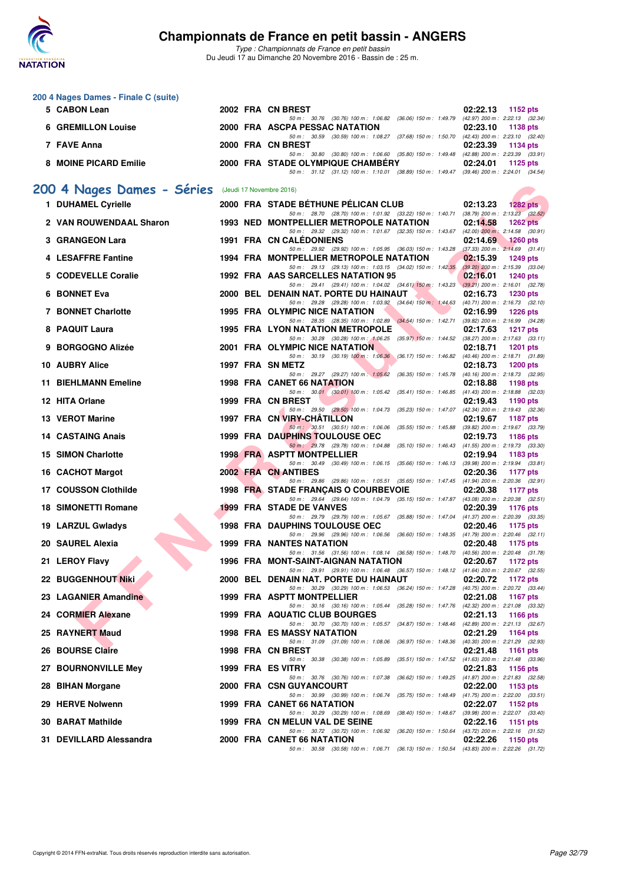

*Type : Championnats de France en petit bassin* Du Jeudi 17 au Dimanche 20 Novembre 2016 - Bassin de : 25 m.

|     | 200 4 Nages Dames - Finale C (suite)<br>5 CABON Lean |  | 2002 FRA CN BREST                                                                                                                   | 02:22.13<br>1152 pts                                               |
|-----|------------------------------------------------------|--|-------------------------------------------------------------------------------------------------------------------------------------|--------------------------------------------------------------------|
|     |                                                      |  | 50 m: 30.76 (30.76) 100 m: 1:06.82 (36.06) 150 m: 1:49.79                                                                           | (42.97) 200 m : 2:22.13 (32.34)                                    |
|     | <b>6 GREMILLON Louise</b>                            |  | 2000 FRA ASCPA PESSAC NATATION<br>50 m: 30.59 (30.59) 100 m: 1:08.27 (37.68) 150 m: 1:50.70 (42.43) 200 m: 2:23.10 (32.40)          | 02:23.10<br><b>1138 pts</b>                                        |
|     | 7 FAVE Anna                                          |  | 2000 FRA CN BREST<br>50 m: 30.80 (30.80) 100 m: 1:06.60 (35.80) 150 m: 1:49.48 (42.88) 200 m: 2:23.39 (33.91)                       | 02:23.39<br>1134 pts                                               |
|     | 8 MOINE PICARD Emilie                                |  | 2000 FRA STADE OLYMPIQUE CHAMBERY<br>50 m: 31.12 (31.12) 100 m: 1:10.01 (38.89) 150 m: 1:49.47 (39.46) 200 m: 2:24.01 (34.54)       | 02:24.01<br>1125 $pts$                                             |
|     |                                                      |  | (Jeudi 17 Novembre 2016)                                                                                                            |                                                                    |
|     | 200 4 Nages Dames - Séries<br>1 DUHAMEL Cyrielle     |  | 2000 FRA STADE BÉTHUNE PÉLICAN CLUB                                                                                                 | 02:13.23<br><b>1282 pts</b>                                        |
|     |                                                      |  | 50 m: 28.70 (28.70) 100 m: 1:01.92 (33.22) 150 m: 1:40.71 (38.79) 200 m: 2:13.23 (32.52)                                            |                                                                    |
|     | 2 VAN ROUWENDAAL Sharon                              |  | 1993 NED MONTPELLIER METROPOLE NATATION<br>50 m: 29.32 (29.32) 100 m: 1:01.67 (32.35) 150 m: 1:43.67 (42.00) 200 m: 2:14.58 (30.91) | 02:14.58<br>$1262$ pts                                             |
|     | 3 GRANGEON Lara                                      |  | <b>1991 FRA CN CALEDONIENS</b><br>50 m: 29.92 (29.92) 100 m: 1:05.95 (36.03) 150 m: 1:43.28                                         | 02:14.69<br>$1260$ pts<br>$(37.33)$ 200 m : 2:14.69 $(31.41)$      |
|     | 4 LESAFFRE Fantine                                   |  | 1994 FRA MONTPELLIER METROPOLE NATATION<br>50 m: 29.13 (29.13) 100 m: 1:03.15 (34.02) 150 m: 1:42.35                                | 02:15.39<br><b>1249 pts</b><br>$(39.20)$ 200 m : 2:15.39 $(33.04)$ |
|     | 5 CODEVELLE Coralie                                  |  | 1992 FRA AAS SARCELLES NATATION 95<br>50 m : 29.41 (29.41) 100 m : 1:04.02 (34.61) 150 m : 1:43.23 (39.21) 200 m : 2:16.01 (32.78)  | 02:16.01<br><b>1240 pts</b>                                        |
|     | 6 BONNET Eva                                         |  | 2000 BEL DENAIN NAT. PORTE DU HAINAUT                                                                                               | 02:16.73<br><b>1230 pts</b>                                        |
|     | <b>7 BONNET Charlotte</b>                            |  | 50 m: 29.28 (29.28) 100 m: 1:03.92 (34.64) 150 m: 1:44.63 (40.71) 200 m: 2:16.73 (32.10)<br>1995 FRA OLYMPIC NICE NATATION          | 02:16.99<br><b>1226 pts</b>                                        |
|     | 8 PAQUIT Laura                                       |  | 50 m: 28.35 (28.35) 100 m: 1:02.89 (34.54) 150 m: 1:42.71<br><b>1995 FRA LYON NATATION METROPOLE</b>                                | $(39.82)$ 200 m : 2:16.99 $(34.28)$<br>02:17.63<br><b>1217 pts</b> |
| 9   | <b>BORGOGNO Alizée</b>                               |  | 50 m: 30.28 (30.28) 100 m: 1:06.25 (35.97) 150 m: 1:44.52 (38.27) 200 m: 2:17.63 (33.11)<br>2001 FRA OLYMPIC NICE NATATION          | 02:18.71<br>1201 pts                                               |
|     | 10 AUBRY Alice                                       |  | 50 m: 30.19 (30.19) 100 m: 1:06.36 (36.17) 150 m: 1:46.82 (40.46) 200 m: 2:18.71 (31.89)<br>1997 FRA SN METZ                        | 02:18.73<br><b>1200 pts</b>                                        |
|     |                                                      |  | 50 m: 29.27 (29.27) 100 m: 1:05.62 (36.35) 150 m: 1:45.78                                                                           | (40.16) 200 m : 2:18.73 (32.95)                                    |
| 11. | <b>BIEHLMANN Emeline</b>                             |  | 1998 FRA CANET 66 NATATION<br>50 m: 30.01 (30.01) 100 m: 1:05.42 (35.41) 150 m: 1:46.85                                             | 02:18.88<br>1198 pts<br>$(41.43)$ 200 m : 2:18.88 $(32.03)$        |
|     | 12 HITA Orlane                                       |  | 1999 FRA CN BREST<br>50 m: 29.50 (29.50) 100 m: 1:04.73 (35.23) 150 m: 1:47.07 (42.34) 200 m: 2:19.43 (32.36)                       | 02:19.43<br>1190 pts                                               |
|     | 13 VEROT Marine                                      |  | 1997 FRA CN VIRY-CHATILLON<br>50 m: 30.51 (30.51) 100 m: 1:06.06 (35.55) 150 m: 1:45.88 (39.82) 200 m: 2:19.67 (33.79)              | 02:19.67<br>1187 pts                                               |
|     | <b>14 CASTAING Anais</b>                             |  | <b>1999 FRA DAUPHINS TOULOUSE OEC</b><br>50 m: 29.78 (29.78) 100 m: 1:04.88 (35.10) 150 m: 1:46.43                                  | 02:19.73<br><b>1186 pts</b><br>$(41.55)$ 200 m : 2:19.73 $(33.30)$ |
|     | <b>15 SIMON Charlotte</b>                            |  | <b>1998 FRA ASPTT MONTPELLIER</b>                                                                                                   | 02:19.94<br>1183 pts                                               |
|     | 16 CACHOT Margot                                     |  | 50 m: 30.49 (30.49) 100 m: 1:06.15 (35.66) 150 m: 1:46.13 (39.98) 200 m: 2:19.94 (33.81)<br>2002 FRA CN ANTIBES                     | 02:20.36<br>1177 $pts$                                             |
|     | 17 COUSSON Clothilde                                 |  | 50 m: 29.86 (29.86) 100 m: 1:05.51 (35.65) 150 m: 1:47.45 (41.94) 200 m: 2:20.36 (32.91)<br>1998 FRA STADE FRANÇAIS O COURBEVOIE    | 02:20.38<br>1177 pts                                               |
|     | <b>18 SIMONETTI Romane</b>                           |  | 50 m: 29.64 (29.64) 100 m: 1:04.79 (35.15) 150 m: 1:47.87 (43.08) 200 m: 2:20.38 (32.51)<br><b>1999 FRA STADE DE VANVES</b>         | 02:20.39<br><b>1176 pts</b>                                        |
|     | 19 LARZUL Gwladys                                    |  | 50 m: 29.79 (29.79) 100 m: 1:05.67 (35.88) 150 m: 1:47.04 (41.37) 200 m: 2:20.39 (33.35)<br><b>1998 FRA DAUPHINS TOULOUSE OEC</b>   | 02:20.46<br>1175 pts                                               |
|     | 20 SAUREL Alexia                                     |  | 50 m: 29.96 (29.96) 100 m: 1:06.56 (36.60) 150 m: 1:48.35 (41.79) 200 m: 2:20.46 (32.11)<br><b>1999 FRA NANTES NATATION</b>         | 02:20.48<br>1175 pts                                               |
|     |                                                      |  | 50 m: 31.56 (31.56) 100 m: 1:08.14 (36.58) 150 m: 1:48.70 (40.56) 200 m: 2:20.48 (31.78)                                            |                                                                    |
|     | 21 LEROY Flavy                                       |  | 1996 FRA MONT-SAINT-AIGNAN NATATION<br>50 m: 29.91 (29.91) 100 m: 1:06.48 (36.57) 150 m: 1:48.12 (41.64) 200 m: 2:20.67 (32.55)     | 02:20.67<br><b>1172 pts</b>                                        |
|     | <b>22 BUGGENHOUT Niki</b>                            |  | 2000 BEL DENAIN NAT. PORTE DU HAINAUT<br>50 m: 30.29 (30.29) 100 m: 1:06.53 (36.24) 150 m: 1:47.28 (40.75) 200 m: 2:20.72 (33.44)   | 02:20.72<br>1172 pts                                               |
|     | 23 LAGANIER Amandine                                 |  | 1999 FRA ASPTT MONTPELLIER<br>50 m: 30.16 (30.16) 100 m: 1:05.44 (35.28) 150 m: 1:47.76 (42.32) 200 m: 2:21.08 (33.32)              | 02:21.08<br>1167 pts                                               |
|     | 24 CORMIER Alexane                                   |  | 1999 FRA AQUATIC CLUB BOURGES<br>50 m : 30.70 (30.70) 100 m : 1:05.57 (34.87) 150 m : 1:48.46 (42.89) 200 m : 2:21.13 (32.67)       | 02:21.13<br>1166 pts                                               |
|     | 25 RAYNERT Maud                                      |  | <b>1998 FRA ES MASSY NATATION</b><br>50 m: 31.09 (31.09) 100 m: 1:08.06 (36.97) 150 m: 1:48.36 (40.30) 200 m: 2:21.29 (32.93)       | 02:21.29<br>1164 pts                                               |
|     | 26 BOURSE Claire                                     |  | 1998 FRA CN BREST                                                                                                                   | 02:21.48<br>1161 pts                                               |
|     | 27 BOURNONVILLE Mey                                  |  | 50 m: 30.38 (30.38) 100 m: 1:05.89 (35.51) 150 m: 1:47.52<br>1999 FRA ES VITRY                                                      | $(41.63)$ 200 m : 2:21.48 $(33.96)$<br>02:21.83<br>1156 pts        |
|     | 28 BIHAN Morgane                                     |  | 50 m : 30.76 (30.76) 100 m : 1:07.38 (36.62) 150 m : 1:49.25<br>2000 FRA CSN GUYANCOURT                                             | $(41.87)$ 200 m : 2:21.83 $(32.58)$<br>02:22.00<br>1153 $pts$      |
|     | 29 HERVE Nolwenn                                     |  | 50 m : 30.99 (30.99) 100 m : 1:06.74 (35.75) 150 m : 1:48.49<br>1999 FRA CANET 66 NATATION                                          | (41.75) 200 m : 2:22.00 (33.51)<br>02:22.07<br>1152 $pts$          |
|     | 30 BARAT Mathilde                                    |  | 50 m: 30.29 (30.29) 100 m: 1:08.69 (38.40) 150 m: 1:48.67 (39.98) 200 m: 2:22.07 (33.40)<br>1999 FRA CN MELUN VAL DE SEINE          | 02:22.16<br>1151 pts                                               |
|     |                                                      |  | 50 m : 30.72 (30.72) 100 m : 1:06.92 (36.20) 150 m : 1:50.64 (43.72) 200 m : 2:22.16 (31.52)                                        |                                                                    |
|     | 31 DEVILLARD Alessandra                              |  | 2000 FRA CANET 66 NATATION<br>50 m: 30.58 (30.58) 100 m: 1:06.71 (36.13) 150 m: 1:50.54 (43.83) 200 m: 2:22.26 (31.72)              | 02:22.26<br>1150 pts                                               |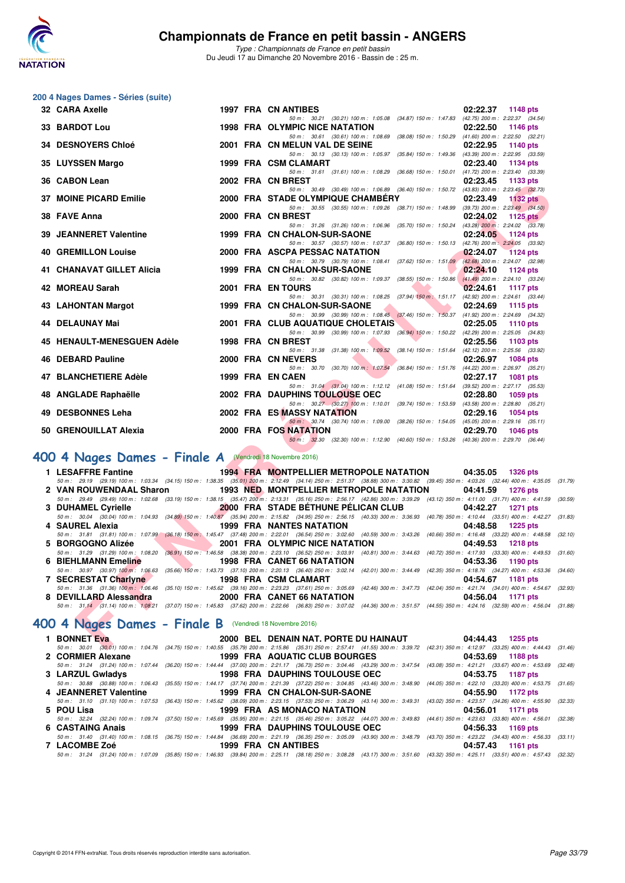

*Type : Championnats de France en petit bassin* Du Jeudi 17 au Dimanche 20 Novembre 2016 - Bassin de : 25 m.

# **200 4 Nages Dames - Séries (suite)**

| 32 CARA Axelle                                              |  | 1997 FRA CN ANTIBES                                                                                                                                                                                                               | 02:22.37<br>1148 pts        |  |
|-------------------------------------------------------------|--|-----------------------------------------------------------------------------------------------------------------------------------------------------------------------------------------------------------------------------------|-----------------------------|--|
| 33 BARDOT Lou                                               |  | 50 m: 30.21 (30.21) 100 m: 1:05.08 (34.87) 150 m: 1:47.83 (42.75) 200 m: 2:22.37 (34.54)<br><b>1998 FRA OLYMPIC NICE NATATION</b>                                                                                                 | 02:22.50<br>1146 pts        |  |
|                                                             |  | 50 m: 30.61 (30.61) 100 m: 1:08.69 (38.08) 150 m: 1:50.29 (41.60) 200 m: 2:22.50 (32.21)                                                                                                                                          |                             |  |
| 34 DESNOYERS Chloé                                          |  | 2001 FRA CN MELUN VAL DE SEINE<br>50 m: 30.13 (30.13) 100 m: 1:05.97 (35.84) 150 m: 1:49.36 (43.39) 200 m: 2:22.95 (33.59)                                                                                                        | 02:22.95<br>1140 pts        |  |
| 35 LUYSSEN Margo                                            |  | 1999 FRA CSM CLAMART                                                                                                                                                                                                              | 02:23.40<br>1134 pts        |  |
| 36 CABON Lean                                               |  | 50 m: 31.61 (31.61) 100 m: 1:08.29 (36.68) 150 m: 1:50.01 (41.72) 200 m: 2:23.40 (33.39)<br>2002 FRA CN BREST                                                                                                                     | 02:23.45<br>1133 pts        |  |
| 37 MOINE PICARD Emilie                                      |  | 50 m: 30.49 (30.49) 100 m: 1:06.89 (36.40) 150 m: 1:50.72 (43.83) 200 m: 2:23.45 (32.73)<br>2000 FRA STADE OLYMPIQUE CHAMBERY                                                                                                     | 02:23.49<br>$1132$ pts      |  |
|                                                             |  | 50 m: 30.55 (30.55) 100 m: 1:09.26 (38.71) 150 m: 1:48.99 (39.73) 200 m: 2:23.49 (34.50)                                                                                                                                          |                             |  |
| 38 FAVE Anna                                                |  | 2000 FRA CN BREST<br>50 m: 31.26 (31.26) 100 m: 1:06.96 (35.70) 150 m: 1:50.24 (43.28) 200 m: 2:24.02 (33.78)                                                                                                                     | 02:24.02<br>1125 $p$ ts     |  |
| <b>39 JEANNERET Valentine</b>                               |  | 1999 FRA CN CHALON-SUR-SAONE                                                                                                                                                                                                      | 02:24.05<br>1124 pts        |  |
| <b>40 GREMILLON Louise</b>                                  |  | 50 m: 30.57 (30.57) 100 m: 1:07.37 (36.80) 150 m: 1:50.13 (42.76) 200 m: 2:24.05 (33.92)<br>2000 FRA ASCPA PESSAC NATATION                                                                                                        | 02:24.07<br><b>1124 pts</b> |  |
|                                                             |  | 50 m: 30.79 (30.79) 100 m: 1:08.41 (37.62) 150 m: 1:51.09 (42.68) 200 m: 2:24.07 (32.98)                                                                                                                                          |                             |  |
| 41 CHANAVAT GILLET Alicia                                   |  | 1999 FRA CN CHALON-SUR-SAONE<br>50 m: 30.82 (30.82) 100 m: 1:09.37 (38.55) 150 m: 1:50.86 (41.49) 200 m: 2:24.10 (33.24)                                                                                                          | 02:24.10<br>1124 pts        |  |
| 42 MOREAU Sarah                                             |  | 2001 FRA EN TOURS                                                                                                                                                                                                                 | 02:24.61<br>1117 pts        |  |
|                                                             |  | 50 m: 30.31 (30.31) 100 m: 1:08.25 (37.94) 150 m: 1:51.17 (42.92) 200 m: 2:24.61 (33.44)<br>1999 FRA CN CHALON-SUR-SAONE                                                                                                          |                             |  |
| 43 LAHONTAN Margot                                          |  | 50 m: 30.99 (30.99) 100 m: 1:08.45 (37.46) 150 m: 1:50.37 (41.92) 200 m: 2:24.69 (34.32)                                                                                                                                          | 02:24.69<br>1115 $pts$      |  |
| 44 DELAUNAY Mai                                             |  | 2001 FRA CLUB AQUATIQUE CHOLETAIS                                                                                                                                                                                                 | 02:25.05<br>1110 $pts$      |  |
| 45 HENAULT-MENESGUEN Adèle                                  |  | 50 m: 30.99 (30.99) 100 m: 1:07.93 (36.94) 150 m: 1:50.22 (42.29) 200 m: 2:25.05 (34.83)<br>1998 FRA CN BREST                                                                                                                     | 02:25.56<br>1103 $pts$      |  |
| 46 DEBARD Pauline                                           |  | 50 m: 31.38 (31.38) 100 m: 1:09.52 (38.14) 150 m: 1:51.64 (42.12) 200 m: 2:25.56 (33.92)<br>2000 FRA CN NEVERS                                                                                                                    |                             |  |
|                                                             |  | 50 m: 30.70 (30.70) 100 m: 1:07.54 (36.84) 150 m: 1:51.76 (44.22) 200 m: 2:26.97 (35.21)                                                                                                                                          | 02:26.97<br>1084 pts        |  |
| 47 BLANCHETIERE Adèle                                       |  | 1999 FRA EN CAEN                                                                                                                                                                                                                  | 02:27.17<br><b>1081 pts</b> |  |
| 48 ANGLADE Raphaëlle                                        |  | 50 m: 31.04 (31.04) 100 m: 1:12.12 (41.08) 150 m: 1:51.64 (39.52) 200 m: 2:27.17 (35.53)<br>2002 FRA DAUPHINS TOULOUSE OEC                                                                                                        | 02:28.80<br>1059 pts        |  |
|                                                             |  | 50 m: 30.27 (30.27) 100 m: 1:10.01 (39.74) 150 m: 1:53.59 (43.58) 200 m: 2:28.80 (35.21)                                                                                                                                          |                             |  |
| 49 DESBONNES Leha                                           |  | 2002 FRA ES MASSY NATATION<br>50 m: 30.74 (30.74) 100 m: 1:09.00 (38.26) 150 m: 1:54.05 (45.05) 200 m: 2:29.16 (35.11)                                                                                                            | 02:29.16<br>1054 pts        |  |
| 50 GRENOUILLAT Alexia                                       |  | 2000 FRA FOS NATATION                                                                                                                                                                                                             | 02:29.70<br><b>1046 pts</b> |  |
|                                                             |  | 50 m: 32.30 (32.30) 100 m: 1:12.90 (40.60) 150 m: 1:53.26 (40.36) 200 m: 2:29.70 (36.44)                                                                                                                                          |                             |  |
| 00 4 Nages Dames - Finale A (Vendredi 18 Novembre 2016)     |  |                                                                                                                                                                                                                                   |                             |  |
| 1 LESAFFRE Fantine                                          |  | <b>1994 FRA MONTPELLIER METROPOLE NATATION</b>                                                                                                                                                                                    | 04:35.05 1326 pts           |  |
| 2 VAN ROUWENDAAL Sharon                                     |  | 50 m: 29.19 (29.19) 100 m: 1:03.34 (34.15) 150 m: 1:38.35 (35.01) 200 m: 2:12.49 (34.14) 250 m: 2:51.37 (38.88) 300 m: 3:30.82 (39.45) 350 m: 4:03.26 (32.44) 400 m: 4:35.05 (3<br><b>1993 NED MONTPELLIER METROPOLE NATATION</b> | 04:41.59<br>1276 pts        |  |
|                                                             |  | 50 m: 29.49 (29.49) 100 m: 1:02.68 (33.19) 150 m: 1:38.15 (35.47) 200 m: 2:13.31 (35.16) 250 m: 2:56.17 (42.86) 300 m: 3:39.29 (43.12) 350 m: 4:11.00 (31.71) 400 m: 4:41.59 (3                                                   |                             |  |
| 3 DUHAMEL Cyrielle                                          |  | 2000 FRA STADE BETHUNE PELICAN CLUB                                                                                                                                                                                               | 04:42.27<br><b>1271 pts</b> |  |
| 4 SAUREL Alexia                                             |  | 50 m : 30.04 (30.04) 100 m : 1:04.93 (34.89) 150 m : 1:40.87 (35.94) 200 m : 2:15.82 (34.95) 250 m : 2:56.15 (40.33) 300 m : 3:36.93 (40.78) 350 m : 4:10.44 (33.51) 400 m : 4:42.27 (3<br><b>1999 FRA NANTES NATATION</b>        | 04:48.58<br><b>1225 pts</b> |  |
|                                                             |  | 50 m: 31.81 (31.81) 100 m: 1:07.99 (36.18) 150 m: 1:45.47 (37.48) 200 m: 2:22.01 (36.54) 250 m: 3:02.60 (40.59) 300 m: 3:43.26 (40.66) 350 m: 4:16.48 (33.22) 400 m: 4:48.58 (3                                                   |                             |  |
| 5 BORGOGNO Alizée                                           |  | 2001 FRA OLYMPIC NICE NATATION<br>50 m: 31.29 (31.29) 100 m: 1:08.20 (36.91) 150 m: 1:46.58 (38.38) 200 m: 2:23.10 (36.52) 250 m: 3:03.91 (40.81) 300 m: 3:44.63 (40.72) 350 m: 4:17.93 (33.30) 400 m: 4:49.53 (3                 | 04:49.53<br><b>1218 pts</b> |  |
| <b>6 BIEHLMANN Emeline</b><br><b>The Contract of Street</b> |  | 1998 FRA CANET 66 NATATION                                                                                                                                                                                                        | 04:53.36<br>1190 pts        |  |
| 7 SECRESTAT Charlyne                                        |  | 50 m: 30.97 (30.97) 100 m: 1:06.63 (35.66) 150 m: 1:43.73 (37.10) 200 m: 2:20.13 (36.40) 250 m: 3:02.14 (42.01) 300 m: 3:44.49 (42.35) 350 m: 4:18.76 (34.27) 400 m: 4:53.36 (34.99)<br>1998 FRA CSM CLAMART                      | 04:54.67<br>1181 pts        |  |
|                                                             |  | 50 m: 31.36 (31.36) 100 m: 1.06.46 (35.10) 150 m: 1:45.62 (39.16) 200 m: 2:23.23 (37.61) 250 m: 3:05.69 (42.46) 300 m: 3:47.73 (42.04) 350 m: 4:21.74 (34.01) 400 m: 4:54.67 (3                                                   |                             |  |
| 8 DEVILLARD Alessandra                                      |  | 2000 FRA CANET 66 NATATION<br>50 m: 31.14 (31.14) 100 m: 1:08.21 (37.07) 150 m: 1:45.83 (37.62) 200 m: 2:22.66 (36.83) 250 m: 3:07.02 (44.36) 300 m: 3:51.57 (44.55) 350 m: 4:24.16 (32.59) 400 m: 4:56.04 (3                     | 04:56.04<br>1171 pts        |  |
|                                                             |  |                                                                                                                                                                                                                                   |                             |  |
| 00 4 Nages Dames - Finale B (Vendredi 18 Novembre 2016)     |  |                                                                                                                                                                                                                                   |                             |  |
| 1 BONNET Eva                                                |  | 2000 BEL DENAIN NAT. PORTE DU HAINAUT<br>50 m; 30.01 (30.01) 100 m; 1:04.76 (34.75) 150 m; 1:40.55 (35.79) 200 m; 2:15.86 (35.31) 250 m; 2:57.41 (41.55) 300 m; 3:39.72 (42.31) 350 m; 4:12.97 (33.25) 400 m; 4:44.43 (3          | 04:44.43 1255 pts           |  |
|                                                             |  |                                                                                                                                                                                                                                   |                             |  |

# **[400 4 Nages Dames - Finale A](http://www.ffnatation.fr/webffn/resultats.php?idact=nat&go=epr&idcpt=41163&idepr=42)** (Vendredi 18 Novembre 2016)

| 1 LESAFFRE Fantine <b>1994 FRA MONTPELLIER METROPOLE NATATION</b> 04:35.05 1326 pts |  |                                                                                                                                                                                      |
|-------------------------------------------------------------------------------------|--|--------------------------------------------------------------------------------------------------------------------------------------------------------------------------------------|
|                                                                                     |  | 50 m: 29.19 (29.19) 100 m: 1:03.34 (34.15) 150 m: 1:38.35 (35.01) 200 m: 2:12.49 (34.14) 250 m: 2:51.37 (38.88) 300 m: 3:30.82 (39.45) 350 m: 4:03.26 (32.44) 400 m: 4:35.05 (31.79) |
| 2 VAN ROUWENDAAL Sharon 1993 NED, MONTPELLIER METROPOLE NATATION 04:41.59           |  | 1276 pts                                                                                                                                                                             |
|                                                                                     |  | 50 m: 29.49 (29.49) 100 m: 1:02.68 (33.19) 150 m: 1:38.15 (35.47) 200 m: 2:13.31 (35.16) 250 m: 2:56.17 (42.86) 300 m: 3:39.29 (43.12) 350 m: 4:11.00 (31.71) 400 m: 4:41.59 (30.59) |
| 3 DUHAMEL Cyrielle 2000 FRA STADE BETHUNE PELICAN CLUB 04:42.27 1271 pts            |  |                                                                                                                                                                                      |
|                                                                                     |  | 50 m: 30.04 (30.04) 100 m: 1:04.93 (34.89) 150 m: 1:40.87 (35.94) 200 m: 2:15.82 (34.95) 250 m: 2:56.15 (40.33) 300 m: 3:36.93 (40.78) 350 m: 4:10.44 (33.51) 400 m: 4:42.27 (31.83) |
| 4 SAUREL Alexia 1999 FRA NANTES NATATION                                            |  | 04:48.58 1225 pts                                                                                                                                                                    |
|                                                                                     |  | 50 m: 31.81 (31.81) 100 m: 1:07.99 (36.18) 150 m: 1:45.47 (37.48) 200 m: 2:22.01 (36.54) 250 m: 3:02.60 (40.59) 300 m: 3:43.26 (40.66) 350 m: 4:16.48 (33.22) 400 m: 4:48.58 (32.10) |
| 5 BORGOGNO Alizée <b>1218 pts</b> 2001 FRA OLYMPIC NICE NATATION 04:49.53 1218 pts  |  |                                                                                                                                                                                      |
|                                                                                     |  | 50 m: 31.29 (31.29) 100 m: 1:08.20 (36.91) 150 m: 1:46.58 (38.38) 200 m: 2:23.10 (36.52) 250 m: 3:03.91 (40.81) 300 m: 3:44.63 (40.72) 350 m: 4:17.93 (33.30) 400 m: 4:49.53 (31.60) |
| 6 BIEHLMANN Emeline 1998 FRA CANET 66 NATATION                                      |  | 04:53.36 1190 pts                                                                                                                                                                    |
|                                                                                     |  | 50 m: 30.97 (30.97) 100 m: 1:06.63 (35.66) 150 m: 1:43.73 (37.10) 200 m: 2:20.13 (36.40) 250 m: 3:02.14 (42.01) 300 m: 3:44.49 (42.35) 350 m: 4:18.76 (34.27) 400 m: 4:53.36 (34.60) |
| 7 SECRESTAT Charlyne 1998 FRA CSM CLAMART                                           |  | 04:54.67 1181 pts                                                                                                                                                                    |
|                                                                                     |  | 50 m: 31.36 (31.36) 100 m: 1.06.46 (35.10) 150 m: 1:45.62 (39.16) 200 m: 2:23.23 (37.61) 250 m: 3:05.69 (42.46) 300 m: 3:47.73 (42.04) 350 m: 4:21.74 (34.01) 400 m: 4:54.67 (32.93) |
|                                                                                     |  | 04:56.04<br>1171 pts                                                                                                                                                                 |
|                                                                                     |  | 50 m: 31.14 (31.14) 100 m: 1:08.21 (37.07) 150 m: 1:45.83 (37.62) 200 m: 2:22.66 (36.83) 250 m: 3:07.02 (44.36) 300 m: 3:51.57 (44.55) 350 m: 4:24.16 (32.59) 400 m: 4:56.04 (31.88) |

# **[400 4 Nages Dames - Finale B](http://www.ffnatation.fr/webffn/resultats.php?idact=nat&go=epr&idcpt=41163&idepr=42)** (Vendredi 18 Novembre 2016)

| 1 BONNET Eva                                                           | 2000 BEL DENAIN NAT. PORTE DU HAINAUT | 04:44.43 1255 pts                                                                                                                                                                    |
|------------------------------------------------------------------------|---------------------------------------|--------------------------------------------------------------------------------------------------------------------------------------------------------------------------------------|
|                                                                        |                                       | 50 m: 30.01 (30.01) 100 m: 1:04.76 (34.75) 150 m: 1:40.55 (35.79) 200 m: 2:15.86 (35.31) 250 m: 2:57.41 (41.55) 300 m: 3:39.72 (42.31) 350 m: 4:12.97 (33.25) 400 m: 4:44.43 (31.46) |
| 2 CORMIER Alexane The Management of the Magnustan Aquatic CLUB BOURGES |                                       | 04:53.69 1188 pts                                                                                                                                                                    |
|                                                                        |                                       | 50 m: 31.24 (31.24) 100 m: 1:07.44 (36.20) 150 m: 1:44.44 (37.00) 200 m: 2:21.17 (36.73) 250 m: 3:04.46 (43.29) 300 m: 3:47.54 (43.08) 350 m: 4:21.21 (33.67) 400 m: 4:53.69 (32.48) |
|                                                                        |                                       | 04:53.75 1187 pts                                                                                                                                                                    |
|                                                                        |                                       | 50 m: 30.88 (30.88) 100 m: 1:06.43 (35.55) 150 m: 1:44.17 (37.74) 200 m: 2:21.39 (37.22) 250 m: 3:04.85 (43.46) 300 m: 3:48.90 (44.05) 350 m: 4:22.10 (33.20) 400 m: 4:53.75 (31.65) |
| 4 JEANNERET Valentine                                                  | 1999 FRA CN CHALON-SUR-SAONE          | 04:55.90 1172 pts                                                                                                                                                                    |
|                                                                        |                                       | 50 m: 31.10 (31.10) 100 m: 1:07.53 (36.43) 150 m: 1:45.62 (38.09) 200 m: 2:23.15 (37.53) 250 m: 3:06.29 (43.14) 300 m: 3:49.31 (43.02) 350 m: 4:23.57 (34.26) 400 m: 4:55.90 (32.33) |
| 5 POU Lisa                                                             | 1999 FRA AS MONACO NATATION           | 04:56.01 1171 pts                                                                                                                                                                    |
|                                                                        |                                       | 50 m: 32.24 (32.24) 100 m: 1:09.74 (37.50) 150 m: 1:45.69 (35.95) 200 m: 2:21.15 (35.46) 250 m: 3:05.22 (44.07) 300 m: 3:49.83 (44.61) 350 m: 4:23.63 (33.80) 400 m: 4:56.01 (32.38) |
| 6 CASTAING Anais                                                       | 1999 FRA DAUPHINS TOULOUSE OEC        | 04:56.33 1169 pts                                                                                                                                                                    |
|                                                                        |                                       | 50 m: 31.40 (31.40) 100 m: 1:08.15 (36.75) 150 m: 1:44.84 (36.69) 200 m: 2:21.19 (36.35) 250 m: 3:05.09 (43.90) 300 m: 3:48.79 (43.70) 350 m: 4:23.22 (34.43) 400 m: 4:56.33 (33.11) |
|                                                                        | 1999 FRA CN ANTIBES                   | 04:57.43 1161 pts                                                                                                                                                                    |
|                                                                        |                                       | 50 m: 31.24 (31.24) 100 m: 1:07.09 (35.85) 150 m: 1:46.93 (39.84) 200 m: 2:25.11 (38.18) 250 m: 3:08.28 (43.17) 300 m: 3:51.60 (43.32) 350 m: 4:25.11 (33.51) 400 m: 4:57.43 (32.32) |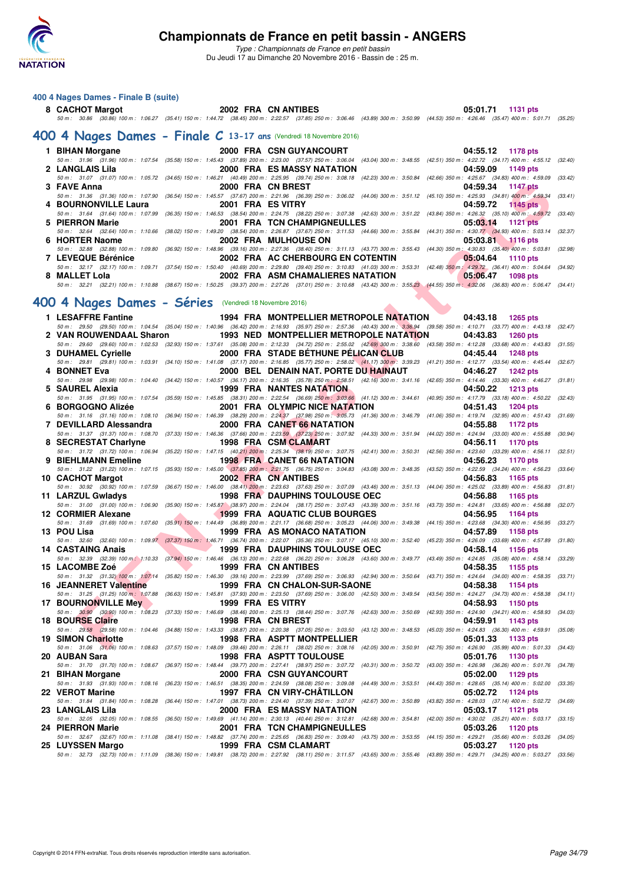

*Type : Championnats de France en petit bassin* Du Jeudi 17 au Dimanche 20 Novembre 2016 - Bassin de : 25 m.

#### **400 4 Nages Dames - Finale B (suite)**

# **8 CACHOT Margot 2002 FRA CN ANTIBES 05:01.71 1131 pts** *50 m : 30.86 (30.86) 100 m : 1:06.27 (35.41) 150 m : 1:44.72 (38.45) 200 m : 2:22.57 (37.85) 250 m : 3:06.46 (43.89) 300 m : 3:50.99 (44.53) 350 m : 4:26.46 (35.47) 400 m : 5:01.71 (35.25)*

#### **[400 4 Nages Dames - Finale C](http://www.ffnatation.fr/webffn/resultats.php?idact=nat&go=epr&idcpt=41163&idepr=42) 13-17 ans** (Vendredi 18 Novembre 2016)

|                    | 1 BIHAN Morgane 2000 FRA CSN GUYANCOURT              |                                               | 04:55.12 1178 pts                                                                                                                                                                            |
|--------------------|------------------------------------------------------|-----------------------------------------------|----------------------------------------------------------------------------------------------------------------------------------------------------------------------------------------------|
|                    |                                                      |                                               | 50 m: 31.96 (31.96) 100 m: 1:07.54 (35.58) 150 m: 1:45.43 (37.89) 200 m: 2:23.00 (37.57) 250 m: 3:06.04 (43.04) 300 m: 3:48.55 (42.51) 350 m: 4:22.72 (34.17) 400 m: 4:55.12 (32.40)         |
| 2 LANGLAIS Lila    | <b>2000 FRA ES MASSY NATATION</b>                    |                                               | 04:59.09 1149 pts                                                                                                                                                                            |
|                    |                                                      |                                               | 50 m : 31.07 (31.07) 100 m : 1:05.72 (34.65) 150 m : 1:46.21 (40.49) 200 m : 2:25.95 (39.74) 250 m : 3:08.18 (42.23) 300 m : 3:50.84 (42.66) 350 m : 4:25.67 (34.83) 400 m : 4:59.09 (33.42) |
| 3 FAVE Anna        | <b>2000 FRA CN BREST EXAMPLE 2000 FRA CN BREST</b>   |                                               | 04:59.34 1147 pts                                                                                                                                                                            |
|                    |                                                      |                                               | 50 m: 31.36 (31.36) 100 m: 1:07.90 (36.54) 150 m: 1:45.57 (37.67) 200 m: 2:21.96 (36.39) 250 m: 3:06.02 (44.06) 300 m: 3:51.12 (45.10) 350 m: 4:25.93 (34.81) 400 m: 4:59.34 (33.41)         |
|                    | 4 BOURNONVILLE Laura 2001 FRA ES VITRY               |                                               | 04:59.72 1145 pts                                                                                                                                                                            |
|                    |                                                      |                                               | 50 m: 31.64 (31.64) 100 m: 1:07.99 (36.35) 150 m: 1:46.53 (38.54) 200 m: 2:24.75 (38.22) 250 m: 3:07.38 (42.63) 300 m: 3:51.22 (43.84) 350 m: 4:26.32 (35.10) 400 m: 4:59.72 (33.40)         |
| 5 PIERRON Marie    |                                                      | 2001 FRA TCN CHAMPIGNEULLES 05:03.14 1121 pts |                                                                                                                                                                                              |
|                    |                                                      |                                               | 50 m: 32.64 (32.64) 100 m: 1:10.66 (38.02) 150 m: 1:49.20 (38.54) 200 m: 2:26.87 (37.67) 250 m: 3:11.53 (44.66) 300 m: 3:55.84 (44.31) 350 m: 4:30.77 (34.93) 400 m: 5:03.14 (32.37)         |
|                    |                                                      |                                               | $05:03.81$ 1116 pts                                                                                                                                                                          |
|                    |                                                      |                                               | 50 m : 32.88 (32.88) 100 m : 1:09.80 (36.92) 150 m : 1:48.96 (39.16) 200 m : 2:27.36 (38.40) 250 m : 3:11.13 (43.77) 300 m : 3:55.43 (44.30) 350 m : 4:30.83 (35.40) 400 m : 5:03.81 (32.98) |
| 7 LEVEQUE Bérénice | 2002 FRA AC CHERBOURG EN COTENTIN 405:04.64 1110 pts |                                               |                                                                                                                                                                                              |
|                    |                                                      |                                               |                                                                                                                                                                                              |
|                    |                                                      |                                               | 50 m: 32.17 (32.17) 100 m: 1:09.71 (37.54) 150 m: 1:50.40 (40.69) 200 m: 2:29.80 (39.40) 250 m: 3:10.83 (41.03) 300 m: 3:53.31 (42.48) 350 m: 4:29.72 (36.41) 400 m: 5:04.64 (34.92)         |
| 8 MALLET Lola      | 2002 FRA ASM CHAMALIERES NATATION 2006.47 1098 pts   |                                               |                                                                                                                                                                                              |
|                    |                                                      |                                               | 50 m : 32.21 (32.21) 100 m : 1:10.88 (38.67) 150 m : 1:50.25 (39.37) 200 m : 2:27.26 (37.01) 250 m : 3:10.68 (43.42) 300 m : 3:55.23 (44.55) 350 m : 4:32.06 (36.83) 400 m : 5:06.47 (34.41) |

## **[400 4 Nages Dames - Séries](http://www.ffnatation.fr/webffn/resultats.php?idact=nat&go=epr&idcpt=41163&idepr=42)** (Vendredi 18 Novembre 2016)

| 3 FAVE Anna                                           | 2000 FRA CN BREST                                                                                                                                                                                                    | 04:59.34<br><b>1147 pts</b>                           |
|-------------------------------------------------------|----------------------------------------------------------------------------------------------------------------------------------------------------------------------------------------------------------------------|-------------------------------------------------------|
|                                                       | 50 m: 31.36 (31.36) 100 m: 1:07.90 (36.54) 150 m: 1:45.57 (37.67) 200 m: 2:21.96 (36.39) 250 m: 3:06.02 (44.06) 300 m: 3:51.12 (45.10) 350 m: 4:25.93 (34.81) 400 m: 4:59.34 (33.41)                                 |                                                       |
| 4 BOURNONVILLE Laura                                  | 2001 FRA ES VITRY                                                                                                                                                                                                    | 04:59.72<br><b>1145 pts</b>                           |
|                                                       | 50 m: 31.64 (31.64) 100 m: 1:07.99 (36.35) 150 m: 1:46.53 (38.54) 200 m: 2:24.75 (38.22) 250 m: 3:07.38 (42.63) 300 m: 3:51.22 (43.84) 350 m: 4:26.32 (35.10) 400 m: 4:59.72 (33.40)                                 |                                                       |
| 5 PIERRON Marie                                       | 2001 FRA TCN CHAMPIGNEULLES<br>50 m: 32.64 (32.64) 100 m: 1:10.66 (38.02) 150 m: 1:49.20 (38.54) 200 m: 2:26.87 (37.67) 250 m: 3:11.53 (44.66) 300 m: 3:55.84 (44.31) 350 m: 4:30.77 (34.93) 400 m: 5:03.14          | 05:03.14<br>1121 $pts$<br>(32.37)                     |
| 6 HORTER Naome                                        | 2002 FRA MULHOUSE ON                                                                                                                                                                                                 | 05:03.81<br>$1116$ pts                                |
|                                                       | 50 m : 32.88 (32.88) 100 m : 1:09.80 (36.92) 150 m : 1:48.96 (39.16) 200 m : 2:27.36 (38.40) 250 m : 3:11.13 (43.77) 300 m : 3:55.43 (44.30) 350 m : 4:30.83 (35.40) 400 m : 5:03.81 (32.98)                         |                                                       |
| 7 LEVEQUE Bérénice                                    | 2002 FRA AC CHERBOURG EN COTENTIN                                                                                                                                                                                    | 05:04.64<br><b>1110 pts</b>                           |
|                                                       | 50 m : 32.17 (32.17) 100 m : 1:09.71 (37.54) 150 m : 1:50.40 (40.69) 200 m : 2:29.80 (39.40) 250 m : 3:10.83 (41.03) 300 m : 3:53.31 (42.48) 350 m : 4:29.72 (36.41) 400 m : 5:04.64 (34.92)                         |                                                       |
| 8 MALLET Lola                                         | 2002 FRA ASM CHAMALIERES NATATION                                                                                                                                                                                    | 05:06.47<br>1098 pts                                  |
|                                                       | 50 m : 32.21 (32.21) 100 m : 1:10.88 (38.67) 150 m : 1:50.25 (39.37) 200 m : 2:27.26 (37.01) 250 m : 3:10.68 (43.42) 300 m : 3:55.23 (44.55) 350 m : 4:32.06 (36.83) 400 m : 5:06.47 (34.41)                         |                                                       |
|                                                       |                                                                                                                                                                                                                      |                                                       |
| 00 4 Nages Dames - Séries (Vendredi 18 Novembre 2016) |                                                                                                                                                                                                                      |                                                       |
| 1 LESAFFRE Fantine                                    | 1994 FRA MONTPELLIER METROPOLE NATATION                                                                                                                                                                              | 04:43.18<br>1265 pts                                  |
|                                                       | 50 m: 29.50 (29.50) 100 m: 1:04.54 (35.04) 150 m: 1:40.96 (36.42) 200 m: 2:16.93 (35.97) 250 m: 2:57.36 (40.43) 300 m: 3:36.94 (39.58) 350 m: 4:10.71 (33.77) 400 m: 4:43.18 (32.47)                                 |                                                       |
| 2 VAN ROUWENDAAL Sharon                               | <b>1993 NED MONTPELLIER METROPOLE NATATION</b>                                                                                                                                                                       | 04:43.83<br><b>1260 pts</b>                           |
| 3 DUHAMEL Cyrielle                                    | 50 m: 29.60 (29.60) 100 m: 1:02.53 (32.93) 150 m: 1:37.61 (35.08) 200 m: 2:12.33 (34.72) 250 m: 2:55.02 (42.69) 300 m: 3:38.60 (43.58) 350 m: 4:12.28 (33.68) 400 m: 4:43.83<br>2000 FRA STADE BETHUNE PELICAN CLUB  | (31.55)<br>04:45.44<br><b>1248 pts</b>                |
|                                                       | 50 m: 29.81 (29.81) 100 m: 1:03.91 (34.10) 150 m: 1:41.08 (37.17) 200 m: 2:16.85 (35.77) 250 m: 2:58.02 (41.17) 300 m: 3:39.23 (41.21) 350 m: 4:12.77 (33.54) 400 m: 4:45.44                                         | (32.67)                                               |
| 4 BONNET Eva                                          | 2000 BEL DENAIN NAT. PORTE DU HAINAUT                                                                                                                                                                                | 04:46.27<br><b>1242 pts</b>                           |
|                                                       | 50 m: 29.98 (29.98) 100 m: 1:04.40 (34.42) 150 m: 1:40.57 (36.17) 200 m: 2:16.35 (35.78) 250 m: 2:58.51 (42.16) 300 m: 3:41.16 (42.65) 350 m: 4:14.46 (33.30) 400 m: 4:46.27                                         | (31.81)                                               |
| 5 SAUREL Alexia                                       | <b>1999 FRA NANTES NATATION</b>                                                                                                                                                                                      | 04:50.22<br><b>1213 pts</b>                           |
|                                                       | 50 m: 31.95 (31.95) 100 m: 1:07.54 (35.59) 150 m: 1:45.85 (38.31) 200 m: 2:22.54 (36.69) 250 m: 3:03.66 (41.12) 300 m: 3:44.61 (40.95) 350 m: 4:17.79 (33.18) 400 m: 4:50.22 (32.43)                                 |                                                       |
| 6 BORGOGNO Alizée                                     | 2001 FRA OLYMPIC NICE NATATION                                                                                                                                                                                       | 04:51.43<br><b>1204 pts</b>                           |
|                                                       | 50 m: 31.16 (31.16) 100 m: 1:08.10 (36.94) 150 m: 1:46.39 (38.29) 200 m: 2:24.37 (37.98) 250 m: 3:05.73 (41.36) 300 m: 3:46.79 (41.06) 350 m: 4:19.74 (32.95) 400 m: 4:51.43 (31.69)                                 |                                                       |
| 7 DEVILLARD Alessandra                                | 2000 FRA CANET 66 NATATION<br>50 m: 31.37 (31.37) 100 m: 1:08.70 (37.33) 150 m: 1:46.36 (37.66) 200 m: 2:23.59 (37.23) 250 m: 3:07.92 (44.33) 300 m: 3:51.94 (44.02) 350 m: 4:24.94 (33.00) 400 m: 4:55.88           | 04:55.88<br>1172 pts<br>(30.94)                       |
| 8 SECRESTAT Charlyne                                  | 1998 FRA CSM CLAMART                                                                                                                                                                                                 | 04:56.11<br>1170 pts                                  |
|                                                       | 50 m: 31.72 (31.72) 100 m: 1:06.94 (35.22) 150 m: 1:47.15 (40.21) 200 m: 2:25.34 (38.19) 250 m: 3:07.75 (42.41) 300 m: 3:50.31 (42.56) 350 m: 4:23.60 (33.29) 400 m: 4:56.11 (32.51)                                 |                                                       |
| 9 BIEHLMANN Emeline                                   | <b>1998 FRA CANET 66 NATATION</b>                                                                                                                                                                                    | 04:56.23<br>1170 pts                                  |
|                                                       | 50 m : 31.22 (31.22) 100 m : 1:07.15 (35.93) 150 m : 1:45.00 (37.85) 200 m : 2:21.75 (36.75) 250 m : 3:04.83 (43.08) 300 m : 3:48.35 (43.52) 350 m : 4:22.59 (34.24) 400 m : 4:56.23                                 | (33.64)                                               |
| 10 CACHOT Margot                                      | 2002 FRA CN ANTIBES                                                                                                                                                                                                  | 04:56.83<br>1165 pts                                  |
|                                                       | 50 m : 30.92 (30.92) 100 m : 1:07.59 (36.67) 150 m : 1:46.00 (38.41) 200 m : 2:23.63 (37.63) 250 m : 3:07.09 (43.46) 300 m : 3:51.13 (44.04) 350 m : 4:25.02 (33.89) 400 m : 4:56.83 (31.81)                         |                                                       |
| 11 LARZUL Gwladys                                     | <b>1998 FRA DAUPHINS TOULOUSE OEC</b>                                                                                                                                                                                | 04:56.88<br>1165 pts                                  |
| 12 CORMIER Alexane                                    | 50 m : 31.00 (31.00) 100 m : 1:06.90 (35.90) 150 m : 1:45.87 (38.97) 200 m : 2:24.04 (38.17) 250 m : 3:07.43 (43.39) 300 m : 3:51.16 (43.73) 350 m : 4:24.81 (33.65) 400 m : 4:56.88                                 | (32.07)                                               |
|                                                       | <b>1999 FRA AQUATIC CLUB BOURGES</b><br>50 m: 31.69 (31.69) 100 m: 1:07.60 (35.91) 150 m: 1:44.49 (36.89) 200 m: 2:21.17 (36.68) 250 m: 3:05.23 (44.06) 300 m: 3:49.38 (44.15) 350 m: 4:23.68 (34.30) 400 m: 4:56.95 | 04:56.95<br>1164 pts<br>(33.27)                       |
| 13 POU Lisa                                           | 1999 FRA AS MONACO NATATION                                                                                                                                                                                          | 04:57.89<br>1158 pts                                  |
| 50 m: 32.60 (32.60) 100 m: 1:09.97                    | (37.37) 150 m : 1:46.71 (36.74) 200 m : 2:22.07 (35.36) 250 m : 3:07.17 (45.10) 300 m : 3:52.40 (45.23) 350 m : 4:26.09 (33.69) 400 m : 4:57.89 (31.80)                                                              |                                                       |
| 14 CASTAING Anais                                     | <b>1999 FRA DAUPHINS TOULOUSE OEC</b>                                                                                                                                                                                | 04:58.14<br>1156 pts                                  |
| 50 m : 32.39 (32.39) 100 m : 1:10.33                  | (37.94) 150 m : 1:46.46 (36.13) 200 m : 2:22.68 (36.22) 250 m : 3:06.28 (43.60) 300 m : 3:49.77 (43.49) 350 m : 4:24.85 (35.08) 400 m : 4:58.14                                                                      | (33.29)                                               |
| 15 LACOMBE Zoé                                        | 1999 FRA CN ANTIBES                                                                                                                                                                                                  | 04:58.35<br>1155 pts                                  |
|                                                       | 50 m: 31.32 (31.32) 100 m: 1:07 14 (35.82) 150 m: 1:46.30 (39.16) 200 m: 2:23.99 (37.69) 250 m: 3:06.93 (42.94) 300 m: 3:50.64 (43.71) 350 m: 4:24.64 (34.00) 400 m: 4:58.35 (33.71)                                 |                                                       |
| 16 JEANNERET Valentine                                | 1999 FRA CN CHALON-SUR-SAONE<br>50 m: 31.25 (31.25) 100 m: 1:07.88 (36.63) 150 m: 1:45.81 (37.93) 200 m: 2:23.50 (37.69) 250 m: 3:06.00 (42.50) 300 m: 3:49.54 (43.54) 350 m: 4:24.27 (34.73) 400 m: 4:58.38 (34.11) | 04:58.38<br>1154 pts                                  |
| 17 BOURNONVILLE Mey                                   | 1999 FRA ES VITRY                                                                                                                                                                                                    | 04:58.93<br>1150 pts                                  |
|                                                       | 50 m: 30.90 (30.90) 100 m: 1:08.23 (37.33) 150 m: 1:46.69 (38.46) 200 m: 2:25.13 (38.44) 250 m: 3:07.76 (42.63) 300 m: 3:50.69 (42.93) 350 m: 4:24.90 (34.21) 400 m: 4:58.93 (34.03)                                 |                                                       |
| <b>18 BOURSE Claire</b>                               | 1998 FRA CN BREST                                                                                                                                                                                                    | 04:59.91<br>1143 pts                                  |
|                                                       | 50 m: 29.58 (29.58) 100 m: 1:04.46 (34.88) 150 m: 1:43.33 (38.87) 200 m: 2:20.38 (37.05) 250 m: 3:03.50 (43.12) 300 m: 3:48.53 (45.03) 350 m: 4:24.83 (36.30) 400 m: 4:59.91 (35.08)                                 |                                                       |
| 19 SIMON Charlotte                                    | 1998 FRA ASPTT MONTPELLIER                                                                                                                                                                                           | 05:01.33<br>1133 pts                                  |
|                                                       | 50 m: 31.06 (31.06) 100 m: 1:08.63 (37.57) 150 m: 1:48.09 (39.46) 200 m: 2:26.11 (38.02) 250 m: 3:08.16 (42.05) 300 m: 3:50.91 (42.75) 350 m: 4:26.90 (35.99) 400 m: 5:01.33 (34.43)                                 |                                                       |
| 20   AUBAN Sara                                       | <b>1998 FRA ASPTT TOULOUSE</b>                                                                                                                                                                                       | 05:01.76<br>1130 pts                                  |
|                                                       | 50 m: 31.70 (31.70) 100 m: 1:08.67 (36.97) 150 m: 1:48.44 (39.77) 200 m: 2:27.41 (38.97) 250 m: 3:07.72 (40.31) 300 m: 3:50.72 (43.00) 350 m: 4:26.98 (36.26) 400 m: 5:01.76 (34.78)                                 |                                                       |
| 21 BIHAN Morgane                                      | 2000 FRA CSN GUYANCOURT<br>50 m: 31.93 (31.93) 100 m: 1:08.16 (36.23) 150 m: 1:46.51 (38.35) 200 m: 2:24.59 (38.08) 250 m: 3:09.08 (44.49) 300 m: 3:53.51 (44.43) 350 m: 4:28.65 (35.14) 400 m: 5:02.00 (33.35)      | 05:02.00<br>1129 pts                                  |
| 22 VEROT Marine                                       | 1997 FRA CN VIRY-CHATILLON                                                                                                                                                                                           | 05:02.72<br>1124 pts                                  |
|                                                       | 50 m : 31.84 (31.84) 100 m : 1:08.28 (36.44) 150 m : 1:47.01 (38.73) 200 m : 2:24.40 (37.39) 250 m : 3:07.07 (42.67) 300 m : 3:50.89                                                                                 | (43.82) 350 m: 4:28.03 (37.14) 400 m: 5:02.72 (34.69) |
| 23   LANGLAIS Lila                                    | <b>2000 FRA ES MASSY NATATION</b>                                                                                                                                                                                    | 05:03.17<br>1121 pts                                  |
|                                                       | 50 m : 32.05 (32.05) 100 m : 1:08.55 (36.50) 150 m : 1:49.69 (41.14) 200 m : 2:30.13 (40.44) 250 m : 3:12.81 (42.68) 300 m : 3:54.81                                                                                 | (42.00) 350 m: 4:30.02 (35.21) 400 m: 5:03.17 (33.15) |
| 24 PIERRON Marie                                      | 2001 FRA TCN CHAMPIGNEULLES                                                                                                                                                                                          | 05:03.26<br>1120 pts                                  |
|                                                       | 50 m: 32.67 (32.67) 100 m: 1:11.08 (38.41) 150 m: 1:48.82 (37.74) 200 m: 2:25.65 (36.83) 250 m: 3:09.40 (43.75) 300 m: 3:53.55 (44.15) 350 m: 4:29.21 (35.66) 400 m: 5:03.26 (34.05)                                 |                                                       |
| 25 LUYSSEN Margo                                      | 1999 FRA CSM CLAMART                                                                                                                                                                                                 | 05:03.27<br>1120 pts                                  |
|                                                       | 50 m: 32.73 (32.73) 100 m: 1:11.09 (38.36) 150 m: 1:49.81 (38.72) 200 m: 2:27.92 (38.11) 250 m: 3:11.57 (43.65) 300 m: 3:55.46 (43.89) 350 m: 4:29.71 (34.25) 400 m: 5:03.27 (33.56)                                 |                                                       |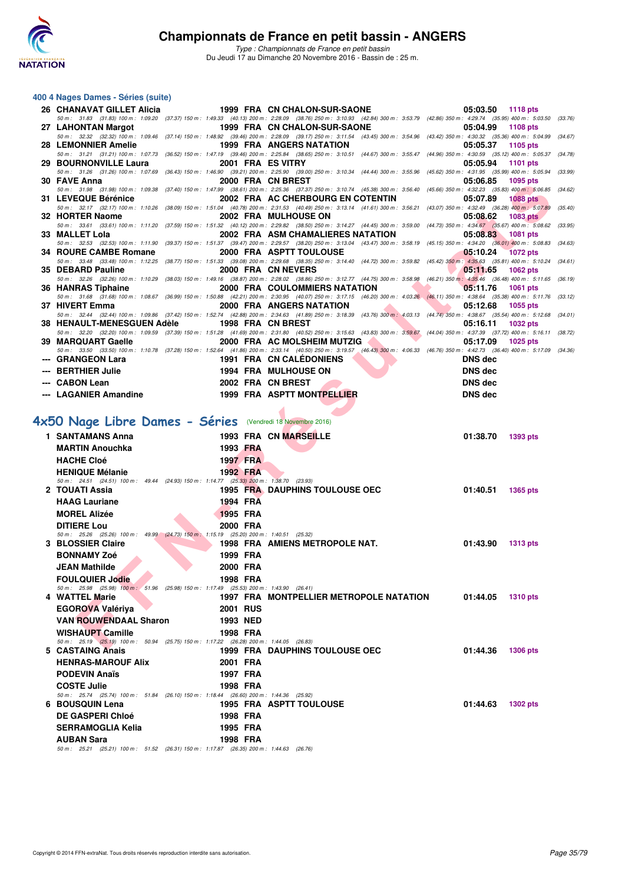

#### **400 4 Nages Dames - Séries (suite)**

| 26 CHANAVAT GILLET Alicia                                                                                         |                         | 1999 FRA CN CHALON-SUR-SAONE                                                                                                                                                                                                                    | 05:03.50<br>1118 pts            |
|-------------------------------------------------------------------------------------------------------------------|-------------------------|-------------------------------------------------------------------------------------------------------------------------------------------------------------------------------------------------------------------------------------------------|---------------------------------|
|                                                                                                                   |                         | 50 m: 31.83 (31.83) 100 m: 1:09.20 (37.37) 150 m: 1:49.33 (40.13) 200 m: 2:28.09 (38.76) 250 m: 3:10.93 (42.84) 300 m: 3:53.79 (42.86) 350 m: 4:29.74 (35.95) 400 m: 5:03.50 (33.76)                                                            |                                 |
|                                                                                                                   |                         | 27 LAHONTAN Margot 1999 FRA CN CHALON-SUR-SAONE<br>50 m: 32.32 (32.32) 100 m: 1:09.46 (37.14) 150 m: 1:48.92 (39.46) 200 m: 2:28.09 (39.17) 250 m: 3:11.54 (43.45) 300 m: 3:54.96 (43.42) 350 m: 4:30.32 (35.36) 400 m: 5:04.99 (34.67)         | 05:04.99<br>1108 pts            |
| 28 LEMONNIER Amelie                                                                                               |                         | <b>1999 FRA ANGERS NATATION</b>                                                                                                                                                                                                                 | 05:05.37<br>1105 pts            |
| 29 BOURNONVILLE Laura                                                                                             | 2001 FRA ES VITRY       | 50 m: 31.21 (31.21) 100 m: 1:07.73 (36.52) 150 m: 1:47.19 (39.46) 200 m: 2:25.84 (38.65) 250 m: 3:10.51 (44.67) 300 m: 3:55.47 (44.96) 350 m: 4:30.59 (35.12) 400 m: 5:05.37 (34.78)                                                            | 05:05.94<br>1101 pts            |
|                                                                                                                   |                         | 50 m: 31.26 (31.26) 100 m: 1:07.69 (36.43) 150 m: 1:46.90 (39.21) 200 m: 2:25.90 (39.00) 250 m: 3:10.34 (44.44) 300 m: 3:55.96 (45.62) 350 m: 4:31.95 (35.99) 400 m: 5:05.94 (33.99)                                                            |                                 |
| 30 FAVE Anna                                                                                                      | 2000 FRA CN BREST       |                                                                                                                                                                                                                                                 | 1095 pts<br>05:06.85            |
| 31 LEVEQUE Bérénice                                                                                               |                         | 50 m: 31.98 (31.98) 100 m: 1:09.38 (37.40) 150 m: 1:47.99 (38.61) 200 m: 2:25.36 (37.37) 250 m: 3:10.74 (45.38) 300 m: 3:56.40 (45.66) 350 m: 4:32.23 (35.83) 400 m: 5:06.85 (34.62)<br>2002 FRA AC CHERBOURG EN COTENTIN                       | 05:07.89<br><b>1088 pts</b>     |
|                                                                                                                   |                         | 50 m: 32.17 (32.17) 100 m: 1:10.26 (38.09) 150 m: 1:51.04 (40.78) 200 m: 2:31.53 (40.49) 250 m: 3:13.14 (41.61) 300 m: 3:56.21 (43.07) 350 m: 4:32.49 (36.28) 400 m: 5:07.89                                                                    | (35.40)                         |
| 32 HORTER Naome                                                                                                   |                         | 2002 FRA MULHOUSE ON                                                                                                                                                                                                                            | 05:08.62<br><b>1083 pts</b>     |
| 33 MALLET Lola                                                                                                    |                         | 50 m: 33.61 (33.61) 100 m: 1:11.20 (37.59) 150 m: 1:51.32 (40.12) 200 m: 2:29.82 (38.50) 250 m: 3:14.27 (44.45) 300 m: 3:59.00 (44.73) 350 m: 4:34.67 (35.67) 400 m: 5:08.62<br>2002 FRA ASM CHAMALIERES NATATION                               | (33.95)<br>05:08.83<br>1081 pts |
|                                                                                                                   |                         | 50 m: 32.53 (32.53) 100 m: 1:11.90 (39.37) 150 m: 1:51.37 (39.47) 200 m: 2:29.57 (38.20) 250 m: 3:13.04 (43.47) 300 m: 3:58.19 (45.15) 350 m: 4:34.20 (36.01) 400 m: 5:08.83 (34.63)                                                            |                                 |
| 34 ROURE CAMBE Romane                                                                                             |                         | 2000 FRA ASPTT TOULOUSE                                                                                                                                                                                                                         | <b>1072 pts</b><br>05:10.24     |
| 35 DEBARD Pauline                                                                                                 |                         | 50 m: 33.48 (33.48) 100 m: 1:12.25 (38.77) 150 m: 1:51.33 (39.08) 200 m: 2:29.68 (38.35) 250 m: 3:14.40 (44.72) 300 m: 3:59.82 (45.42) 350 m: 4:35.63 (35.81) 400 m: 5:10.24 (34.61)<br>2000 FRA CN NEVERS                                      | 1062 pts                        |
|                                                                                                                   |                         | 50 m : 32.26 (32.26) 100 m : 1:10.29 (38.03) 150 m : 1:49.16 (38.87) 200 m : 2:28.02 (38.86) 250 m : 3:12.77 (44.75) 300 m : 3:58.98 (46.21) 350 m : 4:35.46 (36.48) 400 m : 5:11.65 (36.19)                                                    | 05:11.65                        |
| 36 HANRAS Tiphaine                                                                                                |                         | 2000 FRA COULOMMIERS NATATION                                                                                                                                                                                                                   | 05:11.76<br>1061 pts            |
| 37 HIVERT Emma                                                                                                    |                         | 50 m: 31.68 (31.68) 100 m: 1:08.67 (36.99) 150 m: 1:50.88 (42.21) 200 m: 2:30.95 (40.07) 250 m: 3:17.15 (46.20) 300 m: 4:03.26 (46.11) 350 m: 4:38.64 (35.38) 400 m: 5:11.76 (33.12)<br>2000 FRA ANGERS NATATION                                |                                 |
|                                                                                                                   |                         | 50 m: 32.44 (32.44) 100 m: 1:09.86 (37.42) 150 m: 1:52.74 (42.88) 200 m: 2:34.63 (41.89) 250 m: 3:18.39 (43.76) 300 m: 4:03.13 (44.74) 350 m: 4:38.67 (35.54) 400 m: 5:12.68 (34.01)                                                            | 05:12.68<br>1055 pts            |
| 38 HENAULT-MENESGUEN Adèle 1998 FRA CN BREST                                                                      |                         |                                                                                                                                                                                                                                                 | 05:16.11<br>1032 pts            |
| 39 MARQUART Gaelle                                                                                                |                         | 50 m: 32.20 (32.20) 100 m: 1:09.59 (37.39) 150 m: 1:51.28 (41.69) 200 m: 2:31.80 (40.52) 250 m: 3:15.63 (43.83) 300 m: 3:59.67 (44.04) 350 m: 4:37.39 (37.72) 400 m: 5:16.11 (38.72)<br>2000 FRA AC MOLSHEIM MUTZIG<br>$\overline{\phantom{a}}$ | 05:17.09<br>1025 pts            |
|                                                                                                                   |                         | 50 m: 33.50 (33.50) 100 m: 1:10.78 (37.28) 150 m: 1:52.64 (41.86) 200 m: 2:33.14 (40.50) 250 m: 3:19.57 (46.43) 300 m: 4:06.33 (46.76) 350 m: 4:42.73 (36.40) 400 m: 5:17.09 (34.36)                                                            |                                 |
| --- GRANGEON Lara                                                                                                 | 1991 FRA CN CALEDONIENS |                                                                                                                                                                                                                                                 | <b>DNS</b> dec                  |
| --- BERTHIER Julie                                                                                                |                         | <b>1994 FRA MULHOUSE ON</b>                                                                                                                                                                                                                     |                                 |
|                                                                                                                   |                         |                                                                                                                                                                                                                                                 | <b>DNS</b> dec                  |
| --- CABON Lean                                                                                                    | 2002 FRA CN BREST       |                                                                                                                                                                                                                                                 | <b>DNS</b> dec                  |
| --- LAGANIER Amandine                                                                                             |                         | 1999 FRA ASPTT MONTPELLIER                                                                                                                                                                                                                      | <b>DNS</b> dec                  |
|                                                                                                                   |                         |                                                                                                                                                                                                                                                 |                                 |
|                                                                                                                   |                         |                                                                                                                                                                                                                                                 |                                 |
| <b>X50 Nage Libre Dames - Séries</b> (Vendredi 18 Novembre 2016)                                                  |                         |                                                                                                                                                                                                                                                 |                                 |
| 1 SANTAMANS Anna                                                                                                  |                         | 1993 FRA CN MARSEILLE                                                                                                                                                                                                                           | 01:38.70<br>1393 pts            |
| <b>MARTIN Anouchka</b>                                                                                            | 1993 FRA                |                                                                                                                                                                                                                                                 |                                 |
| <b>HACHE Cloé</b>                                                                                                 | 1997 FRA                |                                                                                                                                                                                                                                                 |                                 |
| <b>HENIQUE Mélanie</b><br>50 m: 24.51 (24.51) 100 m: 49.44 (24.93) 150 m: 1:14.77 (25.33) 200 m: 1:38.70 (23.93)  | 1992 FRA                |                                                                                                                                                                                                                                                 |                                 |
| 2 TOUATI Assia                                                                                                    |                         | <b>1995 FRA DAUPHINS TOULOUSE OEC</b>                                                                                                                                                                                                           | 01:40.51<br>1365 pts            |
| <b>HAAG Lauriane</b>                                                                                              | 1994 FRA                |                                                                                                                                                                                                                                                 |                                 |
| <b>MOREL Alizée</b>                                                                                               | <b>1995 FRA</b>         |                                                                                                                                                                                                                                                 |                                 |
| <b>DITIERE Lou</b>                                                                                                | 2000 FRA                |                                                                                                                                                                                                                                                 |                                 |
| 50 m: 25.26 (25.26) 100 m: 49.99 (24.73) 150 m: 1:15.19 (25.20) 200 m: 1:40.51 (25.32)                            |                         |                                                                                                                                                                                                                                                 |                                 |
| 3 BLOSSIER Claire                                                                                                 |                         | 1998 FRA AMIENS METROPOLE NAT.                                                                                                                                                                                                                  | 01:43.90<br>1313 pts            |
| <b>BONNAMY Zoé</b>                                                                                                | 1999 FRA                |                                                                                                                                                                                                                                                 |                                 |
| <b>JEAN Mathilde</b>                                                                                              | 2000 FRA                |                                                                                                                                                                                                                                                 |                                 |
| <b>FOULQUIER Jodie</b><br>50 m: 25.98 (25.98) 100 m: 51.96 (25.98) 150 m: 1:17.49 (25.53) 200 m: 1:43.90 (26.41)  | 1998 FRA                |                                                                                                                                                                                                                                                 |                                 |
| 4 WATTEL Marie                                                                                                    |                         | 1997 FRA MONTPELLIER METROPOLE NATATION 01:44.05                                                                                                                                                                                                | <b>1310 pts</b>                 |
| <b>EGOROVA Valériya</b>                                                                                           | <b>2001 RUS</b>         |                                                                                                                                                                                                                                                 |                                 |
| <b>VAN ROUWENDAAL Sharon</b>                                                                                      | 1993 NED                |                                                                                                                                                                                                                                                 |                                 |
| <b>WISHAUPT Camille</b><br>50 m: 25.19 (25.19) 100 m: 50.94 (25.75) 150 m: 1:17.22 (26.28) 200 m: 1:44.05 (26.83) | 1998 FRA                |                                                                                                                                                                                                                                                 |                                 |

# **[4x50 Nage Libre Dames - Séries](http://www.ffnatation.fr/webffn/resultats.php?idact=nat&go=epr&idcpt=41163&idepr=47)** (Vendredi 18 Novembre 2016)

| 1 SANTAMANS Anna                                                                                             |                 | <b>1993 FRA CN MARSEILLE</b>            | 01:38.70 | 1393 pts        |
|--------------------------------------------------------------------------------------------------------------|-----------------|-----------------------------------------|----------|-----------------|
| <b>MARTIN Anouchka</b>                                                                                       | 1993 FRA        |                                         |          |                 |
| <b>HACHE Cloé</b>                                                                                            | <b>1997 FRA</b> |                                         |          |                 |
| <b>HENIQUE Mélanie</b>                                                                                       | 1992 FRA        |                                         |          |                 |
| 50 m: 24.51 (24.51) 100 m: 49.44 (24.93) 150 m: 1:14.77 (25.33) 200 m: 1:38.70 (23.93)                       |                 |                                         |          |                 |
| 2 TOUATI Assia                                                                                               |                 | 1995 FRA DAUPHINS TOULOUSE OEC          | 01:40.51 | 1365 pts        |
| <b>HAAG Lauriane</b>                                                                                         | 1994 FRA        |                                         |          |                 |
| <b>MOREL Alizée</b>                                                                                          | <b>1995 FRA</b> |                                         |          |                 |
| <b>DITIERE Lou</b><br>50 m: 25.26 (25.26) 100 m: 49.99 (24.73) 150 m: 1:15.19 (25.20) 200 m: 1:40.51 (25.32) | 2000 FRA        |                                         |          |                 |
| 3 BLOSSIER Claire                                                                                            |                 | 1998 FRA AMIENS METROPOLE NAT.          | 01:43.90 | <b>1313 pts</b> |
| <b>BONNAMY Zoé</b>                                                                                           | 1999 FRA        |                                         |          |                 |
| <b>JEAN Mathilde</b>                                                                                         | 2000 FRA        |                                         |          |                 |
| <b>FOULQUIER Jodie</b>                                                                                       | 1998 FRA        |                                         |          |                 |
| 50 m: 25.98 (25.98) 100 m: 51.96 (25.98) 150 m: 1:17.49 (25.53) 200 m: 1:43.90 (26.41)                       |                 |                                         |          |                 |
| 4 WATTEL Marie                                                                                               |                 | 1997 FRA MONTPELLIER METROPOLE NATATION | 01:44.05 | <b>1310 pts</b> |
| <b>EGOROVA Valériya</b>                                                                                      | <b>2001 RUS</b> |                                         |          |                 |
| <b>VAN ROUWENDAAL Sharon</b>                                                                                 | 1993 NED        |                                         |          |                 |
| <b>WISHAUPT Camille</b>                                                                                      | 1998 FRA        |                                         |          |                 |
| 50 m: 25.19 (25.19) 100 m: 50.94 (25.75) 150 m: 1:17.22 (26.28) 200 m: 1:44.05 (26.83)<br>5 CASTAING Anais   |                 | <b>1999 FRA DAUPHINS TOULOUSE OEC</b>   | 01:44.36 | <b>1306 pts</b> |
| <b>HENRAS-MAROUF Alix</b>                                                                                    | 2001 FRA        |                                         |          |                 |
| <b>PODEVIN Anaïs</b>                                                                                         | 1997 FRA        |                                         |          |                 |
| <b>COSTE Julie</b>                                                                                           | 1998 FRA        |                                         |          |                 |
| 50 m: 25.74 (25.74) 100 m: 51.84 (26.10) 150 m: 1:18.44 (26.60) 200 m: 1:44.36 (25.92)                       |                 |                                         |          |                 |
| 6 BOUSQUIN Lena                                                                                              |                 | <b>1995 FRA ASPTT TOULOUSE</b>          | 01:44.63 | <b>1302 pts</b> |
| <b>DE GASPERI Chloé</b>                                                                                      | 1998 FRA        |                                         |          |                 |
| <b>SERRAMOGLIA Kelia</b>                                                                                     | 1995 FRA        |                                         |          |                 |
| <b>AUBAN Sara</b>                                                                                            | 1998 FRA        |                                         |          |                 |
| 50 m: 25.21 (25.21) 100 m: 51.52 (26.31) 150 m: 1:17.87 (26.35) 200 m: 1:44.63 (26.76)                       |                 |                                         |          |                 |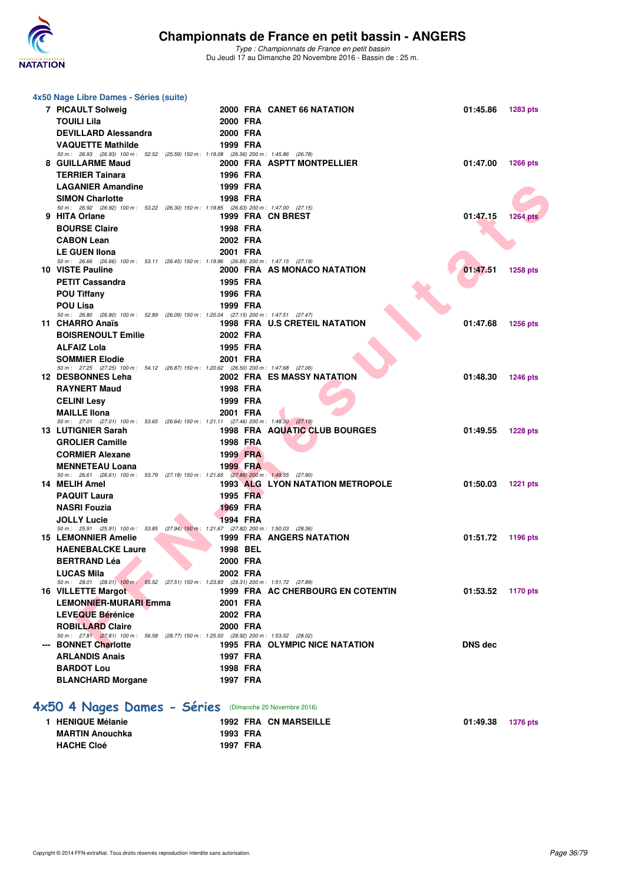

*Type : Championnats de France en petit bassin* Du Jeudi 17 au Dimanche 20 Novembre 2016 - Bassin de : 25 m.

|                                                         | 4x50 Nage Libre Dames - Séries (suite)                                                                              |                      |  |                                      |                |                 |  |  |
|---------------------------------------------------------|---------------------------------------------------------------------------------------------------------------------|----------------------|--|--------------------------------------|----------------|-----------------|--|--|
|                                                         | 7 PICAULT Solweig                                                                                                   |                      |  | 2000 FRA CANET 66 NATATION           | 01:45.86       | 1283 pts        |  |  |
|                                                         | <b>TOUILI Lila</b>                                                                                                  | 2000 FRA             |  |                                      |                |                 |  |  |
|                                                         | <b>DEVILLARD Alessandra</b>                                                                                         | 2000 FRA             |  |                                      |                |                 |  |  |
|                                                         | <b>VAQUETTE Mathilde</b>                                                                                            | 1999 FRA             |  |                                      |                |                 |  |  |
|                                                         | 50 m : 26.93 (26.93) 100 m : 52.52 (25.59) 150 m : 1:19.08 (26.56) 200 m : 1:45.86 (26.78)                          |                      |  |                                      |                |                 |  |  |
|                                                         | 8 GUILLARME Maud<br><b>TERRIER Tainara</b>                                                                          |                      |  | 2000 FRA ASPTT MONTPELLIER           | 01:47.00       | 1266 pts        |  |  |
|                                                         | <b>LAGANIER Amandine</b>                                                                                            | 1996 FRA<br>1999 FRA |  |                                      |                |                 |  |  |
|                                                         | <b>SIMON Charlotte</b>                                                                                              | 1998 FRA             |  |                                      |                |                 |  |  |
|                                                         | 50 m: 26.92 (26.92) 100 m: 53.22 (26.30) 150 m: 1:19.85 (26.63) 200 m: 1:47.00 (27.15)                              |                      |  |                                      |                |                 |  |  |
|                                                         | 9 HITA Orlane                                                                                                       |                      |  | 1999 FRA CN BREST                    | 01:47.15       | <b>1264 pts</b> |  |  |
|                                                         | <b>BOURSE Claire</b>                                                                                                | 1998 FRA             |  |                                      |                |                 |  |  |
|                                                         | <b>CABON Lean</b>                                                                                                   | 2002 FRA             |  |                                      |                |                 |  |  |
|                                                         | <b>LE GUEN Ilona</b>                                                                                                | 2001 FRA             |  |                                      |                |                 |  |  |
|                                                         | 50 m: 26.66 (26.66) 100 m: 53.11 (26.45) 150 m: 1:19.96 (26.85) 200 m: 1:47.15 (27.19)<br>10 VISTE Pauline          |                      |  | 2000 FRA AS MONACO NATATION          | 01:47.51       | 1258 pts        |  |  |
|                                                         | <b>PETIT Cassandra</b>                                                                                              | 1995 FRA             |  |                                      |                |                 |  |  |
|                                                         | <b>POU Tiffany</b>                                                                                                  | 1996 FRA             |  |                                      |                |                 |  |  |
|                                                         | <b>POU Lisa</b>                                                                                                     | 1999 FRA             |  |                                      |                |                 |  |  |
|                                                         | 50 m: 26.80 (26.80) 100 m: 52.89 (26.09) 150 m: 1:20.04 (27.15) 200 m: 1:47.51 (27.47)                              |                      |  |                                      |                |                 |  |  |
|                                                         | 11 CHARRO Anaïs                                                                                                     |                      |  | <b>1998 FRA U.S CRETEIL NATATION</b> | 01:47.68       | <b>1256 pts</b> |  |  |
|                                                         | <b>BOISRENOULT Emilie</b><br><b>ALFAIZ Lola</b>                                                                     | 2002 FRA<br>1995 FRA |  |                                      |                |                 |  |  |
|                                                         | <b>SOMMIER Elodie</b>                                                                                               | 2001 FRA             |  |                                      |                |                 |  |  |
|                                                         | 50 m: 27.25 (27.25) 100 m: 54.12 (26.87) 150 m: 1:20.62 (26.50) 200 m: 1:47.68 (27.06)                              |                      |  |                                      |                |                 |  |  |
|                                                         | 12 DESBONNES Leha                                                                                                   |                      |  | 2002 FRA ES MASSY NATATION           | 01:48.30       | <b>1246 pts</b> |  |  |
|                                                         | <b>RAYNERT Maud</b>                                                                                                 | 1998 FRA             |  |                                      |                |                 |  |  |
|                                                         | <b>CELINI Lesy</b>                                                                                                  | 1999 FRA             |  |                                      |                |                 |  |  |
|                                                         | <b>MAILLE Ilona</b>                                                                                                 | 2001 FRA             |  |                                      |                |                 |  |  |
|                                                         | 50 m: 27.01 (27.01) 100 m: 53.65 (26.64) 150 m: 1:21.11 (27.46) 200 m: 1:48.30 (27.19)<br>13 LUTIGNIER Sarah        |                      |  | 1998 FRA AQUATIC CLUB BOURGES        | 01:49.55       | <b>1228 pts</b> |  |  |
|                                                         | <b>GROLIER Camille</b>                                                                                              | 1998 FRA             |  |                                      |                |                 |  |  |
|                                                         | <b>CORMIER Alexane</b>                                                                                              | 1999 FRA             |  |                                      |                |                 |  |  |
|                                                         | <b>MENNETEAU Loana</b>                                                                                              | 1999 FRA             |  |                                      |                |                 |  |  |
|                                                         | 50 m: 26.61 (26.61) 100 m: 53.79 (27.18) 150 m: 1.21.65 (27.86) 200 m: 1.49.55 (27.90)                              |                      |  |                                      |                |                 |  |  |
|                                                         | 14 MELIH Amel                                                                                                       |                      |  | 1993 ALG LYON NATATION METROPOLE     | 01:50.03       | <b>1221 pts</b> |  |  |
|                                                         | <b>PAQUIT Laura</b>                                                                                                 | 1995 FRA             |  |                                      |                |                 |  |  |
|                                                         | <b>NASRI Fouzia</b>                                                                                                 | <b>1969 FRA</b>      |  |                                      |                |                 |  |  |
|                                                         | <b>JOLLY Lucie</b><br>50 m: 25.91 (25.91) 100 m: 53.85 (27.94) 150 m: 1:21.67 (27.82) 200 m: 1:50.03 (28.36)        | 1994 FRA             |  |                                      |                |                 |  |  |
|                                                         | <b>15 LEMONNIER Amelie</b>                                                                                          |                      |  | <b>1999 FRA ANGERS NATATION</b>      | 01:51.72       | 1196 pts        |  |  |
|                                                         | <b>HAENEBALCKE Laure</b>                                                                                            | 1998 BEL             |  |                                      |                |                 |  |  |
|                                                         | <b>BERTRAND Léa</b>                                                                                                 | 2000 FRA             |  |                                      |                |                 |  |  |
|                                                         | <b>LUCAS Mila</b>                                                                                                   | 2002 FRA             |  |                                      |                |                 |  |  |
|                                                         | 50 m: 28.01 (28.01) 100 m: 55.52 (27.51) 150 m: 1:23.83 (28.31) 200 m: 1:51.72 (27.89)<br><b>16 VILLETTE Margot</b> |                      |  | 1999 FRA AC CHERBOURG EN COTENTIN    | 01:53.52       | <b>1170 pts</b> |  |  |
|                                                         | <b>LEMONNIER-MURARI Emma</b>                                                                                        | 2001 FRA             |  |                                      |                |                 |  |  |
|                                                         | <b>LEVEQUE Bérénice</b>                                                                                             | 2002 FRA             |  |                                      |                |                 |  |  |
|                                                         | <b>ROBILLARD Claire</b>                                                                                             | 2000 FRA             |  |                                      |                |                 |  |  |
|                                                         | 50 m: 27.81 (27.81) 100 m: 56.58 (28.77) 150 m: 1:25.50 (28.92) 200 m: 1:53.52 (28.02)                              |                      |  |                                      |                |                 |  |  |
|                                                         | --- BONNET Charlotte                                                                                                |                      |  | 1995 FRA OLYMPIC NICE NATATION       | <b>DNS</b> dec |                 |  |  |
|                                                         | <b>ARLANDIS Anais</b>                                                                                               | 1997 FRA             |  |                                      |                |                 |  |  |
|                                                         | <b>BARDOT Lou</b>                                                                                                   | 1998 FRA             |  |                                      |                |                 |  |  |
|                                                         | <b>BLANCHARD Morgane</b>                                                                                            | 1997 FRA             |  |                                      |                |                 |  |  |
| 4x50 4 Nages Dames - Séries (Dimanche 20 Novembre 2016) |                                                                                                                     |                      |  |                                      |                |                 |  |  |
|                                                         |                                                                                                                     |                      |  |                                      |                |                 |  |  |
|                                                         | 1 HENIQUE Mélanie                                                                                                   |                      |  | <b>1992 FRA CN MARSEILLE</b>         | 01:49.38       | <b>1376 pts</b> |  |  |
|                                                         | <b>MARTIN Anouchka</b>                                                                                              | 1993 FRA             |  |                                      |                |                 |  |  |

**HACHE Cloé 1997 FRA**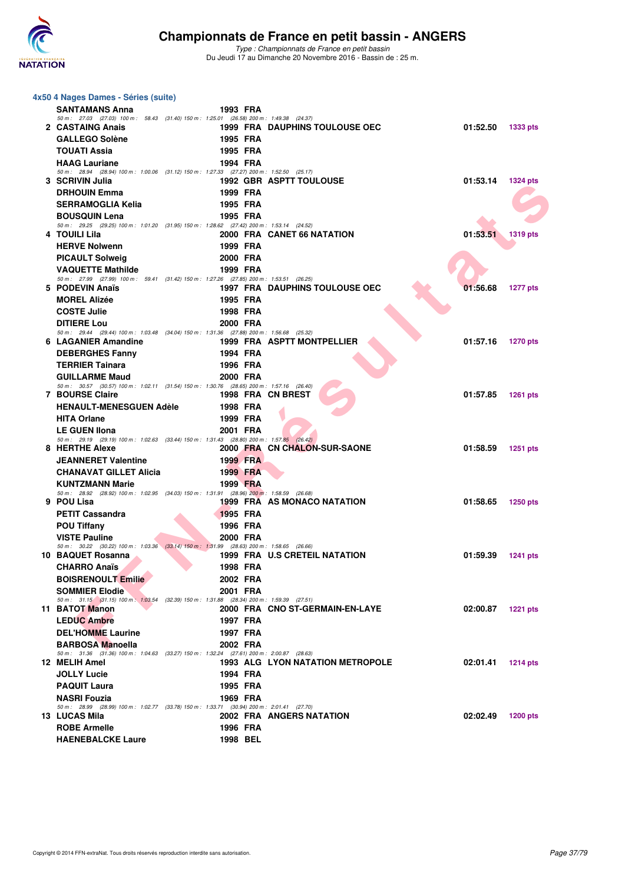

| 4x50 4 Nages Dames - Séries (suite)                                                                                |          |                                         |          |                 |
|--------------------------------------------------------------------------------------------------------------------|----------|-----------------------------------------|----------|-----------------|
| <b>SANTAMANS Anna</b>                                                                                              | 1993 FRA |                                         |          |                 |
| 50 m: 27.03 (27.03) 100 m: 58.43 (31.40) 150 m: 1:25.01 (26.58) 200 m: 1:49.38 (24.37)                             |          |                                         |          |                 |
| 2 CASTAING Anais                                                                                                   |          | <b>1999 FRA DAUPHINS TOULOUSE OEC</b>   | 01:52.50 | <b>1333 pts</b> |
| <b>GALLEGO Solène</b>                                                                                              | 1995 FRA |                                         |          |                 |
| <b>TOUATI Assia</b>                                                                                                | 1995 FRA |                                         |          |                 |
| <b>HAAG Lauriane</b><br>50 m: 28.94 (28.94) 100 m: 1:00.06 (31.12) 150 m: 1:27.33 (27.27) 200 m: 1:52.50 (25.17)   | 1994 FRA |                                         |          |                 |
| 3 SCRIVIN Julia                                                                                                    |          | <b>1992 GBR ASPTT TOULOUSE</b>          | 01:53.14 | <b>1324 pts</b> |
| <b>DRHOUIN Emma</b>                                                                                                | 1999 FRA |                                         |          |                 |
| <b>SERRAMOGLIA Kelia</b>                                                                                           | 1995 FRA |                                         |          |                 |
| <b>BOUSQUIN Lena</b>                                                                                               | 1995 FRA |                                         |          |                 |
| 50 m: 29.25 (29.25) 100 m: 1:01.20 (31.95) 150 m: 1:28.62 (27.42) 200 m: 1:53.14 (24.52)                           |          |                                         |          |                 |
| 4 TOUILI Lila                                                                                                      |          | 2000 FRA CANET 66 NATATION              | 01:53.51 | 1319 pts        |
| <b>HERVE Nolwenn</b>                                                                                               | 1999 FRA |                                         |          |                 |
| <b>PICAULT Solweig</b>                                                                                             | 2000 FRA |                                         |          |                 |
| <b>VAQUETTE Mathilde</b><br>50 m: 27.99 (27.99) 100 m: 59.41 (31.42) 150 m: 1:27.26 (27.85) 200 m: 1:53.51 (26.25) | 1999 FRA |                                         |          |                 |
| 5 PODEVIN Anaïs                                                                                                    |          | <b>1997 FRA DAUPHINS TOULOUSE OEC</b>   | 01:56.68 | <b>1277 pts</b> |
| <b>MOREL Alizée</b>                                                                                                | 1995 FRA |                                         |          |                 |
| <b>COSTE Julie</b>                                                                                                 | 1998 FRA |                                         |          |                 |
| <b>DITIERE Lou</b>                                                                                                 | 2000 FRA |                                         |          |                 |
| 50 m: 29.44 (29.44) 100 m: 1:03.48 (34.04) 150 m: 1:31.36 (27.88) 200 m: 1:56.68 (25.32)                           |          |                                         |          |                 |
| 6 LAGANIER Amandine                                                                                                |          | 1999 FRA ASPTT MONTPELLIER              | 01:57.16 | <b>1270 pts</b> |
| <b>DEBERGHES Fanny</b>                                                                                             | 1994 FRA |                                         |          |                 |
| <b>TERRIER Tainara</b>                                                                                             | 1996 FRA |                                         |          |                 |
| <b>GUILLARME Maud</b><br>50 m: 30.57 (30.57) 100 m: 1:02.11 (31.54) 150 m: 1:30.76 (28.65) 200 m: 1:57.16 (26.40)  | 2000 FRA |                                         |          |                 |
| <b>7 BOURSE Claire</b>                                                                                             |          | 1998 FRA CN BREST                       | 01:57.85 | <b>1261 pts</b> |
| <b>HENAULT-MENESGUEN Adèle</b>                                                                                     | 1998 FRA |                                         |          |                 |
| <b>HITA Orlane</b>                                                                                                 | 1999 FRA |                                         |          |                 |
| <b>LE GUEN IIona</b>                                                                                               | 2001 FRA |                                         |          |                 |
| 50 m: 29.19 (29.19) 100 m: 1.02.63 (33.44) 150 m: 1.31.43 (28.80) 200 m: 1.57.85 (26.42)                           |          |                                         |          |                 |
| 8 HERTHE Alexe                                                                                                     |          | 2000 FRA CN CHALON-SUR-SAONE            | 01:58.59 | 1251 pts        |
| <b>JEANNERET Valentine</b>                                                                                         | 1999 FRA |                                         |          |                 |
| <b>CHANAVAT GILLET Alicia</b>                                                                                      | 1999 FRA |                                         |          |                 |
| <b>KUNTZMANN Marie</b><br>50 m: 28.92 (28.92) 100 m: 1.02.95 (34.03) 150 m: 1.31.91 (28.96) 200 m: 1.58.59 (26.68) | 1999 FRA |                                         |          |                 |
| 9 POU Lisa                                                                                                         |          | 1999 FRA AS MONACO NATATION             | 01:58.65 | <b>1250 pts</b> |
| <b>PETIT Cassandra</b>                                                                                             | 1995 FRA |                                         |          |                 |
| <b>POU Tiffany</b>                                                                                                 | 1996 FRA |                                         |          |                 |
| <b>VISTE Pauline</b>                                                                                               | 2000 FRA |                                         |          |                 |
| 50 m: 30.22 (30.22) 100 m: 1:03.36 (33.14) 150 m: 1:31.99 (28.63) 200 m: 1:58.65 (26.66)<br>10 BAQUET Rosanna      |          | 1999 FRA U.S CRETEIL NATATION           | 01:59.39 | <b>1241 pts</b> |
| <b>CHARRO Anaïs</b>                                                                                                | 1998 FRA |                                         |          |                 |
| <b>BOISRENOULT Emilie</b>                                                                                          | 2002 FRA |                                         |          |                 |
| <b>SOMMIER Elodie</b>                                                                                              | 2001 FRA |                                         |          |                 |
| 50 m: 31.15 (31.15) 100 m: 1:03.54 (32.39) 150 m: 1:31.88 (28.34) 200 m: 1:59.39 (27.51)                           |          |                                         |          |                 |
| 11 BATOT Manon                                                                                                     |          | 2000 FRA CNO ST-GERMAIN-EN-LAYE         | 02:00.87 | <b>1221 pts</b> |
| <b>LEDUC Ambre</b>                                                                                                 | 1997 FRA |                                         |          |                 |
| <b>DEL'HOMME Laurine</b>                                                                                           | 1997 FRA |                                         |          |                 |
| <b>BARBOSA Manoella</b>                                                                                            | 2002 FRA |                                         |          |                 |
| 50 m: 31.36 (31.36) 100 m: 1:04.63 (33.27) 150 m: 1:32.24 (27.61) 200 m: 2:00.87 (28.63)<br>12 MELIH Amel          |          | <b>1993 ALG LYON NATATION METROPOLE</b> | 02:01.41 | <b>1214 pts</b> |
| <b>JOLLY Lucie</b>                                                                                                 | 1994 FRA |                                         |          |                 |
| <b>PAQUIT Laura</b>                                                                                                | 1995 FRA |                                         |          |                 |
| <b>NASRI Fouzia</b>                                                                                                | 1969 FRA |                                         |          |                 |
| 50 m: 28.99 (28.99) 100 m: 1:02.77 (33.78) 150 m: 1:33.71 (30.94) 200 m: 2:01.41 (27.70)                           |          |                                         |          |                 |
| 13 LUCAS Mila                                                                                                      |          | 2002 FRA ANGERS NATATION                | 02:02.49 | 1200 pts        |
| <b>ROBE Armelle</b>                                                                                                | 1996 FRA |                                         |          |                 |
| <b>HAENEBALCKE Laure</b>                                                                                           | 1998 BEL |                                         |          |                 |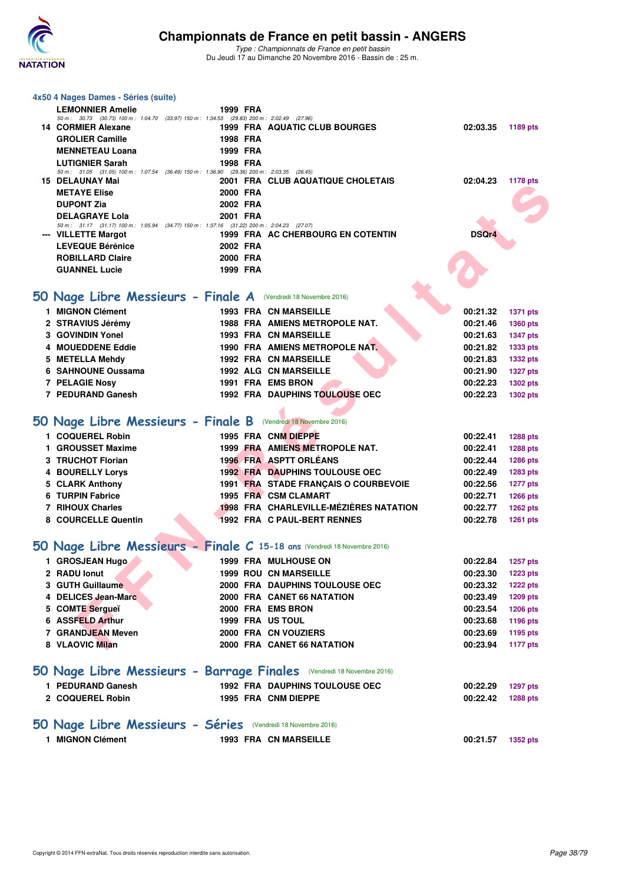

**4x50 4 Nages Dames - Séries (suite)**

#### **Championnats de France en petit bassin - ANGERS**

| <b>LEMONNIER Amelie</b>                                                                                           | 1999 FRA |                                        |                   |                 |
|-------------------------------------------------------------------------------------------------------------------|----------|----------------------------------------|-------------------|-----------------|
| 50 m: 30.73 (30.73) 100 m: 1:04.70 (33.97) 150 m: 1:34.53 (29.83) 200 m: 2:02.49 (27.96)<br>14 CORMIER Alexane    |          | 1999 FRA AQUATIC CLUB BOURGES          | 02:03.35          | 1189 pts        |
| <b>GROLIER Camille</b>                                                                                            | 1998 FRA |                                        |                   |                 |
| <b>MENNETEAU Loana</b>                                                                                            | 1999 FRA |                                        |                   |                 |
| <b>LUTIGNIER Sarah</b>                                                                                            | 1998 FRA |                                        |                   |                 |
| 50 m: 31.05 (31.05) 100 m: 1:07.54 (36.49) 150 m: 1:36.90 (29.36) 200 m: 2:03.35 (26.45)                          |          |                                        |                   |                 |
| 15 DELAUNAY Mai                                                                                                   |          | 2001 FRA CLUB AQUATIQUE CHOLETAIS      | 02:04.23          | <b>1178 pts</b> |
| <b>METAYE Elise</b>                                                                                               | 2000 FRA |                                        |                   |                 |
| <b>DUPONT Zia</b>                                                                                                 | 2002 FRA |                                        |                   |                 |
| <b>DELAGRAYE Lola</b><br>50 m: 31.17 (31.17) 100 m: 1:05.94 (34.77) 150 m: 1:37.16 (31.22) 200 m: 2:04.23 (27.07) | 2001 FRA |                                        |                   |                 |
| --- VILLETTE Margot                                                                                               |          | 1999 FRA AC CHERBOURG EN COTENTIN      | <b>DSQr4</b>      |                 |
| <b>LEVEQUE Bérénice</b>                                                                                           | 2002 FRA |                                        |                   |                 |
| <b>ROBILLARD Claire</b>                                                                                           | 2000 FRA |                                        |                   |                 |
| <b>GUANNEL Lucie</b>                                                                                              | 1999 FRA |                                        |                   |                 |
|                                                                                                                   |          |                                        |                   |                 |
| 50 Nage Libre Messieurs - Finale A (Vendredi 18 Novembre 2016)                                                    |          |                                        |                   |                 |
| 1 MIGNON Clément                                                                                                  |          | <b>1993 FRA CN MARSEILLE</b>           | 00:21.32          | <b>1371 pts</b> |
| 2 STRAVIUS Jérémy                                                                                                 |          | <b>1988 FRA AMIENS METROPOLE NAT.</b>  | 00:21.46          | 1360 pts        |
| 3 GOVINDIN Yonel                                                                                                  |          | <b>1993 FRA CN MARSEILLE</b>           | 00:21.63          | <b>1347 pts</b> |
| 4 MOUEDDENE Eddie                                                                                                 |          | 1990 FRA AMIENS METROPOLE NAT.         | 00:21.82          | 1333 pts        |
| 5 METELLA Mehdy                                                                                                   |          | <b>1992 FRA CN MARSEILLE</b>           | 00:21.83          | <b>1332 pts</b> |
| 6 SAHNOUNE Oussama                                                                                                |          | <b>1992 ALG CN MARSEILLE</b>           | 00:21.90          | <b>1327 pts</b> |
| 7 PELAGIE Nosy                                                                                                    |          | 1991 FRA EMS BRON                      | 00:22.23          | <b>1302 pts</b> |
| 7 PEDURAND Ganesh                                                                                                 |          | <b>1992 FRA DAUPHINS TOULOUSE OEC</b>  | 00:22.23          | <b>1302 pts</b> |
|                                                                                                                   |          |                                        |                   |                 |
| 50 Nage Libre Messieurs - Finale B (Vendredi 18 Novembre 2016)                                                    |          |                                        |                   |                 |
| 1 COQUEREL Robin                                                                                                  |          | 1995 FRA CNM DIEPPE                    | 00:22.41          | <b>1288 pts</b> |
| 1 GROUSSET Maxime                                                                                                 |          | 1999 FRA AMIENS METROPOLE NAT.         | 00:22.41          | <b>1288 pts</b> |
| 3 TRUCHOT Florian                                                                                                 |          | 1996 FRA ASPTT ORLEANS                 | 00:22.44          | 1286 pts        |
| <b>4 BOURELLY Lorys</b>                                                                                           |          | <b>1992 FRA DAUPHINS TOULOUSE OEC</b>  | 00:22.49          | 1283 pts        |
| 5 CLARK Anthony                                                                                                   |          | 1991 FRA STADE FRANÇAIS O COURBEVOIE   | 00:22.56          | <b>1277 pts</b> |
| 6 TURPIN Fabrice                                                                                                  |          | 1995 FRA CSM CLAMART                   | 00:22.71          | <b>1266 pts</b> |
| 7 RIHOUX Charles                                                                                                  |          | 1998 FRA CHARLEVILLE-MÉZIÈRES NATATION | 00:22.77          | <b>1262 pts</b> |
| 8 COURCELLE Quentin                                                                                               |          | 1992 FRA C PAUL-BERT RENNES            | 00:22.78          | 1261 pts        |
|                                                                                                                   |          |                                        |                   |                 |
| 50 Nage Libre Messieurs - Finale C 15-18 ans (Vendredi 18 Novembre 2016)                                          |          |                                        |                   |                 |
| 1 GROSJEAN Hugo                                                                                                   |          | <b>1999 FRA MULHOUSE ON</b>            | 00:22.84          | <b>1257 pts</b> |
| 2 RADU lonut                                                                                                      |          | <b>1999 ROU CN MARSEILLE</b>           | 00:23.30          | <b>1223 pts</b> |
| 3 GUTH Guillaume                                                                                                  |          | <b>2000 FRA DAUPHINS TOULOUSE OEC</b>  | 00:23.32          | <b>1222 pts</b> |
| 4 DELICES Jean-Marc                                                                                               |          | 2000 FRA CANET 66 NATATION             | 00:23.49          | 1209 pts        |
| 5 COMTE Sergueï                                                                                                   |          | 2000 FRA EMS BRON                      | 00:23.54          | <b>1206 pts</b> |
| 6 ASSFELD Arthur                                                                                                  |          | <b>1999 FRA US TOUL</b>                | 00:23.68          | 1196 pts        |
| 7 GRANDJEAN Meven                                                                                                 |          | 2000 FRA CN VOUZIERS                   | 00:23.69          | 1195 pts        |
| 8 VLAOVIC Milan                                                                                                   |          | 2000 FRA CANET 66 NATATION             | 00:23.94          | <b>1177 pts</b> |
|                                                                                                                   |          |                                        |                   |                 |
| 50 Nage Libre Messieurs - Barrage Finales (Vendredi 18 Novembre 2016)                                             |          |                                        |                   |                 |
| 1 PEDURAND Ganesh                                                                                                 |          | <b>1992 FRA DAUPHINS TOULOUSE OEC</b>  | 00:22.29          | <b>1297 pts</b> |
| 2 COQUEREL Robin                                                                                                  |          | 1995 FRA CNM DIEPPE                    | 00:22.42          | <b>1288 pts</b> |
|                                                                                                                   |          |                                        |                   |                 |
|                                                                                                                   |          |                                        |                   |                 |
| 50 Nage Libre Messieurs - Séries (Vendredi 18 Novembre 2016)                                                      |          |                                        |                   |                 |
| 1 MIGNON Clément                                                                                                  |          | 1993 FRA CN MARSEILLE                  | 00:21.57 1352 pts |                 |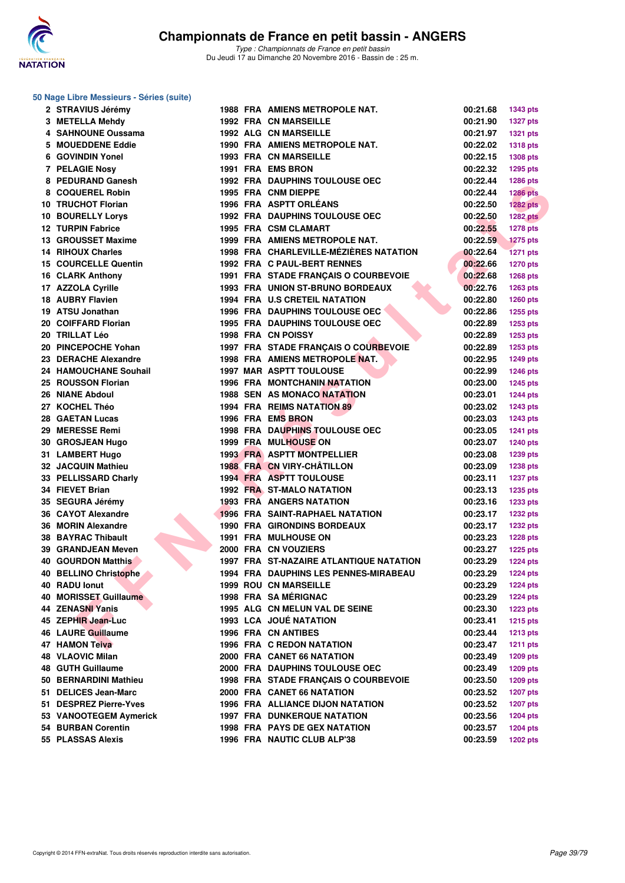

|  |  | 50 Nage Libre Messieurs - Séries (suite) |  |  |
|--|--|------------------------------------------|--|--|
|--|--|------------------------------------------|--|--|

| 2 STRAVIUS Jérémy         |  | <b>1988 FRA AMIENS METROPOLE NAT.</b>                         | 00:21.68             | 1343 pts                           |
|---------------------------|--|---------------------------------------------------------------|----------------------|------------------------------------|
| 3 METELLA Mehdy           |  | <b>1992 FRA CN MARSEILLE</b>                                  | 00:21.90             | <b>1327 pts</b>                    |
| 4 SAHNOUNE Oussama        |  | <b>1992 ALG CN MARSEILLE</b>                                  | 00:21.97             | <b>1321 pts</b>                    |
| 5 MOUEDDENE Eddie         |  | 1990 FRA AMIENS METROPOLE NAT.                                | 00:22.02             | <b>1318 pts</b>                    |
| 6 GOVINDIN Yonel          |  | <b>1993 FRA CN MARSEILLE</b>                                  | 00:22.15             | <b>1308 pts</b>                    |
| 7 PELAGIE Nosy            |  | 1991 FRA EMS BRON                                             | 00:22.32             | <b>1295 pts</b>                    |
| 8 PEDURAND Ganesh         |  | <b>1992 FRA DAUPHINS TOULOUSE OEC</b>                         | 00:22.44             | <b>1286 pts</b>                    |
| 8 COQUEREL Robin          |  | 1995 FRA CNM DIEPPE                                           | 00:22.44             | <b>1286 pts</b>                    |
| 10 TRUCHOT Florian        |  | <b>1996 FRA ASPTT ORLEANS</b>                                 | 00:22.50             | $1282$ pts                         |
| <b>10 BOURELLY Lorys</b>  |  | <b>1992 FRA DAUPHINS TOULOUSE OEC</b>                         | 00:22.50             | <b>1282 pts</b>                    |
| <b>12 TURPIN Fabrice</b>  |  | 1995 FRA CSM CLAMART                                          | 00:22.55             | <b>1278 pts</b>                    |
| 13 GROUSSET Maxime        |  | 1999 FRA AMIENS METROPOLE NAT.                                | 00:22.59             | <b>1275 pts</b>                    |
| 14 RIHOUX Charles         |  | 1998 FRA CHARLEVILLE-MÉZIÈRES NATATION                        | 00:22.64             | <b>1271 pts</b>                    |
| 15 COURCELLE Quentin      |  | 1992 FRA C PAUL-BERT RENNES                                   | 00:22.66             | <b>1270 pts</b>                    |
| 16 CLARK Anthony          |  | 1991 FRA STADE FRANÇAIS O COURBEVOIE                          | 00:22.68             | <b>1268 pts</b>                    |
| 17 AZZOLA Cyrille         |  | 1993 FRA UNION ST-BRUNO BORDEAUX                              | 00:22.76             | <b>1263 pts</b>                    |
| <b>18 AUBRY Flavien</b>   |  | 1994 FRA U.S CRETEIL NATATION                                 | 00:22.80             | <b>1260 pts</b>                    |
| 19 ATSU Jonathan          |  | <b>1996 FRA DAUPHINS TOULOUSE OEC</b>                         | 00:22.86             | 1255 pts                           |
| 20 COIFFARD Florian       |  | 1995 FRA DAUPHINS TOULOUSE OEC                                | 00:22.89             | 1253 pts                           |
| 20   TRILLAT Léo          |  | 1998 FRA CN POISSY                                            | 00:22.89             | <b>1253 pts</b>                    |
| 20 PINCEPOCHE Yohan       |  | 1997 FRA STADE FRANCAIS O COURBEVOIE                          | 00:22.89             | <b>1253 pts</b>                    |
| 23 DERACHE Alexandre      |  | 1998 FRA AMIENS METROPOLE NAT.                                | 00:22.95             | 1249 pts                           |
| 24 HAMOUCHANE Souhail     |  | <b>1997 MAR ASPTT TOULOUSE</b>                                | 00:22.99             | <b>1246 pts</b>                    |
| 25 ROUSSON Florian        |  | <b>1996 FRA MONTCHANIN NATATION</b>                           | 00:23.00             |                                    |
| 26 NIANE Abdoul           |  | <b>1988 SEN AS MONACO NATATION</b>                            | 00:23.01             | <b>1245 pts</b><br><b>1244 pts</b> |
| 27 KOCHEL Théo            |  | <b>1994 FRA REIMS NATATION 89</b>                             | 00:23.02             |                                    |
|                           |  | 1996 FRA EMS BRON                                             |                      | <b>1243 pts</b>                    |
| 28 GAETAN Lucas           |  |                                                               | 00:23.03             | <b>1243 pts</b>                    |
| 29 MERESSE Remi           |  | <b>1998 FRA DAUPHINS TOULOUSE OEC</b><br>1999 FRA MULHOUSE ON | 00:23.05<br>00:23.07 | <b>1241 pts</b>                    |
| 30 GROSJEAN Hugo          |  | 1993 FRA ASPTT MONTPELLIER                                    |                      | <b>1240 pts</b>                    |
| 31 LAMBERT Hugo           |  |                                                               | 00:23.08             | 1239 pts                           |
| 32 JACQUIN Mathieu        |  | 1988 FRA CN VIRY-CHÂTILLON                                    | 00:23.09             | <b>1238 pts</b>                    |
| 33 PELLISSARD Charly      |  | 1994 FRA ASPTT TOULOUSE                                       | 00:23.11             | <b>1237 pts</b>                    |
| 34 FIEVET Brian           |  | <b>1992 FRA ST-MALO NATATION</b>                              | 00:23.13             | <b>1235 pts</b>                    |
| 35 SEGURA Jérémy          |  | <b>1993 FRA ANGERS NATATION</b>                               | 00:23.16             | 1233 pts                           |
| 36 CAYOT Alexandre        |  | <b>1996 FRA SAINT-RAPHAEL NATATION</b>                        | 00:23.17             | <b>1232 pts</b>                    |
| 36 MORIN Alexandre        |  | <b>1990 FRA GIRONDINS BORDEAUX</b>                            | 00:23.17             | <b>1232 pts</b>                    |
| 38 BAYRAC Thibault        |  | <b>1991 FRA MULHOUSE ON</b>                                   | 00:23.23             | 1228 pts                           |
| <b>39 GRANDJEAN Meven</b> |  | 2000 FRA CN VOUZIERS                                          | 00:23.27             | $1225$ pts                         |
| 40 GOURDON Matthis        |  | <b>1997 FRA ST-NAZAIRE ATLANTIQUE NATATION</b>                | 00:23.29             | <b>1224 pts</b>                    |
| 40 BELLINO Christophe     |  | <b>1994 FRA DAUPHINS LES PENNES-MIRABEAU</b>                  | 00:23.29             | 1224 pts                           |
| 40 RADU Ionut             |  | <b>1999 ROU CN MARSEILLE</b>                                  | 00:23.29             | <b>1224 pts</b>                    |
| 40 MORISSET Guillaume     |  | <b>1998 FRA SAMERIGNAC</b>                                    | 00:23.29             | <b>1224 pts</b>                    |
| 44 ZENASNI Yanis          |  | 1995 ALG CN MELUN VAL DE SEINE                                | 00:23.30             | <b>1223 pts</b>                    |
| 45 ZEPHIR Jean-Luc        |  | 1993 LCA JOUÉ NATATION                                        | 00:23.41             | <b>1215 pts</b>                    |
| 46 LAURE Guillaume        |  | 1996 FRA CN ANTIBES                                           | 00:23.44             | <b>1213 pts</b>                    |
| 47 HAMON Teiva            |  | <b>1996 FRA C REDON NATATION</b>                              | 00:23.47             | 1211 $pts$                         |
| 48 VLAOVIC Milan          |  | 2000 FRA CANET 66 NATATION                                    | 00:23.49             | <b>1209 pts</b>                    |
| 48 GUTH Guillaume         |  | 2000 FRA DAUPHINS TOULOUSE OEC                                | 00:23.49             | <b>1209 pts</b>                    |
| 50 BERNARDINI Mathieu     |  | 1998 FRA STADE FRANÇAIS O COURBEVOIE                          | 00:23.50             | <b>1209 pts</b>                    |
| 51 DELICES Jean-Marc      |  | 2000 FRA CANET 66 NATATION                                    | 00:23.52             | <b>1207 pts</b>                    |
| 51 DESPREZ Pierre-Yves    |  | <b>1996 FRA ALLIANCE DIJON NATATION</b>                       | 00:23.52             | <b>1207 pts</b>                    |
| 53 VANOOTEGEM Aymerick    |  | <b>1997 FRA DUNKERQUE NATATION</b>                            | 00:23.56             | <b>1204 pts</b>                    |
| 54 BURBAN Corentin        |  | <b>1998 FRA PAYS DE GEX NATATION</b>                          | 00:23.57             | <b>1204 pts</b>                    |
| 55 PLASSAS Alexis         |  | 1996 FRA NAUTIC CLUB ALP'38                                   | 00:23.59             | <b>1202 pts</b>                    |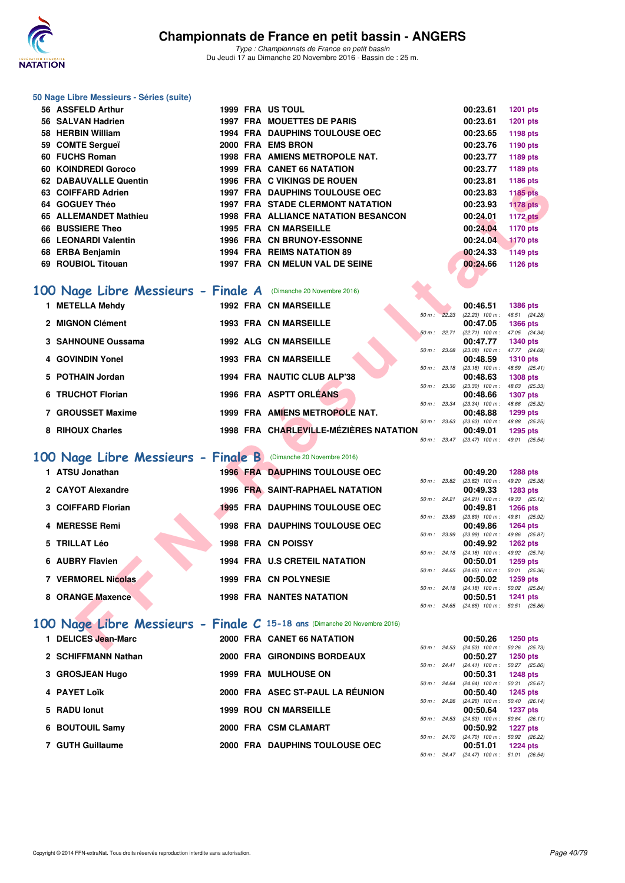

#### **50 Nage Libre Messieurs - Séries (suite)**

|     | 56 ASSFELD Arthur                                               |      | 1999 FRA US TOUL                           | 00:23.61 | <b>1201 pts</b> |
|-----|-----------------------------------------------------------------|------|--------------------------------------------|----------|-----------------|
|     | 56 SALVAN Hadrien                                               | 1997 | <b>FRA MOUETTES DE PARIS</b>               | 00:23.61 | <b>1201 pts</b> |
|     | 58 HERBIN William                                               |      | <b>1994 FRA DAUPHINS TOULOUSE OEC</b>      | 00:23.65 | 1198 pts        |
|     | 59 COMTE Sergueï                                                |      | 2000 FRA EMS BRON                          | 00:23.76 | 1190 pts        |
|     | 60 FUCHS Roman                                                  |      | <b>1998 FRA AMIENS METROPOLE NAT.</b>      | 00:23.77 | 1189 pts        |
|     | 60 KOINDREDI Goroco                                             |      | <b>1999 FRA CANET 66 NATATION</b>          | 00:23.77 | 1189 pts        |
|     | 62 DABAUVALLE Quentin                                           |      | <b>1996 FRA C VIKINGS DE ROUEN</b>         | 00:23.81 | 1186 pts        |
|     | 63 COIFFARD Adrien                                              |      | <b>1997 FRA DAUPHINS TOULOUSE OEC</b>      | 00:23.83 | <b>1185 pts</b> |
|     | 64 GOGUEY Théo                                                  |      | <b>1997 FRA STADE CLERMONT NATATION</b>    | 00:23.93 | <b>1178 pts</b> |
|     | 65 ALLEMANDET Mathieu                                           |      | <b>1998 FRA ALLIANCE NATATION BESANCON</b> | 00:24.01 | 1172 pts        |
| 66  | <b>BUSSIERE Theo</b>                                            |      | <b>1995 FRA CN MARSEILLE</b>               | 00:24.04 | 1170 pts        |
|     | 66 LEONARDI Valentin                                            |      | <b>1996 FRA CN BRUNOY-ESSONNE</b>          | 00:24.04 | <b>1170 pts</b> |
|     | 68 ERBA Benjamin                                                |      | 1994 FRA REIMS NATATION 89                 | 00:24.33 | <b>1149 pts</b> |
| 69. | <b>ROUBIOL Titouan</b>                                          |      | 1997 FRA CN MELUN VAL DE SEINE             | 00:24.66 | 1126 pts        |
|     | 100 Nage Libre Messieurs - Finale A (Dimanche 20 Novembre 2016) |      |                                            |          |                 |
|     |                                                                 |      |                                            |          |                 |

### **[100 Nage Libre Messieurs - Finale A](http://www.ffnatation.fr/webffn/resultats.php?idact=nat&go=epr&idcpt=41163&idepr=52)** (Dimanche 20 Novembre 2016)

| <b>DADAUVALLE WUCHIN</b>                                                 |  | 1990 FRA & VININGS DE ROUEN                |              | 00.ZJ.OT                                             | 1100 pm         |  |
|--------------------------------------------------------------------------|--|--------------------------------------------|--------------|------------------------------------------------------|-----------------|--|
| 63 COIFFARD Adrien                                                       |  | <b>1997 FRA DAUPHINS TOULOUSE OEC</b>      |              | 00:23.83                                             | <b>1185 pts</b> |  |
| 64 GOGUEY Théo                                                           |  | <b>1997 FRA STADE CLERMONT NATATION</b>    |              | 00:23.93                                             | <b>1178 pts</b> |  |
| 65 ALLEMANDET Mathieu                                                    |  | <b>1998 FRA ALLIANCE NATATION BESANCON</b> |              | 00:24.01                                             | <b>1172 pts</b> |  |
| 66 BUSSIERE Theo                                                         |  | <b>1995 FRA CN MARSEILLE</b>               |              | 00:24.04                                             | <b>1170 pts</b> |  |
| 66 LEONARDI Valentin                                                     |  | 1996 FRA CN BRUNOY-ESSONNE                 |              | 00:24.04                                             | <b>1170 pts</b> |  |
| 68 ERBA Benjamin                                                         |  | 1994 FRA REIMS NATATION 89                 |              | 00:24.33                                             | <b>1149 pts</b> |  |
| 69 ROUBIOL Titouan                                                       |  | 1997 FRA CN MELUN VAL DE SEINE             |              | 00:24.66                                             | 1126 pts        |  |
|                                                                          |  |                                            |              |                                                      |                 |  |
|                                                                          |  |                                            |              |                                                      |                 |  |
| 00 Nage Libre Messieurs - Finale A (Dimanche 20 Novembre 2016)           |  |                                            |              |                                                      |                 |  |
| 1 METELLA Mehdy                                                          |  | <b>1992 FRA CN MARSEILLE</b>               |              | 00:46.51                                             | <b>1386 pts</b> |  |
|                                                                          |  |                                            | 50 m: 22.23  | (22.23) 100 m: 46.51 (24.28)                         |                 |  |
| 2 MIGNON Clément                                                         |  | 1993 FRA CN MARSEILLE                      | 50 m: 22.71  | 00:47.05<br>(22.71) 100 m: 47.05 (24.34)             | <b>1366 pts</b> |  |
| 3 SAHNOUNE Oussama                                                       |  | <b>1992 ALG CN MARSEILLE</b>               |              | 00:47.77                                             | <b>1340 pts</b> |  |
|                                                                          |  |                                            | 50 m: 23.08  | $(23.08)$ 100 m : 47.77 $(24.69)$                    |                 |  |
| 4 GOVINDIN Yonel                                                         |  | <b>1993 FRA CN MARSEILLE</b>               |              | 00:48.59                                             | <b>1310 pts</b> |  |
|                                                                          |  |                                            | 50 m: 23.18  | $(23.18)$ 100 m : 48.59 $(25.41)$                    |                 |  |
| 5 POTHAIN Jordan                                                         |  | 1994 FRA NAUTIC CLUB ALP'38                | 50 m : 23.30 | 00:48.63<br>$(23.30)$ 100 m : 48.63 $(25.33)$        | <b>1308 pts</b> |  |
| 6 TRUCHOT Florian                                                        |  | 1996 FRA ASPTT ORLEANS                     |              | 00:48.66                                             | <b>1307 pts</b> |  |
|                                                                          |  |                                            | 50 m : 23.34 | (23.34) 100 m: 48.66 (25.32)                         |                 |  |
| 7 GROUSSET Maxime                                                        |  | 1999 FRA AMIENS METROPOLE NAT.             |              | 00:48.88                                             | 1299 pts        |  |
|                                                                          |  |                                            |              | 50 m: 23.63 (23.63) 100 m: 48.88 (25.25)             |                 |  |
| 8 RIHOUX Charles                                                         |  | 1998 FRA CHARLEVILLE-MÉZIÈRES NATATION     |              | 00:49.01                                             | 1295 pts        |  |
|                                                                          |  |                                            |              | 50 m: 23.47 (23.47) 100 m: 49.01 (25.54)             |                 |  |
| 00 Nage Libre Messieurs - Finale B (Dimanche 20 Novembre 2016)           |  |                                            |              |                                                      |                 |  |
| 1 ATSU Jonathan                                                          |  | <b>1996 FRA DAUPHINS TOULOUSE OEC</b>      |              | 00:49.20                                             |                 |  |
|                                                                          |  |                                            |              | 50 m: 23.82 (23.82) 100 m: 49.20 (25.38)             | <b>1288 pts</b> |  |
| 2 CAYOT Alexandre                                                        |  | <b>1996 FRA SAINT-RAPHAEL NATATION</b>     |              | 00:49.33                                             | <b>1283 pts</b> |  |
|                                                                          |  |                                            | 50 m: 24.21  | $(24.21)$ 100 m : 49.33 $(25.12)$                    |                 |  |
| 3 COIFFARD Florian                                                       |  | <b>1995 FRA DAUPHINS TOULOUSE OEC</b>      |              | 00:49.81                                             | <b>1266 pts</b> |  |
| 4 MERESSE Remi                                                           |  | <b>1998 FRA DAUPHINS TOULOUSE OEC</b>      | 50 m : 23.89 | $(23.89)$ 100 m : 49.81 $(25.92)$<br>00:49.86        | <b>1264 pts</b> |  |
|                                                                          |  |                                            | 50 m : 23.99 | (23.99) 100 m: 49.86 (25.87)                         |                 |  |
| 5 TRILLAT Léo                                                            |  | 1998 FRA CN POISSY                         |              | 00:49.92                                             | <b>1262 pts</b> |  |
|                                                                          |  |                                            |              | 50 m: 24.18 (24.18) 100 m: 49.92 (25.74)             |                 |  |
| 6 AUBRY Flavien                                                          |  | <b>1994 FRA U.S CRETEIL NATATION</b>       |              | 00:50.01                                             | <b>1259 pts</b> |  |
| <b>7 VERMOREL Nicolas</b>                                                |  | <b>1999 FRA CN POLYNESIE</b>               |              | 50 m: 24.65 (24.65) 100 m: 50.01 (25.36)<br>00:50.02 | <b>1259 pts</b> |  |
|                                                                          |  |                                            |              | 50 m : 24.18 (24.18) $100 \text{ m}$ : 50.02 (25.84) |                 |  |
| 8 ORANGE Maxence                                                         |  | <b>1998 FRA NANTES NATATION</b>            |              | 00:50.51                                             | 1241 pts        |  |
|                                                                          |  |                                            | 50 m: 24.65  | $(24.65)$ 100 m : 50.51 $(25.86)$                    |                 |  |
|                                                                          |  |                                            |              |                                                      |                 |  |
| 00 Nage Libre Messieurs - Finale C 15-18 ans (Dimanche 20 Novembre 2016) |  |                                            |              |                                                      |                 |  |
| 1 DELICES Jean-Marc                                                      |  | 2000 FRA CANET 66 NATATION                 |              | 00:50.26                                             | 1250 pts        |  |
|                                                                          |  |                                            |              | 50 m: 24.53 (24.53) 100 m: 50.26 (25.73)             |                 |  |

### **[100 Nage Libre Messieurs - Finale B](http://www.ffnatation.fr/webffn/resultats.php?idact=nat&go=epr&idcpt=41163&idepr=52)** (Dimanche 20 Novembre 2016)

| 1 ATSU Jonathan    |  | <b>1996 FRA DAUPHINS TOULOUSE OEC</b>  |                        | 00:49.20                                 | 1288 pts               |  |
|--------------------|--|----------------------------------------|------------------------|------------------------------------------|------------------------|--|
| 2 CAYOT Alexandre  |  | <b>1996 FRA SAINT-RAPHAEL NATATION</b> | 50 m: 23.82            | $(23.82)$ 100 m :<br>00:49.33            | 49.20 (25.<br>1283 pts |  |
|                    |  |                                        | 50 m: 24.21            | $(24.21)$ 100 m : 49.33 (25.             |                        |  |
| 3 COIFFARD Florian |  | <b>1995 FRA DAUPHINS TOULOUSE OEC</b>  | 50 m: 23.89            | 00:49.81<br>$(23.89)$ 100 m : 49.81 (25. | 1266 pts               |  |
| 4 MERESSE Remi     |  | <b>1998 FRA DAUPHINS TOULOUSE OEC</b>  | 50 m: 23.99            | 00:49.86                                 | 1264 pts               |  |
| 5 TRILLAT Léo      |  | <b>1998 FRA CN POISSY</b>              |                        | $(23.99)$ 100 m : 49.86 (25.<br>00:49.92 | 1262 pts               |  |
| 6 AUBRY Flavien    |  | <b>1994 FRA U.S CRETEIL NATATION</b>   | $50 \text{ m}$ : 24.18 | $(24.18)$ 100 m : 49.92 (25.<br>00:50.01 | 1259 pts               |  |
| 7 VERMOREL Nicolas |  | 1999 FRA CN POLYNESIE                  | $50 m$ : 24.65         | $(24.65)$ 100 m :<br>00:50.02            | 50.01 (25.<br>1259 pts |  |
|                    |  |                                        | $50 m$ : 24.18         | $(24.18)$ 100 m : 50.02 (25.             |                        |  |
| 8 ORANGE Maxence   |  | <b>1998 FRA NANTES NATATION</b>        |                        | 00:50.51                                 | 1241 pts               |  |

### **[100 Nage Libre Messieurs - Finale C](http://www.ffnatation.fr/webffn/resultats.php?idact=nat&go=epr&idcpt=41163&idepr=52) 15-18 ans** (Dimanche 20 Novembre 2016)

| 1 DELICES Jean-Marc |  | 2000 FRA CANET 66 NATATION            |                        |       | 00:50.26          | 1250 pts   |  |
|---------------------|--|---------------------------------------|------------------------|-------|-------------------|------------|--|
|                     |  |                                       | $50 \text{ m}$ : 24.53 |       | $(24.53)$ 100 m : | 50.26 (25. |  |
| 2 SCHIFFMANN Nathan |  | 2000 FRA GIRONDINS BORDEAUX           |                        |       | 00:50.27          | 1250 pts   |  |
|                     |  |                                       | $50 \text{ m}$ : 24.41 |       | $(24.41)$ 100 m : | 50.27 (25. |  |
| 3 GROSJEAN Hugo     |  | <b>1999 FRA MULHOUSE ON</b>           |                        |       | 00:50.31          | 1248 pts   |  |
|                     |  |                                       | $50 \text{ m}$ : 24.64 |       | $(24.64)$ 100 m : | 50.31 (25. |  |
| 4 PAYET Loïk        |  | 2000 FRA ASEC ST-PAUL LA RÉUNION      |                        |       | 00:50.40          | 1245 pts   |  |
|                     |  |                                       | 50 m : 24.26           |       | $(24.26)$ 100 m : | 50.40 (26. |  |
| 5 RADU lonut        |  | <b>1999 ROU CN MARSEILLE</b>          |                        |       | 00:50.64          | 1237 pts   |  |
|                     |  |                                       | $50 m$ : 24.53         |       | $(24.53)$ 100 m : | 50.64 (26. |  |
| 6 BOUTOUIL Samy     |  | 2000 FRA CSM CLAMART                  |                        |       | 00:50.92          | 1227 pts   |  |
|                     |  |                                       | 50 m :                 | 24.70 | $(24.70)$ 100 m : | 50.92 (26. |  |
| 7 GUTH Guillaume    |  | <b>2000 FRA DAUPHINS TOULOUSE OEC</b> |                        |       | 00:51.01          | 1224 pts   |  |
|                     |  |                                       |                        |       |                   |            |  |

|             |              | 00:49.20          | 1288 pts        |
|-------------|--------------|-------------------|-----------------|
| 50 m: 23.82 |              | $(23.82)$ 100 m : | 49.20 (25.38)   |
|             |              | 00:49.33          | 1283 pts        |
| 50 m: 24.21 |              | $(24.21)$ 100 m : | 49.33 (25.12)   |
|             |              | 00:49.81          | <b>1266 pts</b> |
| 50 m: 23.89 |              | $(23.89)$ 100 m : | 49.81 (25.92)   |
|             |              | 00:49.86          | 1264 pts        |
| 50 m: 23.99 |              | $(23.99)$ 100 m : | 49.86 (25.87)   |
|             |              | 00:49.92          | <b>1262 pts</b> |
|             | 50 m: 24.18  | $(24.18)$ 100 m : | 49.92 (25.74)   |
|             |              | 00:50.01          | 1259 pts        |
| 50 m: 24.65 |              | $(24.65)$ 100 m : | 50.01 (25.36)   |
|             |              | 00:50.02          | <b>1259 pts</b> |
| 50 m: 24.18 |              | $(24.18)$ 100 m : | 50.02 (25.84)   |
|             |              | 00:50.51          | <b>1241 pts</b> |
|             | 50 m : 24.65 | $(24.65)$ 100 m : | 50.51 (25.86)   |

|                |                | 00:50.26          | $1250$ pts      |
|----------------|----------------|-------------------|-----------------|
|                | $50 m$ : 24.53 | $(24.53)$ 100 m : | 50.26 (25.73)   |
|                |                | 00:50.27          | $1250$ pts      |
| $50 m$ : 24.41 |                | $(24.41)$ 100 m : | 50.27 (25.86)   |
|                |                | 00:50.31          | <b>1248 pts</b> |
| $50 m$ : 24.64 |                | $(24.64)$ 100 m : | 50.31 (25.67)   |
|                |                | 00:50.40          | $1245$ pts      |
| $50 m$ : 24.26 |                | $(24.26)$ 100 m : | 50.40 (26.14)   |
|                |                | 00:50.64          | <b>1237 pts</b> |
| $50 m$ : 24.53 |                | $(24.53)$ 100 m : | 50.64 (26.11)   |
|                |                | 00:50.92          | 1227 $p$ ts     |
|                | 50 m: 24.70    | $(24.70)$ 100 m : | 50.92 (26.22)   |
|                |                | 00:51.01          | 1224 pts        |
|                | 50 m: 24.47    | $(24.47)$ 100 m : | 51.01 (26.54)   |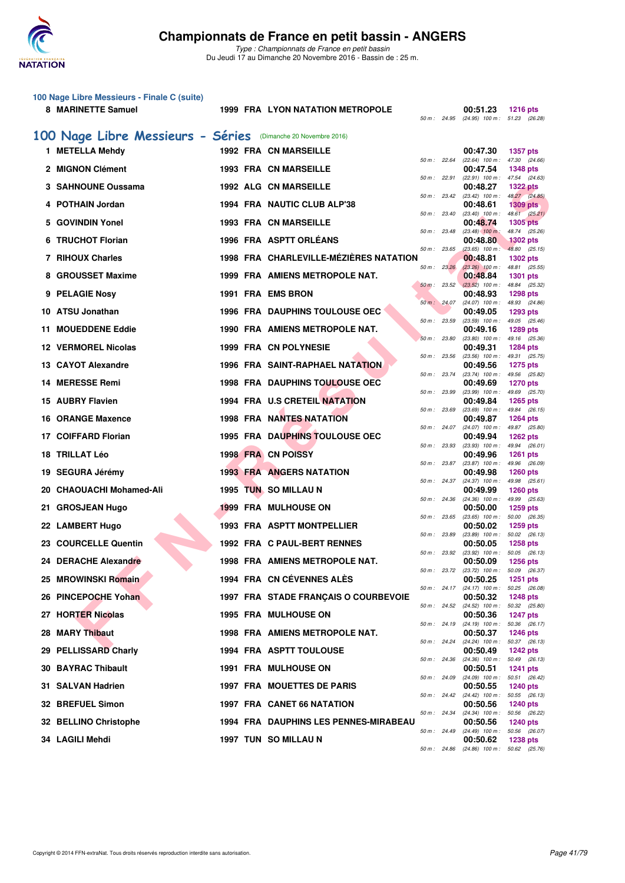

|   | 100 Nage Libre Messieurs - Finale C (suite)<br>8 MARINETTE Samuel |  | <b>1999 FRA LYON NATATION METROPOLE</b> |              |              | 00:51.23<br>50 m: 24.95 (24.95) 100 m: 51.23 (26.28)   | <b>1216 pts</b>                  |
|---|-------------------------------------------------------------------|--|-----------------------------------------|--------------|--------------|--------------------------------------------------------|----------------------------------|
|   | 100 Nage Libre Messieurs - Séries (Dimanche 20 Novembre 2016)     |  |                                         |              |              |                                                        |                                  |
|   | 1 METELLA Mehdy                                                   |  | <b>1992 FRA CN MARSEILLE</b>            |              |              | 00:47.30                                               | <b>1357 pts</b>                  |
|   | 2 MIGNON Clément                                                  |  | <b>1993 FRA CN MARSEILLE</b>            | 50 m: 22.64  |              | (22.64) 100 m: 47.30 (24.66)<br>00:47.54               | <b>1348 pts</b>                  |
|   | 3 SAHNOUNE Oussama                                                |  | <b>1992 ALG CN MARSEILLE</b>            | 50 m: 22.91  |              | (22.91) 100 m: 47.54 (24.63)<br>00:48.27               | <b>1322 pts</b>                  |
|   | 4 POTHAIN Jordan                                                  |  | 1994 FRA NAUTIC CLUB ALP'38             |              | 50 m : 23.42 | $(23.42)$ 100 m : $48.27$ $(24.85)$<br>00:48.61        | <b>1309 pts</b>                  |
|   | 5 GOVINDIN Yonel                                                  |  | <b>1993 FRA CN MARSEILLE</b>            |              | 50 m : 23.40 | $(23.40)$ 100 m : 48.61 $(25.21)$<br>00:48.74          | <b>1305 pts</b>                  |
|   | 6 TRUCHOT Florian                                                 |  | 1996 FRA ASPTT ORLÉANS                  | 50 m: 23.48  |              | $(23.48)$ 100 m:                                       | 48.74 (25.26)                    |
|   |                                                                   |  |                                         | 50 m: 23.65  |              | 00:48.80<br>$(23.65)$ 100 m : 48.80 $(25.15)$          | <b>1302 pts</b>                  |
|   | 7 RIHOUX Charles                                                  |  | 1998 FRA CHARLEVILLE-MÉZIÈRES NATATION  | 50 m: 23.26  |              | 00:48.81<br>$(23.26)$ 100 m : 48.81 $(25.55)$          | 1302 pts                         |
| 8 | <b>GROUSSET Maxime</b>                                            |  | 1999 FRA AMIENS METROPOLE NAT.          | 50 m: 23.52  |              | 00:48.84<br>$(23.52)$ 100 m : 48.84 $(25.32)$          | 1301 pts                         |
|   | 9 PELAGIE Nosy                                                    |  | 1991 FRA EMS BRON                       |              | 50 m: 24.07  | 00:48.93<br>(24.07) 100 m: 48.93 (24.86)               | <b>1298 pts</b>                  |
|   | 10 ATSU Jonathan                                                  |  | <b>1996 FRA DAUPHINS TOULOUSE OEC</b>   | 50 m: 23.59  |              | 00:49.05<br>$(23.59)$ 100 m : 49.05 $(25.46)$          | 1293 pts                         |
|   | 11 MOUEDDENE Eddie                                                |  | 1990 FRA AMIENS METROPOLE NAT.          | 50 m : 23.80 |              | 00:49.16<br>$(23.80)$ 100 m : 49.16 $(25.36)$          | <b>1289 pts</b>                  |
|   | <b>12 VERMOREL Nicolas</b>                                        |  | 1999 FRA CN POLYNESIE                   |              |              | 00:49.31                                               | 1284 pts                         |
|   | 13 CAYOT Alexandre                                                |  | <b>1996 FRA SAINT-RAPHAEL NATATION</b>  | 50 m: 23.56  |              | (23.56) 100 m :<br>00:49.56                            | 49.31 (25.75)<br>1275 pts        |
|   | 14 MERESSE Remi                                                   |  | <b>1998 FRA DAUPHINS TOULOUSE OEC</b>   | 50 m : 23.74 |              | (23.74) 100 m: 49.56 (25.82)<br>00:49.69               | <b>1270 pts</b>                  |
|   | 15 AUBRY Flavien                                                  |  | 1994 FRA U.S CRETEIL NATATION           | 50 m : 23.99 |              | (23.99) 100 m: 49.69 (25.70)<br>00:49.84               | <b>1265 pts</b>                  |
|   | 16 ORANGE Maxence                                                 |  | <b>1998 FRA NANTES NATATION</b>         | 50 m: 23.69  |              | $(23.69)$ 100 m : 49.84 $(26.15)$<br>00:49.87          | <b>1264 pts</b>                  |
|   | 17 COIFFARD Florian                                               |  | <b>1995 FRA DAUPHINS TOULOUSE OEC</b>   |              |              | 50 m: 24.07 (24.07) 100 m: 49.87 (25.80)<br>00:49.94   | 1262 pts                         |
|   | 18 TRILLAT Léo                                                    |  | 1998 FRA CN POISSY                      | 50 m: 23.93  |              | $(23.93)$ 100 m :<br>00:49.96                          | 49.94 (26.01)<br><b>1261 pts</b> |
|   |                                                                   |  |                                         |              | 50 m : 23.87 | (23.87) 100 m: 49.96 (26.09)                           |                                  |
|   | 19 SEGURA Jérémy                                                  |  | <b>1993 FRA ANGERS NATATION</b>         | 50 m : 24.37 |              | 00:49.98<br>(24.37) 100 m: 49.98 (25.61)               | <b>1260 pts</b>                  |
|   | 20 CHAOUACHI Mohamed-Ali                                          |  | 1995 TUN SO MILLAU N                    | 50 m: 24.36  |              | 00:49.99<br>(24.36) 100 m: 49.99 (25.63)               | 1260 pts                         |
|   | 21 GROSJEAN Hugo                                                  |  | <b>1999 FRA MULHOUSE ON</b>             |              | 50 m : 23.65 | 00:50.00<br>$(23.65)$ 100 m : 50.00 $(26.35)$          | <b>1259 pts</b>                  |
|   | 22 LAMBERT Hugo                                                   |  | <b>1993 FRA ASPTT MONTPELLIER</b>       | 50 m : 23.89 |              | 00:50.02<br>(23.89) 100 m: 50.02 (26.13)               | 1259 pts                         |
|   | 23 COURCELLE Quentin                                              |  | 1992 FRA C PAUL-BERT RENNES             | 50 m: 23.92  |              | 00:50.05<br>$(23.92)$ 100 m :                          | <b>1258 pts</b><br>50.05 (26.13) |
|   | 24 DERACHE Alexandre                                              |  | 1998 FRA AMIENS METROPOLE NAT.          |              |              | 00:50.09<br>50 m : 23.72 (23.72) 100 m : 50.09 (26.37) | <b>1256 pts</b>                  |
|   | 25 MROWINSKI Romain                                               |  | 1994 FRA CN CEVENNES ALES               |              |              | 00:50.25                                               | 1251 pts                         |
|   | 26 PINCEPOCHE Yohan                                               |  | 1997 FRA STADE FRANÇAIS O COURBEVOIE    |              |              | 50 m: 24.17 (24.17) 100 m: 50.25 (26.08)<br>00:50.32   | <b>1248 pts</b>                  |
|   | 27 HORTER Nicolas                                                 |  | 1995 FRA MULHOUSE ON                    |              |              | 50 m : 24.52 (24.52) 100 m : 50.32 (25.80)<br>00:50.36 | <b>1247 pts</b>                  |
|   | 28 MARY Thibaut                                                   |  | 1998 FRA AMIENS METROPOLE NAT.          |              |              | 50 m: 24.19 (24.19) 100 m: 50.36 (26.17)<br>00:50.37   | <b>1246 pts</b>                  |
|   | 29 PELLISSARD Charly                                              |  | <b>1994 FRA ASPTT TOULOUSE</b>          |              |              | 50 m: 24.24 (24.24) 100 m: 50.37 (26.13)<br>00:50.49   | <b>1242 pts</b>                  |
|   | <b>30 BAYRAC Thibault</b>                                         |  | <b>1991 FRA MULHOUSE ON</b>             |              |              | 50 m: 24.36 (24.36) 100 m: 50.49 (26.13)<br>00:50.51   | <b>1241 pts</b>                  |
|   | 31 SALVAN Hadrien                                                 |  | 1997 FRA MOUETTES DE PARIS              |              | 50 m : 24.09 | (24.09) 100 m: 50.51 (26.42)<br>00:50.55               | <b>1240 pts</b>                  |
|   |                                                                   |  |                                         |              | 50 m: 24.42  | $(24.42)$ 100 m : 50.55 $(26.13)$                      |                                  |
|   | 32 BREFUEL Simon                                                  |  | 1997 FRA CANET 66 NATATION              |              | 50 m : 24.34 | 00:50.56<br>(24.34) 100 m : 50.56 (26.22)              | <b>1240 pts</b>                  |
|   | 32 BELLINO Christophe                                             |  | 1994 FRA DAUPHINS LES PENNES-MIRABEAU   |              |              | 00:50.56<br>50 m : 24.49 (24.49) 100 m : 50.56 (26.07) | <b>1240 pts</b>                  |
|   | 34 LAGILI Mehdi                                                   |  | 1997 TUN SO MILLAU N                    |              |              | 00:50.62<br>50 m: 24.86 (24.86) 100 m: 50.62 (25.76)   | <b>1238 pts</b>                  |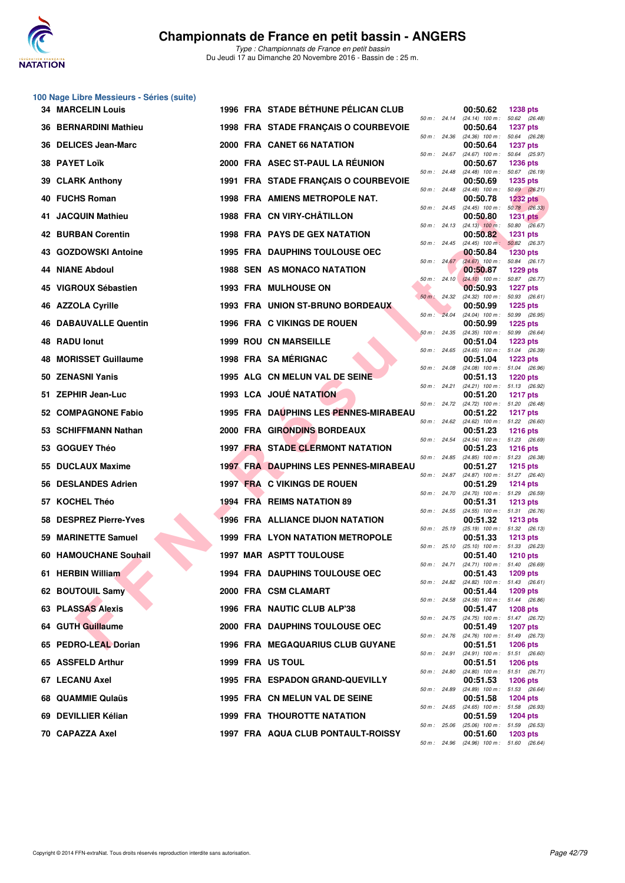

|    | 100 Nage Libre Messieurs - Séries (suite) |  |                                              |                |                                                        |                                    |
|----|-------------------------------------------|--|----------------------------------------------|----------------|--------------------------------------------------------|------------------------------------|
|    | <b>34 MARCELIN Louis</b>                  |  | 1996 FRA STADE BÉTHUNE PÉLICAN CLUB          |                | 00:50.62<br>50 m: 24.14 (24.14) 100 m: 50.62 (26.48)   | <b>1238 pts</b>                    |
|    | <b>36 BERNARDINI Mathieu</b>              |  | 1998 FRA STADE FRANÇAIS O COURBEVOIE         | 50 m : 24.36   | 00:50.64<br>$(24.36)$ 100 m : 50.64 $(26.28)$          | <b>1237 pts</b>                    |
|    | 36 DELICES Jean-Marc                      |  | 2000 FRA CANET 66 NATATION                   |                | 00:50.64                                               | <b>1237 pts</b>                    |
|    | 38 PAYET Loïk                             |  | 2000 FRA ASEC ST-PAUL LA REUNION             | 50 m: 24.67    | $(24.67)$ 100 m :<br>00:50.67                          | 50.64 (25.97)<br><b>1236 pts</b>   |
| 39 | <b>CLARK Anthony</b>                      |  | 1991 FRA STADE FRANÇAIS O COURBEVOIE         | 50 m: 24.48    | $(24.48)$ 100 m : 50.67 (26.19)<br>00:50.69            | <b>1235 pts</b>                    |
|    | 40 FUCHS Roman                            |  | <b>1998 FRA AMIENS METROPOLE NAT.</b>        | 50 m: 24.48    | $(24.48)$ 100 m : 50.69 $(26.21)$<br>00:50.78          | <b>1232 pts</b>                    |
|    | 41 JACQUIN Mathieu                        |  | 1988 FRA CN VIRY-CHÂTILLON                   | 50 m: 24.45    | $(24.45)$ 100 m : 50.78 $(26.33)$<br>00:50.80          | <b>1231 pts</b>                    |
|    | <b>42 BURBAN Corentin</b>                 |  | 1998 FRA PAYS DE GEX NATATION                |                | 50 m : 24.13 (24.13) 100 m : 50.80 (26.67)<br>00:50.82 | <b>1231 pts</b>                    |
|    | 43 GOZDOWSKI Antoine                      |  | <b>1995 FRA DAUPHINS TOULOUSE OEC</b>        | 50 m: 24.45    | $(24.45)$ 100 m :<br>00:50.84                          | 50.82 (26.37)<br><b>1230 pts</b>   |
|    | 44 NIANE Abdoul                           |  | <b>1988 SEN AS MONACO NATATION</b>           | 50 m: 24.67    | (24.67) 100 m: 50.84 (26.17)<br>00:50.87               | <b>1229 pts</b>                    |
|    | 45 VIGROUX Sébastien                      |  | <b>1993 FRA MULHOUSE ON</b>                  | $50 m$ : 24.10 | $(24.10)$ 100 m : 50.87 (26.77)<br>00:50.93            | <b>1227 pts</b>                    |
|    | 46 AZZOLA Cyrille                         |  | 1993 FRA UNION ST-BRUNO BORDEAUX             | 50 m: 24.32    | (24.32) 100 m: 50.93 (26.61)<br>00:50.99               | <b>1225 pts</b>                    |
|    | <b>46 DABAUVALLE Quentin</b>              |  | 1996 FRA C VIKINGS DE ROUEN                  | 50 m: 24.04    | (24.04) 100 m: 50.99 (26.95)<br>00:50.99               | <b>1225 pts</b>                    |
|    | 48 RADU lonut                             |  | <b>1999 ROU CN MARSEILLE</b>                 | 50 m: 24.35    | (24.35) 100 m: 50.99 (26.64)<br>00:51.04               | <b>1223 pts</b>                    |
| 48 | <b>MORISSET Guillaume</b>                 |  | 1998 FRA SAMÉRIGNAC                          | 50 m : 24.65   | $(24.65)$ 100 m : 51.04 (26.39)<br>00:51.04            | <b>1223 pts</b>                    |
|    | 50 ZENASNI Yanis                          |  | 1995 ALG CN MELUN VAL DE SEINE               | 50 m: 24.08    | $(24.08)$ 100 m : 51.04 (26.96)<br>00:51.13            | <b>1220 pts</b>                    |
|    | 51 ZEPHIR Jean-Luc                        |  | 1993 LCA JOUÉ NATATION                       | 50 m : 24.21   | (24.21) 100 m: 51.13 (26.92)<br>00:51.20               | <b>1217 pts</b>                    |
|    | 52 COMPAGNONE Fabio                       |  | 1995 FRA DAUPHINS LES PENNES-MIRABEAU        | 50 m : 24.72   | (24.72) 100 m: 51.20 (26.48)<br>00:51.22               | <b>1217 pts</b>                    |
|    | 53 SCHIFFMANN Nathan                      |  | 2000 FRA GIRONDINS BORDEAUX                  | 50 m : 24.62   | $(24.62)$ 100 m : 51.22 $(26.60)$<br>00:51.23          | <b>1216 pts</b>                    |
|    | 53 GOGUEY Théo                            |  | <b>1997 FRA STADE CLERMONT NATATION</b>      | 50 m : 24.54   | (24.54) 100 m: 51.23 (26.69)<br>00:51.23               | <b>1216 pts</b>                    |
|    | 55 DUCLAUX Maxime                         |  | <b>1997 FRA DAUPHINS LES PENNES-MIRABEAU</b> | 50 m : 24.85   | $(24.85)$ 100 m : 51.23 $(26.38)$<br>00:51.27          | <b>1215 pts</b>                    |
|    | 56 DESLANDES Adrien                       |  | 1997 FRA C VIKINGS DE ROUEN                  | 50 m : 24.87   | (24.87) 100 m: 51.27 (26.40)<br>00:51.29               | <b>1214 pts</b>                    |
|    | 57 KOCHEL Théo                            |  | <b>1994 FRA REIMS NATATION 89</b>            | 50 m : 24.70   | (24.70) 100 m: 51.29 (26.59)<br>00:51.31               | <b>1213 pts</b>                    |
| 58 | <b>DESPREZ Pierre-Yves</b>                |  | <b>1996 FRA ALLIANCE DIJON NATATION</b>      | 50 m: 24.55    | (24.55) 100 m: 51.31 (26.76)<br>00:51.32               | <b>1213 pts</b>                    |
|    | 59 MARINETTE Samuel                       |  | <b>1999 FRA LYON NATATION METROPOLE</b>      |                | 50 m: 25.19 (25.19) 100 m: 51.32 (26.13)<br>00:51.33   | <b>1213 pts</b>                    |
|    | 60 HAMOUCHANE Soubail                     |  | <b>1997 MAR ASPTT TOULOUSE</b>               | 50 m: 25.10    | (25.10) 100 m : 51.33 (26.23)<br>00:51.40              | <b>1210 pts</b>                    |
|    | 61 HERBIN William                         |  | <b>1994 FRA DAUPHINS TOULOUSE OEC</b>        | 50 m : 24.71   | $(24.71)$ 100 m : 51.40 $(26.69)$<br>00:51.43          | <b>1209 pts</b>                    |
|    | 62 BOUTOUIL Samy                          |  | 2000 FRA CSM CLAMART                         | 50 m: 24.82    | $(24.82)$ 100 m : 51.43 $(26.61)$<br>00:51.44          | 1209 pts                           |
|    | 63 PLASSAS Alexis                         |  | 1996 FRA NAUTIC CLUB ALP'38                  | 50 m: 24.58    | (24.58) 100 m: 51.44 (26.86)                           |                                    |
|    | 64 GUTH Guillaume                         |  | 2000 FRA DAUPHINS TOULOUSE OEC               | 50 m : 24.75   | 00:51.47<br>(24.75) 100 m: 51.47 (26.72)               | <b>1208 pts</b><br><b>1207 pts</b> |
|    | 65 PEDRO-LEAL Dorian                      |  |                                              | 50 m : 24.76   | 00:51.49<br>(24.76) 100 m: 51.49 (26.73)               |                                    |
|    |                                           |  | <b>1996 FRA MEGAQUARIUS CLUB GUYANE</b>      | 50 m : 24.91   | 00:51.51<br>(24.91) 100 m: 51.51 (26.60)               | <b>1206 pts</b>                    |
|    | 65 ASSFELD Arthur                         |  | 1999 FRA US TOUL                             | 50 m : 24.80   | 00:51.51<br>$(24.80)$ 100 m : 51.51 $(26.71)$          | <b>1206 pts</b>                    |
|    | 67 LECANU Axel                            |  | 1995 FRA ESPADON GRAND-QUEVILLY              | 50 m : 24.89   | 00:51.53<br>(24.89) 100 m: 51.53 (26.64)               | <b>1206 pts</b>                    |
|    | 68 QUAMMIE Qulaüs                         |  | 1995 FRA CN MELUN VAL DE SEINE               | 50 m: 24.65    | 00:51.58<br>(24.65) 100 m: 51.58 (26.93)               | 1204 pts                           |
|    | 69 DEVILLIER Kélian                       |  | <b>1999 FRA THOUROTTE NATATION</b>           | 50 m: 25.06    | 00:51.59<br>(25.06) 100 m: 51.59 (26.53)               | <b>1204 pts</b>                    |
|    | 70 CAPAZZA Axel                           |  | 1997 FRA AQUA CLUB PONTAULT-ROISSY           |                | 00:51.60<br>50 m: 24.96 (24.96) 100 m: 51.60 (26.64)   | 1203 pts                           |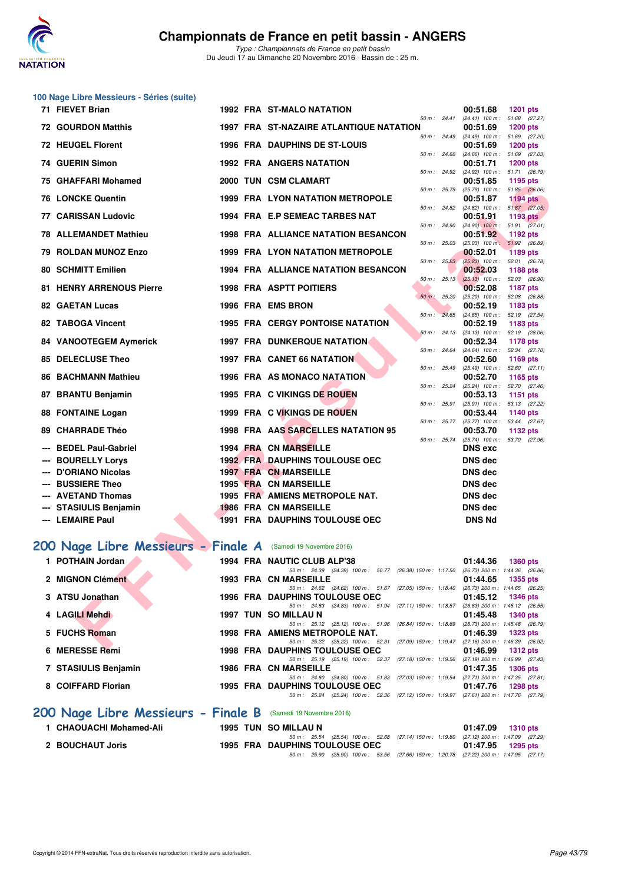

|     | 100 Nage Libre Messieurs - Séries (suite)                     |  |                                                                                                                          |              |                                                                               |                 |
|-----|---------------------------------------------------------------|--|--------------------------------------------------------------------------------------------------------------------------|--------------|-------------------------------------------------------------------------------|-----------------|
|     | 71 FIEVET Brian                                               |  | 1992 FRA ST-MALO NATATION                                                                                                |              | 00:51.68                                                                      | <b>1201 pts</b> |
|     | <b>72 GOURDON Matthis</b>                                     |  | <b>1997 FRA ST-NAZAIRE ATLANTIQUE NATATION</b>                                                                           | 50 m : 24.41 | $(24.41)$ 100 m : 51.68 $(27.27)$<br>00:51.69                                 | <b>1200 pts</b> |
|     | <b>72 HEUGEL Florent</b>                                      |  | 1996 FRA DAUPHINS DE ST-LOUIS                                                                                            | 50 m : 24.49 | $(24.49)$ 100 m : 51.69 $(27.20)$<br>00:51.69                                 | <b>1200 pts</b> |
|     | 74 GUERIN Simon                                               |  | 50 m: 24.66<br><b>1992 FRA ANGERS NATATION</b>                                                                           |              | $(24.66)$ 100 m : 51.69 $(27.03)$<br>00:51.71                                 | <b>1200 pts</b> |
| 75. | <b>GHAFFARI Mohamed</b>                                       |  | 50 m: 24.92<br>2000 TUN CSM CLAMART<br>50 m : 25.79                                                                      |              | (24.92) 100 m: 51.71 (26.79)<br>00:51.85<br>$(25.79)$ 100 m : 51.85 $(26.06)$ | 1195 pts        |
|     | <b>76 LONCKE Quentin</b>                                      |  | 1999 FRA LYON NATATION METROPOLE                                                                                         | 50 m : 24.82 | 00:51.87<br>$(24.82)$ 100 m : 51.87 $(27.05)$                                 | <b>1194 pts</b> |
|     | 77 CARISSAN Ludovic                                           |  | 1994 FRA E.P SEMEAC TARBES NAT                                                                                           | 50 m : 24.90 | 00:51.91<br>$(24.90)$ 100 m : 51.91 $(27.01)$                                 | 1193 pts        |
|     | <b>78 ALLEMANDET Mathieu</b>                                  |  | <b>1998 FRA ALLIANCE NATATION BESANCON</b><br>50 m: 25.03                                                                |              | 00:51.92<br>$(25.03)$ 100 m : 51.92 (26.89)                                   | 1192 pts        |
|     | 79 ROLDAN MUNOZ Enzo                                          |  | 1999 FRA LYON NATATION METROPOLE                                                                                         | 50 m: 25.23  | 00:52.01<br>(25.23) 100 m: 52.01 (26.78)                                      | <b>1189 pts</b> |
|     | <b>80 SCHMITT Emilien</b>                                     |  | <b>1994 FRA ALLIANCE NATATION BESANCON</b><br>$50 m$ : 25.13                                                             |              | 00:52.03<br>$(25.13)$ 100 m : 52.03 (26.90)                                   | <b>1188 pts</b> |
|     | <b>81 HENRY ARRENOUS Pierre</b>                               |  | <b>1998 FRA ASPTT POITIERS</b><br>$50 m$ : 25.20                                                                         |              | 00:52.08<br>(25.20) 100 m: 52.08 (26.88)                                      | <b>1187 pts</b> |
|     | <b>82 GAETAN Lucas</b>                                        |  | 1996 FRA EMS BRON                                                                                                        | 50 m: 24.65  | 00:52.19<br>$(24.65)$ 100 m : 52.19 $(27.54)$                                 | 1183 pts        |
|     | 82 TABOGA Vincent                                             |  | <b>1995 FRA CERGY PONTOISE NATATION</b>                                                                                  | 50 m: 24.13  | 00:52.19<br>$(24.13)$ 100 m : 52.19 $(28.06)$                                 | 1183 pts        |
|     | 84 VANOOTEGEM Aymerick                                        |  | <b>1997 FRA DUNKERQUE NATATION</b>                                                                                       | 50 m : 24.64 | 00:52.34<br>$(24.64)$ 100 m : 52.34 $(27.70)$                                 | 1178 pts        |
|     | 85 DELECLUSE Theo                                             |  | <b>1997 FRA CANET 66 NATATION</b><br>50 m : 25.49                                                                        |              | 00:52.60<br>$(25.49)$ 100 m : 52.60 $(27.11)$                                 | 1169 pts        |
|     | 86 BACHMANN Mathieu                                           |  | 1996 FRA AS MONACO NATATION<br>50 m: 25.24                                                                               |              | 00:52.70<br>(25.24) 100 m: 52.70 (27.46)                                      | 1165 pts        |
| 87  | <b>BRANTU Benjamin</b>                                        |  | 1995 FRA C VIKINGS DE ROUEN                                                                                              | 50 m : 25.91 | 00:53.13<br>(25.91) 100 m: 53.13 (27.22)                                      | 1151 pts        |
|     | 88 FONTAINE Logan                                             |  | 1999 FRA C VIKINGS DE ROUEN                                                                                              | 50 m : 25.77 | 00:53.44<br>$(25.77)$ 100 m : 53.44 $(27.67)$                                 | 1140 pts        |
| 89  | <b>CHARRADE Théo</b>                                          |  | 1998 FRA AAS SARCELLES NATATION 95                                                                                       | 50 m : 25.74 | 00:53.70<br>(25.74) 100 m: 53.70 (27.96)                                      | 1132 pts        |
|     | <b>BEDEL Paul-Gabriel</b><br><b>BOURELLY Lorys</b>            |  | <b>1994 FRA CN MARSEILLE</b><br><b>1992 FRA DAUPHINS TOULOUSE OEC</b>                                                    |              | <b>DNS</b> exc<br>DNS dec                                                     |                 |
|     | D'ORIANO Nicolas                                              |  | <b>1997 FRA CN MARSEILLE</b>                                                                                             |              | DNS dec                                                                       |                 |
|     | <b>BUSSIERE Theo</b>                                          |  | <b>1995 FRA CN MARSEILLE</b>                                                                                             |              | DNS dec                                                                       |                 |
|     | <b>AVETAND Thomas</b>                                         |  | 1995 FRA AMIENS METROPOLE NAT.                                                                                           |              | DNS dec                                                                       |                 |
|     | <b>STASIULIS Benjamin</b>                                     |  | <b>1986 FRA CN MARSEILLE</b>                                                                                             |              | DNS dec                                                                       |                 |
|     | <b>LEMAIRE Paul</b>                                           |  | 1991 FRA DAUPHINS TOULOUSE OEC                                                                                           |              | <b>DNS Nd</b>                                                                 |                 |
|     | 200 Nage Libre Messieurs - Finale A (Samedi 19 Novembre 2016) |  |                                                                                                                          |              |                                                                               |                 |
|     | 1 POTHAIN Jordan                                              |  | 1994 FRA NAUTIC CLUB ALP'38<br>50 m: 24.39 (24.39) 100 m: 50.77 (26.38) 150 m: 1:17.50 (26.73) 200 m: 1:44.36 (26.86)    |              | 01:44.36 1360 pts                                                             |                 |
|     | 2 MIGNON Clément                                              |  | 1993 FRA CN MARSEILLE<br>50 m: 24.62 (24.62) 100 m: 51.67 (27.05) 150 m: 1:18.40                                         |              | 01:44.65<br>(26.73) 200 m: 1:44.65 (26.25)                                    | <b>1355 pts</b> |
|     | 3 ATSU Jonathan                                               |  | <b>1996 FRA DAUPHINS TOULOUSE OEC</b><br>50 m: 24.83 (24.83) 100 m: 51.94 (27.11) 150 m: 1:18.57                         |              | 01:45.12<br>$(26.63)$ 200 m : 1:45.12 $(26.55)$                               | 1346 pts        |
|     | 4 LAGILI Mehdi                                                |  | 1997 TUN SO MILLAU N<br>50 m: 25.12 (25.12) 100 m: 51.96 (26.84) 150 m: 1:18.69 (26.73) 200 m: 1:45.48 (26.79)           |              | 01:45.48                                                                      | <b>1340 pts</b> |
|     | 5 FUCHS Roman                                                 |  | 1998 FRA AMIENS METROPOLE NAT.<br>50 m: 25.22 (25.22) 100 m: 52.31 (27.09) 150 m: 1:19.47 (27.16) 200 m: 1:46.39 (26.92) |              | 01:46.39                                                                      | 1323 pts        |
|     | $C$ MEDECAE Dami                                              |  | 1000 EDA BAUBUNG TOULOUSE OFC                                                                                            |              | $04 - AC$ 00                                                                  | 3040            |

#### [200 Nage Libre Messieurs - Finale A](http://www.ffnatation.fr/webffn/resultats.php?idact=nat&go=epr&idcpt=41163&idepr=53) (Samedi 19 Novembre 2016)

| 1 POTHAIN Jordan                                              |  | 1994 FRA NAUTIC CLUB ALP'38                                                            | 01:44.36                            | 1360 pts        |  |
|---------------------------------------------------------------|--|----------------------------------------------------------------------------------------|-------------------------------------|-----------------|--|
|                                                               |  | 50 m: 24.39 (24.39) 100 m: 50.77 (26.38) 150 m: 1:17.50                                | $(26.73)$ 200 m : 1:44.36 $(26.86)$ |                 |  |
| 2 MIGNON Clément                                              |  | <b>1993 FRA CN MARSEILLE</b>                                                           | 01:44.65                            | 1355 pts        |  |
|                                                               |  | 50 m: 24.62 (24.62) 100 m: 51.67 (27.05) 150 m: 1:18.40                                | $(26.73)$ 200 m : 1:44.65 $(26.25)$ |                 |  |
| 3 ATSU Jonathan                                               |  | 1996 FRA DAUPHINS TOULOUSE OEC                                                         | 01:45.12                            | <b>1346 pts</b> |  |
|                                                               |  | 50 m: 24.83 (24.83) 100 m: 51.94 (27.11) 150 m: 1:18.57                                | $(26.63)$ 200 m : 1:45.12 $(26.55)$ |                 |  |
| 4 LAGILI Mehdi                                                |  | 1997 TUN SO MILLAU N                                                                   | 01:45.48                            | 1340 pts        |  |
|                                                               |  | 50 m: 25.12 (25.12) 100 m: 51.96 (26.84) 150 m: 1:18.69                                | $(26.73)$ 200 m : 1:45.48 $(26.79)$ |                 |  |
| 5 FUCHS Roman                                                 |  | 1998 FRA AMIENS METROPOLE NAT.                                                         | 01:46.39                            | 1323 pts        |  |
|                                                               |  | 50 m: 25.22 (25.22) 100 m: 52.31 (27.09) 150 m: 1:19.47 (27.16) 200 m: 1:46.39 (26.92) |                                     |                 |  |
| 6 MERESSE Remi                                                |  | 1998 FRA DAUPHINS TOULOUSE OEC                                                         | 01:46.99                            | 1312 $pts$      |  |
|                                                               |  | 50 m: 25.19 (25.19) 100 m: 52.37 (27.18) 150 m: 1:19.56 (27.19) 200 m: 1:46.99 (27.43) |                                     |                 |  |
| 7 STASIULIS Benjamin                                          |  | <b>1986 FRA CN MARSEILLE</b>                                                           | 01:47.35                            | 1306 pts        |  |
|                                                               |  | 50 m: 24.80 (24.80) 100 m: 51.83 (27.03) 150 m: 1:19.54 (27.71) 200 m: 1:47.35 (27.81) |                                     |                 |  |
| 8 COIFFARD Florian                                            |  | 1995 FRA DAUPHINS TOULOUSE OEC                                                         | 01:47.76                            | 1298 pts        |  |
|                                                               |  | 50 m: 25.24 (25.24) 100 m: 52.36 (27.12) 150 m: 1:19.97 (27.61) 200 m: 1:47.76 (27.79) |                                     |                 |  |
| 200 Nage Libre Messieurs - Finale B (Samedi 19 Novembre 2016) |  |                                                                                        |                                     |                 |  |
| 1 CHAOUACHI Mohamed-Ali                                       |  | 1995 TUN SO MILLAU N                                                                   | 01:47.09                            | <b>1310 pts</b> |  |
|                                                               |  | .                                                                                      |                                     |                 |  |

1 CHAOUACHI Mohamed-Ali 1995 TUN SO MILLAU N<br>50 m: 25.54 (25.54) 100 m: 52.68 (27.14) 150 m: 1:19.80 (27.12) 200 m: 1:47.09 (27.29)<br>2 BOUCHAUT Joris 1995 FRA DAUPHINS TOULOUSE OEC 01:47.95 1295 pts<br>50 c5.90 (25.90) 100 m: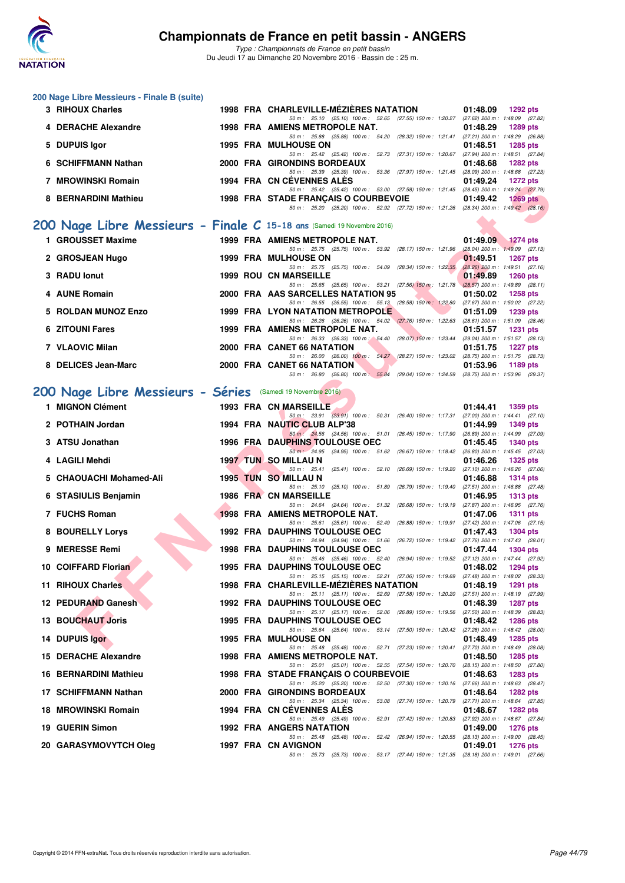

|   | 200 Nage Libre Messieurs - Finale B (suite)<br>3 RIHOUX Charles         |  | 1998 FRA CHARLEVILLE-MEZIERES NATATION                                                                                               | 01:48.09<br><b>1292 pts</b>                                        |
|---|-------------------------------------------------------------------------|--|--------------------------------------------------------------------------------------------------------------------------------------|--------------------------------------------------------------------|
|   | 4 DERACHE Alexandre                                                     |  | 50 m: 25.10 (25.10) 100 m: 52.65 (27.55) 150 m: 1:20.27 (27.62) 200 m: 1:48.09 (27.82)<br>1998 FRA AMIENS METROPOLE NAT.             | 01:48.29<br>1289 pts                                               |
|   | <b>DUPUIS Igor</b>                                                      |  | 50 m: 25.88 (25.88) 100 m: 54.20 (28.32) 150 m: 1:21.41 (27.21) 200 m: 1:48.29 (26.88)<br><b>1995 FRA MULHOUSE ON</b>                | 01:48.51<br><b>1285 pts</b>                                        |
|   |                                                                         |  | 50 m: 25.42 (25.42) 100 m: 52.73 (27.31) 150 m: 1:20.67 (27.94) 200 m: 1:48.51 (27.84)                                               |                                                                    |
| 6 | <b>SCHIFFMANN Nathan</b>                                                |  | 2000 FRA GIRONDINS BORDEAUX<br>50 m: 25.39 (25.39) 100 m: 53.36 (27.97) 150 m: 1:21.45 (28.09) 200 m: 1:48.68 (27.23)                | 01:48.68<br><b>1282 pts</b>                                        |
|   | 7 MROWINSKI Romain                                                      |  | 1994 FRA CN CEVENNES ALES<br>50 m: 25.42 (25.42) 100 m: 53.00 (27.58) 150 m: 1:21.45 (28.45) 200 m: 1:49.24 (27.79)                  | 01:49.24<br><b>1272 pts</b>                                        |
|   | 8 BERNARDINI Mathieu                                                    |  | 1998 FRA STADE FRANCAIS O COURBEVOIE<br>50 m: 25.20 (25.20) 100 m: 52.92 (27.72) 150 m: 1:21.26 (28.34) 200 m: 1:49.42 (28.16)       | 01:49.42<br>$1269$ pts                                             |
|   | 200 Nage Libre Messieurs - Finale C 15-18 ans (Samedi 19 Novembre 2016) |  |                                                                                                                                      |                                                                    |
|   | 1 GROUSSET Maxime                                                       |  | 1999 FRA AMIENS METROPOLE NAT.                                                                                                       | 01:49.09<br><b>1274 pts</b>                                        |
|   | 2 GROSJEAN Hugo                                                         |  | 50 m: 25.75 (25.75) 100 m: 53.92 (28.17) 150 m: 1:21.96<br><b>1999 FRA MULHOUSE ON</b>                                               | $(28.04)$ 200 m : 1:49.09 $(27.13)$<br>01:49.51<br><b>1267 pts</b> |
|   | 3 RADU lonut                                                            |  | 50 m: 25.75 (25.75) 100 m: 54.09 (28.34) 150 m: 1:22.35<br><b>1999 ROU CN MARSEILLE</b>                                              | $(28.26)$ 200 m : 1:49.51 $(27.16)$<br>01:49.89<br><b>1260 pts</b> |
|   | 4 AUNE Romain                                                           |  | 50 m: 25.65 (25.65) 100 m: 53.21 (27.56) 150 m: 1.21.78 (28.57) 200 m: 1.49.89 (28.11)<br>2000 FRA AAS SARCELLES NATATION 95         | 01:50.02<br><b>1258 pts</b>                                        |
|   | 5 ROLDAN MUNOZ Enzo                                                     |  | 50 m: 26.55 (26.55) 100 m: 55.13 (28.58) 150 m: 1.22.80 (27.67) 200 m: 1.50.02 (27.22)<br>1999 FRA LYON NATATION METROPOLE           | 01:51.09<br><b>1239 pts</b>                                        |
|   | <b>6 ZITOUNI Fares</b>                                                  |  | 50 m: 26.26 (26.26) 100 m: 54.02 (27.76) 150 m: 1:22.63 (28.61) 200 m: 1:51.09 (28.46)<br>1999 FRA AMIENS METROPOLE NAT.             | 01:51.57<br><b>1231 pts</b>                                        |
|   |                                                                         |  | 50 m: 26.33 (26.33) 100 m: 54.40 (28.07) 150 m: 1:23.44                                                                              | (29.04) 200 m: 1:51.57 (28.13)                                     |
|   | 7 VLAOVIC Milan                                                         |  | 2000 FRA CANET 66 NATATION<br>50 m: 26.00 (26.00) 100 m: 54.27 (28.27) 150 m: 1:23.02 (28.75) 200 m: 1:51.75 (28.73)                 | 01:51.75<br><b>1227 pts</b>                                        |
|   | 8 DELICES Jean-Marc                                                     |  | 2000 FRA CANET 66 NATATION<br>50 m: 26.80 (26.80) 100 m: 55.84 (29.04) 150 m: 1:24.59 (28.75) 200 m: 1:53.96 (29.37)                 | 01:53.96<br>1189 pts                                               |
|   | 200 Nage Libre Messieurs - Séries (Samedi 19 Novembre 2016)             |  |                                                                                                                                      |                                                                    |
|   | 1 MIGNON Clément                                                        |  | <b>1993 FRA CN MARSEILLE</b>                                                                                                         | 01:44.41<br><b>1359 pts</b>                                        |
|   | 2 POTHAIN Jordan                                                        |  | 50 m: 23.91 (23.91) 100 m: 50.31 (26.40) 150 m: 1:17.31 (27.00) 200 m: 1:44.41 (27.10)<br>1994 FRA NAUTIC CLUB ALP'38                | 01:44.99<br><b>1349 pts</b>                                        |
|   | 3 ATSU Jonathan                                                         |  | 50 m : 24.56 (24.56) 100 m : 51.01 (26.45) 150 m : 1:17.90 (26.89) 200 m : 1:44.99 (27.09)<br><b>1996 FRA DAUPHINS TOULOUSE OEC</b>  | 01:45.45<br><b>1340 pts</b>                                        |
|   | 4 LAGILI Mehdi                                                          |  | 50 m: 24.95 (24.95) 100 m: 51.62 (26.67) 150 m: 1:18.42 (26.80) 200 m: 1:45.45 (27.03)<br><b>1997 TUN SO MILLAU N</b>                | 01:46.26<br><b>1325 pts</b>                                        |
|   | 5 CHAOUACHI Mohamed-Ali                                                 |  | 50 m: 25.41<br>$(25.41)$ 100 m : 52.10 $(26.69)$ 150 m : 1:19.20<br>1995 TUN SO MILLAU N                                             | (27.10) 200 m: 1:46.26 (27.06)<br>01:46.88<br><b>1314 pts</b>      |
|   | 6 STASIULIS Benjamin                                                    |  | 50 m: 25.10 (25.10) 100 m: 51.89 (26.79) 150 m: 1:19.40<br>1986 FRA CN MARSEILLE                                                     | (27.51) 200 m: 1:46.88 (27.48)<br>01:46.95<br><b>1313 pts</b>      |
|   |                                                                         |  | 50 m: 24.64 (24.64) 100 m: 51.32 (26.68) 150 m: 1:19.19 (27.87) 200 m: 1:46.95 (27.76)                                               |                                                                    |
|   | 7 FUCHS Roman                                                           |  | 1998 FRA AMIENS METROPOLE NAT.<br>50 m: 25.61 (25.61) 100 m: 52.49 (26.88) 150 m: 1:19.91 (27.42) 200 m: 1:47.06 (27.15)             | 01:47.06<br>1311 pts                                               |
|   | 8 BOURELLY Lorys                                                        |  | <b>1992 FRA DAUPHINS TOULOUSE OEC</b><br>50 m: 24.94 (24.94) 100 m: 51.66 (26.72) 150 m: 1:19.42 (27.76) 200 m: 1:47.43 (28.01)      | 01:47.43<br><b>1304 pts</b>                                        |
|   | 9 MERESSE Remi                                                          |  | <b>1998 FRA DAUPHINS TOULOUSE OEC</b><br>50 m: 25.46 (25.46) 100 m: 52.40 (26.94) 150 m: 1:19.52 (27.12) 200 m: 1:47.44 (27.92)      | 01:47.44<br><b>1304 pts</b>                                        |
|   | 10 COIFFARD Florian                                                     |  | 1995 FRA DAUPHINS TOULOUSE OEC<br>50 m: 25.15 (25.15) 100 m: 52.21 (27.06) 150 m: 1:19.69 (27.48) 200 m: 1:48.02 (28.33)             | 01:48.02<br>1294 pts                                               |
|   | 11 RIHOUX Charles                                                       |  | 1998 FRA CHARLEVILLE-MEZIERES NATATION<br>50 m : 25.11 (25.11) 100 m : 52.69 (27.58) 150 m : 1:20.20 (27.51) 200 m : 1:48.19 (27.99) | 01:48.19<br><b>1291 pts</b>                                        |
|   | 12 PEDURAND Ganesh                                                      |  | <b>1992 FRA DAUPHINS TOULOUSE OEC</b>                                                                                                | 01:48.39<br><b>1287 pts</b>                                        |
|   | <b>13 BOUCHAUT Joris</b>                                                |  | 50 m: 25.17 (25.17) 100 m: 52.06 (26.89) 150 m: 1:19.56 (27.50) 200 m: 1:48.39 (28.83)<br>1995 FRA DAUPHINS TOULOUSE OEC             | 01:48.42<br><b>1286 pts</b>                                        |
|   | 14 DUPUIS lgor                                                          |  | 50 m: 25.64 (25.64) 100 m: 53.14 (27.50) 150 m: 1:20.42 (27.28) 200 m: 1:48.42 (28.00)<br>1995 FRA MULHOUSE ON                       | 01:48.49<br>1285 pts                                               |
|   | 15 DERACHE Alexandre                                                    |  | 50 m: 25.48 (25.48) 100 m: 52.71 (27.23) 150 m: 1:20.41 (27.70) 200 m: 1:48.49 (28.08)<br>1998 FRA AMIENS METROPOLE NAT.             | 01:48.50<br>1285 pts                                               |
|   | <b>16 BERNARDINI Mathieu</b>                                            |  | 50 m : 25.01 (25.01) 100 m : 52.55 (27.54) 150 m : 1:20.70<br>1998 FRA STADE FRANÇAIS O COURBEVOIE                                   | (28.15) 200 m: 1:48.50 (27.80)<br>01:48.63<br>1283 pts             |
|   | 17 SCHIFFMANN Nathan                                                    |  | 50 m: 25.20 (25.20) 100 m: 52.50 (27.30) 150 m: 1:20.16 (27.66) 200 m: 1:48.63 (28.47)<br>2000 FRA GIRONDINS BORDEAUX                | 01:48.64<br>1282 pts                                               |
|   | 18 MROWINSKI Romain                                                     |  | 50 m : 25.34 (25.34) 100 m : 53.08 (27.74) 150 m : 1:20.79<br>1994 FRA CN CEVENNES ALES                                              | (27.71) 200 m: 1:48.64 (27.85)<br>01:48.67<br>1282 pts             |
|   | 19 GUERIN Simon                                                         |  | 50 m: 25.49 (25.49) 100 m: 52.91 (27.42) 150 m: 1:20.83 (27.92) 200 m: 1:48.67 (27.84)<br>1992 FRA ANGERS NATATION                   | 01:49.00<br><b>1276 pts</b>                                        |
|   |                                                                         |  | 50 m: 25.48 (25.48) 100 m: 52.42 (26.94) 150 m: 1:20.55 (28.13) 200 m: 1:49.00 (28.45)                                               |                                                                    |
|   | 20 GARASYMOVYTCH Oleg                                                   |  | 1997 FRA CN AVIGNON<br>50 m: 25.73 (25.73) 100 m: 53.17 (27.44) 150 m: 1:21.35 (28.18) 200 m: 1:49.01 (27.66)                        | 01:49.01<br><b>1276 pts</b>                                        |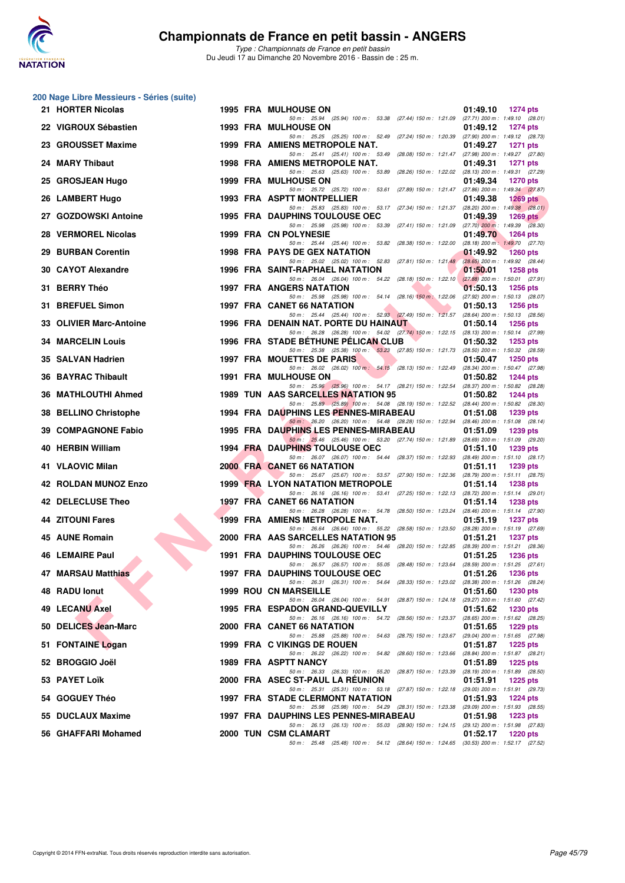

|     | 200 Nage Libre Messieurs - Séries (suite) |  |                                                                                                                                     |                                                                    |
|-----|-------------------------------------------|--|-------------------------------------------------------------------------------------------------------------------------------------|--------------------------------------------------------------------|
|     | 21 HORTER Nicolas                         |  | 1995 FRA MULHOUSE ON<br>50 m: 25.94 (25.94) 100 m: 53.38 (27.44) 150 m: 1:21.09 (27.71) 200 m: 1:49.10 (28.01)                      | 01:49.10<br><b>1274 pts</b>                                        |
|     | 22 VIGROUX Sébastien                      |  | <b>1993 FRA MULHOUSE ON</b>                                                                                                         | 01:49.12<br><b>1274 pts</b>                                        |
|     | 23 GROUSSET Maxime                        |  | 50 m: 25.25 (25.25) 100 m: 52.49 (27.24) 150 m: 1:20.39 (27.90) 200 m: 1:49.12 (28.73)<br>1999 FRA AMIENS METROPOLE NAT.            | 01:49.27<br><b>1271 pts</b>                                        |
|     | 24 MARY Thibaut                           |  | 50 m: 25.41 (25.41) 100 m: 53.49 (28.08) 150 m: 1:21.47<br>1998 FRA AMIENS METROPOLE NAT.                                           | (27.98) 200 m: 1:49.27 (27.80)<br>01:49.31<br><b>1271 pts</b>      |
|     | 25 GROSJEAN Hugo                          |  | 50 m: 25.63 (25.63) 100 m: 53.89 (28.26) 150 m: 1:22.02<br><b>1999 FRA MULHOUSE ON</b>                                              | (28.13) 200 m: 1:49.31 (27.29)<br>01:49.34<br><b>1270 pts</b>      |
|     | 26 LAMBERT Hugo                           |  | 50 m: 25.72 (25.72) 100 m: 53.61 (27.89) 150 m: 1:21.47<br>1993 FRA ASPTT MONTPELLIER                                               | (27.86) 200 m : 1:49.34 (27.87)<br>01:49.38<br>$1269$ pts          |
|     | 27 GOZDOWSKI Antoine                      |  | 50 m: 25.83 (25.83) 100 m: 53.17 (27.34) 150 m: 1:21.37 (28.20) 200 m: 1:49.38 (28.01)<br><b>1995 FRA DAUPHINS TOULOUSE OEC</b>     | 01:49.39<br><b>1269 pts</b>                                        |
|     | 28 VERMOREL Nicolas                       |  | 50 m: 25.98 (25.98) 100 m: 53.39 (27.41) 150 m: 1:21.09 (27.70) 200 m: 1:49.39 (28.30)<br>1999 FRA CN POLYNESIE                     | 01:49.70<br><b>1264 pts</b>                                        |
|     | 29 BURBAN Corentin                        |  | 50 m : 25.44 (25.44) 100 m : 53.82 (28.38) 150 m : 1:22.00<br><b>1998 FRA PAYS DE GEX NATATION</b>                                  | $(28.18)$ 200 m : 1:49.70 $(27.70)$<br>01:49.92<br><b>1260 pts</b> |
|     | 30 CAYOT Alexandre                        |  | 50 m: 25.02 (25.02) 100 m: 52.83 (27.81) 150 m: 1:21.48<br>1996 FRA SAINT-RAPHAEL NATATION                                          | (28.65) 200 m: 1:49.92 (28.44)<br>01:50.01<br><b>1258 pts</b>      |
|     | 31 BERRY Théo                             |  | 50 m: 26.04 (26.04) 100 m: 54.22 (28.18) 150 m: 1:22.10<br><b>1997 FRA ANGERS NATATION</b>                                          | $(27.88)$ 200 m : 1:50.01 (27.91)<br>01:50.13<br><b>1256 pts</b>   |
| 31. | <b>BREFUEL Simon</b>                      |  | 50 m : 25.98 (25.98) 100 m : 54.14 (28.16) 150 m : 1:22.06<br>1997 FRA CANET 66 NATATION                                            | (27.92) 200 m: 1:50.13 (28.07)<br>01:50.13<br><b>1256 pts</b>      |
|     | 33 OLIVIER Marc-Antoine                   |  | 50 m: 25.44 (25.44) 100 m: 52.93 (27.49) 150 m: 1:21.57 (28.64) 200 m: 1:50.13 (28.56)<br>1996 FRA DENAIN NAT. PORTE DU HAINAUT     | 01:50.14<br><b>1256 pts</b>                                        |
|     | <b>34 MARCELIN Louis</b>                  |  | 50 m: 26.28 (26.28) 100 m: 54.02 (27.74) 150 m: 1:22.15 (28.13) 200 m: 1:50.14 (27.99)<br>1996 FRA STADE BETHUNE PELICAN CLUB       | 01:50.32<br><b>1253 pts</b>                                        |
|     | 35 SALVAN Hadrien                         |  | 50 m: 25.38 (25.38) 100 m: 53.23 (27.85) 150 m: 1:21.73 (28.50) 200 m: 1:50.32 (28.59)<br>1997 FRA MOUETTES DE PARIS                | 01:50.47<br><b>1250 pts</b>                                        |
|     | <b>36 BAYRAC Thibault</b>                 |  | 50 m: 26.02 (26.02) 100 m: 54.15 (28.13) 150 m: 1:22.49<br><b>1991 FRA MULHOUSE ON</b>                                              | (28.34) 200 m: 1:50.47 (27.98)<br>01:50.82<br>1244 pts             |
|     | 36 MATHLOUTHI Ahmed                       |  | 50 m: 25.96 (25.96) 100 m: 54.17 (28.21) 150 m: 1:22.54<br>1989 TUN AAS SARCELLES NATATION 95                                       | (28.37) 200 m : 1:50.82 (28.28)<br>01:50.82<br><b>1244 pts</b>     |
| 38  | <b>BELLINO Christophe</b>                 |  | 50 m : 25.89 (25.89) 100 m : 54.08 (28.19) 150 m : 1:22.52 (28.44) 200 m : 1:50.82 (28.30)<br>1994 FRA DAUPHINS LES PENNES-MIRABEAU | 01:51.08<br>1239 pts                                               |
| 39. | <b>COMPAGNONE Fabio</b>                   |  | 50 m: 26.20 (26.20) 100 m: 54.48 (28.28) 150 m: 1:22.94 (28.46) 200 m: 1:51.08 (28.14)<br>1995 FRA DAUPHINS LES PENNES-MIRABEAU     | 1239 pts<br>01:51.09                                               |
|     | 40 HERBIN William                         |  | 50 m: 25.46 (25.46) 100 m: 53.20 (27.74) 150 m: 1.21.89 (28.69) 200 m: 1.51.09 (29.20)<br><b>1994 FRA DAUPHINS TOULOUSE OEC</b>     | 01:51.10<br><b>1239 pts</b>                                        |
|     | 41 VLAOVIC Milan                          |  | 50 m: 26.07 (26.07) 100 m: 54.44 (28.37) 150 m: 1:22.93 (28.49) 200 m: 1:51.10 (28.17)<br>2000 FRA CANET 66 NATATION                | 01:51.11<br>1239 pts                                               |
|     | 42 ROLDAN MUNOZ Enzo                      |  | 50 m: 25.67 (25.67) 100 m: 53.57 (27.90) 150 m: 1:22.36<br><b>1999 FRA LYON NATATION METROPOLE</b>                                  | $(28.79)$ 200 m : 1:51.11 $(28.75)$<br>01:51.14<br><b>1238 pts</b> |
|     | 42 DELECLUSE Theo                         |  | 50 m: 26.16 (26.16) 100 m: 53.41 (27.25) 150 m: 1:22.13<br><b>1997 FRA CANET 66 NATATION</b>                                        | (28.72) 200 m: 1:51.14 (29.01)<br>01:51.14<br><b>1238 pts</b>      |
|     | 44 ZITOUNI Fares                          |  | 50 m : 26.28 (26.28) 100 m : 54.78 (28.50) 150 m : 1:23.24<br>1999 FRA AMIENS METROPOLE NAT.                                        | (28.46) 200 m: 1:51.14 (27.90)<br>01:51.19<br><b>1237 pts</b>      |
|     | 45 AUNE Romain                            |  | 50 m: 26.64 (26.64) 100 m: 55.22 (28.58) 150 m: 1:23.50 (28.28) 200 m: 1:51.19 (27.69)<br>2000 FRA AAS SARCELLES NATATION 95        | 01:51.21<br><b>1237 pts</b>                                        |
|     | 46 LEMAIRE Paul                           |  | 50 m: 26.26 (26.26) 100 m: 54.46 (28.20) 150 m: 1:22.85 (28.39) 200 m: 1:51.21 (28.36)<br><b>1991 FRA DAUPHINS TOULOUSE OEC</b>     | 01:51.25<br><b>1236 pts</b>                                        |
|     | 47 MARSAU Matthias                        |  | 50 m : 26.57 (26.57) 100 m : 55.05 (28.48) 150 m : 1:23.64 (28.59) 200 m : 1:51.25 (27.61)<br>1997 FRA DAUPHINS TOULOUSE OEC        | 01:51.26<br><b>1236 pts</b>                                        |
|     | 48 RADU lonut                             |  | 50 m: 26.31 (26.31) 100 m: 54.64 (28.33) 150 m: 1:23.02 (28.38) 200 m: 1:51.26 (28.24)<br><b>1999 ROU CN MARSEILLE</b>              | 01:51.60<br><b>1230 pts</b>                                        |
|     | 49 LECANU Axel                            |  | 50 m: 26.04 (26.04) 100 m: 54.91 (28.87) 150 m: 1:24.18<br>1995 FRA ESPADON GRAND-QUEVILLY                                          | (29.27) 200 m: 1:51.60 (27.42)<br>01:51.62<br>1230 pts             |
|     | 50 DELICES Jean-Marc                      |  | 50 m: 26.16 (26.16) 100 m: 54.72 (28.56) 150 m: 1:23.37<br>2000 FRA CANET 66 NATATION                                               | (28.65) 200 m: 1:51.62 (28.25)<br>01:51.65<br>1229 pts             |
|     | 51 FONTAINE Logan                         |  | 50 m: 25.88 (25.88) 100 m: 54.63 (28.75) 150 m: 1:23.67<br>1999 FRA C VIKINGS DE ROUEN                                              | (29.04) 200 m: 1:51.65 (27.98)<br>01:51.87<br><b>1225 pts</b>      |
|     | 52 BROGGIO Joël                           |  | 50 m: 26.22 (26.22) 100 m: 54.82 (28.60) 150 m: 1:23.66<br>1989 FRA ASPTT NANCY                                                     | (28.84) 200 m: 1:51.87 (28.21)<br>01:51.89<br><b>1225 pts</b>      |
|     | 53 PAYET Loïk                             |  | 50 m : 26.33 (26.33) 100 m : 55.20 (28.87) 150 m : 1:23.39<br>2000 FRA ASEC ST-PAUL LA REUNION                                      | (28.19) 200 m: 1:51.89 (28.50)<br>01:51.91<br>1225 pts             |
|     | 54 GOGUEY Théo                            |  | 50 m: 25.31 (25.31) 100 m: 53.18 (27.87) 150 m: 1:22.18 (29.00) 200 m: 1:51.91 (29.73)<br>1997 FRA STADE CLERMONT NATATION          | 01:51.93<br><b>1224 pts</b>                                        |
|     | 55 DUCLAUX Maxime                         |  | 50 m: 25.98 (25.98) 100 m: 54.29 (28.31) 150 m: 1:23.38<br>1997 FRA DAUPHINS LES PENNES-MIRABEAU                                    | (29.09) 200 m: 1:51.93 (28.55)<br><b>1223 pts</b><br>01:51.98      |
|     | 56 GHAFFARI Mohamed                       |  | 50 m: 26.13 (26.13) 100 m: 55.03 (28.90) 150 m: 1:24.15 (29.12) 200 m: 1:51.98 (27.83)<br>2000 TUN CSM CLAMART                      | 01:52.17<br><b>1220 pts</b>                                        |
|     |                                           |  | 50 m: 25.48 (25.48) 100 m: 54.12 (28.64) 150 m: 1:24.65 (30.53) 200 m: 1:52.17 (27.52)                                              |                                                                    |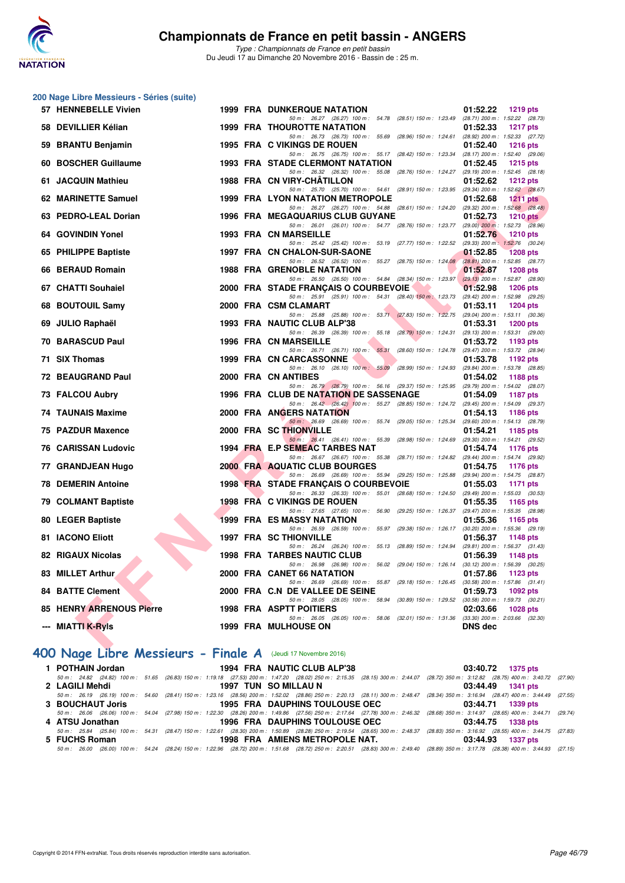

**200 Nage Libre Messieurs - Séries (suite)**

#### **Championnats de France en petit bassin - ANGERS**

*Type : Championnats de France en petit bassin* Du Jeudi 17 au Dimanche 20 Novembre 2016 - Bassin de : 25 m.

| 57 HENNEBELLE Vivien                          |    | <b>1999 FRA DUNKERQUE NATATION</b>                                                                                                | 01:52.22<br><b>1219 pts</b>                                        |
|-----------------------------------------------|----|-----------------------------------------------------------------------------------------------------------------------------------|--------------------------------------------------------------------|
| 58 DEVILLIER Kélian                           |    | 50 m: 26.27 (26.27) 100 m: 54.78 (28.51) 150 m: 1:23.49<br><b>1999 FRA THOUROTTE NATATION</b>                                     | (28.71) 200 m: 1:52.22 (28.73)<br>01:52.33<br><b>1217 pts</b>      |
| 59 BRANTU Benjamin                            |    | 50 m: 26.73 (26.73) 100 m: 55.69 (28.96) 150 m: 1:24.61<br><b>1995 FRA C VIKINGS DE ROUEN</b>                                     | (28.92) 200 m: 1:52.33 (27.72)<br>01:52.40<br><b>1216 pts</b>      |
| 60 BOSCHER Guillaume                          |    | 50 m: 26.75 (26.75) 100 m: 55.17 (28.42) 150 m: 1:23.34<br><b>1993 FRA STADE CLERMONT NATATION</b>                                | $(28.17)$ 200 m : 1:52.40 $(29.06)$<br>01:52.45<br><b>1215 pts</b> |
|                                               |    | 50 m: 26.32 (26.32) 100 m: 55.08 (28.76) 150 m: 1:24.27 (29.19) 200 m: 1:52.45 (28.18)                                            |                                                                    |
| 61 JACQUIN Mathieu                            |    | 1988 FRA CN VIRY-CHATILLON                                                                                                        | 01:52.62<br><b>1212 pts</b>                                        |
| 62 MARINETTE Samuel                           |    | 50 m: 25.70 (25.70) 100 m: 54.61 (28.91) 150 m: 1:23.95 (29.34) 200 m: 1:52.62 (28.67)<br><b>1999 FRA LYON NATATION METROPOLE</b> | 01:52.68<br><b>1211 pts</b>                                        |
|                                               |    | 50 m: 26.27 (26.27) 100 m: 54.88 (28.61) 150 m: 1:24.20 (29.32) 200 m: 1:52.68 (28.48)                                            |                                                                    |
| 63 PEDRO-LEAL Dorian                          |    | <b>1996 FRA MEGAQUARIUS CLUB GUYANE</b>                                                                                           | 01:52.73<br><b>1210 pts</b>                                        |
| 64 GOVINDIN Yonel                             |    | 50 m: 26.01 (26.01) 100 m: 54.77 (28.76) 150 m: 1.23.77 (29.00) 200 m: 1.52.73 (28.96)<br><b>1993 FRA CN MARSEILLE</b>            | 01:52.76<br><b>1210 pts</b>                                        |
|                                               |    | 50 m: 25.42 (25.42) 100 m: 53.19 (27.77) 150 m: 1:22.52 (29.33) 200 m: 1:52.76 (30.24)                                            |                                                                    |
| 65 PHILIPPE Baptiste                          |    | 1997 FRA CN CHALON-SUR-SAONE<br>50 m: 26.52 (26.52) 100 m: 55.27 (28.75) 150 m: 1:24.08                                           | 01:52.85<br><b>1208 pts</b><br>(28.81) 200 m : 1:52.85 (28.77)     |
| 66 BERAUD Romain                              |    | <b>1988 FRA GRENOBLE NATATION</b>                                                                                                 | 01:52.87<br><b>1208 pts</b>                                        |
|                                               |    | 50 m: 26.50 (26.50) 100 m: 54.84 (28.34) 150 m: 1:23.97                                                                           | $(29.13)$ 200 m : 1:52.87 $(28.90)$                                |
| 67 CHATTI Souhaiel                            |    | 2000 FRA STADE FRANÇAIS O COURBEVOIE<br>50 m: 25.91 (25.91) 100 m: 54.31 (28.40) 150 m: 1:23.73                                   | 01:52.98<br><b>1206 pts</b><br>(29.42) 200 m: 1:52.98 (29.25)      |
| 68 BOUTOUIL Samy                              |    | 2000 FRA CSM CLAMART                                                                                                              | 01:53.11<br><b>1204 pts</b>                                        |
|                                               |    | 50 m: 25.88 (25.88) 100 m: 53.71 (27.83) 150 m: 1:22.75                                                                           | $(29.04)$ 200 m : 1:53.11 $(30.36)$                                |
| 69 JULIO Raphaël                              |    | 1993 FRA NAUTIC CLUB ALP'38<br>50 m: 26.39 (26.39) 100 m: 55.18 (28.79) 150 m: 1:24.31                                            | 01:53.31<br><b>1200 pts</b><br>(29.13) 200 m: 1:53.31 (29.00)      |
| <b>70 BARASCUD Paul</b>                       |    | <b>1996 FRA CN MARSEILLE</b>                                                                                                      | 01:53.72<br>1193 pts                                               |
|                                               |    | 50 m: 26.71 (26.71) 100 m: 55.31 (28.60) 150 m: 1:24.78                                                                           | (29.47) 200 m : 1:53.72 (28.94)                                    |
| 71 SIX Thomas                                 |    | <b>1999 FRA CN CARCASSONNE</b><br>50 m: 26.10 (26.10) 100 m: 55.09<br>(28.99) 150 m : 1:24.93                                     | 01:53.78<br>1192 pts<br>(29.84) 200 m: 1:53.78 (28.85)             |
| <b>72 BEAUGRAND Paul</b>                      |    | 2000 FRA CN ANTIBES                                                                                                               | 01:54.02<br>1188 pts                                               |
|                                               |    | 50 m: 26.79 (26.79) 100 m: 56.16 (29.37) 150 m: 1:25.95 (29.79) 200 m: 1:54.02 (28.07)                                            |                                                                    |
| 73 FALCOU Aubry                               |    | 1996 FRA CLUB DE NATATION DE SASSENAGE<br>50 m: 26.42 (26.42) 100 m: 55.27 (28.85) 150 m: 1:24.72 (29.45) 200 m: 1:54.09 (29.37)  | 01:54.09<br><b>1187 pts</b>                                        |
| <b>74 TAUNAIS Maxime</b>                      |    | <b>2000 FRA ANGERS NATATION</b>                                                                                                   | 01:54.13<br>1186 pts                                               |
|                                               |    | 50 m: 26.69 (26.69) 100 m: 55.74 (29.05) 150 m: 1:25.34                                                                           | (29.60) 200 m: 1:54.13 (28.79)                                     |
| 75 PAZDUR Maxence                             |    | 2000 FRA SC THIONVILLE<br>50 m: 26.41 (26.41) 100 m: 55.39 (28.98) 150 m: 1:24.69                                                 | 01:54.21<br>1185 pts<br>(29.30) 200 m: 1:54.21 (29.52)             |
| <b>76 CARISSAN Ludovic</b>                    |    | 1994 FRA E.P SEMEAC TARBES NAT                                                                                                    | 01:54.74<br>1176 pts                                               |
|                                               |    | 50 m: 26.67 (26.67) 100 m: 55.38 (28.71) 150 m: 1:24.82 (29.44) 200 m: 1:54.74 (29.92)                                            |                                                                    |
| 77 GRANDJEAN Hugo                             |    | 2000 FRA AQUATIC CLUB BOURGES<br>50 m: 26.69 (26.69) 100 m: 55.94 (29.25) 150 m: 1:25.88                                          | 01:54.75<br>1176 pts<br>(29.94) 200 m: 1:54.75 (28.87)             |
| <b>78 DEMERIN Antoine</b>                     |    | 1998 FRA STADE FRANCAIS O COURBEVOIE                                                                                              | 01:55.03<br>1171 pts                                               |
|                                               |    | 50 m: 26.33 (26.33) 100 m: 55.01 (28.68) 150 m: 1:24.50 (29.49) 200 m: 1:55.03 (30.53)<br>1998 FRA C VIKINGS DE ROUEN             | 01:55.35                                                           |
| 79 COLMANT Baptiste                           |    | 50 m: 27.65 (27.65) 100 m: 56.90 (29.25) 150 m: 1:26.37                                                                           | 1165 pts<br>(29.47) 200 m: 1:55.35 (28.98)                         |
| 80 LEGER Baptiste                             |    | <b>1999 FRA ES MASSY NATATION</b>                                                                                                 | 01:55.36<br>1165 pts                                               |
| <b>81 IACONO Eliott</b>                       |    | 50 m: 26.59 (26.59) 100 m: 55.97 (29.38) 150 m: 1:26.17 (30.20) 200 m: 1:55.36 (29.19)<br><b>1997 FRA SC THIONVILLE</b>           | 01:56.37                                                           |
|                                               |    | 50 m: 26.24 (26.24) 100 m: 55.13 (28.89) 150 m: 1:24.94                                                                           | 1148 pts<br>(29.81) 200 m: 1:56.37 (31.43)                         |
| <b>82 RIGAUX Nicolas</b>                      |    | <b>1998 FRA TARBES NAUTIC CLUB</b>                                                                                                | 01:56.39<br>1148 pts                                               |
| 83 MILLET Arthur                              |    | 50 m: 26.98 (26.98) 100 m: 56.02 (29.04) 150 m: 1:26.14<br>2000 FRA CANET 66 NATATION                                             | $(30.12)$ 200 m : 1:56.39 $(30.25)$<br>01:57.86                    |
|                                               |    | 50 m: 26.69 (26.69) 100 m: 55.87 (29.18) 150 m: 1:26.45                                                                           | 1123 pts<br>$(30.58)$ 200 m : 1:57.86 $(31.41)$                    |
| <b>84 BATTE Clement</b>                       |    | 2000 FRA C.N DE VALLEE DE SEINE                                                                                                   | 01:59.73<br>1092 pts                                               |
| <b>85 HENRY ARRENOUS Pierre</b>               |    | 50 m: 28.05 (28.05) 100 m: 58.94 (30.89) 150 m: 1:29.52 (30.58) 200 m: 1:59.73 (30.21)                                            | 02:03.66                                                           |
|                                               |    | <b>1998 FRA ASPTT POITIERS</b><br>50 m: 26.05 (26.05) 100 m: 58.06 (32.01) 150 m: 1:31.36                                         | <b>1028 pts</b><br>$(33.30)$ 200 m : 2:03.66 $(32.30)$             |
| --- MIATTI K-Ryls                             |    | 1999 FRA MULHOUSE ON                                                                                                              | <b>DNS</b> dec                                                     |
| <b>STATE</b><br>$\sim$<br>$\bullet$ $\bullet$ | -- |                                                                                                                                   |                                                                    |

## **[400 Nage Libre Messieurs - Finale A](http://www.ffnatation.fr/webffn/resultats.php?idact=nat&go=epr&idcpt=41163&idepr=54)** (Jeudi 17 Novembre 2016)

| 1 POTHAIN Jordan | 1994 FRA NAUTIC CLUB ALP'38                                                                                                                                                                | 03:40.72 1375 pts |
|------------------|--------------------------------------------------------------------------------------------------------------------------------------------------------------------------------------------|-------------------|
|                  | 50 m: 24.82 (24.82) 100 m: 51.65 (26.83) 150 m: 1:19.18 (27.53) 200 m: 1:47.20 (28.02) 250 m: 2:15.35 (28.15) 300 m: 2:44.07 (28.72) 350 m: 3:12.82 (28.75) 400 m: 3:40.72 (27.90)         |                   |
| 2 LAGILI Mehdi   | 1997 TUN SO MILLAU N                                                                                                                                                                       | 03:44.49 1341 pts |
|                  | 50 m: 26.19 (26.19) 100 m: 54.60 (28.41) 150 m: 1:23.16 (28.56) 200 m: 1:52.02 (28.86) 250 m: 2:20.13 (28.11) 300 m: 2:48.47 (28.34) 350 m: 3:16.94 (28.47) 400 m: 3:44.49 (27.55)         |                   |
| 3 BOUCHAUT Joris | 1995 FRA DAUPHINS TOULOUSE OEC                                                                                                                                                             | 03:44.71 1339 pts |
|                  | 50 m: 26.06 (26.06) 100 m: 54.04 (27.98) 150 m: 1:22.30 (28.26) 200 m: 1:49.86 (27.56) 250 m: 2:17.64 (27.78) 300 m: 2:46.32 (28.68) 350 m: 3:14.97 (28.65) 400 m: 3:44.71 (29.74)         |                   |
| 4 ATSU Jonathan  | 1996 FRA DAUPHINS TOULOUSE OEC                                                                                                                                                             | 03:44.75 1338 pts |
|                  | 50 m: 25.84 (25.84) 100 m: 54.31 (28.47) 150 m: 1:22.61 (28.30) 200 m: 1:50.89 (28.28) 250 m: 2:19.54 (28.65) 300 m: 2:49.37 (28.83) 350 m: 3:16.92 (28.55) 400 m: 3:44.75 (27.83)         |                   |
| 5 FUCHS Roman    | 1998 FRA AMIENS METROPOLE NAT.                                                                                                                                                             | 03:44.93 1337 pts |
|                  | 50 m : 26.00 (26.00) 100 m : 54.24 (28.24) 150 m : 1:22.96 (28.72) 200 m : 1:51.68 (28.72) 250 m : 2:20.51 (28.83) 300 m : 2:49.40 (28.89) 350 m : 3:17.78 (28.38) 400 m : 3:44.93 (27.15) |                   |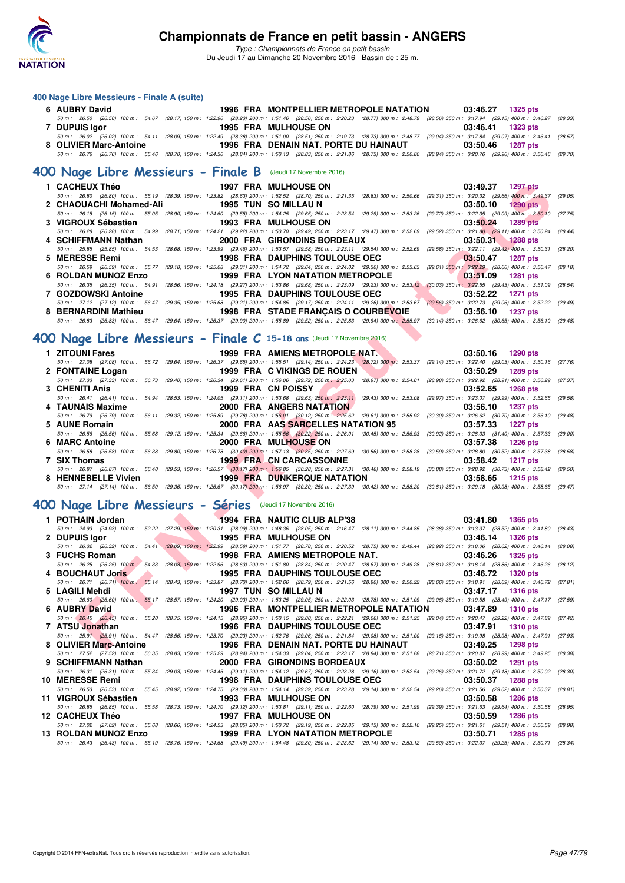

*Type : Championnats de France en petit bassin* Du Jeudi 17 au Dimanche 20 Novembre 2016 - Bassin de : 25 m.

#### **400 Nage Libre Messieurs - Finale A (suite)**

| $\frac{1}{2}$ . The contract of $\frac{1}{2}$ in the contract of $\frac{1}{2}$ |                                                                                                                                                                                            |          |                     |
|--------------------------------------------------------------------------------|--------------------------------------------------------------------------------------------------------------------------------------------------------------------------------------------|----------|---------------------|
| 6 AUBRY David                                                                  | 1996 FRA MONTPELLIER METROPOLE NATATION 03:46.27 1325 pts                                                                                                                                  |          |                     |
|                                                                                | 50 m : 26.50 (26.50) 100 m : 54.67 (28.17) 150 m : 1:22.90 (28.23) 200 m : 1:51.46 (28.56) 250 m : 2:20.23 (28.77) 300 m : 2:48.79 (28.56) 350 m : 3:17.94 (29.15) 400 m : 3:46.27 (28.33) |          |                     |
| <b>7 DUPUIS laor</b>                                                           | <b>1995 FRA MULHOUSE ON</b>                                                                                                                                                                | 03:46.41 | 1323 pts            |
|                                                                                | 50 m: 26.02 (26.02) 100 m: 54.11 (28.09) 150 m: 1:22.49 (28.38) 200 m: 1:51.00 (28.51) 250 m: 2:19.73 (28.73) 300 m: 2:48.77 (29.04) 350 m: 3:17.84 (29.07) 400 m: 3:46.41 (28.57)         |          |                     |
|                                                                                | 8 OLIVIER Marc-Antoine The State of the Senate of Tena DENAIN NAT. PORTE DU HAINAUT                                                                                                        | 03:50.46 | 1287 pts            |
|                                                                                | 50 m : 26.76 (26.76) 100 m : 55.46 (28.70) 150 m : 1:24.30 (28.84) 200 m : 1:53.13 (28.83) 250 m : 2:21.86 (28.73) 300 m : 2:50.80 (28.94) 350 m : 3:20.76 (29.96) 400 m : 3:50.46 (29.70) |          |                     |
| 400 Nage Libre Messieurs - Finale B (Jeudi 17 Novembre 2016)                   |                                                                                                                                                                                            |          |                     |
|                                                                                |                                                                                                                                                                                            |          | 03:49.37 1297 pts   |
|                                                                                | 50 m: 26.80 (26.80) 100 m: 55.19 (28.39) 150 m: 1:23.82 (28.63) 200 m: 1:52.52 (28.70) 250 m: 2:21.35 (28.83) 300 m: 2:50.66 (29.31) 350 m: 3:20.32 (29.66) 400 m: 3:49.37 (29.05)         |          |                     |
|                                                                                |                                                                                                                                                                                            | 03:50.10 | 1290 pts            |
|                                                                                | 50 m: 26.15 (26.15) 100 m: 55.05 (28.90) 150 m: 1:24.60 (29.55) 200 m: 1:54.25 (29.65) 250 m: 2:23.54 (29.29) 300 m: 2:53.26 (29.72) 350 m: 3:22.35 (29.09) 400 m: 3:50.10 (27.75)         |          |                     |
|                                                                                |                                                                                                                                                                                            | 03:50.24 | $1289$ pts          |
|                                                                                | 50 m: 26.28 (26.28) 100 m: 54.99 (28.71) 150 m: 1:24.21 (29.22) 200 m: 1:53.70 (29.49) 250 m: 2:23.17 (29.47) 300 m: 2:52.69 (29.52) 350 m: 3:21.80 (29.11) 400 m: 3:50.24 (28.44)         |          |                     |
| 4 SCHIFFMANN Nathan                                                            | 2000 FRA GIRONDINS BORDEAUX                                                                                                                                                                |          | $03:50.31$ 1288 pts |
|                                                                                | 50 m : 25.85 (25.85) 100 m : 54.53 (28.68) 150 m : 1:23.99 (29.46) 200 m : 1:53.57 (29.58) 250 m : 2:23.11 (29.54) 300 m : 2:52.69 (29.58) 350 m : 3:22.11 (29.42) 400 m : 3:50.31 (28.20) |          |                     |
| 5 MERESSE Remi                                                                 | 1998 FRA DAUPHINS TOULOUSE OEC                                                                                                                                                             | 03:50.47 | 1287 pts            |
|                                                                                | 50 m : 26.59 (26.59) 100 m : 55.77 (29.18) 150 m : 1:25.08 (29.31) 200 m : 1:54.72 (29.64) 250 m : 2:24.02 (29.30) 300 m : 2:53.63 (29.61) 350 m : 3:22.29 (28.66) 400 m : 3:50.47 (28.18) |          |                     |
| 6 ROLDAN MUNOZ Enzo                                                            | 1999 FRA LYON NATATION METROPOLE                                                                                                                                                           | 03:51.09 | 1281 pts            |
|                                                                                | 50 m : 26.35 (26.35) 100 m : 54.91 (28.56) 150 m : 1:24.18 (29.27) 200 m : 1:53.86 (29.68) 250 m : 2:23.09 (29.23) 300 m : 2:53.12 (30.03) 350 m : 3:22.55 (29.43) 400 m : 3:51.09 (28.54) |          |                     |

#### **[400 Nage Libre Messieurs - Finale C](http://www.ffnatation.fr/webffn/resultats.php?idact=nat&go=epr&idcpt=41163&idepr=54) 15-18 ans** (Jeudi 17 Novembre 2016)

| 1 CACHEUX Théo                                            | <b>1997 FRA MULHOUSE ON</b>                                                                                                                                                                | 03:49.37 1297 pts                                              |
|-----------------------------------------------------------|--------------------------------------------------------------------------------------------------------------------------------------------------------------------------------------------|----------------------------------------------------------------|
|                                                           | 50 m : 26.80 (26.80) 100 m : 55.19 (28.39) 150 m : 1:23.82 (28.63) 200 m : 1:52.52 (28.70) 250 m : 2:21.35 (28.83) 300 m : 2:50.66 (29.31) 350 m : 3:20.32 (29.66) 400 m : 3:49.37 (29.05) |                                                                |
| 2 CHAOUACHI Mohamed-Ali                                   | <b>1995 TUN SO MILLAU N</b>                                                                                                                                                                | 03:50.10<br><b>1290 pts</b>                                    |
|                                                           | 50 m: 26.15 (26.15) 100 m: 55.05 (28.90) 150 m: 1:24.60 (29.55) 200 m: 1:54.25 (29.65) 250 m: 2:23.54 (29.29) 300 m: 2:53.26 (29.72) 350 m: 3:22.35 (29.09) 400 m: 3:50.10 (27.75)         |                                                                |
| 3 VIGROUX Sébastien                                       | <b>1993 FRA MULHOUSE ON</b>                                                                                                                                                                | 03:50.24<br><b>1289 pts</b>                                    |
|                                                           | 50 m: 26.28 (26.28) 100 m: 54.99 (28.71) 150 m: 1:24.21 (29.22) 200 m: 1:53.70 (29.49) 250 m: 2:23.17 (29.47) 300 m: 2:52.69 (29.52) 350 m: 3:21.80 (29.11) 400 m: 3:50.24                 | (28.44)                                                        |
| 4 SCHIFFMANN Nathan                                       | 2000 FRA GIRONDINS BORDEAUX                                                                                                                                                                | 03:50.31<br><b>1288 pts</b>                                    |
|                                                           | 50 m: 25.85 (25.85) 100 m: 54.53 (28.68) 150 m: 1:23.99 (29.46) 200 m: 1:53.57 (29.58) 250 m: 2:23.11 (29.54) 300 m: 2:52.69 (29.58) 350 m: 3:22.11 (29.42) 400 m: 3:50.31 (28.20)         |                                                                |
| 5 MERESSE Remi                                            | <b>1998 FRA DAUPHINS TOULOUSE OEC</b>                                                                                                                                                      | 03:50.47<br><b>1287 pts</b>                                    |
|                                                           | 50 m : 26.59 (26.59) 100 m : 55.77 (29.18) 150 m : 1:25.08 (29.31) 200 m : 1:54.72 (29.64) 250 m : 2:24.02 (29.30) 300 m : 2:53.63 (29.61) 350 m : 3:22.29 (28.66) 400 m : 3:50.47         | (28.18)                                                        |
| <b>6 ROLDAN MUNOZ Enzo</b>                                | <b>1999 FRA LYON NATATION METROPOLE</b>                                                                                                                                                    | 03:51.09<br><b>1281 pts</b>                                    |
|                                                           | 50 m: 26.35 (26.35) 100 m: 54.91 (28.56) 150 m: 1:24.18 (29.27) 200 m: 1:53.86 (29.68) 250 m: 2:23.09 (29.23) 300 m: 2:53.12 (30.03) 350 m: 3:22.55 (29.43) 400 m: 3:51.09 (28.54)         |                                                                |
| 7 GOZDOWSKI Antoine                                       | <b>1995 FRA DAUPHINS TOULOUSE OEC</b>                                                                                                                                                      | 03:52.22<br><b>1271 pts</b>                                    |
|                                                           | 50 m: 27.12 (27.12) 100 m: 56.47 (29.35) 150 m: 1:25.68 (29.21) 200 m: 1:54.85 (29.17) 250 m: 2:24.11 (29.26) 300 m: 2:53.67 (29.56) 350 m: 3:22.73 (29.06) 400 m: 3:52.22 (29.49)         |                                                                |
| 8 BERNARDINI Mathieu                                      | <b>1998 FRA STADE FRANÇAIS O COURBEVOIE</b>                                                                                                                                                | 03:56.10<br><b>1237 pts</b>                                    |
|                                                           | 50 m : 26.83 (26.83) 100 m : 56.47 (29.64) 150 m : 1:26.37 (29.90) 200 m : 1:55.89 (29.52) 250 m : 2:55.83 (29.94) 300 m : 2:55.97 (30.14) 350 m : 3:26.62 (30.65) 400 m : 3:56.10 (29.48) |                                                                |
|                                                           |                                                                                                                                                                                            |                                                                |
|                                                           | JO Nage Libre Messieurs - Finale C 15-18 ans (Jeudi 17 Novembre 2016)                                                                                                                      |                                                                |
| 1 ZITOUNI Fares                                           | 1999 FRA AMIENS METROPOLE NAT.                                                                                                                                                             | 03:50.16<br>1290 pts                                           |
|                                                           | 50 m: 27.08 (27.08) 100 m: 56.72 (29.64) 150 m: 1:26.37 (29.65) 200 m: 1:55.51 (29.14) 250 m: 2:24.23 (28.72) 300 m: 2:53.37 (29.14) 350 m: 3:22.40 (29.03) 400 m: 3:50.16                 | (27.76)                                                        |
| 2 FONTAINE Logan                                          | 1999 FRA C VIKINGS DE ROUEN                                                                                                                                                                | 03:50.29<br>1289 pts                                           |
|                                                           | 50 m: 27.33 (27.33) 100 m: 56.73 (29.40) 150 m: 1:26.34 (29.61) 200 m: 1:56.06 (29.72) 250 m: 2:25.03 (28.97) 300 m: 2:54.01 (28.98) 350 m: 3:22.92 (28.91) 400 m: 3:50.29 (27.37)         |                                                                |
| 3 CHENITI Anis                                            | 1999 FRA CN POISSY                                                                                                                                                                         | 03:52.65<br><b>1268 pts</b>                                    |
|                                                           | 50 m: 26.41 (26.41) 100 m: 54.94 (28.53) 150 m: 1:24.05 (29.11) 200 m: 1:53.68 (29.63) 250 m: 2:23.11 (29.43) 300 m: 2:53.08 (29.97) 350 m: 3:23.07 (29.99) 400 m: 3:52.65 (29.58)         |                                                                |
| 4 TAUNAIS Maxime                                          | <b>2000 FRA ANGERS NATATION</b>                                                                                                                                                            | 03:56.10<br><b>1237 pts</b>                                    |
|                                                           | 50 m: 26.79 (26.79) 100 m: 56.11 (29.32) 150 m: 1:25.89 (29.78) 200 m: 1:56.01 (30.12) 250 m: 2:25.62 (29.61) 300 m: 2:55.92                                                               | $(30.30)$ 350 m : 3:26.62 $(30.70)$ 400 m : 3:56.10<br>(29.48) |
| 5 AUNE Romain                                             | 2000 FRA AAS SARCELLES NATATION 95                                                                                                                                                         | 03:57.33<br><b>1227 pts</b>                                    |
|                                                           | 50 m : 26.56 (26.56) 100 m : 55.68 (29.12) 150 m : 1:25.34 (29.66) 200 m : 1:55.56 (30.22) 250 m : 2:26.01 (30.45) 300 m : 2:56.93                                                         | $(30.92)$ 350 m : 3:28.33 $(31.40)$ 400 m : 3:57.33 $(29.00)$  |
| 6 MARC Antoine                                            | 2000 FRA MULHOUSE ON                                                                                                                                                                       | 03:57.38<br><b>1226 pts</b>                                    |
|                                                           | 50 m: 26.58 (26.58) 100 m: 56.38 (29.80) 150 m: 1:26.78 (30.40) 200 m: 1:57.13 (30.35) 250 m: 2:27.69 (30.56) 300 m: 2:58.28 (30.59) 350 m: 3:28.80 (30.52) 400 m: 3:57.38 (28.58)         |                                                                |
| 7 SIX Thomas                                              | <b>1999 FRA CN CARCASSONNE</b>                                                                                                                                                             | 03:58.42<br><b>1217 pts</b>                                    |
|                                                           | 50 m: 26.87 (26.87) 100 m: 56.40 (29.53) 150 m: 1:26.57 (30.17) 200 m: 1:56.85 (30.28) 250 m: 2:27.31 (30.46) 300 m: 2:58.19 (30.88) 350 m: 3:28.92 (30.73) 400 m: 3:58.42 (29.50)         |                                                                |
| 8 HENNEBELLE Vivien                                       | <b>1999 FRA DUNKERQUE NATATION</b>                                                                                                                                                         | 03:58.65<br><b>1215 pts</b>                                    |
|                                                           | 50 m: 27.14 (27.14) 100 m: 56.50 (29.36) 150 m: 1:26.67 (30.17) 200 m: 1:56.97 (30.30) 250 m: 2:27.39 (30.42) 300 m: 2:58.20 (30.81) 350 m: 3:29.18 (30.98) 400 m: 3:58.65 (29.47)         |                                                                |
|                                                           |                                                                                                                                                                                            |                                                                |
| 00 Nage Libre Messieurs - Séries (Jeudi 17 Novembre 2016) |                                                                                                                                                                                            |                                                                |
| 1 POTHAIN Jordan                                          | 1994 FRA NAUTIC CLUB ALP'38                                                                                                                                                                | 03:41.80<br>1365 pts                                           |
|                                                           | 50 m: 24.93 (24.93) 100 m: 52.22 (27.29) 150 m: 1:20.31 (28.09) 200 m: 1:48.36 (28.05) 250 m: 2:16.47 (28.11) 300 m: 2:44.85 (28.38) 350 m: 3:13.37 (28.52) 400 m: 3:41.80 (28.43)         |                                                                |
| 2 DUPUIS Igor                                             | 1995 FRA MULHOUSE ON                                                                                                                                                                       | 03:46.14<br><b>1326 pts</b>                                    |
|                                                           | 50 m: 26.32 (26.32) 100 m: 54.41 (28.09) 150 m: 1;22.99 (28.58) 200 m: 1:51.77 (28.78) 250 m: 2:20.52 (28.75) 300 m: 2:49.44 (28.92) 350 m: 3:18.06 (28.62) 400 m: 3:46.14 (28.08)         |                                                                |
| 3 FUCHS Roman                                             | 1998 FRA AMIENS METROPOLE NAT.                                                                                                                                                             | 03:46.26<br><b>1325 pts</b>                                    |
|                                                           | 50 m: 26.25 (26.25) 100 m; 54.33 (28.08) 150 m: 1:22.96 (28.63) 200 m: 1:51.80 (28.84) 250 m: 2:20.47 (28.67) 300 m: 2:49.28 (28.81) 350 m: 3:18.14 (28.86) 400 m: 3:46.26 (28.12)         |                                                                |
| 4 BOUCHAUT Joris                                          | <b>1995 FRA DAUPHINS TOULOUSE OEC</b>                                                                                                                                                      | 03:46.72<br><b>1320 pts</b>                                    |
|                                                           | 50 m: 26.71 (26.71) 100 m: 55.14 (28.43) 150 m: 1:23.87 (28.73) 200 m: 1:52.66 (28.79) 250 m: 2:21.56 (28.90) 300 m: 2:50.22 (28.66) 350 m: 3:18.91 (28.69) 400 m: 3:46.72 (27.81)         |                                                                |
| 5 LAGILI Mehdi                                            | 1997 TUN SO MILLAU N                                                                                                                                                                       | 03:47.17<br><b>1316 pts</b>                                    |
|                                                           | 50 m : 26.60 (26.60) 100 m : 55.17 (28.57) 150 m : 1:24.20 (29.03) 200 m : 1:53.25 (29.05) 250 m : 2:22.03 (28.78) 300 m : 2:51.09 (29.06) 350 m : 3:19.58 (28.49) 400 m : 3:47.17 (27.59) |                                                                |
| 6 AUBRY David                                             | 1996 FRA MONTPELLIER METROPOLE NATATION                                                                                                                                                    | 03:47.89<br><b>1310 pts</b>                                    |
|                                                           | 50 m: 26.45 (26.45) 100 m: 55.20 (28.75) 150 m: 1:24.15 (28.95) 200 m: 1:53.15 (29.00) 250 m: 2:22.21 (29.06) 300 m: 2:51.25 (29.04) 350 m: 3:20.47 (29.22) 400 m: 3:47.89 (27.42)         |                                                                |
| 7 ATSU Jonathan                                           | <b>1996 FRA DAUPHINS TOULOUSE OEC</b>                                                                                                                                                      | 03:47.91<br><b>1310 pts</b>                                    |
|                                                           | 50 m: 25.91 (25.91) 100 m: 54.47 (28.56) 150 m: 1:23.70 (29.23) 200 m: 1:52.76 (29.06) 250 m: 2:21.84 (29.08) 300 m: 2:51.00 (29.16) 350 m: 3:19.98 (28.98) 400 m: 3:47.91 (27.93)         |                                                                |
| 8 OLIVIER Marc-Antoine                                    | 1996 FRA DENAIN NAT. PORTE DU HAINAUT                                                                                                                                                      | 03:49.25<br>1298 pts                                           |

### **[400 Nage Libre Messieurs - Séries](http://www.ffnatation.fr/webffn/resultats.php?idact=nat&go=epr&idcpt=41163&idepr=54)** (Jeudi 17 Novembre 2016)

| 1 POTHAIN Jordan     |                      | 1994 FRA NAUTIC CLUB ALP'38                                                                                                                                                                | $03:41.80$ 1365 pts         |
|----------------------|----------------------|--------------------------------------------------------------------------------------------------------------------------------------------------------------------------------------------|-----------------------------|
|                      |                      | 50 m: 24.93 (24.93) 100 m: 52.22 (27.29) 150 m: 1:20.31 (28.09) 200 m: 1:48.36 (28.05) 250 m: 2:16.47 (28.11) 300 m: 2:44.85 (28.38) 350 m: 3:13.37 (28.52) 400 m: 3:41.80 (28.43)         |                             |
| 2 DUPUIS lgor        | 1995 FRA MULHOUSE ON |                                                                                                                                                                                            | 03:46.14 1326 pts           |
|                      |                      | 50 m : 26.32 (26.32) 100 m : 54.41 (28.09) 150 m : 1:22.99 (28.58) 200 m : 1:51.77 (28.78) 250 m : 2:20.52 (28.75) 300 m : 2:49.44 (28.92) 350 m : 3:18.06 (28.62) 400 m : 3:46.14 (28.08) |                             |
| 3 FUCHS Roman        |                      | 1998 FRA AMIENS METROPOLE NAT.                                                                                                                                                             | 03:46.26<br>1325 pts        |
|                      |                      | 50 m : 26.25 (26.25) 100 m : 54.33 (28.08) 150 m : 1:22.96 (28.63) 200 m : 1:51.80 (28.84) 250 m : 2:20.47 (28.67) 300 m : 2:49.28 (28.81) 350 m : 3:18.14 (28.86) 400 m : 3:46.26         | (28.12)                     |
| 4 BOUCHAUT Joris     |                      | 1995 FRA DAUPHINS TOULOUSE OEC                                                                                                                                                             | 03:46.72<br>1320 pts        |
|                      |                      | 50 m : 26.71 (26.71) 100 m : 55.14 (28.43) 150 m : 1:23.87 (28.73) 200 m : 1:52.66 (28.79) 250 m : 2:21.56 (28.90) 300 m : 2:50.22 (28.66) 350 m : 3:18.91 (28.69) 400 m : 3:46.72 (27.81) |                             |
| 5 LAGILI Mehdi       |                      | 1997 TUN SO MILLAU N                                                                                                                                                                       | 03:47.17 1316 pts           |
|                      |                      | 50 m : 26.60 (26.60) 100 m : 55.17 (28.57) 150 m : 1:24.20 (29.03) 200 m : 1:53.25 (29.05) 250 m : 2:22.03 (28.78) 300 m : 2:51.09 (29.06) 350 m : 3:19.58 (28.49) 400 m : 3:47.17 (27.59) |                             |
| 6 AUBRY David        |                      | 1996 FRA MONTPELLIER METROPOLE NATATION                                                                                                                                                    | 03:47.89<br><b>1310 pts</b> |
|                      |                      | 50 m; 26.45 (26.45) 100 m; 55.20 (28.75) 150 m; 1:24.15 (28.95) 200 m; 1:53.15 (29.00) 250 m; 2:22.21 (29.06) 300 m; 2:51.25 (29.04) 350 m; 3:20.47 (29.22) 400 m; 3:47.89 (27.42)         |                             |
| 7 ATSU Jonathan      |                      | <b>1996 FRA DAUPHINS TOULOUSE OEC</b>                                                                                                                                                      | 03:47.91 1310 pts           |
|                      |                      | 50 m: 25.91 (25.91) 100 m: 54.47 (28.56) 150 m: 1:23.70 (29.23) 200 m: 1:52.76 (29.06) 250 m: 2:21.84 (29.08) 300 m: 2:51.00 (29.16) 350 m: 3:19.98 (28.98) 400 m: 3:47.91 (27.93)         |                             |
|                      |                      | 8 OLIVIER Marc-Antoine 1996 FRA DENAIN NAT. PORTE DU HAINAUT                                                                                                                               | 03:49.25<br>1298 pts        |
|                      |                      | 50 m : 27.52 (27.52) 100 m : 56.35 (28.83) 150 m : 1:25.29 (28.94) 200 m : 1:54.33 (29.04) 250 m : 2:23.17 (28.84) 300 m : 2:51.88 (28.71) 350 m : 3:20.87 (28.99) 400 m : 3:49.25         | (28.38)                     |
| 9 SCHIFFMANN Nathan  |                      | 2000 FRA GIRONDINS BORDEAUX                                                                                                                                                                | 03:50.02<br>1291 pts        |
|                      |                      | 50 m: 26.31 (26.31) 100 m: 55.34 (29.03) 150 m: 1:24.45 (29.11) 200 m: 1:54.12 (29.67) 250 m: 2:23.28 (29.16) 300 m: 2:52.54 (29.26) 350 m: 3:21.72 (29.18) 400 m: 3:50.02 (28.30)         |                             |
| 10 MERESSE Remi      |                      | 1998 FRA DAUPHINS TOULOUSE OEC                                                                                                                                                             | 03:50.37<br>1288 pts        |
|                      |                      | 50 m: 26.53 (26.53) 100 m: 55.45 (28.92) 150 m: 1:24.75 (29.30) 200 m: 1:54.14 (29.39) 250 m: 2:23.28 (29.14) 300 m: 2:52.54 (29.26) 350 m: 3:21.56 (29.02) 400 m: 3:50.57 (28.81)         |                             |
| 11 VIGROUX Sébastien |                      | <b>1993 FRA MULHOUSE ON</b>                                                                                                                                                                | 03:50.58<br>1286 pts        |
|                      |                      | 50 m: 26.85 (26.85) 100 m: 55.58 (28.73) 150 m: 1:24.70 (29.12) 200 m: 1:53.81 (29.11) 250 m: 2:22.60 (28.79) 300 m: 2:51.99 (29.39) 350 m: 3:21.63 (29.64) 400 m: 3:50.58                 | (28.95)                     |
| 12 CACHEUX Théo      |                      | <b>1997 FRA MULHOUSE ON</b>                                                                                                                                                                | 03:50.59<br><b>1286 pts</b> |
|                      |                      | 50 m: 27.02 (27.02) 100 m: 55.68 (28.66) 150 m: 1:24.53 (28.85) 200 m: 1:53.72 (29.19) 250 m: 2:22.85 (29.13) 300 m: 2:52.10 (29.25) 350 m: 3:21.61 (29.51) 400 m: 3:50.59 (28.98)         |                             |
|                      |                      |                                                                                                                                                                                            | 03:50.71<br><b>1285 pts</b> |
|                      |                      | 50 m: 26.43 (26.43) 100 m: 55.19 (28.76) 150 m: 1:24.68 (29.49) 200 m: 1:54.48 (29.80) 250 m: 2:23.62 (29.14) 300 m: 2:53.12 (29.50) 350 m: 3:22.37 (29.25) 400 m: 3:50.71 (28.34)         |                             |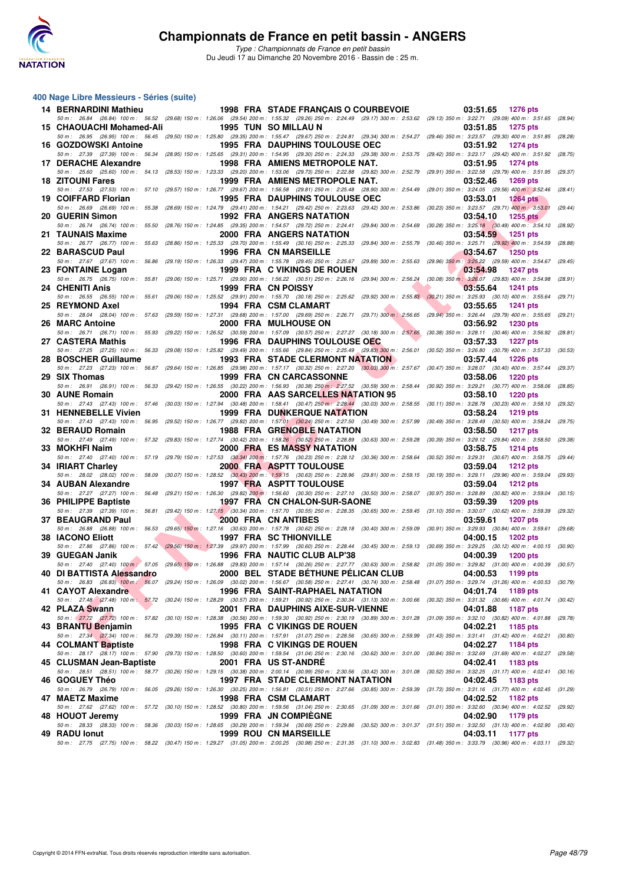

*Type : Championnats de France en petit bassin* Du Jeudi 17 au Dimanche 20 Novembre 2016 - Bassin de : 25 m.

#### **400 Nage Libre Messieurs - Séries (suite)**

| <b>14 BERNARDINI Mathieu</b> |                                            | 1998 FRA STADE FRANÇAIS O COURBEVOIE                                                                                                                                                                                      | 03:51.65<br>1276 pts                   |
|------------------------------|--------------------------------------------|---------------------------------------------------------------------------------------------------------------------------------------------------------------------------------------------------------------------------|----------------------------------------|
| 15 CHAOUACHI Mohamed-Ali     |                                            | 50 m: 26.84 (26.84) 100 m: 56.52 (29.68) 150 m: 1:26.06 (29.54) 200 m: 1:55.32 (29.26) 250 m: 2:24.49 (29.17) 300 m: 2:53.62 (29.13) 350 m: 3:22.71 (29.09) 400 m: 3:51.65 (28.94)<br>1995 TUN SO MILLAU N                | 03:51.85<br>1275 pts                   |
|                              |                                            | 50 m: 26.95 (26.95) 100 m: 56.45 (29.50) 150 m: 1:25.80 (29.35) 200 m: 1:55.47 (29.67) 250 m: 2:24.81 (29.34) 300 m: 2:54.27 (29.46) 350 m: 3:23.57 (29.30) 400 m: 3:51.85 (28.28)                                        |                                        |
| 16 GOZDOWSKI Antoine         |                                            | <b>1995 FRA DAUPHINS TOULOUSE OEC</b><br>50 m: 27.39 (27.39) 100 m: 56.34 (28.95) 150 m: 1:25.65 (29.31) 200 m: 1:54.95 (29.30) 250 m: 2:24.33 (29.38) 300 m: 2:53.75 (29.42) 350 m: 3:23.17 (29.42) 400 m: 3:51.92       | 03:51.92<br><b>1274 pts</b><br>(28.75) |
| 17 DERACHE Alexandre         |                                            | <b>1998 FRA AMIENS METROPOLE NAT.</b>                                                                                                                                                                                     | 03:51.95<br><b>1274 pts</b>            |
| <b>18 ZITOUNI Fares</b>      |                                            | 50 m: 25.60 (25.60) 100 m: 54.13 (28.53) 150 m: 1:23.33 (29.20) 200 m: 1:53.06 (29.73) 250 m: 2:22.88 (29.82) 300 m: 2:52.79 (29.91) 350 m: 3:22.58 (29.79) 400 m: 3:51.95<br>1999 FRA AMIENS METROPOLE NAT.              | (29.37)<br>03:52.46<br>$1269$ pts      |
|                              |                                            | 50 m: 27.53 (27.53) 100 m: 57.10 (29.57) 150 m: 1:26.77 (29.67) 200 m: 1:56.58 (29.81) 250 m: 2:25.48 (28.90) 300 m: 2:54.49 (29.01) 350 m: 3:24.05 (29.56) 400 m: 3:52.46                                                | (28.41)                                |
| 19 COIFFARD Florian          |                                            | <b>1995 FRA DAUPHINS TOULOUSE OEC</b><br>50 m: 26.69 (26.69) 100 m: 55.38 (28.69) 150 m: 1:24.79 (29.41) 200 m: 1:54.21 (29.42) 250 m: 2:23.63 (29.42) 300 m: 2:53.86 (30.23) 350 m: 3:23.57 (29.71) 400 m: 3:53.01       | 03:53.01<br>1264 $pts$<br>(29.44)      |
| 20 GUERIN Simon              |                                            | 1992 FRA ANGERS NATATION                                                                                                                                                                                                  | 03:54.10<br>1255 $pts$                 |
| 21 TAUNAIS Maxime            |                                            | 50 m: 26.74 (26.74) 100 m: 55.50 (28.76) 150 m: 1:24.85 (29.35) 200 m: 1:54.57 (29.72) 250 m: 2:24.41 (29.84) 300 m: 2:54.69 (30.28) 350 m: 3:25.18 (30.49) 400 m: 3:54.10 (28.92)<br>2000 FRA ANGERS NATATION            | 03:54.59<br>1251 pts                   |
|                              |                                            | 50 m: 26.77 (26.77) 100 m: 55.63 (28.86) 150 m: 1:25.33 (29.70) 200 m: 1:55.49 (30.16) 250 m: 2:25.33 (29.84) 300 m: 2:55.79 (30.46) 350 m: 3:25.71 (29.92) 400 m: 3:54.59                                                | (28.88)                                |
| 22 BARASCUD Paul             |                                            | <b>1996 FRA CN MARSEILLE</b><br>50 m: 27.67 (27.67) 100 m: 56.86 (29.19) 150 m: 1:26.33 (29.47) 200 m: 1:55.78 (29.45) 250 m: 2:25.67 (29.89) 300 m: 2:55.63 (29.96) 350 m: 3:25.22 (29.59) 400 m: 3:54.67 (29.45)        | 03:54.67<br><b>1250 pts</b>            |
| 23 FONTAINE Logan            |                                            | 1999 FRA C VIKINGS DE ROUEN                                                                                                                                                                                               | 03:54.98<br><b>1247 pts</b>            |
| 24 CHENITI Anis              |                                            | 50 m: 26.75 (26.75) 100 m: 55.81 (29.06) 150 m: 1:25.71 (29.90) 200 m: 1:56.22 (30.51) 250 m: 2:26.16 (29.94) 300 m: 2:56.24 (30.08) 350 m: 3:26.07 (29.83) 400 m: 3:54.98<br>1999 FRA CN POISSY                          | (28.91)<br>03:55.64<br><b>1241 pts</b> |
|                              |                                            | 50 m: 26.55 (26.55) 100 m: 55.61 (29.06) 150 m: 1:25.52 (29.91) 200 m: 1:55.70 (30.18) 250 m: 2:25.62 (29.92) 300 m: 2:55.83 (30.21) 350 m: 3:25.93 (30.10) 400 m: 3:55.64                                                | (29.71)                                |
| 25 REYMOND Axel              |                                            | 1994 FRA CSM CLAMART<br>50 m : 28.04 (28.04) 100 m : 57.63 (29.59) 150 m : 1:27.31 (29.68) 200 m : 1:57.00 (29.69) 250 m : 2:26.71 (29.71) 300 m : 2:56.65 (29.94) 350 m : 3:26.44 (29.79) 400 m : 3:26.56 (29.21)        | 03:55.65<br><b>1241 pts</b>            |
| 26 MARC Antoine              |                                            | 2000 FRA MULHOUSE ON                                                                                                                                                                                                      | 03:56.92<br><b>1230 pts</b>            |
| 27 CASTERA Mathis            |                                            | 50 m: 26.71 (26.71) 100 m: 55.93 (29.22) 150 m: 1:26.52 (30.59) 200 m: 1:57.09 (30.57) 250 m: 2:27.27 (30.18) 300 m: 2:57.65 (30.38) 350 m: 3:28.11 (30.46) 400 m: 3:56.92 (28.81)<br>1996 FRA DAUPHINS TOULOUSE OEC      | 03:57.33<br><b>1227 pts</b>            |
|                              |                                            | 50 m: 27.25 (27.25) 100 m: 56.33 (29.08) 150 m: 1:25.82 (29.49) 200 m: 1:55.66 (29.84) 250 m: 2:25.49 (29.83) 300 m: 2:56.01 (30.52) 350 m: 3:26.80 (30.79) 400 m: 3:57.33 (30.53)                                        |                                        |
| 28 BOSCHER Guillaume         |                                            | <b>1993 FRA STADE CLERMONT NATATION</b><br>50 m: 27.23 (27.23) 100 m: 56.87 (29.64) 150 m: 1:26.85 (29.98) 200 m: 1:57.17 (30.32) 250 m: 2:27.20 (30.03) 300 m: 2:57.67 (30.47) 350 m: 3:28.07 (30.40) 400 m: 3:57.44     | 03:57.44<br><b>1226 pts</b><br>(29.37) |
| 29 SIX Thomas                |                                            | 1999 FRA CN CARCASSONNE                                                                                                                                                                                                   | 03:58.06<br><b>1220 pts</b>            |
| 30 AUNE Romain               |                                            | 50 m: 26.91 (26.91) 100 m: 56.33 (29.42) 150 m: 1:26.55 (30.22) 200 m: 1:56.93 (30.38) 250 m: 2:27.52 (30.59) 300 m: 2:58.44 (30.92) 350 m: 3:29.21 (30.77) 400 m: 3:58.06<br>2000 FRA AAS SARCELLES NATATION 95          | (28.85)<br>03:58.10<br><b>1220 pts</b> |
|                              |                                            | 50 m: 27.43 (27.43) 100 m: 57.46 (30.03) 150 m: 1:27.94 (30.48) 200 m: 1:58.41 (30.47) 250 m: 2:28.44 (30.03) 300 m: 2:58.55 (30.11) 350 m: 3:28.78 (30.23) 400 m: 3:58.10                                                | (29.32)                                |
| 31 HENNEBELLE Vivien         |                                            | <b>1999 FRA DUNKERQUE NATATION</b><br>50 m: 27.43 (27.43) 100 m: 56.95 (29.52) 150 m: 1:26.77 (29.82) 200 m: 1:57.01 (30.24) 250 m: 2:27.50 (30.49) 300 m: 2:57.99 (30.49) 350 m: 3:28.49 (30.50) 400 m: 3:58.24 (29.75)  | 03:58.24<br><b>1219 pts</b>            |
| 32 BERAUD Romain             |                                            | 1988 FRA GRENOBLE NATATION                                                                                                                                                                                                | 03:58.50<br><b>1217 pts</b>            |
| 33 MOKHFI Naim               |                                            | 50 m : 27.49 (27.49) 100 m : 57.32 (29.83) 150 m : 1:27.74 (30.42) 200 m : 1:58.26 (30.52) 250 m : 2:28.89 (30.63) 300 m : 2:59.28 (30.39) 350 m : 3:29.12 (29.84) 400 m : 3:58.50 (29.38)<br>2000 FRA ES MASSY NATATION  | 03:58.75                               |
|                              |                                            | 50 m: 27.40 (27.40) 100 m: 57.19 (29.79) 150 m: 1:27.53 (30.34) 200 m: 1:57.76 (30.23) 250 m: 2:28.12 (30.36) 300 m: 2:58.64 (30.52) 350 m: 3:29.31 (30.67) 400 m: 3:58.75 (29.44)                                        | 1214 pts                               |
| 34 IRIART Charley            |                                            | <b>2000 FRA ASPTT TOULOUSE</b><br>50 m: 28.02 (28.02) 100 m: 58.09 (30.07) 150 m: 1:28.52 (30.43) 200 m: 1:59.15 (30.63) 250 m: 2:28.96 (29.81) 300 m: 2:59.15 (30.19) 350 m: 3:29.11 (29.96) 400 m: 3:59.04 (29.93)      | 03:59.04<br>1212 pts                   |
| 34 AUBAN Alexandre           |                                            | 1997 FRA ASPTT TOULOUSE                                                                                                                                                                                                   | 03:59.04<br><b>1212 pts</b>            |
| 36 PHILIPPE Baptiste         |                                            | 50 m: 27.27 (27.27) 100 m: 56.48 (29.21) 150 m: 1:26.30 (29.82) 200 m: 1:56.60 (30.30) 250 m: 2:27.10 (30.50) 300 m: 2:58.07 (30.97) 350 m: 3:28.89 (30.82) 400 m: 3:59.04<br>1997 FRA CN CHALON-SUR-SAONE                | (30.15)<br>03:59.39<br><b>1209 pts</b> |
|                              |                                            | 50 m: 27.39 (27.39) 100 m: 56.81 (29.42) 150 m: 1:27.15 (30.34) 200 m: 1:57.70 (30.55) 250 m: 2:28.35 (30.65) 300 m: 2:59.45 (31.10) 350 m: 3:30.07 (30.62) 400 m: 3:59.39 (29.32)                                        |                                        |
| <b>37 BEAUGRAND Paul</b>     | <b>Contract Contract Contract Contract</b> | <b>2000 FRA CN ANTIBES</b><br>50 m: 26.88 (26.88) 100 m: 56.53 (29.65) 150 m: 1:27.16 (30.63) 200 m: 1:57.78 (30.62) 250 m: 2:28.18 (30.40) 300 m: 2:59.09 (30.91) 350 m: 3:29.93 (30.84) 400 m: 3:59.61 (29.68)          | 03:59.61<br><b>1207 pts</b>            |
| 38 IACONO Eliott             |                                            | <b>1997 FRA SC THIONVILLE</b>                                                                                                                                                                                             | 04:00.15<br><b>1202 pts</b>            |
|                              |                                            | 50 m : 27.86 (27.86) 100 m : 57.42 (29.56) 150 m : 1:27.39 (29.97) 200 m : 1:57.99 (30.60) 250 m : 2:28.44 (30.45) 300 m : 2:59.13 (30.69) 350 m : 3:29.25 (30.12) 400 m : 4:00.15 (30.90)                                | <b>1200 pts</b>                        |
| 39 GUEGAN Janik              |                                            | 1996 FRA NAUTIC CLUB ALP'38<br>50 m: 27.40 (27.40) 100 m: 57.05 (29.65) 150 m: 1:26.88 (29.83) 200 m: 1:57.14 (30.26) 250 m: 2:27.77 (30.63) 300 m: 2:58.82 (31.05) 350 m: 3:29.82 (31.00) 400 m: 4:00.39 (30.57)         | 04:00.39                               |
| 40 DI BATTISTA Alessandro    |                                            | 2000 BEL STADE BÉTHUNE PÉLICAN CLUB<br>50 m: 26.83 (26.83) 100 m: 56.07 (29.24) 150 m: 1:26.09 (30.02) 200 m: 1:56.67 (30.58) 250 m: 2:27.41 (30.74) 300 m: 2:58.48 (31.07) 350 m: 3:29.74 (31.26) 400 m: 4:00.53 (30.79) | 04:00.53 1199 pts                      |
| 41 CAYOT Alexandre           |                                            | 1996 FRA SAINT-RAPHAEL NATATION                                                                                                                                                                                           | 04:01.74<br>1189 pts                   |
| <b>Contract</b>              |                                            | 50 m: 27.48 (27.48) 100 m: 57.72 (30.24) 150 m: 1:28.29 (30.57) 200 m: 1:59.21 (30.92) 250 m: 2:30.34 (31.13) 300 m: 3:00.66 (30.32) 350 m: 3:31.32 (30.66) 400 m: 4:01.74 (30.42)                                        |                                        |
| 42 PLAZA Swann               |                                            | 2001 FRA DAUPHINS AIXE-SUR-VIENNE<br>50 m: 27.72 (27.72) 100 m: 57.82 (30.10) 150 m: 1:28.38 (30.56) 200 m: 1:59.30 (30.92) 250 m: 2:30.19 (30.89) 300 m: 3:01.28 (31.09) 350 m: 3:32.10 (30.82) 400 m: 4:01.88           | 04:01.88<br><b>1187 pts</b><br>(29.78) |
| 43 BRANTU Benjamin           |                                            | 1995 FRA C VIKINGS DE ROUEN                                                                                                                                                                                               | 04:02.21<br>1185 pts                   |
| 44 COLMANT Baptiste          |                                            | 50 m: 27.34 (27.34) 100 m: 56.73 (29.39) 150 m: 1:26.84 (30.11) 200 m: 1:57.91 (31.07) 250 m: 2:28.56 (30.65) 300 m: 2:59.99 (31.43) 350 m: 3:31.41 (31.42) 400 m: 4:02.21 (30.80)<br>1998 FRA C VIKINGS DE ROUEN         | 04:02.27<br>1184 pts                   |
|                              |                                            | 50 m : 28.17 (28.17) 100 m : 57.90 (29.73) 150 m : 1:28.50 (30.60) 200 m : 1:59.54 (31.04) 250 m : 2:30.16 (30.62) 300 m : 3:01.00 (30.84) 350 m : 3:32.69 (31.69) 400 m : 4:02.27 (29.58)                                |                                        |
| 45 CLUSMAN Jean-Baptiste     |                                            | 2001 FRA US ST-ANDRE<br>50 m: 28.51 (28.51) 100 m: 58.77 (30.26) 150 m: 1:29.15 (30.38) 200 m: 2:00.14 (30.99) 250 m: 2:30.56 (30.42) 300 m: 3:01.08 (30.52) 350 m: 3:32.25 (31.17) 400 m: 4:02.41 (30.16)                | 04:02.41<br>1183 pts                   |
| 46 GOGUEY Théo               |                                            | 1997 FRA STADE CLERMONT NATATION                                                                                                                                                                                          | 04:02.45<br>1183 pts                   |
| 47 MAETZ Maxime              |                                            | 50 m: 26.79 (26.79) 100 m: 56.05 (29.26) 150 m: 1:26.30 (30.25) 200 m: 1:56.81 (30.51) 250 m: 2:27.66 (30.85) 300 m: 2:59.39 (31.73) 350 m: 3:31.16 (31.77) 400 m: 4:02.45 (31.29)<br>1998 FRA CSM CLAMART                | 04:02.52<br>1182 pts                   |
|                              |                                            | 50 m: 27.62 (27.62) 100 m: 57.72 (30.10) 150 m: 1:28.52 (30.80) 200 m: 1:59.56 (31.04) 250 m: 2:30.65 (31.09) 300 m: 3:01.66 (31.01) 350 m: 3:32.60 (30.94) 400 m: 4:02.52 (29.92)                                        |                                        |
| 48 HOUOT Jeremy              |                                            | 1999 FRA JN COMPIEGNE<br>50 m: 28.33 (28.33) 100 m: 58.36 (30.03) 150 m: 1:28.65 (30.29) 200 m: 1:59.34 (30.69) 250 m: 2:29.86 (30.52) 300 m: 3:01.37 (31.51) 350 m: 3:32.50 (31.13) 400 m: 4:02.90 (30.40)               | 04:02.90<br>1179 pts                   |
| 49 RADU lonut                |                                            | <b>1999 ROU CN MARSEILLE</b>                                                                                                                                                                                              | 04:03.11<br>1177 pts                   |
|                              |                                            | 50 m : 27.75 (27.75) 100 m : 58.22 (30.47) 150 m : 1:29.27 (31.05) 200 m : 2:00.25 (30.98) 250 m : 2:31.35 (31.10) 300 m : 3:02.83 (31.48) 350 m : 3:33.79 (30.96) 400 m : 4:03.11 (29.32)                                |                                        |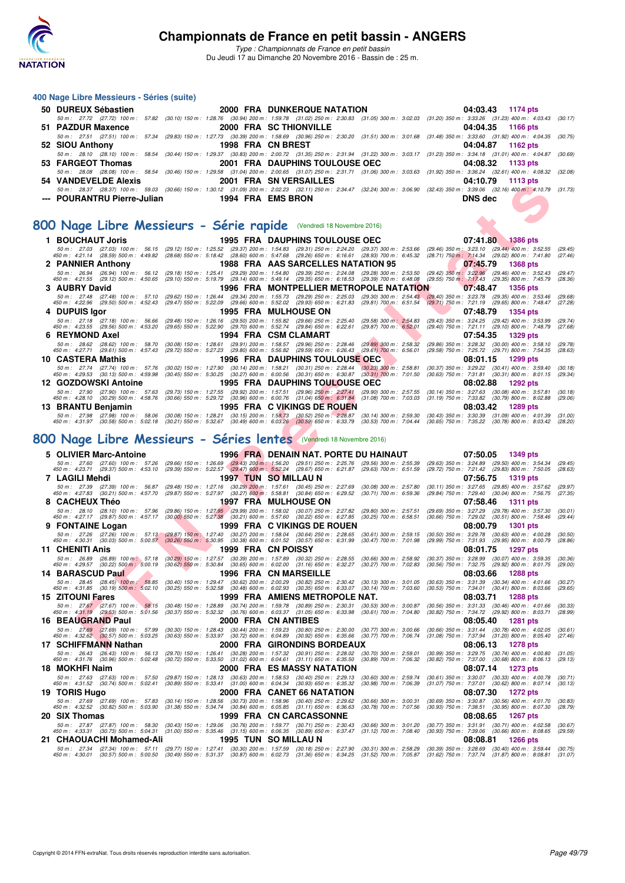

| 400 Nage Libre Messieurs - Séries (suite)                                                                                                                                                                                                                                     |                   |                                                                                                                                                                                                                                                                                                                             |                                                          |                                                                                                                                                                                                                                                                                                                                                                                     |                    |
|-------------------------------------------------------------------------------------------------------------------------------------------------------------------------------------------------------------------------------------------------------------------------------|-------------------|-----------------------------------------------------------------------------------------------------------------------------------------------------------------------------------------------------------------------------------------------------------------------------------------------------------------------------|----------------------------------------------------------|-------------------------------------------------------------------------------------------------------------------------------------------------------------------------------------------------------------------------------------------------------------------------------------------------------------------------------------------------------------------------------------|--------------------|
| 50 DUREUX Sébastien                                                                                                                                                                                                                                                           |                   | <b>2000 FRA DUNKERQUE NATATION</b>                                                                                                                                                                                                                                                                                          |                                                          | 04:03.43<br><b>1174 pts</b>                                                                                                                                                                                                                                                                                                                                                         |                    |
|                                                                                                                                                                                                                                                                               |                   |                                                                                                                                                                                                                                                                                                                             |                                                          | 50 m : 27.72 (27.72) 100 m : 57.82 (30.10) 150 m : 1:28.76 (30.94) 200 m : 1:59.78 (31.02) 250 m : 2:30.83 (31.05) 300 m : 3:02.03 (31.20) 350 m : 3:33.26 (31.23) 400 m : 4:03.43                                                                                                                                                                                                  | (30.17)            |
| 51 PAZDUR Maxence                                                                                                                                                                                                                                                             |                   | <b>2000 FRA SC THIONVILLE</b>                                                                                                                                                                                                                                                                                               |                                                          | 04:04.35<br><b>1166 pts</b>                                                                                                                                                                                                                                                                                                                                                         |                    |
| 52 SIOU Anthony                                                                                                                                                                                                                                                               | 1998 FRA CN BREST |                                                                                                                                                                                                                                                                                                                             |                                                          | 50 m: 27.51 (27.51) 100 m: 57.34 (29.83) 150 m: 1:27.73 (30.39) 200 m: 1:58.69 (30.96) 250 m: 2:30.20 (31.51) 300 m: 3:01.68 (31.48) 350 m: 3:33.60 (31.92) 400 m: 4:04.35<br>04:04.87<br>1162 pts                                                                                                                                                                                  | (30.75)            |
|                                                                                                                                                                                                                                                                               |                   |                                                                                                                                                                                                                                                                                                                             |                                                          | 50 m : 28.10 (28.10) 100 m : 58.54 (30.44) 150 m : 1:29.37 (30.83) 200 m : 2:00.72 (31.35) 250 m : 2:31.94 (31.22) 300 m : 3:03.17 (31.23) 350 m : 3:34.18 (31.01) 400 m : 4:04.87                                                                                                                                                                                                  | (30.69)            |
| 53 FARGEOT Thomas                                                                                                                                                                                                                                                             |                   | 2001 FRA DAUPHINS TOULOUSE OEC                                                                                                                                                                                                                                                                                              |                                                          | 04:08.32<br>1133 pts                                                                                                                                                                                                                                                                                                                                                                |                    |
| <b>54 VANDEVELDE Alexis</b>                                                                                                                                                                                                                                                   |                   | 2001 FRA SNVERSAILLES                                                                                                                                                                                                                                                                                                       |                                                          | 50 m: 28.08 (28.08) 100 m: 58.54 (30.46) 150 m: 1:29.58 (31.04) 200 m: 2:00.65 (31.07) 250 m: 2:31.71 (31.06) 300 m: 3:03.63 (31.92) 350 m: 3:36.24 (32.61) 400 m: 4:08.32<br>04:10.79<br>1113 pts                                                                                                                                                                                  | (32.08)            |
|                                                                                                                                                                                                                                                                               |                   |                                                                                                                                                                                                                                                                                                                             |                                                          | 50 m: 28.37 (28.37) 100 m: 59.03 (30.66) 150 m: 1:30.12 (31.09) 200 m: 2:02.23 (32.11) 250 m: 2:34.47 (32.24) 300 m: 3:06.90 (32.43) 350 m: 3:39.06 (32.16) 400 m: 4:10.79 (31.73)                                                                                                                                                                                                  |                    |
| <b>POURANTRU Pierre-Julian</b>                                                                                                                                                                                                                                                |                   | 1994 FRA EMS BRON                                                                                                                                                                                                                                                                                                           |                                                          | <b>DNS</b> dec                                                                                                                                                                                                                                                                                                                                                                      |                    |
|                                                                                                                                                                                                                                                                               |                   |                                                                                                                                                                                                                                                                                                                             |                                                          |                                                                                                                                                                                                                                                                                                                                                                                     |                    |
| 800 Nage Libre Messieurs - Série rapide (Vendredi 18 Novembre 2016)                                                                                                                                                                                                           |                   |                                                                                                                                                                                                                                                                                                                             |                                                          |                                                                                                                                                                                                                                                                                                                                                                                     |                    |
| 1 BOUCHAUT Joris                                                                                                                                                                                                                                                              |                   | <b>1995 FRA DAUPHINS TOULOUSE OEC</b>                                                                                                                                                                                                                                                                                       |                                                          | 07:41.80<br><b>1386 pts</b>                                                                                                                                                                                                                                                                                                                                                         |                    |
|                                                                                                                                                                                                                                                                               |                   |                                                                                                                                                                                                                                                                                                                             |                                                          | 50 m: 27.03 (27.03) 100 m: 56.15 (29.12) 150 m: 1:25.52 (29.37) 200 m: 1:54.83 (29.31) 250 m: 2:24.20 (29.37) 300 m: 2:53.66 (29.46) 350 m: 3:23.10 (29.44) 400 m: 3:52.55<br>450 m : 4:21.14 (28.59) 500 m : 4:49.82 (28.68) 550 m : 5:18.42 (28.60) 600 m : 5:47.68 (29.26) 650 m : 6:16.61 (28.93) 700 m : 6:45.32 (28.71) 750 <mark>m : 7:1</mark> 4.34 (29.02) 800 m : 7:41.80 | (29.45)<br>(27.46) |
| 2 PANNIER Anthony                                                                                                                                                                                                                                                             |                   | 1988 FRA AAS SARCELLES NATATION 95                                                                                                                                                                                                                                                                                          |                                                          | 07:45.79<br>1368 pts                                                                                                                                                                                                                                                                                                                                                                |                    |
| 50 m : 26.94 (26.94) 100 m : 56.12 (29.18) 150 m : 1:25.41 (29.29) 200 m : 1:54.80 (29.39) 250 m : 2:24.08 (29.28) 300 m : 2:53.50                                                                                                                                            |                   |                                                                                                                                                                                                                                                                                                                             |                                                          | (29.42) 350 m : 3:22.96 (29.46) 400 m : 3:52.43<br>450 m : 4:21.55 (29.12) 500 m : 4:50.65 (29.10) 550 m : 5:19.79 (29.14) 600 m : 5:49.14 (29.35) 650 m : 6:18.53 (29.39) 700 m : 6:48.08 (29.55) 750 m : 7:17.43 (29.35) 800 m : 7:45.79                                                                                                                                          | (29.47)<br>(28.36) |
| 3 AUBRY David                                                                                                                                                                                                                                                                 |                   | <b>1996 FRA MONTPELLIER METROPOLE NATATION</b>                                                                                                                                                                                                                                                                              |                                                          | 07:48.47<br><b>1356 pts</b>                                                                                                                                                                                                                                                                                                                                                         |                    |
| 50 m : 27.48 (27.48) 100 m : 57.10 (29.62) 150 m : 1:26.44 (29.34) 200 m : 1:55.73 (29.29) 250 m : 2:25.03 (29.30) 300 m : 2:54.43 (29.40) 350 m : 3:23.78<br>450 m : 4:22.96                                                                                                 |                   | (29.50) 500 m: 4:52.43 (29.47) 550 m: 5:22.09 (29.66) 600 m: 5:52.02 (29.93) 650 m: 6:21.83 (29.81) 700 m: 6:51.54                                                                                                                                                                                                          |                                                          | $(29.35)$ 400 m : 3:53.46<br>(29.71) 750 m : 7:21.19<br>$(29.65)$ 800 m : 7:48.47                                                                                                                                                                                                                                                                                                   | (29.68)<br>(27.28) |
| 4 DUPUIS Igor                                                                                                                                                                                                                                                                 |                   | <b>1995 FRA MULHOUSE ON</b>                                                                                                                                                                                                                                                                                                 |                                                          | 07:48.79<br><b>1354 pts</b>                                                                                                                                                                                                                                                                                                                                                         |                    |
| 50 m : 27.18 (27.18) 100 m : 56.66<br>450 m : 4:23.55 (29.56) 500 m : 4:53.20                                                                                                                                                                                                 |                   | (29.48) 150 m : 1:26.16 (29.50) 200 m : 1:55.82 (29.66) 250 m : 2:25.40 (29.58) 300 m : 2:54.83<br>(29.65) 550 m : 5:22.90 (29.70) 600 m : 5:52.74 (29.84) 650 m : 6:22.61 (29.87) 700 m : 6:52.01                                                                                                                          |                                                          | (29.43) 350 m: 3:24.25 (29.42) 400 m: 3:53.99<br>(29.40) 750 m : 7:21.11 (29.10) 800 m : 7:48.79                                                                                                                                                                                                                                                                                    | (29.74)<br>(27.68) |
| 6 REYMOND Axel                                                                                                                                                                                                                                                                |                   | 1994 FRA CSM CLAMART                                                                                                                                                                                                                                                                                                        |                                                          | 07:54.35<br>1329 pts                                                                                                                                                                                                                                                                                                                                                                |                    |
| 50 m : 28.62 (28.62) 100 m : 58.70<br>450 m : 4:27.71 (29.61) 500 m : 4:57.43                                                                                                                                                                                                 |                   | (30.08) 150 m : 1:28.61 (29.91) 200 m : 1:58.57 (29.96) 250 m : 2:28.46 (29.89) 300 m : 2:58.32<br>$(29.72)$ 550 m : 5:27.23 $(29.80)$ 600 m : 5:56.82 $(29.59)$ 650 m : 6:26.43 $(29.61)$ 700 m : 6:56.01                                                                                                                  |                                                          | (29.86) 350 m : 3:28.32 (30.00) 400 m : 3:58.10<br>(29.58) 750 m : 7:25.72 (29.71) 800 m : 7:54.35                                                                                                                                                                                                                                                                                  | (29.78)<br>(28.63) |
| 10 CASTERA Mathis                                                                                                                                                                                                                                                             |                   | <b>1996 FRA DAUPHINS TOULOUSE OEC</b>                                                                                                                                                                                                                                                                                       |                                                          | 08:01.15<br>1299 pts                                                                                                                                                                                                                                                                                                                                                                |                    |
| 50 m: 27.74 (27.74) 100 m: 57.76<br>450 m : 4:29.53 (30.13) 500 m : 4:59.98                                                                                                                                                                                                   |                   | (30.02) 150 m: 1:27.90 (30.14) 200 m: 1:58.21 (30.31) 250 m: 2:28.44 (30.23) 300 m: 2:58.81<br>(30.45) 550 m : 5:30.25 (30.27) 600 m : 6:00.56 (30.31) 650 m : 6:30.87 (30.31) 700 m : 7:01.50                                                                                                                              |                                                          | (30.37) 350 m: 3:29.22 (30.41) 400 m: 3:59.40<br>$(30.63)$ 750 m : 7:31.81 $(30.31)$ 800 m : 8:01.15                                                                                                                                                                                                                                                                                | (30.18)<br>(29.34) |
| 12 GOZDOWSKI Antoine                                                                                                                                                                                                                                                          |                   | <b>1995 FRA DAUPHINS TOULOUSE OEC</b>                                                                                                                                                                                                                                                                                       |                                                          | 08:02.88<br>1292 pts                                                                                                                                                                                                                                                                                                                                                                |                    |
| 50 m: 27.90 (27.90) 100 m: 57.63<br>450 m : 4:28.10 (30.29) 500 m : 4:58.76                                                                                                                                                                                                   |                   | (29.73) 150 m : 1:27.55 (29.92) 200 m : 1:57.51 (29.96) 250 m : 2:27.41<br>$(30.66)$ 550 m : 5:29.72 $(30.96)$ 600 m : 6:00.76 $(31.04)$ 650 m : 6:31.84                                                                                                                                                                    | (29.90) 300 m : 2:57.55<br>$(31.08)$ 700 m : 7:03.03     | $(30.14)$ 350 m : 3:27.63 $(30.08)$ 400 m : 3:57.81<br>(31.19) 750 m : 7:33.82 (30.79) 800 m : 8:02.88                                                                                                                                                                                                                                                                              | (30.18)<br>(29.06) |
| 13 BRANTU Benjamin                                                                                                                                                                                                                                                            |                   | <b>1995 FRA C VIKINGS DE ROUEN</b>                                                                                                                                                                                                                                                                                          |                                                          | 08:03.42<br><b>1289 pts</b>                                                                                                                                                                                                                                                                                                                                                         |                    |
| 50 m : 27.98                                                                                                                                                                                                                                                                  |                   | (27.98) 100 m : 58.06 (30.08) 150 m : 1:28.21 (30.15) 200 m : 1:58.73 (30.52) 250 m : 2:28.87 (30.14) 300 m : 2:59.30                                                                                                                                                                                                       |                                                          | $(30.43)$ 350 m : 3:30.39 $(31.09)$ 400 m : 4:01.39                                                                                                                                                                                                                                                                                                                                 | (31.00)            |
|                                                                                                                                                                                                                                                                               |                   |                                                                                                                                                                                                                                                                                                                             |                                                          |                                                                                                                                                                                                                                                                                                                                                                                     |                    |
| 450 m : 4:31.97 (30.58) 500 m : 5:02.18 (30.21) 550 m : 5:32.67 (30.49) 600 m : 6:03.26 (30.59) 650 m : 6:33.79                                                                                                                                                               |                   |                                                                                                                                                                                                                                                                                                                             | (30.53) 700 m : 7:04.44                                  | (30.65) 750 m : 7:35.22 (30.78) 800 m : 8:03.42                                                                                                                                                                                                                                                                                                                                     | (28.20)            |
| 800 Nage Libre Messieurs - Séries lentes (Vendredi 18 Novembre 2016)                                                                                                                                                                                                          |                   |                                                                                                                                                                                                                                                                                                                             |                                                          |                                                                                                                                                                                                                                                                                                                                                                                     |                    |
| 5 OLIVIER Marc-Antoine                                                                                                                                                                                                                                                        |                   | <b>1996 FRA DENAIN NAT. PORTE DU HAINAUT</b>                                                                                                                                                                                                                                                                                |                                                          | 07:50.05<br>1349 pts                                                                                                                                                                                                                                                                                                                                                                |                    |
| 50 m :   27.60    (27.60)  100 m :   57.26    (29.66)  150 m :  1:26.69    (29.43)  200 m :   1:56.20    (29.51)  250 m :   2:25.76    (29.56)  300 m :   2:55.39<br>450 m :   4:23.71    (29.37) 500 m :   4:53.10    (29.39) 55                                             |                   |                                                                                                                                                                                                                                                                                                                             |                                                          | (29.63) 350 m: 3:24.89 (29.50) 400 m: 3:54.34<br>(29.72) 750 m : 7:21.42 (29.83) 800 m : 7:50.05                                                                                                                                                                                                                                                                                    | (29.45)<br>(28.63) |
| 7 LAGILI Mehdi                                                                                                                                                                                                                                                                |                   | <b>1997 TUN SO MILLAU N</b>                                                                                                                                                                                                                                                                                                 |                                                          | 07:56.75<br>1319 pts                                                                                                                                                                                                                                                                                                                                                                |                    |
| 50 m : 27.39 (27.39) 100 m : 56.87<br>450 m : 4:27.83 (30.21) 500 m : 4:57.70                                                                                                                                                                                                 |                   | (29.48) 150 m: 1:27.16 (30.29) 200 m: 1:57.61 (30.45) 250 m: 2:27.69<br>(29.87) 550 m : 5:27.97 (30.27) 600 m : 5:58.81 (30.84) 650 m : 6:29.52                                                                                                                                                                             | $(30.08)$ 300 m : 2:57.80<br>(30.71) 700 m : 6:59.36     | $(30.11)$ 350 m : 3:27.65<br>(29.85) 400 m : 3:57.62<br>(29.84) 750 m : 7:29.40<br>(30.04) 800 m : 7:56.75                                                                                                                                                                                                                                                                          | (29.97)<br>(27.35) |
| 8 CACHEUX Théo                                                                                                                                                                                                                                                                |                   | 1997 FRA MULHOUSE ON                                                                                                                                                                                                                                                                                                        |                                                          | 07:58.46<br><b>1311 pts</b>                                                                                                                                                                                                                                                                                                                                                         |                    |
| 50 m: 28.10 (28.10) 100 m: 57.96 (29.86) 150 m: 1:27.95 (29.99) 200 m: 1:58.02 (30.07) 250 m: 2:27.82<br>450 m : 4:27.17 (29.87) 500 m : 4:57.17 (30.00) 550 m : 5:27.38                                                                                                      |                   | (30.21) 600 m : 5:57.60 (30.22) 650 m : 6:27.85                                                                                                                                                                                                                                                                             | $(29.80)$ 300 m : $2:57.51$<br>$(30.25)$ 700 m : 6:58.51 | (29.69) 350 m : 3:27.29<br>(29.78) 400 m : 3:57.30<br>$(30.66)$ 750 m : 7:29.02<br>$(30.51)$ 800 m : 7:58.46                                                                                                                                                                                                                                                                        | (30.01)<br>(29.44) |
| 9 FONTAINE Logan                                                                                                                                                                                                                                                              |                   | 1999 FRA C VIKINGS DE ROUEN                                                                                                                                                                                                                                                                                                 |                                                          | 08:00.79<br>1301 pts                                                                                                                                                                                                                                                                                                                                                                |                    |
| 50 m : 27.26 (27.26) 100 m : 57.13 (29.87) 150 m : 1:27.40 (30.27) 200 m : 1:58.04<br>450 m : 4:30.31 (30.03) 500 m : 5:00.57 (30.26) 550 m : 5:30.95 (30.38) 600 m : 6:01.52                                                                                                 |                   | (30.64) 250 m : 2:28.65 (30.61) 300 m : 2:59.15<br>(30.57) 650 m : 6:31.99                                                                                                                                                                                                                                                  | (30.47) 700 m : 7:01.98                                  | $(30.50)$ 350 m : 3:29.78<br>$(30.63)$ 400 m : 4:00.28<br>(29.99) 750 m : 7:31.93<br>(29.95) 800 m : 8:00.79                                                                                                                                                                                                                                                                        | (30.50)<br>(28.86) |
| 11 CHENITI Anis                                                                                                                                                                                                                                                               |                   | 1999 FRA CN POISSY                                                                                                                                                                                                                                                                                                          |                                                          | 08:01.75<br>1297 pts                                                                                                                                                                                                                                                                                                                                                                |                    |
| 450 m : 4:29.57 (30.22) 500 m : 5:00.19 (30.62) 550 m : 5:30.84 (30.65) 600 m : 6:02.00 (31.16) 650 m : 6:32.27 (30.27) 700 m : 7:02.83                                                                                                                                       |                   |                                                                                                                                                                                                                                                                                                                             |                                                          | 50 m: 26.89 (26.89) 100 m: 57.18 (30.29) 150 m: 1:27.57 (30.39) 200 m: 1:57.89 (30.32) 250 m: 2:28.55 (30.66) 300 m: 2:58.92 (30.37) 350 m: 3:28.99 (30.07) 400 m: 3:59.35 (30.36)<br>(30.56) 750 m : 7:32.75 (29.92) 800 m : 8:01.75                                                                                                                                               | (29.00)            |
| <b>14 BARASCUD Paul</b>                                                                                                                                                                                                                                                       |                   | 1996 FRA CN MARSEILLE                                                                                                                                                                                                                                                                                                       |                                                          | 08:03.66<br>1288 pts                                                                                                                                                                                                                                                                                                                                                                |                    |
| 50 m : 28.45 (28.45) 100 m : 58.85 (30.40) 150 m : 1:29.47 (30.62) 200 m : 2:00.29 (30.82) 250 m : 2:30.42 (30.13) 300 m : 3:01.05<br>450 m : 4:31.85 (30.19) 500 m : 5:02.10 (30.25) 550 m : 5:32.58 (30.48) 600 m : 6:02.93 (30.35) 650 m : 6:33.07 (30.14) 700 m : 7:03.60 |                   |                                                                                                                                                                                                                                                                                                                             |                                                          | $(30.63)$ 350 m : 3:31.39 $(30.34)$ 400 m : 4:01.66<br>$(30.53)$ 750 m : 7:34.01 $(30.41)$ 800 m : 8:03.66                                                                                                                                                                                                                                                                          | (30.27)<br>(29.65) |
| <b>15 ZITOUNI Fares</b>                                                                                                                                                                                                                                                       |                   | 1999 FRA AMIENS METROPOLE NAT.                                                                                                                                                                                                                                                                                              |                                                          | 08:03.71<br>1288 pts                                                                                                                                                                                                                                                                                                                                                                |                    |
| 50 m: 27.67 (27.67) 100 m: 58.15 (30.48) 150 m: 1:28.89 (30.74) 200 m: 1:59.78 (30.89) 250 m: 2:30.31<br>450 m : 4:31.19 (29.53) 500 m : 5:01.56                                                                                                                              |                   | $(30.37)$ 550 m : 5:32.32 $(30.76)$ 600 m : 6:03.37 $(31.05)$ 650 m : 6:33.98 $(30.61)$ 700 m : 7:04.80                                                                                                                                                                                                                     | $(30.53)$ 300 m : 3:00.87                                | (30.56) 350 m: 3:31.33 (30.46) 400 m: 4:01.66<br>(30.82) 750 m : 7:34.72 (29.92) 800 m : 8:03.71                                                                                                                                                                                                                                                                                    | (30.33)<br>(28.99) |
| 16 BEAUGRAND Paul                                                                                                                                                                                                                                                             |                   | 2000 FRA CN ANTIBES                                                                                                                                                                                                                                                                                                         |                                                          | 08:05.40<br>1281 pts                                                                                                                                                                                                                                                                                                                                                                |                    |
| 50 m : 27.69 (27.69) 100 m : 57.99<br>450 m : 4:32.62 (30.57) 500 m : 5:03.25                                                                                                                                                                                                 |                   | (30.30) 150 m : 1:28.43 (30.44) 200 m : 1:59.23 (30.80) 250 m : 2:30.00<br>$(30.63)$ 550 m : 5:33.97 $(30.72)$ 600 m : 6:04.89 $(30.92)$ 650 m : 6:35.66                                                                                                                                                                    | $(30.77)$ 300 m : 3:00.66<br>(30.77) 700 m : 7:06.74     | $(30.66)$ 350 m : 3:31.44 $(30.78)$ 400 m : 4:02.05<br>(31.08) 750 m : 7:37.94 (31.20) 800 m : 8:05.40                                                                                                                                                                                                                                                                              | (30.61)<br>(27.46) |
| 17 SCHIFFMANN Nathan                                                                                                                                                                                                                                                          |                   | 2000 FRA GIRONDINS BORDEAUX                                                                                                                                                                                                                                                                                                 |                                                          | 08:06.13<br><b>1278 pts</b>                                                                                                                                                                                                                                                                                                                                                         |                    |
| 50 m : 26.43 (26.43) 100 m : 56.13<br>450 m : 4:31.76 (30.96) 500 m : 5:02.48                                                                                                                                                                                                 |                   | (29.70) 150 m : 1:26.41 (30.28) 200 m : 1:57.32 (30.91) 250 m : 2:28.02<br>$(30.72)$ 550 m : 5:33.50 $(31.02)$ 600 m : 6:04.61 $(31.11)$ 650 m : 6:35.50                                                                                                                                                                    | $(30.70)$ 300 m : 2:59.01<br>$(30.89)$ 700 m : 7:06.32   | $(30.99)$ 350 m : 3:29.75 $(30.74)$ 400 m : 4:00.80<br>$(30.82)$ 750 m : 7:37.00 $(30.68)$ 800 m : 8:06.13                                                                                                                                                                                                                                                                          | (31.05)<br>(29.13) |
| 18 MOKHFI Naim                                                                                                                                                                                                                                                                |                   | 2000 FRA ES MASSY NATATION                                                                                                                                                                                                                                                                                                  |                                                          | 08:07.14<br>1273 pts                                                                                                                                                                                                                                                                                                                                                                |                    |
| 50 m : 27.63 (27.63) 100 m : 57.50<br>450 m : 4:31.52 (30.74) 500 m : 5:02.41                                                                                                                                                                                                 |                   | $\left(29.87\right) \begin{array}{l} 150 \; \text{m:} \quad 1.28.13 \\ \text{(30.89) } \ 550 \; \text{m:} \quad 5.33.41 \\ \text{(31.89) } \ 550 \; \text{m:} \quad 5.33.41 \\ \text{(31.00) } \ 600 \; \text{m:} \quad 6.04.34 \\ \text{(31.91) } \ 650 \; \text{m:} \quad 6.35.32 \\ \text{(32.92) } \end{array} \right)$ | $(30.60)$ 300 m : 2:59.74<br>(30.98) 700 m : 7:06.39     | $(30.61)$ 350 m : 3:30.07 $(30.33)$ 400 m : 4:00.78<br>$(31.07)$ 750 m : 7:37.01 $(30.62)$ 800 m : 8:07.14                                                                                                                                                                                                                                                                          | (30.71)<br>(30.13) |
| 19 TORIS Hugo                                                                                                                                                                                                                                                                 |                   | 2000 FRA CANET 66 NATATION                                                                                                                                                                                                                                                                                                  |                                                          | 08:07.30<br>1272 pts                                                                                                                                                                                                                                                                                                                                                                |                    |
| 50 m: 27.69 (27.69) 100 m: 57.83 (30.14) 150 m: 1:28.56 (30.73) 200 m: 1:58.96 (30.40) 250 m: 2:29.62<br>450 m : 4:32.52 (30.82) 500 m : 5:03.90                                                                                                                              |                   | $(31.38)$ 550 m : 5:34.74 $(30.84)$ 600 m : 6:05.85 $(31.11)$ 650 m : 6:36.63                                                                                                                                                                                                                                               | $(30.66)$ 300 m : 3:00.31<br>(30.78) 700 m : 7:07.56     | (30.69) 350 m: 3:30.87 (30.56) 400 m: 4:01.70<br>(30.93) 750 m : 7:38.51 (30.95) 800 m : 8:07.30                                                                                                                                                                                                                                                                                    | (30.83)<br>(28.79) |
| 20 SIX Thomas                                                                                                                                                                                                                                                                 |                   | 1999 FRA CN CARCASSONNE                                                                                                                                                                                                                                                                                                     |                                                          | 08:08.65<br>1267 pts                                                                                                                                                                                                                                                                                                                                                                |                    |
| 50 m : 27.87 (27.87) 100 m : 58.30 (30.43) 150 m : 1:29.06 (30.76) 200 m : 1:59.77 (30.71) 250 m : 2:30.43<br>50 m : 4:33.31 (30.73) 500 m : 5:04.31 (31.00) 550 m : 5:35.46 (31.15) 600 m : 6:06.35 (30.89) 650 m : 6:37.47<br>450 m : 4:33.31 (30.73) 500 m : 5:04.31       |                   |                                                                                                                                                                                                                                                                                                                             | $(30.66)$ 300 m : 3:01.20<br>$(31.12)$ 700 m : 7:08.40   | (30.77) 350 m : 3:31.91 (30.71) 400 m : 4:02.58<br>(30.93) 750 m : 7:39.06 (30.66) 800 m : 8:08.65                                                                                                                                                                                                                                                                                  | (30.67)<br>(29.59) |
| 21 CHAOUACHI Mohamed-Ali<br>50 m: 27.34 (27.34) 100 m: 57.11 (29.77) 150 m: 1:27.41 (30.30) 200 m: 1:57.59 (30.18) 250 m: 2:27.90                                                                                                                                             |                   | 1995 TUN SO MILLAU N                                                                                                                                                                                                                                                                                                        | $(30.31)$ 300 m : 2:58.29                                | 08:08.81<br><b>1266 pts</b><br>(30.39) 350 m : 3:28.69 (30.40) 400 m : 3:59.44 (30.75)                                                                                                                                                                                                                                                                                              |                    |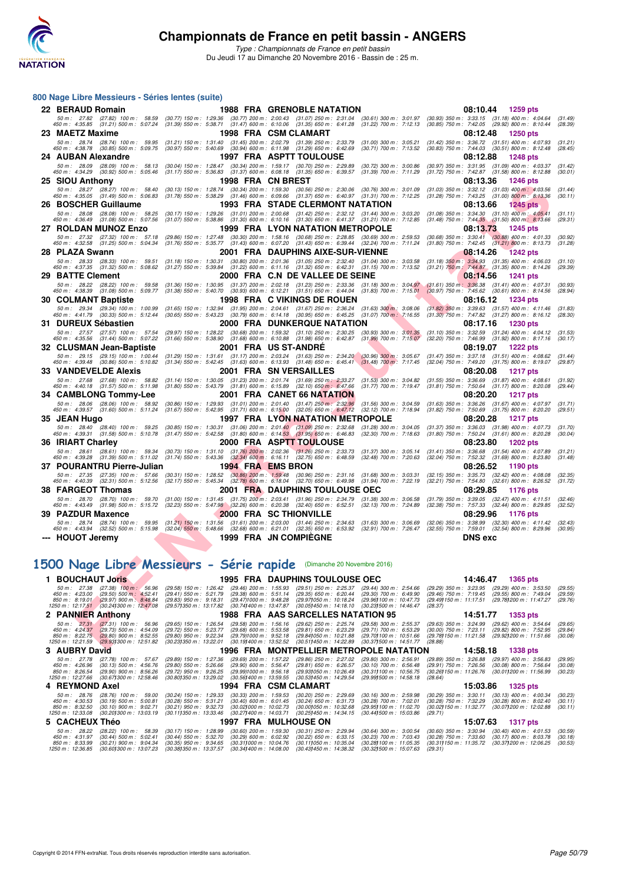

*Type : Championnats de France en petit bassin* Du Jeudi 17 au Dimanche 20 Novembre 2016 - Bassin de : 25 m.

| 800 Nage Libre Messieurs - Séries lentes (suite)                                                                                                                                                                                                                              |                                                                                                                                                                                                                                                                                                          |                                                              |                                                                           |                                                          |                                       |                                                                                                            |                    |
|-------------------------------------------------------------------------------------------------------------------------------------------------------------------------------------------------------------------------------------------------------------------------------|----------------------------------------------------------------------------------------------------------------------------------------------------------------------------------------------------------------------------------------------------------------------------------------------------------|--------------------------------------------------------------|---------------------------------------------------------------------------|----------------------------------------------------------|---------------------------------------|------------------------------------------------------------------------------------------------------------|--------------------|
| 22 BERAUD Romain                                                                                                                                                                                                                                                              |                                                                                                                                                                                                                                                                                                          |                                                              | <b>1988 FRA GRENOBLE NATATION</b>                                         |                                                          | 08:10.44                              | 1259 pts                                                                                                   |                    |
| 50 m : 27.82 (27.82) 100 m : 58.59 (30.77) 150 m : 1:29.36 (30.77) 200 m : 2:00.43 (31.07) 250 m : 2:31.04 (30.61) 300 m : 3:01.97<br>450 m : 4:35.85 (31.21) 500 m : 5:07.24 (31.39) 550 m : 5:38.71 (31.47) 600 m : 6:10.06 (31.35) 650 m : 6:41.28 (31.22) 700 m : 7:12.13 |                                                                                                                                                                                                                                                                                                          |                                                              |                                                                           |                                                          |                                       | $(30.93)$ 350 m : 3:33.15 $(31.18)$ 400 m : 4:04.64<br>$(30.85)$ 750 m : 7:42.05 $(29.92)$ 800 m : 8:10.44 | (31.49)<br>(28.39) |
| 23 MAETZ Maxime                                                                                                                                                                                                                                                               |                                                                                                                                                                                                                                                                                                          | 1998 FRA CSM CLAMART                                         |                                                                           |                                                          | 08:12.48                              | 1250 pts                                                                                                   |                    |
| 50 m: 28.74 (28.74) 100 m: 59.95 (31.21) 150 m: 1:31.40 (31.45) 200 m: 2:02.79 (31.39) 250 m: 2:33.79 (31.00) 300 m: 3:05.21<br>450 m : 4:38.78 (30.85) 500 m : 5:09.75                                                                                                       | $(30.97)$ 550 m $: 5.40.69$ $(30.94)$ 600 m $: 6.11.98$ $(31.29)$ 650 m $: 6.42.69$ $(30.71)$ 700 m $: 7.13.52$                                                                                                                                                                                          |                                                              |                                                                           |                                                          |                                       | $(31.42)$ 350 m : 3:36.72 $(31.51)$ 400 m : 4:07.93<br>$(30.83)$ 750 m : 7:44.03 $(30.51)$ 800 m : 8:12.48 | (31.21)<br>(28.45) |
| 24 AUBAN Alexandre                                                                                                                                                                                                                                                            |                                                                                                                                                                                                                                                                                                          |                                                              | 1997 FRA ASPTT TOULOUSE                                                   |                                                          | 08:12.88                              | <b>1248 pts</b>                                                                                            |                    |
| 50 m: 28.09 (28.09) 100 m: 58.13<br>450 m: 4:34.29 (30.92) 500 m: 5:05.46                                                                                                                                                                                                     | (30.04) 150 m: 1:28.47 (30.34) 200 m: 1:59.17 (30.70) 250 m: 2:29.89<br>$(31.17)$ 550 m : 5:36.83 $(31.37)$ 600 m : 6:08.18 $(31.35)$ 650 m : 6:39.57                                                                                                                                                    |                                                              |                                                                           | $(30.72)$ 300 m : 3:00.86<br>$(31.39)$ 700 m : 7:11.29   |                                       | (30.97) 350 m: 3:31.95 (31.09) 400 m: 4:03.37<br>(31.72) 750 m: 7:42.87 (31.58) 800 m: 8:12.88             | (31.42)<br>(30.01) |
| 25 SIOU Anthony                                                                                                                                                                                                                                                               |                                                                                                                                                                                                                                                                                                          | 1998 FRA CN BREST                                            |                                                                           |                                                          | 08:13.36                              | 1246 pts                                                                                                   |                    |
| 50 m: 28.27 (28.27) 100 m: 58.40<br>450 m: 4:35.05 (31.49) 500 m: 5:06.83                                                                                                                                                                                                     | $(30.13) \;\; 150 \; m: \;\; 1:28.74 \quad \  \, (30.34) \; 200 \; m: \;\; 1:59.30 \quad \  \, (30.56) \; 250 \; m: \;\; 2:30.06 \quad \, (30.76) \; 300 \; m: \;\; 3:01.09 \quad \, (31.78) \; 550 \; m: \;\; 5:38.29 \quad \, (31.46) \; 600 \; m: \;\; 6:09.66 \quad \, (31.37) \; 650 \; m: \;\; 6:$ |                                                              |                                                                           |                                                          |                                       | $(31.03)$ 350 m : 3:32.12 $(31.03)$ 400 m : 4:03.56<br>$(31.28)$ 750 m : 7:43.25 $(31.00)$ 800 m : 8:13.36 | (31.44)<br>(30.11) |
| 26 BOSCHER Guillaume                                                                                                                                                                                                                                                          |                                                                                                                                                                                                                                                                                                          |                                                              | <b>1993 FRA STADE CLERMONT NATATION</b>                                   |                                                          | 08:13.66                              | 1245 pts                                                                                                   |                    |
| 50 m: 28.08 (28.08) 100 m: 58.25<br>450 m : 4:36.49 (31.08) 500 m : 5:07.56                                                                                                                                                                                                   | $(30.17) 150 m : 1:29.26 (31.01) 200 m : 2:00.68 (31.42) 250 m : 2:32.12 (31.44) 300 m : 3:03.20(31.07) 550 m : 5:38.86 (31.30) 600 m : 6:10.16 (31.30) 650 m : 6:41.37 (31.21) 700 m : 7:12.85$                                                                                                         |                                                              |                                                                           |                                                          |                                       | $(31.08)$ 350 m : 3:34.30 $(31.10)$ 400 m : 4:05.41<br>$(31.48)$ 750 m : 7:44.35 $(31.50)$ 800 m : 8:13.66 | (31.11)<br>(29.31) |
| 27 ROLDAN MUNOZ Enzo                                                                                                                                                                                                                                                          |                                                                                                                                                                                                                                                                                                          |                                                              | 1999 FRA LYON NATATION METROPOLE                                          |                                                          | 08:13.73                              | <b>1245 pts</b>                                                                                            |                    |
| 50 m: 27.32 (27.32) 100 m: 57.18<br>450 m: 4:32.58 (31.25) 500 m: 5:04.34                                                                                                                                                                                                     | (29.86) 150 m : 1:27.48 (30.30) 200 m : 1:58.16 (30.68) 250 m : 2:28.85 (30.69) 300 m : 2:59.53<br>(31.76) 550 m: 5:35.77 (31.43) 600 m: 6:07.20 (31.43) 650 m: 6:39.44 (32.24) 700 m: 7:11.24                                                                                                           |                                                              |                                                                           |                                                          | $(30.68)$ 350 m : 3:30.41             | $(30.88)$ 400 m : 4:01.33<br>$(31.80)$ 750 m : 7:42.45 $(31.21)$ 800 m : 8:13.73                           | (30.92)<br>(31.28) |
| 28 PLAZA Swann                                                                                                                                                                                                                                                                |                                                                                                                                                                                                                                                                                                          |                                                              | 2001 FRA DAUPHINS AIXE-SUR-VIENNE                                         |                                                          | 08:14.26                              | <b>1242 pts</b>                                                                                            |                    |
| 50 m: 28.33 (28.33) 100 m: 59.51<br>450 m: 4:37.35 (31.32) 500 m: 5:08.62                                                                                                                                                                                                     | $(31.18)$ 150 m : 1:30.31 $(30.80)$ 200 m : 2:01.36 $(31.05)$ 250 m : 2:32.40 $(31.04)$ 300 m : 3:03.58<br>$(31.27)$ 550 m : 5:39.84                                                                                                                                                                     |                                                              | (31.22) 600 m: 6:11.16 (31.32) 650 m: 6:42.31 (31.15) 700 m: 7:13.52      |                                                          |                                       | $(31.18)$ 350 m : 3:34.93 $(31.35)$ 400 m : 4:06.03<br>(31.21) 750 m: 7:44.87 (31.35) 800 m: 8:14.26       | (31.10)<br>(29.39) |
| 29 BATTE Clement                                                                                                                                                                                                                                                              |                                                                                                                                                                                                                                                                                                          |                                                              | 2000 FRA C.N DE VALLEE DE SEINE                                           |                                                          | 08:14.56                              | 1241 pts                                                                                                   |                    |
| 50 m: 28.22 (28.22) 100 m: 59.58<br>450 m: 4:38.39 (31.08) 500 m: 5:09.77                                                                                                                                                                                                     | $(31.36)$ 150 m : 1:30.95<br>(31.38) 550 m : 5:40.70 (30.93) 600 m : 6:12.21 (31.51) 650 m : 6:44.04                                                                                                                                                                                                     |                                                              | (31.37) 200 m : 2:02.18 (31.23) 250 m : 2:33.36                           | $(31.18)$ 300 m : 3:04.97<br>$(31.83)$ 700 m : 7:15.01   | $(30.97)$ 750 m : 7:45.62             | $(31.61)$ 350 m : 3:36.38 $(31.41)$ 400 m : 4:07.31<br>$(30.61)$ 800 m : 8:14.56                           | (30.93)<br>(28.94) |
| 30 COLMANT Baptiste                                                                                                                                                                                                                                                           |                                                                                                                                                                                                                                                                                                          |                                                              | 1998 FRA C VIKINGS DE ROUEN                                               |                                                          | 08:16.12                              | 1234 pts                                                                                                   |                    |
| 50 m: 29.34 (29.34) 100 m: 1:00.99<br>450 m: 4:41.79 (30.33) 500 m: 5:12.44                                                                                                                                                                                                   | $(31.65)$ 150 m : 1:32.94 $(31.95)$ 200 m : 2:04.61 $(31.67)$ 250 m : 2:36.24 $(31.63)$ 300 m : 3:08.06<br>(30.65) 550 m: 5:43.23 (30.79) 600 m: 6:14.18 (30.95) 650 m: 6:45.25 (31.07) 700 m: 7:16.55                                                                                                   |                                                              |                                                                           |                                                          |                                       | $(31.82)$ 350 m : 3:39.63 $(31.57)$ 400 m : 4:11.46<br>(31.30) 750 m: 7:47.82 (31.27) 800 m: 8:16.12       | (31.83)<br>(28.30) |
| 31 DUREUX Sébastien                                                                                                                                                                                                                                                           |                                                                                                                                                                                                                                                                                                          |                                                              | <b>2000 FRA DUNKERQUE NATATION</b>                                        |                                                          | 08:17.16                              | 1230 pts                                                                                                   |                    |
| 50 m: 27.57 (27.57) 100 m: 57.54<br>450 m : 4:35.56 (31.44) 500 m : 5:07.22                                                                                                                                                                                                   | (29.97) 150 m: 1:28.22 (30.68) 200 m: 1:59.32 (31.10) 250 m: 2:30.25<br>$(31.66)$ 550 m : 5:38.90 $(31.68)$ 600 m : 6:10.88 $(31.98)$ 650 m : 6:42.87 $(31.99)$ 700 m : 7:15.07                                                                                                                          |                                                              |                                                                           | $(30.93)$ 300 m : 3:01.35                                |                                       | $(31.10)$ 350 m : 3:32.59 $(31.24)$ 400 m : 4:04.12<br>(32.20) 750 m : 7:46.99 (31.92) 800 m : 8:17.16     | (31.53)<br>(30.17) |
| 32 CLUSMAN Jean-Baptiste                                                                                                                                                                                                                                                      |                                                                                                                                                                                                                                                                                                          | 2001 FRA US ST-ANDRÉ                                         |                                                                           |                                                          | 08:19.07                              | 1222 pts                                                                                                   |                    |
| 50 m: 29.15 (29.15) 100 m: 1:00.44                                                                                                                                                                                                                                            | $(31.29)$ 150 m : 1:31.61 $(31.17)$ 200 m : 2:03.24 $(31.63)$ 250 m : 2:34.20 $(30.96)$ 300 m : 3:05.67                                                                                                                                                                                                  |                                                              |                                                                           |                                                          |                                       | $(31.47)$ 350 m : 3:37.18 $(31.51)$ 400 m : 4:08.62<br>(32.04) 750 m: 7:49.20 (31.75) 800 m: 8:19.07       | (31.44)            |
| 450 m : 4:39.48 (30.86) 500 m : 5:10.82<br>33   VANDEVELDE Alexis                                                                                                                                                                                                             | $(31.34)$ 550 m : 5:42.45 $(31.63)$ 600 m : 6:13.93 $(31.48)$ 650 m : 6:45.41 $(31.48)$ 700 m : 7:17.45                                                                                                                                                                                                  | <b>2001 FRA SN VERSAILLES</b>                                |                                                                           |                                                          | 08:20.08                              | <b>1217 pts</b>                                                                                            | (29.87)            |
| 50 m: 27.68 (27.68) 100 m: 58.82                                                                                                                                                                                                                                              | $(31.14)$ 150 m : 1:30.05 $(31.23)$ 200 m : 2:01.74 $(31.69)$ 250 m : 2:33.27                                                                                                                                                                                                                            |                                                              |                                                                           | $(31.53)$ 300 m : 3:04.82                                |                                       | $(31.55)$ 350 m : 3:36.69 $(31.87)$ 400 m : 4:08.61                                                        | (31.92)            |
| 450 m: 4:40.18 (31.57) 500 m: 5:11.98<br>34 CAMBLONG Tommy-Lee                                                                                                                                                                                                                | $(31.80)$ 550 m : 5:43.79 $(31.81)$ 600 m : 6:15.89 $(32.10)$ 650 m : 6:47.66                                                                                                                                                                                                                            |                                                              | <b>2001 FRA CANET 66 NATATION</b>                                         | $(31.77)$ 700 m : 7:19.47                                | 08:20.20                              | $(31.81)$ 750 m : 7:50.64 $(31.17)$ 800 m : 8:20.08<br><b>1217 pts</b>                                     | (29.44)            |
| 50 m: 28.06 (28.06) 100 m: 58.92                                                                                                                                                                                                                                              | $(30.86)$ 150 m : 1:29.93 $(31.01)$ 200 m : 2:01.40 $(31.47)$ 250 m : 2:32.96 $(31.56)$ 300 m : 3:04.59                                                                                                                                                                                                  |                                                              |                                                                           |                                                          |                                       | (31.63) 350 m : 3:36.26 (31.67) 400 m : 4:07.97                                                            | (31.71)            |
| 450 m: 4:39.57 (31.60) 500 m: 5:11.24<br>35 JEAN Hugo                                                                                                                                                                                                                         | (31.67) 550 m: 5:42.95 (31.71) 600 m: 6:15.00 (32.05) 650 m: 6:47.12 (32.12) 700 m: 7:18.94                                                                                                                                                                                                              |                                                              | 1997 FRA LYON NATATION METROPOLE                                          |                                                          | 08:20.28                              | (31.82) 750 m : 7:50.69 (31.75) 800 m : 8:20.20<br><b>1217 pts</b>                                         | (29.51)            |
| 50 m: 28.40 (28.40) 100 m: 59.25                                                                                                                                                                                                                                              | $\begin{array}{cccc} (30.85) \ 150 \ m : & 1:30.31 & (31.06) \ 200 \ m : & 2:01.40 & (31.09) \ 250 \ m : & 2:32.68 & (31.28) \ 300 \ m : & 3:04.05 \\ (31.47) \ 550 \ m : & 5:42.58 & (31.80) \ 600 \ m : & 6:14.53 & (31.95) \ 650 \ m : & 6:46.83 & (32.30) \ 700 \ m : & 7:18.63 \end{array}$         |                                                              |                                                                           |                                                          |                                       | (31.37) 350 m : 3:36.03 (31.98) 400 m : 4:07.73                                                            | (31.70)            |
| 450 m : 4:39.31 (31.58) 500 m : 5:10.78<br>36 IRIART Charley                                                                                                                                                                                                                  |                                                                                                                                                                                                                                                                                                          |                                                              | <b>2000 FRA ASPTT TOULOUSE</b>                                            |                                                          | 08:23.80                              | $(31.80)$ 750 m : 7:50.24 $(31.61)$ 800 m : 8:20.28<br><b>1202 pts</b>                                     | (30.04)            |
| 50 m: 28.61 (28.61) 100 m: 59.34                                                                                                                                                                                                                                              | (30.73) 150 m : 1:31.10 (31.76) 200 m : 2:02.36 (31.26) 250 m : 2:33.73 (31.37) 300 m : 3:05.14                                                                                                                                                                                                          |                                                              |                                                                           |                                                          |                                       | $(31.41)$ 350 m : 3:36.68 $(31.54)$ 400 m : 4:07.89                                                        | (31.21)            |
| 450 m : 4:39.28 (31.39) 500 m : 5:11.02 (31.74) 550 m : 5:43.36 (32.34) 600 m : 6:16.11 (32.75) 650 m : 6:48.59<br>37 POURANTRU Pierre-Julian                                                                                                                                 |                                                                                                                                                                                                                                                                                                          | 1994 FRA EMS BRON                                            |                                                                           | $(32.48)$ 700 m : 7:20.63                                | 08:26.52                              | (32.04) 750 m : 7:52.32 (31.69) 800 m : 8:23.80<br>1190 pts                                                | (31.48)            |
| 50 m: 27.35 (27.35) 100 m: 57.66                                                                                                                                                                                                                                              | $(30.31)$ 150 m : 1:28.52 $(30.86)$ 200 m : 1:59.48 $(30.96)$ 250 m : 2:31.16                                                                                                                                                                                                                            |                                                              |                                                                           | $(31.68)$ 300 m : 3:03.31                                |                                       | (32.15) 350 m: 3:35.73 (32.42) 400 m: 4:08.08                                                              | (32.35)            |
| 450 m : 4:40.39<br>$(32.31)$ 500 m : 5:12.56<br>38 FARGEOT Thomas                                                                                                                                                                                                             | $(32.17)$ 550 m : 5:45.34 $(32.78)$ 600 m : 6:18.04 $(32.70)$ 650 m : 6:49.98                                                                                                                                                                                                                            |                                                              | 2001 FRA DAUPHINS TOULOUSE OEC                                            | $(31.94)$ 700 m : 7:22.19                                | $(32.21)$ 750 m : 7:54.80<br>08:29.85 | $(32.61)$ 800 m : 8:26.52<br><b>1176 pts</b>                                                               | (31.72)            |
| 50 m: 28.70 (28.70) 100 m: 59.70 (31.00) 150 m: 1:31.45 (31.75) 200 m: 2:03.41 (31.96) 250 m: 2:34.79 (31.38) 300 m: 3:06.58                                                                                                                                                  |                                                                                                                                                                                                                                                                                                          |                                                              |                                                                           |                                                          |                                       | $(31.79)$ 350 m : 3:39.05 $(32.47)$ 400 m : 4:11.51                                                        | (32.46)            |
| 450 m : 4:43.49 (31.98) 500 m : 5:15.72 (32.23) 550 m : 5:47.98 (32.26) 600 m : 6:20.38 (32.40) 650 m : 6:52.51 (32.13) 700 m : 7:24.89<br>39 PAZDUR Maxence                                                                                                                  |                                                                                                                                                                                                                                                                                                          | <b>2000 FRA SC THIONVILLE</b>                                |                                                                           |                                                          | $(32.38)$ 750 m : 7:57.33<br>08:29.96 | $(32.44)$ 800 m : 8:29.85<br><b>1176 pts</b>                                                               | (32.52)            |
| 50 m : 28.74 (28.74) 100 m : 59.95 (31.21) 150 m : 1:31.56 (31.61) 200 m : 2:03.00 (31.44) 250 m : 2:34.63 (31.63) 300 m : 3:06.69                                                                                                                                            |                                                                                                                                                                                                                                                                                                          |                                                              |                                                                           |                                                          |                                       | (32.06) 350 m: 3:38.99 (32.30) 400 m: 4:11.42                                                              | (32.43)            |
| 450 m : 4:43.94 (32.52) 500 m : 5:15.98 (32.04) 550 m : 5:48.66 (32.68) 600 m : 6:21.01 (32.35) 650 m : 6:53.92 (32.91) 700 m : 7:26.47<br>--- HOUOT Jeremy                                                                                                                   |                                                                                                                                                                                                                                                                                                          | 1999 FRA JN COMPIEGNE                                        |                                                                           |                                                          | <b>DNS</b> exc                        | (32.55) 750 m : 7:59.01 (32.54) 800 m : 8:29.96                                                            | (30.95)            |
|                                                                                                                                                                                                                                                                               |                                                                                                                                                                                                                                                                                                          |                                                              |                                                                           |                                                          |                                       |                                                                                                            |                    |
|                                                                                                                                                                                                                                                                               |                                                                                                                                                                                                                                                                                                          |                                                              |                                                                           |                                                          |                                       |                                                                                                            |                    |
| 1500 Nage Libre Messieurs - Série rapide                                                                                                                                                                                                                                      |                                                                                                                                                                                                                                                                                                          |                                                              | (Dimanche 20 Novembre 2016)                                               |                                                          |                                       |                                                                                                            |                    |
| 1 BOUCHAUT Joris                                                                                                                                                                                                                                                              |                                                                                                                                                                                                                                                                                                          |                                                              | <b>1995 FRA DAUPHINS TOULOUSE OEC</b>                                     |                                                          | 14:46.47                              | 1365 pts                                                                                                   |                    |
| 50 m: 27.38 (27.38) 100 m: 56.96<br>450 m : 4:23.00<br>$(29.50)$ 500 m : 4:52.41                                                                                                                                                                                              | (29.58) 150 m: 1:26.42 (29.46) 200 m: 1:55.93 (29.51) 250 m: 2:25.37<br>$(29.41)$ 550 m : 5:21.79                                                                                                                                                                                                        | $(29.38)$ 600 m : 5:51.14                                    | $(29.35)$ 650 m : 6:20.44                                                 | $(29.44)$ 300 m : $2:54.66$<br>$(29.30)$ 700 m : 6:49.90 |                                       | (29.29) 350 m : 3:23.95 (29.29) 400 m : 3:53.50<br>(29.46) 750 m : 7:19.45 (29.55) 800 m : 7:49.04         | (29.55)<br>(29.59) |
| $850 \text{ m}$ : $8:19.01$<br>$(29.97)$ 900 m : 8:48.84<br>1250 m: 12:17.51 (30.24) 300 m: 12:47.08                                                                                                                                                                          | $(29.83)$ 950 m : 9:18.31<br>(29.57) 350 m : 13:17.82                                                                                                                                                                                                                                                    | $(29.47)1000 \text{ m}$ : 9:48.28<br>(30.741400 m : 13:47.87 | (29.97) 050 m : 10:18.24<br>(30.05 <b>)</b> 450 m : 14:18.10              | (29.96) 100 m : 10:47.73<br>(30.231500 m: 14:46.47)      | (28.37)                               | (29.49) 150 m : 11:17.51 (29.78) 200 m : 11:47.27                                                          | (29.76)            |
| 2 PANNIER Anthony                                                                                                                                                                                                                                                             |                                                                                                                                                                                                                                                                                                          |                                                              | 1988 FRA AAS SARCELLES NATATION 95                                        |                                                          | 14:51.77                              | 1353 pts                                                                                                   |                    |
| 50 m: 27.31 (27.31) 100 m: 56.96<br>450 m : 4:24.37<br>(29.73) 500 m : 4.54.09                                                                                                                                                                                                | $(29.65)$ 150 m : 1:26.54<br>(29.72) 550 m : 5:23.77                                                                                                                                                                                                                                                     | $(29.58)$ 200 m : 1:56.16<br>$(29.68)$ 600 m : 5:53.58       | (29.62) 250 m : 2:25.74<br>$(29.81)$ 650 m : 6:23.29                      | (29.58) 300 m : 2:55.37<br>$(29.71)$ 700 m : 6:53.29     |                                       | (29.63) 350 m : 3:24.99 (29.62) 400 m : 3:54.64<br>$(30.00)$ 750 m : 7:23.11 $(29.82)$ 800 m : 7:52.95     | (29.65)<br>(29.84) |
| 850 m : 8:22.75 (29.80) 900 m : 8:52.55<br>1250 m: 12:21.59 (29.931300 m: 12:51.82)                                                                                                                                                                                           | (29.80) 950 m : 9:22.34<br>$(30.231350 \text{ m} : 13.22.01)$                                                                                                                                                                                                                                            | (29.79)1000 m : 9:52.18                                      | (29.84) 050 m : 10:21.88<br>(30.191400 m: 13:52.52 (30.511450 m: 14:22.89 | (29.70) 100 m : 10:51.66<br>(30.37) 500 m : 14:51.77     | (28.88)                               | (29.78) 150 m : 11:21.58 (29.92) 200 m : 11:51.66                                                          | (30.08)            |
| <b>CALIDDV DAVIA</b>                                                                                                                                                                                                                                                          |                                                                                                                                                                                                                                                                                                          |                                                              | 1000 EDA MONTRELLIER METROROLE NATATION                                   |                                                          | 14.EO 10                              |                                                                                                            |                    |

## **[1500 Nage Libre Messieurs - Série rapide](http://www.ffnatation.fr/webffn/resultats.php?idact=nat&go=epr&idcpt=41163&idepr=56)** (Dimanche 20 Novembre 2016)

| <b>BOUCHAUT Joris</b>                                                                                                                                                                                            |                                                                                                                                                                                                                                            | <b>1995 FRA DAUPHINS TOULOUSE OEC</b>                                                                         |                                                                                                                 | 14:46.47                                                                                                               | <b>1365 pts</b>                                                                   |                               |
|------------------------------------------------------------------------------------------------------------------------------------------------------------------------------------------------------------------|--------------------------------------------------------------------------------------------------------------------------------------------------------------------------------------------------------------------------------------------|---------------------------------------------------------------------------------------------------------------|-----------------------------------------------------------------------------------------------------------------|------------------------------------------------------------------------------------------------------------------------|-----------------------------------------------------------------------------------|-------------------------------|
| 50 m : 27.38<br>$(27.38)$ 100 m : 56.96<br>450 m : 4:23.00<br>$(29.50)$ 500 m : 4:52.41<br>$850 \text{ m}$ : $8:19.01$<br>$(29.97)$ 900 m : 8:48.84<br>$1250 \text{ m}$ : $12:17.51$<br>(30.241300 m : 12:47.08) | (29.46) 200 m : 1:55.93<br>(29.58) 150 m : 1:26.42<br>$(29.41)$ 550 m : 5:21.79<br>(29.38) 600 m : 5:51.14<br>$(29.83)$ 950 m : 9:18.31<br>(29.47)1000 m: 9:48.28<br>(30.741400 m : 13:47.87<br>(29.571350 m : 13:17.82                    | (29.51) 250 m : 2:25.37<br>$(29.35)$ 650 m : 6:20.44<br>(29.971050 m : 10:18.24<br>(30.051450 m : 14:18.10    | $(29.44)$ 300 m : 2:54.66<br>$(29.30)$ 700 m : 6:49.90<br>(29.961100 m : 10:47.73)<br>(30.231500 m : 14:46.47)  | $(29.29)$ 350 m : 3:23.95<br>$(29.46)$ 750 m : 7:19.45<br>(29.49) 150 m: 11:17.51 (29.78) 200 m: 11:47.27<br>(28.37)   | (29.29) 400 m : 3:53.50<br>(29.55) 800 m : 7:49.04                                | (29.55)<br>(29.59)<br>(29.76) |
| 2 PANNIER Anthony                                                                                                                                                                                                |                                                                                                                                                                                                                                            | 1988 FRA AAS SARCELLES NATATION 95                                                                            |                                                                                                                 | 14:51.77                                                                                                               | 1353 pts                                                                          |                               |
| $50 \text{ m}$ : 27.31<br>$(27.31)$ 100 m : 56.96<br>450 m : 4:24.37<br>$(29.73)$ 500 m : 4:54.09<br>850 m : 8:22.75<br>$(29.80)$ 900 m : 8:52.55<br>1250 m : 12:21.59<br>(29.931300 m : 12.51.82)               | $(29.58)$ 200 m : 1:56.16<br>$(29.65)$ 150 m : 1:26.54<br>(29.72) 550 m : 5:23.77<br>$(29.68)$ 600 m : 5:53.58<br>$(29.80)$ 950 m : 9:22.34<br>(29.79)1000 m : 9:52.18<br>(30.231350 m : 13:22.01<br>(30.191400 m : 13:52.52               | $(29.62)$ 250 m : 2:25.74<br>$(29.81)$ 650 m : 6:23.29<br>(29.841050 m : 10:21.88<br>(30.511450 m : 14:22.89  | $(29.58)$ 300 m : 2:55.37<br>$(29.71)$ 700 m : 6:53.29<br>(29.701100 m : 10:51.66<br>(30.371500 m : 14:51.77    | $(29.63)$ 350 m : 3:24.99<br>$(30.00)$ 750 m : 7:23.11<br>(29.781150 m : 11:21.58<br>(28.88)                           | $(29.62)$ 400 m : 3:54.64<br>(29.82) 800 m : 7:52.95<br>(29.921200 m : 11:51.66   | (29.65)<br>(29.84)<br>(30.08) |
| 3 AUBRY David                                                                                                                                                                                                    |                                                                                                                                                                                                                                            | 1996 FRA MONTPELLIER METROPOLE NATATION                                                                       |                                                                                                                 | 14:58.18                                                                                                               | <b>1338 pts</b>                                                                   |                               |
| $50 \text{ m}$ : 27.78<br>$(27.78)$ 100 m : 57.67<br>450 m : 4:26.96<br>$(30.13)$ 500 m : 4:56.76<br>850 m : 8:26.54<br>$(29.90)$ 900 m : 8:56.26<br>1250 m : 12:27.66<br>(30.671300 m : 12:58.46)               | (29.69) 200 m : 1:57.22<br>$(29.89)$ 150 m : 1:27.36<br>$(29.80)$ 550 m : 5:26.66<br>(29.90) 600 m : 5:56.47<br>$(29.72)$ 950 m : 9:26.25<br>(29.99)1000 m : 9:56.18<br>(30.801350 m : 13:29.02<br>(30.561400 m : 13:59.55                 | $(29.86)$ 250 m : 2:27.02<br>$(29.81)$ 650 m : 6:26.57<br>(29.931050 m : 10:26.49)<br>(30.531450 m : 14:29.54 | $(29.80)$ 300 m : $2:56.91$<br>$(30.10)$ 700 m : 6:56.48<br>(30.311100 m: 10:56.75)<br>(29.991500 m : 14:58.18) | $(29.89)$ 350 m : 3:26.88<br>$(29.91)$ 750 m : 7:26.56<br>(30.26) 150 m : 11:26.76 (30.01) 200 m : 11:56.99<br>(28.64) | (29.97) 400 m : 3:56.83<br>(30.08) 800 m : 7:56.64                                | (29.95)<br>(30.08)<br>(30.23) |
| 4 REYMOND Axel                                                                                                                                                                                                   | 1994 FRA CSM CLAMART                                                                                                                                                                                                                       |                                                                                                               |                                                                                                                 | 15:03.86                                                                                                               | <b>1325 pts</b>                                                                   |                               |
| $50 \text{ m}$ : 28.76<br>$(28.76)$ 100 m : 59.00<br>450 m : 4:30.53<br>$(30.19)$ 500 m : 5:00.81<br>850 m : 8:32.50<br>$(30.10)$ 900 m : 9:02.71<br>1250 m: 12:33.08<br>(30.201300 m: 13.03.19)                 | $(30.33)$ 200 m : 1:59.53<br>$(30.24)$ 150 m : 1:29.33<br>$(30.40)$ 600 m : 6:01.45<br>$(30.28)$ 550 m : 5:31.21<br>$(30.21)$ 950 m : 9:32.73<br>(30.021000 m : 10:02.73<br>(30.111350 m : 13:33.46<br>(30.271400 m : 14:03.71             | $(30.20)$ 250 m : 2:29.69<br>$(30.24)$ 650 m : 6:31.73<br>(30.001050 m : 10:32.68<br>(30.251450 m : 14:34.15) | $(30.16)$ 300 m : 2:59.98<br>$(30.28)$ 700 m : 7:02.01<br>(29.95) 100 m : 11:02.70<br>(30.441500 m : 15:03.86   | $(30.29)$ 350 m : 3:30.11<br>$(30.28)$ 750 m : 7:32.29<br>(30.02) 150 m : 11:32.77 (30.07) 200 m : 12:02.88<br>(29.71) | $(30.13)$ 400 m : 4:00.34<br>$(30.28)$ 800 m : 8:02.40                            | (30.23)<br>(30.11)<br>(30.11) |
| 5 CACHEUX Théo                                                                                                                                                                                                   |                                                                                                                                                                                                                                            | <b>1997 FRA MULHOUSE ON</b>                                                                                   |                                                                                                                 | 15:07.63                                                                                                               | 1317 pts                                                                          |                               |
| $50 \text{ m}$ : 28.22<br>$(28.22)$ 100 m : 58.39<br>450 m : 4:31.97<br>$(30.44)$ 500 m : 5:02.41<br>850 m : 8:33.99<br>$(30.21)$ 900 m : 9:04.34<br>1250 m: 12:36.85<br>(30.601300 m : 13.07.23)                | $(30.60)$ 200 m : 1:59.30<br>$(30.17)$ 150 m : 1:28.99<br>$(30.44)$ 550 m : 5:32.70<br>$(30.29)$ 600 m : 6:02.92<br>$(30.35)$ 950 m : 9:34.65<br>(30.311000 m : 10:04.76<br>(30.381350 m : 13:37.57)<br>$(30.341400 \text{ m} : 14.08.00)$ | $(30.31)$ 250 m : 2:29.94<br>$(30.22)$ 650 m : 6:33.15<br>(30.111050 m : 10:35.04<br>(30.431450 m : 14:38.32) | $(30.64)$ 300 m : 3:00.54<br>$(30.23)$ 700 m : 7:03.43<br>(30.281100 m: 11:05.35)<br>(30.321500 m : 15:07.63    | $(30.60)$ 350 m : 3:30.94<br>$(30.28)$ 750 m : 7:33.60<br>(30.311150 m : 11:35.72<br>(29.31)                           | $(30.40)$ 400 m : 4:01.53<br>$(30.17)$ 800 m : 8:03.78<br>(30.371200 m : 12:06.25 | (30.59)<br>(30.18)<br>(30.53) |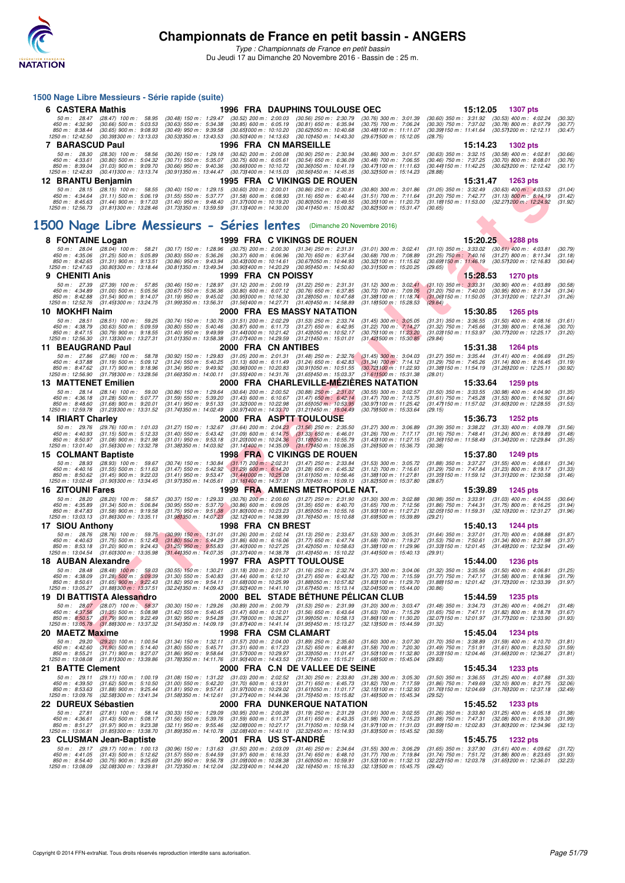

*Type : Championnats de France en petit bassin*

Du Jeudi 17 au Dimanche 20 Novembre 2016 - Bassin de : 25 m.

| 1500 Nage Libre Messieurs - Série rapide (suite)                                    |                                                                |  |                                                                                                           |  |                                                                        |  |                                                                                               |  |                                                                      |                                                               |          |                                                                                                            |                    |
|-------------------------------------------------------------------------------------|----------------------------------------------------------------|--|-----------------------------------------------------------------------------------------------------------|--|------------------------------------------------------------------------|--|-----------------------------------------------------------------------------------------------|--|----------------------------------------------------------------------|---------------------------------------------------------------|----------|------------------------------------------------------------------------------------------------------------|--------------------|
| 6 CASTERA Mathis                                                                    |                                                                |  |                                                                                                           |  |                                                                        |  | <b>1996 FRA DAUPHINS TOULOUSE OEC</b>                                                         |  |                                                                      |                                                               | 15:12.05 | 1307 pts                                                                                                   |                    |
| 50 m : 28.47<br>450 m : 4:32.90                                                     | $(28.47)$ 100 m : 58.95<br>$(30.66)$ 500 m : 5:03.53           |  | $(30.48)$ 150 m : 1:29.47<br>$(30.63)$ 550 m : 5:34.38                                                    |  | $(30.52)$ 200 m : 2:00.03<br>$(30.85)$ 600 m : 6:05.19                 |  | $(30.56)$ 250 m : 2:30.79<br>$(30.81)$ 650 m : 6:35.94                                        |  | $(30.76)$ 300 m : 3:01.39<br>$(30.75)$ 700 m : 7:06.24               | $(30.60)$ 350 m : 3:31.92<br>$(30.30)$ 750 m : 7:37.02        |          | $(30.53)$ 400 m : 4:02.24<br>$(30.78)$ 800 m : 8:07.79                                                     | (30.32)<br>(30.77) |
| 850 m : 8:38.44<br>1250 m: 12:42.50                                                 | $(30.65)$ 900 m : 9:08.93<br>(30.391300 m: 13:13.03)           |  | $(30.49)$ 950 m : 9:39.58<br>(30.53) 350 m : 13:43.53                                                     |  | (30.65) 000 m : 10:10.20<br>$(30.50)400 \text{ m}$ : 14:13.63          |  | (30.62) 050 m : 10:40.68<br>(30.10) 450 m : 14:43.30                                          |  | (30.48) 100 m: 11:11.07<br>(29.671500 m : 15:12.05                   | (30.39) 150 m : 11:41.64<br>(28.75)                           |          | (30.57) 200 m : 12:12.11                                                                                   | (30.47)            |
| 7 BARASCUD Paul                                                                     |                                                                |  |                                                                                                           |  |                                                                        |  | 1996 FRA CN MARSEILLE                                                                         |  |                                                                      |                                                               | 15:14.23 | <b>1302 pts</b>                                                                                            |                    |
| 50 m: 28.30                                                                         | $(28.30)$ 100 m : 58.56                                        |  | (30.26) 150 m : 1:29.18                                                                                   |  | $(30.62)$ 200 m : 2:00.08                                              |  | $(30.90)$ 250 m : 2:30.94                                                                     |  | (30.86) 300 m : 3:01.57                                              | $(30.63)$ 350 m : 3:32.15                                     |          | $(30.58)$ 400 m : 4:02.81                                                                                  | (30.66)            |
| 450 m: 4:33.61<br>850 m : 8:39.04                                                   | $(30.80)$ 500 m : 5:04.32<br>$(31.03)$ 900 m : 9:09.70         |  | (30.71) 550 m: 5:35.07<br>$(30.66)$ 950 m : 9:40.36                                                       |  | $(30.75)$ 600 m : 6:05.61<br>(30.661000 m : 10:10.72)                  |  | $(30.54)$ 650 m : 6:36.09<br>(30.36)050 m : 10.41.19                                          |  | $(30.48)$ 700 m : 7:06.55<br>(30.47) 100 m: 11:11.63                 | $(30.46)$ 750 m : 7:37.25                                     |          | $(30.70)$ 800 m : 8:08.01<br>(30.44) 150 m : 11:42.25 (30.62) 200 m : 12:12.42                             | (30.76)<br>(30.17) |
| 1250 m : 12:42.83                                                                   | (30.411300 m: 13:13.74)                                        |  | (30.911350 m : 13:44.47                                                                                   |  | $(30.73)400 \text{ m}$ : 14:15.03                                      |  | $(30.56)450$ m : 14:45.35                                                                     |  | (30.32) 500 m : 15:14.23                                             | (28.88)                                                       |          |                                                                                                            |                    |
| 12 BRANTU Benjamin                                                                  |                                                                |  |                                                                                                           |  |                                                                        |  | 1995 FRA C VIKINGS DE ROUEN                                                                   |  |                                                                      |                                                               | 15:31.47 | 1263 pts                                                                                                   |                    |
| 450 m : 4:34.64 (31.11) 500 m : 5:06.19                                             | 50 m: 28.15 (28.15) 100 m: 58.55                               |  | $(30.40)$ 150 m : 1:29.15<br>$(31.55)$ 550 m : 5:37.77                                                    |  | $(30.60)$ 200 m : 2:00.01<br>$(31.58)$ 600 m : 6:08.93                 |  | $(30.86)$ 250 m : 2:30.81<br>$(31.16)$ 650 m : 6:40.44                                        |  | $(30.80)$ 300 m : 3:01.86<br>$(31.51)$ 700 m : 7:11.64               | $(31.05)$ 350 m : 3:32.49<br>$(31.20)$ 750 m : 7:42.77        |          | $(30.63)$ 400 m : 4:03.53<br>$(31.13)$ 800 m : 8:14.19                                                     | (31.04)<br>(31.42) |
| 850 m : 8:45.63 (31.44) 900 m : 9:17.03<br>1250 m: 12:56.73 (31.811300 m: 13:28.46) |                                                                |  | $(31.40)$ 950 m : 9:48.40 $(31.37)$ 000 m : 10:19.20<br>(31.73) 350 m : 13:59.59 (31.13) 400 m : 14:30.00 |  |                                                                        |  | (30.80) 050 m : 10:49.55<br>$(30.411450 \text{ m} : 15.00.82)$                                |  | (30.35) 100 m : 11:20.73<br>(30.82) 500 m : 15:31.47                 | (30.65)                                                       |          | (31.18) 150 m: 11:53.00 (32.27) 200 m: 12:24.92                                                            | (31.92)            |
|                                                                                     |                                                                |  |                                                                                                           |  |                                                                        |  |                                                                                               |  |                                                                      |                                                               |          |                                                                                                            |                    |
| 1500 Nage Libre Messieurs - Séries lentes (Dimanche 20 Novembre 2016)               |                                                                |  |                                                                                                           |  |                                                                        |  |                                                                                               |  |                                                                      |                                                               |          |                                                                                                            |                    |
| 8 FONTAINE Logan                                                                    |                                                                |  |                                                                                                           |  |                                                                        |  | 1999 FRA C VIKINGS DE ROUEN                                                                   |  |                                                                      |                                                               | 15:20.25 | <b>1288 pts</b>                                                                                            |                    |
|                                                                                     | 50 m: 28.04 (28.04) 100 m: 58.21                               |  | $(30.17)$ 150 m : 1:28.96                                                                                 |  | $(30.75)$ 200 m : 2:00.30                                              |  | $(31.34)$ 250 m : 2:31.31                                                                     |  | $(31.01)$ 300 m : 3:02.41                                            | $(31.10)$ 350 m : 3:33.02                                     |          | $(30.61)$ 400 m : 4:03.81                                                                                  | (30.79)            |
| 450 m : 4:35.06<br>850 m : 8:42.65                                                  | $(31.25)$ 500 m : 5:05.89<br>$(31.31)$ 900 m : 9:13.51         |  | $(30.83)$ 550 m : 5:36.26<br>$(30.86)$ 950 m : 9:43.94                                                    |  | $(30.37)$ 600 m : 6:06.96<br>(30.43) 000 m: 10:14.61                   |  | $(30.70)$ 650 m : 6:37.64<br>(30.67) 050 m : 10:44.93                                         |  | $(30.68)$ 700 m : 7:08.89<br>(30.32) 100 m: 11:15.62                 | $(31.25)$ 750 m : 7:40.16                                     |          | $(31.27)$ 800 m : 8:11.34<br>(30.69) 150 m : 11:46.19 (30.57) 200 m : 12:16.83                             | (31.18)<br>(30.64) |
| 1250 m: 12:47.63 (30.801300 m: 13:18.44                                             |                                                                |  | (30.811350 m : 13:49.34)                                                                                  |  | (30.90) 400 m : 14:20.29                                               |  | (30.95) 450 m : 14:50.60                                                                      |  | (30.311500 m: 15:20.25)                                              | (29.65)                                                       |          |                                                                                                            |                    |
| 9 CHENITI Anis                                                                      |                                                                |  |                                                                                                           |  | 1999 FRA CN POISSY                                                     |  |                                                                                               |  |                                                                      |                                                               | 15:28.53 | 1270 pts                                                                                                   |                    |
| 50 m: 27.39<br>450 m: 4:34.89                                                       | $(27.39)$ 100 m : 57.85<br>$(31.00)$ 500 m : 5:05.56           |  | $(30.46)$ 150 m : 1:28.97<br>$(30.67)$ 550 m : 5:36.36                                                    |  | $(31.12)$ 200 m : 2:00.19<br>$(30.80)$ 600 m : 6:07.12                 |  | $(31.22)$ 250 m : 2:31.31<br>$(30.76)$ 650 m : 6:37.85                                        |  | $(31.12)$ 300 m : 3:02.41<br>$(30.73)$ 700 m : 7:09.05               | $(31.10)$ 350 m : 3:33.31<br>$(31.20)$ 750 m : 7:40.00        |          | $(30.90)$ 400 m : 4:03.89<br>$(30.95)$ 800 m : 8:11.34                                                     | (30.58)<br>(31.34) |
| 850 m : 8:42.88<br>1250 m : 12:52.76                                                | $(31.54)$ 900 m : 9:14.07<br>(31.45) 300 m : 13:24.75          |  | $(31.19)$ 950 m : 9:45.02<br>(31.99) 350 m : 13:56.31                                                     |  | (30.95) 000 m : 10:16.30                                               |  | (31.28) 050 m: 10:47.68<br>(31.56) 400 m: 14:27.71 (31.40) 450 m: 14:58.89                    |  | (31.38) 100 m : 11:18.74<br>$(31.18)500 \text{ m}$ : 15:28.53        | (29.64)                                                       |          | $(31.06)150 \text{ m}: 11.50.05$ $(31.31)200 \text{ m}: 12.21.31$                                          | (31.26)            |
| 10 MOKHFI Naim                                                                      |                                                                |  |                                                                                                           |  |                                                                        |  | 2000 FRA ES MASSY NATATION                                                                    |  |                                                                      |                                                               | 15:30.85 | <b>1265 pts</b>                                                                                            |                    |
| 50 m: 28.51                                                                         | $(28.51)$ 100 m : 59.25                                        |  | $(30.74)$ 150 m : 1:30.76                                                                                 |  | $(31.51)$ 200 m : 2:02.29                                              |  | $(31.53)$ 250 m : 2:33.74                                                                     |  | $(31.45)$ 300 m : 3:05.05                                            |                                                               |          | $(31.31)$ 350 m : 3:36.55 $(31.50)$ 400 m : 4:08.16                                                        | (31.61)            |
| 450 m: 4:38.79<br>850 m : 8:47.15                                                   | $(30.63)$ 500 m : 5:09.59<br>$(30.79)$ 900 m : 9:18.55         |  | $(30.80)$ 550 m : 5:40.46<br>$(31.40)$ 950 m : 9:49.99                                                    |  | $(30.87)$ 600 m : 6:11.73<br>$(31.44)000 \text{ m}$ : 10:21.42         |  | $(31.27)$ 650 m : 6:42.95<br>(31.43) 050 m: 10:52.17                                          |  | (31.22) 700 m : 7:14.27<br>(30.751100 m: 11:23.20                    | $(31.32)$ 750 m : 7:45.66<br>(31.03) 150 m : 11:53.97         |          | $(31.39)$ 800 m : 8:16.36<br>(30.77) 200 m : 12:25.17                                                      | (30.70)<br>(31.20) |
| 1250 m : 12:56.30                                                                   | $(31.13)300 \text{ m}$ : 13:27.31                              |  | (31.011350 m: 13:58.38                                                                                    |  | $(31.07)400 \text{ m}$ : 14:29.59                                      |  | $(31.21)450 \text{ m}$ : 15:01.01                                                             |  | $(31.421500 \text{ m} : 15.30.85)$                                   | (29.84)                                                       |          |                                                                                                            |                    |
| 11 BEAUGRAND Paul<br>50 m : 27.86                                                   | $(27.86)$ 100 m : 58.78                                        |  | $(30.92)$ 150 m : 1:29.83                                                                                 |  | 2000 FRA CN ANTIBES<br>$(31.05)$ 200 m : 2:01.31                       |  | $(31.48)$ 250 m : 2:32.76                                                                     |  | $(31.45)$ 300 m : 3:04.03                                            |                                                               | 15:31.38 | 1264 pts<br>(31.27) 350 m: 3:35.44 (31.41) 400 m: 4:06.69                                                  | (31.25)            |
| 450 m : 4:37.88                                                                     | $(31.19)$ 500 m : 5:09.12<br>$(31.17)$ 900 m : 9:18.96         |  | $(31.24)$ 550 m : 5:40.25<br>$(31.34)$ 950 m : 9:49.92                                                    |  | $(31.13)$ 600 m : 6:11.49<br>$(30.96)000 \text{ m}$ : 10:20.83         |  | $(31.24)$ 650 m : 6:42.83<br>$(30.91)050 \text{ m}$ : 10:51.55                                |  | $(31.34)$ 700 m $: 7:14.12$                                          | $(31.29)$ 750 m : 7:45.26                                     |          | $(31.14)$ 800 m : 8:16.45<br>(31.38) 150 m: 11.54.19 (31.26) 200 m: 12:25.11                               | (31.19)            |
| 850 m : 8:47.62<br>1250 m : 12:56.90                                                | (31.79) 300 m : 13:28.56                                       |  | (31.66)350 m : 14.00.11                                                                                   |  |                                                                        |  | (31.55) 400 m: 14:31.76 (31.65) 450 m: 15:03.37                                               |  | (30.72) 100 m : 11:22.93<br>$(31.61)500$ m: 15:31.38                 | (28.01)                                                       |          |                                                                                                            | (30.92)            |
| <b>13 MATTENET Emilien</b>                                                          |                                                                |  |                                                                                                           |  |                                                                        |  |                                                                                               |  | 2000 FRA CHARLEVILLE-MEZIERES NATATION                               |                                                               | 15:33.64 | <b>1259 pts</b>                                                                                            |                    |
| 50 m: 28.14<br>450 m : 4:36.18                                                      | $(28.14)$ 100 m : 59.00<br>$(31.28)$ 500 m : 5:07.77           |  | $(30.86)$ 150 m : 1:29.64<br>$(31.59)$ 550 m : 5:39.20                                                    |  | $(30.64)$ 200 m : 2:00.52<br>$(31.43)$ 600 m : 6:10.67                 |  | $(30.88)$ $250$ m : $2:31.07$<br>$(31.47)$ 650 m : 6:42.14                                    |  | $(30.55)$ 300 m : 3:02.57<br>$(31.47)$ 700 m : 7:13.75               | $(31.50)$ 350 m : 3:33.55<br>$(31.61)$ 750 m : 7:45.28        |          | $(30.98)$ 400 m : 4:04.90<br>$(31.53)$ 800 m : 8:16.92                                                     | (31.35)<br>(31.64) |
| 850 m : 8:48.60<br>1250 m: 12:59.78 (31.23) 300 m: 13:31.52                         | (31.68) 900 m : 9:20.01                                        |  | $(31.41)$ 950 m : 9:51.33<br>(31.741350 m : 14:02.49                                                      |  | (31.32) 000 m : 10:22.98<br>(30.971400 m : 14:33.70                    |  | $(31.65)050 \text{ m}$ : 10:53.95<br>(31.21) 450 m : 15:04.49                                 |  | (30.97) 100 m : 11:25.42<br>(30.79) 500 m : 15:33.64                 | (29.15)                                                       |          | (31.47) 150 m: 11:57.02 (31.60) 200 m: 12:28.55                                                            | (31.53)            |
| 14 IRIART Charley                                                                   |                                                                |  |                                                                                                           |  |                                                                        |  | 2000 FRA ASPTT TOULOUSE                                                                       |  |                                                                      |                                                               | 15:36.73 | <b>1252 pts</b>                                                                                            |                    |
| 50 m: 29.76                                                                         | $(29.76)$ 100 m : 1:01.03                                      |  | $(31.27)$ 150 m : 1:32.67                                                                                 |  | $(31.64)$ 200 m : 2:04.23                                              |  | $(31.56)$ 250 m : 2:35.50                                                                     |  | $(31.27)$ 300 m : 3:06.89                                            |                                                               |          | $(31.39)$ 350 m : 3:38.22 $(31.33)$ 400 m : 4:09.78                                                        | (31.56)            |
| 450 m: 4:40.93<br>850 m : 8:50.97                                                   | $(31.15)$ 500 m : 5:12.33<br>$(31.08)$ 900 m : 9:21.98         |  | $(31.40)$ 550 m : 5:43.42<br>$(31.01)$ 950 m : 9:53.18                                                    |  | $(31.09)$ 600 m : 6:14.75<br>(31.201000 m : 10:24.36                   |  | $(31.33)$ 650 m : 6:46.01<br>$(31.18)050 \text{ m}$ : 10:55.79                                |  | $(31.26)$ 700 m : 7:17.17<br>(31.43) 100 m : 11:27.15                | $(31.16)$ 750 m : 7:48.41<br>(31.36 <b>)</b> 150 m : 11:58.49 |          | $(31.24)$ 800 m : 8:19.89<br>(31.341200 m : 12:29.84                                                       | (31.48)<br>(31.35) |
| 1250 m : 13:01.40                                                                   | $(31.56)300 \text{ m}$ : 13:32.78                              |  | (31.38) 350 m : 14:03.92                                                                                  |  |                                                                        |  | (31.14) 400 m: 14:35.09 (31.17) 450 m: 15:06.35                                               |  | $(31.26)500 \text{ m}$ : 15:36.73                                    | (30.38)                                                       |          |                                                                                                            |                    |
| 15 COLMANT Baptiste<br>50 m: 28.93                                                  | $(28.93)$ 100 m : 59.67                                        |  | $(30.74)$ 150 m : 1:30.84                                                                                 |  | $(31.17)$ 200 m : 2:02.31                                              |  | <b>1998 FRA C VIKINGS DE ROUEN</b><br>$(31.47)$ 250 m : 2:33.84                               |  | $(31.53)$ 300 m : 3:05.72                                            |                                                               | 15:37.80 | 1249 pts<br>(31.88) 350 m: 3:37.27 (31.55) 400 m: 4:08.61                                                  | (31.34)            |
| 450 m : 4:40.16                                                                     | $(31.55)$ 500 m : 5:11.63                                      |  | $(31.47)$ 550 m : 5:42.92                                                                                 |  | $(31.29)$ 600 m : 6:14.20                                              |  | $(31.28)$ 650 m : 6:45.32                                                                     |  | $(31.12)$ 700 m : 7:16.61                                            | $(31.29)$ 750 m : 7:47.84                                     |          | (31.23) 800 m : 8:19.17                                                                                    | (31.33)            |
| 850 m : 8:50.62<br>1250 m: 13:02.48                                                 | $(31.45)$ 900 m : 9:22.03<br>(31.901300 m: 13:34.45            |  | $(31.41)$ 950 m : 9:53.47<br>(31.97) 350 m : 14:05.61                                                     |  | $(31.44)000 \text{ m}$ : 10:25.08<br>$(31.16)400 \text{ m}$ : 14:37.31 |  | (31.611050 m: 10:56.46<br>(31.70) 450 m : 15:09.13                                            |  | (31.38) 100 m : 11:27.81<br>(31.82) 500 m: 15:37.80                  | (28.67)                                                       |          | (31.35) 150 m : 11.59.12 (31.31) 200 m : 12:30.58                                                          | (31.46)            |
| <b>16 ZITOUNI Fares</b>                                                             |                                                                |  |                                                                                                           |  |                                                                        |  | 1999 FRA AMIENS METROPOLE NAT.                                                                |  |                                                                      |                                                               | 15:39.89 | <b>1245 pts</b>                                                                                            |                    |
| 50 m : 28.20<br>450 m: 4:35.89                                                      | $(28.20)$ 100 m : 58.57<br>$(31.34)$ 500 m : 5:06.84           |  | (30.37) 150 m : 1:29.33<br>$(30.95)$ 550 m : 5:37.70 $(30.86)$ 600 m : 6:09.05                            |  | $(30.76)$ 200 m : 2:00.60                                              |  | $(31.27)$ 250 m : 2:31.90<br>$(31.35)$ 650 m : 6:40.70                                        |  | $(31.30)$ 300 m : 3:02.88<br>$(31.65)$ 700 m : 7:12.56               | (30.98) 350 m : 3:33.91<br>$(31.86)$ 750 m : 7:44.31          |          | $(31.03)$ 400 m : 4:04.55<br>$(31.75)$ 800 m : 8:16.25                                                     | (30.64)<br>(31.94) |
| 850 m : 8:47.83                                                                     | $(31.58)$ 900 m : 9:19.58                                      |  | $(31.75)$ 950 m : 9:51.38 $(31.80)$ 000 m : 10:23.23                                                      |  | (32.121400 m: 14:38.99)                                                |  | (31.85)050 m : 10.55.16                                                                       |  | (31.93) 100 m: 11:27.21                                              |                                                               |          | (32.05) 150 m: 11:59.31 (32.10) 200 m: 12:31.27                                                            | (31.96)            |
| 1250 m: 13:03.13<br>17 SIOU Anthony                                                 | $(31.86)300 \text{ m}$ : 13:35.11                              |  | (31.98) 350 m : 14:07.23                                                                                  |  | 1998 FRA CN BREST                                                      |  | (31.76) 450 m : 15:10.68                                                                      |  | (31.69) 500 m: 15:39.89                                              | (29.21)                                                       | 15:40.13 | <b>1244 pts</b>                                                                                            |                    |
| 50 m: 28.76                                                                         | $(28.76)$ 100 m : 59.75                                        |  | $(30.99)$ 150 m : 1:31.01                                                                                 |  | $(31.26)$ 200 m : 2:02.14                                              |  | $(31.13)$ 250 m : 2:33.67                                                                     |  | $(31.53)$ 300 m : 3:05.31                                            | $(31.64)$ 350 m : 3:37.01                                     |          | $(31.70)$ 400 m : 4:08.88                                                                                  | (31.87)            |
| 450 m: 4:40.63<br>850 m : 8:53.18                                                   | $(31.75)$ 500 m : 5:12.43<br>$(31.20)$ 900 m : 9:24.43         |  | $(31.80)$ 550 m : 5:44.29<br>$(31.25)$ 950 m : 9:55.83                                                    |  | $(31.86)$ 600 m : 6:16.06<br>(31.40) 000 m : 10:27.25                  |  | $(31.77)$ 650 m : 6:47.74<br>(31.42) 050 m : 10:58.63                                         |  | $(31.68)$ 700 m : 7:19.27<br>(31.38) 100 m : 11:29.96                | $(31.53)$ 750 m : 7:50.61                                     |          | $(31.34)$ 800 m : 8:21.98<br>(31.33) 150 m: 12:01.45 (31.49) 200 m: 12:32.94                               | (31.37)<br>(31.49) |
| 1250 m : 13:04.54                                                                   | (31.60) 300 m : 13:35.98                                       |  | (31.441350 m: 14:07.35                                                                                    |  |                                                                        |  |                                                                                               |  | (31.371400 m: 14:38.78 (31.431450 m: 15:10.22 (31.441500 m: 15:40.13 | (29.91)                                                       |          |                                                                                                            |                    |
| 18 AUBAN Alexandre                                                                  |                                                                |  |                                                                                                           |  |                                                                        |  | <b>1997 FRA ASPTT TOULOUSE</b>                                                                |  |                                                                      |                                                               | 15:44.00 | <b>1236 pts</b>                                                                                            |                    |
| 50 m: 28.48<br>450 m : 4:38.09                                                      | $(28.48)$ 100 m : 59.03<br>$(31.28)$ 500 m : 5:09.39           |  | $(30.55)$ 150 m : 1:30.21<br>$(31.30)$ 550 m : 5:40.83                                                    |  | $(31.18)$ 200 m : 2:01.37<br>$(31.44)$ 600 m : 6:12.10                 |  | $(31.16)$ 250 m : 2:32.74<br>$(31.27)$ 650 m : 6:43.82                                        |  | $(31.37)$ 300 m : 3:04.06<br>$(31.72)$ 700 m : 7:15.59               | $(31.32)$ 350 m : 3:35.56<br>$(31.77)$ 750 m : 7:47.17        |          | $(31.50)$ 400 m : 4:06.81<br>$(31.58)$ 800 m : 8:18.96                                                     | (31.25)<br>(31.79) |
| 850 m : 8:50.61<br>1250 m: 13:05.27                                                 | $(31.65)$ 900 m : 9:22.43<br>$(31.88)300 \text{ m}$ : 13:37.51 |  | $(31.82)$ 950 m : 9:54.11<br>(32.241350 m : 14.09.43)                                                     |  | $(31.68)000 \text{ m}$ : 10:25.99                                      |  | (31.88) 050 m : 10:57.82<br>$(31.92)400 \text{ m}: 14.41.10$ $(31.67)450 \text{ m}: 15.13.14$ |  | (31.83) 100 m : 11:29.70<br>(32.04) 500 m : 15:44.00                 | (30.86)                                                       |          | (31.88) 150 m : 12:01.42 (31.72) 200 m : 12:33.39                                                          | (31.97)            |
| 19 DI BATTISTA Alessandro                                                           |                                                                |  |                                                                                                           |  |                                                                        |  |                                                                                               |  | 2000 BEL STADE BETHUNE PELICAN CLUB                                  |                                                               | 15:44.59 | 1235 pts                                                                                                   |                    |
| 50 m: 28.07<br>450 m : 4:37.56                                                      | $(28.07)$ 100 m : 58.37<br>$(31.35)$ 500 m : 5:08.98           |  | $(30.30)$ 150 m : 1:29.26<br>$(31.42)$ 550 m : 5:40.45                                                    |  | $(30.89)$ 200 m : 2:00.79<br>$(31.47)$ 600 m : 6:12.01                 |  | $(31.53)$ 250 m : 2:31.99<br>$(31.56)$ 650 m : 6:43.64                                        |  | $(31.20)$ 300 m : 3:03.47<br>$(31.63)$ 700 m : 7:15.29               |                                                               |          | $(31.48)$ 350 m : 3:34.73 $(31.26)$ 400 m : 4:06.21<br>$(31.65)$ 750 m : 7:47.11 $(31.82)$ 800 m : 8:18.78 | (31.48)<br>(31.67) |
| 850 m : 8:50.57                                                                     | $(31.79)$ 900 m : 9:22.49                                      |  | $(31.92)$ 950 m : 9:54.28                                                                                 |  |                                                                        |  | (31.79) 000 m: 10:26.27 (31.99) 050 m: 10:58.13                                               |  | (31.86) 100 m: 11:30.20                                              |                                                               |          | (32.071150 m: 12.01.97 (31.771200 m: 12.33.90)                                                             | (31.93)            |
| 1250 m: 13:05.78 (31.881300 m: 13:37.32)<br>20 MAETZ Maxime                         |                                                                |  | (31.541350 m : 14:09.19                                                                                   |  |                                                                        |  | $(31.87)400 \text{ m}$ : 14:41.14 $(31.95)450 \text{ m}$ : 15:13.27<br>1998 FRA CSM CLAMART   |  | (32.13) 500 m : 15:44.59                                             | (31.32)                                                       | 15:45.04 | <b>1234 pts</b>                                                                                            |                    |
| 50 m: 29.20                                                                         | $(29.20)$ 100 m : 1:00.54                                      |  | $(31.34)$ 150 m : 1:32.11 $(31.57)$ 200 m : 2:04.00 $(31.89)$ 250 m : 2:35.60                             |  |                                                                        |  |                                                                                               |  | $(31.60)$ 300 m : 3:07.30                                            |                                                               |          | $(31.70)$ 350 m : 3:38.89 $(31.59)$ 400 m : 4:10.70                                                        | (31.81)            |
| 450 m : 4:42.60<br>850 m : 8:55.21                                                  | $(31.90)$ 500 m : 5:14.40<br>$(31.71)$ 900 m : 9:27.07         |  | $(31.80)$ 550 m : 5:45.71<br>$(31.86)$ 950 m : 9:58.64                                                    |  | $(31.31)$ 600 m : 6:17.23<br>$(31.57)000 \text{ m}$ : 10:29.97         |  | $(31.52)$ 650 m : 6:48.81<br>$(31.33)050 \text{ m}$ : 11:01.47                                |  | $(31.58)$ 700 m : 7:20.30<br>(31.50) 100 m: 11:32.80                 | $(31.33)150 \text{ m}: 12.04.46$                              |          | (31.49) 750 m: 7:51.91 (31.61) 800 m: 8:23.50<br>(31.66) 200 m : 12:36.27                                  | (31.59)<br>(31.81) |
| 1250 m : 13:08.08                                                                   | (31.811300 m: 13:39.86                                         |  | (31.78) 350 m : 14:11.76                                                                                  |  | (31.90 <b>)</b> 400 m : 14:43.53                                       |  | (31.771450 m : 15:15.21                                                                       |  | (31.68) 500 m : 15:45.04                                             | (29.83)                                                       |          |                                                                                                            |                    |
| 21 BATTE Clement                                                                    |                                                                |  |                                                                                                           |  |                                                                        |  | 2000 FRA C.N DE VALLEE DE SEINE                                                               |  |                                                                      |                                                               | 15:45.34 | 1233 pts                                                                                                   |                    |
| 50 m: 29.11<br>450 m : 4:39.50                                                      | $(29.11)$ 100 m : 1:00.19<br>$(31.62)$ 500 m : 5:10.50         |  | $(31.08)$ 150 m : 1:31.22<br>$(31.00)$ 550 m : 5:42.20                                                    |  | $(31.03)$ 200 m : 2:02.52<br>$(31.70)$ 600 m : 6:13.91                 |  | $(31.30)$ 250 m : 2:33.80<br>$(31.71)$ 650 m : 6:45.73                                        |  | $(31.28)$ 300 m : 3:05.30<br>$(31.82)$ 700 m : 7:17.59               | $(31.50)$ 350 m : 3:36.55<br>$(31.86)$ 750 m : 7:49.69        |          | $(31.25)$ 400 m : 4:07.88<br>$(32.10)$ 800 m : 8:21.75                                                     | (31.33)<br>(32.06) |
| 850 m : 8:53.63<br>1250 m : 13:09.76                                                | $(31.88)$ 900 m : 9:25.44<br>(32.58) 300 m : 13:41.34          |  | $(31.81)$ 950 m : 9:57.41<br>(31.58) 350 m : 14:12.61 (31.27) 400 m : 14:44.36 (31.75) 450 m : 15:15.82   |  | (31.97) 000 m : 10:29.02                                               |  | (31.61) 050 m: 11:01.17                                                                       |  | (32.15) 100 m : 11:32.93<br>(31.46) 500 m : 15:45.34                 | (29.52)                                                       |          | (31.76) 150 m: 12:04.69 (31.76) 200 m: 12:37.18                                                            | (32.49)            |
| 22 DUREUX Sébastien                                                                 |                                                                |  |                                                                                                           |  |                                                                        |  | <b>2000 FRA DUNKERQUE NATATION</b>                                                            |  |                                                                      |                                                               | 15:45.52 | 1233 pts                                                                                                   |                    |
| 50 m : 27.81                                                                        | $(27.81)$ 100 m : 58.14                                        |  | $(30.33)$ 150 m : 1:29.09                                                                                 |  | $(30.95)$ 200 m : 2:00.28                                              |  | $(31.19)$ 250 m : 2:31.29                                                                     |  | $(31.01)$ 300 m : 3:02.55                                            | $(31.26)$ 350 m : 3:33.80                                     |          | $(31.25)$ 400 m : 4:05.18                                                                                  | (31.38)            |
| 450 m :   4:36.61<br>850 m: 8:51.27                                                 | $(31.43)$ 500 m : 5:08.17<br>$(31.97)$ 900 m : 9:23.38         |  | $(31.56)$ 550 m : 5:39.76<br>$(32.11)$ 950 m : 9:55.46                                                    |  | $(31.59)$ 600 m : 6:11.37<br>(32.08) 000 m : 10:27.17                  |  | $(31.61)$ 650 m : 6:43.35<br>(31.71) 050 m : 10:59.14                                         |  | $(31.98)$ 700 m : 7:15.23<br>(31.97) 100 m: 11:31.03                 | $(31.88)$ 750 m : 7:47.31                                     |          | $(32.08)$ 800 m : 8:19.30<br>(31.89) 150 m : 12:02.83 (31.80) 200 m : 12:34.96                             | (31.99)<br>(32.13) |
| 1250 m : 13:06.81<br>23 CLUSMAN Jean-Baptiste                                       | (31.851300 m: 13:38.70                                         |  | (31.89) 350 m : 14:10.78                                                                                  |  | 2001 FRA US ST-ANDRE                                                   |  | (32.08) 400 m: 14:43.10 (32.32) 450 m: 15:14.93                                               |  | (31.83) 500 m: 15:45.52                                              | (30.59)                                                       | 15:45.75 | <b>1232 pts</b>                                                                                            |                    |
| 50 m : 29.17                                                                        | $(29.17)$ 100 m : 1:00.13                                      |  | $(30.96)$ 150 m : 1:31.63                                                                                 |  | $(31.50)$ 200 m : 2:03.09                                              |  | (31.46) 250 m : 2:34.64                                                                       |  | $(31.55)$ 300 m : 3:06.29                                            | $(31.65)$ 350 m : 3:37.90                                     |          | $(31.61)$ 400 m : 4:09.62                                                                                  | (31.72)            |
| 450 m: 4:41.05<br>850 m : 8:54.40                                                   | $(31.43)$ 500 m : 5:12.62<br>$(30.75)$ 900 m : 9:25.69         |  | $(31.57)$ 550 m : 5:44.59<br>$(31.29)$ 950 m : 9:56.78                                                    |  | $(31.97)$ 600 m : 6:16.33<br>(31.09) 000 m : 10:28.38                  |  | $(31.74)$ 650 m : 6:48.10<br>(31.60)050 m : 10:59.91                                          |  | (31.77) 700 m : 7:19.84<br>(31.53) 100 m : 11:32.13                  | $(31.74)$ 750 m : 7:51.72<br>(32.22) 150 m : 12:03.78         |          | $(31.88)$ 800 m : 8:23.65<br>(31.65) 200 m : 12:36.01                                                      | (31.93)<br>(32.23) |
| 1250 m : 13:08.09                                                                   | (32.08) 300 m : 13:39.81                                       |  | (31.72) 350 m : 14:12.04                                                                                  |  | (32.23) 400 m : 14:44.20                                               |  | (32.16) 450 m : 15:16.33                                                                      |  | (32.13) 500 m : 15:45.75                                             | (29.42)                                                       |          |                                                                                                            |                    |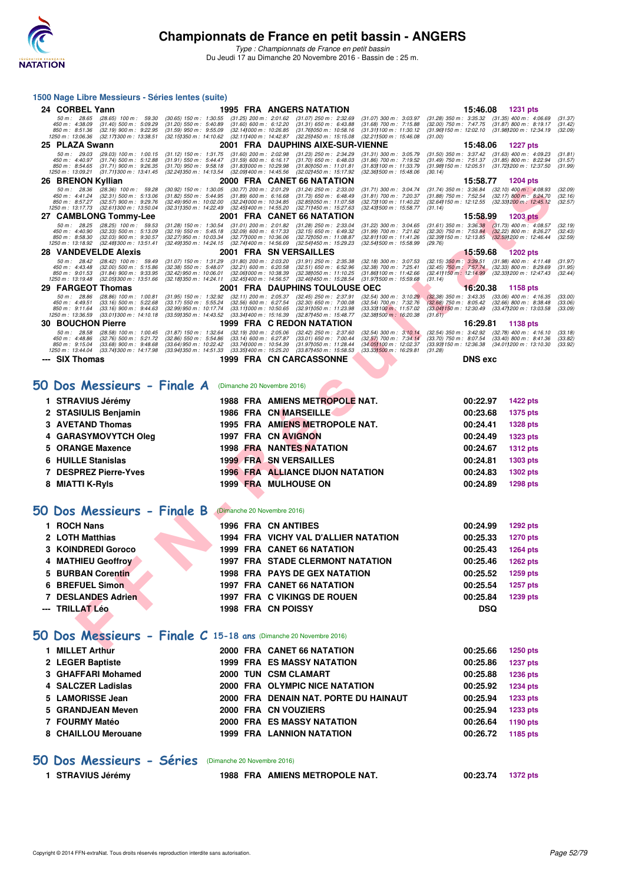

*Type : Championnats de France en petit bassin* Du Jeudi 17 au Dimanche 20 Novembre 2016 - Bassin de : 25 m.

#### **1500 Nage Libre Messieurs - Séries lentes (suite)**

|    | 24 CORBEL Yann                                                                                                                                                                                  |                                                                                                                                                                                                                                 | <b>1995 FRA ANGERS NATATION</b>                                                                                                     |                                                                                                                | 15:46.08                                                                                                                                         | 1231 pts                                                                                   |                               |
|----|-------------------------------------------------------------------------------------------------------------------------------------------------------------------------------------------------|---------------------------------------------------------------------------------------------------------------------------------------------------------------------------------------------------------------------------------|-------------------------------------------------------------------------------------------------------------------------------------|----------------------------------------------------------------------------------------------------------------|--------------------------------------------------------------------------------------------------------------------------------------------------|--------------------------------------------------------------------------------------------|-------------------------------|
|    | 50 m : 28.65<br>$(28.65)$ 100 m : 59.30<br>450 m: 4:38.09<br>$(31.40)$ 500 m : 5:09.29<br>850 m: 8:51.36<br>$(32.19)$ 900 m : 9:22.95<br>1250 m: 13:06.36<br>$(32.17)300 \text{ m}$ : 13:38.51  | $(30.65)$ 150 m : 1:30.55<br>$(31.20)$ 550 m : 5:40.89<br>$(31.60)$ 600 m : 6:12.20<br>(32.141000 m: 10.26.85)<br>$(31.59)$ 950 m : 9:55.09<br>(32.15) 350 m : 14:10.62<br>(32.111400 m: 14:42.87)                              | (31.25) 200 m : 2:01.62 (31.07) 250 m : 2:32.69<br>$(31.31)$ 650 m : 6:43.88<br>(31.761050 m: 10.58.16)<br>(32.25) 450 m : 15:15.08 | $(31.07)$ 300 m : 3:03.97<br>$(31.68)$ 700 m : 7:15.88<br>(31.311100 m: 11:30.12)<br>(32.211500 m: 15:46.08    | $(31.28)$ 350 m : 3:35.32 $(31.35)$ 400 m : 4:06.69<br>$(32.00)$ 750 m : 7:47.75<br>(31.96) 150 m : 12:02.10 (31.98) 200 m : 12:34.19<br>(31.00) | $(31.87)$ 800 m : 8:19.17                                                                  | (31.37)<br>(31.42)<br>(32.09) |
|    | 25 PLAZA Swann                                                                                                                                                                                  |                                                                                                                                                                                                                                 | 2001 FRA DAUPHINS AIXE-SUR-VIENNE                                                                                                   |                                                                                                                | 15:48.06                                                                                                                                         | <b>1227 pts</b>                                                                            |                               |
|    | 50 m: 29.03<br>$(29.03)$ 100 m : 1:00.15<br>450 m : 4:40.97<br>$(31.74)$ 500 m : 5:12.88<br>850 m: 8:54.65<br>$(31.71)$ 900 m : 9:26.35<br>1250 m: 13:09.21<br>(31.711300 m: 13:41.45)          | $(31.60)$ 200 m : 2:02.98<br>$(31.12)$ 150 m : 1:31.75<br>$(31.91)$ 550 m : 5:44.47<br>$(31.59)$ 600 m : 6:16.17<br>(31.70) 950 m : 9:58.18<br>(31.83) 000 m : 10:29.98<br>(32.241350 m: 14:13.54<br>(32.09) 400 m : 14:45.56   | $(31.23)$ 250 m : 2:34.29<br>$(31.70)$ 650 m : 6:48.03<br>(31.80) 050 m: 11:01.81<br>(32.02) 450 m : 15:17.92                       | $(31.31)$ 300 m : 3:05.79<br>$(31.86)$ 700 m : 7:19.52<br>(31.83) 100 m : 11:33.79<br>(32.36) 500 m : 15:48.06 | $(31.50)$ 350 m : 3:37.42<br>$(31.49)$ 750 m : 7:51.37<br>(31.98 <b>)</b> 150 m : 12:05.51<br>(30.14)                                            | $(31.63)$ 400 m : 4:09.23<br>$(31.85) 800 \text{ m}$ : 8:22.94<br>(31.72) 200 m : 12:37.50 | (31.81)<br>(31.57)<br>(31.99) |
|    | 26 BRENON Kyllian                                                                                                                                                                               |                                                                                                                                                                                                                                 | 2000 FRA CANET 66 NATATION                                                                                                          |                                                                                                                | 15:58.77                                                                                                                                         | <b>1204 pts</b>                                                                            |                               |
|    | $(28.36)$ 100 m : 59.28<br>50 m: 28.36<br>450 m: 4:41.24<br>$(32.31)$ 500 m : 5:13.06<br>850 m: 8:57.27<br>$(32.57)$ 900 m : 9:29.76<br>(32.611300 m: 13:50.04<br>1250 m : 13:17.73             | $(30.92)$ 150 m : 1:30.05<br>$(30.77)$ 200 m : 2:01.29<br>$(31.82)$ 550 m : 5:44.95<br>$(31.89)$ 600 m : 6:16.68<br>(32.49) 950 m : 10:02.00<br>(32.241000 m: 10:34.85)<br>(32.311350 m : 14:22.49)<br>(32.45) 400 m : 14:55.20 | $(31.24)$ 250 m : 2:33.00<br>$(31.73)$ 650 m : 6:48.49<br>(32.851050 m: 11:07.58)<br>(32.71) 450 m : 15:27.63                       | (31.71) 300 m : 3:04.74<br>$(31.81)$ 700 m : 7:20.37<br>(32.731100 m: 11:40.22)<br>(32.43) 500 m : 15:58.77    | $(31.74)$ 350 m : 3:36.84<br>$(31.88)$ 750 m : 7:52.54<br>$(32.64)150 \text{ m}$ : 12:12.55<br>(31.14)                                           | $(32.10)$ 400 m : 4:08.93<br>$(32.17)$ 800 m : 8:24.70<br>(32.33) 200 m : 12:45.12         | (32.09)<br>(32.16)<br>(32.57) |
|    | 27 CAMBLONG Tommy-Lee                                                                                                                                                                           |                                                                                                                                                                                                                                 | 2001 FRA CANET 66 NATATION                                                                                                          |                                                                                                                | 15:58.99                                                                                                                                         | <b>1203 pts</b>                                                                            |                               |
|    | 50 m: 28.25<br>(28.25) 100 m : 59.53<br>(32.33) 500 m : 5:13.09<br>450 m: 4:40.90<br>850 m: 8:58.30<br>$(32.03)$ 900 m : 9:30.57<br>1250 m: 13:18.92<br>(32.48) 300 m : 13:51.41                | $(31.28)$ 150 m : 1:30.54<br>$(31.01)$ 200 m : 2:01.82<br>$(32.09)$ 600 m : 6:17.33<br>$(32.19)$ 550 m : 5:45.18<br>(32.27) 950 m : 10:03.34<br>(32.771000 m: 10:36.06<br>(32.49) 350 m : 14:24.15<br>(32.741400 m: 14:56.69    | $(31.28)$ 250 m : 2:33.04<br>$(32.15)$ 650 m : 6:49.32<br>(32.72) 050 m: 11:08.87<br>(32.54) 450 m : 15:29.23                       | $(31.22)$ 300 m : 3:04.65<br>(31.99) 700 m : 7:21.62<br>(32.81) 100 m: 11:41.26<br>(32.541500 m: 15.58.99)     | $(31.61)$ 350 m : 3:36.38 $(31.73)$ 400 m : 4:08.57<br>$(32.30)$ 750 m : 7:53.84<br>(32.39) 150 m : 12:13.85<br>(29.76)                          | $(32.22)$ 800 m : 8:26.27<br>(32.59) 200 m : 12:46.44                                      | (32.19)<br>(32.43)<br>(32.59) |
|    | <b>28 VANDEVELDE Alexis</b>                                                                                                                                                                     |                                                                                                                                                                                                                                 | 2001 FRA SN VERSAILLES                                                                                                              |                                                                                                                | 15:59.68                                                                                                                                         | <b>1202 pts</b>                                                                            |                               |
|    | 50 m: 28.42<br>$(28.42)$ 100 m : 59.49<br>450 m : 4:43.48<br>$(32.00)$ 500 m : 5:15.86<br>850 m : 9:01.53<br>$(31.84)$ 900 m : 9:33.95<br>(32.05) 300 m : 13:51.66<br>1250 m : 13:19.48         | $(31.80)$ 200 m : 2:03.20<br>(31.07) 150 m : 1:31.29<br>$(32.38)$ 550 m : 5:48.07<br>$(32.21)$ 600 m : 6:20.58<br>(32.42) 950 m : 10:06.01<br>(32.06) 000 m: 10:38.39<br>(32.18) 350 m : 14:24.11<br>(32.45) 400 m : 14:56.57   | $(31.91)$ 250 m : 2:35.38<br>$(32.51)$ 650 m : 6:52.96<br>(32.381050 m: 11:10.25<br>(32.46) 450 m : 15:28.54                        | $(32.18)$ 300 m : 3:07.53<br>$(32.38)$ 700 m : 7:25.41<br>(31.86) 100 m : 11:42.66<br>(31.97) 500 m : 15:59.68 | $(32.15)$ 350 m : 3:39.51<br>$(32.45)$ 750 m : 7:57.74<br>(32.41) 150 m : 12:14.99<br>(31.14)                                                    | $(31.98)$ 400 m : 4:11.48<br>$(32.33)$ 800 m : 8:29.69<br>(32.33) 200 m : 12:47.43         | (31.97)<br>(31.95)<br>(32.44) |
|    | 29 FARGEOT Thomas                                                                                                                                                                               |                                                                                                                                                                                                                                 | 2001 FRA DAUPHINS TOULOUSE OEC                                                                                                      |                                                                                                                | 16:20.38                                                                                                                                         | 1158 pts                                                                                   |                               |
|    | 50 m: 28.86<br>$(28.86)$ 100 m : 1:00.81<br>450 m: 4:49.51<br>$(33.16)$ 500 m : 5:22.68<br>850 m: 9:11.64<br>$(33.16)$ 900 m : 9:44.63<br>1250 m: 13:36.59<br>$(33.01)300 \text{ m}$ : 14:10.18 | (31.95) 150 m : 1:32.92<br>(33.17) 550 m : 5:55.24<br>$(32.11)$ 200 m : 2:05.37<br>$(32.56)$ 600 m : 6:27.54<br>(32.99) 950 m : 10:17.74<br>(33.111000 m: 10:50.65<br>(33.591350 m : 14:43.52<br>(33.34) 400 m : 15:16.39       | $(32.45)$ 250 m : 2:37.91<br>$(32.30)$ 650 m : 7:00.08<br>(32.911050 m: 11:23.98<br>(32.871450 m: 15:48.77)                         | (32.54) 300 m : 3:10.29<br>(32.54) 700 m : 7:32.76<br>(33.33) 100 m : 11:57.02<br>(32.38) 500 m : 16:20.38     | $(32.38)$ 350 m : 3:43.35<br>$(32.68)$ 750 m : 8:05.42<br>(33.04) 150 m : 12:30.49<br>(31.61)                                                    | $(33.06)$ 400 m : 4:16.35<br>$(32.66)$ 800 m : 8:38.48<br>(33.47) 200 m : 13:03.58         | (33.00)<br>(33.06)<br>(33.09) |
|    | <b>30 BOUCHON Pierre</b>                                                                                                                                                                        |                                                                                                                                                                                                                                 | 1999 FRA C REDON NATATION                                                                                                           |                                                                                                                | 16:29.81                                                                                                                                         | 1138 pts                                                                                   |                               |
|    | 50 m: 28.58<br>$(28.58)$ 100 m : 1:00.45<br>450 m: 4:48.86<br>$(32.76)$ 500 m : 5:21.72<br>850 m: 9:15.04<br>$(33.68)$ 900 m : 9:48.68<br>1250 m : 13:44.04<br>(33.74) 300 m : 14:17.98         | $(31.87)$ 150 m : 1:32.64<br>$(32.19)$ 200 m : 2:05.06<br>$(32.86)$ 550 m : 5:54.86<br>$(33.14)$ 600 m : 6:27.87<br>(33.64) 950 m : 10:22.42<br>(33.741000 m: 10.54.39)<br>(33.94) 350 m : 14:51.33<br>(33.35) 400 m : 15:25.20 | $(32.42)$ 250 m : 2:37.60<br>$(33.01)$ 650 m : 7:00.44<br>(31.97) 050 m: 11:28.44<br>(33.87) 450 m : 15:58.53                       | $(32.54)$ 300 m : 3:10.14<br>$(32.57)$ 700 m : 7:34.14<br>(34.05) 100 m : 12.02.37<br>(33.331500 m : 16:29.81  | $(32.54)$ 350 m : 3:42.92<br>$(33.70)$ 750 m : 8:07.54<br>$(33.93)$ 150 m : 12:36.38<br>(31.28)                                                  | $(32.78)$ 400 m : 4:16.10<br>$(33.40)$ 800 m : 8:41.36<br>(34.01) 200 m : 13:10.30         | (33.18)<br>(33.82)<br>(33.92) |
|    | --- SIX Thomas                                                                                                                                                                                  |                                                                                                                                                                                                                                 | 1999 FRA CN CARCASSONNE                                                                                                             |                                                                                                                | <b>DNS</b> exc                                                                                                                                   |                                                                                            |                               |
|    |                                                                                                                                                                                                 |                                                                                                                                                                                                                                 |                                                                                                                                     |                                                                                                                |                                                                                                                                                  |                                                                                            |                               |
|    | 50 Dos Messieurs - Finale A                                                                                                                                                                     | (Dimanche 20 Novembre 2016)                                                                                                                                                                                                     |                                                                                                                                     |                                                                                                                |                                                                                                                                                  |                                                                                            |                               |
|    | 1 STRAVIUS Jérémy                                                                                                                                                                               |                                                                                                                                                                                                                                 | 1988 FRA AMIENS METROPOLE NAT.                                                                                                      |                                                                                                                | 00:22.97                                                                                                                                         | <b>1422 pts</b>                                                                            |                               |
|    | 2 STASIULIS Benjamin                                                                                                                                                                            |                                                                                                                                                                                                                                 | <b>1986 FRA CN MARSEILLE</b>                                                                                                        |                                                                                                                | 00:23.68                                                                                                                                         | 1375 pts                                                                                   |                               |
|    | 3 AVETAND Thomas                                                                                                                                                                                |                                                                                                                                                                                                                                 | 1995 FRA AMIENS METROPOLE NAT.                                                                                                      |                                                                                                                | 00:24.41                                                                                                                                         | <b>1328 pts</b>                                                                            |                               |
| 4  | <b>GARASYMOVYTCH Oleg</b>                                                                                                                                                                       |                                                                                                                                                                                                                                 | 1997 FRA CN AVIGNON                                                                                                                 |                                                                                                                | 00:24.49                                                                                                                                         | 1323 pts                                                                                   |                               |
|    | 5 ORANGE Maxence                                                                                                                                                                                |                                                                                                                                                                                                                                 | <b>1998 FRA NANTES NATATION</b>                                                                                                     |                                                                                                                | 00:24.67                                                                                                                                         | <b>1312 pts</b>                                                                            |                               |
|    | <b>6 HUILLE Stanislas</b>                                                                                                                                                                       |                                                                                                                                                                                                                                 | <b>1999 FRA SN VERSAILLES</b>                                                                                                       |                                                                                                                | 00:24.81                                                                                                                                         | 1303 pts                                                                                   |                               |
|    | 7 DESPREZ Pierre-Yves                                                                                                                                                                           |                                                                                                                                                                                                                                 | <b>1996 FRA ALLIANCE DIJON NATATION</b>                                                                                             |                                                                                                                | 00:24.83                                                                                                                                         | <b>1302 pts</b>                                                                            |                               |
|    | 8 MIATTI K-Ryls                                                                                                                                                                                 |                                                                                                                                                                                                                                 | <b>1999 FRA MULHOUSE ON</b>                                                                                                         |                                                                                                                | 00:24.89                                                                                                                                         | 1298 pts                                                                                   |                               |
|    | 50 Dos Messieurs - Finale B                                                                                                                                                                     | (Dimanche 20 Novembre 2016)                                                                                                                                                                                                     |                                                                                                                                     |                                                                                                                |                                                                                                                                                  |                                                                                            |                               |
|    | 1 ROCH Nans                                                                                                                                                                                     |                                                                                                                                                                                                                                 | 1996 FRA CN ANTIBES                                                                                                                 |                                                                                                                | 00:24.99                                                                                                                                         | <b>1292 pts</b>                                                                            |                               |
|    | 2 LOTH Matthias                                                                                                                                                                                 |                                                                                                                                                                                                                                 | 1994 FRA VICHY VAL D'ALLIER NATATION                                                                                                |                                                                                                                | 00:25.33                                                                                                                                         | <b>1270 pts</b>                                                                            |                               |
| 3  | <b>KOINDREDI Goroco</b>                                                                                                                                                                         |                                                                                                                                                                                                                                 | 1999 FRA CANET 66 NATATION                                                                                                          |                                                                                                                | 00:25.43                                                                                                                                         | 1264 pts                                                                                   |                               |
| 4  | <b>MATHIEU Geoffroy</b>                                                                                                                                                                         |                                                                                                                                                                                                                                 | <b>1997 FRA STADE CLERMONT NATATION</b>                                                                                             |                                                                                                                | 00:25.46                                                                                                                                         | 1262 pts                                                                                   |                               |
| 5  |                                                                                                                                                                                                 |                                                                                                                                                                                                                                 | <b>1998 FRA PAYS DE GEX NATATION</b>                                                                                                |                                                                                                                | 00:25.52                                                                                                                                         | 1259 pts                                                                                   |                               |
| 6. | <b>BURBAN Corentin</b><br><b>BREFUEL Simon</b>                                                                                                                                                  |                                                                                                                                                                                                                                 | 1997 FRA CANET 66 NATATION                                                                                                          |                                                                                                                | 00:25.54                                                                                                                                         |                                                                                            |                               |
|    |                                                                                                                                                                                                 |                                                                                                                                                                                                                                 |                                                                                                                                     |                                                                                                                |                                                                                                                                                  | <b>1257 pts</b>                                                                            |                               |
|    | 7 DESLANDES Adrien<br>--- TRILLAT Léo                                                                                                                                                           | 1998 FRA CN POISSY                                                                                                                                                                                                              | 1997 FRA C VIKINGS DE ROUEN                                                                                                         |                                                                                                                | 00:25.84<br><b>DSQ</b>                                                                                                                           | 1239 pts                                                                                   |                               |
|    |                                                                                                                                                                                                 |                                                                                                                                                                                                                                 |                                                                                                                                     |                                                                                                                |                                                                                                                                                  |                                                                                            |                               |
|    | $50$ Dos Messieurs - Finale C 15-18 ans (Dimanche 20 Novembre 2016)                                                                                                                             |                                                                                                                                                                                                                                 |                                                                                                                                     |                                                                                                                |                                                                                                                                                  |                                                                                            |                               |

#### **[50 Dos Messieurs - Finale A](http://www.ffnatation.fr/webffn/resultats.php?idact=nat&go=epr&idcpt=41163&idepr=61)** (Dimanche 20 Novembre 2016)

| 1 STRAVIUS Jérémy     | 1988 FRA AMIENS METROPOLE NAT.          | 00:22.97<br><b>1422 pts</b> |
|-----------------------|-----------------------------------------|-----------------------------|
| 2 STASIULIS Benjamin  | 1986 FRA CN MARSEILLE                   | 1375 pts<br>00:23.68        |
| 3 AVETAND Thomas      | 1995 FRA AMIENS METROPOLE NAT.          | <b>1328 pts</b><br>00:24.41 |
| 4 GARASYMOVYTCH Oleg  | 1997 FRA CN AVIGNON                     | 1323 pts<br>00:24.49        |
| 5 ORANGE Maxence      | <b>1998 FRA NANTES NATATION</b>         | 00:24.67<br><b>1312 pts</b> |
| 6 HUILLE Stanislas    | <b>1999 FRA SN VERSAILLES</b>           | 00:24.81<br>1303 pts        |
| 7 DESPREZ Pierre-Yves | <b>1996 FRA ALLIANCE DIJON NATATION</b> | 1302 pts<br>00:24.83        |
| 8 MIATTI K-Ryls       | <b>1999 FRA MULHOUSE ON</b>             | 00:24.89<br><b>1298 pts</b> |

#### **[50 Dos Messieurs - Finale B](http://www.ffnatation.fr/webffn/resultats.php?idact=nat&go=epr&idcpt=41163&idepr=61)** (Dimanche 20 Novembre 2016)

| 1 ROCH Nans        |  | 1996 FRA CN ANTIBES                     | 00:24.99   | 1292 pts        |
|--------------------|--|-----------------------------------------|------------|-----------------|
| 2 LOTH Matthias    |  | 1994 FRA VICHY VAL D'ALLIER NATATION    | 00:25.33   | <b>1270 pts</b> |
| 3 KOINDREDI Goroco |  | <b>1999 FRA CANET 66 NATATION</b>       | 00:25.43   | 1264 pts        |
| 4 MATHIEU Geoffroy |  | <b>1997 FRA STADE CLERMONT NATATION</b> | 00:25.46   | <b>1262 pts</b> |
| 5 BURBAN Corentin  |  | <b>1998 FRA PAYS DE GEX NATATION</b>    | 00:25.52   | 1259 pts        |
| 6 BREFUEL Simon    |  | <b>1997 FRA CANET 66 NATATION</b>       | 00:25.54   | <b>1257 pts</b> |
| 7 DESLANDES Adrien |  | 1997 FRA C VIKINGS DE ROUEN             | 00:25.84   | 1239 pts        |
| --- TRILLAT Léo    |  | <b>1998 FRA CN POISSY</b>               | <b>DSQ</b> |                 |

## **[50 Dos Messieurs - Finale C](http://www.ffnatation.fr/webffn/resultats.php?idact=nat&go=epr&idcpt=41163&idepr=61) 15-18 ans** (Dimanche 20 Novembre 2016)

| <b>MILLET Arthur</b> |  | 2000 FRA CANET 66 NATATION            | 00:25.66 | 1250 pts        |
|----------------------|--|---------------------------------------|----------|-----------------|
| 2 LEGER Baptiste     |  | <b>1999 FRA ES MASSY NATATION</b>     | 00:25.86 | <b>1237 pts</b> |
| 3 GHAFFARI Mohamed   |  | 2000 TUN CSM CLAMART                  | 00:25.88 | 1236 pts        |
| 4 SALCZER Ladislas   |  | 2000 FRA OLYMPIC NICE NATATION        | 00:25.92 | <b>1234 pts</b> |
| 5 LAMORISSE Jean     |  | 2000 FRA DENAIN NAT. PORTE DU HAINAUT | 00:25.94 | 1233 pts        |
| 5 GRANDJEAN Meven    |  | 2000 FRA CN VOUZIERS                  | 00:25.94 | 1233 pts        |
| 7 FOURMY Matéo       |  | <b>2000 FRA ES MASSY NATATION</b>     | 00:26.64 | 1190 pts        |
| 8 CHAILLOU Merouane  |  | <b>1999 FRA LANNION NATATION</b>      | 00:26.72 | 1185 pts        |
|                      |  |                                       |          |                 |

#### **[50 Dos Messieurs - Séries](http://www.ffnatation.fr/webffn/resultats.php?idact=nat&go=epr&idcpt=41163&idepr=61)** (Dimanche 20 Novembre 2016)

**1 STRAVIUS Jérémy 1988 FRA AMIENS METROPOLE NAT. 00:23.74 1372 pts**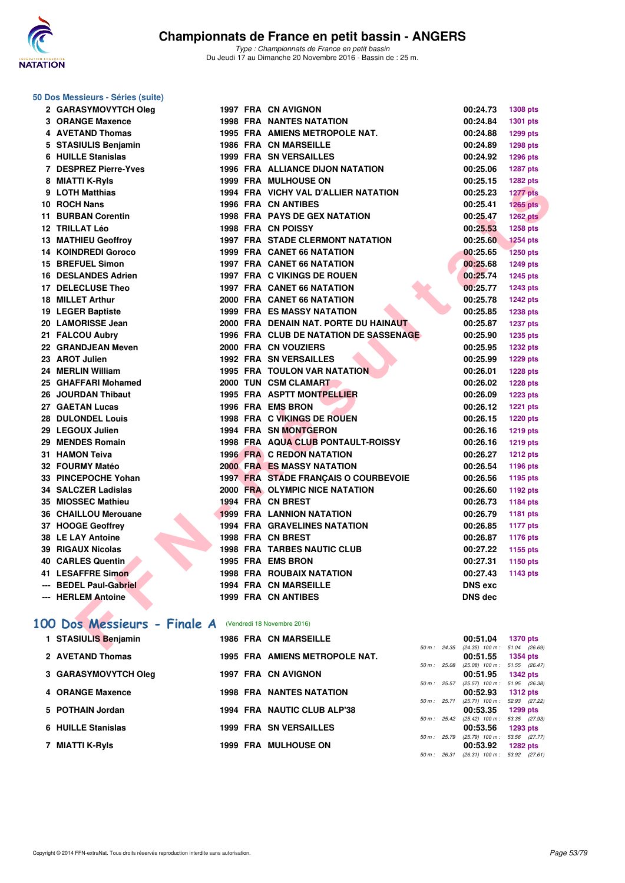

#### **50 Dos Messieurs - Séries (suite)**

| 2 GARASYMOVYTCH Oleg                                    |  | 1997 FRA CN AVIGNON                     | 00:24.73                                   | 1308 pts        |
|---------------------------------------------------------|--|-----------------------------------------|--------------------------------------------|-----------------|
| 3 ORANGE Maxence                                        |  | <b>1998 FRA NANTES NATATION</b>         | 00:24.84                                   | 1301 pts        |
| 4 AVETAND Thomas                                        |  | <b>1995 FRA AMIENS METROPOLE NAT.</b>   | 00:24.88                                   | 1299 pts        |
| 5 STASIULIS Benjamin                                    |  | <b>1986 FRA CN MARSEILLE</b>            | 00:24.89                                   | <b>1298 pts</b> |
| 6 HUILLE Stanislas                                      |  | <b>1999 FRA SN VERSAILLES</b>           | 00:24.92                                   | 1296 pts        |
| 7 DESPREZ Pierre-Yves                                   |  | 1996 FRA ALLIANCE DIJON NATATION        | 00:25.06                                   | <b>1287 pts</b> |
| 8 MIATTI K-Ryls                                         |  | 1999 FRA MULHOUSE ON                    | 00:25.15                                   | 1282 pts        |
| 9 LOTH Matthias                                         |  | 1994 FRA VICHY VAL D'ALLIER NATATION    | 00:25.23                                   | <b>1277 pts</b> |
| 10 ROCH Nans                                            |  | <b>1996 FRA CN ANTIBES</b>              | 00:25.41                                   | $1265$ pts      |
| 11 BURBAN Corentin                                      |  | <b>1998 FRA PAYS DE GEX NATATION</b>    | 00:25.47                                   | <b>1262 pts</b> |
| 12 TRILLAT Léo                                          |  | <b>1998 FRA CN POISSY</b>               | 00:25.53                                   | 1258 pts        |
| 13 MATHIEU Geoffroy                                     |  | <b>1997 FRA STADE CLERMONT NATATION</b> | 00:25.60                                   | <b>1254 pts</b> |
| <b>14 KOINDREDI Goroco</b>                              |  | 1999 FRA CANET 66 NATATION              | 00:25.65                                   | <b>1250 pts</b> |
| 15 BREFUEL Simon                                        |  | <b>1997 FRA CANET 66 NATATION</b>       | 00:25.68                                   | <b>1249 pts</b> |
| 16 DESLANDES Adrien                                     |  | 1997 FRA C VIKINGS DE ROUEN             | 00:25.74                                   | 1245 pts        |
| 17 DELECLUSE Theo                                       |  | <b>1997 FRA CANET 66 NATATION</b>       | 00:25.77                                   | <b>1243 pts</b> |
| 18 MILLET Arthur                                        |  | 2000 FRA CANET 66 NATATION              | 00:25.78                                   | <b>1242 pts</b> |
| 19 LEGER Baptiste                                       |  | <b>1999 FRA ES MASSY NATATION</b>       | 00:25.85                                   | 1238 pts        |
| 20 LAMORISSE Jean                                       |  | 2000 FRA DENAIN NAT. PORTE DU HAINAUT   | 00:25.87                                   | 1237 pts        |
| 21 FALCOU Aubry                                         |  | 1996 FRA CLUB DE NATATION DE SASSENAGE  | 00:25.90                                   | 1235 pts        |
| 22 GRANDJEAN Meven                                      |  | 2000 FRA CN VOUZIERS                    | 00:25.95                                   | <b>1232 pts</b> |
| 23 AROT Julien                                          |  | <b>1992 FRA SN VERSAILLES</b>           | 00:25.99                                   | <b>1229 pts</b> |
| 24 MERLIN William                                       |  | <b>1995 FRA TOULON VAR NATATION</b>     | 00:26.01                                   | <b>1228 pts</b> |
| 25 GHAFFARI Mohamed                                     |  | 2000 TUN CSM CLAMART                    | 00:26.02                                   | <b>1228 pts</b> |
| 26 JOURDAN Thibaut                                      |  | <b>1995 FRA ASPTT MONTPELLIER</b>       | 00:26.09                                   | 1223 pts        |
| 27 GAETAN Lucas                                         |  | 1996 FRA EMS BRON                       | 00:26.12                                   | 1221 pts        |
| 28 DULONDEL Louis                                       |  | 1998 FRA C VIKINGS DE ROUEN             | 00:26.15                                   | 1220 pts        |
| 29 LEGOUX Julien                                        |  | 1994 FRA SN MONTGERON                   | 00:26.16                                   | 1219 pts        |
| 29 MENDES Romain                                        |  | 1998 FRA AQUA CLUB PONTAULT-ROISSY      | 00:26.16                                   | <b>1219 pts</b> |
| 31 HAMON Teiva                                          |  | <b>1996 FRA C REDON NATATION</b>        | 00:26.27                                   | <b>1212 pts</b> |
| 32 FOURMY Matéo                                         |  | <b>2000 FRA ES MASSY NATATION</b>       | 00:26.54                                   | 1196 pts        |
| 33 PINCEPOCHE Yohan                                     |  | 1997 FRA STADE FRANÇAIS O COURBEVOIE    | 00:26.56                                   | 1195 pts        |
| 34 SALCZER Ladislas                                     |  | 2000 FRA OLYMPIC NICE NATATION          | 00:26.60                                   | 1192 pts        |
| 35 MIOSSEC Mathieu                                      |  | 1994 FRA CN BREST                       | 00:26.73                                   | 1184 pts        |
| 36 CHAILLOU Merouane                                    |  | <b>1999 FRA LANNION NATATION</b>        | 00:26.79                                   | 1181 pts        |
| 37 HOOGE Geoffrey                                       |  | <b>1994 FRA GRAVELINES NATATION</b>     | 00:26.85                                   | <b>1177 pts</b> |
| <b>38 LE LAY Antoine</b>                                |  | 1998 FRA CN BREST                       | 00:26.87                                   | 1176 pts        |
| 39 RIGAUX Nicolas                                       |  | <b>1998 FRA TARBES NAUTIC CLUB</b>      | 00:27.22                                   | 1155 pts        |
| 40 CARLES Quentin                                       |  | 1995 FRA EMS BRON                       | 00:27.31                                   | 1150 pts        |
| 41 LESAFFRE Simon                                       |  | <b>1998 FRA ROUBAIX NATATION</b>        | 00:27.43                                   | 1143 pts        |
| --- BEDEL Paul-Gabriel                                  |  | <b>1994 FRA CN MARSEILLE</b>            | <b>DNS</b> exc                             |                 |
| --- HERLEM Antoine                                      |  | <b>1999 FRA CN ANTIBES</b>              | <b>DNS</b> dec                             |                 |
|                                                         |  |                                         |                                            |                 |
| 00 Dos Messieurs - Finale A (Vendredi 18 Novembre 2016) |  |                                         |                                            |                 |
| 1 STASIULIS Benjamin                                    |  | <b>1986 FRA CN MARSEILLE</b>            | 00:51.04 1370 pts                          |                 |
|                                                         |  |                                         | 50 m : 24.35 (24.35) 100 m : 51.04 (26.69) |                 |

## **[100 Dos Messieurs - Finale A](http://www.ffnatation.fr/webffn/resultats.php?idact=nat&go=epr&idcpt=41163&idepr=62)** (Vendredi 18 Novembre 2016)

|  | 1 STASIULIS Benjamin        |  | <b>1986 FRA CN MARSEILLE</b>    |                        | 00:51.04                          | <b>1370 pts</b> |  |
|--|-----------------------------|--|---------------------------------|------------------------|-----------------------------------|-----------------|--|
|  |                             |  |                                 | $50 \text{ m}$ : 24.35 | $(24.35)$ 100 m :                 | 51.04 (26.69)   |  |
|  | 2 AVETAND Thomas            |  | 1995 FRA AMIENS METROPOLE NAT.  |                        | 00:51.55                          | <b>1354 pts</b> |  |
|  |                             |  |                                 | $50 m$ : 25.08         | $(25.08)$ 100 m : 51.55 $(26.47)$ |                 |  |
|  | <b>3 GARASYMOVYTCH Oleg</b> |  | 1997 FRA CN AVIGNON             |                        | 00:51.95                          | <b>1342 pts</b> |  |
|  |                             |  |                                 | $50 m$ : 25.57         | $(25.57)$ 100 m : 51.95 $(26.38)$ |                 |  |
|  | 4 ORANGE Maxence            |  | <b>1998 FRA NANTES NATATION</b> |                        | 00:52.93                          | $1312$ pts      |  |
|  |                             |  |                                 | $50 m$ : 25.71         | $(25.71)$ 100 m :                 | 52.93 (27.22)   |  |
|  | 5 POTHAIN Jordan            |  | 1994 FRA NAUTIC CLUB ALP'38     |                        | 00:53.35                          | $1299$ pts      |  |
|  |                             |  |                                 | $50 \text{ m}$ : 25.42 | $(25.42)$ 100 m :                 | 53.35 (27.93)   |  |
|  | 6 HUILLE Stanislas          |  | <b>1999 FRA SN VERSAILLES</b>   |                        | 00:53.56                          | $1293$ pts      |  |
|  |                             |  |                                 | $50 m$ : 25.79         | $(25.79)$ 100 m :                 | 53.56 (27.77)   |  |
|  | 7 MIATTI K-Ryls             |  | <b>1999 FRA MULHOUSE ON</b>     |                        | 00:53.92                          | $1282$ pts      |  |
|  |                             |  |                                 | $50 \text{ m}$ : 26.31 | $(26.31)$ 100 m : 53.92 $(27.61)$ |                 |  |
|  |                             |  |                                 |                        |                                   |                 |  |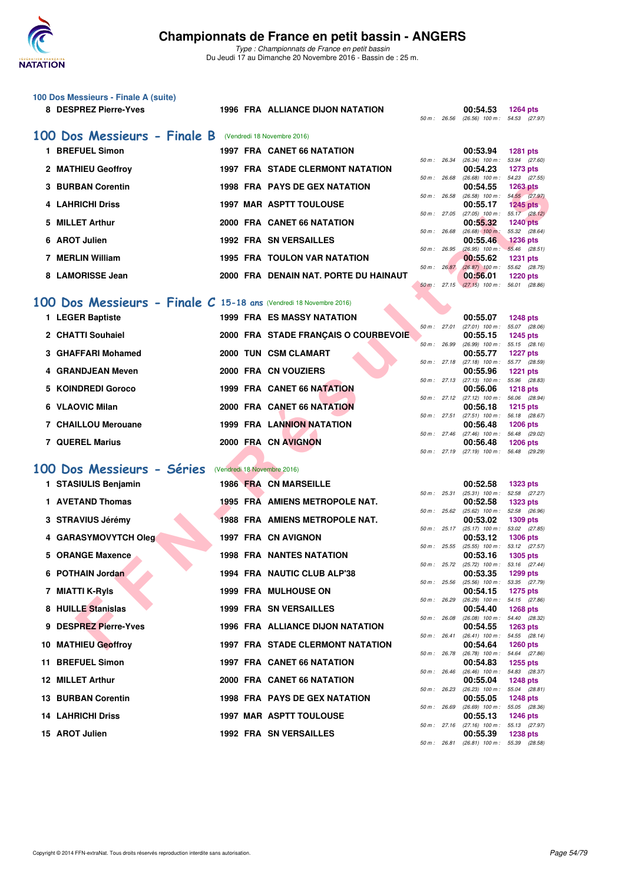

|    | 100 Dos Messieurs - Finale A (suite)                                 |  |                                                                  |                |              |                                                      |                                  |
|----|----------------------------------------------------------------------|--|------------------------------------------------------------------|----------------|--------------|------------------------------------------------------|----------------------------------|
|    | 8 DESPREZ Pierre-Yves                                                |  | <b>1996 FRA ALLIANCE DIJON NATATION</b>                          | 50 m: 26.56    |              | 00:54.53<br>(26.56) 100 m: 54.53 (27.97)             | <b>1264 pts</b>                  |
|    |                                                                      |  |                                                                  |                |              |                                                      |                                  |
|    | 100 Dos Messieurs - Finale B<br>1 BREFUEL Simon                      |  | (Vendredi 18 Novembre 2016)<br><b>1997 FRA CANET 66 NATATION</b> |                |              | 00:53.94                                             | 1281 pts                         |
|    |                                                                      |  |                                                                  | 50 m: 26.34    |              | $(26.34)$ 100 m : 53.94 $(27.60)$                    |                                  |
|    | 2 MATHIEU Geoffroy                                                   |  | <b>1997 FRA STADE CLERMONT NATATION</b>                          | 50 m: 26.68    |              | 00:54.23<br>$(26.68)$ 100 m : 54.23 $(27.55)$        | 1273 pts                         |
|    | 3 BURBAN Corentin                                                    |  | <b>1998 FRA PAYS DE GEX NATATION</b>                             | 50 m : 26.58   |              | 00:54.55<br>(26.58) 100 m: 54.55 (27.97)             | <b>1263 pts</b>                  |
|    | 4 LAHRICHI Driss                                                     |  | <b>1997 MAR ASPTT TOULOUSE</b>                                   | 50 m : 27.05   |              | 00:55.17<br>$(27.05)$ 100 m : 55.17 $(28.12)$        | 1245 pts                         |
| 5. | <b>MILLET Arthur</b>                                                 |  | 2000 FRA CANET 66 NATATION                                       |                |              | 00:55.32                                             | <b>1240 pts</b>                  |
|    | 6 AROT Julien                                                        |  | <b>1992 FRA SN VERSAILLES</b>                                    | 50 m: 26.68    |              | $(26.68)$ 100 m :<br>00:55.46                        | 55.32 (28.64)<br><b>1236 pts</b> |
|    | 7 MERLIN William                                                     |  | <b>1995 FRA TOULON VAR NATATION</b>                              | 50 m : 26.95   |              | $(26.95)$ 100 m : 55.46 $(28.51)$<br>00:55.62        | <b>1231 pts</b>                  |
|    | 8 LAMORISSE Jean                                                     |  | 2000 FRA DENAIN NAT. PORTE DU HAINAUT                            | 50 m: 26.87    |              | $(26.87)$ 100 m : 55.62 $(28.75)$<br>00:56.01        | <b>1220 pts</b>                  |
|    |                                                                      |  |                                                                  | $50 m$ : 27.15 |              | $(27.15)$ 100 m : 56.01 (28.86)                      |                                  |
|    | 100 Dos Messieurs - Finale $C$ 15-18 ans (Vendredi 18 Novembre 2016) |  |                                                                  |                |              |                                                      |                                  |
|    | 1 LEGER Baptiste                                                     |  | <b>1999 FRA ES MASSY NATATION</b>                                | 50 m: 27.01    |              | 00:55.07<br>$(27.01)$ 100 m : 55.07 (28.06)          | <b>1248 pts</b>                  |
|    | 2 CHATTI Souhaiel                                                    |  | 2000 FRA STADE FRANÇAIS O COURBEVOIE                             |                |              | 00:55.15                                             | <b>1245 pts</b>                  |
|    | 3 GHAFFARI Mohamed                                                   |  | 2000 TUN CSM CLAMART                                             | 50 m : 26.99   |              | $(26.99)$ 100 m : 55.15 $(28.16)$<br>00:55.77        | <b>1227 pts</b>                  |
|    | 4 GRANDJEAN Meven                                                    |  | 2000 FRA CN VOUZIERS                                             |                |              | 50 m: 27.18 (27.18) 100 m: 55.77 (28.59)<br>00:55.96 | 1221 pts                         |
|    | 5 KOINDREDI Goroco                                                   |  | 1999 FRA CANET 66 NATATION                                       | 50 m: 27.13    |              | (27.13) 100 m: 55.96 (28.83)<br>00:56.06             | <b>1218 pts</b>                  |
|    | 6 VLAOVIC Milan                                                      |  | 2000 FRA CANET 66 NATATION                                       |                |              | 50 m: 27.12 (27.12) 100 m: 56.06 (28.94)<br>00:56.18 | <b>1215 pts</b>                  |
|    |                                                                      |  |                                                                  | 50 m: 27.51    |              | (27.51) 100 m: 56.18 (28.67)                         |                                  |
|    | 7 CHAILLOU Merouane                                                  |  | <b>1999 FRA LANNION NATATION</b>                                 |                |              | 00:56.48<br>50 m: 27.46 (27.46) 100 m: 56.48 (29.02) | <b>1206 pts</b>                  |
|    | 7 QUEREL Marius                                                      |  | 2000 FRA CN AVIGNON                                              |                | 50 m : 27.19 | 00:56.48<br>$(27.19)$ 100 m : 56.48 $(29.29)$        | <b>1206 pts</b>                  |
|    | 100 Dos Messieurs - Séries                                           |  | (Vendredi 18 Novembre 2016)                                      |                |              |                                                      |                                  |
|    | 1 STASIULIS Benjamin                                                 |  | 1986 FRA CN MARSEILLE                                            |                |              | 00:52.58                                             | <b>1323 pts</b>                  |
|    | 1 AVETAND Thomas                                                     |  | <b>1995 FRA AMIENS METROPOLE NAT.</b>                            | 50 m: 25.31    |              | $(25.31)$ 100 m :<br>00:52.58                        | 52.58 (27.27)<br>1323 pts        |
|    | 3 STRAVIUS Jérémy                                                    |  | 1988 FRA AMIENS METROPOLE NAT.                                   | 50 m: 25.62    |              | $(25.62)$ 100 m : 52.58 (26.96)<br>00:53.02          | 1309 pts                         |
|    |                                                                      |  |                                                                  |                | 50 m : 25.17 | $(25.17)$ 100 m : 53.02 $(27.85)$                    |                                  |
|    | 4 GARASYMOVYTCH Oleg                                                 |  | 1997 FRA CN AVIGNON                                              | 50 m : 25.55   |              | 00:53.12<br>(25.55) 100 m: 53.12 (27.57)             | <b>1306 pts</b>                  |
|    | 5 ORANGE Maxence                                                     |  | 1998 FRA NANTES NATATION                                         |                | 50 m : 25.72 | 00:53.16<br>(25.72) 100 m: 53.16 (27.44)             | <b>1305 pts</b>                  |
|    | 6 POTHAIN Jordan                                                     |  | 1994 FRA NAUTIC CLUB ALP'38                                      | 50 m : 25.56   |              | 00:53.35<br>(25.56) 100 m: 53.35 (27.79)             | 1299 pts                         |
|    | 7 MIATTI K-RyIs                                                      |  | 1999 FRA MULHOUSE ON                                             | 50 m: 26.29    |              | 00:54.15<br>$(26.29)$ 100 m : 54.15 $(27.86)$        | 1275 pts                         |
|    | 8 HUILLE Stanislas                                                   |  | <b>1999 FRA SN VERSAILLES</b>                                    |                |              | 00:54.40                                             | <b>1268 pts</b>                  |
| 9  | <b>DESPREZ Pierre-Yves</b>                                           |  | 1996 FRA ALLIANCE DIJON NATATION                                 | 50 m: 26.08    |              | (26.08) 100 m: 54.40 (28.32)<br>00:54.55             | <b>1263 pts</b>                  |
|    | 10 MATHIEU Geoffroy                                                  |  | <b>1997 FRA STADE CLERMONT NATATION</b>                          | 50 m : 26.41   |              | $(26.41)$ 100 m : 54.55 $(28.14)$<br>00:54.64        | 1260 pts                         |
|    | 11 BREFUEL Simon                                                     |  | 1997 FRA CANET 66 NATATION                                       | 50 m : 26.78   |              | (26.78) 100 m: 54.64 (27.86)<br>00:54.83             | <b>1255 pts</b>                  |
|    | 12 MILLET Arthur                                                     |  | 2000 FRA CANET 66 NATATION                                       | 50 m : 26.46   |              | (26.46) 100 m: 54.83 (28.37)<br>00:55.04             | <b>1248 pts</b>                  |
|    |                                                                      |  |                                                                  | 50 m : 26.23   |              | $(26.23)$ 100 m :                                    | 55.04 (28.81)                    |
|    | <b>13 BURBAN Corentin</b>                                            |  | <b>1998 FRA PAYS DE GEX NATATION</b>                             | 50 m : 26.69   |              | 00:55.05<br>$(26.69)$ 100 m : 55.05 (28.36)          | 1248 pts                         |
|    | <b>14 LAHRICHI Driss</b>                                             |  | <b>1997 MAR ASPTT TOULOUSE</b>                                   | 50 m : 27.16   |              | 00:55.13<br>(27.16) 100 m: 55.13 (27.97)             | <b>1246 pts</b>                  |
|    | 15 AROT Julien                                                       |  | 1992 FRA SN VERSAILLES                                           |                | 50 m : 26.81 | 00:55.39<br>$(26.81)$ 100 m : 55.39 $(28.58)$        | 1238 pts                         |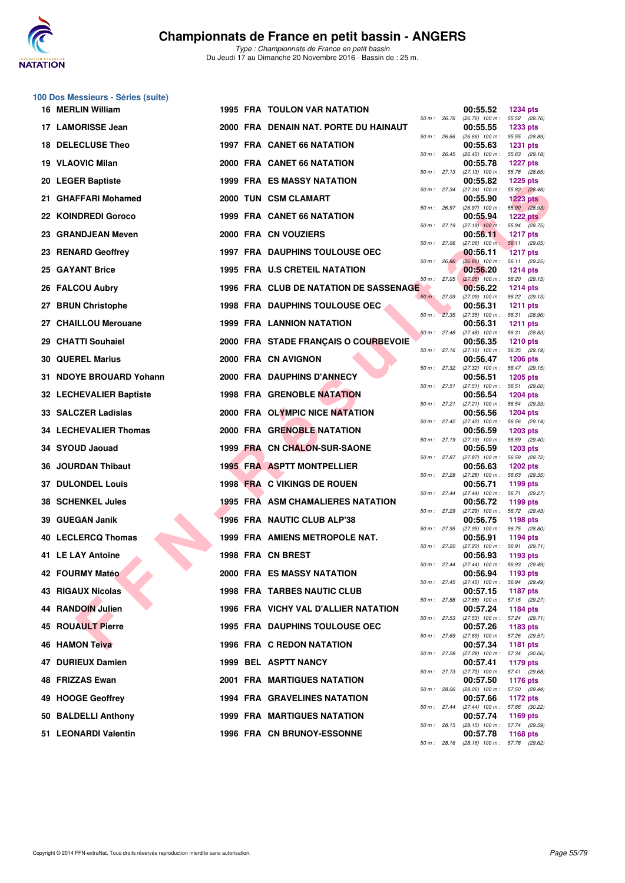

**100 Dos Messieurs - Séries (suite)**

|     | 16 MERLIN William        |  | 1995 FRA TOULON VAR NATATION           |                              |                              | 00:55.52                                                                             | <b>1234 pts</b> |  |
|-----|--------------------------|--|----------------------------------------|------------------------------|------------------------------|--------------------------------------------------------------------------------------|-----------------|--|
|     | 17 LAMORISSE Jean        |  | 2000 FRA DENAIN NAT. PORTE DU HAINAUT  | 50 m : 26.76                 |                              | (26.76) 100 m: 55.52 (28.76)<br>00:55.55                                             | <b>1233 pts</b> |  |
|     | 18 DELECLUSE Theo        |  | <b>1997 FRA CANET 66 NATATION</b>      | 50 m : 26.66<br>50 m : 26.45 |                              | $(26.66)$ 100 m : 55.55 (28.89)<br>00:55.63<br>$(26.45)$ 100 m : 55.63 (29.18)       | <b>1231 pts</b> |  |
|     | 19 VLAOVIC Milan         |  | 2000 FRA CANET 66 NATATION             |                              |                              | 00:55.78<br>$(27.13)$ 100 m : 55.78 $(28.65)$                                        | <b>1227 pts</b> |  |
|     | 20 LEGER Baptiste        |  | <b>1999 FRA ES MASSY NATATION</b>      | 50 m : 27.13<br>50 m: 27.34  |                              | 00:55.82                                                                             | <b>1225 pts</b> |  |
|     | 21 GHAFFARI Mohamed      |  | 2000 TUN CSM CLAMART                   |                              | 50 m : 26.97                 | (27.34) 100 m: 55.82 (28.48)<br>00:55.90<br>$(26.97)$ 100 m : 55.90 $(28.93)$        | <b>1223 pts</b> |  |
|     | 22 KOINDREDI Goroco      |  | 1999 FRA CANET 66 NATATION             |                              |                              | 00:55.94                                                                             | 1222 $pts$      |  |
|     | 23 GRANDJEAN Meven       |  | 2000 FRA CN VOUZIERS                   |                              | 50 m : 27.19                 | $(27.19)$ 100 m : 55.94 $(28.75)$<br>00:56.11                                        | <b>1217 pts</b> |  |
|     | 23 RENARD Geoffrey       |  | <b>1997 FRA DAUPHINS TOULOUSE OEC</b>  | 50 m : 27.06                 | 50 m: 26.86                  | $(27.06)$ 100 m : 56.11 $(29.05)$<br>00:56.11<br>$(26.86)$ 100 m : 56.11 (29.25)     | <b>1217 pts</b> |  |
|     | 25 GAYANT Brice          |  | 1995 FRA U.S CRETEIL NATATION          | $50 m$ : 27.05               |                              | 00:56.20<br>$(27.05)$ 100 m : 56.20 (29.15)                                          | <b>1214 pts</b> |  |
|     | 26 FALCOU Aubry          |  | 1996 FRA CLUB DE NATATION DE SASSENAGE | 50 m: 27.09                  |                              | 00:56.22                                                                             | <b>1214 pts</b> |  |
|     | <b>BRUN Christophe</b>   |  | <b>1998 FRA DAUPHINS TOULOUSE OEC</b>  | 50 m: 27.35                  |                              | (27.09) 100 m: 56.22 (29.13)<br>00:56.31                                             | <b>1211 pts</b> |  |
|     | 27 CHAILLOU Merouane     |  | <b>1999 FRA LANNION NATATION</b>       | 50 m: 27.48                  |                              | $(27.35)$ 100 m : 56.31 $(28.96)$<br>00:56.31                                        | <b>1211 pts</b> |  |
|     | 29 CHATTI Souhaiel       |  | 2000 FRA STADE FRANÇAIS O COURBEVOIE   |                              |                              | (27.48) 100 m: 56.31 (28.83)<br>00:56.35<br>50 m: 27.16 (27.16) 100 m: 56.35 (29.19) | <b>1210 pts</b> |  |
|     | <b>30 QUEREL Marius</b>  |  | 2000 FRA CN AVIGNON                    |                              |                              | 00:56.47                                                                             | <b>1206 pts</b> |  |
|     | 31 NDOYE BROUARD Yohann  |  | 2000 FRA DAUPHINS D'ANNECY             |                              | 50 m : 27.32<br>50 m : 27.51 | $(27.32)$ 100 m : 56.47 $(29.15)$<br>00:56.51<br>$(27.51)$ 100 m : 56.51 (29.00)     | <b>1205 pts</b> |  |
|     | 32 LECHEVALIER Baptiste  |  | <b>1998 FRA GRENOBLE NATATION</b>      |                              | 50 m : 27.21                 | 00:56.54<br>(27.21) 100 m: 56.54 (29.33)                                             | <b>1204 pts</b> |  |
|     | 33 SALCZER Ladislas      |  | 2000 FRA OLYMPIC NICE NATATION         |                              | 50 m : 27.42                 | 00:56.56<br>$(27.42)$ 100 m : 56.56 $(29.14)$                                        | <b>1204 pts</b> |  |
|     | 34 LECHEVALIER Thomas    |  | 2000 FRA GRENOBLE NATATION             |                              |                              | 00:56.59                                                                             | <b>1203 pts</b> |  |
|     | 34 SYOUD Jaouad          |  | 1999 FRA CN CHALON-SUR-SAONE           |                              | 50 m : 27.87                 | 50 m: 27.19 (27.19) 100 m: 56.59 (29.40)<br>00:56.59                                 | <b>1203 pts</b> |  |
| 36. | <b>JOURDAN Thibaut</b>   |  | <b>1995 FRA ASPTT MONTPELLIER</b>      | 50 m : 27.28                 |                              | (27.87) 100 m : 56.59 (28.72)<br>00:56.63<br>(27.28) 100 m: 56.63 (29.35)            | <b>1202 pts</b> |  |
| 37. | <b>DULONDEL Louis</b>    |  | 1998 FRA C VIKINGS DE ROUEN            | 50 m : 27.44                 |                              | 00:56.71                                                                             | 1199 pts        |  |
|     | <b>38 SCHENKEL Jules</b> |  | 1995 FRA ASM CHAMALIERES NATATION      | 50 m : 27.29                 |                              | (27.44) 100 m: 56.71 (29.27)<br>00:56.72<br>(27.29) 100 m: 56.72 (29.43)             | 1199 pts        |  |
| 39  | <b>GUEGAN Janik</b>      |  | 1996 FRA NAUTIC CLUB ALP'38            |                              | 50 m : 27.95                 | 00:56.75<br>$(27.95)$ 100 m : 56.75 $(28.80)$                                        | 1198 pts        |  |
|     | 40 LECLERCQ Thomas       |  | 1999 FRA AMIENS METROPOLE NAT.         |                              | 50 m : 27.20                 | 00:56.91<br>(27.20) 100 m: 56.91 (29.71)                                             | 1194 pts        |  |
|     | 41 LE LAY Antoine        |  | 1998 FRA CN BREST                      |                              | 50 m : 27.44                 | 00:56.93<br>$(27.44)$ 100 m : 56.93 $(29.49)$                                        | 1193 pts        |  |
|     | 42 FOURMY Matéo          |  | 2000 FRA ES MASSY NATATION             |                              |                              | 00:56.94<br>50 m: 27.45 (27.45) 100 m: 56.94 (29.49)                                 | 1193 pts        |  |
|     | 43 RIGAUX Nicolas        |  | <b>1998 FRA TARBES NAUTIC CLUB</b>     |                              | 50 m : 27.88                 | 00:57.15                                                                             | 1187 pts        |  |
|     | 44 RANDOIN Julien        |  | 1996 FRA VICHY VAL D'ALLIER NATATION   |                              |                              | (27.88) 100 m: 57.15 (29.27)<br>00:57.24<br>50 m: 27.53 (27.53) 100 m: 57.24 (29.71) | 1184 pts        |  |
|     | 45 ROUAULT Pierre        |  | <b>1995 FRA DAUPHINS TOULOUSE OEC</b>  |                              | 50 m : 27.69                 | 00:57.26<br>$(27.69)$ 100 m : 57.26 $(29.57)$                                        | 1183 pts        |  |
|     | 46 HAMON Teiva           |  | <b>1996 FRA C REDON NATATION</b>       |                              |                              | 00:57.34                                                                             | 1181 pts        |  |
|     | 47 DURIEUX Damien        |  | 1999 BEL ASPTT NANCY                   |                              | 50 m : 27.28                 | (27.28) 100 m: 57.34 (30.06)<br>00:57.41                                             | 1179 pts        |  |
|     | 48 FRIZZAS Ewan          |  | <b>2001 FRA MARTIGUES NATATION</b>     |                              |                              | 50 m : 27.73 (27.73) 100 m : 57.41 (29.68)<br>00:57.50                               | <b>1176 pts</b> |  |
|     | 49 HOOGE Geoffrey        |  | 1994 FRA GRAVELINES NATATION           |                              | 50 m : 28.06                 | $(28.06)$ 100 m : 57.50 $(29.44)$<br>00:57.66                                        | 1172 pts        |  |
|     | 50 BALDELLI Anthony      |  | <b>1999 FRA MARTIGUES NATATION</b>     |                              | 50 m: 27.44                  | (27.44) 100 m: 57.66 (30.22)<br>00:57.74                                             | 1169 pts        |  |
|     | 51 LEONARDI Valentin     |  | 1996 FRA CN BRUNOY-ESSONNE             |                              |                              | 50 m : 28.15 (28.15) 100 m : 57.74 (29.59)<br>00:57.78                               | <b>1168 pts</b> |  |
|     |                          |  |                                        |                              |                              | 50 m: 28.16 (28.16) 100 m: 57.78 (29.62)                                             |                 |  |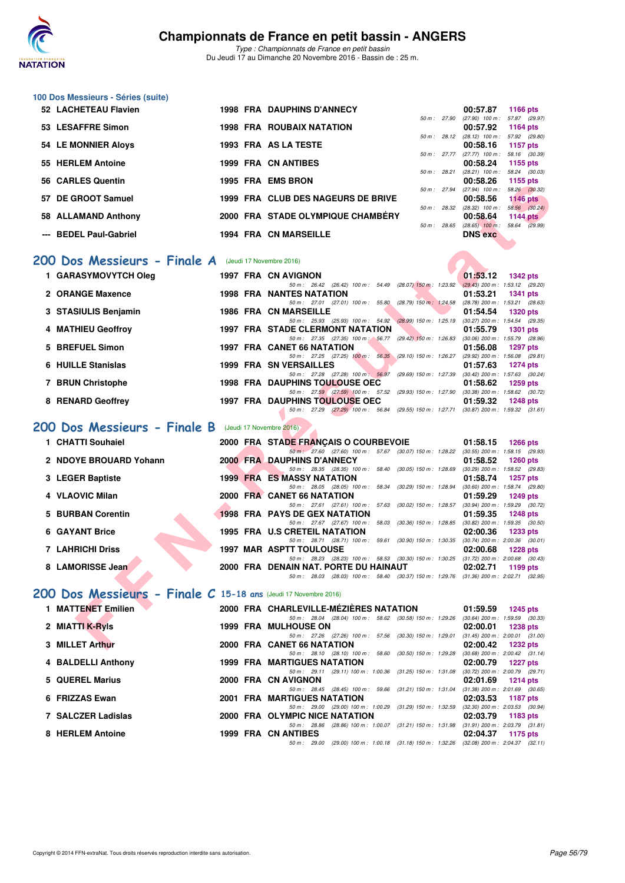

**100 Dos Messieurs - Séries (suite)**

*Type : Championnats de France en petit bassin* Du Jeudi 17 au Dimanche 20 Novembre 2016 - Bassin de : 25 m.

|  | 52 LACHETEAU Flavien       |  | <b>1998 FRA DAUPHINS D'ANNECY</b>  |                | 00:57.87                                      | 1166 pts                    |
|--|----------------------------|--|------------------------------------|----------------|-----------------------------------------------|-----------------------------|
|  | 53 LESAFFRE Simon          |  | <b>1998 FRA ROUBAIX NATATION</b>   | 50 m: 27.90    | $(27.90)$ 100 m : 57.87 $(29.97)$<br>00:57.92 | 1164 pts                    |
|  | <b>54 LE MONNIER Aloys</b> |  | 1993 FRA AS LA TESTE               | $50 m$ : 28.12 | $(28.12)$ 100 m :<br>00:58.16                 | 57.92 (29.80)<br>1157 pts   |
|  | 55 HERLEM Antoine          |  | <b>1999 FRA CN ANTIBES</b>         | $50 m$ : 27.77 | $(27.77)$ 100 m :                             | 58.16 (30.39)               |
|  |                            |  |                                    | 50 m: 28.21    | 00:58.24<br>$(28.21)$ 100 m :                 | 1155 pts<br>58.24 (30.03)   |
|  | 56 CARLES Quentin          |  | 1995 FRA EMS BRON                  | 50 m: 27.94    | 00:58.26<br>$(27.94)$ 100 m :                 | 1155 pts<br>58.26 (30.32)   |
|  | 57 DE GROOT Samuel         |  | 1999 FRA CLUB DES NAGEURS DE BRIVE | 50 m: 28.32    | 00:58.56<br>$(28.32)$ 100 m :                 | $1146$ pts<br>58.56 (30.24) |
|  | 58 ALLAMAND Anthony        |  | 2000 FRA STADE OLYMPIQUE CHAMBÉRY  | $50 m$ : 28.65 | 00:58.64<br>$(28.65)$ 100 m :                 | 1144 $pts$<br>58.64 (29.99) |
|  | --- BEDEL Paul-Gabriel     |  | <b>1994 FRA CN MARSEILLE</b>       |                | <b>DNS</b> exc                                |                             |
|  |                            |  |                                    |                |                                               |                             |

#### [200 Dos Messieurs - Finale A](http://www.ffnatation.fr/webffn/resultats.php?idact=nat&go=epr&idcpt=41163&idepr=63) (Jeudi 17 Novembre 2016)

| 1 GARASYMOVYTCH Oleg |  | 1997 FRA CN AVIGNON                     |  |                         |                                                         | 01:53.12                            | <b>1342 pts</b> |  |
|----------------------|--|-----------------------------------------|--|-------------------------|---------------------------------------------------------|-------------------------------------|-----------------|--|
|                      |  |                                         |  |                         | 50 m: 26.42 (26.42) 100 m: 54.49 (28.07) 150 m: 1:23.92 | $(29.43)$ 200 m : 1:53.12 $(29.20)$ |                 |  |
| 2 ORANGE Maxence     |  | <b>1998 FRA NANTES NATATION</b>         |  |                         |                                                         | 01:53.21                            | <b>1341 pts</b> |  |
|                      |  | 50 m: 27.01                             |  |                         | (27.01) 100 m : 55.80 (28.79) 150 m : 1:24.58           | (28.78) 200 m : 1:53.21 (28.63)     |                 |  |
| 3 STASIULIS Benjamin |  | <b>1986 FRA CN MARSEILLE</b>            |  |                         |                                                         | 01:54.54                            | <b>1320 pts</b> |  |
|                      |  |                                         |  |                         | 50 m: 25.93 (25.93) 100 m: 54.92 (28.99) 150 m: 1:25.19 | $(30.27)$ 200 m : 1:54.54 $(29.35)$ |                 |  |
| 4 MATHIEU Geoffroy   |  | <b>1997 FRA STADE CLERMONT NATATION</b> |  |                         |                                                         | 01:55.79                            | <b>1301 pts</b> |  |
|                      |  |                                         |  |                         | 50 m: 27.35 (27.35) 100 m: 56.77 (29.42) 150 m: 1:26.83 | $(30.06)$ 200 m : 1:55.79 $(28.96)$ |                 |  |
| 5 BREFUEL Simon      |  | 1997 FRA CANET 66 NATATION              |  |                         |                                                         | 01:56.08                            | <b>1297 pts</b> |  |
|                      |  |                                         |  |                         | 50 m: 27.25 (27.25) 100 m: 56.35 (29.10) 150 m: 1:26.27 | (29.92) 200 m: 1:56.08 (29.81)      |                 |  |
| 6 HUILLE Stanislas   |  | 1999 FRA SN VERSAILLES                  |  |                         |                                                         | 01:57.63                            | $1274$ pts      |  |
|                      |  | 50 m: 27.28 (27.28) 100 m: 56.97        |  |                         | (29.69) 150 m : 1:27.39                                 | $(30.42)$ 200 m : 1:57.63 $(30.24)$ |                 |  |
| 7 BRUN Christophe    |  | <b>1998 FRA DAUPHINS TOULOUSE OEC</b>   |  |                         |                                                         | 01:58.62                            | 1259 pts        |  |
|                      |  | 50 m: 27.59 (27.59) 100 m: 57.52        |  |                         | (29.93) 150 m : 1:27.90                                 | $(30.38)$ 200 m : 1:58.62 $(30.72)$ |                 |  |
| 8 RENARD Geoffrey    |  | <b>1997 FRA DAUPHINS TOULOUSE OEC</b>   |  |                         |                                                         | 01:59.32                            | <b>1248 pts</b> |  |
|                      |  | 50 m : 27.29                            |  | $(27.29)$ 100 m : 56.84 | (29.55) 150 m : 1:27.71                                 | $(30.87)$ 200 m : 1:59.32 $(31.61)$ |                 |  |
|                      |  |                                         |  |                         |                                                         |                                     |                 |  |

## **[200 Dos Messieurs - Finale B](http://www.ffnatation.fr/webffn/resultats.php?idact=nat&go=epr&idcpt=41163&idepr=63)** (Jeudi 17 Novembre 2016)

| ווווושט כבותות ט                                               |  | ווטחם כווום ואחז נככו                                                                                                             | 00.JO.ZU<br>່ 1 ເປນ ນເວ                                            |
|----------------------------------------------------------------|--|-----------------------------------------------------------------------------------------------------------------------------------|--------------------------------------------------------------------|
| 7 DE GROOT Samuel                                              |  | 1999 FRA CLUB DES NAGEURS DE BRIVE                                                                                                | 50 m: 27.94 (27.94) 100 m: 58.26 (30.32)<br>00:58.56<br>$1146$ pts |
|                                                                |  |                                                                                                                                   | 50 m: 28.32 (28.32) 100 m: 58.56 (30.24)                           |
| 8 ALLAMAND Anthony                                             |  | 2000 FRA STADE OLYMPIQUE CHAMBERY                                                                                                 | 00:58.64<br>1144 $pts$                                             |
|                                                                |  |                                                                                                                                   | 50 m: 28.65 (28.65) 100 m: 58.64 (29.99)                           |
| -- BEDEL Paul-Gabriel                                          |  | <b>1994 FRA CN MARSEILLE</b>                                                                                                      | <b>DNS exc</b>                                                     |
|                                                                |  |                                                                                                                                   |                                                                    |
| O Dos Messieurs - Finale A (Jeudi 17 Novembre 2016)            |  |                                                                                                                                   |                                                                    |
| 1 GARASYMOVYTCH Oleg                                           |  | 1997 FRA CN AVIGNON                                                                                                               | 01:53.12<br>1342 pts                                               |
|                                                                |  | 50 m: 26.42 (26.42) 100 m: 54.49 (28.07) 150 m: 1.23.92 (29.43) 200 m: 1.53.12 (29.20)                                            |                                                                    |
| <b>2 ORANGE Maxence</b>                                        |  | <b>1998 FRA NANTES NATATION</b>                                                                                                   | 01:53.21<br>1341 pts                                               |
|                                                                |  | 50 m: 27.01 (27.01) 100 m: 55.80 (28.79) 150 m: 1:24.58 (28.78) 200 m: 1:53.21 (28.63)                                            |                                                                    |
| 3   STASIULIS Benjamin                                         |  | <b>1986 FRA CN MARSEILLE</b>                                                                                                      | 01:54.54<br><b>1320 pts</b>                                        |
| 4 MATHIEU Geoffroy                                             |  | 50 m: 25.93 (25.93) 100 m: 54.92 (28.99) 150 m: 1:25.19 (30.27) 200 m: 1:54.54 (29.35)<br><b>1997 FRA STADE CLERMONT NATATION</b> | 01:55.79<br>1301 pts                                               |
|                                                                |  | 50 m: 27.35 (27.35) 100 m: 56.77 (29.42) 150 m: 1:26.83 (30.06) 200 m: 1:55.79 (28.96)                                            |                                                                    |
| 5 BREFUEL Simon                                                |  | <b>1997 FRA CANET 66 NATATION</b>                                                                                                 | 01:56.08<br>1297 pts                                               |
|                                                                |  | 50 m: 27.25 (27.25) 100 m: 56.35 (29.10) 150 m: 1:26.27 (29.92) 200 m: 1:56.08 (29.81)                                            |                                                                    |
| 6 HUILLE Stanislas                                             |  | <b>1999 FRA SN VERSAILLES</b>                                                                                                     | 01:57.63<br>1274 pts                                               |
|                                                                |  | 50 m: 27.28 (27.28) 100 m: 56.97 (29.69) 150 m: 1:27.39 (30.42) 200 m: 1:57.63 (30.24)                                            |                                                                    |
| 7 BRUN Christophe                                              |  | <b>1998 FRA DAUPHINS TOULOUSE OEC</b>                                                                                             | 01:58.62<br>1259 pts                                               |
|                                                                |  | 50 m: 27.59 (27.59) 100 m: 57.52 (29.93) 150 m: 1:27.90 (30.38) 200 m: 1:58.62 (30.72)                                            |                                                                    |
| 8 RENARD Geoffrey                                              |  | <b>1997 FRA DAUPHINS TOULOUSE OEC</b><br>50 m: 27.29 (27.29) 100 m: 56.84 (29.55) 150 m: 1:27.71 (30.87) 200 m: 1:59.32 (31.61)   | 01:59.32<br>1248 pts                                               |
| <b>10 Dos Messieurs - Finale B</b> (Jeudi 17 Novembre 2016)    |  |                                                                                                                                   |                                                                    |
| 1 CHATTI Souhaiel                                              |  | 2000 FRA STADE FRANCAIS O COURBEVOIE                                                                                              | 01:58.15<br>1266 pts                                               |
|                                                                |  | 50 m: 27.60 (27.60) 100 m: 57.67 (30.07) 150 m: 1:28.22 (30.55) 200 m: 1:58.15 (29.93)                                            |                                                                    |
| 2 NDOYE BROUARD Yohann                                         |  | <b>2000 FRA DAUPHINS D'ANNECY</b>                                                                                                 | 01:58.52<br>$1260$ pts                                             |
| 3 LEGER Baptiste                                               |  | 50 m: 28.35 (28.35) 100 m: 58.40 (30.05) 150 m: 1:28.69 (30.29) 200 m: 1:58.52 (29.83)<br><b>1999 FRA ES MASSY NATATION</b>       | 01:58.74<br>1257 pts                                               |
|                                                                |  | 50 m: 28.05 (28.05) 100 m: 58.34 (30.29) 150 m: 1:28.94 (30.60) 200 m: 1:58.74 (29.80)                                            |                                                                    |
| 4 VLAOVIC Milan                                                |  | 2000 FRA CANET 66 NATATION                                                                                                        | 01:59.29<br>1249 pts                                               |
|                                                                |  | 50 m: 27.61 (27.61) 100 m: 57.63 (30.02) 150 m: 1:28.57 (30.94) 200 m: 1:59.29 (30.72)                                            |                                                                    |
| 5 BURBAN Corentin                                              |  | <b>1998 FRA PAYS DE GEX NATATION</b>                                                                                              | 01:59.35<br>1248 pts                                               |
|                                                                |  | 50 m: 27.67 (27.67) 100 m: 58.03 (30.36) 150 m: 1:28.85 (30.82) 200 m: 1:59.35 (30.50)                                            |                                                                    |
| 6 GAYANT Brice                                                 |  | 1995 FRA U.S CRETEIL NATATION                                                                                                     | 02:00.36<br>1233 pts                                               |
| 7   LAHRICHI Driss                                             |  | 50 m: 28.71 (28.71) 100 m: 59.61 (30.90) 150 m: 1:30.35 (30.74) 200 m: 2:00.36 (30.01)<br><b>1997 MAR ASPTT TOULOUSE</b>          | 02:00.68<br><b>1228 pts</b>                                        |
|                                                                |  | 50 m: 28.23 (28.23) 100 m: 58.53 (30.30) 150 m: 1:30.25 (31.72) 200 m: 2:00.68 (30.43)                                            |                                                                    |
| 8 LAMORISSE Jean                                               |  | 2000 FRA DENAIN NAT. PORTE DU HAINAUT                                                                                             | 02:02.71<br>1199 pts                                               |
|                                                                |  | 50 m: 28.03 (28.03) 100 m: 58.40 (30.37) 150 m: 1.29.76 (31.36) 200 m: 2:02.71 (32.95)                                            |                                                                    |
|                                                                |  |                                                                                                                                   |                                                                    |
| 10 Dos Messieurs - Finale C 15-18 ans (Jeudi 17 Novembre 2016) |  |                                                                                                                                   |                                                                    |
| 1 MATTENET Emilien                                             |  | 2000 FRA CHARLEVILLE-MEZIERES NATATION                                                                                            | 01:59.59<br>$1245$ pts                                             |
|                                                                |  | 50 m: 28.04 (28.04) 100 m: 58.62 (30.58) 150 m: 1:29.26 (30.64) 200 m: 1:59.59 (30.33)                                            |                                                                    |
| 2 MIATTI K-Ryis                                                |  | <b>1999 FRA MULHOUSE ON</b>                                                                                                       | 02:00.01<br>1238 pts                                               |
|                                                                |  | 50 m: 27.26 (27.26) 100 m: 57.56 (30.30) 150 m: 1:29.01 (31.45) 200 m: 2:00.01 (31.00)                                            |                                                                    |
| 3 MILLET Arthur                                                |  | 2000 FRA CANET 66 NATATION                                                                                                        | 02:00.42<br><b>1232 pts</b>                                        |

| 1 MATTENET Emilien |  | 2000 FRA CHARLEVILLE-MÉZIÈRES NATATION                                                                                                                                     | 01:59.59 | 1245 pts                                                 |
|--------------------|--|----------------------------------------------------------------------------------------------------------------------------------------------------------------------------|----------|----------------------------------------------------------|
| 2 MIATTI K-Ryls    |  | 50 m: 28.04 (28.04) 100 m: 58.62 (30.58) 150 m: 1:29.26<br><b>1999 FRA MULHOUSE ON</b>                                                                                     | 02:00.01 | $(30.64)$ 200 m : 1:59.59 $(30.33)$<br>1238 pts          |
| 3 MILLET Arthur    |  | 50 m: 27.26 (27.26) 100 m: 57.56 (30.30) 150 m: 1:29.01<br>2000 FRA CANET 66 NATATION                                                                                      | 02:00.42 | $(31.45)$ 200 m : 2:00.01 $(31.00)$<br>1232 pts          |
| 4 BALDELLI Anthony |  | $50 \text{ m}$ : 28.10 (28.10) 100 m :<br>(30.50) 150 m : 1:29.28<br>58.60<br><b>1999 FRA MARTIGUES NATATION</b>                                                           |          | $(30.68)$ 200 m : 2:00.42 $(31.14)$<br>02:00.79 1227 pts |
| 5 QUEREL Marius    |  | 50 m: 29.11 (29.11) 100 m: 1:00.36 (31.25) 150 m: 1:31.08<br>2000 FRA CN AVIGNON<br>50 m: 28.45 (28.45) 100 m: 59.66 (31.21) 150 m: 1:31.04 (31.38) 200 m: 2:01.69 (30.65) | 02:01.69 | $(30.72)$ 200 m : 2:00.79 $(29.71)$<br>1214 pts          |
| 6 FRIZZAS Ewan     |  | <b>2001 FRA MARTIGUES NATATION</b><br>50 m: 29.00 (29.00) 100 m: 1:00.29 (31.29) 150 m: 1:32.59                                                                            | 02:03.53 | 1187 pts<br>$(32.30)$ 200 m : 2:03.53 $(30.94)$          |
| 7 SALCZER Ladislas |  | 2000 FRA OLYMPIC NICE NATATION<br>50 m : 28.86 (28.86) 100 m : 1:00.07 (31.21) 150 m : 1:31.98                                                                             | 02:03.79 | 1183 pts<br>$(31.91)$ 200 m : 2:03.79 $(31.81)$          |
| 8 HERLEM Antoine   |  | 1999 FRA CN ANTIBES                                                                                                                                                        | 02:04.37 | 1175 pts                                                 |
|                    |  | 50 m: 29.00 (29.00) 100 m: 1:00.18 (31.18) 150 m: 1:32.26 (32.08) 200 m: 2:04.37 (32.11)                                                                                   |          |                                                          |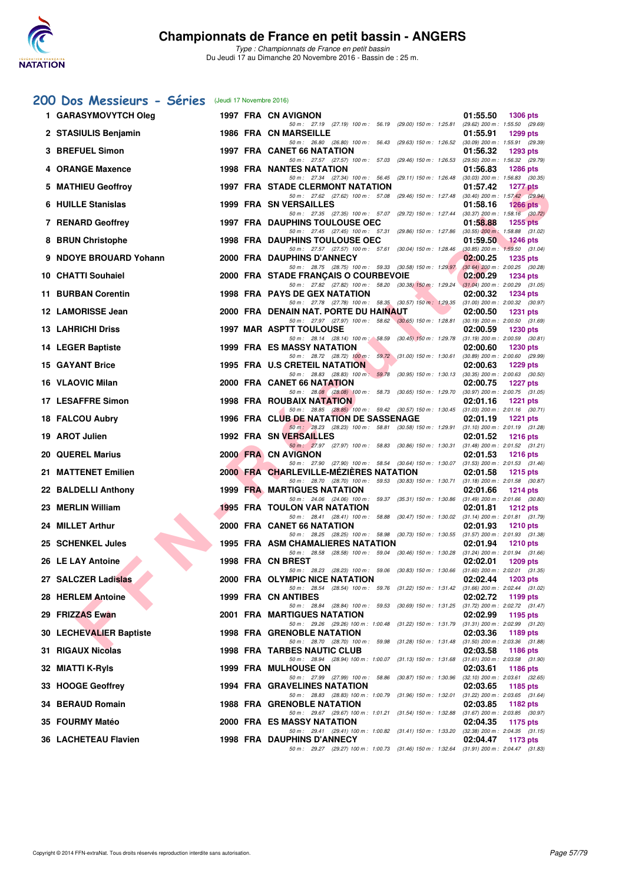

### **[200 Dos Messieurs - Séries](http://www.ffnatation.fr/webffn/resultats.php?idact=nat&go=epr&idcpt=41163&idepr=63)** (Jeudi 17 Novembre 2016)

| 1 GARASYMOVYTCH Oleg        |  | 1997 FRA CN AVIGNON                                                                                                                  | 01:55.50 | <b>1306 pts</b>                                        |
|-----------------------------|--|--------------------------------------------------------------------------------------------------------------------------------------|----------|--------------------------------------------------------|
| 2 STASIULIS Benjamin        |  | 50 m : 27.19 (27.19) 100 m : 56.19 (29.00) 150 m : 1:25.81 (29.62) 200 m : 1:55.50 (29.69)<br>1986 FRA CN MARSEILLE                  | 01:55.91 | <b>1299 pts</b>                                        |
| 3 BREFUEL Simon             |  | 50 m: 26.80 (26.80) 100 m: 56.43 (29.63) 150 m: 1:26.52 (30.09) 200 m: 1:55.91 (29.39)<br>1997 FRA CANET 66 NATATION                 | 01:56.32 | <b>1293 pts</b>                                        |
| 4 ORANGE Maxence            |  | 50 m: 27.57 (27.57) 100 m: 57.03 (29.46) 150 m: 1:26.53 (29.50) 200 m: 1:56.32 (29.79)<br><b>1998 FRA NANTES NATATION</b>            | 01:56.83 | 1286 pts                                               |
| 5 MATHIEU Geoffroy          |  | 50 m: 27.34 (27.34) 100 m: 56.45 (29.11) 150 m: 1:26.48<br><b>1997 FRA STADE CLERMONT NATATION</b>                                   | 01:57.42 | $(30.03)$ 200 m : 1:56.83 $(30.35)$<br><b>1277 pts</b> |
| 6 HUILLE Stanislas          |  | 50 m: 27.62 (27.62) 100 m: 57.08 (29.46) 150 m: 1:27.48<br>1999 FRA SN VERSAILLES                                                    | 01:58.16 | $(30.40)$ 200 m : 1:57.42 $(29.94)$<br>1266 $pts$      |
| 7 RENARD Geoffrey           |  | 50 m : 27.35 (27.35) 100 m : 57.07 (29.72) 150 m : 1:27.44 (30.37) 200 m : 1:58.16 (30.72)<br><b>1997 FRA DAUPHINS TOULOUSE OEC</b>  | 01:58.88 | $1255$ pts                                             |
| 8 BRUN Christophe           |  | 50 m: 27.45 (27.45) 100 m: 57.31 (29.86) 150 m: 1:27.86 (30.55) 200 m: 1:58.88 (31.02)<br><b>1998 FRA DAUPHINS TOULOUSE OEC</b>      | 01:59.50 | 1246 pts                                               |
| 9 NDOYE BROUARD Yohann      |  | 50 m: 27.57 (27.57) 100 m: 57.61 (30.04) 150 m: 1:28.46<br>2000 FRA DAUPHINS D'ANNECY                                                | 02:00.25 | $(30.85)$ 200 m : 1:59.50 $(31.04)$<br><b>1235 pts</b> |
| 10 CHATTI Souhaiel          |  | 50 m : 28.75 (28.75) 100 m : 59.33 (30.58) 150 m : 1:29.97 (30.64) 200 m : 2:00.25 (30.28)<br>2000 FRA STADE FRANCAIS O COURBEVOIE   | 02:00.29 | <b>1234 pts</b>                                        |
| 11 BURBAN Corentin          |  | 50 m: 27.82 (27.82) 100 m: 58.20 (30.38) 150 m: 1:29.24 (31.04) 200 m: 2:00.29 (31.05)<br><b>1998 FRA PAYS DE GEX NATATION</b>       | 02:00.32 | 1234 pts                                               |
| 12 LAMORISSE Jean           |  | 50 m: 27.78 (27.78) 100 m: 58.35 (30.57) 150 m: 1:29.35 (31.00) 200 m: 2:00.32 (30.97)<br>2000 FRA DENAIN NAT. PORTE DU HAINAUT      | 02:00.50 | <b>1231 pts</b>                                        |
| <b>13 LAHRICHI Driss</b>    |  | 50 m: 27.97 (27.97) 100 m: 58.62 (30.65) 150 m: 1:28.81<br><b>1997 MAR ASPTT TOULOUSE</b>                                            | 02:00.59 | $(30.19)$ 200 m : 2:00.50 $(31.69)$<br><b>1230 pts</b> |
| <b>14 LEGER Baptiste</b>    |  | 50 m: 28.14 (28.14) 100 m: 58.59 (30.45) 150 m: 1:29.78 (31.19) 200 m: 2:00.59 (30.81)<br><b>1999 FRA ES MASSY NATATION</b>          | 02:00.60 | <b>1230 pts</b>                                        |
| <b>15 GAYANT Brice</b>      |  | 50 m: 28.72 (28.72) 100 m: 59.72 (31.00) 150 m: 1:30.61 (30.89) 200 m: 2:00.60 (29.99)<br>1995 FRA U.S CRETEIL NATATION              | 02:00.63 | <b>1229 pts</b>                                        |
| 16 VLAOVIC Milan            |  | 50 m: 28.83 (28.83) 100 m: 59.78 (30.95) 150 m: 1:30.13 (30.35) 200 m: 2:00.63 (30.50)<br>2000 FRA CANET 66 NATATION                 | 02:00.75 | <b>1227 pts</b>                                        |
| 17 LESAFFRE Simon           |  | 50 m: 28.08 (28.08) 100 m: 58.73 (30.65) 150 m: 1:29.70 (30.97) 200 m: 2:00.75 (31.05)<br>1998 FRA ROUBAIX NATATION                  | 02:01.16 | 1221 $pts$                                             |
| 18 FALCOU Aubry             |  | 50 m: 28.85 (28.85) 100 m: 59.42 (30.57) 150 m: 1:30.45 (31.03) 200 m: 2:01.16 (30.71)<br>1996 FRA CLUB DE NATATION DE SASSENAGE     | 02:01.19 | <b>1221 pts</b>                                        |
| 19 AROT Julien              |  | 50 m: 28.23 (28.23) 100 m: 58.81 (30.58) 150 m: 1:29.91 (31.10) 200 m: 2:01.19 (31.28)<br>1992 FRA SN VERSAILLES                     | 02:01.52 | <b>1216 pts</b>                                        |
| <b>20 QUEREL Marius</b>     |  | 50 m: 27.97 (27.97) 100 m: 58.83 (30.86) 150 m: 1:30.31 (31.48) 200 m: 2:01.52 (31.21)<br>2000 FRA CN AVIGNON                        | 02:01.53 | <b>1216 pts</b>                                        |
| 21 MATTENET Emilien         |  | 50 m : 27.90 (27.90) 100 m : 58.54 (30.64) 150 m : 1:30.07 (31.53) 200 m : 2:01.53 (31.46)<br>2000 FRA CHARLEVILLE-MEZIERES NATATION | 02:01.58 | <b>1215 pts</b>                                        |
| 22 BALDELLI Anthony         |  | 50 m : 28.70 (28.70) 100 m : 59.53 (30.83) 150 m : 1:30.71 (31.18) 200 m : 2:01.58 (30.87)<br><b>1999 FRA MARTIGUES NATATION</b>     | 02:01.66 | <b>1214 pts</b>                                        |
| 23 MERLIN William           |  | 50 m: 24.06 (24.06) 100 m: 59.37 (35.31) 150 m: 1:30.86 (31.49) 200 m: 2:01.66 (30.80)<br><b>1995 FRA TOULON VAR NATATION</b>        | 02:01.81 | <b>1212 pts</b>                                        |
| 24 MILLET Arthur            |  | 50 m : 28.41 (28.41) 100 m : 58.88 (30.47) 150 m : 1:30.02<br>2000 FRA CANET 66 NATATION                                             | 02:01.93 | $(31.14)$ 200 m : 2:01.81 $(31.79)$<br><b>1210 pts</b> |
| 25 SCHENKEL Jules           |  | 50 m : 28.25 (28.25) 100 m : 58.98 (30.73) 150 m : 1:30.55 (31.57) 200 m : 2:01.93 (31.38)<br>1995 FRA ASM CHAMALIERES NATATION      | 02:01.94 | $1210$ pts                                             |
| 26 LE LAY Antoine           |  | 50 m: 28.58 (28.58) 100 m: 59.04 (30.46) 150 m: 1:30.28 (31.24) 200 m: 2:01.94 (31.66)<br>1998 FRA CN BREST                          | 02:02.01 | $1209$ pts                                             |
| 27 SALCZER Ladislas         |  | 50 m: 28.23 (28.23) 100 m: 59.06 (30.83) 150 m: 1:30.66 (31.60) 200 m: 2:02.01 (31.35)<br>2000 FRA OLYMPIC NICE NATATION             |          | 02:02.44 1203 pts                                      |
| 28 HERLEM Antoine           |  | 50 m: 28.54 (28.54) 100 m: 59.76 (31.22) 150 m: 1:31.42 (31.66) 200 m: 2:02.44 (31.02)<br>1999 FRA CN ANTIBES                        | 02:02.72 | 1199 pts                                               |
| 29 FRIZZAS Ewan             |  | 50 m: 28.84 (28.84) 100 m: 59.53 (30.69) 150 m: 1:31.25 (31.72) 200 m: 2:02.72 (31.47)<br><b>2001 FRA MARTIGUES NATATION</b>         | 02:02.99 | 1195 pts                                               |
| 30 LECHEVALIER Baptiste     |  | 50 m: 29.26 (29.26) 100 m: 1:00.48 (31.22) 150 m: 1:31.79 (31.31) 200 m: 2:02.99 (31.20)<br><b>1998 FRA GRENOBLE NATATION</b>        | 02:03.36 | 1189 pts                                               |
| 31 RIGAUX Nicolas           |  | 50 m: 28.70 (28.70) 100 m: 59.98 (31.28) 150 m: 1:31.48 (31.50) 200 m: 2:03.36 (31.88)<br><b>1998 FRA TARBES NAUTIC CLUB</b>         | 02:03.58 | 1186 pts                                               |
| 32 MIATTI K-Ryls            |  | 50 m: 28.94 (28.94) 100 m: 1:00.07 (31.13) 150 m: 1:31.68 (31.61) 200 m: 2:03.58 (31.90)<br>1999 FRA MULHOUSE ON                     | 02:03.61 | 1186 pts                                               |
| 33 HOOGE Geoffrey           |  | 50 m: 27.99 (27.99) 100 m: 58.86 (30.87) 150 m: 1:30.96 (32.10) 200 m: 2:03.61 (32.65)<br><b>1994 FRA GRAVELINES NATATION</b>        | 02:03.65 | 1185 pts                                               |
| 34 BERAUD Romain            |  | 50 m: 28.83 (28.83) 100 m: 1:00.79 (31.96) 150 m: 1:32.01 (31.22) 200 m: 2:03.65 (31.64)<br><b>1988 FRA GRENOBLE NATATION</b>        | 02:03.85 | 1182 pts                                               |
| 35 FOURMY Matéo             |  | 50 m : 29.67 (29.67) 100 m : 1:01.21 (31.54) 150 m : 1:32.88 (31.67) 200 m : 2:03.85 (30.97)<br><b>2000 FRA ES MASSY NATATION</b>    | 02:04.35 | 1175 pts                                               |
| <b>36 LACHETEAU Flavien</b> |  | 50 m: 29.41 (29.41) 100 m: 1:00.82 (31.41) 150 m: 1:33.20 (32.38) 200 m: 2:04.35 (31.15)<br>1998 FRA DAUPHINS D'ANNECY               | 02:04.47 | 1173 pts                                               |
|                             |  | 50 m: 29.27 (29.27) 100 m: 1:00.73 (31.46) 150 m: 1:32.64 (31.91) 200 m: 2:04.47 (31.83)                                             |          |                                                        |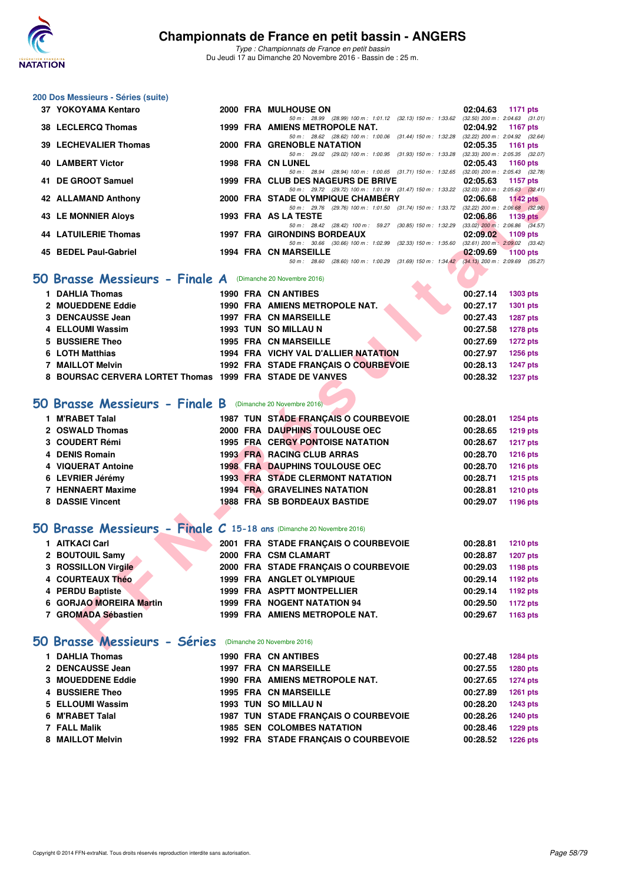

| 200 Dos Messieurs - Séries (suite)                                   |  |                                                                                                                                |          |                                                          |
|----------------------------------------------------------------------|--|--------------------------------------------------------------------------------------------------------------------------------|----------|----------------------------------------------------------|
| 37 YOKOYAMA Kentaro                                                  |  | 2000 FRA MULHOUSE ON                                                                                                           | 02:04.63 | 1171 pts                                                 |
| 38 LECLERCQ Thomas                                                   |  | 50 m: 28.99 (28.99) 100 m: 1:01.12 (32.13) 150 m: 1:33.62 (32.50) 200 m: 2:04.63 (31.01)<br>1999 FRA AMIENS METROPOLE NAT.     | 02:04.92 | <b>1167 pts</b>                                          |
| <b>39 LECHEVALIER Thomas</b>                                         |  | 50 m: 28.62 (28.62) 100 m: 1:00.06 (31.44) 150 m: 1:32.28 (32.22) 200 m: 2:04.92 (32.64)<br>2000 FRA GRENOBLE NATATION         | 02:05.35 | 1161 pts                                                 |
| <b>40 LAMBERT Victor</b>                                             |  | 50 m: 29.02 (29.02) 100 m: 1:00.95 (31.93) 150 m: 1:33.28 (32.33) 200 m: 2:05.35 (32.07)<br><b>1998 FRA CN LUNEL</b>           | 02:05.43 | 1160 pts                                                 |
|                                                                      |  | 50 m: 28.94 (28.94) 100 m: 1:00.65 (31.71) 150 m: 1:32.65                                                                      |          | $(32.00)$ 200 m : 2:05.43 $(32.78)$                      |
| 41 DE GROOT Samuel                                                   |  | 1999 FRA CLUB DES NAGEURS DE BRIVE<br>50 m: 29.72 (29.72) 100 m: 1:01.19 (31.47) 150 m: 1:33.22 (32.03) 200 m: 2:05.63 (32.41) | 02:05.63 | 1157 pts                                                 |
| 42 ALLAMAND Anthony                                                  |  | 2000 FRA STADE OLYMPIQUE CHAMBERY<br>50 m: 29.76 (29.76) 100 m: 1:01.50 (31.74) 150 m: 1:33.72 (32.22) 200 m: 2:06.68 (32.96)  | 02:06.68 | 1142 $pts$                                               |
| <b>43 LE MONNIER Aloys</b>                                           |  | 1993 FRA AS LA TESTE                                                                                                           | 02:06.86 | <b>1139 pts</b><br>$(33.02)$ 200 m : 2:06.86 $(34.57)$   |
| <b>44 LATUILERIE Thomas</b>                                          |  | 50 m: 28.42 (28.42) 100 m: 59.27 (30.85) 150 m: 1:32.29<br>1997 FRA GIRONDINS BORDEAUX                                         | 02:09.02 | 1109 pts                                                 |
| 45 BEDEL Paul-Gabriel                                                |  | 50 m: 30.66 (30.66) 100 m: 1:02.99 (32.33) 150 m: 1:35.60<br><b>1994 FRA CN MARSEILLE</b>                                      | 02:09.69 | $(32.61)$ 200 m : $2.09.02$ $(33.42)$<br><b>1100 pts</b> |
|                                                                      |  | 50 m: 28.60 (28.60) 100 m: 1:00.29 (31.69) 150 m: 1:34.42 (34.13) 200 m: 2:09.69 (35.27)                                       |          |                                                          |
| 50 Brasse Messieurs - Finale A (Dimanche 20 Novembre 2016)           |  |                                                                                                                                |          |                                                          |
| 1 DAHLIA Thomas                                                      |  | <b>1990 FRA CN ANTIBES</b>                                                                                                     | 00:27.14 | 1303 pts                                                 |
| 2 MOUEDDENE Eddie                                                    |  | 1990 FRA AMIENS METROPOLE NAT.                                                                                                 | 00:27.17 | 1301 pts                                                 |
| 3 DENCAUSSE Jean                                                     |  | <b>1997 FRA CN MARSEILLE</b>                                                                                                   | 00:27.43 | <b>1287 pts</b>                                          |
| 4 ELLOUMI Wassim                                                     |  | 1993 TUN SO MILLAU N                                                                                                           | 00:27.58 | <b>1278 pts</b>                                          |
| 5 BUSSIERE Theo                                                      |  | <b>1995 FRA CN MARSEILLE</b>                                                                                                   | 00:27.69 | <b>1272 pts</b>                                          |
| 6 LOTH Matthias                                                      |  | 1994 FRA VICHY VAL D'ALLIER NATATION                                                                                           | 00:27.97 | <b>1256 pts</b>                                          |
| 7 MAILLOT Melvin                                                     |  | 1992 FRA STADE FRANÇAIS O COURBEVOIE                                                                                           | 00:28.13 | <b>1247 pts</b>                                          |
| 8 BOURSAC CERVERA LORTET Thomas 1999 FRA STADE DE VANVES             |  |                                                                                                                                | 00:28.32 | <b>1237 pts</b>                                          |
|                                                                      |  |                                                                                                                                |          |                                                          |
| 50 Brasse Messieurs - Finale B (Dimanche 20 Novembre 2016)           |  |                                                                                                                                |          |                                                          |
| 1 M'RABET Talal                                                      |  | 1987 TUN STADE FRANÇAIS O COURBEVOIE                                                                                           | 00:28.01 | <b>1254 pts</b>                                          |
| 2 OSWALD Thomas                                                      |  | 2000 FRA DAUPHINS TOULOUSE OEC                                                                                                 | 00:28.65 | <b>1219 pts</b>                                          |
| 3 COUDERT Rémi                                                       |  | <b>1995 FRA CERGY PONTOISE NATATION</b>                                                                                        | 00:28.67 | <b>1217 pts</b>                                          |
| 4 DENIS Romain                                                       |  | <b>1993 FRA RACING CLUB ARRAS</b>                                                                                              | 00:28.70 | <b>1216 pts</b>                                          |
| 4 VIQUERAT Antoine                                                   |  | <b>1998 FRA DAUPHINS TOULOUSE OEC</b>                                                                                          | 00:28.70 | <b>1216 pts</b>                                          |
| 6 LEVRIER Jérémy                                                     |  | <b>1993 FRA STADE CLERMONT NATATION</b>                                                                                        | 00:28.71 | <b>1215 pts</b>                                          |
| 7 HENNAERT Maxime                                                    |  | <b>1994 FRA GRAVELINES NATATION</b>                                                                                            | 00:28.81 | <b>1210 pts</b>                                          |
| 8 DASSIE Vincent                                                     |  | <b>1988 FRA SB BORDEAUX BASTIDE</b>                                                                                            | 00:29.07 | 1196 pts                                                 |
|                                                                      |  |                                                                                                                                |          |                                                          |
| 50 Brasse Messieurs - Finale C 15-18 ans (Dimanche 20 Novembre 2016) |  |                                                                                                                                |          |                                                          |
| 1 AITKACI Carl                                                       |  | 2001 FRA STADE FRANÇAIS O COURBEVOIE                                                                                           | 00:28.81 | <b>1210 pts</b>                                          |
| 2 BOUTOUIL Samy                                                      |  | 2000 FRA CSM CLAMART                                                                                                           | 00:28.87 | <b>1207 pts</b>                                          |
| 3 ROSSILLON Virgile                                                  |  | 2000 FRA STADE FRANÇAIS O COURBEVOIE                                                                                           | 00:29.03 | 1198 pts                                                 |
| 4 COURTEAUX Théo                                                     |  | 1999 FRA ANGLET OLYMPIQUE                                                                                                      | 00:29.14 | 1192 pts                                                 |
| 4 PERDU Baptiste                                                     |  | 1999 FRA ASPTT MONTPELLIER                                                                                                     | 00:29.14 | 1192 pts                                                 |
| 6 GORJAO MOREIRA Martin                                              |  | <b>1999 FRA NOGENT NATATION 94</b>                                                                                             | 00:29.50 | <b>1172 pts</b>                                          |
| 7 GROMADA Sébastien                                                  |  | 1999 FRA AMIENS METROPOLE NAT.                                                                                                 | 00:29.67 | 1163 pts                                                 |
|                                                                      |  |                                                                                                                                |          |                                                          |
| 50 Brasse Messieurs - Séries (Dimanche 20 Novembre 2016)             |  |                                                                                                                                |          |                                                          |
| 1 DAHLIA Thomas                                                      |  | 1990 FRA CN ANTIBES                                                                                                            | 00:27.48 | <b>1284 pts</b>                                          |
| 2 DENCAUSSE Jean                                                     |  | <b>1997 FRA CN MARSEILLE</b>                                                                                                   | 00:27.55 | 1280 pts                                                 |
| 3 MOUEDDENE Eddie                                                    |  | 1990 FRA AMIENS METROPOLE NAT.                                                                                                 | 00:27.65 | <b>1274 pts</b>                                          |
| 4 BUSSIERE Theo                                                      |  | <b>1995 FRA CN MARSEILLE</b>                                                                                                   | 00:27.89 | <b>1261 pts</b>                                          |
| 5 ELLOUMI Wassim                                                     |  | 1993 TUN SO MILLAU N                                                                                                           | 00:28.20 | <b>1243 pts</b>                                          |
| 6 M'RABET Talal                                                      |  | 1987 TUN STADE FRANÇAIS O COURBEVOIE                                                                                           | 00:28.26 | <b>1240 pts</b>                                          |
| 7 FALL Malik                                                         |  | <b>1985 SEN COLOMBES NATATION</b>                                                                                              | 00:28.46 | <b>1229 pts</b>                                          |
| 8 MAILLOT Melvin                                                     |  | 1992 FRA STADE FRANÇAIS O COURBEVOIE                                                                                           | 00:28.52 | <b>1226 pts</b>                                          |
|                                                                      |  |                                                                                                                                |          |                                                          |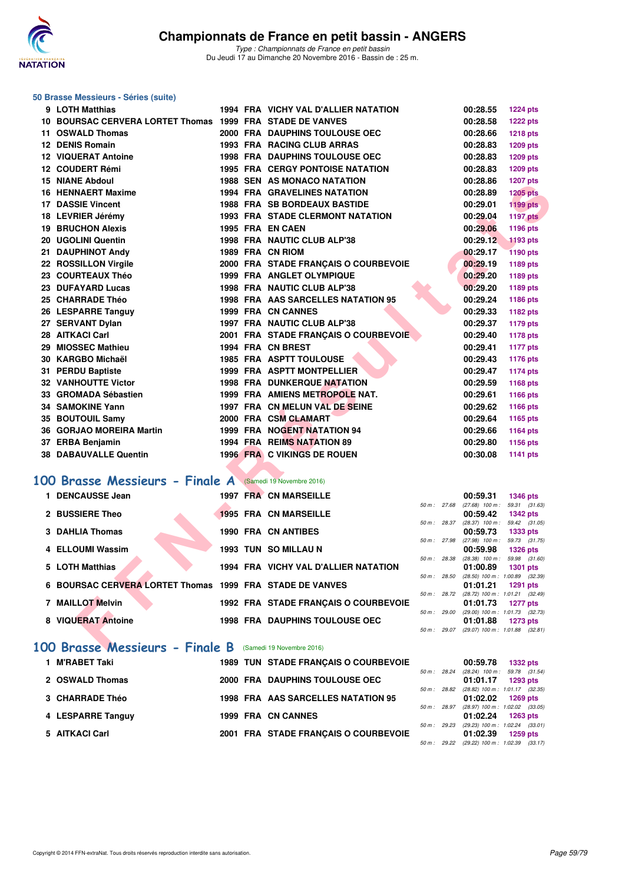

#### **50 Brasse Messieurs - Séries (suite)**

| 9 LOTH Matthias                                                                      |  | 1994 FRA VICHY VAL D'ALLIER NATATION    |              | 00:28.55                                             | <b>1224 pts</b>                               |
|--------------------------------------------------------------------------------------|--|-----------------------------------------|--------------|------------------------------------------------------|-----------------------------------------------|
| 10 BOURSAC CERVERA LORTET Thomas 1999 FRA STADE DE VANVES                            |  |                                         |              | 00:28.58                                             | <b>1222 pts</b>                               |
| 11 OSWALD Thomas                                                                     |  | 2000 FRA DAUPHINS TOULOUSE OEC          |              | 00:28.66                                             | 1218 pts                                      |
| 12 DENIS Romain                                                                      |  | 1993 FRA RACING CLUB ARRAS              |              | 00:28.83                                             | 1209 pts                                      |
| <b>12 VIQUERAT Antoine</b>                                                           |  | 1998 FRA DAUPHINS TOULOUSE OEC          |              | 00:28.83                                             | 1209 pts                                      |
| 12 COUDERT Rémi                                                                      |  | <b>1995 FRA CERGY PONTOISE NATATION</b> |              | 00:28.83                                             | 1209 pts                                      |
| <b>15 NIANE Abdoul</b>                                                               |  | <b>1988 SEN AS MONACO NATATION</b>      |              | 00:28.86                                             | <b>1207 pts</b>                               |
| 16 HENNAERT Maxime                                                                   |  | <b>1994 FRA GRAVELINES NATATION</b>     |              | 00:28.89                                             | <b>1205 pts</b>                               |
| <b>17 DASSIE Vincent</b>                                                             |  | <b>1988 FRA SB BORDEAUX BASTIDE</b>     |              | 00:29.01                                             | <b>1199 pts</b>                               |
| 18 LEVRIER Jérémy                                                                    |  | <b>1993 FRA STADE CLERMONT NATATION</b> |              | 00:29.04                                             | <b>1197 pts</b>                               |
| <b>19 BRUCHON Alexis</b>                                                             |  | 1995 FRA EN CAEN                        |              | 00:29.06                                             | 1196 pts                                      |
| 20 UGOLINI Quentin                                                                   |  | 1998 FRA NAUTIC CLUB ALP'38             |              | 00:29.12                                             | 1193 pts                                      |
| 21 DAUPHINOT Andy                                                                    |  | 1989 FRA CN RIOM                        |              | 00:29.17                                             | <b>1190 pts</b>                               |
| 22 ROSSILLON Virgile                                                                 |  | 2000 FRA STADE FRANÇAIS O COURBEVOIE    |              | 00:29.19                                             | 1189 pts                                      |
| 23 COURTEAUX Théo                                                                    |  | 1999 FRA ANGLET OLYMPIQUE               |              | 00:29.20                                             | 1189 pts                                      |
| 23 DUFAYARD Lucas                                                                    |  | 1998 FRA NAUTIC CLUB ALP'38             |              | 00:29.20                                             | 1189 pts                                      |
| 25 CHARRADE Théo                                                                     |  | 1998 FRA AAS SARCELLES NATATION 95      |              | 00:29.24                                             | 1186 pts                                      |
| 26 LESPARRE Tanguy                                                                   |  | 1999 FRA CN CANNES                      |              | 00:29.33                                             | 1182 pts                                      |
| 27 SERVANT Dylan                                                                     |  | 1997 FRA NAUTIC CLUB ALP'38             |              | 00:29.37                                             | 1179 pts                                      |
| 28 AITKACI Carl                                                                      |  | 2001 FRA STADE FRANÇAIS O COURBEVOIE    |              | 00:29.40                                             | <b>1178 pts</b>                               |
| 29 MIOSSEC Mathieu                                                                   |  | 1994 FRA CN BREST                       |              | 00:29.41                                             | 1177 pts                                      |
| 30 KARGBO Michaël                                                                    |  | <b>1985 FRA ASPTT TOULOUSE</b>          |              | 00:29.43                                             | 1176 pts                                      |
| 31 PERDU Baptiste                                                                    |  | 1999 FRA ASPTT MONTPELLIER              |              | 00:29.47                                             | 1174 pts                                      |
| <b>32 VANHOUTTE Victor</b>                                                           |  | <b>1998 FRA DUNKERQUE NATATION</b>      |              | 00:29.59                                             | 1168 pts                                      |
| 33 GROMADA Sébastien                                                                 |  | 1999 FRA AMIENS METROPOLE NAT.          |              | 00:29.61                                             | 1166 pts                                      |
| 34 SAMOKINE Yann                                                                     |  | 1997 FRA CN MELUN VAL DE SEINE          |              | 00:29.62                                             | 1166 pts                                      |
| 35 BOUTOUIL Samy                                                                     |  | 2000 FRA CSM CLAMART                    |              | 00:29.64                                             | 1165 pts                                      |
| 36 GORJAO MOREIRA Martin                                                             |  | 1999 FRA NOGENT NATATION 94             |              | 00:29.66                                             | 1164 pts                                      |
| 37 ERBA Benjamin                                                                     |  | 1994 FRA REIMS NATATION 89              |              | 00:29.80                                             | 1156 pts                                      |
| 38 DABAUVALLE Quentin                                                                |  | 1996 FRA C VIKINGS DE ROUEN             |              | 00:30.08                                             | 1141 pts                                      |
|                                                                                      |  |                                         |              |                                                      |                                               |
| 00 Brasse Messieurs - Finale A (Samedi 19 Novembre 2016)                             |  |                                         |              |                                                      |                                               |
| 1 DENCAUSSE Jean                                                                     |  | 1997 FRA CN MARSEILLE                   |              | 00:59.31                                             | <b>1346 pts</b>                               |
| 2 BUSSIERE Theo                                                                      |  | <b>1995 FRA CN MARSEILLE</b>            | 50 m: 27.68  |                                                      | $(27.68)$ 100 m : 59.31 $(31.63)$             |
|                                                                                      |  |                                         |              | 00:59.42<br>50 m: 28.37 (28.37) 100 m: 59.42 (31.05) | <b>1342 pts</b>                               |
| 3 DAHLIA Thomas                                                                      |  | <b>1990 FRA CN ANTIBES</b>              |              | 00:59.73                                             | 1333 pts                                      |
| 4 ELLOUMI Wassim                                                                     |  | 1993 TUN SO MILLAU N                    | 50 m : 27.98 |                                                      | $(27.98)$ 100 m : 59.73 $(31.75)$             |
|                                                                                      |  |                                         | 50 m: 28.38  | 00:59.98                                             | 1326 pts<br>$(28.38)$ 100 m : 59.98 $(31.60)$ |
| 5 LOTH Matthias                                                                      |  | 1994 FRA VICHY VAL D'ALLIER NATATION    |              | 01:00.89                                             | <b>1301 pts</b>                               |
| 6 BOURSAC CERVERA LORTET Thomas 1999 FRA STADE DE VANVES                             |  |                                         | 50 m: 28.50  | $(28.50)$ 100 m : 1:00.89<br>01:01.21                | (32.39)<br>1291 pts                           |
|                                                                                      |  |                                         |              | 50 m : 28.72 (28.72) 100 m : 1:01.21                 | (32.49)                                       |
| 7 MAILLOT Melvin                                                                     |  | 1992 FRA STADE FRANÇAIS O COURBEVOIE    |              | 01:01.73                                             | <b>1277 pts</b>                               |
| 8 VIQUERAT Antoine                                                                   |  | <b>1998 FRA DAUPHINS TOULOUSE OEC</b>   | 50 m : 29.00 | $(29.00)$ 100 m : 1:01.73<br>01:01.88                | (32.73)<br>1273 pts                           |
|                                                                                      |  |                                         |              | 50 m: 29.07 (29.07) 100 m: 1:01.88 (32.81)           |                                               |
| $\overline{00}$ Brasse Messieurs - Finale B $\overline{0}$ (Samedi 19 Novembre 2016) |  |                                         |              |                                                      |                                               |

## **[100 Brasse Messieurs - Finale A](http://www.ffnatation.fr/webffn/resultats.php?idact=nat&go=epr&idcpt=41163&idepr=72)** (Samedi 19 Novembre 2016)

| 1 DENCAUSSE Jean                                         | <b>1997 FRA CN MARSEILLE</b>          |                |              | 00:59.31                      | 1346 pts                                          |
|----------------------------------------------------------|---------------------------------------|----------------|--------------|-------------------------------|---------------------------------------------------|
| 2 BUSSIERE Theo                                          | <b>1995 FRA CN MARSEILLE</b>          | 50 m: 27.68    |              | $(27.68)$ 100 m :<br>00:59.42 | 59.31 (31.63)<br><b>1342 pts</b>                  |
| 3 DAHLIA Thomas                                          | <b>1990 FRA CN ANTIBES</b>            | 50 m: 28.37    |              | $(28.37)$ 100 m :<br>00:59.73 | 59.42 (31.05)<br><b>1333 pts</b>                  |
| 4 ELLOUMI Wassim                                         | 1993 TUN SO MILLAU N                  |                | 50 m: 27.98  | $(27.98)$ 100 m :<br>00:59.98 | 59.73 (31.75)<br><b>1326 pts</b>                  |
| 5 LOTH Matthias                                          | 1994 FRA VICHY VAL D'ALLIER NATATION  |                | 50 m: 28.38  | $(28.38)$ 100 m :<br>01:00.89 | 59.98 (31.60)<br><b>1301 pts</b>                  |
| 6 BOURSAC CERVERA LORTET Thomas 1999 FRA STADE DE VANVES |                                       |                | 50 m : 28.50 | 01:01.21                      | $(28.50)$ 100 m : 1:00.89 $(32.39)$<br>1291 pts   |
| 7 MAILLOT Melvin                                         | 1992 FRA STADE FRANCAIS O COURBEVOIE  | $50 m$ : 28.72 |              | 01:01.73                      | (28.72) 100 m: 1:01.21 (32.49)<br><b>1277 pts</b> |
| 8 VIQUERAT Antoine                                       | <b>1998 FRA DAUPHINS TOULOUSE OEC</b> | 50 m: 29.00    |              | 01:01.88                      | $(29.00)$ 100 m : 1:01.73 $(32.73)$<br>$1273$ pts |
|                                                          |                                       | 50 m : 29.07   |              |                               | $(29.07)$ 100 m : 1:01.88 $(32.81)$               |

#### **[100 Brasse Messieurs - Finale B](http://www.ffnatation.fr/webffn/resultats.php?idact=nat&go=epr&idcpt=41163&idepr=72)** (Samedi 19 Novembre 2016)

| M'RABET Taki      |  | <b>1989 TUN STADE FRANCAIS O COURBEVOIE</b> |              |                        | 00:59.78                            | <b>1332 pts</b> |  |
|-------------------|--|---------------------------------------------|--------------|------------------------|-------------------------------------|-----------------|--|
|                   |  |                                             |              | $50 \text{ m}$ : 28.24 | $(28.24)$ 100 m : 59.78 $(31.54)$   |                 |  |
| 2 OSWALD Thomas   |  | 2000 FRA DAUPHINS TOULOUSE OEC              |              |                        | 01:01.17                            | 1293 pts        |  |
|                   |  |                                             | 50 m : 28.82 |                        | $(28.82)$ 100 m : 1:01.17 $(32.35)$ |                 |  |
| 3 CHARRADE Théo   |  | 1998 FRA AAS SARCELLES NATATION 95          |              |                        | $01:02.02$ 1269 pts                 |                 |  |
|                   |  |                                             |              | $50 m$ : 28.97         | $(28.97)$ 100 m : 1:02.02 $(33.05)$ |                 |  |
| 4 LESPARRE Tanguy |  | 1999 FRA CN CANNES                          |              |                        | $01:02.24$ 1263 pts                 |                 |  |
|                   |  |                                             |              | 50 m: 29.23            | $(29.23)$ 100 m : 1:02.24 $(33.01)$ |                 |  |
| 5 AITKACI Carl    |  | 2001 FRA STADE FRANCAIS O COURBEVOIE        |              |                        | 01:02.39                            | <b>1259 pts</b> |  |
|                   |  |                                             |              | $50 m$ : 29.22         | $(29.22)$ 100 m : 1:02.39 $(33.17)$ |                 |  |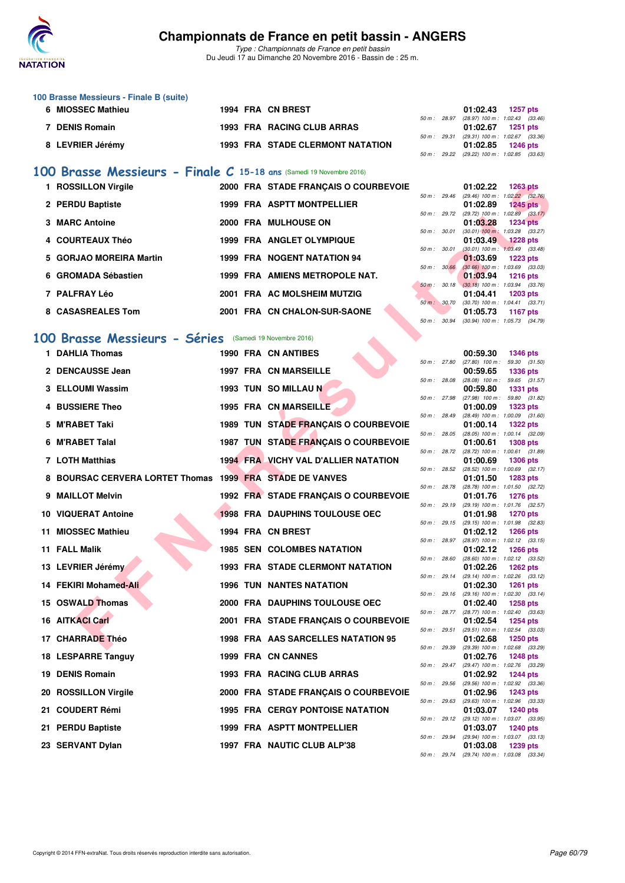

*Type : Championnats de France en petit bassin* Du Jeudi 17 au Dimanche 20 Novembre 2016 - Bassin de : 25 m.

| 100 Brasse Messieurs - Finale B (suite) |  |                                         |                |                     |                                            |
|-----------------------------------------|--|-----------------------------------------|----------------|---------------------|--------------------------------------------|
| 6 MIOSSEC Mathieu                       |  | 1994 FRA CN BREST                       |                | $01:02.43$ 1257 pts |                                            |
|                                         |  |                                         | $50 m$ : 28.97 |                     | $(28.97)$ 100 m : 1:02.43 $(33.46)$        |
| <b>DENIS Romain</b>                     |  | 1993 FRA RACING CLUB ARRAS              |                | 01:02.67            | 1251 pts                                   |
|                                         |  |                                         |                |                     | 50 m: 29.31 (29.31) 100 m: 1:02.67 (33.36) |
| 8 LEVRIER Jérémy                        |  | <b>1993 FRA STADE CLERMONT NATATION</b> |                | 01:02.85            | 1246 pts                                   |
|                                         |  |                                         | 50 m : 29.22   |                     | $(29.22)$ 100 m : 1:02.85 $(33.63)$        |

#### **[100 Brasse Messieurs - Finale C](http://www.ffnatation.fr/webffn/resultats.php?idact=nat&go=epr&idcpt=41163&idepr=72) 15-18 ans** (Samedi 19 Novembre 2016)

| 1 ROSSILLON Virgile          | 2000 FRA STADE FRANCAIS O COURBEVOIE |                        |                | 01:02.22                                        | $1263$ pts                         |  |
|------------------------------|--------------------------------------|------------------------|----------------|-------------------------------------------------|------------------------------------|--|
| 2 PERDU Baptiste             | <b>1999 FRA ASPTT MONTPELLIER</b>    | $50 \text{ m}$ : 29.46 |                | $(29.46)$ 100 m : 1:02.22 $(32.76)$<br>01:02.89 | 1245 pts                           |  |
| 3 MARC Antoine               | 2000 FRA MULHOUSE ON                 |                        | $50 m$ : 29.72 | (29.72) 100 m : 1:02.89 (33.17)<br>01:03.28     | <b>1234 pts</b>                    |  |
| 4 COURTEAUX Théo             | <b>1999 FRA ANGLET OLYMPIQUE</b>     | 50 m: 30.01            |                | $(30.01)$ 100 m :<br>01:03.49                   | 1:03.28 (33.27)<br><b>1228 pts</b> |  |
| 5 GORJAO MOREIRA Martin      | <b>1999 FRA NOGENT NATATION 94</b>   | 50 m: 30.01            |                | $(30.01)$ 100 m : 1:03.49 $(33.48)$<br>01:03.69 | $1223$ pts                         |  |
| 6 GROMADA Sébastien          | 1999 FRA AMIENS METROPOLE NAT.       |                        | 50 m: 30.66    | $(30.66)$ 100 m : 1:03.69 $(33.03)$<br>01:03.94 | $1216$ pts                         |  |
| 7 PALFRAY Léo                | 2001 FRA AC MOLSHEIM MUTZIG          |                        | 50 m: 30.18    | $(30.18)$ 100 m : 1:03.94 $(33.76)$<br>01:04.41 | $1203$ pts                         |  |
|                              |                                      | 50 m: 30.70            |                | $(30.70)$ 100 m : 1:04.41 $(33.71)$             |                                    |  |
| 8 CASASREALES Tom            | 2001 FRA CN CHALON-SUR-SAONE         | $50 m$ :               | 30.94          | 01:05.73<br>$(30.94)$ 100 m : 1:05.73 $(34.79)$ | 1167 pts                           |  |
| 00 Brasse Messieurs - Séries | (Samedi 19 Novembre 2016)            |                        |                |                                                 |                                    |  |

#### **[100 Brasse Messieurs - Séries](http://www.ffnatation.fr/webffn/resultats.php?idact=nat&go=epr&idcpt=41163&idepr=72)** (Samedi 19 Novembre 2016)

|    | 1 ROSSILLON Virgile                                      |  | 2000 FRA STADE FRANÇAIS O COURBEVOIE        |              |              | 01:02.22<br><b>1263 pts</b>                                                 |  |
|----|----------------------------------------------------------|--|---------------------------------------------|--------------|--------------|-----------------------------------------------------------------------------|--|
|    | 2 PERDU Baptiste                                         |  | 1999 FRA ASPTT MONTPELLIER                  |              | 50 m : 29.46 | $(29.46)$ 100 m : 1:02.22 $(32.76)$<br>01:02.89<br>1245 pts                 |  |
|    | 3 MARC Antoine                                           |  | 2000 FRA MULHOUSE ON                        |              | 50 m : 29.72 | $(29.72)$ 100 m : 1:02.89 $(33.17)$<br>01:03.28<br><b>1234 pts</b>          |  |
|    | 4 COURTEAUX Théo                                         |  | 1999 FRA ANGLET OLYMPIQUE                   | 50 m: 30.01  |              | $(30.01)$ 100 m : 1:03.28 $(33.27)$<br><b>1228 pts</b><br>01:03.49          |  |
|    | 5 GORJAO MOREIRA Martin                                  |  | <b>1999 FRA NOGENT NATATION 94</b>          | 50 m : 30.01 |              | $(30.01)$ 100 m : 1:03.49 $(33.48)$<br>01:03.69<br><b>1223 pts</b>          |  |
|    |                                                          |  |                                             |              | 50 m : 30.66 | $(30.66)$ 100 m : 1:03.69 $(33.03)$                                         |  |
|    | 6 GROMADA Sébastien                                      |  | 1999 FRA AMIENS METROPOLE NAT.              |              | 50 m: 30.18  | 01:03.94<br><b>1216 pts</b><br>$(30.18)$ 100 m : 1:03.94 $(33.76)$          |  |
|    | 7 PALFRAY Léo                                            |  | 2001 FRA AC MOLSHEIM MUTZIG                 |              | 50 m : 30.70 | <b>1203 pts</b><br>01:04.41<br>$(30.70)$ 100 m : 1:04.41 $(33.71)$          |  |
|    | 8 CASASREALES Tom                                        |  | 2001 FRA CN CHALON-SUR-SAONE                | 50 m: 30.94  |              | 01:05.73<br><b>1167 pts</b><br>(30.94) 100 m: 1:05.73 (34.79)               |  |
| 00 | Brasse Messieurs - Séries (Samedi 19 Novembre 2016)      |  |                                             |              |              |                                                                             |  |
|    | 1 DAHLIA Thomas                                          |  | <b>1990 FRA CN ANTIBES</b>                  |              |              | 00:59.30<br><b>1346 pts</b>                                                 |  |
|    |                                                          |  |                                             |              | 50 m : 27.80 | 59.30 (31.50)<br>$(27.80)$ 100 m :                                          |  |
|    | 2 DENCAUSSE Jean                                         |  | <b>1997 FRA CN MARSEILLE</b>                |              | 50 m : 28.08 | 00:59.65<br><b>1336 pts</b><br>$(28.08)$ 100 m :<br>59.65 (31.57)           |  |
|    | 3 ELLOUMI Wassim                                         |  | 1993 TUN SO MILLAU N                        |              |              | 00:59.80<br><b>1331 pts</b>                                                 |  |
|    | 4 BUSSIERE Theo                                          |  | 1995 FRA CN MARSEILLE                       |              | 50 m : 27.98 | 59.80 (31.82)<br>(27.98) 100 m :<br>01:00.09<br><b>1323 pts</b>             |  |
|    | 5 M'RABET Taki                                           |  | 1989 TUN STADE FRANÇAIS O COURBEVOIE        |              | 50 m : 28.49 | $(28.49)$ 100 m : 1:00.09 $(31.60)$<br>01:00.14<br><b>1322 pts</b>          |  |
|    | 6 M'RABET Talal                                          |  | 1987 TUN STADE FRANÇAIS O COURBEVOIE        |              | 50 m : 28.05 | (28.05) 100 m : 1:00.14 (32.09)<br>01:00.61                                 |  |
|    |                                                          |  |                                             |              | 50 m : 28.72 | <b>1308 pts</b><br>(28.72) 100 m: 1:00.61 (31.89)                           |  |
|    | 7 LOTH Matthias                                          |  | <b>1994 FRALVICHY VAL D'ALLIER NATATION</b> |              | 50 m: 28.52  | 01:00.69<br><b>1306 pts</b><br>$(28.52)$ 100 m : 1:00.69 $(32.17)$          |  |
|    | 8 BOURSAC CERVERA LORTET Thomas 1999 FRA STADE DE VANVES |  |                                             |              |              | 01:01.50<br>1283 pts                                                        |  |
|    | 9 MAILLOT Melvin                                         |  | 1992 FRA STADE FRANÇAIS O COURBEVOIE        |              | 50 m : 28.78 | (28.78) 100 m : 1:01.50 (32.72)<br>01:01.76<br><b>1276 pts</b>              |  |
|    | 10 VIQUERAT Antoine                                      |  | <b>1998 FRA DAUPHINS TOULOUSE OEC</b>       |              | 50 m : 29.19 | (29.19) 100 m: 1:01.76 (32.57)<br>01:01.98<br><b>1270 pts</b>               |  |
|    | 11 MIOSSEC Mathieu                                       |  | 1994 FRA CN BREST                           |              | 50 m : 29.15 | (29.15) 100 m: 1:01.98 (32.83)<br>01:02.12<br><b>1266 pts</b>               |  |
|    |                                                          |  |                                             |              | 50 m: 28.97  | (28.97) 100 m : 1:02.12 (33.15)                                             |  |
|    | 11 FALL Malik                                            |  | <b>1985 SEN COLOMBES NATATION</b>           |              | 50 m : 28.60 | 01:02.12<br><b>1266 pts</b><br>$(28.60)$ 100 m : 1:02.12 $(33.52)$          |  |
|    | 13 LEVRIER Jérémy                                        |  | <b>1993 FRA STADE CLERMONT NATATION</b>     |              | 50 m : 29.14 | 01:02.26<br>1262 pts<br>(29.14) 100 m: 1:02.26 (33.12)                      |  |
|    | 14 FEKIRI Mohamed-Ali                                    |  | <b>1996 TUN NANTES NATATION</b>             |              |              | 01:02.30<br><b>1261 pts</b>                                                 |  |
|    | 15 OSWALD Thomas                                         |  | 2000 FRA DAUPHINS TOULOUSE OEC              |              | 50 m : 29.16 | $(29.16)$ 100 m : 1:02.30 $(33.14)$<br>01:02.40<br><b>1258 pts</b>          |  |
|    | <b>16 AITKACI Carl</b>                                   |  | 2001 FRA STADE FRANÇAIS O COURBEVOIE        |              | 50 m : 28.77 | (28.77) 100 m : 1:02.40 (33.63)<br>01:02.54<br><b>1254 pts</b>              |  |
|    |                                                          |  |                                             |              | 50 m : 29.51 | $(29.51)$ 100 m : 1:02.54 $(33.03)$                                         |  |
|    | 17 CHARRADE Théo                                         |  | 1998 FRA AAS SARCELLES NATATION 95          |              |              | 01:02.68<br><b>1250 pts</b><br>50 m: 29.39 (29.39) 100 m: 1:02.68 (33.29)   |  |
|    | 18 LESPARRE Tanguy                                       |  | 1999 FRA CN CANNES                          |              |              | 01:02.76<br><b>1248 pts</b>                                                 |  |
|    | 19 DENIS Romain                                          |  | 1993 FRA RACING CLUB ARRAS                  |              | 50 m: 29.47  | (29.47) 100 m : 1:02.76 (33.29)<br>01:02.92<br>1244 pts                     |  |
|    | 20 ROSSILLON Virgile                                     |  | 2000 FRA STADE FRANÇAIS O COURBEVOIE        |              | 50 m : 29.56 | (29.56) 100 m : 1:02.92 (33.36)<br>01:02.96<br>1243 pts                     |  |
|    | 21 COUDERT Rémi                                          |  |                                             |              | 50 m : 29.63 | (29.63) 100 m : 1:02.96 (33.33)                                             |  |
|    |                                                          |  | <b>1995 FRA CERGY PONTOISE NATATION</b>     |              |              | 01:03.07<br><b>1240 pts</b><br>50 m : 29.12 (29.12) 100 m : 1:03.07 (33.95) |  |
|    | 21 PERDU Baptiste                                        |  | 1999 FRA ASPTT MONTPELLIER                  |              | 50 m : 29.94 | 01:03.07<br><b>1240 pts</b><br>(29.94) 100 m: 1:03.07 (33.13)               |  |
|    | 23 SERVANT Dylan                                         |  | 1997 FRA NAUTIC CLUB ALP'38                 |              |              | 01:03.08<br><b>1239 pts</b>                                                 |  |

|          |       | 00:59.30          | 1346 pts        |         |
|----------|-------|-------------------|-----------------|---------|
| $50 m$ : | 27.80 | $(27.80)$ 100 m : | 59.30           | (31.50) |
|          |       | 00:59.65          | 1336 pts        |         |
| $50 m$ : | 28.08 | $(28.08)$ 100 m : | 59.65           | (31.57) |
|          |       | 00:59.80          | 1331 pts        |         |
| $50 m$ : | 27.98 | $(27.98)$ 100 m : | 59.80           | (31.82) |
|          |       | 01:00.09          | 1323 pts        |         |
| $50 m$ : | 28.49 | $(28.49)$ 100 m : | 1:00.09         | (31.60) |
|          |       | 01:00.14          | 1322 pts        |         |
| $50 m$ : | 28.05 | $(28.05)$ 100 m : | 1:00.14         | (32.09) |
|          |       | 01:00.61          | 1308 pts        |         |
| $50 m$ : | 28.72 | (28.72) 100 m :   | 1:00.61         | (31.89) |
|          |       | 01:00.69          | 1306 pts        |         |
| $50 m$ : | 28.52 | (28.52) 100 m :   | 1:00.69         | (32.17) |
|          |       | 01:01.50          | 1283 pts        |         |
| $50 m$ : | 28.78 | (28.78) 100 m :   |                 |         |
|          |       |                   | 1:01.50         | (32.72) |
|          |       | 01:01.76          | <b>1276 pts</b> |         |
| $50 m$ : | 29.19 | $(29.19) 100 m$ : | 1:01.76         | (32.57) |
|          |       | 01:01.98          | 1270 pts        |         |
| $50 m$ : | 29.15 | $(29.15)$ 100 m : | 1:01.98         | (32.83) |
|          |       | 01:02.12          | 1266 pts        |         |
| $50 m$ : | 28.97 | (28.97) 100 m :   | 1:02.12         | (33.15) |
|          |       | 01:02.12          | 1266 pts        |         |
| $50 m$ : | 28.60 | $(28.60)$ 100 m : | 1:02.12         | (33.52) |
|          |       | 01:02.26          | 1262 pts        |         |
| $50 m$ : | 29.14 | (29.14) 100 m :   | 1:02.26         | (33.12) |
|          |       | 01:02.30          | 1261 pts        |         |
| $50 m$ : | 29.16 | $(29.16) 100 m$ : | 1:02.30         | (33.14) |
|          |       | 01:02.40          | 1258 pts        |         |
| $50 m$ : | 28.77 | (28.77) 100 m :   | 1:02.40         | (33.63) |
|          |       | 01:02.54          | 1254 pts        |         |
| $50 m$ : | 29.51 | $(29.51)$ 100 m : | 1:02.54         | (33.03) |
|          |       | 01:02.68          | 1250 pts        |         |
| $50 m$ : | 29.39 | (29.39) 100 m :   | 1:02.68         | (33.29) |
|          |       | 01:02.76          | 1248 pts        |         |
| $50 m$ : | 29.47 | (29.47) 100 m :   | 1:02.76         | (33.29) |
|          |       | 01:02.92          | 1244 pts        |         |
| $50 m$ : | 29.56 | (29.56) 100 m :   | 1:02.92         | (33.36) |
|          |       | 01:02.96          | 1243 pts        |         |
| $50 m$ : | 29.63 | (29.63) 100 m :   | 1:02.96         | (33.33) |
|          |       | 01:03.07          | 1240 pts        |         |
| $50 m$ : | 29.12 | (29.12) 100 m :   | 1:03.07         | (33.95) |
|          |       | 01:03.07          | 1240 pts        |         |
| $50 m$ : | 29.94 | (29.94) 100 m :   | 1:03.07         | (33.13) |
|          |       | 01:03.08          | 1239 pts        |         |
| $50 m$ : | 29.74 | $(29.74) 100 m$ : | 1:03.08         | (33.34) |
|          |       |                   |                 |         |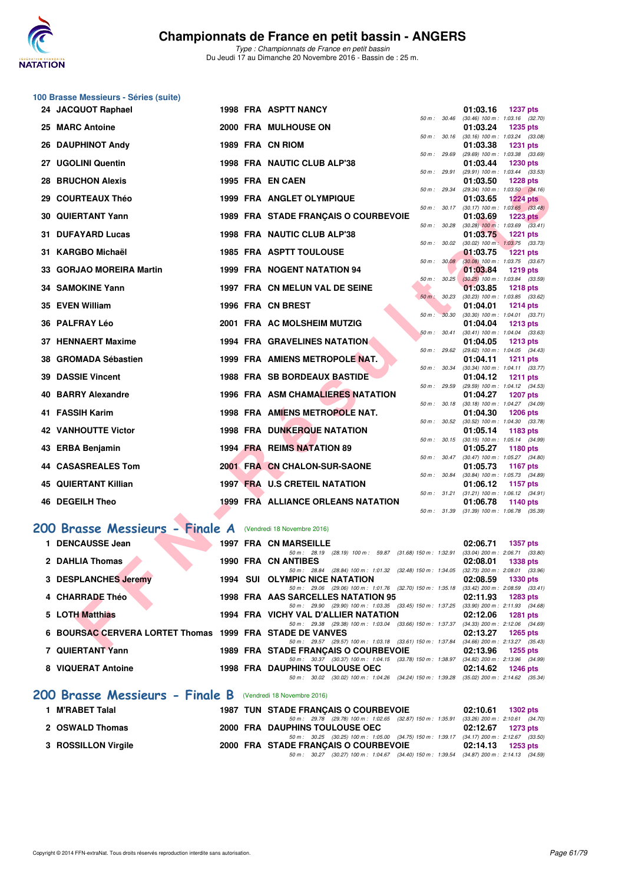

**100 Brasse Messieurs - Séries (suite)**

*Type : Championnats de France en petit bassin* Du Jeudi 17 au Dimanche 20 Novembre 2016 - Bassin de : 25 m.

| 24 JACQUOT Raphael                                          |  | <b>1998 FRA ASPTT NANCY</b>                                                                                                       |              | 01:03.16<br><b>1237 pts</b>                                        |
|-------------------------------------------------------------|--|-----------------------------------------------------------------------------------------------------------------------------------|--------------|--------------------------------------------------------------------|
| 25 MARC Antoine                                             |  | 2000 FRA MULHOUSE ON                                                                                                              | 50 m : 30.46 | $(30.46)$ 100 m : 1:03.16 $(32.70)$<br>01:03.24<br><b>1235 pts</b> |
| 26 DAUPHINOT Andy                                           |  | 1989 FRA CN RIOM                                                                                                                  | 50 m: 30.16  | $(30.16)$ 100 m : 1:03.24 $(33.08)$<br>01:03.38<br><b>1231 pts</b> |
|                                                             |  |                                                                                                                                   | 50 m : 29.69 | (29.69) 100 m : 1:03.38 (33.69)                                    |
| 27 UGOLINI Quentin                                          |  | 1998 FRA NAUTIC CLUB ALP'38                                                                                                       | 50 m: 29.91  | 01:03.44<br>1230 pts<br>(29.91) 100 m: 1:03.44 (33.53)             |
| <b>28 BRUCHON Alexis</b>                                    |  | 1995 FRA EN CAEN                                                                                                                  |              | 01:03.50<br><b>1228 pts</b>                                        |
| 29 COURTEAUX Théo                                           |  | 1999 FRA ANGLET OLYMPIQUE                                                                                                         | 50 m: 29.34  | $(29.34)$ 100 m : 1:03.50 $(34.16)$<br>01:03.65<br><b>1224 pts</b> |
|                                                             |  |                                                                                                                                   | 50 m : 30.17 | $(30.17)$ 100 m : 1:03.65 $(33.48)$                                |
| <b>30 QUIERTANT Yann</b>                                    |  | 1989 FRA STADE FRANÇAIS O COURBEVOIE                                                                                              | 50 m : 30.28 | 01:03.69<br>1223 $p$ ts<br>$(30.28)$ 100 m : 1:03.69 $(33.41)$     |
| 31 DUFAYARD Lucas                                           |  | 1998 FRA NAUTIC CLUB ALP'38                                                                                                       |              | 01:03.75<br><b>1221 pts</b>                                        |
| 31 KARGBO Michaël                                           |  | <b>1985 FRA ASPTT TOULOUSE</b>                                                                                                    | 50 m : 30.02 | $(30.02)$ 100 m : 1:03.75 $(33.73)$<br>01:03.75<br><b>1221 pts</b> |
|                                                             |  |                                                                                                                                   | 50 m: 30.08  | $(30.08)$ 100 m : 1:03.75 $(33.67)$                                |
| 33 GORJAO MOREIRA Martin                                    |  | 1999 FRA NOGENT NATATION 94                                                                                                       | 50 m: 30.25  | 01:03.84<br>1219 pts<br>$(30.25)$ 100 m : 1:03.84 $(33.59)$        |
| 34 SAMOKINE Yann                                            |  | 1997 FRA CN MELUN VAL DE SEINE                                                                                                    |              | 01:03.85<br><b>1218 pts</b>                                        |
| 35 EVEN William                                             |  | 1996 FRA CN BREST                                                                                                                 | 50 m: 30.23  | (30.23) 100 m: 1:03.85 (33.62)<br>01:04.01<br>1214 pts             |
|                                                             |  |                                                                                                                                   | 50 m : 30.30 | $(30.30)$ 100 m : 1:04.01 $(33.71)$                                |
| 36 PALFRAY Léo                                              |  | 2001 FRA AC MOLSHEIM MUTZIG                                                                                                       | 50 m: 30.41  | 01:04.04<br><b>1213 pts</b><br>$(30.41)$ 100 m : 1:04.04 $(33.63)$ |
| 37 HENNAERT Maxime                                          |  | <b>1994 FRA GRAVELINES NATATION</b>                                                                                               |              | 01:04.05<br>1213 $pts$                                             |
| 38 GROMADA Sébastien                                        |  | 1999 FRA AMIENS METROPOLE NAT.                                                                                                    | 50 m : 29.62 | (29.62) 100 m: 1:04.05 (34.43)<br>01:04.11<br><b>1211 pts</b>      |
|                                                             |  |                                                                                                                                   | 50 m : 30.34 | (30.34) 100 m: 1:04.11 (33.77)                                     |
| <b>39 DASSIE Vincent</b>                                    |  | <b>1988 FRA SB BORDEAUX BASTIDE</b>                                                                                               | 50 m : 29.59 | 01:04.12<br>1211 pts<br>(29.59) 100 m: 1:04.12 (34.53)             |
| 40 BARRY Alexandre                                          |  | <b>1996 FRA ASM CHAMALIERES NATATION</b>                                                                                          |              | 01:04.27<br><b>1207 pts</b>                                        |
| 41 FASSIH Karim                                             |  | 1998 FRA AMIENS METROPOLE NAT.                                                                                                    | 50 m: 30.18  | $(30.18)$ 100 m : 1:04.27 $(34.09)$<br>01:04.30<br><b>1206 pts</b> |
|                                                             |  |                                                                                                                                   | 50 m: 30.52  | $(30.52)$ 100 m : 1:04.30 $(33.78)$                                |
| 42 VANHOUTTE Victor                                         |  | <b>1998 FRA DUNKERQUE NATATION</b>                                                                                                | 50 m: 30.15  | 01:05.14<br>1183 pts<br>$(30.15)$ 100 m : 1:05.14 $(34.99)$        |
| 43 ERBA Benjamin                                            |  | 1994 FRA REIMS NATATION 89                                                                                                        |              | 01:05.27<br>1180 pts                                               |
| 44 CASASREALES Tom                                          |  | 2001 FRA CN CHALON-SUR-SAONE                                                                                                      | 50 m : 30.47 | (30.47) 100 m: 1:05.27 (34.80)<br>01:05.73<br>1167 pts             |
|                                                             |  |                                                                                                                                   | 50 m : 30.84 | (30.84) 100 m: 1:05.73 (34.89)                                     |
| 45 QUIERTANT Killian                                        |  | 1997 FRA U.S CRETEIL NATATION                                                                                                     | 50 m: 31.21  | 01:06.12<br>1157 pts<br>$(31.21)$ 100 m : 1:06.12 $(34.91)$        |
| 46 DEGEILH Theo                                             |  | 1999 FRA ALLIANCE ORLEANS NATATION                                                                                                |              | 01:06.78<br>1140 pts                                               |
|                                                             |  |                                                                                                                                   | 50 m: 31.39  | $(31.39)$ 100 m : 1:06.78 $(35.39)$                                |
| 200 Brasse Messieurs - Finale A (Vendredi 18 Novembre 2016) |  |                                                                                                                                   |              |                                                                    |
| 1 DENCAUSSE Jean                                            |  | 1997 FRA CN MARSEILLE                                                                                                             |              | 02:06.71<br><b>1357 pts</b>                                        |
| 2 DAHLIA Thomas                                             |  | 50 m: 28.19 (28.19) 100 m: 59.87 (31.68) 150 m: 1:32.91 (33.04) 200 m: 2:06.71 (33.80)<br>1990 FRA CN ANTIBES                     |              | 02:08.01<br><b>1338 pts</b>                                        |
|                                                             |  | 50 m: 28.84 (28.84) 100 m: 1:01.32 (32.48) 150 m: 1:34.05 (32.73) 200 m: 2:08.01 (33.96)                                          |              |                                                                    |
| 3 DESPLANCHES Jeremy                                        |  | <b>1994 SUI OLYMPIC NICE NATATION</b><br>50 m: 29.06 (29.06) 100 m: 1:01.76 (32.70) 150 m: 1:35.18 (33.42) 200 m: 2:08.59 (33.41) |              | 02:08.59<br><b>1330 pts</b>                                        |
| 4 CHARRADE Théo                                             |  | 1998 FRA AAS SARCELLES NATATION 95                                                                                                |              | 02:11.93<br><b>1283 pts</b>                                        |
| 5 LOTH Matthias                                             |  | 50 m: 29.90 (29.90) 100 m: 1:03.35 (33.45) 150 m: 1:37.25 (33.90) 200 m: 2:11.93 (34.68)<br>1994 FRA VICHY VAL D'ALLIER NATATION  |              | 02:12.06<br><b>1281 pts</b>                                        |
|                                                             |  | 50 m: 29.38 (29.38) 100 m: 1:03.04 (33.66) 150 m: 1:37.37 (34.33) 200 m: 2:12.06 (34.69)                                          |              |                                                                    |
| 6 BOURSAC CERVERA LORTET Thomas 1999 FRA STADE DE VANVES    |  | 50 m: 29.57 (29.57) 100 m: 1:03.18 (33.61) 150 m: 1:37.84 (34.66) 200 m: 2:13.27 (35.43)                                          |              | 02:13.27<br>1265 pts                                               |
| $7.0$ UEDTANT V <sub>20</sub>                               |  | $1000$ FBA, $CTAPF$ FBANQAIC O COUPDEVOIE                                                                                         |              | 00.400c<br>$\sim$ 4055 $-1$                                        |

## [200 Brasse Messieurs - Finale A](http://www.ffnatation.fr/webffn/resultats.php?idact=nat&go=epr&idcpt=41163&idepr=73) (Vendredi 18 Novembre 2016)

| <b>DENCAUSSE Jean</b>                                    |      | <b>1997 FRA CN MARSEILLE</b>                                                                                  | 02:06.71 | <b>1357 pts</b>                                        |
|----------------------------------------------------------|------|---------------------------------------------------------------------------------------------------------------|----------|--------------------------------------------------------|
| 2 DAHLIA Thomas                                          |      | (28.19) 100 m : 59.87 (31.68) 150 m : 1:32.91<br>$50 \text{ m}$ : 28.19<br><b>1990 FRA CN ANTIBES</b>         | 02:08.01 | $(33.04)$ 200 m : 2:06.71 $(33.80)$<br><b>1338 pts</b> |
| 3 DESPLANCHES Jeremy                                     | 1994 | (28.84) 100 m : 1:01.32 (32.48) 150 m : 1:34.05<br>$50 \text{ m}$ : 28.84<br><b>SUI OLYMPIC NICE NATATION</b> | 02:08.59 | $(32.73)$ 200 m : 2:08.01 $(33.96)$<br><b>1330 pts</b> |
| 4 CHARRADE Théo                                          |      | 50 m: 29.06 (29.06) 100 m: 1:01.76 (32.70) 150 m: 1:35.18<br>1998 FRA AAS SARCELLES NATATION 95               | 02:11.93 | $(33.42)$ 200 m : 2:08.59 $(33.41)$<br><b>1283 pts</b> |
| 5 LOTH Matthias                                          |      | 50 m: 29.90 (29.90) 100 m: 1:03.35 (33.45) 150 m: 1:37.25<br>1994 FRA VICHY VAL D'ALLIER NATATION             | 02:12.06 | $(33.90)$ 200 m : 2:11.93 $(34.68)$<br><b>1281 pts</b> |
| 6 BOURSAC CERVERA LORTET Thomas 1999 FRA STADE DE VANVES |      | 50 m: 29.38 (29.38) 100 m: 1:03.04 (33.66) 150 m: 1:37.37                                                     | 02:13.27 | $(34.33)$ 200 m : 2:12.06 $(34.69)$<br>$1265$ pts      |
| 7 QUIERTANT Yann                                         |      | 50 m: 29.57 (29.57) 100 m: 1:03.18 (33.61) 150 m: 1:37.84<br>1989 FRA STADE FRANCAIS O COURBEVOIE             | 02:13.96 | $(34.66)$ 200 m : 2:13.27 $(35.43)$<br>1255 pts        |
| 8 VIQUERAT Antoine                                       |      | 50 m: 30.37 (30.37) 100 m: 1:04.15 (33.78) 150 m: 1:38.97<br><b>1998 FRA DAUPHINS TOULOUSE OEC</b>            | 02:14.62 | $(34.82)$ 200 m : 2:13.96 $(34.99)$<br>1246 pts        |
|                                                          |      | $(30.02)$ 100 m : 1:04.26 $(34.24)$ 150 m : 1:39.28<br>50 m: 30.02                                            |          | $(35.02)$ 200 m : 2:14.62 $(35.34)$                    |
| 200 Brasse Messieurs - Finale B                          |      | (Vendredi 18 Novembre 2016)                                                                                   |          |                                                        |

| 1 M'RABET Talal     | <b>1987 TUN STADE FRANCAIS O COURBEVOIE</b>                                                 | 02:10.61 1302 pts   |  |
|---------------------|---------------------------------------------------------------------------------------------|---------------------|--|
|                     | 50 m : 29.78 (29.78) 100 m : 1:02.65 (32.87) 150 m : 1:35.91 (33.26) 200 m : 2:10.61 (34.70 |                     |  |
| 2 OSWALD Thomas     | 2000 FRA DAUPHINS TOULOUSE OEC                                                              | 02:12.67 1273 pts   |  |
|                     | 50 m : 30.25 (30.25) 100 m : 1:05.00 (34.75) 150 m : 1:39.17 (34.17) 200 m : 2:12.67 (33.50 |                     |  |
| 3 ROSSILLON Virgile | 2000 FRA STADE FRANCAIS O COURBEVOIE                                                        | $02:14.13$ 1253 pts |  |
|                     | 50 m: 30.27 (30.27) 100 m: 1:04.67 (34.40) 150 m: 1:39.54 (34.87) 200 m: 2:14.13 (34.59     |                     |  |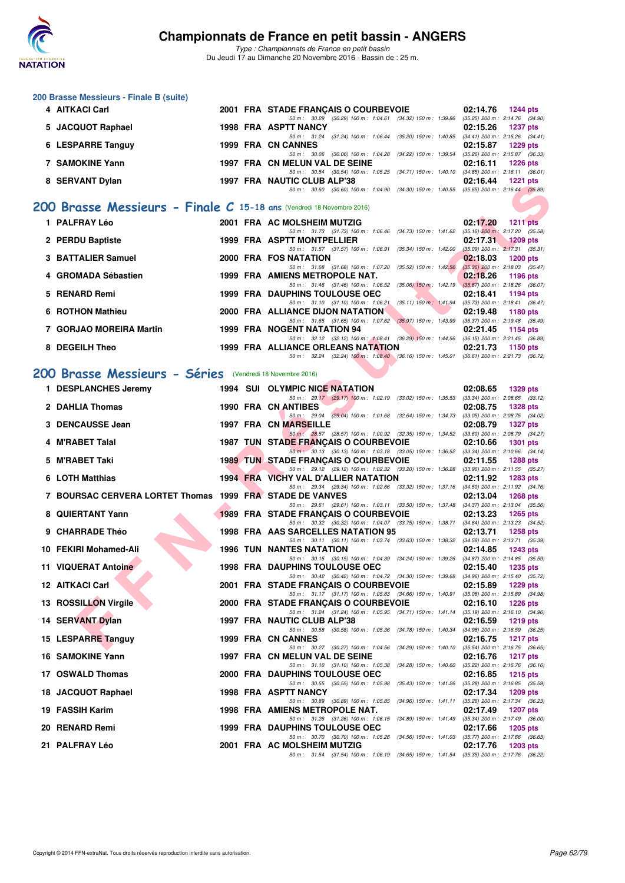

**200 Brasse Messieurs - Finale B (suite)**

#### **Championnats de France en petit bassin - ANGERS**

*Type : Championnats de France en petit bassin* Du Jeudi 17 au Dimanche 20 Novembre 2016 - Bassin de : 25 m.

| 4 AITKACI Carl                                                        |  | 2001 FRA STADE FRANÇAIS O COURBEVOIE                                                                                                    | 02:14.76<br><b>1244 pts</b>                                        |
|-----------------------------------------------------------------------|--|-----------------------------------------------------------------------------------------------------------------------------------------|--------------------------------------------------------------------|
| 5 JACQUOT Raphael                                                     |  | 50 m: 30.29 (30.29) 100 m: 1:04.61 (34.32) 150 m: 1:39.86<br><b>1998 FRA ASPTT NANCY</b>                                                | $(35.25)$ 200 m : 2:14.76 $(34.90)$<br>02:15.26<br><b>1237 pts</b> |
|                                                                       |  | 50 m: 31.24 (31.24) 100 m: 1:06.44 (35.20) 150 m: 1:40.85 (34.41) 200 m: 2:15.26 (34.41)                                                |                                                                    |
| 6 LESPARRE Tanguy                                                     |  | 1999 FRA CN CANNES<br>50 m: 30.06 (30.06) 100 m: 1:04.28 (34.22) 150 m: 1:39.54 (35.26) 200 m: 2:15.87 (36.33)                          | 02:15.87<br><b>1229 pts</b>                                        |
| 7 SAMOKINE Yann                                                       |  | 1997 FRA CN MELUN VAL DE SEINE                                                                                                          | 02:16.11<br><b>1226 pts</b>                                        |
| 8 SERVANT Dylan                                                       |  | 50 m: 30.54 (30.54) 100 m: 1:05.25 (34.71) 150 m: 1:40.10 (34.85) 200 m: 2:16.11 (36.01)<br>1997 FRA NAUTIC CLUB ALP'38                 | 02:16.44<br><b>1221 pts</b>                                        |
|                                                                       |  | 50 m : 30.60 (30.60) 100 m : 1:04.90 (34.30) 150 m : 1:40.55 (35.65) 200 m : 2:16.44 (35.89)                                            |                                                                    |
| 200 Brasse Messieurs - Finale C 15-18 ans (Vendredi 18 Novembre 2016) |  |                                                                                                                                         |                                                                    |
| 1 PALFRAY Léo                                                         |  | 2001 FRA AC MOLSHEIM MUTZIG                                                                                                             | 02:17.20<br><b>1211 pts</b>                                        |
|                                                                       |  | 50 m: 31.73 (31.73) 100 m: 1:06.46 (34.73) 150 m: 1:41.62 (35.16) 200 m: 2:17.20 (35.58)                                                |                                                                    |
| 2 PERDU Baptiste                                                      |  | 1999 FRA ASPTT MONTPELLIER<br>50 m: 31.57 (31.57) 100 m: 1:06.91 (35.34) 150 m: 1:42.00                                                 | 02:17.31<br>1209 pts<br>$(35.09)$ 200 m : 2:17.31 $(35.31)$        |
| 3 BATTALIER Samuel                                                    |  | 2000 FRA FOS NATATION                                                                                                                   | 02:18.03<br><b>1200 pts</b>                                        |
| 4 GROMADA Sébastien                                                   |  | 50 m: 31.68 (31.68) 100 m: 1:07.20 (35.52) 150 m: 1:42.56 (35.36) 200 m: 2:18.03 (35.47)<br>1999 FRA AMIENS METROPOLE NAT.              | 02:18.26<br>1196 pts                                               |
|                                                                       |  | 50 m: 31.46 (31.46) 100 m: 1:06.52 (35.06) 150 m: 1:42.19 (35.67) 200 m: 2:18.26 (36.07)                                                |                                                                    |
| 5 RENARD Remi                                                         |  | <b>1999 FRA DAUPHINS TOULOUSE OEC</b><br>50 m: 31.10 (31.10) 100 m: 1:06.21 (35.11) 150 m: 1:41.94                                      | 02:18.41<br>1194 pts<br>$(35.73)$ 200 m : 2:18.41 $(36.47)$        |
| 6 ROTHON Mathieu                                                      |  | 2000 FRA ALLIANCE DIJON NATATION                                                                                                        | 02:19.48<br><b>1180 pts</b>                                        |
|                                                                       |  | 50 m: 31.65 (31.65) 100 m: 1:07.62 (35.97) 150 m: 1:43.99 (36.37) 200 m: 2:19.48 (35.49)                                                |                                                                    |
| 7 GORJAO MOREIRA Martin                                               |  | 1999 FRA NOGENT NATATION 94<br>50 m: 32.12 (32.12) 100 m: 1:08.41 (36.29) 150 m: 1:44.56 (36.15) 200 m: 2:21.45 (36.89)                 | 02:21.45<br>1154 pts                                               |
| 8 DEGEILH Theo                                                        |  | 1999 FRA ALLIANCE ORLEANS NATATION                                                                                                      | 02:21.73<br>1150 pts                                               |
|                                                                       |  | 50 m: 32.24 (32.24) 100 m: 1:08.40 (36.16) 150 m: 1:45.01 (36.61) 200 m: 2:21.73 (36.72)                                                |                                                                    |
| 200 Brasse Messieurs - Séries (Vendredi 18 Novembre 2016)             |  |                                                                                                                                         |                                                                    |
| 1 DESPLANCHES Jeremy                                                  |  | 1994 SUI OLYMPIC NICE NATATION                                                                                                          | 02:08.65<br><b>1329 pts</b>                                        |
|                                                                       |  | 50 m: 29.17 (29.17) 100 m: 1:02.19 (33.02) 150 m: 1:35.53 (33.34) 200 m: 2:08.65 (33.12)                                                |                                                                    |
| 2 DAHLIA Thomas                                                       |  | 1990 FRA CN ANTIBES<br>50 m: 29.04 (29.04) 100 m: 1:01.68 (32.64) 150 m: 1:34.73 (33.05) 200 m: 2:08.75 (34.02)                         | 02:08.75<br><b>1328 pts</b>                                        |
| 3 DENCAUSSE Jean                                                      |  | 1997 FRA CN MARSEILLE                                                                                                                   | 02:08.79<br><b>1327 pts</b>                                        |
| 4 M'RABET Talal                                                       |  | 50 m : 28.57 (28.57) 100 m : 1:00.92 (32.35) 150 m : 1:34.52 (33.60) 200 m : 2:08.79 (34.27)<br>1987 TUN STADE FRANCAIS O COURBEVOIE    | 02:10.66<br><b>1301 pts</b>                                        |
|                                                                       |  | 50 m: 30.13 (30.13) 100 m: 1:03.18 (33.05) 150 m: 1:36.52 (33.34) 200 m: 2:10.66 (34.14)                                                |                                                                    |
| 5 M'RABET Taki                                                        |  | <b>1989 TUN STADE FRANCAIS O COURBEVOIE</b><br>50 m: 29.12 (29.12) 100 m: 1:02.32 (33.20) 150 m: 1:36.28 (33.96) 200 m: 2:11.55 (35.27) | 02:11.55<br><b>1288 pts</b>                                        |
| 6 LOTH Matthias                                                       |  | 1994 FRA VICHY VAL D'ALLIER NATATION                                                                                                    | 02:11.92<br>1283 pts                                               |
| 7 BOURSAC CERVERA LORTET Thomas 1999 FRA STADE DE VANVES              |  | 50 m: 29.34 (29.34) 100 m: 1:02.66 (33.32) 150 m: 1:37.16 (34.50) 200 m: 2:11.92 (34.76)                                                | 02:13.04                                                           |
|                                                                       |  | 50 m: 29.61 (29.61) 100 m: 1:03.11 (33.50) 150 m: 1:37.48 (34.37) 200 m: 2:13.04 (35.56)                                                | <b>1268 pts</b>                                                    |
| 8 QUIERTANT Yann                                                      |  | 1989 FRA STADE FRANÇAIS O COURBEVOIE                                                                                                    | 02:13.23<br>1265 pts                                               |
| 9 CHARRADE Théo                                                       |  | 50 m: 30.32 (30.32) 100 m: 1:04.07 (33.75) 150 m: 1:38.71 (34.64) 200 m: 2:13.23 (34.52)<br>1998 FRA AAS SARCELLES NATATION 95          | 02:13.71<br><b>1258 pts</b>                                        |
|                                                                       |  | 50 m: 30.11 (30.11) 100 m: 1:03.74 (33.63) 150 m: 1:38.32 (34.58) 200 m: 2:13.71 (35.39)                                                |                                                                    |
| 10 FEKIRI Mohamed-Ali                                                 |  | <b>1996 TUN NANTES NATATION</b><br>50 m: 30.15 (30.15) 100 m: 1:04.39 (34.24) 150 m: 1:39.26 (34.87) 200 m: 2:14.85 (35.59)             | 02:14.85<br><b>1243 pts</b>                                        |
| 11 VIQUERAT Antoine                                                   |  | <b>1998 FRA DAUPHINS TOULOUSE OEC</b>                                                                                                   | 02:15.40<br><b>1235 pts</b>                                        |
| 12 AITKACI Carl                                                       |  | 50 m: 30.42 (30.42) 100 m: 1:04.72 (34.30) 150 m: 1:39.68 (34.96) 200 m: 2:15.40 (35.72)                                                |                                                                    |
|                                                                       |  | 2001 FRA STADE FRANÇAIS O COURBEVOIE<br>50 m: 31.17 (31.17) 100 m: 1:05.83 (34.66) 150 m: 1:40.91 (35.08) 200 m: 2:15.89 (34.98)        | 02:15.89<br><b>1229 pts</b>                                        |
| 13 ROSSILLON Virgile                                                  |  | 2000 FRA STADE FRANCAIS O COURBEVOIE                                                                                                    | 02:16.10<br><b>1226 pts</b>                                        |
| 14 SERVANT Dylan                                                      |  | 50 m: 31.24 (31.24) 100 m: 1:05.95 (34.71) 150 m: 1:41.14 (35.19) 200 m: 2:16.10 (34.96)<br>1997 FRA NAUTIC CLUB ALP'38                 | 02:16.59<br><b>1219 pts</b>                                        |
|                                                                       |  | 50 m: 30.58 (30.58) 100 m: 1:05.36 (34.78) 150 m: 1:40.34 (34.98) 200 m: 2:16.59 (36.25)                                                |                                                                    |
| 15 LESPARRE Tanguy                                                    |  | 1999 FRA CN CANNES<br>50 m: 30.27 (30.27) 100 m: 1:04.56 (34.29) 150 m: 1:40.10 (35.54) 200 m: 2:16.75 (36.65)                          | 02:16.75<br><b>1217 pts</b>                                        |
|                                                                       |  |                                                                                                                                         |                                                                    |

**16 SAMOKINE Yann** 1997 FRA CN MELUN VAL DE SEINE 02:16.76 1217 pts 02:16.76 1217 pts 50 m: 31.10 (31.10) 100 m: 1:05.38 (34.28) 150 m: 1:40.60 (35.22) 200 m: 2:16.76 (36.16)

**17 OSWALD Thomas** 2000 FRA DAUPHINS TOULOUSE OEC 02:16.85 1215 pts<br>
<sup>50 50 30.55</sup> (30.55) 100 m: 1:05.98 (35.43) 150 m: 1:41.26 (35.28) 200 m: 2:16.85 (35.59)

**19 FASSIH Karim 1998 FRA AMIENS METROPOLE NAT. 02:17.49 1207 pts**

*50 m : 30.70 (30.70) 100 m : 1:05.26 (34.56) 150 m : 1:41.03 (35.77) 200 m : 2:17.66 (36.63)* **21 PALFRAY Léo 2001 FRA AC MOLSHEIM MUTZIG 02:17.76 1203 pts**

18 JACQUOT Raphael 1998 FRA ASPTT NANCY

**20 RENARD Remi 1999 FRA DAUPHINS TOULOUSE OEC** 

*50 m : 30.27 (30.27) 100 m : 1:04.56 (34.29) 150 m : 1:40.10 (35.54) 200 m : 2:16.75 (36.65)*

*50 m : 30.55 (30.55) 100 m : 1:05.98 (35.43) 150 m : 1:41.26 (35.28) 200 m : 2:16.85 (35.59)*

*50 m : 30.89 (30.89) 100 m : 1:05.85 (34.96) 150 m : 1:41.11 (35.26) 200 m : 2:17.34 (36.23)*

*50 m : 31.26 (31.26) 100 m : 1:06.15 (34.89) 150 m : 1:41.49 (35.34) 200 m : 2:17.49 (36.00)*<br> **PHINS TOULOUSE OEC** 02:17.66 1205 pts

*50 m : 31.54 (31.54) 100 m : 1:06.19 (34.65) 150 m : 1:41.54 (35.35) 200 m : 2:17.76 (36.22)*

*50 m : 31.10 (31.10) 100 m : 1:05.38 (34.28) 150 m : 1:40.60 (35.22) 200 m : 2:16.76 (36.16)*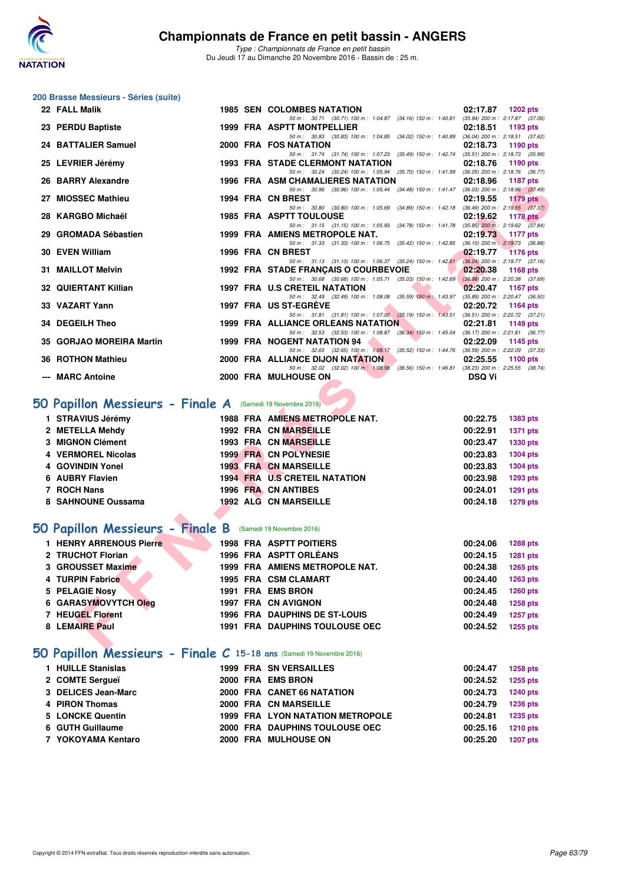

*Type : Championnats de France en petit bassin* Du Jeudi 17 au Dimanche 20 Novembre 2016 - Bassin de : 25 m.

#### **200 Brasse Messieurs - Séries (suite)**

| 22 FALL Malik                                             | <b>1985 SEN COLOMBES NATATION</b>                                                                                                     | 02:17.87<br><b>1202 pts</b>                                        |
|-----------------------------------------------------------|---------------------------------------------------------------------------------------------------------------------------------------|--------------------------------------------------------------------|
| 23 PERDU Baptiste                                         | 50 m: 30.71 (30.71) 100 m: 1:04.87 (34.16) 150 m: 1:40.81<br>1999 FRA ASPTT MONTPELLIER                                               | $(35.94)$ 200 m : 2:17.87 $(37.06)$<br>02:18.51<br>1193 pts        |
| 24 BATTALIER Samuel                                       | 50 m: 30.83 (30.83) 100 m: 1:04.85 (34.02) 150 m: 1:40.89 (36.04) 200 m: 2:18.51 (37.62)<br>2000 FRA FOS NATATION                     | 02:18.73<br>1190 pts                                               |
|                                                           | 50 m: 31.74 (31.74) 100 m: 1:07.23 (35.49) 150 m: 1:42.74 (35.51) 200 m: 2:18.73 (35.99)                                              |                                                                    |
| 25 LEVRIER Jérémy                                         | <b>1993 FRA STADE CLERMONT NATATION</b><br>50 m: 30.24 (30.24) 100 m: 1:05.94 (35.70) 150 m: 1:41.99 (36.05) 200 m: 2:18.76 (36.77)   | 02:18.76<br>1190 pts                                               |
| 26 BARRY Alexandre                                        | 1996 FRA ASM CHAMALIERES NATATION                                                                                                     | 02:18.96<br>1187 pts                                               |
| 27 MIOSSEC Mathieu                                        | 50 m: 30.96 (30.96) 100 m: 1:05.44 (34.48) 150 m: 1:41.47 (36.03) 200 m: 2:18.96 (37.49)<br>1994 FRA CN BREST                         | 02:19.55<br><b>1179 pts</b>                                        |
|                                                           | 50 m: 30.80 (30.80) 100 m: 1:05.69 (34.89) 150 m: 1:42.18                                                                             | $(36.49)$ 200 m : 2:19.55 $(37.37)$                                |
| 28 KARGBO Michaël                                         | <b>1985 FRA ASPTT TOULOUSE</b>                                                                                                        | 02:19.62<br><b>1178 pts</b>                                        |
| 29 GROMADA Sébastien                                      | 50 m: 31.15 (31.15) 100 m: 1:05.93 (34.78) 150 m: 1:41.78<br>1999 FRA AMIENS METROPOLE NAT.                                           | $(35.85)$ 200 m : 2:19.62 $(37.84)$<br>02:19.73<br>1177 pts        |
| 30 EVEN William                                           | 50 m: 31.33 (31.33) 100 m: 1:06.75 (35.42) 150 m: 1:42.85<br>1996 FRA CN BREST                                                        | $(36.10)$ 200 m : 2:19.73 $(36.88)$<br>02:19.77<br><b>1176 pts</b> |
|                                                           | 50 m: 31.13 (31.13) 100 m: 1:06.37 (35.24) 150 m: 1:42.61 (36.24) 200 m: 2:19.77 (37.16)                                              |                                                                    |
| 31 MAILLOT Melvin                                         | 1992 FRA STADE FRANCAIS O COURBEVOIE<br>50 m: 30.68 (30.68) 100 m: 1:05.71 (35.03) 150 m: 1:42.69                                     | 02:20.38<br><b>1168 pts</b><br>$(36.98)$ 200 m : 2:20.38 $(37.69)$ |
| <b>32 QUIERTANT Killian</b>                               | 1997 FRA U.S CRETEIL NATATION                                                                                                         | 02:20.47<br>1167 pts                                               |
| 33 VAZART Yann                                            | 50 m: 32.49 (32.49) 100 m: 1:08.08 (35.59) 150 m: 1:43.97 (35.89) 200 m: 2:20.47 (36.50)<br>1997 FRA US ST-EGREVE                     | 02:20.72<br>1164 pts                                               |
|                                                           | 50 m: 31.81 (31.81) 100 m: 1:07.00 (35.19) 150 m: 1:43.51 (36.51) 200 m: 2:20.72 (37.21)                                              |                                                                    |
| 34 DEGEILH Theo                                           | <b>1999 FRA ALLIANCE ORLEANS NATATION</b><br>50 m: 32.53 (32.53) 100 m: 1:08.87 (36.34) 150 m: 1:45.04 (36.17) 200 m: 2:21.81 (36.77) | 02:21.81<br>1149 pts                                               |
| 35 GORJAO MOREIRA Martin                                  | <b>1999 FRA NOGENT NATATION 94</b>                                                                                                    | 02:22.09<br>1145 pts                                               |
| <b>36 ROTHON Mathieu</b>                                  | 50 m: 32.65 (32.65) 100 m: 1:08.17 (35.52) 150 m: 1:44.76 (36.59) 200 m: 2:22.09 (37.33)<br>2000 FRA ALLIANCE DIJON NATATION          | 02:25.55<br>1100 pts                                               |
|                                                           | 50 m : 32.02 (32.02) 100 m : 1:08.58 (36.56) 150 m : 1:46.81 (38.23) 200 m : 2:25.55 (38.74)                                          |                                                                    |
| --- MARC Antoine                                          | 2000 FRA MULHOUSE ON                                                                                                                  | <b>DSQ Vi</b>                                                      |
|                                                           |                                                                                                                                       |                                                                    |
| O Papillon Messieurs - Finale A (Samedi 19 Novembre 2016) |                                                                                                                                       |                                                                    |
| 1 STRAVIUS Jérémy                                         | 1988 FRA AMIENS METROPOLE NAT.                                                                                                        | 00:22.75<br>1383 pts                                               |
| 2 METELLA Mehdy                                           | 1992 FRA CN MARSEILLE                                                                                                                 | 00:22.91<br>1371 pts                                               |
| 3 MIGNON Clément<br>4 VERMOREL Nicolas                    | <b>1993 FRA CN MARSEILLE</b><br><b>1999 FRA CN POLYNESIE</b>                                                                          | 00:23.47<br>1330 pts<br>00:23.83                                   |
| 4 GOVINDIN Yonel                                          | <b>1993 FRA CN MARSEILLE</b>                                                                                                          | <b>1304 pts</b><br>00:23.83<br><b>1304 pts</b>                     |
| 6 AUBRY Flavien                                           | 1994 FRA U.S CRETEIL NATATION                                                                                                         | 00:23.98<br>1293 pts                                               |
| 7 ROCH Nans                                               | 1996 FRA CN ANTIBES                                                                                                                   | 00:24.01<br><b>1291 pts</b>                                        |
| 8 SAHNOUNE Oussama                                        | <b>1992 ALG CN MARSEILLE</b>                                                                                                          | 00:24.18<br><b>1279 pts</b>                                        |
|                                                           |                                                                                                                                       |                                                                    |
| O Papillon Messieurs - Finale B (Samedi 19 Novembre 2016) |                                                                                                                                       |                                                                    |
| 1 HENRY ARRENOUS Pierre                                   | <b>1998 FRA ASPTT POITIERS</b>                                                                                                        | 00:24.06<br>1288 pts                                               |
| 2 TRUCHOT Florian                                         | 1996 FRA ASPTT ORLÉANS                                                                                                                | 00:24.15<br><b>1281 pts</b>                                        |
| 3 GROUSSET Maxime                                         | 1999 FRA AMIENS METROPOLE NAT.                                                                                                        | 00:24.38<br>1265 pts                                               |
| 4 TURPIN Fabrice                                          | 1995 FRA CSM CLAMART                                                                                                                  | 00:24.40<br><b>1263 pts</b>                                        |
| 5 PELAGIE Nosy                                            | 1991 FRA EMS BRON                                                                                                                     | 00:24.45<br>1260 pts                                               |
| <b>6 GARASYMOVYTCH Oleg</b>                               | 1997 FRA CN AVIGNON                                                                                                                   | 00:24.48<br><b>1258 pts</b>                                        |
| 7 HEUGEL Florent                                          | <b>1996 FRA DAUPHINS DE ST-LOUIS</b>                                                                                                  | 00:24.49<br>1257 pts                                               |
| 8 LEMAIRE Paul                                            | <b>1991 FRA DAUPHINS TOULOUSE OEC</b>                                                                                                 | 00:24.52<br>1255 pts                                               |
|                                                           |                                                                                                                                       |                                                                    |

# **[50 Papillon Messieurs - Finale A](http://www.ffnatation.fr/webffn/resultats.php?idact=nat&go=epr&idcpt=41163&idepr=81)** (Samedi 19 Novembre 2016)

| 1 STRAVIUS Jérémy  |  | 1988 FRA AMIENS METROPOLE NAT.       | 00:22.75 | 1383 pts        |
|--------------------|--|--------------------------------------|----------|-----------------|
| 2 METELLA Mehdy    |  | <b>1992 FRA CN MARSEILLE</b>         | 00:22.91 | 1371 pts        |
| 3 MIGNON Clément   |  | <b>1993 FRA CN MARSEILLE</b>         | 00:23.47 | 1330 pts        |
| 4 VERMOREL Nicolas |  | <b>1999 FRA CN POLYNESIE</b>         | 00:23.83 | <b>1304 pts</b> |
| 4 GOVINDIN Yonel   |  | <b>1993 FRA CN MARSEILLE</b>         | 00:23.83 | <b>1304 pts</b> |
| 6 AUBRY Flavien    |  | <b>1994 FRA U.S CRETEIL NATATION</b> | 00:23.98 | 1293 pts        |
| 7 ROCH Nans        |  | 1996 FRA CN ANTIBES                  | 00:24.01 | <b>1291 pts</b> |
| 8 SAHNOUNE Oussama |  | 1992 ALG CN MARSEILLE                | 00:24.18 | <b>1279 pts</b> |

## **[50 Papillon Messieurs - Finale B](http://www.ffnatation.fr/webffn/resultats.php?idact=nat&go=epr&idcpt=41163&idepr=81)** (Samedi 19 Novembre 2016)

| 1 HENRY ARRENOUS Pierre | <b>1998 FRA ASPTT POITIERS</b>        | 00:24.06 | 1288 pts        |
|-------------------------|---------------------------------------|----------|-----------------|
| 2 TRUCHOT Florian       | 1996 FRA ASPTT ORLÉANS                | 00:24.15 | 1281 pts        |
| 3 GROUSSET Maxime       | 1999 FRA AMIENS METROPOLE NAT.        | 00:24.38 | 1265 pts        |
| 4 TURPIN Fabrice        | <b>1995 FRA CSM CLAMART</b>           | 00:24.40 | 1263 pts        |
| 5 PELAGIE Nosy          | 1991 FRA EMS BRON                     | 00:24.45 | <b>1260 pts</b> |
| 6 GARASYMOVYTCH Oleg    | 1997 FRA CN AVIGNON                   | 00:24.48 | 1258 pts        |
| 7 HEUGEL Florent        | <b>1996 FRA DAUPHINS DE ST-LOUIS</b>  | 00:24.49 | 1257 pts        |
| 8 LEMAIRE Paul          | <b>1991 FRA DAUPHINS TOULOUSE OEC</b> | 00:24.52 | 1255 pts        |

## **[50 Papillon Messieurs - Finale C](http://www.ffnatation.fr/webffn/resultats.php?idact=nat&go=epr&idcpt=41163&idepr=81) 15-18 ans** (Samedi 19 Novembre 2016)

| 1 HUILLE Stanislas  |  | <b>1999 FRA SN VERSAILLES</b>           | 00:24.47 | 1258 pts        |
|---------------------|--|-----------------------------------------|----------|-----------------|
| 2 COMTE Sergueï     |  | 2000 FRA EMS BRON                       | 00:24.52 | 1255 pts        |
| 3 DELICES Jean-Marc |  | 2000 FRA CANET 66 NATATION              | 00:24.73 | 1240 pts        |
| 4 PIRON Thomas      |  | 2000 FRA CN MARSEILLE                   | 00:24.79 | 1236 pts        |
| 5 LONCKE Quentin    |  | <b>1999 FRA LYON NATATION METROPOLE</b> | 00:24.81 | 1235 pts        |
| 6 GUTH Guillaume    |  | 2000 FRA DAUPHINS TOULOUSE OEC          | 00:25.16 | 1210 pts        |
| 7 YOKOYAMA Kentaro  |  | 2000 FRA MULHOUSE ON                    | 00:25.20 | <b>1207 pts</b> |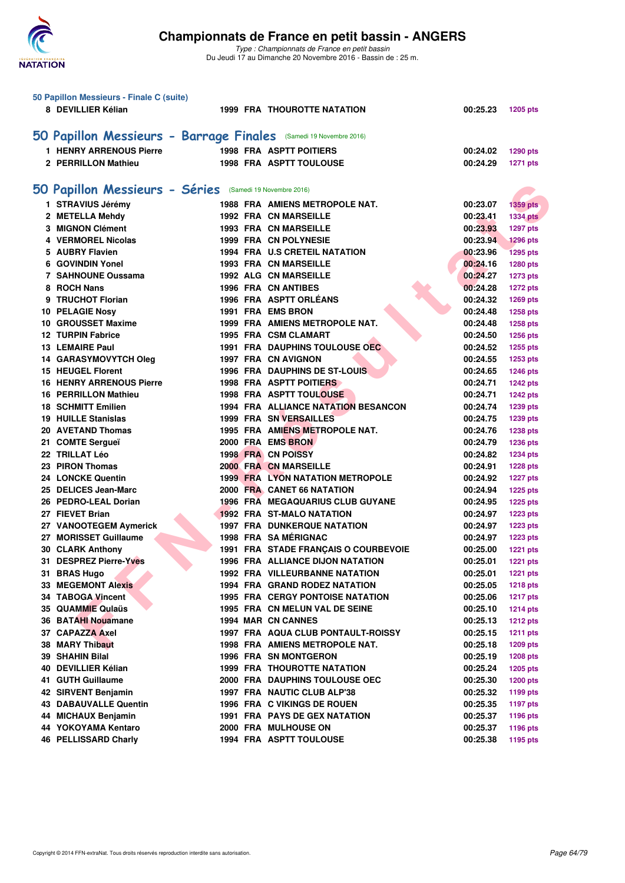

| 50 Papillon Messieurs - Finale C (suite)                          |                                         |                      |                 |
|-------------------------------------------------------------------|-----------------------------------------|----------------------|-----------------|
| 8 DEVILLIER Kélian                                                | <b>1999 FRA THOUROTTE NATATION</b>      | 00:25.23             | <b>1205 pts</b> |
|                                                                   |                                         |                      |                 |
| 50 Papillon Messieurs - Barrage Finales (Samedi 19 Novembre 2016) |                                         |                      |                 |
|                                                                   |                                         |                      |                 |
| <b>1 HENRY ARRENOUS Pierre</b>                                    | <b>1998 FRA ASPTT POITIERS</b>          | 00:24.02             | 1290 pts        |
| 2 PERRILLON Mathieu                                               | <b>1998 FRA ASPTT TOULOUSE</b>          | 00:24.29             | <b>1271 pts</b> |
|                                                                   |                                         |                      |                 |
| 50 Papillon Messieurs - Séries (Samedi 19 Novembre 2016)          |                                         |                      |                 |
| 1 STRAVIUS Jérémy                                                 | <b>1988 FRA AMIENS METROPOLE NAT.</b>   | 00:23.07             | <b>1359 pts</b> |
| 2 METELLA Mehdy                                                   | <b>1992 FRA CN MARSEILLE</b>            | 00:23.41             | <b>1334 pts</b> |
| 3 MIGNON Clément                                                  | 1993 FRA CN MARSEILLE                   | 00:23.93             | 1297 pts        |
| 4 VERMOREL Nicolas                                                | 1999 FRA CN POLYNESIE                   | 00:23.94             | <b>1296 pts</b> |
| 5 AUBRY Flavien                                                   | 1994 FRA U.S CRETEIL NATATION           | 00:23.96             | <b>1295 pts</b> |
| 6 GOVINDIN Yonel                                                  | <b>1993 FRA CN MARSEILLE</b>            | 00:24.16             | 1280 pts        |
| 7 SAHNOUNE Oussama                                                | <b>1992 ALG CN MARSEILLE</b>            | 00:24.27             | <b>1273 pts</b> |
| 8 ROCH Nans                                                       | <b>1996 FRA CN ANTIBES</b>              | 00:24.28             | <b>1272 pts</b> |
| 9 TRUCHOT Florian                                                 | 1996 FRA ASPTT ORLÉANS                  | 00:24.32             | 1269 pts        |
| 10 PELAGIE Nosy                                                   | 1991 FRA EMS BRON                       | 00:24.48             | 1258 pts        |
| 10 GROUSSET Maxime                                                | 1999 FRA AMIENS METROPOLE NAT.          | 00:24.48             | <b>1258 pts</b> |
| <b>12 TURPIN Fabrice</b>                                          | <b>1995 FRA CSM CLAMART</b>             | 00:24.50             | 1256 pts        |
| <b>13 LEMAIRE Paul</b>                                            | 1991 FRA DAUPHINS TOULOUSE OEC          | 00:24.52             | 1255 pts        |
| <b>14 GARASYMOVYTCH Oleg</b>                                      | 1997 FRA CN AVIGNON                     | 00:24.55             | 1253 pts        |
| <b>15 HEUGEL Florent</b>                                          | 1996 FRA DAUPHINS DE ST-LOUIS           | 00:24.65             | 1246 pts        |
| <b>16 HENRY ARRENOUS Pierre</b>                                   | <b>1998 FRA ASPTT POITIERS</b>          | 00:24.71             | <b>1242 pts</b> |
| <b>16 PERRILLON Mathieu</b>                                       | <b>1998 FRA ASPTT TOULOUSE</b>          | 00:24.71             | <b>1242 pts</b> |
| <b>18 SCHMITT Emilien</b>                                         | 1994 FRA ALLIANCE NATATION BESANCON     | 00:24.74             | 1239 pts        |
| <b>19 HUILLE Stanislas</b>                                        | 1999 FRA SN VERSAILLES                  | 00:24.75             | 1239 pts        |
| 20 AVETAND Thomas                                                 | 1995 FRA AMIENS METROPOLE NAT.          | 00:24.76             | <b>1238 pts</b> |
| 21 COMTE Sergueï                                                  | 2000 FRA EMS BRON                       | 00:24.79             | <b>1236 pts</b> |
| 22 TRILLAT Léo                                                    | <b>1998 FRA CN POISSY</b>               | 00:24.82             |                 |
| 23 PIRON Thomas                                                   | <b>2000 FRA CN MARSEILLE</b>            | 00:24.91             | <b>1234 pts</b> |
| 24 LONCKE Quentin                                                 | <b>1999 FRA LYON NATATION METROPOLE</b> | 00:24.92             | <b>1228 pts</b> |
| 25 DELICES Jean-Marc                                              | 2000 FRA CANET 66 NATATION              | 00:24.94             | <b>1227 pts</b> |
| 26 PEDRO-LEAL Dorian                                              | <b>1996 FRA MEGAQUARIUS CLUB GUYANE</b> | 00:24.95             | <b>1225 pts</b> |
| 27 FIEVET Brian                                                   | 1992 FRA ST-MALO NATATION               |                      | <b>1225 pts</b> |
| 27 VANOOTEGEM Aymerick                                            | <b>1997 FRA DUNKERQUE NATATION</b>      | 00:24.97<br>00:24.97 | <b>1223 pts</b> |
| 27 MORISSET Guillaume                                             | 1998 FRA SA MÉRIGNAC                    |                      | <b>1223 pts</b> |
| <b>30 CLARK Anthony</b>                                           | 1991 FRA STADE FRANÇAIS O COURBEVOIE    | 00:24.97<br>00:25.00 | <b>1223 pts</b> |
|                                                                   | 1996 FRA ALLIANCE DIJON NATATION        |                      | <b>1221 pts</b> |
| 31 DESPREZ Pierre-Yves                                            | <b>1992 FRA VILLEURBANNE NATATION</b>   | 00:25.01             | 1221 pts        |
| 31 BRAS Hugo                                                      |                                         | 00:25.01<br>00:25.05 | <b>1221 pts</b> |
| <b>33 MEGEMONT Alexis</b>                                         | <b>1994 FRA GRAND RODEZ NATATION</b>    |                      | <b>1218 pts</b> |
| 34 TABOGA Vincent                                                 | <b>1995 FRA CERGY PONTOISE NATATION</b> | 00:25.06             | <b>1217 pts</b> |
| 35 QUAMMIE Qulaüs                                                 | 1995 FRA CN MELUN VAL DE SEINE          | 00:25.10             | <b>1214 pts</b> |
| 36 BATAHI Nouamane                                                | <b>1994 MAR CN CANNES</b>               | 00:25.13             | <b>1212 pts</b> |
| 37 CAPAZZA Axel                                                   | 1997 FRA AQUA CLUB PONTAULT-ROISSY      | 00:25.15             | <b>1211 pts</b> |
| 38 MARY Thibaut                                                   | 1998 FRA AMIENS METROPOLE NAT.          | 00:25.18             | <b>1209 pts</b> |
| 39 SHAHIN Bilal                                                   | <b>1996 FRA SN MONTGERON</b>            | 00:25.19             | <b>1208 pts</b> |
| 40 DEVILLIER Kélian                                               | <b>1999 FRA THOUROTTE NATATION</b>      | 00:25.24             | <b>1205 pts</b> |
| 41 GUTH Guillaume                                                 | 2000 FRA DAUPHINS TOULOUSE OEC          | 00:25.30             | <b>1200 pts</b> |
| 42 SIRVENT Benjamin                                               | 1997 FRA NAUTIC CLUB ALP'38             | 00:25.32             | 1199 pts        |
| <b>43 DABAUVALLE Quentin</b>                                      | <b>1996 FRA C VIKINGS DE ROUEN</b>      | 00:25.35             | <b>1197 pts</b> |
| 44 MICHAUX Benjamin                                               | <b>1991 FRA PAYS DE GEX NATATION</b>    | 00:25.37             | 1196 pts        |
| 44 YOKOYAMA Kentaro                                               | 2000 FRA MULHOUSE ON                    | 00:25.37             | 1196 pts        |
| <b>46 PELLISSARD Charly</b>                                       | 1994 FRA ASPTT TOULOUSE                 | 00:25.38             | 1195 pts        |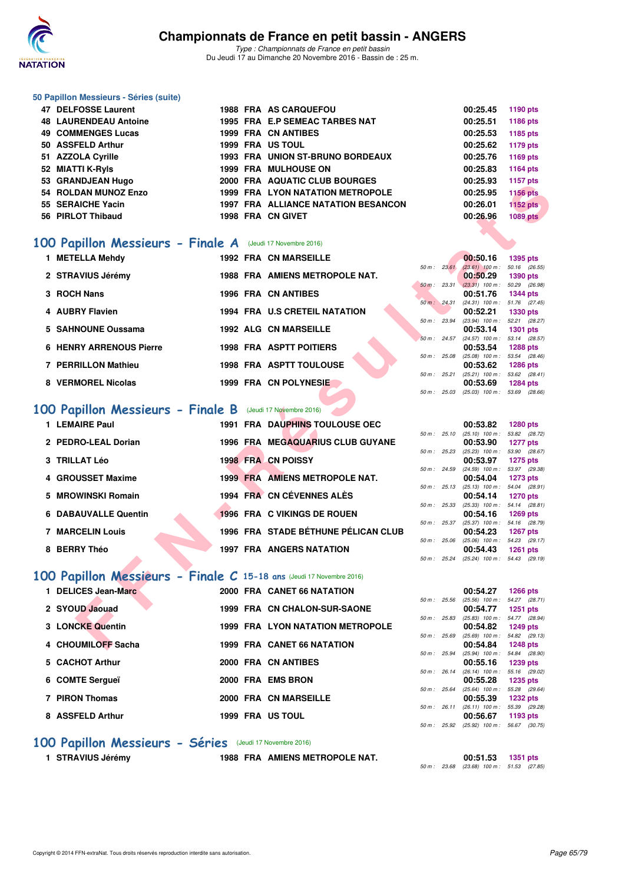

*Type : Championnats de France en petit bassin* Du Jeudi 17 au Dimanche 20 Novembre 2016 - Bassin de : 25 m.

#### **50 Papillon Messieurs - Séries (suite)**

| 47 DELFOSSE Laurent          |  | <b>1988 FRA AS CARQUEFOU</b>               | 00:25.45 | 1190 pts        |
|------------------------------|--|--------------------------------------------|----------|-----------------|
| <b>48 LAURENDEAU Antoine</b> |  | 1995 FRA E.P SEMEAC TARBES NAT             | 00:25.51 | 1186 pts        |
| <b>49 COMMENGES Lucas</b>    |  | 1999 FRA CN ANTIBES                        | 00:25.53 | 1185 pts        |
| 50 ASSFELD Arthur            |  | 1999 FRA US TOUL                           | 00:25.62 | 1179 pts        |
| 51 AZZOLA Cyrille            |  | <b>1993 FRA UNION ST-BRUNO BORDEAUX</b>    | 00:25.76 | 1169 pts        |
| 52 MIATTI K-Ryls             |  | <b>1999 FRA MULHOUSE ON</b>                | 00:25.83 | 1164 pts        |
| 53 GRANDJEAN Hugo            |  | 2000 FRA AQUATIC CLUB BOURGES              | 00:25.93 | 1157 pts        |
| 54 ROLDAN MUNOZ Enzo         |  | <b>1999 FRA LYON NATATION METROPOLE</b>    | 00:25.95 | <b>1156 pts</b> |
| 55 SERAICHE Yacin            |  | <b>1997 FRA ALLIANCE NATATION BESANCON</b> | 00:26.01 | <b>1152 pts</b> |
| 56 PIRLOT Thibaud            |  | 1998 FRA CN GIVET                          | 00:26.96 | <b>1089 pts</b> |

### **[100 Papillon Messieurs - Finale A](http://www.ffnatation.fr/webffn/resultats.php?idact=nat&go=epr&idcpt=41163&idepr=82)** (Jeudi 17 Novembre 2016)

| 1 METELLA Mehdy                |  | <b>1992 FRA CN MARSEILLE</b>          |                        | 00:50.16                                 | 1395 pts               |  |
|--------------------------------|--|---------------------------------------|------------------------|------------------------------------------|------------------------|--|
| 2 STRAVIUS Jérémy              |  | <b>1988 FRA AMIENS METROPOLE NAT.</b> | $50 \text{ m}$ : 23.61 | $(23.61)$ 100 m :<br>00:50.29            | 50.16 (26.<br>1390 pts |  |
|                                |  |                                       | $50 \text{ m}$ : 23.31 | $(23.31)$ 100 m :                        | 50.29 (26.             |  |
| 3 ROCH Nans                    |  | <b>1996 FRA CN ANTIBES</b>            |                        | 00:51.76                                 | 1344 pts               |  |
| 4 AUBRY Flavien                |  | <b>1994 FRA U.S CRETEIL NATATION</b>  | 50 m: 24.31            | $(24.31)$ 100 m : 51.76 (27.<br>00:52.21 | 1330 pts               |  |
| 5 SAHNOUNE Oussama             |  | 1992 ALG CN MARSEILLE                 | 50 m: 23.94            | (23.94) 100 m : 52.21 (28.<br>00:53.14   | 1301 pts               |  |
|                                |  |                                       | $50 m$ : 24.57         | (24.57) 100 m : 53.14 (28.               |                        |  |
| <b>6 HENRY ARRENOUS Pierre</b> |  | <b>1998 FRA ASPTT POITIERS</b>        | 50 m: 25.08            | 00:53.54<br>$(25.08)$ 100 m : 53.54 (28. | 1288 pts               |  |
| 7 PERRILLON Mathieu            |  | <b>1998 FRA ASPTT TOULOUSE</b>        |                        | 00:53.62                                 | 1286 pts               |  |
| 8 VERMOREL Nicolas             |  | 1999 FRA CN POLYNESIE                 | $50 m$ : 25.21         | $(25.21)$ 100 m :                        | 53.62 (28.             |  |
|                                |  |                                       |                        | 00:53.69                                 | 1284 pts               |  |

## **[100 Papillon Messieurs - Finale B](http://www.ffnatation.fr/webffn/resultats.php?idact=nat&go=epr&idcpt=41163&idepr=82)** (Jeudi 17 Novembre 2016)

| JJ GNANDJEAN HUYV                                                   |  | ZUUU FRA AQUATIC CLUD DUURGLJ           |                  | UU.ZJ.JJ                                             | $1131$ pm       |  |
|---------------------------------------------------------------------|--|-----------------------------------------|------------------|------------------------------------------------------|-----------------|--|
| 54 ROLDAN MUNOZ Enzo                                                |  | <b>1999 FRA LYON NATATION METROPOLE</b> |                  | 00:25.95                                             | <b>1156 pts</b> |  |
| 55 SERAICHE Yacin                                                   |  | 1997 FRA ALLIANCE NATATION BESANCON     |                  | 00:26.01                                             | <b>1152 pts</b> |  |
| 56 PIRLOT Thibaud                                                   |  | 1998 FRA CN GIVET                       |                  | 00:26.96                                             | <b>1089 pts</b> |  |
|                                                                     |  |                                         |                  |                                                      |                 |  |
|                                                                     |  |                                         |                  |                                                      |                 |  |
| <b>00 Papillon Messieurs - Finale A</b> (Jeudi 17 Novembre 2016)    |  |                                         |                  |                                                      |                 |  |
| 1 METELLA Mehdy                                                     |  | <b>1992 FRA CN MARSEILLE</b>            |                  | 00:50.16                                             | <b>1395 pts</b> |  |
|                                                                     |  |                                         | $50 m$ : $23.61$ | $(23.61)$ 100 m : 50.16 $(26.55)$                    |                 |  |
| 2 STRAVIUS Jérémy                                                   |  | <b>1988 FRA AMIENS METROPOLE NAT.</b>   |                  | 00:50.29                                             | <b>1390 pts</b> |  |
|                                                                     |  |                                         |                  | 50 m: 23.31 (23.31) 100 m: 50.29 (26.98)             |                 |  |
| 3 ROCH Nans                                                         |  | 1996 FRA CN ANTIBES                     |                  | 00:51.76                                             | <b>1344 pts</b> |  |
| 4 AUBRY Flavien                                                     |  | 1994 FRA U.S CRETEIL NATATION           |                  | 50 m: 24.31 (24.31) 100 m: 51.76 (27.45)<br>00:52.21 |                 |  |
|                                                                     |  |                                         | 50 m : 23.94     | (23.94) 100 m: 52.21 (28.27)                         | <b>1330 pts</b> |  |
| 5 SAHNOUNE Oussama                                                  |  | <b>1992 ALG CN MARSEILLE</b>            |                  | 00:53.14                                             | <b>1301 pts</b> |  |
|                                                                     |  |                                         |                  | 50 m: 24.57 (24.57) 100 m: 53.14 (28.57)             |                 |  |
| <b>6 HENRY ARRENOUS Pierre</b>                                      |  | <b>1998 FRA ASPTT POITIERS</b>          |                  | 00:53.54                                             | <b>1288 pts</b> |  |
|                                                                     |  |                                         | 50 m : 25.08     | $(25.08)$ 100 m :                                    | 53.54 (28.46)   |  |
| 7 PERRILLON Mathieu                                                 |  | <b>1998 FRA ASPTT TOULOUSE</b>          |                  | 00:53.62                                             | <b>1286 pts</b> |  |
| 8 VERMOREL Nicolas                                                  |  | 1999 FRA CN POLYNESIE                   | 50 m : 25.21     | $(25.21)$ 100 m : 53.62 $(28.41)$                    |                 |  |
|                                                                     |  |                                         |                  | 00:53.69<br>50 m: 25.03 (25.03) 100 m: 53.69 (28.66) | <b>1284 pts</b> |  |
|                                                                     |  |                                         |                  |                                                      |                 |  |
| <b>00 Papillon Messieurs - Finale B</b> (Jeudi 17 Novembre 2016)    |  |                                         |                  |                                                      |                 |  |
| 1 LEMAIRE Paul                                                      |  | 1991 FRA DAUPHINS TOULOUSE OEC          |                  | 00:53.82                                             | 1280 pts        |  |
|                                                                     |  |                                         |                  | 50 m: 25.10 (25.10) 100 m: 53.82 (28.72)             |                 |  |
| 2 PEDRO-LEAL Dorian                                                 |  | 1996 FRA MEGAQUARIUS CLUB GUYANE        |                  | 00:53.90                                             | <b>1277 pts</b> |  |
|                                                                     |  |                                         |                  | 50 m: 25.23 (25.23) 100 m: 53.90 (28.67)             |                 |  |
| <b>3 TRILLAT Léo</b>                                                |  | <b>1998 FRA CN POISSY</b>               |                  | 00:53.97                                             | <b>1275 pts</b> |  |
|                                                                     |  |                                         | 50 m : 24.59     | $(24.59)$ 100 m : 53.97 $(29.38)$                    |                 |  |
| 4 GROUSSET Maxime                                                   |  | 1999 FRA AMIENS METROPOLE NAT.          |                  | 00:54.04                                             | <b>1273 pts</b> |  |
| 5 MROWINSKI Romain                                                  |  | 1994 FRA CN CÉVENNES ALÈS               |                  | 50 m: 25.13 (25.13) 100 m: 54.04 (28.91)<br>00:54.14 | <b>1270 pts</b> |  |
|                                                                     |  |                                         | $50 m$ : 25.33   | $(25.33)$ 100 m : 54.14 $(28.81)$                    |                 |  |
| <b>6 DABAUVALLE Quentin</b>                                         |  | 1996 FRA C VIKINGS DE ROUEN             |                  | 00:54.16                                             | <b>1269 pts</b> |  |
|                                                                     |  |                                         |                  | 50 m: 25.37 (25.37) 100 m: 54.16 (28.79)             |                 |  |
| <b>7 MARCELIN Louis</b>                                             |  | 1996 FRA STADE BÉTHUNE PÉLICAN CLUB     |                  | 00:54.23                                             | <b>1267 pts</b> |  |
|                                                                     |  |                                         |                  | 50 m: 25.06 (25.06) 100 m: 54.23 (29.17)             |                 |  |
| 8 BERRY Théo                                                        |  | <b>1997 FRA ANGERS NATATION</b>         |                  | 00:54.43                                             | <b>1261 pts</b> |  |
|                                                                     |  |                                         |                  | 50 m: 25.24 (25.24) 100 m: 54.43 (29.19)             |                 |  |
| 00 Papillon Messieurs - Finale C 15-18 ans (Jeudi 17 Novembre 2016) |  |                                         |                  |                                                      |                 |  |
|                                                                     |  |                                         |                  |                                                      |                 |  |
| 1 DELICES Jean-Marc                                                 |  | 2000 FRA CANET 66 NATATION              |                  | 00:54.27                                             | <b>1266 pts</b> |  |
| 2 SYOUD Jaouad                                                      |  | 1999 FRA CN CHALON-SUR-SAONE            |                  | 50 m: 25.56 (25.56) 100 m: 54.27 (28.71)<br>00:54.77 | <b>1251 pts</b> |  |
|                                                                     |  |                                         | 50 m : 25.83     | (25.83) 100 m: 54.77 (28.94)                         |                 |  |
| 3 LONCKE Quentin                                                    |  | <b>1999 FRA LYON NATATION METROPOLE</b> |                  | 00:54.82                                             | <b>1249 pts</b> |  |
|                                                                     |  |                                         |                  | 50 m: 25.69 (25.69) 100 m: 54.82 (29.13)             |                 |  |
| 4 CHOUMILOFF Sacha                                                  |  | 1999 FRA CANET 66 NATATION              |                  | 00:54.84                                             | <b>1248 pts</b> |  |

### **[100 Papillon Messieurs - Finale C](http://www.ffnatation.fr/webffn/resultats.php?idact=nat&go=epr&idcpt=41163&idepr=82) 15-18 ans** (Jeudi 17 Novembre 2016)

| 1 DELICES Jean-Marc |  | 2000 FRA CANET 66 NATATION              |                        | 00:54.27                     | 1266 pts        |  |
|---------------------|--|-----------------------------------------|------------------------|------------------------------|-----------------|--|
|                     |  |                                         | 50 m : 25.56           | $(25.56)$ 100 m :            | 54.27 (28.      |  |
| 2 SYOUD Jaouad      |  | 1999 FRA CN CHALON-SUR-SAONE            |                        | 00:54.77                     | <b>1251 pts</b> |  |
|                     |  |                                         | 50 m: 25.83            | $(25.83)$ 100 m :            | 54.77 (28.      |  |
| 3 LONCKE Quentin    |  | <b>1999 FRA LYON NATATION METROPOLE</b> |                        | 00:54.82                     | 1249 pts        |  |
|                     |  |                                         | 50 m: 25.69            | $(25.69)$ 100 m : 54.82 (29. |                 |  |
| 4 CHOUMILOFF Sacha  |  | <b>1999 FRA CANET 66 NATATION</b>       |                        | 00:54.84                     | <b>1248 pts</b> |  |
|                     |  |                                         | $50 m$ : 25.94         | (25.94) 100 m: 54.84 (28.    |                 |  |
| 5 CACHOT Arthur     |  | 2000 FRA CN ANTIBES                     |                        | 00:55.16                     | 1239 pts        |  |
|                     |  |                                         | $50 m$ : 26.14         | $(26.14)$ 100 m :            | 55.16 (29.      |  |
| 6 COMTE Sergueï     |  | 2000 FRA EMS BRON                       |                        | 00:55.28                     | 1235 pts        |  |
|                     |  |                                         | $50 \text{ m}$ : 25.64 | $(25.64)$ 100 m :            | 55.28 (29.      |  |
| 7 PIRON Thomas      |  | 2000 FRA CN MARSEILLE                   |                        | 00:55.39                     | 1232 pts        |  |
|                     |  |                                         | $50 \text{ m}$ : 26.11 | $(26.11)$ 100 m :            | 55.39 (29.      |  |
| 8 ASSFELD Arthur    |  | 1999 FRA US TOUL                        |                        | 00:56.67                     | 1193 pts        |  |
|                     |  |                                         |                        |                              |                 |  |

# **100 Papillon Messieurs - Séries** (Jeudi 17 Novembre 2016)<br>1 STRAVIUS Jérémy 1988 FRA AMIENS ME

**1988 FRA AMIENS METROPOLE NAT.** 

|  | 00:51.53 |                                            | 1351 pts |  |
|--|----------|--------------------------------------------|----------|--|
|  |          | 50 m : 23.68 (23.68) 100 m : 51.53 (27.85) |          |  |

|                | 00:50.16          | 1395 pts        |  |
|----------------|-------------------|-----------------|--|
| 50 m: 23.61    | $(23.61)$ 100 m : | 50.16 (26.55)   |  |
|                | 00:50.29          | 1390 pts        |  |
| 50 m : 23.31   | $(23.31)$ 100 m : | 50.29 (26.98)   |  |
|                | 00:51.76          | <b>1344 pts</b> |  |
| 50 m: 24.31    | $(24.31)$ 100 m : | 51.76 (27.45)   |  |
|                | 00:52.21          | 1330 pts        |  |
| 50 m : 23.94   | $(23.94)$ 100 m : | 52.21 (28.27)   |  |
|                | 00:53.14          | 1301 pts        |  |
| $50 m$ : 24.57 | $(24.57)$ 100 m : | 53.14 (28.57)   |  |
|                | 00:53.54          | <b>1288 pts</b> |  |
| 50 m: 25.08    | $(25.08)$ 100 m : | 53.54 (28.46)   |  |
|                | 00:53.62          | <b>1286 pts</b> |  |
| 50 m: 25.21    | $(25.21)$ 100 m : | 53.62 (28.41)   |  |
|                | 00:53.69 1284 pts |                 |  |
| 50 m: 25.03    | $(25.03)$ 100 m : | 53.69 (28.66)   |  |
|                |                   |                 |  |

|                | 00:53.82          | 1280 pts        |
|----------------|-------------------|-----------------|
| $50 m$ : 25.10 | $(25.10)$ 100 m : | 53.82 (28.72)   |
|                | 00:53.90          | <b>1277 pts</b> |
| 50 m: 25.23    | $(25.23)$ 100 m : | 53.90 (28.67)   |
|                | 00:53.97          | <b>1275 pts</b> |
| $50 m$ : 24.59 | $(24.59)$ 100 m : | 53.97 (29.38)   |
|                | 00:54.04          | <b>1273 pts</b> |
| $50 m$ : 25.13 | $(25.13)$ 100 m : | 54.04 (28.91)   |
|                |                   |                 |
|                | 00:54.14          | <b>1270 pts</b> |
| 50 m: 25.33    | $(25.33)$ 100 m : | 54.14 (28.81)   |
|                | 00:54.16          | $1269$ pts      |
| $50 m$ : 25.37 | $(25.37)$ 100 m : | 54.16 (28.79)   |
|                | 00:54.23          | <b>1267 pts</b> |
| 50 m: 25.06    | $(25.06)$ 100 m : | 54.23 (29.17)   |
|                | 00:54.43          | 1261 pts        |

|                |       | 00:54.27          | <b>1266 pts</b> |
|----------------|-------|-------------------|-----------------|
| $50 m$ :       | 25.56 | $(25.56)$ 100 m : | 54.27 (28.71)   |
|                |       | 00:54.77          | <b>1251 pts</b> |
| 50 m : 25.83   |       | $(25.83)$ 100 m : | 54.77 (28.94)   |
|                |       | 00:54.82          | <b>1249 pts</b> |
| $50 m$ : 25.69 |       | $(25.69)$ 100 m : | 54.82 (29.13)   |
|                |       | 00:54.84          | <b>1248 pts</b> |
| 50 m : 25.94   |       | $(25.94)$ 100 m : | 54.84 (28.90)   |
|                |       | 00:55.16          | 1239 pts        |
| $50 m$ : 26.14 |       | $(26.14)$ 100 m : | 55.16 (29.02)   |
|                |       | 00:55.28          | <b>1235 pts</b> |
|                |       |                   |                 |
| 50 m: 25.64    |       | $(25.64)$ 100 m : | 55.28 (29.64)   |
|                |       | 00:55.39          | <b>1232 pts</b> |
| 50 m: 26.11    |       | $(26.11)$ 100 m : | 55.39 (29.28)   |
|                |       | 00:56.67          | 1193 pts        |
| $50 m$ :       | 25.92 | $(25.92)$ 100 m : | 56.67 (30.75)   |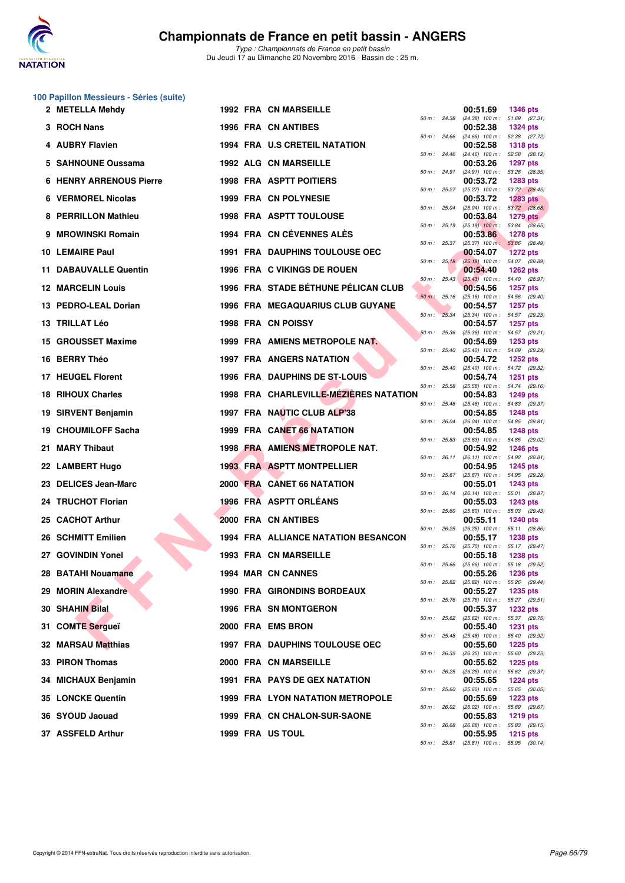

*Type : Championnats de France en petit bassin* Du Jeudi 17 au Dimanche 20 Novembre 2016 - Bassin de : 25 m.

|     | 100 Papillon Messieurs - Séries (suite) |  |                                            |                |              |                                               |                                  |
|-----|-----------------------------------------|--|--------------------------------------------|----------------|--------------|-----------------------------------------------|----------------------------------|
|     | 2 METELLA Mehdy                         |  | <b>1992 FRA CN MARSEILLE</b>               | 50 m: 24.38    |              | 00:51.69<br>$(24.38)$ 100 m : 51.69 $(27.31)$ | <b>1346 pts</b>                  |
|     | 3 ROCH Nans                             |  | 1996 FRA CN ANTIBES                        |                |              | 00:52.38                                      | <b>1324 pts</b>                  |
|     | 4 AUBRY Flavien                         |  | <b>1994 FRA U.S CRETEIL NATATION</b>       | 50 m: 24.66    |              | $(24.66)$ 100 m : 52.38 $(27.72)$<br>00:52.58 | <b>1318 pts</b>                  |
|     | 5 SAHNOUNE Oussama                      |  | <b>1992 ALG CN MARSEILLE</b>               | 50 m: 24.46    |              | (24.46) 100 m: 52.58 (28.12)<br>00:53.26      | <b>1297 pts</b>                  |
| 6   | <b>HENRY ARRENOUS Pierre</b>            |  | <b>1998 FRA ASPTT POITIERS</b>             |                | 50 m : 24.91 | (24.91) 100 m: 53.26 (28.35)<br>00:53.72      | <b>1283 pts</b>                  |
| 6.  | <b>VERMOREL Nicolas</b>                 |  | 1999 FRA CN POLYNESIE                      |                | 50 m : 25.27 | $(25.27)$ 100 m : 53.72 $(28.45)$<br>00:53.72 | <b>1283 pts</b>                  |
| 8   | <b>PERRILLON Mathieu</b>                |  | <b>1998 FRA ASPTT TOULOUSE</b>             | 50 m : 25.04   |              | $(25.04)$ 100 m : 53.72 $(28.68)$<br>00:53.84 | <b>1279 pts</b>                  |
| 9   | <b>MROWINSKI Romain</b>                 |  | 1994 FRA CN CÉVENNES ALÈS                  |                | 50 m : 25.19 | $(25.19)$ 100 m : 53.84 $(28.65)$             |                                  |
|     |                                         |  |                                            | 50 m: 25.37    |              | 00:53.86<br>$(25.37)$ 100 m:                  | <b>1278 pts</b><br>53.86 (28.49) |
|     | 10 LEMAIRE Paul                         |  | <b>1991 FRA DAUPHINS TOULOUSE OEC</b>      |                | 50 m: 25.18  | 00:54.07<br>$(25.18)$ 100 m : 54.07 (28.89)   | <b>1272 pts</b>                  |
|     | <b>11 DABAUVALLE Quentin</b>            |  | 1996 FRA C VIKINGS DE ROUEN                | 50 m : 25.43   |              | 00:54.40<br>$(25.43)$ 100 m : 54.40 (28.97)   | <b>1262 pts</b>                  |
|     | <b>12 MARCELIN Louis</b>                |  | 1996 FRA STADE BÉTHUNE PÉLICAN CLUB        | $50 m$ : 25.16 |              | 00:54.56<br>(25.16) 100 m: 54.56 (29.40)      | <b>1257 pts</b>                  |
| 13. | <b>PEDRO-LEAL Dorian</b>                |  | <b>1996 FRA MEGAQUARIUS CLUB GUYANE</b>    |                | 50 m: 25.34  | 00:54.57<br>(25.34) 100 m: 54.57 (29.23)      | <b>1257 pts</b>                  |
|     | 13 TRILLAT Léo                          |  | 1998 FRA CN POISSY                         |                |              | 00:54.57                                      | <b>1257 pts</b>                  |
| 15  | <b>GROUSSET Maxime</b>                  |  | 1999 FRA AMIENS METROPOLE NAT.             | 50 m : 25.36   |              | (25.36) 100 m: 54.57 (29.21)<br>00:54.69      | <b>1253 pts</b>                  |
|     | 16 BERRY Théo                           |  | <b>1997 FRA ANGERS NATATION</b>            | 50 m: 25.40    |              | $(25.40)$ 100 m : 54.69 $(29.29)$<br>00:54.72 | <b>1252 pts</b>                  |
|     | 17 HEUGEL Florent                       |  | 1996 FRA DAUPHINS DE ST-LOUIS              | $50 m$ : 25.40 |              | (25.40) 100 m: 54.72 (29.32)<br>00:54.74      | <b>1251 pts</b>                  |
| 18  | <b>RIHOUX Charles</b>                   |  | 1998 FRA CHARLEVILLE-MÉZIÈRES NATATION     | 50 m: 25.58    |              | $(25.58)$ 100 m : 54.74 $(29.16)$<br>00:54.83 | <b>1249 pts</b>                  |
| 19  | <b>SIRVENT Benjamin</b>                 |  | 1997 FRA NAUTIC CLUB ALP'38                | 50 m: 25.46    |              | (25.46) 100 m: 54.83 (29.37)<br>00:54.85      | <b>1248 pts</b>                  |
|     |                                         |  | 1999 FRA CANET 66 NATATION                 | 50 m : 26.04   |              | (26.04) 100 m: 54.85 (28.81)                  |                                  |
| 19  | <b>CHOUMILOFF Sacha</b>                 |  |                                            | 50 m: 25.83    |              | 00:54.85<br>(25.83) 100 m: 54.85 (29.02)      | <b>1248 pts</b>                  |
| 21. | <b>MARY Thibaut</b>                     |  | 1998 FRA AMIENS METROPOLE NAT.             |                | 50 m: 26.11  | 00:54.92<br>$(26.11)$ 100 m : 54.92 $(28.81)$ | <b>1246 pts</b>                  |
|     | 22 LAMBERT Hugo                         |  | <b>1993 FRA ASPTT MONTPELLIER</b>          |                | 50 m: 25.67  | 00:54.95<br>(25.67) 100 m: 54.95 (29.28)      | 1245 pts                         |
| 23  | <b>DELICES Jean-Marc</b>                |  | 2000 FRA CANET 66 NATATION                 | 50 m : 26.14   |              | 00:55.01<br>(26.14) 100 m: 55.01 (28.87)      | 1243 pts                         |
|     | 24 TRUCHOT Florian                      |  | 1996 FRA ASPTT ORLÉANS                     | 50 m: 25.60    |              | 00:55.03<br>(25.60) 100 m: 55.03 (29.43)      | <b>1243 pts</b>                  |
| 25  | <b>CACHOT Arthur</b>                    |  | 2000 FRA CN ANTIBES                        |                |              | 00:55.11                                      | <b>1240 pts</b>                  |
|     | 26 SCHMITT Emilien                      |  | <b>1994 FRA ALLIANCE NATATION BESANCON</b> |                | 50 m : 26.25 | $(26.25)$ 100 m : 55.11 $(28.86)$<br>00:55.17 | <b>1238 pts</b>                  |
|     | 27 GOVINDIN Yonel                       |  | 1993 FRA CN MARSEILLE                      | 50 m : 25.70   |              | (25.70) 100 m: 55.17 (29.47)<br>00:55.18      | <b>1238 pts</b>                  |
|     | 28 BATAHI Nouamane                      |  | 1994 MAR CN CANNES                         | 50 m : 25.66   |              | $(25.66)$ 100 m :<br>00:55.26                 | 55.18 (29.52)<br><b>1236 pts</b> |
|     | 29 MORIN Alexandre                      |  | 1990 FRA GIRONDINS BORDEAUX                | 50 m: 25.82    |              | (25.82) 100 m: 55.26 (29.44)<br>00:55.27      | <b>1235 pts</b>                  |
|     | 30 SHAHIN Bilal                         |  | 1996 FRA SN MONTGERON                      | 50 m: 25.76    |              | $(25.76)$ 100 m : 55.27 $(29.51)$<br>00:55.37 | <b>1232 pts</b>                  |
|     |                                         |  |                                            | 50 m: 25.62    |              | $(25.62)$ 100 m : 55.37 $(29.75)$             |                                  |
| 31  | <b>COMTE Sergueï</b>                    |  | 2000 FRA EMS BRON                          | 50 m: 25.48    |              | 00:55.40<br>$(25.48)$ 100 m : 55.40 $(29.92)$ | 1231 pts                         |
|     | 32 MARSAU Matthias                      |  | <b>1997 FRA DAUPHINS TOULOUSE OEC</b>      | 50 m : 26.35   |              | 00:55.60<br>(26.35) 100 m: 55.60 (29.25)      | <b>1225 pts</b>                  |
| 33. | <b>PIRON Thomas</b>                     |  | 2000 FRA CN MARSEILLE                      | 50 m : 26.25   |              | 00:55.62<br>(26.25) 100 m: 55.62 (29.37)      | <b>1225 pts</b>                  |
|     | <b>MICHAUX Benjamin</b>                 |  | <b>1991 FRA PAYS DE GEX NATATION</b>       | 50 m: 25.60    |              | 00:55.65<br>$(25.60)$ 100 m : 55.65 $(30.05)$ | <b>1224 pts</b>                  |
|     | 35 LONCKE Quentin                       |  | <b>1999 FRA LYON NATATION METROPOLE</b>    | 50 m: 26.02    |              | 00:55.69<br>(26.02) 100 m: 55.69 (29.67)      | <b>1223 pts</b>                  |
|     | 36 SYOUD Jaouad                         |  | 1999 FRA CN CHALON-SUR-SAONE               |                |              | 00:55.83                                      | <b>1219 pts</b>                  |
|     | 37 ASSFELD Arthur                       |  | 1999 FRA US TOUL                           | 50 m : 26.68   |              | (26.68) 100 m: 55.83 (29.15)<br>00:55.95      | <b>1215 pts</b>                  |

*50 m : 25.81 (25.81) 100 m : 55.95 (30.14)*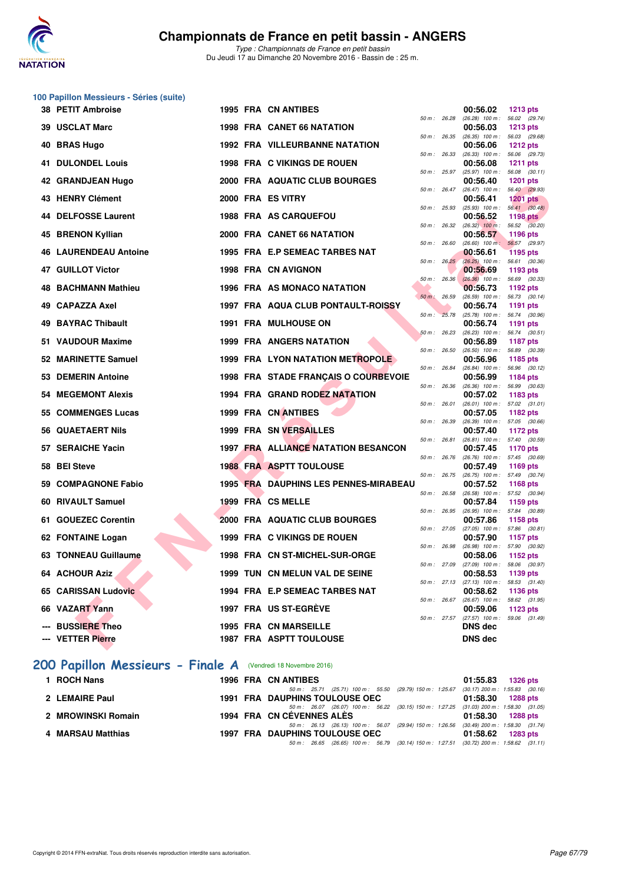

|     | 100 Papillon Messieurs - Séries (suite) |  |                                              |              |              |                                                        |                                  |
|-----|-----------------------------------------|--|----------------------------------------------|--------------|--------------|--------------------------------------------------------|----------------------------------|
|     | 38 PETIT Ambroise                       |  | <b>1995 FRA CN ANTIBES</b>                   |              |              | 00:56.02                                               | <b>1213 pts</b>                  |
|     | 39 USCLAT Marc                          |  | 1998 FRA CANET 66 NATATION                   | 50 m: 26.28  |              | $(26.28)$ 100 m : 56.02 $(29.74)$<br>00:56.03          | <b>1213 pts</b>                  |
|     |                                         |  |                                              | 50 m : 26.35 |              | $(26.35)$ 100 m : 56.03 $(29.68)$                      |                                  |
| 40  | <b>BRAS Hugo</b>                        |  | <b>1992 FRA VILLEURBANNE NATATION</b>        | 50 m : 26.33 |              | 00:56.06<br>$(26.33)$ 100 m : 56.06 $(29.73)$          | <b>1212 pts</b>                  |
|     | <b>41 DULONDEL Louis</b>                |  | 1998 FRA C VIKINGS DE ROUEN                  |              |              | 00:56.08                                               | <b>1211 pts</b>                  |
|     | 42 GRANDJEAN Hugo                       |  | 2000 FRA AQUATIC CLUB BOURGES                | 50 m : 25.97 |              | $(25.97)$ 100 m : 56.08 $(30.11)$<br>00:56.40          | <b>1201 pts</b>                  |
|     |                                         |  |                                              | 50 m : 26.47 |              | (26.47) 100 m: 56.40 (29.93)                           |                                  |
|     | 43 HENRY Clément                        |  | 2000 FRA ES VITRY                            |              |              | 00:56.41                                               | <b>1201 pts</b>                  |
|     | 44 DELFOSSE Laurent                     |  | <b>1988 FRA AS CARQUEFOU</b>                 | 50 m: 25.93  |              | $(25.93)$ 100 m : 56.41 $(30.48)$<br>00:56.52          | <b>1198 pts</b>                  |
|     |                                         |  |                                              | 50 m: 26.32  |              | $(26.32)$ 100 m : 56.52 $(30.20)$                      |                                  |
| 45  | <b>BRENON Kyllian</b>                   |  | 2000 FRA CANET 66 NATATION                   | 50 m: 26.60  |              | 00:56.57<br>$(26.60)$ 100 m;                           | 1196 pts<br>56.57 (29.97)        |
|     | <b>46 LAURENDEAU Antoine</b>            |  | 1995 FRA E.P SEMEAC TARBES NAT               |              |              | 00:56.61                                               | <b>1195 pts</b>                  |
|     | 47 GUILLOT Victor                       |  | 1998 FRA CN AVIGNON                          | 50 m: 26.25  |              | $(26.25)$ 100 m : 56.61 $(30.36)$<br>00:56.69          | 1193 pts                         |
|     |                                         |  |                                              | 50 m: 26.36  |              | $(26.36)$ 100 m : 56.69 (30.33)                        |                                  |
|     | 48 BACHMANN Mathieu                     |  | 1996 FRA AS MONACO NATATION                  | 50 m : 26.59 |              | 00:56.73<br>$(26.59)$ 100 m : 56.73 $(30.14)$          | 1192 pts                         |
| 49  | <b>CAPAZZA Axel</b>                     |  | 1997 FRA AQUA CLUB PONTAULT-ROISSY           |              |              | 00:56.74                                               | 1191 pts                         |
| 49  | <b>BAYRAC Thibault</b>                  |  | <b>1991 FRA MULHOUSE ON</b>                  | 50 m: 25.78  |              | $(25.78)$ 100 m : 56.74 $(30.96)$<br>00:56.74          | 1191 pts                         |
|     |                                         |  |                                              | 50 m: 26.23  |              | $(26.23)$ 100 m : 56.74 $(30.51)$                      |                                  |
|     | 51 VAUDOUR Maxime                       |  | <b>1999 FRA ANGERS NATATION</b>              | 50 m: 26.50  |              | 00:56.89<br>$(26.50)$ 100 m :                          | <b>1187 pts</b><br>56.89 (30.39) |
|     | 52 MARINETTE Samuel                     |  | <b>1999 FRA LYON NATATION METROPOLE</b>      |              |              | 00:56.96                                               | 1185 pts                         |
|     | 53 DEMERIN Antoine                      |  | 1998 FRA STADE FRANÇAIS O COURBEVOIE         | 50 m : 26.84 |              | $(26.84)$ 100 m :<br>00:56.99                          | 56.96 (30.12)<br>1184 pts        |
|     |                                         |  |                                              | 50 m : 26.36 |              | $(26.36)$ 100 m : 56.99 $(30.63)$                      |                                  |
|     | <b>54 MEGEMONT Alexis</b>               |  | 1994 FRA GRAND RODEZ NATATION                | 50 m: 26.01  |              | 00:57.02                                               | 1183 pts                         |
|     | 55 COMMENGES Lucas                      |  | 1999 FRA CN ANTIBES                          |              |              | $(26.01)$ 100 m : 57.02 $(31.01)$<br>00:57.05          | 1182 pts                         |
|     |                                         |  |                                              | 50 m : 26.39 |              | $(26.39)$ 100 m : 57.05 $(30.66)$                      |                                  |
|     | 56 QUAETAERT Nils                       |  | <b>1999 FRA SN VERSAILLES</b>                | 50 m : 26.81 |              | 00:57.40<br>$(26.81)$ 100 m : 57.40 $(30.59)$          | <b>1172 pts</b>                  |
|     | 57 SERAICHE Yacin                       |  | 1997 FRA ALLIANCE NATATION BESANCON          |              |              | 00:57.45                                               | <b>1170 pts</b>                  |
|     | 58 BEI Steve                            |  | <b>1988 FRA ASPTT TOULOUSE</b>               | 50 m: 26.76  |              | (26.76) 100 m: 57.45 (30.69)<br>00:57.49               | 1169 pts                         |
|     |                                         |  |                                              | 50 m : 26.75 |              | $(26.75)$ 100 m : 57.49 $(30.74)$                      |                                  |
| 59. | <b>COMPAGNONE Fabio</b>                 |  | <b>1995 FRA DAUPHINS LES PENNES-MIRABEAU</b> | 50 m : 26.58 |              | 00:57.52<br>$(26.58)$ 100 m :                          | <b>1168 pts</b><br>57.52 (30.94) |
|     | 60 RIVAULT Samuel                       |  | 1999 FRA CS MELLE                            |              |              | 00:57.84                                               | 1159 pts                         |
|     | 61 GOUEZEC Corentin                     |  | 2000 FRA AQUATIC CLUB BOURGES                | 50 m: 26.95  |              | (26.95) 100 m: 57.84 (30.89)<br>00:57.86               | 1158 pts                         |
|     |                                         |  |                                              |              | 50 m : 27.05 | $(27.05)$ 100 m : 57.86 $(30.81)$                      |                                  |
|     | 62 FONTAINE Logan                       |  | 1999 FRA C VIKINGS DE ROUEN                  | 50 m : 26.98 |              | 00:57.90<br>(26.98) 100 m: 57.90 (30.92)               | <b>1157 pts</b>                  |
|     | 63 TONNEAU Guillaume                    |  | 1998 FRA CN ST-MICHEL-SUR-ORGE               |              |              | 00:58.06                                               | 1152 pts                         |
|     | <b>64 ACHOUR Aziz</b>                   |  | 1999 TUN CN MELUN VAL DE SEINE               |              |              | 50 m : 27.09 (27.09) 100 m : 58.06 (30.97)<br>00:58.53 | 1139 pts                         |
|     |                                         |  |                                              |              |              | 50 m: 27.13 (27.13) 100 m: 58.53 (31.40)               |                                  |
|     | 65 CARISSAN Ludovic                     |  | 1994 FRA E.P SEMEAC TARBES NAT               |              | 50 m : 26.67 | 00:58.62<br>$(26.67)$ 100 m :                          | 1136 pts<br>58.62 (31.95)        |
|     | 66 VAZART Yann                          |  | 1997 FRA US ST-EGREVE                        |              |              | 00:59.06                                               | <b>1123 pts</b>                  |
|     | <b>BUSSIERE Theo</b>                    |  | <b>1995 FRA CN MARSEILLE</b>                 |              | 50 m : 27.57 | $(27.57)$ 100 m :<br><b>DNS dec</b>                    | 59.06 (31.49)                    |
|     | --- VETTER Pierre                       |  | 1987 FRA ASPTT TOULOUSE                      |              |              | <b>DNS dec</b>                                         |                                  |
|     |                                         |  |                                              |              |              |                                                        |                                  |

## **[200 Papillon Messieurs - Finale A](http://www.ffnatation.fr/webffn/resultats.php?idact=nat&go=epr&idcpt=41163&idepr=83)** (Vendredi 18 Novembre 2016)

| 1 ROCH Nans        | <b>1996 FRA CN ANTIBES</b>                                                                | 01:55.83 1326 pts   |
|--------------------|-------------------------------------------------------------------------------------------|---------------------|
|                    | 50 m: 25.71 (25.71) 100 m: 55.50 (29.79) 150 m: 1.25.67 (30.17) 200 m: 1.55.83 (30.16     |                     |
| 2 LEMAIRE Paul     | <b>1991 FRA DAUPHINS TOULOUSE OEC</b>                                                     | 01:58.30 1288 pts   |
|                    | 50 m: 26.07 (26.07) 100 m: 56.22 (30.15) 150 m: 1.27.25 (31.03) 200 m: 1.58.30 (31.05     |                     |
| 2 MROWINSKI Romain | 1994 FRA CN CEVENNES ALES                                                                 | $01:58.30$ 1288 pts |
|                    | 50 m : 26.13 (26.13) 100 m : 56.07 (29.94) 150 m : 1.26.56 (30.49) 200 m : 1.58.30 (31.74 |                     |
| 4 MARSAU Matthias  | <b>1997 FRA DAUPHINS TOULOUSE OEC</b>                                                     | $01:58.62$ 1283 pts |
|                    | 50 m : 26.65 (26.65) 100 m : 56.79 (30.14) 150 m : 1:27.51 (30.72) 200 m : 1:58.62 (31.11 |                     |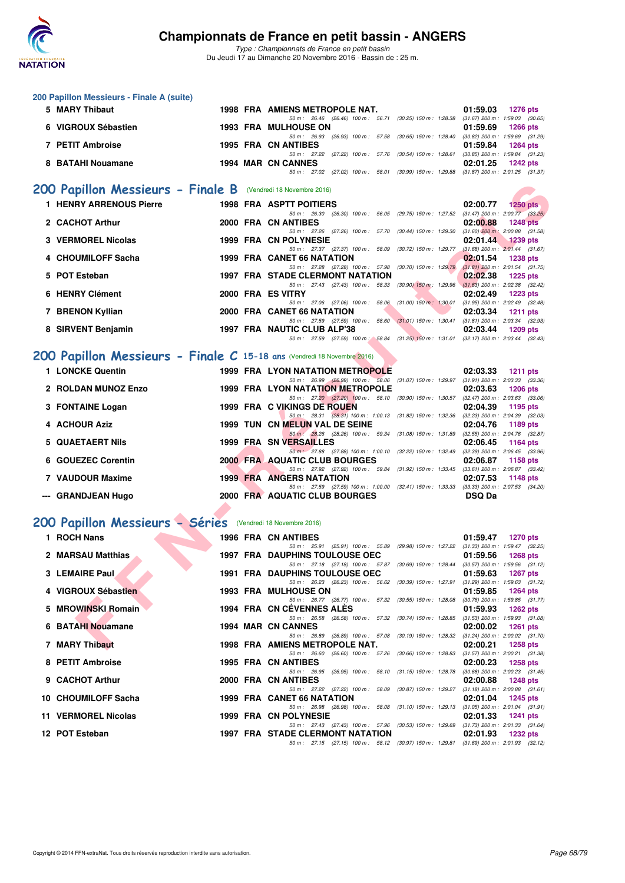

|   | 200 Papillon Messieurs - Finale A (suite)                               |                                                                                                                                   |                                                                    |
|---|-------------------------------------------------------------------------|-----------------------------------------------------------------------------------------------------------------------------------|--------------------------------------------------------------------|
|   | 5 MARY Thibaut                                                          | 1998 FRA AMIENS METROPOLE NAT.                                                                                                    | 01:59.03<br><b>1276 pts</b>                                        |
|   | 6 VIGROUX Sébastien                                                     | 50 m: 26.46 (26.46) 100 m: 56.71 (30.25) 150 m: 1:28.38 (31.67) 200 m: 1:59.03 (30.65)<br><b>1993 FRA MULHOUSE ON</b>             | 01:59.69<br>1266 pts                                               |
|   | 7 PETIT Ambroise                                                        | 50 m: 26.93 (26.93) 100 m: 57.58 (30.65) 150 m: 1:28.40<br><b>1995 FRA CN ANTIBES</b>                                             | $(30.82)$ 200 m : 1:59.69 $(31.29)$<br>01:59.84<br>1264 pts        |
|   | 8 BATAHI Nouamane                                                       | 50 m : 27.22 (27.22) 100 m : 57.76 (30.54) 150 m : 1:28.61<br><b>1994 MAR CN CANNES</b>                                           | $(30.85)$ 200 m : 1:59.84 $(31.23)$<br>02:01.25<br><b>1242 pts</b> |
|   |                                                                         | 50 m: 27.02 (27.02) 100 m: 58.01 (30.99) 150 m: 1:29.88                                                                           | $(31.87)$ 200 m : 2:01.25 $(31.37)$                                |
|   | 200 Papillon Messieurs - Finale B                                       | (Vendredi 18 Novembre 2016)                                                                                                       |                                                                    |
|   | <b>1 HENRY ARRENOUS Pierre</b>                                          | <b>1998 FRA ASPTT POITIERS</b><br>50 m : 26.30 (26.30) 100 m : 56.05 (29.75) 150 m : 1:27.52                                      | 02:00.77<br>$1250$ pts<br>$(31.47)$ 200 m : 2:00.77 $(33.25)$      |
|   | 2 CACHOT Arthur                                                         | 2000 FRA CN ANTIBES<br>50 m: 27.26 (27.26) 100 m: 57.70 (30.44) 150 m: 1:29.30                                                    | 02:00.88<br><b>1248 pts</b><br>$(31.60)$ 200 m : 2:00.88 $(31.58)$ |
|   | 3 VERMOREL Nicolas                                                      | 1999 FRA CN POLYNESIE<br>50 m: 27.37 (27.37) 100 m: 58.09 (30.72) 150 m: 1:29.77                                                  | 02:01.44<br><b>1239 pts</b><br>$(31.68)$ 200 m : 2:01.44 $(31.67)$ |
|   | 4 CHOUMILOFF Sacha                                                      | 1999 FRA CANET 66 NATATION<br>50 m: 27.28 (27.28) 100 m: 57.98 (30.70) 150 m: 1:29.79                                             | 02:01.54<br><b>1238 pts</b><br>$(31.81)$ 200 m : 2:01.54 $(31.75)$ |
|   | 5 POT Esteban                                                           | <b>1997 FRA STADE CLERMONT NATATION</b>                                                                                           | 02:02.38<br><b>1225 pts</b>                                        |
|   | 6 HENRY Clément                                                         | 50 m: 27.43 (27.43) 100 m: 58.33 (30.90) 150 m: 1:29.96<br>2000 FRA ES VITRY                                                      | $(31.63)$ 200 m : 2:02.38 $(32.42)$<br>02:02.49<br><b>1223 pts</b> |
|   | 7 BRENON Kyllian                                                        | 50 m: 27.06 (27.06) 100 m: 58.06 (31.00) 150 m: 1:30.01<br>2000 FRA CANET 66 NATATION                                             | $(31.95)$ 200 m : 2:02.49 $(32.48)$<br>02:03.34<br><b>1211 pts</b> |
|   | 8 SIRVENT Benjamin                                                      | 50 m: 27.59 (27.59) 100 m: 58.60 (31.01) 150 m: 1:30.41 (31.81) 200 m: 2:03.34 (32.93)<br>1997 FRA NAUTIC CLUB ALP'38             | 02:03.44<br><b>1209 pts</b>                                        |
|   |                                                                         | 50 m: 27.59 (27.59) 100 m: 58.84 (31.25) 150 m: 1:31.01 (32.17) 200 m: 2:03.44 (32.43)                                            |                                                                    |
|   | 200 Papillon Messieurs - Finale C 15-18 ans (Vendredi 18 Novembre 2016) |                                                                                                                                   |                                                                    |
|   | 1 LONCKE Quentin                                                        | <b>1999 FRA LYON NATATION METROPOLE</b><br>50 m: 26.99 (26.99) 100 m: 58.06 (31.07) 150 m: 1.29.97 (31.91) 200 m: 2.03.33 (33.36) | 02:03.33<br><b>1211 pts</b>                                        |
|   | 2 ROLDAN MUNOZ Enzo                                                     | <b>1999 FRA LYON NATATION METROPOLE</b><br>50 m: 27.20 (27.20) 100 m: 58.10 (30.90) 150 m: 1:30.57 (32.47) 200 m: 2:03.63 (33.06) | 02:03.63<br><b>1206 pts</b>                                        |
|   | 3 FONTAINE Logan                                                        | 1999 FRA C VIKINGS DE ROUEN<br>50 m: 28.31 (28.31) 100 m: 1:00.13 (31.82) 150 m: 1:32.36                                          | 02:04.39<br>1195 pts<br>$(32.23)$ 200 m : 2:04.39 $(32.03)$        |
|   | 4 ACHOUR Aziz                                                           | 1999 TUN CN MELUN VAL DE SEINE<br>50 m: 28.26 (28.26) 100 m: 59.34 (31.08) 150 m: 1:31.89 (32.55) 200 m: 2:04.76 (32.87)          | 02:04.76<br>1189 pts                                               |
| 5 | <b>QUAETAERT Nils</b>                                                   | 1999 FRA SN VERSAILLES                                                                                                            | 02:06.45<br>1164 pts                                               |
| 6 | <b>GOUEZEC Corentin</b>                                                 | 50 m: 27.88 (27.88) 100 m: 1:00.10 (32.22) 150 m: 1:32.49<br><b>2000 FRA AQUATIC CLUB BOURGES</b>                                 | $(32.39)$ 200 m : 2:06.45 $(33.96)$<br>02:06.87<br>1158 pts        |
|   | 7 VAUDOUR Maxime                                                        | 50 m: 27.92 (27.92) 100 m: 59.84 (31.92) 150 m: 1:33.45<br><b>1999 FRA ANGERS NATATION</b>                                        | $(33.61)$ 200 m : 2:06.87 $(33.42)$<br>02:07.53<br><b>1148 pts</b> |
|   | --- GRANDJEAN Hugo                                                      | 50 m: 27.59 (27.59) 100 m: 1:00.00 (32.41) 150 m: 1:33.33 (33.33) 200 m: 2:07.53 (34.20)<br>2000 FRA AQUATIC CLUB BOURGES         | <b>DSQ Da</b>                                                      |
|   |                                                                         |                                                                                                                                   |                                                                    |
|   | 200 Papillon Messieurs - Séries (Vendredi 18 Novembre 2016)             |                                                                                                                                   |                                                                    |
|   | 1 ROCH Nans                                                             | <b>1996 FRA CN ANTIBES</b><br>50 m: 25.91 (25.91) 100 m: 55.89 (29.98) 150 m: 1:27.22 (31.33) 200 m: 1:59.47 (32.25)              | 01:59.47<br><b>1270 pts</b>                                        |
|   | 2 MARSAU Matthias                                                       | 1997 FRA DAUPHINS TOULOUSE OEC<br>50 m: 27.18 (27.18) 100 m: 57.87 (30.69) 150 m: 1:28.44 (30.57) 200 m: 1:59.56 (31.12)          | 01:59.56<br><b>1268 pts</b>                                        |
|   | 3 LEMAIRE Paul                                                          | <b>1991 FRA DAUPHINS TOULOUSE OEC</b><br>50 m: 26.23 (26.23) 100 m: 56.62 (30.39) 150 m: 1:27.91 (31.29) 200 m: 1:59.63 (31.72)   | 01:59.63<br>1267 pts                                               |
|   | 4 VIGROUX Sébastien                                                     | <b>1993 FRA MULHOUSE ON</b>                                                                                                       | 01:59.85<br>1264 pts                                               |
|   | 5 MROWINSKI Romain                                                      | 50 m: 26.77 (26.77) 100 m: 57.32 (30.55) 150 m: 1:28.08 (30.76) 200 m: 1:59.85 (31.77)<br>1994 FRA CN CEVENNES ALES               | 01:59.93<br>1262 pts                                               |
|   | 6 BATAHI Nouamane                                                       | 50 m: 26.58 (26.58) 100 m: 57.32 (30.74) 150 m: 1:28.85 (31.53) 200 m: 1:59.93 (31.08)<br>1994 MAR CN CANNES                      | 02:00.02<br>1261 pts                                               |
|   | 7 MARY Thibaut                                                          | 50 m: 26.89 (26.89) 100 m: 57.08 (30.19) 150 m: 1:28.32 (31.24) 200 m: 2:00.02 (31.70)<br>1998 FRA AMIENS METROPOLE NAT.          | 02:00.21<br><b>1258 pts</b>                                        |
|   | 8 PETIT Ambroise                                                        | 50 m: 26.60 (26.60) 100 m: 57.26 (30.66) 150 m: 1:28.83 (31.57) 200 m: 2:00.21 (31.38)<br><b>1995 FRA CN ANTIBES</b>              | 02:00.23<br>1258 pts                                               |
|   | 9 CACHOT Arthur                                                         | 50 m: 26.95 (26.95) 100 m: 58.10 (31.15) 150 m: 1:28.78<br>2000 FRA CN ANTIBES                                                    | $(30.68)$ 200 m : 2:00.23 $(31.45)$<br>02:00.88<br>1248 pts        |
|   | 10 CHOUMILOFF Sacha                                                     | 50 m: 27.22 (27.22) 100 m: 58.09 (30.87) 150 m: 1:29.27<br><b>1999 FRA CANET 66 NATATION</b>                                      | $(31.18)$ 200 m : 2:00.88 $(31.61)$<br>02:01.04<br>1245 pts        |
|   | 11 VERMOREL Nicolas                                                     | 50 m: 26.98 (26.98) 100 m: 58.08 (31.10) 150 m: 1:29.13 (31.05) 200 m: 2:01.04 (31.91)<br>1999 FRA CN POLYNESIE                   |                                                                    |
|   |                                                                         | 50 m: 27.43 (27.43) 100 m: 57.96 (30.53) 150 m: 1:29.69 (31.73) 200 m: 2:01.33 (31.64)                                            | 02:01.33<br>1241 pts                                               |
|   | 12 POT Esteban                                                          | 1997 FRA STADE CLERMONT NATATION<br>50 m: 27.15 (27.15) 100 m: 58.12 (30.97) 150 m: 1:29.81 (31.69) 200 m: 2:01.93 (32.12)        | 02:01.93<br>1232 pts                                               |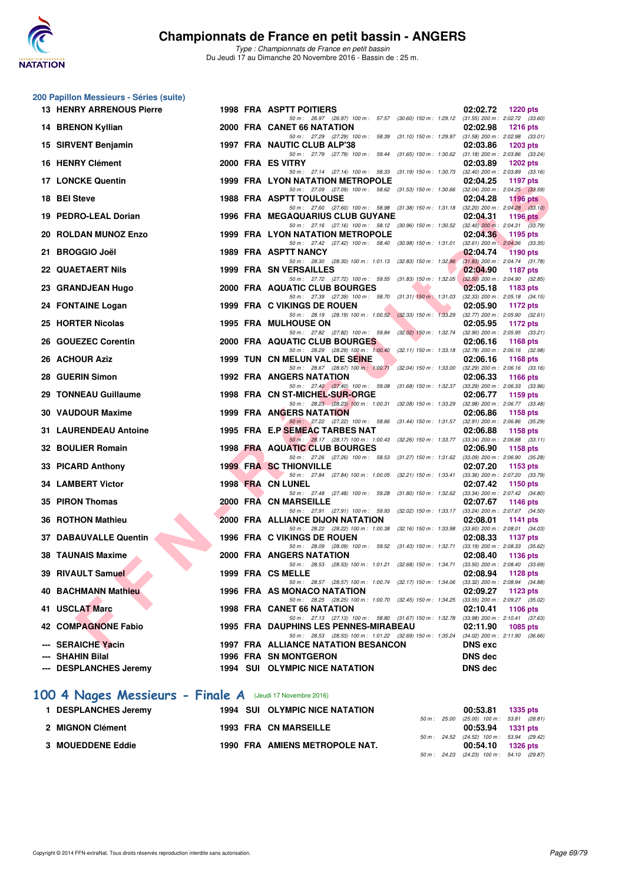

*Type : Championnats de France en petit bassin* Du Jeudi 17 au Dimanche 20 Novembre 2016 - Bassin de : 25 m.

|    | 200 Papillon Messieurs - Séries (suite) |  |                                                                                                                                   |                                                                      |
|----|-----------------------------------------|--|-----------------------------------------------------------------------------------------------------------------------------------|----------------------------------------------------------------------|
|    | <b>13 HENRY ARRENOUS Pierre</b>         |  | <b>1998 FRA ASPTT POITIERS</b>                                                                                                    | 02:02.72<br><b>1220 pts</b>                                          |
|    | <b>14 BRENON Kyllian</b>                |  | 50 m: 26.97 (26.97) 100 m: 57.57 (30.60) 150 m: 1:29.12 (31.55) 200 m: 2:02.72 (33.60)<br>2000 FRA CANET 66 NATATION              | 02:02.98<br><b>1216 pts</b>                                          |
|    | 15 SIRVENT Benjamin                     |  | 50 m: 27.29 (27.29) 100 m: 58.39 (31.10) 150 m: 1:29.97 (31.58) 200 m: 2:02.98 (33.01)<br>1997 FRA NAUTIC CLUB ALP'38             | 02:03.86<br><b>1203 pts</b>                                          |
|    | 16 HENRY Clément                        |  | 50 m: 27.79 (27.79) 100 m: 59.44 (31.65) 150 m: 1:30.62<br>2000 FRA ES VITRY                                                      | $(31.18)$ 200 m : 2:03.86 $(33.24)$<br>02:03.89<br><b>1202 pts</b>   |
|    | <b>17 LONCKE Quentin</b>                |  | 50 m: 27.14 (27.14) 100 m: 58.33 (31.19) 150 m: 1:30.73<br><b>1999 FRA LYON NATATION METROPOLE</b>                                | $(32.40)$ 200 m : $2:03.89$ $(33.16)$<br>02:04.25<br><b>1197 pts</b> |
|    | 18 BEI Steve                            |  | 50 m: 27.09 (27.09) 100 m: 58.62 (31.53) 150 m: 1:30.66 (32.04) 200 m: 2:04.25 (33.59)<br><b>1988 FRA ASPTT TOULOUSE</b>          | 02:04.28<br><b>1196 pts</b>                                          |
|    | 19 PEDRO-LEAL Dorian                    |  | 50 m: 27.60 (27.60) 100 m: 58.98 (31.38) 150 m: 1:31.18 (32.20) 200 m: 2:04.28 (33.10)<br><b>1996 FRA MEGAQUARIUS CLUB GUYANE</b> | 02:04.31<br>1196 pts                                                 |
|    | 20 ROLDAN MUNOZ Enzo                    |  | 50 m: 27.16 (27.16) 100 m: 58.12 (30.96) 150 m: 1:30.52 (32.40) 200 m: 2:04.31 (33.79)<br><b>1999 FRA LYON NATATION METROPOLE</b> | 02:04.36<br>1195 pts                                                 |
|    | 21 BROGGIO Joël                         |  | 50 m: 27.42 (27.42) 100 m: 58.40 (30.98) 150 m: 1:31.01<br>1989 FRA ASPTT NANCY                                                   | $(32.61)$ 200 m : $2.04.36$ $(33.35)$<br>02:04.74<br><b>1190 pts</b> |
|    | <b>22 QUAETAERT Nils</b>                |  | 50 m: 28.30 (28.30) 100 m: 1:01.13 (32.83) 150 m: 1:32.96<br>1999 FRA SN VERSAILLES                                               | $(31.83)$ 200 m : 2:04.74 $(31.78)$<br>02:04.90<br><b>1187 pts</b>   |
|    | 23 GRANDJEAN Hugo                       |  | 50 m: 27.72 (27.72) 100 m: 59.55 (31.83) 150 m: 1:32.05<br>2000 FRA AQUATIC CLUB BOURGES                                          | $(32.50)$ 200 m : 2:04.90 $(32.85)$<br>02:05.18<br>1183 pts          |
|    | 24 FONTAINE Logan                       |  | 50 m: 27.39 (27.39) 100 m: 58.70 (31.31) 150 m: 1:31.03<br>1999 FRA C VIKINGS DE ROUEN                                            | $(32.33)$ 200 m : 2:05.18 $(34.15)$<br>02:05.90<br><b>1172 pts</b>   |
|    | 25 HORTER Nicolas                       |  | 50 m: 28.19 (28.19) 100 m: 1:00.52 (32.33) 150 m: 1:33.29 (32.77) 200 m: 2:05.90 (32.61)<br><b>1995 FRA MULHOUSE ON</b>           | 02:05.95<br><b>1172 pts</b>                                          |
|    | 26 GOUEZEC Corentin                     |  | 50 m: 27.82 (27.82) 100 m: 59.84 (32.02) 150 m: 1:32.74<br>2000 FRA AQUATIC CLUB BOURGES                                          | $(32.90)$ 200 m : 2:05.95 $(33.21)$<br>02:06.16<br>1168 pts          |
|    | 26 ACHOUR Aziz                          |  | 50 m: 28.29 (28.29) 100 m: 1:00.40 (32.11) 150 m: 1:33.18 (32.78) 200 m: 2:06.16 (32.98)<br>1999 TUN CN MELUN VAL DE SEINE        | 02:06.16<br><b>1168 pts</b>                                          |
|    | 28 GUERIN Simon                         |  | 50 m: 28.67 (28.67) 100 m: 1:00.71 (32.04) 150 m: 1:33.00<br><b>1992 FRA ANGERS NATATION</b>                                      | $(32.29)$ 200 m : $2.06.16$ $(33.16)$<br>02:06.33<br><b>1166 pts</b> |
|    | 29 TONNEAU Guillaume                    |  | 50 m: 27.40 (27.40) 100 m: 59.08 (31.68) 150 m: 1:32.37<br>1998 FRA CN ST-MICHEL-SUR-ORGE                                         | $(33.29)$ 200 m : 2:06.33 $(33.96)$<br>02:06.77<br>1159 pts          |
|    | 30 VAUDOUR Maxime                       |  | 50 m: 28.23 (28.23) 100 m: 1:00.31 (32.08) 150 m: 1:33.29<br><b>1999 FRA ANGERS NATATION</b>                                      | (32.98) 200 m : 2:06.77 (33.48)<br>02:06.86<br>1158 pts              |
|    | <b>31 LAURENDEAU Antoine</b>            |  | 50 m: 27.22 (27.22) 100 m: 58.66 (31.44) 150 m: 1:31.57 (32.91) 200 m: 2:06.86 (35.29)<br>1995 FRA E.P SEMEAC TARBES NAT          | 02:06.88<br>1158 pts                                                 |
|    | 32 BOULIER Romain                       |  | 50 m: 28.17 (28.17) 100 m: 1:00.43 (32.26) 150 m: 1:33.77 (33.34) 200 m: 2:06.88 (33.11)<br>1998 FRA AQUATIC CLUB BOURGES         | 02:06.90<br>1158 pts                                                 |
|    | 33 PICARD Anthony                       |  | 50 m: 27.26 (27.26) 100 m: 58.53 (31.27) 150 m: 1:31.62 (33.09) 200 m: 2:06.90 (35.28)<br><b>1999 FRA SC THIONVILLE</b>           | 02:07.20<br>1153 pts                                                 |
|    | <b>34 LAMBERT Victor</b>                |  | 50 m: 27.84 (27.84) 100 m: 1:00.05 (32.21) 150 m: 1:33.41<br>1998 FRA CN LUNEL                                                    | (33.36) 200 m : 2:07.20 (33.79)<br>02:07.42<br>1150 pts              |
|    | 35 PIRON Thomas                         |  | 50 m: 27.48 (27.48) 100 m: 59.28 (31.80) 150 m: 1:32.62<br>2000 FRA CN MARSEILLE                                                  | (33.34) 200 m : 2:07.42 (34.80)<br>02:07.67<br><b>1146 pts</b>       |
| 36 | <b>ROTHON Mathieu</b>                   |  | 50 m: 27.91 (27.91) 100 m: 59.93 (32.02) 150 m: 1:33.17<br>2000 FRA ALLIANCE DIJON NATATION                                       | $(33.24)$ 200 m : 2:07.67 $(34.50)$<br>02:08.01<br>1141 pts          |
|    | 37 DABAUVALLE Quentin                   |  | 50 m: 28.22 (28.22) 100 m: 1:00.38 (32.16) 150 m: 1:33.98 (33.60) 200 m: 2:08.01 (34.03)<br>1996 FRA C VIKINGS DE ROUEN           | 02:08.33<br><b>1137 pts</b>                                          |
|    | <b>38 TAUNAIS Maxime</b>                |  | 50 m: 28.09 (28.09) 100 m: 59.52 (31.43) 150 m: 1:32.71<br><b>2000 FRA ANGERS NATATION</b>                                        | $(33.19)$ 200 m : 2:08.33 $(35.62)$<br>02:08.40<br>1136 pts          |
|    | 39 RIVAULT Samuel                       |  | 50 m : 28.53 (28.53) 100 m : 1:01.21 (32.68) 150 m : 1:34.71<br>1999 FRA CS MELLE                                                 | $(33.50)$ 200 m : 2:08.40 $(33.69)$<br>02:08.94<br>1128 pts          |
|    | <b>40 BACHMANN Mathieu</b>              |  | 50 m: 28.57 (28.57) 100 m: 1:00.74 (32.17) 150 m: 1:34.06 (33.32) 200 m: 2:08.94 (34.88)<br>1996 FRA AS MONACO NATATION           | 02:09.27<br>1123 pts                                                 |
|    | 41 USCLAT Marc                          |  | 50 m: 28.25 (28.25) 100 m: 1:00.70 (32.45) 150 m: 1:34.25<br>1998 FRA CANET 66 NATATION                                           | $(33.55)$ 200 m : 2:09.27 $(35.02)$<br>02:10.41<br>1106 pts          |
|    | <b>42 COMPAGNONE Fabio</b>              |  | 50 m: 27.13 (27.13) 100 m: 58.80 (31.67) 150 m: 1:32.78<br>1995 FRA DAUPHINS LES PENNES-MIRABEAU                                  | $(33.98)$ 200 m : 2:10.41 $(37.63)$<br>02:11.90<br>1085 pts          |
|    | --- SERAICHE Yacin                      |  | 50 m: 28.53 (28.53) 100 m: 1:01.22 (32.69) 150 m: 1:35.24<br><b>1997 FRA ALLIANCE NATATION BESANCON</b>                           | $(34.02)$ 200 m : 2:11.90 $(36.66)$<br><b>DNS</b> exc                |
|    | --- SHAHIN Bilal                        |  | <b>1996 FRA SN MONTGERON</b>                                                                                                      | <b>DNS dec</b>                                                       |
|    | <b>DESPLANCHES Jeremy</b>               |  | <b>1994 SUI OLYMPIC NICE NATATION</b>                                                                                             | <b>DNS dec</b>                                                       |
|    |                                         |  |                                                                                                                                   |                                                                      |

# **[100 4 Nages Messieurs - Finale A](http://www.ffnatation.fr/webffn/resultats.php?idact=nat&go=epr&idcpt=41163&idepr=90)** (Jeudi 17 Novembre 2016)

| 1 DESPLANCHES Jeremy | <b>1994 SUI OLYMPIC NICE NATATION</b> |  | 00:53.81 1335 pts                          |  |
|----------------------|---------------------------------------|--|--------------------------------------------|--|
|                      |                                       |  | 50 m : 25.00 (25.00) 100 m : 53.81 (28.81) |  |
| 2 MIGNON Clément     | <b>1993 FRA CN MARSEILLE</b>          |  | 00:53.94 1331 pts                          |  |
|                      |                                       |  | 50 m: 24.52 (24.52) 100 m: 53.94 (29.42)   |  |
| 3 MOUEDDENE Eddie    | 1990 FRA AMIENS METROPOLE NAT.        |  | 00:54.10 1326 pts                          |  |
|                      |                                       |  | 50 m: 24.23 (24.23) 100 m: 54.10 (29.87)   |  |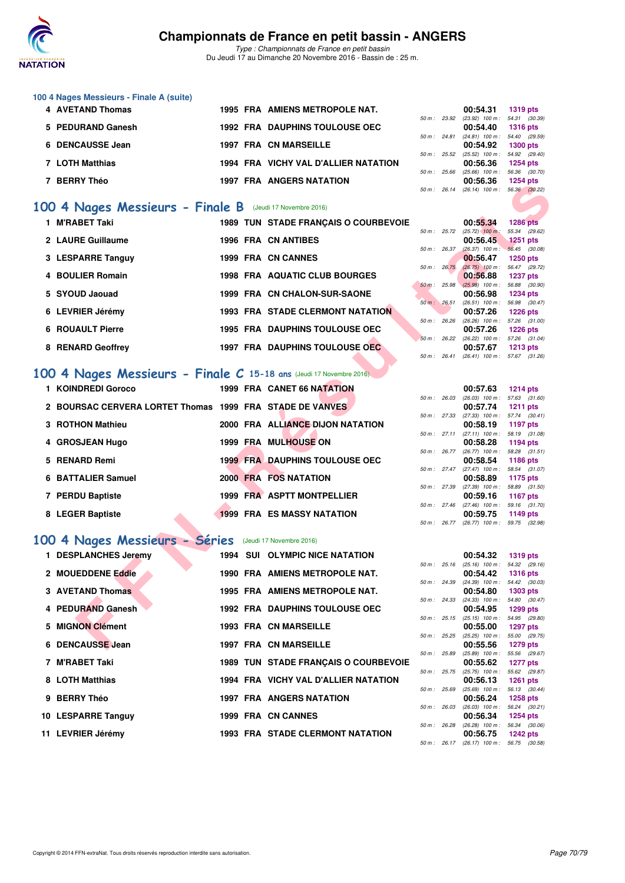

*Type : Championnats de France en petit bassin* Du Jeudi 17 au Dimanche 20 Novembre 2016 - Bassin de : 25 m.

| 100 4 Nages Messieurs - Finale A (suite) |  |                                       |                        |                                   |                 |
|------------------------------------------|--|---------------------------------------|------------------------|-----------------------------------|-----------------|
| <b>4 AVETAND Thomas</b>                  |  | 1995 FRA AMIENS METROPOLE NAT.        |                        | 00:54.31                          | <b>1319 pts</b> |
|                                          |  |                                       | $50 \text{ m}$ : 23.92 | $(23.92)$ 100 m : 54.31 $(30.39)$ |                 |
| 5 PEDURAND Ganesh                        |  | <b>1992 FRA DAUPHINS TOULOUSE OEC</b> |                        | 00:54.40                          | <b>1316 pts</b> |
|                                          |  |                                       | $50 \text{ m}$ : 24.81 | $(24.81)$ 100 m : 54.40 $(29.59)$ |                 |
| 6 DENCAUSSE Jean                         |  | 1997 FRA CN MARSEILLE                 |                        | 00:54.92                          | <b>1300 pts</b> |
|                                          |  |                                       | $50 \text{ m}$ : 25.52 | $(25.52)$ 100 m : 54.92 $(29.40)$ |                 |
| 7 LOTH Matthias                          |  | 1994 FRA VICHY VAL D'ALLIER NATATION  |                        | 00:56.36                          | <b>1254 pts</b> |
|                                          |  |                                       | $50 m$ : 25.66         | $(25.66)$ 100 m :                 | 56.36 (30.70)   |
| <b>BERRY Théo</b>                        |  | <b>1997 FRA ANGERS NATATION</b>       |                        | 00:56.36                          | <b>1254 pts</b> |
|                                          |  |                                       | $50 \text{ m}$ : 26.14 | $(26.14)$ 100 m : 56.36 $(30.22)$ |                 |

#### **[100 4 Nages Messieurs - Finale B](http://www.ffnatation.fr/webffn/resultats.php?idact=nat&go=epr&idcpt=41163&idepr=90)** (Jeudi 17 Novembre 2016)

| PENNI IIICV                                                        |  |                                         |                  |              | 00.JU.JU                                             | בוע דטבו                         |  |
|--------------------------------------------------------------------|--|-----------------------------------------|------------------|--------------|------------------------------------------------------|----------------------------------|--|
|                                                                    |  |                                         |                  |              | 50 m: 26.14 (26.14) 100 m: 56.36 (30.22)             |                                  |  |
| 00 4 Nages Messieurs - Finale B (Jeudi 17 Novembre 2016)           |  |                                         |                  |              |                                                      |                                  |  |
| 1 M'RABET Taki                                                     |  | 1989 TUN STADE FRANÇAIS O COURBEVOIE    |                  |              | 00:55.34                                             | <b>1286 pts</b>                  |  |
| 2 LAURE Guillaume                                                  |  | <b>1996 FRA CN ANTIBES</b>              | 50 m : 25.72     |              | $(25.72)$ 100 m:<br>00:56.45                         | 55.34 (29.62)<br>1251 pts        |  |
|                                                                    |  |                                         | 50 m: 26.37      |              | $(26.37)$ 100 m : 56.45 $(30.08)$                    |                                  |  |
| 3 LESPARRE Tanguy                                                  |  | 1999 FRA CN CANNES                      |                  |              | 00:56.47                                             | <b>1250 pts</b>                  |  |
| 4 BOULIER Romain                                                   |  | <b>1998 FRA AQUATIC CLUB BOURGES</b>    | $50 m$ : $26.75$ |              | $(26.75)$ 100 m : 56.47 $(29.72)$                    |                                  |  |
|                                                                    |  |                                         | 50 m : 25.98     |              | 00:56.88<br>$(25.98)$ 100 m : 56.88 (30.90)          | <b>1237 pts</b>                  |  |
| 5 SYOUD Jaouad                                                     |  | 1999 FRA CN CHALON-SUR-SAONE            |                  |              | 00:56.98                                             | <b>1234 pts</b>                  |  |
|                                                                    |  |                                         | 50 m: 26.51      |              | $(26.51)$ 100 m : 56.98 $(30.47)$                    |                                  |  |
| 6 LEVRIER Jérémy                                                   |  | <b>1993 FRA STADE CLERMONT NATATION</b> |                  |              | 00:57.26                                             | <b>1226 pts</b>                  |  |
| <b>6 ROUAULT Pierre</b>                                            |  | <b>1995 FRA DAUPHINS TOULOUSE OEC</b>   |                  | 50 m : 26.26 | $(26.26)$ 100 m : 57.26 $(31.00)$<br>00:57.26        | <b>1226 pts</b>                  |  |
|                                                                    |  |                                         |                  |              | 50 m: 26.22 (26.22) 100 m: 57.26 (31.04)             |                                  |  |
| 8 RENARD Geoffrey                                                  |  | 1997 FRA DAUPHINS TOULOUSE OEC          |                  |              | 00:57.67                                             | <b>1213 pts</b>                  |  |
|                                                                    |  |                                         | 50 m: 26.41      |              | $(26.41)$ 100 m : 57.67 $(31.26)$                    |                                  |  |
| 00 4 Nages Messieurs - Finale C 15-18 ans (Jeudi 17 Novembre 2016) |  |                                         |                  |              |                                                      |                                  |  |
| 1 KOINDREDI Goroco                                                 |  | 1999 FRA CANET 66 NATATION              |                  |              | 00:57.63                                             | <b>1214 pts</b>                  |  |
|                                                                    |  |                                         |                  |              | 50 m: 26.03 (26.03) 100 m: 57.63 (31.60)             |                                  |  |
| 2 BOURSAC CERVERA LORTET Thomas 1999 FRA STADE DE VANVES           |  |                                         |                  |              | 00:57.74                                             | <b>1211 pts</b>                  |  |
| 3 ROTHON Mathieu                                                   |  | 2000 FRA ALLIANCE DIJON NATATION        |                  |              | 50 m: 27.33 (27.33) 100 m: 57.74 (30.41)<br>00:58.19 | 1197 pts                         |  |
|                                                                    |  |                                         |                  |              | 50 m: 27.11 (27.11) 100 m: 58.19 (31.08)             |                                  |  |
| 4 GROSJEAN Hugo                                                    |  | <b>1999 FRA MULHOUSE ON</b>             |                  |              | 00:58.28                                             | 1194 pts                         |  |
|                                                                    |  |                                         |                  |              | 50 m: 26.77 (26.77) 100 m: 58.28 (31.51)             |                                  |  |
| 5 RENARD Remi                                                      |  | <b>1999 FRA DAUPHINS TOULOUSE OEC</b>   |                  |              | 00:58.54                                             | <b>1186 pts</b>                  |  |
| 6 BATTALIER Samuel                                                 |  | 2000 FRA FOS NATATION                   |                  |              | 50 m: 27.47 (27.47) 100 m: 58.54 (31.07)<br>00:58.89 | 1175 pts                         |  |
|                                                                    |  |                                         |                  |              | 50 m: 27.39 (27.39) 100 m: 58.89 (31.50)             |                                  |  |
| 7 PERDU Baptiste                                                   |  | 1999 FRA ASPTT MONTPELLIER              |                  |              | 00:59.16                                             | <b>1167 pts</b>                  |  |
|                                                                    |  |                                         |                  |              | 50 m: 27.46 (27.46) 100 m: 59.16 (31.70)             |                                  |  |
| 8 LEGER Baptiste                                                   |  | <b>1999 FRA ES MASSY NATATION</b>       |                  |              | 00:59.75<br>50 m: 26.77 (26.77) 100 m: 59.75 (32.98) | 1149 pts                         |  |
|                                                                    |  |                                         |                  |              |                                                      |                                  |  |
| 00 4 Nages Messieurs - Séries                                      |  | (Jeudi 17 Novembre 2016)                |                  |              |                                                      |                                  |  |
| 1 DESPLANCHES Jeremy                                               |  | <b>1994 SUI OLYMPIC NICE NATATION</b>   |                  |              | 00:54.32                                             | <b>1319 pts</b>                  |  |
|                                                                    |  |                                         |                  |              | 50 m: 25.16 (25.16) 100 m: 54.32 (29.16)             |                                  |  |
| 2 MOUEDDENE Eddie                                                  |  | 1990 FRA AMIENS METROPOLE NAT.          | 50 m : 24.39     |              | 00:54.42<br>$(24.39)$ 100 m :                        | <b>1316 pts</b><br>54.42 (30.03) |  |
| <b>3 AVETAND Thomas</b>                                            |  | 1995 FRA AMIENS METROPOLE NAT.          |                  |              | 00:54.80                                             | <b>1303 pts</b>                  |  |
|                                                                    |  |                                         | 50 m : 24.33     |              | $(24.33)$ 100 m :                                    | 54.80 (30.47)                    |  |
| 4 PEDURAND Ganesh                                                  |  | <b>1992 FRA DAUPHINS TOULOUSE OEC</b>   |                  |              | 00:54.95                                             | <b>1299 pts</b>                  |  |
| 5 MIGNON Clément                                                   |  | <b>1993 FRA CN MARSEILLE</b>            |                  |              | 50 m: 25.15 (25.15) 100 m: 54.95 (29.80)             |                                  |  |
|                                                                    |  |                                         |                  |              | 00:55.00<br>50 m : 25.25 (25.25) 100 m :             | <b>1297 pts</b><br>55.00 (29.75) |  |
| 6 DENCAUSSE Jean                                                   |  | 1997 FRA CN MARSEILLE                   |                  |              | 00:55.56                                             | 1279 pts                         |  |
|                                                                    |  |                                         |                  |              |                                                      |                                  |  |

#### **[100 4 Nages Messieurs - Finale C](http://www.ffnatation.fr/webffn/resultats.php?idact=nat&go=epr&idcpt=41163&idepr=90) 15-18 ans** (Jeudi 17 Novembre 2016)

| 1 KOINDREDI Goroco                                       |  | 1999 FRA CANET 66 NATATION            |                | 00:57.63                                 | <b>1214 pts</b> |  |
|----------------------------------------------------------|--|---------------------------------------|----------------|------------------------------------------|-----------------|--|
|                                                          |  |                                       | 50 m: 26.03    | $(26.03)$ 100 m : 57.63 (31.             |                 |  |
| 2 BOURSAC CERVERA LORTET Thomas 1999 FRA STADE DE VANVES |  |                                       | 50 m: 27.33    | 00:57.74<br>$(27.33)$ 100 m : 57.74 (30. | 1211 pts        |  |
| 3 ROTHON Mathieu                                         |  | 2000 FRA ALLIANCE DIJON NATATION      |                | 00:58.19                                 | 1197 pts        |  |
|                                                          |  |                                       | 50 m: 27.11    | $(27.11)$ 100 m : 58.19 (31.             |                 |  |
| 4 GROSJEAN Hugo                                          |  | <b>1999 FRA MULHOUSE ON</b>           |                | 00:58.28                                 | 1194 pts        |  |
|                                                          |  |                                       | $50 m$ : 26.77 | $(26.77)$ 100 m : 58.28 (31.             |                 |  |
| 5 RENARD Remi                                            |  | <b>1999 FRA DAUPHINS TOULOUSE OEC</b> |                | 00:58.54                                 | 1186 pts        |  |
|                                                          |  |                                       | $50 m$ : 27.47 | $(27.47)$ 100 m : 58.54 (31.             |                 |  |
| 6 BATTALIER Samuel                                       |  | 2000 FRA FOS NATATION                 |                | 00:58.89                                 | 1175 pts        |  |
|                                                          |  |                                       | 50 m: 27.39    | (27.39) 100 m : 58.89 (31.               |                 |  |
| 7 PERDU Baptiste                                         |  | 1999 FRA ASPTT MONTPELLIER            |                | 00:59.16                                 | 1167 pts        |  |
|                                                          |  |                                       | 50 m: 27.46    | $(27.46)$ 100 m :                        | 59.16 (31.      |  |
| 8 LEGER Baptiste                                         |  | <b>1999 FRA ES MASSY NATATION</b>     |                | 00:59.75                                 | 1149 pts        |  |

### **[100 4 Nages Messieurs - Séries](http://www.ffnatation.fr/webffn/resultats.php?idact=nat&go=epr&idcpt=41163&idepr=90)** (Jeudi 17 Novembre 2016)

| 1 DESPLANCHES Jeremy    |  | <b>1994 SUI OLYMPIC NICE NATATION</b>       |             |                | 00:54.32                                          | <b>1319 pts</b>               |  |
|-------------------------|--|---------------------------------------------|-------------|----------------|---------------------------------------------------|-------------------------------|--|
| 2 MOUEDDENE Eddie       |  | 1990 FRA AMIENS METROPOLE NAT.              | 50 m: 25.16 |                | $(25.16)$ 100 m : 54.32 (29.<br>00:54.42          | <b>1316 pts</b>               |  |
| <b>3 AVETAND Thomas</b> |  | 1995 FRA AMIENS METROPOLE NAT.              |             | 50 m : 24.39   | $(24.39)$ 100 m :<br>00:54.80                     | 54.42 (30.<br>1303 pts        |  |
| 4 PEDURAND Ganesh       |  | <b>1992 FRA DAUPHINS TOULOUSE OEC</b>       |             | 50 m : 24.33   | $(24.33)$ 100 m : 54.80 (30.<br>00:54.95          | 1299 pts                      |  |
| 5 MIGNON Clément        |  | <b>1993 FRA CN MARSEILLE</b>                |             |                | 50 m: 25.15 (25.15) 100 m: 54.95 (29.<br>00:55.00 | 1297 pts                      |  |
| 6 DENCAUSSE Jean        |  | <b>1997 FRA CN MARSEILLE</b>                |             | $50 m$ : 25.25 | $(25.25)$ 100 m :<br>00:55.56                     | 55.00 (29.<br>1279 pts        |  |
| 7 M'RABET Taki          |  | <b>1989 TUN STADE FRANCAIS O COURBEVOIE</b> |             | 50 m : 25.89   | $(25.89)$ 100 m :<br>00:55.62                     | 55.56 (29.<br><b>1277 pts</b> |  |
| 8 LOTH Matthias         |  | 1994 FRA VICHY VAL D'ALLIER NATATION        |             | 50 m : 25.75   | $(25.75)$ 100 m :<br>00:56.13                     | 55.62 (29.<br><b>1261 pts</b> |  |
| 9 BERRY Théo            |  | <b>1997 FRA ANGERS NATATION</b>             | 50 m: 25.69 |                | $(25.69)$ 100 m :<br>00:56.24                     | 56.13 (30.<br><b>1258 pts</b> |  |
| 10 LESPARRE Tanguy      |  | 1999 FRA CN CANNES                          | 50 m: 26.03 |                | $(26.03)$ 100 m :<br>00:56.34                     | 56.24 (30.<br><b>1254 pts</b> |  |
| 11 LEVRIER Jérémy       |  | <b>1993 FRA STADE CLERMONT NATATION</b>     | 50 m: 26.28 |                | $(26.28)$ 100 m :<br>00:56.75                     | 56.34 (30.<br>1242 pts        |  |
|                         |  |                                             |             |                |                                                   |                               |  |

|                |              | 00:57.63          | 1214 $pts$      |
|----------------|--------------|-------------------|-----------------|
| 50 m: 26.03    |              | $(26.03)$ 100 m : | 57.63 (31.60)   |
|                |              | 00:57.74          | <b>1211 pts</b> |
| 50 m: 27.33    |              | $(27.33)$ 100 m : | 57.74 (30.41)   |
|                |              | 00:58.19          | <b>1197 pts</b> |
|                | 50 m : 27.11 | $(27.11)$ 100 m : | 58.19 (31.08)   |
|                |              | 00:58.28          | 1194 $pts$      |
| $50 m$ : 26.77 |              | $(26.77)$ 100 m : | 58.28 (31.51)   |
|                |              | 00:58.54          | 1186 pts        |
| 50 m: 27.47    |              | $(27.47)$ 100 m : | 58.54 (31.07)   |
|                |              | 00:58.89          | 1175 pts        |
| 50 m: 27.39    |              | $(27.39)$ 100 m : | 58.89 (31.50)   |
|                |              | 00:59.16          | 1167 pts        |
| 50 m: 27.46    |              | $(27.46)$ 100 m : | 59.16 (31.70)   |
|                |              | 00:59.75          | 1149 pts        |
| $50 m$ :       | 26.77        | $(26.77)$ 100 m : | 59.75 (32.98)   |

|              | 00:54.32          | <b>1319 pts</b> |
|--------------|-------------------|-----------------|
| 50 m : 25.16 | $(25.16)$ 100 m : | 54.32 (29.16)   |
|              | 00:54.42          | $1316$ pts      |
| 50 m : 24.39 | $(24.39)$ 100 m : | 54.42 (30.03)   |
|              | 00:54.80          | 1303 pts        |
| 50 m : 24.33 | $(24.33)$ 100 m : | 54.80 (30.47)   |
|              | 00:54.95          | 1299 pts        |
| 50 m : 25.15 | $(25.15)$ 100 m : | 54.95 (29.80)   |
|              | 00:55.00          | 1297 pts        |
| 50 m: 25.25  | $(25.25)$ 100 m : | 55.00 (29.75)   |
|              | 00:55.56          | 1279 pts        |
| 50 m : 25.89 | $(25.89)$ 100 m : | 55.56 (29.67)   |
|              | 00:55.62          | 1277 pts        |
| 50 m : 25.75 | $(25.75)$ 100 m : | 55.62 (29.87)   |
|              | 00:56.13          | $1261$ pts      |
| 50 m : 25.69 | $(25.69)$ 100 m : | 56.13 (30.44)   |
|              | 00:56.24          | <b>1258 pts</b> |
| 50 m : 26.03 | $(26.03)$ 100 m : | 56.24 (30.21)   |
|              | 00:56.34          | 1254 pts        |
| 50 m : 26.28 | $(26.28)$ 100 m : | 56.34 (30.06)   |
|              | 00:56.75 1242 pts |                 |
| 50 m: 26.17  | $(26.17)$ 100 m : | 56.75 (30.58)   |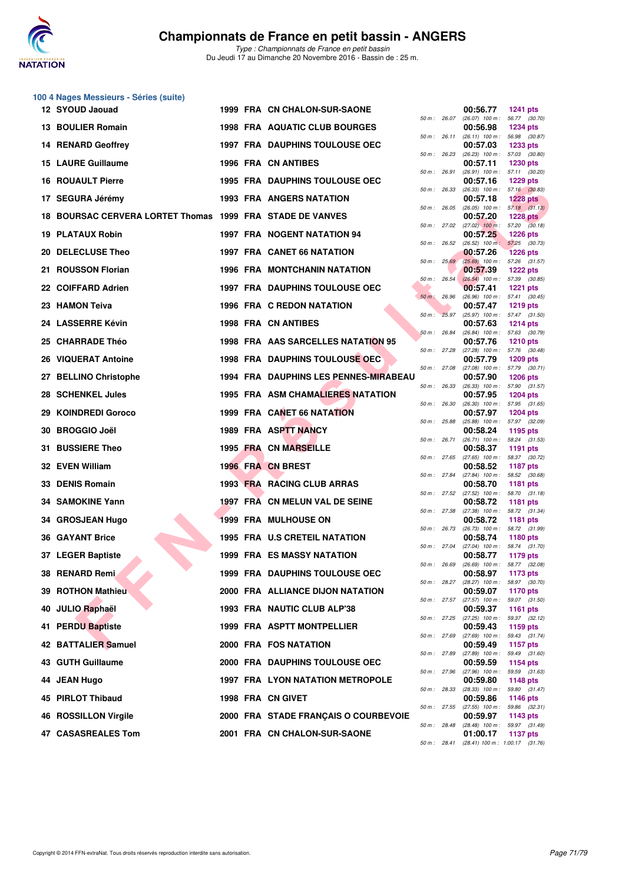

|     | 100 4 Nages Messieurs - Séries (suite)                        |  |                                          |                |              |                                                 |                                  |  |
|-----|---------------------------------------------------------------|--|------------------------------------------|----------------|--------------|-------------------------------------------------|----------------------------------|--|
|     | 12 SYOUD Jaouad                                               |  | 1999 FRA CN CHALON-SUR-SAONE             | 50 m: 26.07    |              | 00:56.77<br>$(26.07)$ 100 m : 56.77 $(30.70)$   | <b>1241 pts</b>                  |  |
|     | <b>13 BOULIER Romain</b>                                      |  | 1998 FRA AQUATIC CLUB BOURGES            | 50 m : 26.11   |              | 00:56.98<br>$(26.11)$ 100 m : 56.98 $(30.87)$   | <b>1234 pts</b>                  |  |
|     | <b>14 RENARD Geoffrey</b>                                     |  | <b>1997 FRA DAUPHINS TOULOUSE OEC</b>    | 50 m: 26.23    |              | 00:57.03<br>$(26.23)$ 100 m : 57.03 $(30.80)$   | <b>1233 pts</b>                  |  |
|     | <b>15 LAURE Guillaume</b>                                     |  | <b>1996 FRA CN ANTIBES</b>               |                |              | 00:57.11                                        | <b>1230 pts</b>                  |  |
|     | <b>16 ROUAULT Pierre</b>                                      |  | <b>1995 FRA DAUPHINS TOULOUSE OEC</b>    | 50 m: 26.91    |              | $(26.91)$ 100 m : 57.11 $(30.20)$<br>00:57.16   | <b>1229 pts</b>                  |  |
|     | 17 SEGURA Jérémy                                              |  | 1993 FRA ANGERS NATATION                 | 50 m: 26.33    |              | $(26.33)$ 100 m : 57.16 $(30.83)$<br>00:57.18   | <b>1228 pts</b>                  |  |
| 18. | <b>BOURSAC CERVERA LORTET Thomas 1999 FRA STADE DE VANVES</b> |  |                                          | 50 m: 26.05    |              | $(26.05)$ 100 m : $57.18$ $(31.13)$<br>00:57.20 | <b>1228 pts</b>                  |  |
|     | 19 PLATAUX Robin                                              |  | <b>1997 FRA NOGENT NATATION 94</b>       |                | 50 m : 27.02 | $(27.02)$ 100 m : 57.20 $(30.18)$<br>00:57.25   | <b>1226 pts</b>                  |  |
|     | 20 DELECLUSE Theo                                             |  | 1997 FRA CANET 66 NATATION               | 50 m: 26.52    |              | $(26.52)$ 100 m : 57.25 $(30.73)$<br>00:57.26   | <b>1226 pts</b>                  |  |
|     | 21 ROUSSON Florian                                            |  | 1996 FRA MONTCHANIN NATATION             | 50 m: 25.69    |              | $(25.69)$ 100 m : 57.26 $(31.57)$<br>00:57.39   | <b>1222 pts</b>                  |  |
|     | 22 COIFFARD Adrien                                            |  | <b>1997 FRA DAUPHINS TOULOUSE OEC</b>    | 50 m : 26.54   |              | $(26.54)$ 100 m : 57.39 (30.85)<br>00:57.41     | <b>1221 pts</b>                  |  |
|     |                                                               |  |                                          | $50 m$ : 26.96 |              | (26.96) 100 m: 57.41 (30.45)                    |                                  |  |
|     | 23 HAMON Teiva                                                |  | 1996 FRA C REDON NATATION                | 50 m: 25.97    |              | 00:57.47<br>$(25.97)$ 100 m : 57.47 $(31.50)$   | <b>1219 pts</b>                  |  |
|     | 24 LASSERRE Kévin                                             |  | <b>1998 FRA CN ANTIBES</b>               | 50 m : 26.84   |              | 00:57.63<br>$(26.84)$ 100 m : 57.63 $(30.79)$   | <b>1214 pts</b>                  |  |
|     | 25 CHARRADE Théo                                              |  | 1998 FRA AAS SARCELLES NATATION 95       | 50 m : 27.28   |              | 00:57.76<br>(27.28) 100 m: 57.76 (30.48)        | <b>1210 pts</b>                  |  |
|     | 26 VIQUERAT Antoine                                           |  | <b>1998 FRA DAUPHINS TOULOUSE OEC</b>    | 50 m: 27.08    |              | 00:57.79<br>(27.08) 100 m: 57.79 (30.71)        | 1209 pts                         |  |
|     | 27 BELLINO Christophe                                         |  | 1994 FRA DAUPHINS LES PENNES-MIRABEAU    | 50 m: 26.33    |              | 00:57.90<br>$(26.33)$ 100 m : 57.90 $(31.57)$   | <b>1206 pts</b>                  |  |
|     | 28 SCHENKEL Jules                                             |  | <b>1995 FRA ASM CHAMALIERES NATATION</b> | 50 m: 26.30    |              | 00:57.95<br>(26.30) 100 m: 57.95 (31.65)        | <b>1204 pts</b>                  |  |
|     | 29 KOINDREDI Goroco                                           |  | <b>1999 FRA CANET 66 NATATION</b>        |                |              | 00:57.97                                        | 1204 pts                         |  |
| 30. | <b>BROGGIO Joël</b>                                           |  | 1989 FRA ASPTT NANCY                     | 50 m: 25.88    |              | (25.88) 100 m: 57.97 (32.09)<br>00:58.24        | 1195 pts                         |  |
| 31. | <b>BUSSIERE Theo</b>                                          |  | 1995 FRA CN MARSEILLE                    | 50 m : 26.71   |              | $(26.71)$ 100 m : 58.24 $(31.53)$<br>00:58.37   | 1191 pts                         |  |
|     | 32 EVEN William                                               |  | 1996 FRA CN BREST                        | 50 m: 27.65    |              | $(27.65)$ 100 m :<br>00:58.52                   | 58.37 (30.72)<br>1187 pts        |  |
|     | 33 DENIS Romain                                               |  | 1993 FRA RACING CLUB ARRAS               | 50 m : 27.84   |              | $(27.84)$ 100 m : 58.52 $(30.68)$<br>00:58.70   | 1181 pts                         |  |
|     | 34 SAMOKINE Yann                                              |  | 1997 FRA CN MELUN VAL DE SEINE           | 50 m: 27.52    |              | $(27.52)$ 100 m : 58.70 $(31.18)$<br>00:58.72   | 1181 pts                         |  |
| 34  | <b>GROSJEAN Hugo</b>                                          |  | <b>1999 FRA MULHOUSE ON</b>              | 50 m : 27.38   |              | (27.38) 100 m: 58.72 (31.34)<br>00:58.72        | 1181 pts                         |  |
|     | <b>36 GAYANT Brice</b>                                        |  | <b>1995 FRA U.S CRETEIL NATATION</b>     | 50 m : 26.73   |              | $(26.73)$ 100 m : 58.72 $(31.99)$<br>00:58.74   | 1180 pts                         |  |
|     | 37 LEGER Baptiste                                             |  | <b>1999 FRA ES MASSY NATATION</b>        | 50 m : 27.04   |              | $(27.04)$ 100 m : 58.74 $(31.70)$<br>00:58.77   | 1179 pts                         |  |
|     |                                                               |  |                                          | 50 m : 26.69   |              | $(26.69)$ 100 m :                               | 58.77 (32.08)                    |  |
|     | 38 RENARD Remi                                                |  | <b>1999 FRA DAUPHINS TOULOUSE OEC</b>    | 50 m: 28.27    |              | 00:58.97<br>(28.27) 100 m: 58.97 (30.70)        | 1173 pts                         |  |
|     | <b>39 ROTHON Mathieu</b>                                      |  | 2000 FRA ALLIANCE DIJON NATATION         | 50 m: 27.57    |              | 00:59.07<br>$(27.57)$ 100 m :                   | <b>1170 pts</b><br>59.07 (31.50) |  |
| 40  | <b>JULIO Raphaël</b>                                          |  | 1993 FRA NAUTIC CLUB ALP'38              | 50 m: 27.25    |              | 00:59.37<br>(27.25) 100 m: 59.37 (32.12)        | <b>1161 pts</b>                  |  |
| 41  | <b>PERDU Baptiste</b>                                         |  | 1999 FRA ASPTT MONTPELLIER               | 50 m : 27.69   |              | 00:59.43<br>$(27.69)$ 100 m : 59.43 $(31.74)$   | 1159 pts                         |  |
|     | 42 BATTALIER Samuel                                           |  | 2000 FRA FOS NATATION                    | 50 m : 27.89   |              | 00:59.49<br>(27.89) 100 m :                     | 1157 pts<br>59.49 (31.60)        |  |
| 43. | <b>GUTH Guillaume</b>                                         |  | 2000 FRA DAUPHINS TOULOUSE OEC           | 50 m: 27.96    |              | 00:59.59<br>(27.96) 100 m: 59.59 (31.63)        | 1154 pts                         |  |
| 44  | <b>JEAN Hugo</b>                                              |  | 1997 FRA LYON NATATION METROPOLE         | 50 m: 28.33    |              | 00:59.80<br>$(28.33)$ 100 m :                   | 1148 pts<br>59.80 (31.47)        |  |
|     | 45 PIRLOT Thibaud                                             |  | 1998 FRA CN GIVET                        |                |              | 00:59.86                                        | <b>1146 pts</b>                  |  |
| 46  | <b>ROSSILLON Virgile</b>                                      |  | 2000 FRA STADE FRANÇAIS O COURBEVOIE     | 50 m: 27.55    |              | $(27.55)$ 100 m : 59.86 $(32.31)$<br>00:59.97   | 1143 pts                         |  |
|     | 47 CASASREALES Tom                                            |  | 2001 FRA CN CHALON-SUR-SAONE             | 50 m : 28.48   |              | (28.48) 100 m: 59.97 (31.49)<br>01:00.17        | 1137 pts                         |  |
|     |                                                               |  |                                          |                |              | 50 m: 28.41 (28.41) 100 m: 1:00.17 (31.76)      |                                  |  |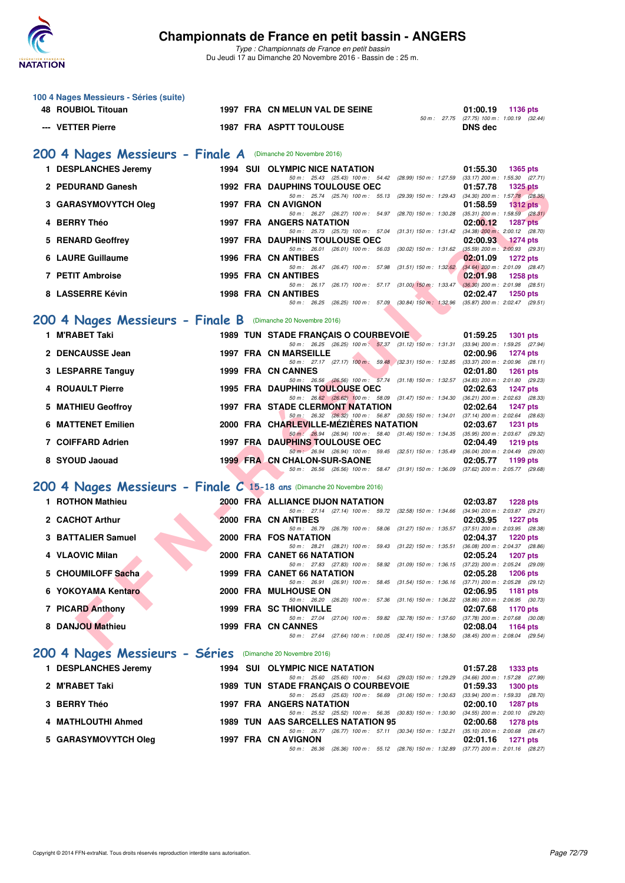

| 100 4 Nages Messieurs - Séries (suite)                                 |  |                                                                                                                                   |                                                                    |  |  |  |  |  |  |
|------------------------------------------------------------------------|--|-----------------------------------------------------------------------------------------------------------------------------------|--------------------------------------------------------------------|--|--|--|--|--|--|
| <b>48 ROUBIOL Titouan</b>                                              |  | 1997 FRA CN MELUN VAL DE SEINE                                                                                                    | 01:00.19<br>1136 pts<br>50 m: 27.75 (27.75) 100 m: 1:00.19 (32.44) |  |  |  |  |  |  |
| --- VETTER Pierre                                                      |  | <b>1987 FRA ASPTT TOULOUSE</b>                                                                                                    | <b>DNS</b> dec                                                     |  |  |  |  |  |  |
|                                                                        |  |                                                                                                                                   |                                                                    |  |  |  |  |  |  |
| 200 4 Nages Messieurs - Finale A (Dimanche 20 Novembre 2016)           |  |                                                                                                                                   |                                                                    |  |  |  |  |  |  |
| 1 DESPLANCHES Jeremy                                                   |  | <b>1994 SUI OLYMPIC NICE NATATION</b><br>50 m: 25.43 (25.43) 100 m: 54.42 (28.99) 150 m: 1:27.59 (33.17) 200 m: 1:55.30 (27.71)   | 01:55.30<br>1365 pts                                               |  |  |  |  |  |  |
| 2 PEDURAND Ganesh                                                      |  | <b>1992 FRA DAUPHINS TOULOUSE OEC</b>                                                                                             | 01:57.78<br><b>1325 pts</b>                                        |  |  |  |  |  |  |
| 3 GARASYMOVYTCH Oleg                                                   |  | 50 m: 25.74 (25.74) 100 m: 55.13 (29.39) 150 m: 1:29.43 (34.30) 200 m: 1:57.78 (28.35)<br>1997 FRA CN AVIGNON                     | 01:58.59<br>$1312$ pts                                             |  |  |  |  |  |  |
| 4 BERRY Théo                                                           |  | 50 m: 26.27 (26.27) 100 m: 54.97 (28.70) 150 m: 1.30.28 (35.31) 200 m: 1.58.59 (28.31)<br><b>1997 FRA ANGERS NATATION</b>         | 02:00.12<br><b>1287 pts</b>                                        |  |  |  |  |  |  |
| 5 RENARD Geoffrey                                                      |  | 50 m: 25.73 (25.73) 100 m: 57.04 (31.31) 150 m: 1:31.42 (34.38) 200 m: 2:00.12 (28.70)<br><b>1997 FRA DAUPHINS TOULOUSE OEC</b>   | 02:00.93<br><b>1274 pts</b>                                        |  |  |  |  |  |  |
|                                                                        |  | 50 m: 26.01 (26.01) 100 m: 56.03 (30.02) 150 m: 1:31.62 (35.59) 200 m: 2:00.93 (29.31)                                            |                                                                    |  |  |  |  |  |  |
| 6 LAURE Guillaume                                                      |  | 1996 FRA CN ANTIBES<br>50 m: 26.47 (26.47) 100 m: 57.98 (31.51) 150 m: 1:32.62                                                    | 02:01.09<br><b>1272 pts</b><br>$(34.64)$ 200 m : 2:01.09 (28.47)   |  |  |  |  |  |  |
| 7 PETIT Ambroise                                                       |  | <b>1995 FRA CN ANTIBES</b><br>50 m: 26.17 (26.17) 100 m: 57.17 (31.00) 150 m: 1.33.47 (36.30) 200 m: 2:01.98 (28.51)              | 02:01.98<br><b>1258 pts</b>                                        |  |  |  |  |  |  |
| 8 LASSERRE Kévin                                                       |  | 1998 FRA CN ANTIBES                                                                                                               | 02:02.47<br>$1250$ pts                                             |  |  |  |  |  |  |
|                                                                        |  | 50 m: 26.25 (26.25) 100 m: 57.09 (30.84) 150 m: 1:32.96                                                                           | $(35.87)$ 200 m : 2:02.47 $(29.51)$                                |  |  |  |  |  |  |
| 200 4 Nages Messieurs - Finale B (Dimanche 20 Novembre 2016)           |  |                                                                                                                                   |                                                                    |  |  |  |  |  |  |
| 1 M'RABET Taki                                                         |  | 1989 TUN STADE FRANCAIS O COURBEVOIE<br>50 m: 26.25 (26.25) 100 m: 57.37 (31.12) 150 m: 1.31.31 (33.94) 200 m: 1.59.25 (27.94)    | 01:59.25<br><b>1301 pts</b>                                        |  |  |  |  |  |  |
| 2 DENCAUSSE Jean                                                       |  | <b>1997 FRA CN MARSEILLE</b>                                                                                                      | 02:00.96<br><b>1274 pts</b>                                        |  |  |  |  |  |  |
| 3 LESPARRE Tanguy                                                      |  | 50 m: 27.17 (27.17) 100 m: 59.48 (32.31) 150 m: 1:32.85 (33.37) 200 m: 2:00.96 (28.11)<br>1999 FRA CN CANNES                      | 02:01.80<br><b>1261 pts</b>                                        |  |  |  |  |  |  |
| 4 ROUAULT Pierre                                                       |  | 50 m: 26.56 (26.56) 100 m: 57.74 (31.18) 150 m: 1:32.57<br><b>1995 FRA DAUPHINS TOULOUSE OEC</b>                                  | $(34.83)$ 200 m : 2:01.80 $(29.23)$<br>02:02.63<br><b>1247 pts</b> |  |  |  |  |  |  |
|                                                                        |  | 50 m: 26.62 (26.62) 100 m: 58.09 (31.47) 150 m: 1:34.30 (36.21) 200 m: 2:02.63 (28.33)                                            |                                                                    |  |  |  |  |  |  |
| 5 MATHIEU Geoffroy                                                     |  | <b>1997 FRA STADE CLERMONT NATATION</b><br>50 m: 26.32 (26.32) 100 m: 56.87 (30.55) 150 m: 1:34.01 (37.14) 200 m: 2:02.64 (28.63) | 02:02.64<br><b>1247 pts</b>                                        |  |  |  |  |  |  |
| <b>6 MATTENET Emilien</b>                                              |  | 2000 FRA CHARLEVILLE-MEZIERES NATATION<br>50 m: 26.94 (26.94) 100 m: 58.40 (31.46) 150 m: 1:34.35 (35.95) 200 m: 2:03.67 (29.32)  | 02:03.67<br><b>1231 pts</b>                                        |  |  |  |  |  |  |
| 7 COIFFARD Adrien                                                      |  | <b>1997 FRA DAUPHINS TOULOUSE OEC</b><br>50 m: 26.94 (26.94) 100 m: 59.45 (32.51) 150 m: 1:35.49 (36.04) 200 m: 2:04.49 (29.00)   | 02:04.49<br><b>1219 pts</b>                                        |  |  |  |  |  |  |
| 8 SYOUD Jaouad                                                         |  | 1999 FRA CN CHALON-SUR-SAONE                                                                                                      | 02:05.77<br>1199 pts                                               |  |  |  |  |  |  |
|                                                                        |  | 50 m: 26.56 (26.56) 100 m: 58.47 (31.91) 150 m: 1:36.09 (37.62) 200 m: 2:05.77 (29.68)                                            |                                                                    |  |  |  |  |  |  |
| 200 4 Nages Messieurs - Finale C 15-18 ans (Dimanche 20 Novembre 2016) |  |                                                                                                                                   |                                                                    |  |  |  |  |  |  |
| 1 ROTHON Mathieu                                                       |  | 2000 FRA ALLIANCE DIJON NATATION<br>50 m: 27.14 (27.14) 100 m: 59.72 (32.58) 150 m: 1:34.66 (34.94) 200 m: 2:03.87 (29.21)        | 02:03.87<br><b>1228 pts</b>                                        |  |  |  |  |  |  |
| 2 CACHOT Arthur                                                        |  | 2000 FRA CN ANTIBES                                                                                                               | 02:03.95<br><b>1227 pts</b>                                        |  |  |  |  |  |  |
| 3 BATTALIER Samuel                                                     |  | 50 m: 26.79 (26.79) 100 m: 58.06 (31.27) 150 m: 1:35.57 (37.51) 200 m: 2:03.95 (28.38)<br>2000 FRA FOS NATATION                   | 02:04.37<br><b>1220 pts</b>                                        |  |  |  |  |  |  |
| 4 VLAOVIC Milan                                                        |  | 50 m: 28.21 (28.21) 100 m: 59.43 (31.22) 150 m: 1:35.51<br>2000 FRA CANET 66 NATATION                                             | (36.08) 200 m : 2:04.37 (28.86)<br>02:05.24<br><b>1207 pts</b>     |  |  |  |  |  |  |
|                                                                        |  | 50 m : 27.83 (27.83) 100 m : 58.92 (31.09) 150 m : 1:36.15 (37.23) 200 m : 2:05.24 (29.09)                                        |                                                                    |  |  |  |  |  |  |
| 5 CHOUMILOFF Sacha                                                     |  | 1999 FRA CANET 66 NATATION<br>50 m: 26.91 (26.91) 100 m: 58.45 (31.54) 150 m: 1:36.16 (37.71) 200 m: 2:05.28 (29.12)              | 02:05.28<br><b>1206 pts</b>                                        |  |  |  |  |  |  |
| 6 YOKOYAMA Kentaro                                                     |  | 2000 FRA MULHOUSE ON<br>50 m: 26.20 (26.20) 100 m: 57.36 (31.16) 150 m: 1:36.22 (38.86) 200 m: 2:06.95 (30.73)                    | 02:06.95<br><b>1181 pts</b>                                        |  |  |  |  |  |  |
| 7 PICARD Anthony                                                       |  | <b>1999 FRA SC THIONVILLE</b>                                                                                                     | 02:07.68<br>1170 pts                                               |  |  |  |  |  |  |
| 8 DANJOU Mathieu                                                       |  | 50 m: 27.04 (27.04) 100 m: 59.82 (32.78) 150 m: 1:37.60 (37.78) 200 m: 2:07.68 (30.08)<br>1999 FRA CN CANNES                      | 02:08.04<br>1164 pts                                               |  |  |  |  |  |  |
|                                                                        |  | 50 m: 27.64 (27.64) 100 m: 1:00.05 (32.41) 150 m: 1:38.50 (38.45) 200 m: 2:08.04 (29.54)                                          |                                                                    |  |  |  |  |  |  |
| 200 4 Nages Messieurs - Séries (Dimanche 20 Novembre 2016)             |  |                                                                                                                                   |                                                                    |  |  |  |  |  |  |
| 1 DESPLANCHES Jeremy                                                   |  | <b>1994 SUI OLYMPIC NICE NATATION</b>                                                                                             | 01:57.28<br><b>1333 pts</b>                                        |  |  |  |  |  |  |
| 2 M'RABET Taki                                                         |  | 50 m: 25.60 (25.60) 100 m: 54.63 (29.03) 150 m: 1:29.29 (34.66) 200 m: 1:57.28 (27.99)<br>1989 TUN STADE FRANÇAIS O COURBEVOIE    | 01:59.33<br><b>1300 pts</b>                                        |  |  |  |  |  |  |
| 3 BERRY Théo                                                           |  | 50 m: 25.63 (25.63) 100 m: 56.69 (31.06) 150 m: 1:30.63 (33.94) 200 m: 1:59.33 (28.70)<br>1997 FRA ANGERS NATATION                | 02:00.10<br><b>1287 pts</b>                                        |  |  |  |  |  |  |
|                                                                        |  | 50 m: 25.52 (25.52) 100 m: 56.35 (30.83) 150 m: 1:30.90 (34.55) 200 m: 2:00.10 (29.20)                                            |                                                                    |  |  |  |  |  |  |
| 4 MATHLOUTHI Ahmed                                                     |  | 1989 TUN AAS SARCELLES NATATION 95<br>50 m : 26.77 (26.77) 100 m : 57.11 (30.34) 150 m : 1:32.21 (35.10) 200 m : 2:00.68 (28.47)  | 02:00.68<br><b>1278 pts</b>                                        |  |  |  |  |  |  |
| 5 GARASYMOVYTCH Oleg                                                   |  | 1997 FRA CN AVIGNON<br>50 m: 26.36 (26.36) 100 m: 55.12 (28.76) 150 m: 1:32.89 (37.77) 200 m: 2:01.16 (28.27)                     | 02:01.16<br>1271 pts                                               |  |  |  |  |  |  |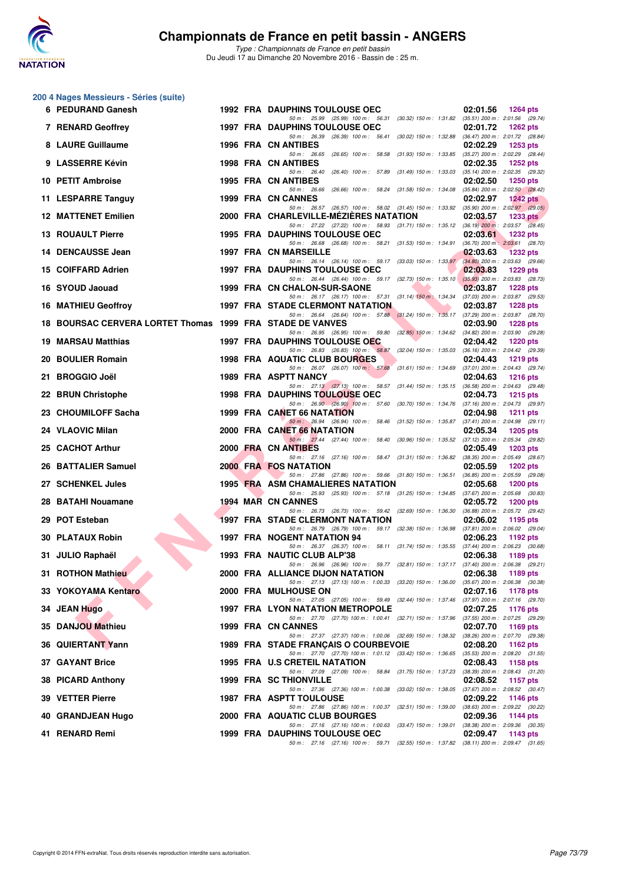

|    | 200 4 Nages Messieurs - Séries (suite)                    |  |                                                                                                                                   |                                                                    |
|----|-----------------------------------------------------------|--|-----------------------------------------------------------------------------------------------------------------------------------|--------------------------------------------------------------------|
|    | 6 PEDURAND Ganesh                                         |  | <b>1992 FRA DAUPHINS TOULOUSE OEC</b><br>50 m: 25.99 (25.99) 100 m: 56.31 (30.32) 150 m: 1:31.82 (35.51) 200 m: 2:01.56 (29.74)   | 02:01.56<br><b>1264 pts</b>                                        |
|    | <b>7 RENARD Geoffrey</b>                                  |  | <b>1997 FRA DAUPHINS TOULOUSE OEC</b><br>50 m: 26.39 (26.39) 100 m: 56.41 (30.02) 150 m: 1:32.88 (36.47) 200 m: 2:01.72 (28.84)   | 02:01.72<br><b>1262 pts</b>                                        |
|    | 8 LAURE Guillaume                                         |  | <b>1996 FRA CN ANTIBES</b>                                                                                                        | 02:02.29<br><b>1253 pts</b>                                        |
|    | 9 LASSERRE Kévin                                          |  | 50 m: 26.65 (26.65) 100 m: 58.58 (31.93) 150 m: 1:33.85<br>1998 FRA CN ANTIBES                                                    | (35.27) 200 m : 2:02.29 (28.44)<br>02:02.35<br><b>1252 pts</b>     |
|    | 10 PETIT Ambroise                                         |  | 50 m : 26.40<br>(26.40) 100 m: 57.89 (31.49) 150 m: 1:33.03<br><b>1995 FRA CN ANTIBES</b>                                         | (35.14) 200 m : 2:02.35 (29.32)<br>02:02.50<br><b>1250 pts</b>     |
|    | 11 LESPARRE Tanguy                                        |  | 50 m: 26.66 (26.66) 100 m: 58.24 (31.58) 150 m: 1:34.08<br>1999 FRA CN CANNES                                                     | (35.84) 200 m : 2:02.50 (28.42)<br>02:02.97<br><b>1242 pts</b>     |
|    | <b>12 MATTENET Emilien</b>                                |  | 50 m: 26.57 (26.57) 100 m: 58.02 (31.45) 150 m: 1:33.92 (35.90) 200 m: 2:02.97 (29.05)<br>2000 FRA CHARLEVILLE-MEZIERES NATATION  | 02:03.57<br>1233 $pts$                                             |
|    | <b>13 ROUAULT Pierre</b>                                  |  | 50 m: 27.22 (27.22) 100 m: 58.93 (31.71) 150 m: 1.35.12 (36.19) 200 m: 2.03.57 (28.45)<br><b>1995 FRA DAUPHINS TOULOUSE OEC</b>   | 02:03.61<br><b>1232 pts</b>                                        |
|    | 14 DENCAUSSE Jean                                         |  | 50 m: 26.68 (26.68) 100 m: 58.21 (31.53) 150 m: 1:34.91<br><b>1997 FRA CN MARSEILLE</b>                                           | $(36.70)$ 200 m : 2:03.61 $(28.70)$<br>02:03.63<br><b>1232 pts</b> |
|    |                                                           |  | 50 m: 26.14 (26.14) 100 m: 59.17 (33.03) 150 m: 1:33.97                                                                           | $(34.80)$ 200 m : 2:03.63 $(29.66)$                                |
|    | 15 COIFFARD Adrien                                        |  | <b>1997 FRA DAUPHINS TOULOUSE OEC</b><br>50 m: 26.44 (26.44) 100 m: 59.17 (32.73) 150 m: 1:35.10                                  | 02:03.83<br><b>1229 pts</b><br>$(35.93)$ 200 m : 2:03.83 (28.73)   |
|    | 16 SYOUD Jaouad                                           |  | 1999 FRA CN CHALON-SUR-SAONE<br>50 m: 26.17 (26.17) 100 m: 57.31 (31.14) 150 m: 1:34.34                                           | 02:03.87<br><b>1228 pts</b><br>(37.03) 200 m : 2:03.87 (29.53)     |
|    | <b>16 MATHIEU Geoffroy</b>                                |  | <b>1997 FRA STADE CLERMONT NATATION</b><br>50 m: 26.64 (26.64) 100 m: 57.88 (31.24) 150 m: 1:35.17 (37.29) 200 m: 2:03.87 (28.70) | 02:03.87<br><b>1228 pts</b>                                        |
|    | 18 BOURSAC CERVERA LORTET Thomas 1999 FRA STADE DE VANVES |  | 50 m: 26.95 (26.95) 100 m: 59.80 (32.85) 150 m: 1:34.62 (34.82) 200 m: 2:03.90 (29.28)                                            | 02:03.90<br><b>1228 pts</b>                                        |
| 19 | <b>MARSAU Matthias</b>                                    |  | 1997 FRA DAUPHINS TOULOUSE OEC<br>50 m: 26.83 (26.83) 100 m: 58.87 (32.04) 150 m: 1:35.03 (36.16) 200 m: 2:04.42 (29.39)          | 02:04.42<br><b>1220 pts</b>                                        |
|    | 20 BOULIER Romain                                         |  | 1998 FRA AQUATIC CLUB BOURGES                                                                                                     | 02:04.43<br><b>1219 pts</b>                                        |
|    | 21 BROGGIO Joël                                           |  | 50 m: 26.07 (26.07) 100 m: 57.68 (31.61) 150 m: 1:34.69 (37.01) 200 m: 2:04.43 (29.74)<br><b>1989 FRA ASPTT NANCY</b>             | 02:04.63<br><b>1216 pts</b>                                        |
|    | 22 BRUN Christophe                                        |  | 50 m: 27.13 (27.13) 100 m: 58.57 (31.44) 150 m: 1:35.15<br><b>1998 FRA DAUPHINS TOULOUSE OEC</b>                                  | (36.58) 200 m : 2:04.63 (29.48)<br>02:04.73<br>$1215$ pts          |
|    | 23 CHOUMILOFF Sacha                                       |  | 50 m: 26.90 (26.90) 100 m: 57.60 (30.70) 150 m: 1:34.76 (37.16) 200 m: 2:04.73 (29.97)<br>1999 FRA CANET 66 NATATION              | 02:04.98<br><b>1211 pts</b>                                        |
|    | 24 VLAOVIC Milan                                          |  | 50 m : 26.94 (26.94) 100 m : 58.46 (31.52) 150 m : 1:35.87<br>2000 FRA CANET 66 NATATION                                          | $(37.41)$ 200 m : 2:04.98 $(29.11)$<br>02:05.34<br><b>1205 pts</b> |
|    | 25 CACHOT Arthur                                          |  | 50 m: 27.44 (27.44) 100 m: 58.40 (30.96) 150 m: 1.35.52 (37.12) 200 m: 2.05.34 (29.82)<br>2000 FRA CN ANTIBES                     | 02:05.49<br><b>1203 pts</b>                                        |
|    | 26 BATTALIER Samuel                                       |  | 50 m: 27.16 (27.16) 100 m: 58.47 (31.31) 150 m: 1:36.82<br><b>2000 FRA FOS NATATION</b>                                           | (38.35) 200 m : 2:05.49 (28.67)<br>02:05.59<br>1202 pts            |
|    | 27 SCHENKEL Jules                                         |  | 50 m: 27.86 (27.86) 100 m: 59.66 (31.80) 150 m: 1:36.51<br><b>1995 FRA ASM CHAMALIERES NATATION</b>                               | $(36.85)$ 200 m : 2:05.59 (29.08)<br>02:05.68<br><b>1200 pts</b>   |
|    | 28 BATAHI Nouamane                                        |  | 50 m: 25.93 (25.93) 100 m: 57.18 (31.25) 150 m: 1:34.85<br><b>1994 MAR CN CANNES</b>                                              | $(37.67)$ 200 m : 2:05.68 $(30.83)$<br>02:05.72                    |
|    |                                                           |  | 50 m : 26.73 (26.73) 100 m : 59.42 (32.69) 150 m : 1:36.30                                                                        | <b>1200 pts</b><br>(36.88) 200 m : 2:05.72 (29.42)                 |
| 29 | <b>POT Esteban</b>                                        |  | <b>1997 FRA STADE CLERMONT NATATION</b><br>50 m: 26.79 (26.79) 100 m: 59.17 (32.38) 150 m: 1:36.98 (37.81) 200 m: 2:06.02 (29.04) | 02:06.02<br>1195 pts                                               |
|    | <b>30 PLATAUX Robin</b>                                   |  | <b>1997 FRA NOGENT NATATION 94</b><br>50 m: 26.37 (26.37) 100 m: 58.11 (31.74) 150 m: 1:35.55                                     | 02:06.23<br>1192 pts<br>(37.44) 200 m : 2:06.23 (30.68)            |
|    | 31 JULIO Raphaël                                          |  | 1993 FRA NAUTIC CLUB ALP'38<br>50 m: 26.96 (26.96) 100 m: 59.77 (32.81) 150 m: 1:37.17                                            | 02:06.38<br>1189 pts<br>(37.40) 200 m : 2:06.38 (29.21)            |
|    | 31 ROTHON Mathieu                                         |  | 2000 FRA ALLIANCE DIJON NATATION<br>50 m: 27.13 (27.13) 100 m: 1:00.33 (33.20) 150 m: 1:36.00 (35.67) 200 m: 2:06.38 (30.38)      | 02:06.38<br>1189 pts                                               |
|    | 33 YOKOYAMA Kentaro                                       |  | 2000 FRA MULHOUSE ON<br>50 m: 27.05 (27.05) 100 m: 59.49 (32.44) 150 m: 1:37.46                                                   | 02:07.16<br><b>1178 pts</b><br>(37.97) 200 m : 2:07.16 (29.70)     |
|    | 34 JEAN Hugo                                              |  | <b>1997 FRA LYON NATATION METROPOLE</b>                                                                                           | 02:07.25<br>1176 pts                                               |
|    | 35 DANJOU Mathieu                                         |  | 50 m: 27.70 (27.70) 100 m: 1:00.41 (32.71) 150 m: 1:37.96<br>1999 FRA CN CANNES                                                   | (37.55) 200 m : 2:07.25 (29.29)<br>02:07.70<br>1169 pts            |
|    | 36 QUIERTANT Yann                                         |  | 50 m: 27.37 (27.37) 100 m: 1:00.06 (32.69) 150 m: 1:38.32 (38.26) 200 m: 2:07.70 (29.38)<br>1989 FRA STADE FRANÇAIS O COURBEVOIE  | 02:08.20<br><b>1162 pts</b>                                        |
|    | <b>37 GAYANT Brice</b>                                    |  | 50 m : 27.70 (27.70) 100 m : 1:01.12 (33.42) 150 m : 1:36.65<br><b>1995 FRA U.S CRETEIL NATATION</b>                              | $(35.53)$ 200 m : 2:08.20 $(31.55)$<br>02:08.43<br>1158 pts        |
|    | 38 PICARD Anthony                                         |  | 50 m: 27.09 (27.09) 100 m: 58.84 (31.75) 150 m: 1:37.23<br><b>1999 FRA SC THIONVILLE</b>                                          | (38.39) 200 m : 2:08.43 (31.20)<br>02:08.52<br><b>1157 pts</b>     |
|    | 39 VETTER Pierre                                          |  | 50 m: 27.36 (27.36) 100 m: 1:00.38 (33.02) 150 m: 1:38.05<br>1987 FRA ASPTT TOULOUSE                                              | (37.67) 200 m : 2:08.52 (30.47)<br>02:09.22<br><b>1146 pts</b>     |
|    | 40 GRANDJEAN Hugo                                         |  | 50 m: 27.86 (27.86) 100 m: 1:00.37 (32.51) 150 m: 1:39.00<br>2000 FRA AQUATIC CLUB BOURGES                                        | (38.63) 200 m : 2:09.22 (30.22)<br>02:09.36<br>1144 pts            |
|    |                                                           |  | 50 m: 27.16 (27.16) 100 m: 1:00.63 (33.47) 150 m: 1:39.01                                                                         | (38.38) 200 m : 2:09.36 (30.35)                                    |
|    | 41 RENARD Remi                                            |  | 1999 FRA DAUPHINS TOULOUSE OEC<br>50 m: 27.16 (27.16) 100 m: 59.71 (32.55) 150 m: 1:37.82 (38.11) 200 m: 2:09.47 (31.65)          | 02:09.47<br>1143 pts                                               |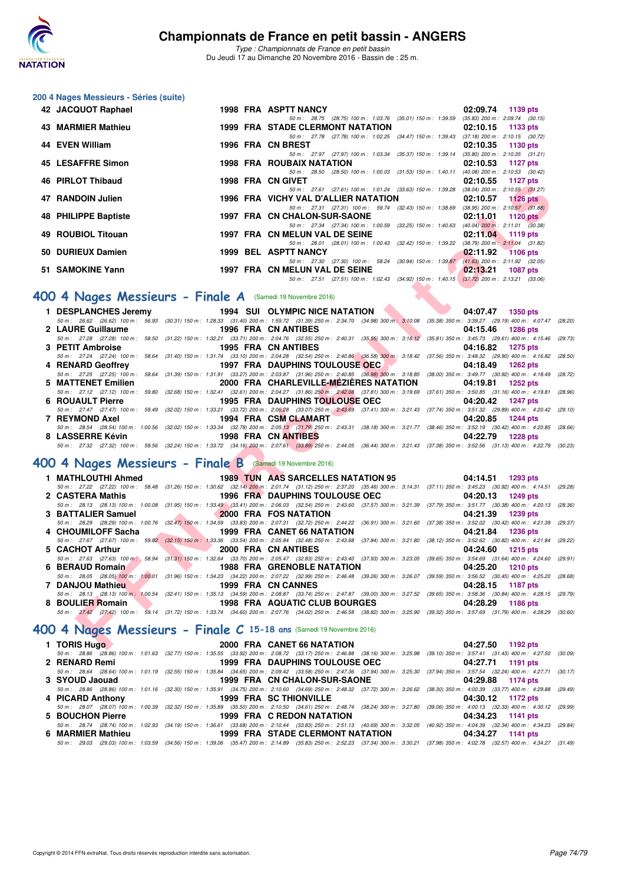

*Type : Championnats de France en petit bassin* Du Jeudi 17 au Dimanche 20 Novembre 2016 - Bassin de : 25 m.

## **200 4 Nages Messieurs - Séries (suite)**

| 42 JACQUOT Raphael   |  | 1998 FRA ASPTT NANCY                                                                     |          | 02:09.74 1139 pts                   |
|----------------------|--|------------------------------------------------------------------------------------------|----------|-------------------------------------|
|                      |  | 50 m: 28.75 (28.75) 100 m: 1:03.76 (35.01) 150 m: 1:39.59 (35.83) 200 m: 2:09.74 (30.15) |          |                                     |
| 43 MARMIER Mathieu   |  | 1999 FRA STADE CLERMONT NATATION 02:10.15 1133 pts                                       |          |                                     |
|                      |  | 50 m: 27.78 (27.78) 100 m: 1:02.25 (34.47) 150 m: 1:39.43 (37.18) 200 m: 2:10.15 (30.72) |          |                                     |
| 44 EVEN William      |  | 1996 FRA CN BREST                                                                        |          | $02:10.35$ 1130 pts                 |
|                      |  | 50 m: 27.97 (27.97) 100 m: 1:03.34 (35.37) 150 m: 1:39.14 (35.80) 200 m: 2:10.35 (31.21) |          |                                     |
| 45 LESAFFRE Simon    |  | 1998 FRA ROUBAIX NATATION                                                                |          | 02:10.53 1127 pts                   |
|                      |  | 50 m: 28.50 (28.50) 100 m: 1:00.03 (31.53) 150 m: 1:40.11 (40.08) 200 m: 2:10.53 (30.42) |          |                                     |
| 46 PIRLOT Thibaud    |  | 1998 FRA CN GIVET                                                                        | 02:10.55 | 1127 pts                            |
|                      |  | 50 m: 27.61 (27.61) 100 m: 1:01.24 (33.63) 150 m: 1:39.28 (38.04) 200 m: 2:10.55 (31.27) |          |                                     |
| 47 RANDOIN Julien    |  | 1996 FRA VICHY VAL D'ALLIER NATATION 02:10.57 1126 pts                                   |          |                                     |
|                      |  | 50 m: 27.31 (27.31) 100 m: 59.74 (32.43) 150 m: 1:38.69 (38.95) 200 m: 2:10.57 (31.88)   |          |                                     |
| 48 PHILIPPE Baptiste |  | 1997 FRA CN CHALON-SUR-SAONE                                                             |          | $02:11.01$ 1120 pts                 |
|                      |  | 50 m : 27.34 (27.34) 100 m : 1:00.59 (33.25) 150 m : 1:40.63                             |          | $(40.04)$ 200 m : 2:11.01 $(30.38)$ |
| 49 ROUBIOL Titouan   |  | 1997 FRA CN MELUN VAL DE SEINE                                                           |          | $02:11.04$ 1119 pts                 |
|                      |  | 50 m: 28.01 (28.01) 100 m: 1:00.43 (32.42) 150 m: 1:39.22 (38.79) 200 m: 2:11.04 (31.82) |          |                                     |
| 50 DURIEUX Damien    |  | 1999 BEL ASPTT NANCY                                                                     |          | $02:11.92$ 1106 pts                 |
|                      |  | 50 m: 27.30 (27.30) 100 m: 58.24 (30.94) 150 m: 1:39.87 (41.63) 200 m: 2:11.92 (32.05)   |          |                                     |
| 51 SAMOKINE Yann     |  | 1997 FRA CN MELUN VAL DE SEINE                                                           |          | $02:13.21$ 1087 pts                 |
|                      |  | 50 m: 27.51 (27.51) 100 m: 1:02.43 (34.92) 150 m: 1:40.15 (37.72) 200 m: 2:13.21 (33.06) |          |                                     |

## **[400 4 Nages Messieurs - Finale A](http://www.ffnatation.fr/webffn/resultats.php?idact=nat&go=epr&idcpt=41163&idepr=92)** (Samedi 19 Novembre 2016)

| tu finlui Hiilbauu                                                                                                                                                                                             |                                                                                                                                                                                                                                      | ו ביטורט והראחה סכפו                      |                                                                                          |          | <b>UZ.IU.</b> JJ ILZI ULS |         |
|----------------------------------------------------------------------------------------------------------------------------------------------------------------------------------------------------------------|--------------------------------------------------------------------------------------------------------------------------------------------------------------------------------------------------------------------------------------|-------------------------------------------|------------------------------------------------------------------------------------------|----------|---------------------------|---------|
| <b>17 RANDOIN Julien</b>                                                                                                                                                                                       |                                                                                                                                                                                                                                      | 1996 FRA VICHY VAL D'ALLIER NATATION      | 50 m: 27.61 (27.61) 100 m: 1:01.24 (33.63) 150 m: 1:39.28 (38.04) 200 m: 2:10.55 (31.27) |          | $02:10.57$ 1126 pts       |         |
|                                                                                                                                                                                                                |                                                                                                                                                                                                                                      |                                           | 50 m: 27.31 (27.31) 100 m: 59.74 (32.43) 150 m: 1:38.69 (38.95) 200 m: 2:10.57 (31.88)   |          |                           |         |
| 48 PHILIPPE Baptiste                                                                                                                                                                                           |                                                                                                                                                                                                                                      | <b>1997 FRA CN CHALON-SUR-SAONE</b>       |                                                                                          | 02:11.01 | 1120 $pts$                |         |
|                                                                                                                                                                                                                |                                                                                                                                                                                                                                      |                                           | 50 m: 27.34 (27.34) 100 m: 1:00.59 (33.25) 150 m: 1:40.63 (40.04) 200 m: 2:11.01 (30.38) |          |                           |         |
| 49 ROUBIOL Titouan                                                                                                                                                                                             |                                                                                                                                                                                                                                      | 1997 FRA CN MELUN VAL DE SEINE            |                                                                                          |          | 02:11.04 1119 pts         |         |
|                                                                                                                                                                                                                |                                                                                                                                                                                                                                      |                                           | 50 m: 28.01 (28.01) 100 m: 1:00.43 (32.42) 150 m: 1:39.22 (38.79) 200 m: 2:11.04 (31.82) |          |                           |         |
| 50 DURIEUX Damien                                                                                                                                                                                              |                                                                                                                                                                                                                                      | 1999 BEL ASPTT NANCY                      | 50 m: 27.30 (27.30) 100 m: 58.24 (30.94) 150 m: 1:39.87 (41.63) 200 m: 2:11.92 (32.05)   | 02:11.92 | $1106$ pts                |         |
| 51 SAMOKINE Yann                                                                                                                                                                                               | 1997 FRA CN MELUN VAL DE SEINE                                                                                                                                                                                                       |                                           |                                                                                          | 02:13.21 | <b>1087 pts</b>           |         |
|                                                                                                                                                                                                                |                                                                                                                                                                                                                                      |                                           | 50 m: 27.51 (27.51) 100 m: 1:02.43 (34.92) 150 m: 1:40.15 (37.72) 200 m: 2:13.21 (33.06) |          |                           |         |
|                                                                                                                                                                                                                |                                                                                                                                                                                                                                      |                                           |                                                                                          |          |                           |         |
| 00 4 Nages Messieurs - Finale A (Samedi 19 Novembre 2016)                                                                                                                                                      |                                                                                                                                                                                                                                      |                                           |                                                                                          |          |                           |         |
| 1 DESPLANCHES Jeremy                                                                                                                                                                                           |                                                                                                                                                                                                                                      | 1994 SUI OLYMPIC NICE NATATION            |                                                                                          | 04:07.47 | <b>1350 pts</b>           |         |
| 50 m : 26.62 (26.62) 100 m : 56.93 (30.31) 150 m : 1:28.33 (31.40) 200 m : 1:59.72 (31.39) 250 m : 2:34.70 (34.98) 300 m : 3:10.08 (35.38) 350 m : 3:39.27 (29.19) 400 m : 4:07.47 (28.20)                     |                                                                                                                                                                                                                                      |                                           |                                                                                          |          |                           |         |
| 2 LAURE Guillaume                                                                                                                                                                                              |                                                                                                                                                                                                                                      | 1996 FRA CN ANTIBES                       |                                                                                          | 04:15.46 | <b>1286 pts</b>           |         |
| 50 m: 27.28 (27.28) 100 m: 58.50 (31.22) 150 m: 1:32.21 (33.71) 200 m: 2:04.76 (32.55) 250 m: 2:40.31 (35.55) 300 m: 3:16.12 (35.81) 350 m: 3:45.73 (29.61) 400 m: 4:15.46 (29.73)                             |                                                                                                                                                                                                                                      |                                           |                                                                                          |          |                           |         |
| 3 PETIT Ambroise                                                                                                                                                                                               |                                                                                                                                                                                                                                      | <b>1995 FRA CN ANTIBES</b>                |                                                                                          | 04:16.82 | <b>1275 pts</b>           |         |
| 50 m: 27.24 (27.24) 100 m: 58.64 (31.40) 150 m: 1:31.74 (33.10) 200 m: 2:04.28 (32.54) 250 m: 2:40.86 (36.58) 300 m: 3:18.42 (37.56) 350 m: 3:48.32 (29.90) 400 m: 4:16.82                                     |                                                                                                                                                                                                                                      |                                           |                                                                                          |          |                           | (28.50) |
| 4 RENARD Geoffrey<br>50 m: 27.25 (27.25) 100 m: 58.64 (31.39) 150 m: 1:31.91 (33.27) 200 m: 2:03.87 (31.96) 250 m: 2:40.85 (36.98) 300 m: 3:18.85 (38.00) 350 m: 3:49.77 (30.92) 400 m: 4:18.49 (28.72)        |                                                                                                                                                                                                                                      | 1997 FRA DAUPHINS TOULOUSE OEC            |                                                                                          | 04:18.49 | <b>1262 pts</b>           |         |
| 5 MATTENET Emilien                                                                                                                                                                                             |                                                                                                                                                                                                                                      | 2000 FRA CHARLEVILLE-MEZIERES NATATION    |                                                                                          | 04:19.81 | <b>1252 pts</b>           |         |
| 50 m: 27.12 (27.12) 100 m: 59.80 (32.68) 150 m: 1:32.41 (32.61) 200 m: 2:04.27 (31.86) 250 m: 2:42.08 (37.81) 300 m: 3:19.69 (37.61) 350 m: 3:50.85 (31.16) 400 m: 4:19.81                                     |                                                                                                                                                                                                                                      |                                           |                                                                                          |          |                           | (28.96) |
| 6 ROUAULT Pierre                                                                                                                                                                                               |                                                                                                                                                                                                                                      | 1995 FRA DAUPHINS TOULOUSE OEC            |                                                                                          | 04:20.42 | <b>1247 pts</b>           |         |
| 50 m: 27.47 (27.47) 100 m: 59.49 (32.02) 150 m: 1:33.21 (33.72) 200 m: 2:06.28 (33.07) 250 m: 2:43.69 (37.41) 300 m: 3:21.43 (37.74) 350 m: 3:51.32 (29.89) 400 m: 4:20.42 (29.10)                             |                                                                                                                                                                                                                                      |                                           |                                                                                          |          |                           |         |
| 7 REYMOND Axel                                                                                                                                                                                                 |                                                                                                                                                                                                                                      | 1994 FRA CSM CLAMART                      |                                                                                          | 04:20.85 | <b>1244 pts</b>           |         |
| 50 m: 28.54 (28.54) 100 m: 1:00.56 (32.02) 150 m: 1:33.34 (32.78) 200 m: 2:05.13 (31.79) 250 m: 2:43.31 (38.18) 300 m: 3:21.77 (38.46) 350 m: 3:52.19 (30.42) 400 m: 4:20.85 (28.66)                           |                                                                                                                                                                                                                                      |                                           |                                                                                          |          |                           |         |
| 8 LASSERRE Kévin                                                                                                                                                                                               | 1998 FRA CN ANTIBES                                                                                                                                                                                                                  |                                           |                                                                                          | 04:22.79 | <b>1228 pts</b>           |         |
| 50 m: 27.32 (27.32) 100 m: 59.56 (32.24) 150 m: 1:33.72 (34.16) 200 m: 2:07.61 (33.89) 250 m: 2:44.05 (36.44) 300 m: 3:21.43 (37.38) 350 m: 3:52.56 (31.13) 400 m: 4:22.79 (30.23                              |                                                                                                                                                                                                                                      |                                           |                                                                                          |          |                           |         |
| 00 4 Nages Messieurs - Finale B (Samedi 19 Novembre 2016)                                                                                                                                                      |                                                                                                                                                                                                                                      |                                           |                                                                                          |          |                           |         |
|                                                                                                                                                                                                                |                                                                                                                                                                                                                                      |                                           |                                                                                          |          |                           |         |
| 1 MATHLOUTHI Ahmed                                                                                                                                                                                             |                                                                                                                                                                                                                                      | <b>1989 TUN AAS SARCELLES NATATION 95</b> |                                                                                          | 04:14.51 | 1293 pts                  |         |
| 50 m: 27.22 (27.22) 100 m: 58.48 (31.26) 150 m: 1:30.62 (32.14) 200 m: 2:01.74 (31.12) 250 m: 2:37.20 (35.46) 300 m: 3:14.31 (37.11) 350 m: 3:45.23 (30.92) 400 m: 4:14.51 (29.28,                             | <b>1996 FRA DAUPHINS TOULOUSE OEC</b>                                                                                                                                                                                                |                                           |                                                                                          |          |                           |         |
| 2 CASTERA Mathis<br>50 m: 28.13 (28.13) 100 m: 1:00.08 (31.95) 150 m: 1:33.49 (33.41) 200 m: 2:06.03 (32.54) 250 m: 2:43.60 (37.57) 300 m: 3:21.39 (37.79) 350 m: 3:51.77 (30.38) 400 m: 4:20.13 (28.36,       |                                                                                                                                                                                                                                      |                                           |                                                                                          | 04:20.13 | <b>1249 pts</b>           |         |
| 3 BATTALIER Samuel                                                                                                                                                                                             |                                                                                                                                                                                                                                      | 2000 FRA FOS NATATION                     |                                                                                          | 04:21.39 | 1239 pts                  |         |
| 50 m: 28.29 (28.29) 100 m: 1:00.76 (32.47) 150 m: 1:34.59 (33.83) 200 m: 2:07.31 (32.72) 250 m: 2:44.22 (36.91) 300 m: 3:21.60 (37.38) 350 m: 3:52.02 (30.42) 400 m: 4:21.39 (29.37)                           |                                                                                                                                                                                                                                      |                                           |                                                                                          |          |                           |         |
| 4 CHOUMILOFF Sacha                                                                                                                                                                                             | <b>The Contract of Street</b>                                                                                                                                                                                                        | 1999 FRA CANET 66 NATATION                |                                                                                          | 04:21.84 | <b>1236 pts</b>           |         |
| 50 m: 27.67 (27.67) 100 m: 59.82 (32.15) 150 m: 1:33.36 (33.54) 200 m: 2:05.84 (32.48) 250 m: 2:43.68 (37.84) 300 m: 3:21.80 (38.12) 350 m: 3:52.62 (30.82) 400 m: 4:21.84                                     |                                                                                                                                                                                                                                      |                                           |                                                                                          |          |                           | (29.22) |
| 5 CACHOT Arthur                                                                                                                                                                                                | <u>the contract of the contract of the contract of the contract of the contract of the contract of the contract of the contract of the contract of the contract of the contract of the contract of the contract of the contract </u> | 2000 FRA CN ANTIBES                       |                                                                                          | 04:24.60 | <b>1215 pts</b>           |         |
| 50 m: 27.63 (27.63) 100 m: 58.94 (31.31) 150 m: 1:32.64 (33.70) 200 m: 2:05.47 (32.83) 250 m: 2:43.40 (37.93) 300 m: 3:23.05 (39.65) 350 m: 3:54.69 (31.64) 400 m: 4:24.60 (29.91,                             |                                                                                                                                                                                                                                      |                                           |                                                                                          |          |                           |         |
| 6 BERAUD Romain                                                                                                                                                                                                |                                                                                                                                                                                                                                      | <b>1988 FRA GRENOBLE NATATION</b>         |                                                                                          | 04:25.20 | <b>1210 pts</b>           |         |
| 50 m: 28.05 (28.05) 100 m: 1:00.01 (31.96) 150 m: 1:34.23 (34.22) 200 m: 2:07.22 (32.99) 250 m: 2:46.48 (39.26) 300 m: 3:26.07 (39.59) 350 m: 3:56.52 (30.45) 400 m: 4:25.20 (28.68,                           |                                                                                                                                                                                                                                      |                                           |                                                                                          |          |                           |         |
| 7 DANJOU Mathieu                                                                                                                                                                                               |                                                                                                                                                                                                                                      | 1999 FRA CN CANNES                        |                                                                                          | 04:28.15 | <b>1187 pts</b>           |         |
| 50 m: 28.13 (28.13) 100 m; 1:00.54 (32.41) 150 m: 1:35.13 (34.59) 200 m: 2:08.87 (33.74) 250 m: 2:47.87 (39.00) 300 m: 3:27.52 (39.65) 350 m: 3:58.36 (30.84) 400 m: 4:28.15 (29.79)                           |                                                                                                                                                                                                                                      |                                           |                                                                                          |          |                           |         |
| 8 BOULIER Romain<br>50 m : 27.42 (27.42) 100 m : 59.14 (31.72) 150 m : 1:33.74 (34.60) 200 m : 2:07.76 (34.02) 250 m : 2:46.58 (38.82) 300 m : 3:25.90 (39.32) 350 m : 3:57.69 (31.79) 400 m : 4:28.29 (30.60) | <b>Contract Contract Contract Contract</b>                                                                                                                                                                                           | 1998 FRA AQUATIC CLUB BOURGES             |                                                                                          | 04:28.29 | <b>1186 pts</b>           |         |
|                                                                                                                                                                                                                |                                                                                                                                                                                                                                      |                                           |                                                                                          |          |                           |         |
| 00 4 Nages Messieurs - Finale C 15-18 ans (Samedi 19 Novembre 2016)                                                                                                                                            |                                                                                                                                                                                                                                      |                                           |                                                                                          |          |                           |         |
|                                                                                                                                                                                                                |                                                                                                                                                                                                                                      |                                           |                                                                                          |          |                           |         |
| 1 TORIS Hugo                                                                                                                                                                                                   |                                                                                                                                                                                                                                      | 2000 FRA CANET 66 NATATION                |                                                                                          | 04:27.50 | 1192 pts                  |         |

# **[400 4 Nages Messieurs - Finale B](http://www.ffnatation.fr/webffn/resultats.php?idact=nat&go=epr&idcpt=41163&idepr=92)** (Samedi 19 Novembre 2016)

|                                                 |                                    |                                   | 04:14.51 1293 pts                                                                                                                                                                            |  |
|-------------------------------------------------|------------------------------------|-----------------------------------|----------------------------------------------------------------------------------------------------------------------------------------------------------------------------------------------|--|
|                                                 |                                    |                                   | 50 m: 27.22 (27.22) 100 m: 58.48 (31.26) 150 m: 1:30.62 (32.14) 200 m: 2:01.74 (31.12) 250 m: 2:37.20 (35.46) 300 m: 3:14.31 (37.11) 350 m: 3:45.23 (30.92) 400 m: 4:14.51 (29.28)           |  |
| 2 CASTERA Mathis 2 CASTERA Mathis               |                                    | 1996 FRA DAUPHINS TOULOUSE OEC    | 04:20.13 1249 pts                                                                                                                                                                            |  |
|                                                 |                                    |                                   | 50 m: 28.13 (28.13) 100 m: 1:00.08 (31.95) 150 m: 1:33.49 (33.41) 200 m: 2:06.03 (32.54) 250 m: 2:43.60 (37.57) 300 m: 3:21.39 (37.79) 350 m: 3:51.77 (30.38) 400 m: 4:20.13 (28.36)         |  |
| 3 BATTALIER Samuel <b>2000 FRA FOS NATATION</b> |                                    |                                   | 04:21.39 1239 pts                                                                                                                                                                            |  |
|                                                 |                                    |                                   | 50 m : 28.29 (28.29) 100 m : 1:00.76 (32.47) 150 m : 1:34.59 (33.83) 200 m : 2:07.31 (32.72) 250 m : 2:44.22 (36.91) 300 m : 3:21.60 (37.38) 350 m : 3:52.02 (30.42) 400 m : 4:21.39 (29.37) |  |
| 4 CHOUMILOFF Sacha                              |                                    | 1999 FRA CANET 66 NATATION        | 04:21.84 1236 pts                                                                                                                                                                            |  |
|                                                 |                                    |                                   | 50 m: 27.67 (27.67) 100 m: 59.82 (32.15) 150 m: 1:33.36 (33.54) 200 m: 2:05.84 (32.48) 250 m: 2:43.68 (37.84) 300 m: 3:21.80 (38.12) 350 m: 3:52.62 (30.82) 400 m: 4:21.84 (29.22)           |  |
| 5 CACHOT Arthur                                 | <b>EXAMPLE 2000 FRA CN ANTIBES</b> |                                   | 04:24.60 1215 pts                                                                                                                                                                            |  |
|                                                 |                                    |                                   |                                                                                                                                                                                              |  |
|                                                 |                                    |                                   | 50 m : 27.63 (27.63) 100 m : 58.94 (31.31) 150 m : 1:32.64 (33.70) 200 m : 2:05.47 (32.83) 250 m : 2:43.40 (37.93) 300 m : 3:23.05 (39.65) 350 m : 3:54.69 (31.64) 400 m : 4:24.60 (29.91)   |  |
| 6 BERAUD Romain                                 |                                    | <b>1988 FRA GRENOBLE NATATION</b> | 04:25.20 1210 pts                                                                                                                                                                            |  |
|                                                 |                                    |                                   | 50 m: 28.05 (28.05) 100 m: 1:00.01 (31.96) 150 m: 1:34.23 (34.22) 200 m: 2:07.22 (32.99) 250 m: 2:46.48 (39.26) 300 m: 3:26.07 (39.59) 350 m: 3:56.52 (30.45) 400 m: 4:25.20 (28.68)         |  |
| 7 DANJOU Mathieu                                |                                    | 1999 FRA CN CANNES                | 04:28.15 1187 pts                                                                                                                                                                            |  |
|                                                 |                                    |                                   | 50 m: 28.13 (28.13) 100 m: 1:00.54 (32.41) 150 m: 1:35.13 (34.59) 200 m: 2:08.87 (33.74) 250 m: 2:47.87 (39.00) 300 m: 3:27.52 (39.65) 350 m: 3:58.36 (30.84) 400 m: 4:28.15 (29.79)         |  |
| 8 BOULIER Romain                                |                                    | 1998 FRA AQUATIC CLUB BOURGES     | 04:28.29<br>1186 pts                                                                                                                                                                         |  |

## **[400 4 Nages Messieurs - Finale C](http://www.ffnatation.fr/webffn/resultats.php?idact=nat&go=epr&idcpt=41163&idepr=92) 15-18 ans** (Samedi 19 Novembre 2016)

| 1 TORIS Hugo      | 2000 FRA CANET 66 NATATION            | 04:27.50 1192 pts                                                                                                                                                                            |
|-------------------|---------------------------------------|----------------------------------------------------------------------------------------------------------------------------------------------------------------------------------------------|
|                   |                                       | 50 m : 28.86 (28.86) 100 m : 1:01.63 (32.77) 150 m : 1:35.55 (33.92) 200 m : 2:08.72 (33.17) 250 m : 2:46.88 (38.16) 300 m : 3:25.98 (39.10) 350 m : 3:57.41 (31.43) 400 m : 4:27.50 (30.09) |
| 2 RENARD Remi     | <b>1999 FRA DAUPHINS TOULOUSE OEC</b> | 04:27.71 1191 pts                                                                                                                                                                            |
|                   |                                       | 50 m: 28.64 (28.64) 100 m: 1:01.19 (32.55) 150 m: 1:35.84 (34.65) 200 m: 2:09.42 (33.58) 250 m: 2:47.36 (37.94) 300 m: 3:25.30 (37.94) 350 m: 3:57.54 (32.24) 400 m: 4:27.71 (30.17)         |
| 3 SYOUD Jaouad    | 1999 FRA CN CHALON-SUR-SAONE          | 04:29.88 1174 pts                                                                                                                                                                            |
|                   |                                       | 50 m: 28.86 (28.86) 100 m: 1:01.16 (32.30) 150 m: 1:35.91 (34.75) 200 m: 2:10.60 (34.69) 250 m: 2:48.32 (37.72) 300 m: 3:26.62 (38.30) 350 m: 4:00.39 (33.77) 400 m: 4:29.88 (29.49)         |
| 4 PICARD Anthony  | 1999 FRA SC THIONVILLE                | 04:30.12 1172 pts                                                                                                                                                                            |
|                   |                                       | 50 m: 28.07 (28.07) 100 m: 1:00.39 (32.32) 150 m: 1:35.89 (35.50) 200 m: 2:10.50 (34.61) 250 m: 2:48.74 (38.24) 300 m: 3:27.80 (39.06) 350 m: 4:00.13 (32.33) 400 m: 4:30.12 (29.99)         |
| 5 BOUCHON Pierre  | 1999 FRA C REDON NATATION             | 04:34.23 1141 pts                                                                                                                                                                            |
|                   |                                       | 50 m : 28.74 (28.74) 100 m : 1:02.93 (34.19) 150 m : 1:36.61 (33.68) 200 m : 2:10.44 (33.83) 250 m : 2:51.13 (40.69) 300 m : 3:32.05 (40.92) 350 m : 4:04.39 (32.34) 400 m : 4:34.23 (29.84) |
| 6 MARMIER Mathieu | 1999 FRA STADE CLERMONT NATATION      | 04:34.27 1141 pts                                                                                                                                                                            |
|                   |                                       | 50 m : 29.03 (29.03) 100 m : 1:03.59 (34.56) 150 m : 1:39.06 (35.47) 200 m : 2:14.89 (35.83) 250 m : 2:52.23 (37.34) 300 m : 3:30.21 (37.98) 350 m : 4:02.78 (32.57) 400 m : 4:34.27 (31.49) |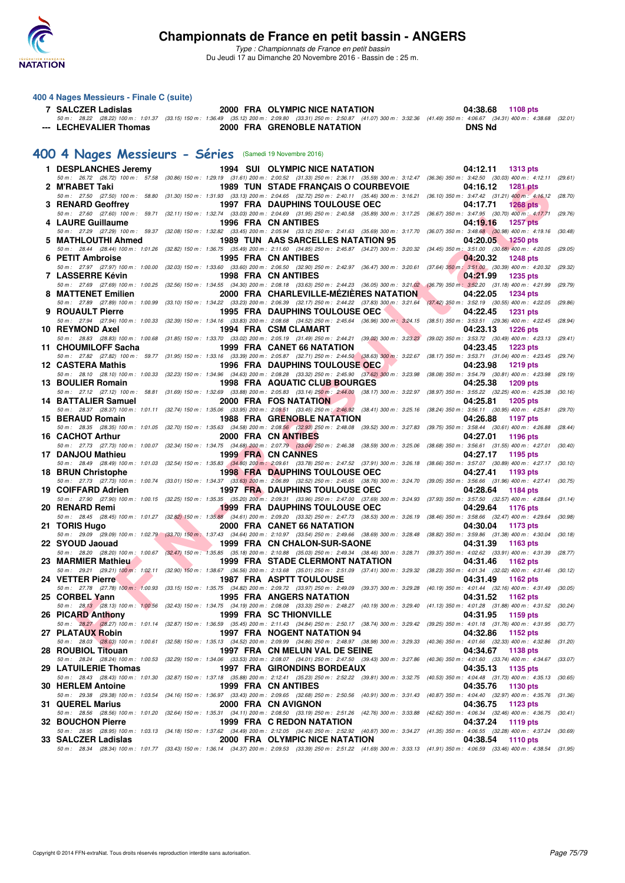

*Type : Championnats de France en petit bassin* Du Jeudi 17 au Dimanche 20 Novembre 2016 - Bassin de : 25 m.

#### **400 4 Nages Messieurs - Finale C (suite)**

| 7 SALCZER Ladislas |                        |  | 2000 FRA OLYMPIC NICE NATATION                                                                                                                                                       |        | 04:38.68 1108 pts |  |
|--------------------|------------------------|--|--------------------------------------------------------------------------------------------------------------------------------------------------------------------------------------|--------|-------------------|--|
|                    |                        |  | 50 m: 28.22 (28.22) 100 m: 1:01.37 (33.15) 150 m: 1:36.49 (35.12) 200 m: 2:09.80 (33.31) 250 m: 2:50.87 (41.07) 300 m: 3:32.36 (41.49) 350 m: 4:06.67 (34.31) 400 m: 4:38.68 (32.01) |        |                   |  |
|                    | --- LECHEVALIER Thomas |  | 2000 FRA GRENOBLE NATATION                                                                                                                                                           | DNS Nd |                   |  |

## **[400 4 Nages Messieurs - Séries](http://www.ffnatation.fr/webffn/resultats.php?idact=nat&go=epr&idcpt=41163&idepr=92)** (Samedi 19 Novembre 2016)

| 1 DESPLANCHES Jeremy     |  | <b>1994 SUI OLYMPIC NICE NATATION</b>                                                                                                                                                                                    | 04:12.11<br>1313 pts                                                            |         |
|--------------------------|--|--------------------------------------------------------------------------------------------------------------------------------------------------------------------------------------------------------------------------|---------------------------------------------------------------------------------|---------|
|                          |  | 50 m: 26.72 (26.72) 100 m: 57.58 (30.86) 150 m: 1:29.19 (31.61) 200 m: 2:00.52 (31.33) 250 m: 2:36.11 (35.59) 300 m: 3:12.47 (36.36) 350 m: 3:42.50 (30.03) 400 m: 4:12.11 (29.61)                                       |                                                                                 |         |
| 2 M'RABET Taki           |  | 1989 TUN STADE FRANÇAIS O COURBEVOIE<br>50 m: 27.50 (27.50) 100 m: 58.80 (31.30) 150 m: 1:31.93 (33.13) 200 m: 2:04.65 (32.72) 250 m: 2:40.11 (35.46) 300 m: 3:16.21 (36.10) 350 m: 3:47.42 (31.21) 400 m: 4:16.12       | 04:16.12<br><b>1281 pts</b>                                                     | (28.70) |
| 3 RENARD Geoffrey        |  | <b>1997 FRA DAUPHINS TOULOUSE OEC</b>                                                                                                                                                                                    | 04:17.71<br><b>1268 pts</b>                                                     |         |
|                          |  | 50 m: 27.60 (27.60) 100 m: 59.71 (32.11) 150 m: 1:32.74 (33.03) 200 m: 2:04.69 (31.95) 250 m: 2:40.58 (35.89) 300 m: 3:17.25 (36.67) 350 m: 3:47.95 (30.70) 400 m: 4:17.71                                               |                                                                                 | (29.76) |
| 4 LAURE Guillaume        |  | 1996 FRA CN ANTIBES                                                                                                                                                                                                      | 04:19.16<br><b>1257 pts</b>                                                     |         |
| 5 MATHLOUTHI Ahmed       |  | 50 m: 27.29 (27.29) 100 m: 59.37 (32.08) 150 m: 1:32.82 (33.45) 200 m: 2:05.94 (33.12) 250 m: 2:41.63 (35.69) 300 m: 3:17.70 (36.07) 350 m: 3:48.68 (30.98) 400 m: 4:19.16 (30.48)<br>1989 TUN AAS SARCELLES NATATION 95 | 04:20.05<br>$1250$ pts                                                          |         |
|                          |  | 50 m: 28.44 (28.44) 100 m: 1:01.26 (32.82) 150 m: 1:36.75 (35.49) 200 m: 2:11.60 (34.85) 250 m: 2:45.87 (34.27) 300 m: 3:20.32 (34.45) 350 m: 3:51.00 (30.68) 400 m: 4:20.05                                             |                                                                                 | (29.05) |
| 6 PETIT Ambroise         |  | 1995 FRA CN ANTIBES                                                                                                                                                                                                      | 04:20.32<br><b>1248 pts</b>                                                     |         |
|                          |  | 50 m : 27.97 (27.97) 100 m : 1:00.00 (32.03) 150 m : 1:33.60 (33.60) 200 m : 2:06.50 (32.90) 250 m : 2:42.97 (36.47) 300 m : 3:20.61 (37.64) 350 m : 3:51.00 (30.39) 400 m : 4:20.32 (29.32)                             | 04:21.99                                                                        |         |
| 7 LASSERRE Kévin         |  | <b>1998 FRA CN ANTIBES</b><br>50 m : 27.69 (27.69) 100 m : 1:00.25 (32.56) 150 m : 1:34.55 (34.30) 200 m : 2:08.18 (33.63) 250 m : 2:44.23 (36.05) 300 m : 3:21.02 (36.79) 350 m : 3:52.20 (31.18) 400 m : 4:21.99       | 1235 pts                                                                        | (29.79) |
| 8 MATTENET Emilien       |  | 2000 FRA CHARLEVILLE-MÉZIÈRES NATATION                                                                                                                                                                                   | 04:22.05<br>1234 pts                                                            |         |
|                          |  | 50 m : 27.89 (27.89) 100 m : 1:00.99 (33.10) 150 m : 1:34.22 (33.23) 200 m : 2:06.39 (32.17) 250 m : 2:44.22 (37.83) 300 m : 3:21.64                                                                                     | $(37.42)$ 350 m : 3:52.19 $(30.55)$ 400 m : 4:22.05                             | (29.86) |
| 9 ROUAULT Pierre         |  | <b>1995 FRA DAUPHINS TOULOUSE OEC</b>                                                                                                                                                                                    | 04:22.45<br><b>1231 pts</b>                                                     |         |
| 10 REYMOND Axel          |  | 50 m: 27.94 (27.94) 100 m: 1:00.33 (32.39) 150 m: 1:34.16 (33.83) 200 m: 2:08.68 (34.52) 250 m: 2:45.64 (36.96) 300 m: 3:24.15 (38.51) 350 m: 3:53.51 (29.36) 400 m: 4:22.45<br>1994 FRA CSM CLAMART                     | 04:23.13<br><b>1226 pts</b>                                                     | (28.94) |
|                          |  | 50 m : 28.83 (28.83) 100 m : 1:00.68 (31.85) 150 m : 1:33.70 (33.02) 200 m : 2:05.19 (31.49) 250 m : 2:44.21 (39.02) 300 m : 3:23.23                                                                                     | (39.02) 350 m: 3:53.72 (30.49) 400 m: 4:23.13 (29.41)                           |         |
| 11 CHOUMILOFF Sacha      |  | 1999 FRA CANET 66 NATATION                                                                                                                                                                                               | 04:23.45<br>1223 pts                                                            |         |
| 12 CASTERA Mathis        |  | 50 m : 27.82 (27.82) 100 m : 59.77 (31.95) 150 m : 1:33.16 (33.39) 200 m : 2:05.87 (32.71) 250 m : 2:44.50 (38.63) 300 m : 3:22.67<br><b>1996 FRA DAUPHINS TOULOUSE OEC</b>                                              | (38.17) 350 m : 3:53.71 (31.04) 400 m : 4:23.45 (29.74)<br>04:23.98<br>1219 pts |         |
|                          |  | 50 m : 28.10 (28.10) 100 m : 1:00.33 (32.23) 150 m : 1:34.96 (34.63) 200 m : 2:08.28 (33.32) 250 m : 2:45.90 (37.62) 300 m : 3:23.98                                                                                     | $(38.08)$ 350 m : 3:54.79 $(30.81)$ 400 m : 4:23.98                             | (29.19) |
| 13 BOULIER Romain        |  | 1998 FRA AQUATIC CLUB BOURGES                                                                                                                                                                                            | 04:25.38<br>1209 pts                                                            |         |
|                          |  | 50 m: 27.12 (27.12) 100 m: 58.81 (31.69) 150 m: 1:32.69 (33.88) 200 m: 2:05.83 (33.14) 250 m: 2:44.00 (38.17) 300 m: 3:22.97 (38.97) 350 m: 3:55.22 (32.25) 400 m: 4:25.38                                               |                                                                                 | (30.16) |
| 14 BATTALIER Samuel      |  | 2000 FRA FOS NATATION<br>50 m: 28.37 (28.37) 100 m: 1:01.11 (32.74) 150 m: 1:35.06 (33.95) 200 m: 2:08.51 (33.45) 250 m: 2:46.92 (38.41) 300 m: 3:25.16 (38.24) 350 m: 3:56.11 (30.95) 400 m: 4:25.81                    | 04:25.81<br>1205 pts                                                            | (29.70) |
| 15 BERAUD Romain         |  | <b>1988 FRA GRENOBLE NATATION</b>                                                                                                                                                                                        | 04:26.88<br>1197 pts                                                            |         |
|                          |  | 50 m: 28.35 (28.35) 100 m: 1:01.05 (32.70) 150 m: 1:35.63 (34.58) 200 m: 2:08.56 (32.93) 250 m: 2:48.08 (39.52) 300 m: 3:27.83 (39.75) 350 m: 3:58.44 (30.61) 400 m: 4:26.88                                             |                                                                                 | (28.44) |
| 16 CACHOT Arthur         |  | 2000 FRA CN ANTIBES                                                                                                                                                                                                      | 04:27.01<br>1196 pts                                                            |         |
| 17 DANJOU Mathieu        |  | 50 m : 27.73 (27.73) 100 m : 1:00.07 (32.34) 150 m : 1:34.75 (34.68) 200 m : 2:07.79 (33.04) 250 m : 2:46.38 (38.59) 300 m : 3:25.06<br>1999 FRA CN CANNES                                                               | (38.68) 350 m : 3:56.61 (31.55) 400 m : 4:27.01<br>04:27.17<br>1195 pts         | (30.40) |
|                          |  | 50 m : 28.49 (28.49) 100 m : 1:01.03 (32.54) 150 m : 1:35.83 (34.80) 200 m : 2:09.61 (33.78) 250 m : 2:47.52 (37.91) 300 m : 3:26.18 (38.66) 350 m : 3:57.07 (30.89) 400 m : 4:27.17 (30.10)                             |                                                                                 |         |
| 18 BRUN Christophe       |  | <b>1998 FRA DAUPHINS TOULOUSE OEC</b>                                                                                                                                                                                    | 04:27.41<br>1193 pts                                                            |         |
|                          |  | 50 m: 27.73 (27.73) 100 m: 1:00.74 (33.01) 150 m: 1:34.37 (33.63) 200 m: 2:06.89 (32.52) 250 m: 2:45.65 (38.76) 300 m: 3:24.70 (39.05) 350 m: 3:56.66 (31.96) 400 m: 4:27.41 (30.75)                                     |                                                                                 |         |
| 19 COIFFARD Adrien       |  | <b>1997 FRA DAUPHINS TOULOUSE OEC</b><br>50 m : 27.90 (27.90) 100 m : 1:00.15 (32.25) 150 m : 1:35.35 (35.20) 200 m : 2:09.31 (33.96) 250 m : 2:47.00 (37.69) 300 m : 3:24.93                                            | 04:28.64<br>1184 pts<br>(37.93) 350 m : 3:57.50 (32.57) 400 m : 4:28.64         | (31.14) |
| 20 RENARD Remi           |  | <b>1999 FRA DAUPHINS TOULOUSE OEC</b>                                                                                                                                                                                    | 04:29.64<br>1176 pts                                                            |         |
|                          |  | 50 m : 28.45 (28.45) 100 m : 1:01.27 (32.82) 150 m : 1:35.88 (34.61) 200 m : 2:09.20 (33.32) 250 m : 2:47.73 (38.53) 300 m : 3:26.19                                                                                     | (38.46) 350 m : 3:58.66 (32.47) 400 m : 4:29.64                                 | (30.98) |
| 21 TORIS Hugo            |  | 2000 FRA CANET 66 NATATION<br>50 m : 29.09 (29.09) 100 m : 1:02.79 (33.70) 150 m : 1:37.43 (34.64) 200 m : 2:10.97 (33.54) 250 m : 2:49.66 (38.69) 300 m : 3:28.48                                                       | 04:30.04<br>1173 pts<br>$(38.82)$ 350 m : 3:59.86 $(31.38)$ 400 m : 4:30.04     | (30.18) |
| 22 SYOUD Jaouad          |  | 1999 FRA CN CHALON-SUR-SAONE                                                                                                                                                                                             | 04:31.39<br>1163 pts                                                            |         |
|                          |  | 50 m : 28.20 (28.20) 100 m : 1:00.67 (32.47) 150 m : 1:35.85 (35.18) 200 m : 2:10.88 (35.03) 250 m : 2:49.34 (38.46) 300 m : 3:28.71 (39.37) 350 m : 4:02.62 (33.91) 400 m : 4:31.39 (28.77)                             |                                                                                 |         |
| 23 MARMIER Mathieu       |  | <b>1999 FRA STADE CLERMONT NATATION</b>                                                                                                                                                                                  | 04:31.46<br>1162 pts                                                            |         |
| 24 VETTER Pierre         |  | 50 m: 29.21 (29.21) 100 m: 1:02.11 (32.90) 150 m: 1:38.67 (36.56) 200 m: 2:13.68 (35.01) 250 m: 2:51.09 (37.41) 300 m: 3:29.32 (38.23) 350 m: 4:01.34 (32.02) 400 m: 4:31.46 (30.12)<br><b>1987 FRA ASPTT TOULOUSE</b>   | 04:31.49<br>1162 pts                                                            |         |
|                          |  | 50 m: 27.78 (27.78) 100 m: 1:00.93 (33.15) 150 m: 1:35.75 (34.82) 200 m: 2:09.72 (33.97) 250 m: 2:49.09 (39.37) 300 m: 3:29.28 (40.19) 350 m: 4:01.44 (32.16) 400 m: 4:31.49 (30.05)                                     |                                                                                 |         |
| 25 CORBEL Yann           |  | 1995 FRA ANGERS NATATION                                                                                                                                                                                                 | 04:31.52<br>1162 pts                                                            |         |
| 26 PICARD Anthony        |  | 50 m: 28.13 (28.13) 100 m: 1:00.56 (32.43) 150 m: 1:34.75 (34.19) 200 m: 2:08.08 (33.33) 250 m: 2:48.27 (40.19) 300 m: 3:29.40 (41.13) 350 m: 4:01.28 (31.88) 400 m: 4:31.52 (30.24)<br><b>1999 FRA SC THIONVILLE</b>    | 04:31.95                                                                        |         |
|                          |  | 50 m: 28.27 (28.27) 100 m: 1:01.14 (32.87) 150 m: 1:36.59 (35.45) 200 m: 2:11.43 (34.84) 250 m: 2:50.17 (38.74) 300 m: 3:29.42 (39.25) 350 m: 4:01.18 (31.76) 400 m: 4:31.95 (30.77)                                     | 1159 pts                                                                        |         |
| 27 PLATAUX Robin         |  | 1997 FRA NOGENT NATATION 94                                                                                                                                                                                              | 04:32.86<br>1152 pts                                                            |         |
|                          |  | 50 m : 28.03 (28.03) 100 m : 1:00.61 (32.58) 150 m : 1:35.13 (34.52) 200 m : 2:09.99 (34.86) 250 m : 2:48.97 (38.98) 300 m : 3:29.33                                                                                     | (40.36) 350 m : 4:01.66 (32.33) 400 m : 4:32.86 (31.20)                         |         |
| 28 ROUBIOL Titouan       |  | 1997 FRA CN MELUN VAL DE SEINE<br>50 m : 28.24 (28.24) 100 m : 1:00.53 (32.29) 150 m : 1:34.06 (33.53) 200 m : 2:08.07 (34.01) 250 m : 2:47.50 (39.43) 300 m : 3:27.86                                                   | 04:34.67<br>1138 pts<br>(40.36) 350 m : 4:01.60 (33.74) 400 m : 4:34.67         | (33.07) |
| 29 LATUILERIE Thomas     |  | 1997 FRA GIRONDINS BORDEAUX                                                                                                                                                                                              | 04:35.13<br>1135 pts                                                            |         |
|                          |  | 50 m : 28.43 (28.43) 100 m : 1:01.30 (32.87) 150 m : 1:37.18 (35.88) 200 m : 2:12.41 (35.23) 250 m : 2:52.22 (39.81) 300 m : 3:32.75                                                                                     | (40.53) 350 m : 4:04.48 (31.73) 400 m : 4:35.13 (30.65)                         |         |
| 30 HERLEM Antoine        |  | 1999 FRA CN ANTIBES                                                                                                                                                                                                      | 04:35.76<br>1130 pts                                                            |         |
| 31 QUEREL Marius         |  | 50 m : 29.38 (29.38) 100 m : 1:03.54 (34.16) 150 m : 1:36.97 (33.43) 200 m : 2:09.65 (32.68) 250 m : 2:50.56 (40.91) 300 m : 3:31.43<br>2000 FRA CN AVIGNON                                                              | (40.87) 350 m : 4:04.40 (32.97) 400 m : 4:35.76 (31.36)<br>04:36.75<br>1123 pts |         |
|                          |  | 50 m : 28.56 (28.56) 100 m : 1:01.20 (32.64) 150 m : 1:35.31 (34.11) 200 m : 2:08.50 (33.19) 250 m : 2:51.26 (42.76) 300 m : 3:33.88                                                                                     | (42.62) 350 m : 4:06.34 (32.46) 400 m : 4:36.75 (30.41)                         |         |
| <b>32 BOUCHON Pierre</b> |  | 1999 FRA C REDON NATATION                                                                                                                                                                                                | 04:37.24<br>1119 pts                                                            |         |
|                          |  | 50 m : 28.95 (28.95) 100 m : 1:03.13 (34.18) 150 m : 1:37.62 (34.49) 200 m : 2:12.05 (34.43) 250 m : 2:52.92 (40.87) 300 m : 3:34.27 (41.35) 350 m : 4:06.55 (32.28) 400 m : 4:37.24 (30.69)                             |                                                                                 |         |
| 33 SALCZER Ladislas      |  | 2000 FRA OLYMPIC NICE NATATION<br>50 m: 28.34 (28.34) 100 m: 1:01.77 (33.43) 150 m: 1:36.14 (34.37) 200 m: 2:09.53 (33.39) 250 m: 2:51.22 (41.69) 300 m: 3:33.13 (41.91) 350 m: 4:06.59 (33.46) 400 m: 4:38.54 (31.95)   | 04:38.54<br><b>1110 pts</b>                                                     |         |
|                          |  |                                                                                                                                                                                                                          |                                                                                 |         |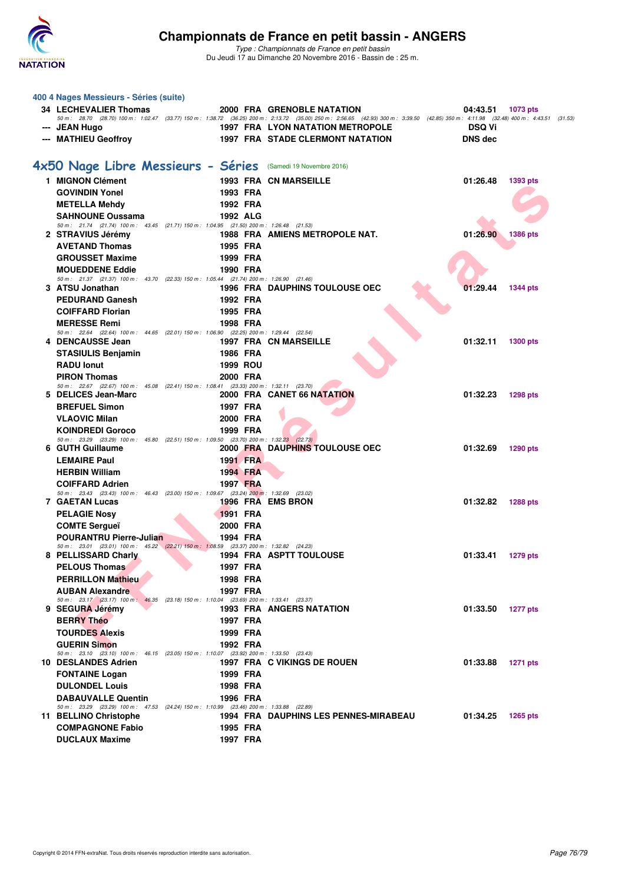

| 400 4 Nages Messieurs - Séries (suite)                       |                                                                                                    |                                         |                                                                                                                                                                                                       |
|--------------------------------------------------------------|----------------------------------------------------------------------------------------------------|-----------------------------------------|-------------------------------------------------------------------------------------------------------------------------------------------------------------------------------------------------------|
| <b>34 LECHEVALIER Thomas</b>                                 |                                                                                                    | 2000 FRA GRENOBLE NATATION              | 04:43.51<br>1073 pts                                                                                                                                                                                  |
| --- JEAN Hugo                                                |                                                                                                    | <b>1997 FRA LYON NATATION METROPOLE</b> | 50 m: 28.70 (28.70) 100 m: 1:02.47 (33.77) 150 m: 1:38.72 (36.25) 200 m: 2:13.72 (35.00) 250 m: 2:56.65 (42.93) 300 m: 3:39.50 (42.85) 350 m: 4:11.98 (32.48) 400 m: 4:43.51 (31.53)<br><b>DSQ Vi</b> |
| --- MATHIEU Geoffroy                                         |                                                                                                    | <b>1997 FRA STADE CLERMONT NATATION</b> | <b>DNS</b> dec                                                                                                                                                                                        |
|                                                              |                                                                                                    |                                         |                                                                                                                                                                                                       |
| 4x50 Nage Libre Messieurs - Séries (Samedi 19 Novembre 2016) |                                                                                                    |                                         |                                                                                                                                                                                                       |
| 1 MIGNON Clément                                             |                                                                                                    | <b>1993 FRA CN MARSEILLE</b>            | 01:26.48<br>1393 pts                                                                                                                                                                                  |
| <b>GOVINDIN Yonel</b>                                        | 1993 FRA                                                                                           |                                         |                                                                                                                                                                                                       |
| <b>METELLA Mehdy</b>                                         | 1992 FRA                                                                                           |                                         |                                                                                                                                                                                                       |
| <b>SAHNOUNE Oussama</b>                                      | 1992 ALG                                                                                           |                                         |                                                                                                                                                                                                       |
|                                                              | 50 m: 21.74 (21.74) 100 m: 43.45 (21.71) 150 m: 1:04.95 (21.50) 200 m: 1:26.48 (21.53)             |                                         |                                                                                                                                                                                                       |
| 2 STRAVIUS Jérémy<br><b>AVETAND Thomas</b>                   | 1995 FRA                                                                                           | 1988 FRA AMIENS METROPOLE NAT.          | 01:26.90<br><b>1386 pts</b>                                                                                                                                                                           |
| <b>GROUSSET Maxime</b>                                       | 1999 FRA                                                                                           |                                         |                                                                                                                                                                                                       |
| <b>MOUEDDENE Eddie</b>                                       | 1990 FRA                                                                                           |                                         |                                                                                                                                                                                                       |
|                                                              | 50 m: 21.37 (21.37) 100 m: 43.70 (22.33) 150 m: 1:05.44 (21.74) 200 m: 1:26.90 (21.46)             |                                         |                                                                                                                                                                                                       |
| 3 ATSU Jonathan                                              |                                                                                                    | <b>1996 FRA DAUPHINS TOULOUSE OEC</b>   | 01:29.44<br>1344 pts                                                                                                                                                                                  |
| <b>PEDURAND Ganesh</b>                                       | 1992 FRA                                                                                           |                                         |                                                                                                                                                                                                       |
| <b>COIFFARD Florian</b>                                      | 1995 FRA                                                                                           |                                         |                                                                                                                                                                                                       |
| <b>MERESSE Remi</b>                                          | 1998 FRA<br>50 m: 22.64 (22.64) 100 m: 44.65 (22.01) 150 m: 1:06.90 (22.25) 200 m: 1:29.44 (22.54) |                                         |                                                                                                                                                                                                       |
| 4 DENCAUSSE Jean                                             |                                                                                                    | <b>1997 FRA CN MARSEILLE</b>            | 01:32.11<br>1300 pts                                                                                                                                                                                  |
| <b>STASIULIS Benjamin</b>                                    | 1986 FRA                                                                                           |                                         |                                                                                                                                                                                                       |
| <b>RADU lonut</b>                                            | <b>1999 ROU</b>                                                                                    |                                         |                                                                                                                                                                                                       |
| <b>PIRON Thomas</b>                                          | 2000 FRA<br>50 m: 22.67 (22.67) 100 m: 45.08 (22.41) 150 m: 1:08.41 (23.33) 200 m: 1:32.11 (23.70) |                                         |                                                                                                                                                                                                       |
| 5 DELICES Jean-Marc                                          |                                                                                                    | 2000 FRA CANET 66 NATATION              | 01:32.23<br>1298 pts                                                                                                                                                                                  |
| <b>BREFUEL Simon</b>                                         | 1997 FRA                                                                                           |                                         |                                                                                                                                                                                                       |
| <b>VLAOVIC Milan</b>                                         | 2000 FRA                                                                                           |                                         |                                                                                                                                                                                                       |
| <b>KOINDREDI Goroco</b>                                      | 1999 FRA                                                                                           |                                         |                                                                                                                                                                                                       |
| 6 GUTH Guillaume                                             | 50 m: 23.29 (23.29) 100 m: 45.80 (22.51) 150 m: 1:09.50 (23.70) 200 m: 1:32.23 (22.73)             | 2000 FRA DAUPHINS TOULOUSE OEC          | 01:32.69<br>1290 pts                                                                                                                                                                                  |
| <b>LEMAIRE Paul</b>                                          | 1991 FRA                                                                                           |                                         |                                                                                                                                                                                                       |
| <b>HERBIN William</b>                                        | 1994 FRA                                                                                           |                                         |                                                                                                                                                                                                       |
| <b>COIFFARD Adrien</b>                                       | 1997 FRA                                                                                           |                                         |                                                                                                                                                                                                       |
| <b>7 GAETAN Lucas</b>                                        | 50 m: 23.43 (23.43) 100 m: 46.43 (23.00) 150 m: 1:09.67 (23.24) 200 m: 1:32.69 (23.02)             | 1996 FRA EMS BRON                       | 01:32.82                                                                                                                                                                                              |
| <b>PELAGIE Nosy</b>                                          | <b>1991 FRA</b>                                                                                    |                                         | 1288 pts                                                                                                                                                                                              |
| <b>COMTE Sergueï</b>                                         | 2000 FRA                                                                                           |                                         |                                                                                                                                                                                                       |
| <b>POURANTRU Pierre-Julian</b>                               | 1994 FRA                                                                                           |                                         |                                                                                                                                                                                                       |
|                                                              | 50 m: 23.01 (23.01) 100 m: 45.22 (22.21) 150 m: 1:08.59 (23.37) 200 m: 1:32.82 (24.23)             |                                         |                                                                                                                                                                                                       |
| 8 PELLISSARD Charly                                          |                                                                                                    | <b>1994 FRA ASPTT TOULOUSE</b>          | 01:33.41<br><b>1279 pts</b>                                                                                                                                                                           |
| <b>PELOUS Thomas</b><br><b>PERRILLON Mathieu</b>             | 1997 FRA<br>1998 FRA                                                                               |                                         |                                                                                                                                                                                                       |
| <b>AUBAN Alexandre</b>                                       | 1997 FRA                                                                                           |                                         |                                                                                                                                                                                                       |
|                                                              | 50 m: 23.17 (23.17) 100 m: 46.35 (23.18) 150 m: 1:10.04 (23.69) 200 m: 1:33.41 (23.37)             |                                         |                                                                                                                                                                                                       |
| 9 SEGURA Jérémy                                              |                                                                                                    | <b>1993 FRA ANGERS NATATION</b>         | 01:33.50<br><b>1277 pts</b>                                                                                                                                                                           |
| <b>BERRY Théo</b>                                            | 1997 FRA                                                                                           |                                         |                                                                                                                                                                                                       |
| <b>TOURDES Alexis</b>                                        | 1999 FRA                                                                                           |                                         |                                                                                                                                                                                                       |
| <b>GUERIN Simon</b>                                          | 1992 FRA<br>50 m: 23.10 (23.10) 100 m: 46.15 (23.05) 150 m: 1:10.07 (23.92) 200 m: 1:33.50 (23.43) |                                         |                                                                                                                                                                                                       |
| 10 DESLANDES Adrien                                          |                                                                                                    | 1997 FRA C VIKINGS DE ROUEN             | 01:33.88<br>1271 pts                                                                                                                                                                                  |
| <b>FONTAINE Logan</b>                                        | 1999 FRA                                                                                           |                                         |                                                                                                                                                                                                       |
| <b>DULONDEL Louis</b>                                        | 1998 FRA                                                                                           |                                         |                                                                                                                                                                                                       |
| <b>DABAUVALLE Quentin</b>                                    | 1996 FRA                                                                                           |                                         |                                                                                                                                                                                                       |
| 11 BELLINO Christophe                                        | 50 m: 23.29 (23.29) 100 m: 47.53 (24.24) 150 m: 1:10.99 (23.46) 200 m: 1:33.88 (22.89)             | 1994 FRA DAUPHINS LES PENNES-MIRABEAU   | 01:34.25<br>1265 pts                                                                                                                                                                                  |
| <b>COMPAGNONE Fabio</b>                                      | 1995 FRA                                                                                           |                                         |                                                                                                                                                                                                       |
| <b>DUCLAUX Maxime</b>                                        | 1997 FRA                                                                                           |                                         |                                                                                                                                                                                                       |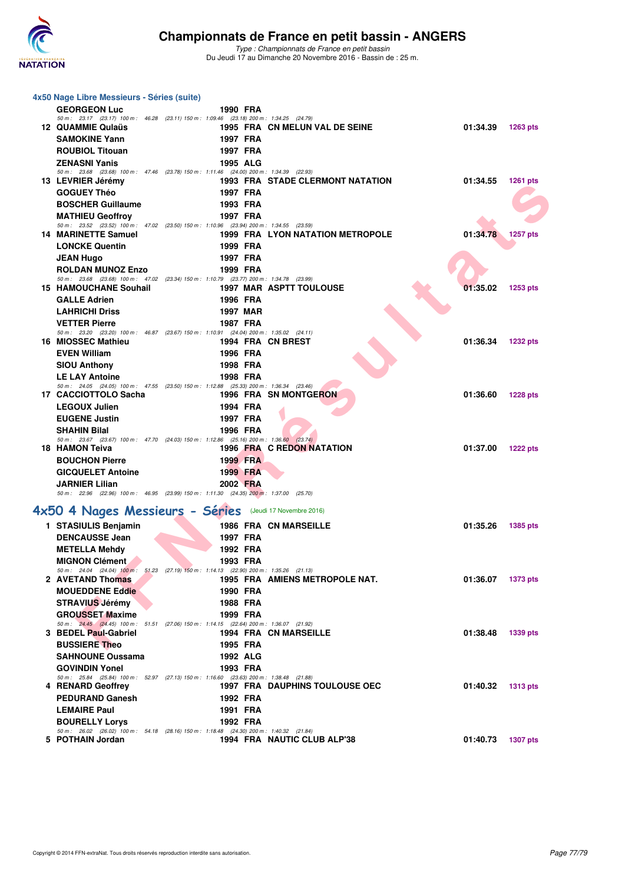

| 4x50 Nage Libre Messieurs - Séries (suite)                                                                             |                 |                                         |                   |                 |
|------------------------------------------------------------------------------------------------------------------------|-----------------|-----------------------------------------|-------------------|-----------------|
| <b>GEORGEON Luc</b>                                                                                                    | 1990 FRA        |                                         |                   |                 |
| 50 m: 23.17 (23.17) 100 m: 46.28 (23.11) 150 m: 1:09.46 (23.18) 200 m: 1:34.25 (24.79)                                 |                 |                                         |                   |                 |
| 12 QUAMMIE Qulaüs<br><b>SAMOKINE Yann</b>                                                                              | 1997 FRA        | 1995 FRA CN MELUN VAL DE SEINE          | 01:34.39          | <b>1263 pts</b> |
| <b>ROUBIOL Titouan</b>                                                                                                 | 1997 FRA        |                                         |                   |                 |
| <b>ZENASNI Yanis</b>                                                                                                   | 1995 ALG        |                                         |                   |                 |
| 50 m: 23.68 (23.68) 100 m: 47.46 (23.78) 150 m: 1:11.46 (24.00) 200 m: 1:34.39 (22.93)                                 |                 |                                         |                   |                 |
| 13 LEVRIER Jérémy                                                                                                      |                 | <b>1993 FRA STADE CLERMONT NATATION</b> | 01:34.55          | 1261 pts        |
| <b>GOGUEY Théo</b>                                                                                                     | 1997 FRA        |                                         |                   |                 |
| <b>BOSCHER Guillaume</b>                                                                                               | 1993 FRA        |                                         |                   |                 |
| <b>MATHIEU Geoffroy</b><br>50 m: 23.52 (23.52) 100 m: 47.02 (23.50) 150 m: 1:10.96 (23.94) 200 m: 1:34.55 (23.59)      | 1997 FRA        |                                         |                   |                 |
| <b>14 MARINETTE Samuel</b>                                                                                             |                 | <b>1999 FRA LYON NATATION METROPOLE</b> | 01:34.78          | 1257 pts        |
| <b>LONCKE Quentin</b>                                                                                                  | 1999 FRA        |                                         |                   |                 |
| <b>JEAN Hugo</b>                                                                                                       | 1997 FRA        |                                         |                   |                 |
| <b>ROLDAN MUNOZ Enzo</b>                                                                                               | 1999 FRA        |                                         |                   |                 |
| 50 m: 23.68 (23.68) 100 m: 47.02 (23.34) 150 m: 1:10.79 (23.77) 200 m: 1:34.78 (23.99)<br><b>15 HAMOUCHANE Souhail</b> |                 | 1997 MAR ASPTT TOULOUSE                 | 01:35.02          | 1253 pts        |
| <b>GALLE Adrien</b>                                                                                                    | 1996 FRA        |                                         |                   |                 |
| <b>LAHRICHI Driss</b>                                                                                                  | <b>1997 MAR</b> |                                         |                   |                 |
| <b>VETTER Pierre</b>                                                                                                   | <b>1987 FRA</b> |                                         |                   |                 |
| 50 m: 23.20 (23.20) 100 m: 46.87 (23.67) 150 m: 1:10.91 (24.04) 200 m: 1:35.02 (24.11)<br>16 MIOSSEC Mathieu           |                 |                                         | 01:36.34          |                 |
| <b>EVEN William</b>                                                                                                    | 1996 FRA        | 1994 FRA CN BREST                       |                   | <b>1232 pts</b> |
| <b>SIOU Anthony</b>                                                                                                    | 1998 FRA        |                                         |                   |                 |
| <b>LE LAY Antoine</b>                                                                                                  | 1998 FRA        |                                         |                   |                 |
| 50 m: 24.05 (24.05) 100 m: 47.55 (23.50) 150 m: 1:12.88 (25.33) 200 m: 1:36.34 (23.46)                                 |                 |                                         |                   |                 |
| 17 CACCIOTTOLO Sacha                                                                                                   |                 | 1996 FRA SN MONTGERON                   | 01:36.60          | <b>1228 pts</b> |
| <b>LEGOUX Julien</b>                                                                                                   | 1994 FRA        |                                         |                   |                 |
| <b>EUGENE Justin</b>                                                                                                   | 1997 FRA        |                                         |                   |                 |
| <b>SHAHIN Bilal</b><br>50 m: 23.67 (23.67) 100 m: 47.70 (24.03) 150 m: 1:12.86 (25.16) 200 m: 1:36.60 (23.74)          | 1996 FRA        |                                         |                   |                 |
| 18 HAMON Teiva                                                                                                         |                 | <b>1996 FRA C REDON NATATION</b>        | 01:37.00          | <b>1222 pts</b> |
| <b>BOUCHON Pierre</b>                                                                                                  | 1999 FRA        |                                         |                   |                 |
| <b>GICQUELET Antoine</b>                                                                                               | 1999 FRA        |                                         |                   |                 |
| <b>JARNIER Lilian</b>                                                                                                  | 2002 FRA        |                                         |                   |                 |
| 50 m: 22.96 (22.96) 100 m: 46.95 (23.99) 150 m: 1:11.30 (24.35) 200 m: 1:37.00 (25.70)                                 |                 |                                         |                   |                 |
| 4x50 4 Nages Messieurs - Séries                                                                                        |                 | (Jeudi 17 Novembre 2016)                |                   |                 |
| 1 STASIULIS Benjamin                                                                                                   |                 | <b>1986 FRA CN MARSEILLE</b>            | 01:35.26          | 1385 pts        |
| <b>DENCAUSSE Jean</b>                                                                                                  | 1997 FRA        |                                         |                   |                 |
| <b>METELLA Mehdy</b>                                                                                                   | 1992 FRA        |                                         |                   |                 |
| <b>MIGNON Clément</b>                                                                                                  | 1993 FRA        |                                         |                   |                 |
| 50 m: 24.04 (24.04) 100 m: 51.23 (27.19) 150 m: 1:14.13 (22.90) 200 m: 1:35.26 (21.13)<br>2 AVETAND Thomas             |                 | 1995 FRA AMIENS METROPOLE NAT.          | 01:36.07 1373 pts |                 |
| <b>MOUEDDENE Eddie</b>                                                                                                 | 1990 FRA        |                                         |                   |                 |
| <b>STRAVIUS Jérémy</b>                                                                                                 | 1988 FRA        |                                         |                   |                 |
| <b>GROUSSET Maxime</b>                                                                                                 | 1999 FRA        |                                         |                   |                 |
| 50 m: 24.45 (24.45) 100 m: 51.51 (27.06) 150 m: 1:14.15 (22.64) 200 m: 1:36.07 (21.92)<br>3 BEDEL Paul-Gabriel         |                 | 1994 FRA CN MARSEILLE                   | 01:38.48 1339 pts |                 |
| <b>BUSSIERE Theo</b>                                                                                                   | 1995 FRA        |                                         |                   |                 |
| <b>SAHNOUNE Oussama</b>                                                                                                | 1992 ALG        |                                         |                   |                 |
| <b>GOVINDIN Yonel</b>                                                                                                  | 1993 FRA        |                                         |                   |                 |
| 50 m: 25.84 (25.84) 100 m: 52.97 (27.13) 150 m: 1:16.60 (23.63) 200 m: 1:38.48 (21.88)                                 |                 |                                         |                   |                 |
| 4 RENARD Geoffrey                                                                                                      |                 | <b>1997 FRA DAUPHINS TOULOUSE OEC</b>   | 01:40.32 1313 pts |                 |
| <b>PEDURAND Ganesh</b>                                                                                                 | 1992 FRA        |                                         |                   |                 |
| <b>LEMAIRE Paul</b>                                                                                                    | 1991 FRA        |                                         |                   |                 |
| <b>BOURELLY Lorys</b>                                                                                                  | 1992 FRA        |                                         |                   |                 |
| 50 m: 26.02 (26.02) 100 m: 54.18 (28.16) 150 m: 1:18.48 (24.30) 200 m: 1:40.32 (21.84)                                 |                 |                                         |                   |                 |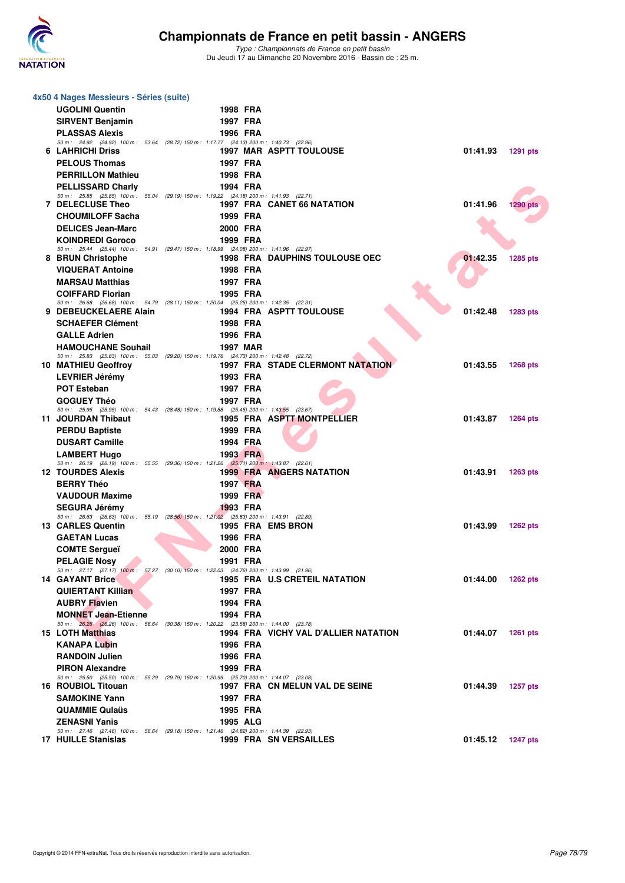

| 4x50 4 Nages Messieurs - Séries (suite)                                                                             |                 |                                       |                   |                 |
|---------------------------------------------------------------------------------------------------------------------|-----------------|---------------------------------------|-------------------|-----------------|
| <b>UGOLINI Quentin</b>                                                                                              | 1998 FRA        |                                       |                   |                 |
| <b>SIRVENT Benjamin</b>                                                                                             | 1997 FRA        |                                       |                   |                 |
| <b>PLASSAS Alexis</b>                                                                                               | 1996 FRA        |                                       |                   |                 |
| 50 m: 24.92 (24.92) 100 m: 53.64 (28.72) 150 m: 1:17.77 (24.13) 200 m: 1:40.73 (22.96)                              |                 |                                       |                   |                 |
| 6 LAHRICHI Driss                                                                                                    |                 | <b>1997 MAR ASPTT TOULOUSE</b>        | 01:41.93          | <b>1291 pts</b> |
| <b>PELOUS Thomas</b>                                                                                                | 1997 FRA        |                                       |                   |                 |
| <b>PERRILLON Mathieu</b>                                                                                            | 1998 FRA        |                                       |                   |                 |
| <b>PELLISSARD Charly</b>                                                                                            | 1994 FRA        |                                       |                   |                 |
| 50 m: 25.85 (25.85) 100 m: 55.04 (29.19) 150 m: 1:19.22 (24.18) 200 m: 1:41.93 (22.71)<br><b>7 DELECLUSE Theo</b>   |                 | 1997 FRA CANET 66 NATATION            | 01:41.96          | 1290 pts        |
| <b>CHOUMILOFF Sacha</b>                                                                                             | 1999 FRA        |                                       |                   |                 |
| <b>DELICES Jean-Marc</b>                                                                                            | 2000 FRA        |                                       |                   |                 |
| <b>KOINDREDI Goroco</b>                                                                                             | 1999 FRA        |                                       |                   |                 |
| 50 m: 25.44 (25.44) 100 m: 54.91 (29.47) 150 m: 1:18.99 (24.08) 200 m: 1:41.96 (22.97)                              |                 |                                       |                   |                 |
| 8 BRUN Christophe                                                                                                   |                 | <b>1998 FRA DAUPHINS TOULOUSE OEC</b> | 01:42.35          | 1285 pts        |
| <b>VIQUERAT Antoine</b>                                                                                             | 1998 FRA        |                                       |                   |                 |
| <b>MARSAU Matthias</b>                                                                                              | 1997 FRA        |                                       |                   |                 |
| <b>COIFFARD Florian</b>                                                                                             | 1995 FRA        |                                       |                   |                 |
| 50 m: 26.68 (26.68) 100 m: 54.79 (28.11) 150 m: 1:20.04 (25.25) 200 m: 1:42.35 (22.31)<br>9 DEBEUCKELAERE Alain     |                 | <b>1994 FRA ASPTT TOULOUSE</b>        | 01:42.48          |                 |
|                                                                                                                     |                 |                                       |                   | <b>1283 pts</b> |
| <b>SCHAEFER Clément</b>                                                                                             | 1998 FRA        |                                       |                   |                 |
| <b>GALLE Adrien</b>                                                                                                 | 1996 FRA        |                                       |                   |                 |
| <b>HAMOUCHANE Souhail</b><br>50 m: 25.83 (25.83) 100 m: 55.03 (29.20) 150 m: 1:19.76 (24.73) 200 m: 1:42.48 (22.72) | 1997 MAR        |                                       |                   |                 |
| 10 MATHIEU Geoffroy                                                                                                 |                 | 1997 FRA STADE CLERMONT NATATION      | 01:43.55          | <b>1268 pts</b> |
| LEVRIER Jérémy                                                                                                      | 1993 FRA        |                                       |                   |                 |
| <b>POT Esteban</b>                                                                                                  | 1997 FRA        |                                       |                   |                 |
| <b>GOGUEY Théo</b>                                                                                                  | 1997 FRA        |                                       |                   |                 |
| 50 m: 25.95 (25.95) 100 m: 54.43 (28.48) 150 m: 1:19.88 (25.45) 200 m: 1:43.55 (23.67)                              |                 |                                       |                   |                 |
| 11 JOURDAN Thibaut                                                                                                  |                 | 1995 FRA ASPTT MONTPELLIER            | 01:43.87          | <b>1264 pts</b> |
| <b>PERDU Baptiste</b>                                                                                               | 1999 FRA        |                                       |                   |                 |
| <b>DUSART Camille</b>                                                                                               | 1994 FRA        |                                       |                   |                 |
| <b>LAMBERT Hugo</b><br>50 m: 26.19 (26.19) 100 m: 55.55 (29.36) 150 m: 1:21.26 (25.71) 200 m: 1:43.87 (22.61)       | 1993 FRA        |                                       |                   |                 |
| <b>12 TOURDES Alexis</b>                                                                                            |                 | <b>1999 FRA ANGERS NATATION</b>       | 01:43.91          | <b>1263 pts</b> |
| <b>BERRY Théo</b>                                                                                                   | 1997 FRA        |                                       |                   |                 |
| <b>VAUDOUR Maxime</b>                                                                                               | 1999 FRA        |                                       |                   |                 |
| <b>SEGURA Jérémy</b>                                                                                                | 1993 FRA        |                                       |                   |                 |
| 50 m: 26.63 (26.63) 100 m: 55.19 (28.56) 150 m: 1:21.02 (25.83) 200 m: 1:43.91 (22.89)<br><b>13 CARLES Quentin</b>  |                 | 1995 FRA EMS BRON                     | 01:43.99          |                 |
| <b>GAETAN Lucas</b>                                                                                                 | 1996 FRA        |                                       |                   | <b>1262 pts</b> |
| <b>COMTE Sergueï</b>                                                                                                | 2000 FRA        |                                       |                   |                 |
|                                                                                                                     |                 |                                       |                   |                 |
| <b>PELAGIE Nosy</b><br>50 m: 27.17 (27.17) 100 m: 57.27 (30.10) 150 m: 1:22.03 (24.76) 200 m: 1:43.99 (21.96)       | 1991 FRA        |                                       |                   |                 |
| <b>14 GAYANT Brice</b>                                                                                              |                 | 1995 FRA U.S CRETEIL NATATION         | 01:44.00 1262 pts |                 |
| <b>QUIERTANT Killian</b>                                                                                            | 1997 FRA        |                                       |                   |                 |
| <b>AUBRY Flavien</b>                                                                                                | 1994 FRA        |                                       |                   |                 |
| <b>MONNET Jean-Etienne</b>                                                                                          | 1994 FRA        |                                       |                   |                 |
| 50 m: 26.26 (26.26) 100 m: 56.64 (30.38) 150 m: 1:20.22 (23.58) 200 m: 1:44.00 (23.78)<br>15 LOTH Matthias          |                 | 1994 FRA VICHY VAL D'ALLIER NATATION  | 01:44.07 1261 pts |                 |
| <b>KANAPA Lubin</b>                                                                                                 | 1996 FRA        |                                       |                   |                 |
|                                                                                                                     |                 |                                       |                   |                 |
| <b>RANDOIN Julien</b><br><b>PIRON Alexandre</b>                                                                     | 1996 FRA        |                                       |                   |                 |
| 50 m: 25.50 (25.50) 100 m: 55.29 (29.79) 150 m: 1:20.99 (25.70) 200 m: 1:44.07 (23.08)                              | 1999 FRA        |                                       |                   |                 |
| 16 ROUBIOL Titouan                                                                                                  |                 | 1997 FRA CN MELUN VAL DE SEINE        | 01:44.39          | <b>1257 pts</b> |
| <b>SAMOKINE Yann</b>                                                                                                | 1997 FRA        |                                       |                   |                 |
| <b>QUAMMIE Qulaüs</b>                                                                                               | 1995 FRA        |                                       |                   |                 |
| <b>ZENASNI Yanis</b>                                                                                                | <b>1995 ALG</b> |                                       |                   |                 |
| 50 m: 27.46 (27.46) 100 m: 56.64 (29.18) 150 m: 1:21.46 (24.82) 200 m: 1:44.39 (22.93)                              |                 |                                       |                   |                 |
| <b>17 HUILLE Stanislas</b>                                                                                          |                 | <b>1999 FRA SN VERSAILLES</b>         | 01:45.12          | 1247 pts        |